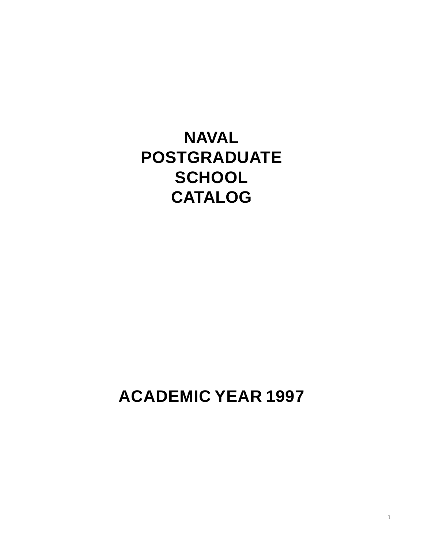**NAVAL POSTGRADUATE SCHOOL CATALOG**

**ACADEMIC YEAR 1997**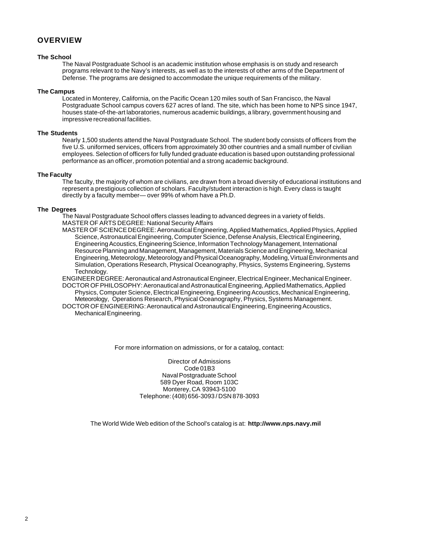#### **OVERVIEW**

#### **The School**

The Naval Postgraduate School is an academic institution whose emphasis is on study and research programs relevant to the Navy's interests, as well as to the interests of other arms of the Department of Defense. The programs are designed to accommodate the unique requirements of the military.

#### **The Campus**

Located in Monterey, California, on the Pacific Ocean 120 miles south of San Francisco, the Naval Postgraduate School campus covers 627 acres of land. The site, which has been home to NPS since 1947, houses state-of-the-art laboratories, numerous academic buildings, a library, government housing and impressive recreational facilities.

#### **The Students**

Nearly 1,500 students attend the Naval Postgraduate School. The student body consists of officers from the five U.S. uniformed services, officers from approximately 30 other countries and a small number of civilian employees. Selection of officers for fully funded graduate education is based upon outstanding professional performance as an officer, promotion potential and a strong academic background.

#### **The Faculty**

The faculty, the majority of whom are civilians, are drawn from a broad diversity of educational institutions and represent a prestigious collection of scholars. Faculty/student interaction is high. Every class is taught directly by a faculty member— over 99% of whom have a Ph.D.

#### **The Degrees**

The Naval Postgraduate School offers classes leading to advanced degrees in a variety of fields. MASTER OF ARTS DEGREE: National Security Affairs

MASTER OF SCIENCE DEGREE: Aeronautical Engineering, Applied Mathematics, Applied Physics, Applied Science, Astronautical Engineering, Computer Science, Defense Analysis, Electrical Engineering, Engineering Acoustics, Engineering Science, Information Technology Management, International Resource Planning and Management, Management, Materials Science and Engineering, Mechanical Engineering, Meteorology, Meteorology and Physical Oceanography, Modeling, Virtual Environments and Simulation, Operations Research, Physical Oceanography, Physics, Systems Engineering, Systems Technology.

ENGINEER DEGREE: Aeronautical and Astronautical Engineer, Electrical Engineer, Mechanical Engineer. DOCTOR OF PHILOSOPHY: Aeronautical and Astronautical Engineering, Applied Mathematics, Applied Physics, Computer Science, Electrical Engineering, Engineering Acoustics, Mechanical Engineering, Meteorology, Operations Research, Physical Oceanography, Physics, Systems Management.

DOCTOR OF ENGINEERING: Aeronautical and Astronautical Engineering, Engineering Acoustics, Mechanical Engineering.

For more information on admissions, or for a catalog, contact:

Director of Admissions Code 01B3 Naval Postgraduate School 589 Dyer Road, Room 103C Monterey, CA 93943-5100 Telephone: (408) 656-3093 / DSN 878-3093

The World Wide Web edition of the School's catalog is at: **http://www.nps.navy.mil**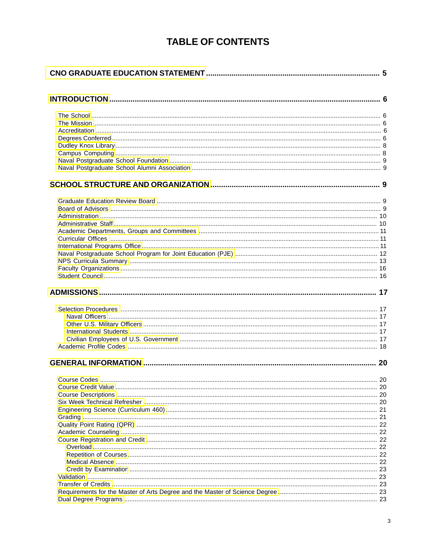## **TABLE OF CONTENTS**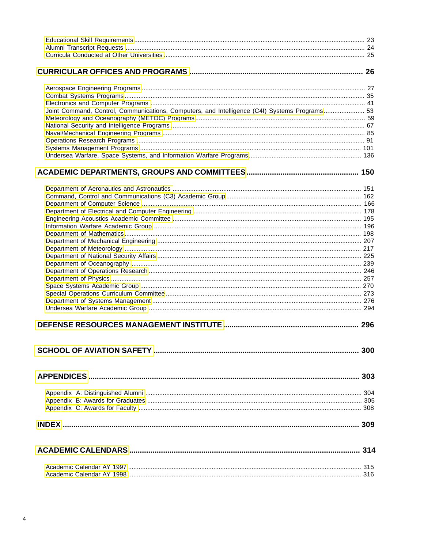| Joint Command, Control, Communications, Computers, and Intelligence (C4I) Systems Programs 53 |     |
|-----------------------------------------------------------------------------------------------|-----|
|                                                                                               |     |
|                                                                                               |     |
|                                                                                               |     |
|                                                                                               |     |
|                                                                                               |     |
|                                                                                               |     |
|                                                                                               |     |
|                                                                                               |     |
|                                                                                               |     |
|                                                                                               |     |
|                                                                                               |     |
|                                                                                               |     |
|                                                                                               |     |
|                                                                                               |     |
|                                                                                               |     |
|                                                                                               |     |
|                                                                                               |     |
|                                                                                               |     |
|                                                                                               |     |
|                                                                                               |     |
|                                                                                               |     |
|                                                                                               |     |
|                                                                                               |     |
|                                                                                               |     |
|                                                                                               |     |
|                                                                                               |     |
|                                                                                               |     |
|                                                                                               |     |
|                                                                                               | 300 |
|                                                                                               |     |
|                                                                                               |     |
|                                                                                               |     |
|                                                                                               |     |
|                                                                                               |     |
|                                                                                               |     |
|                                                                                               |     |
|                                                                                               |     |
|                                                                                               |     |
|                                                                                               |     |
|                                                                                               |     |
|                                                                                               |     |
|                                                                                               |     |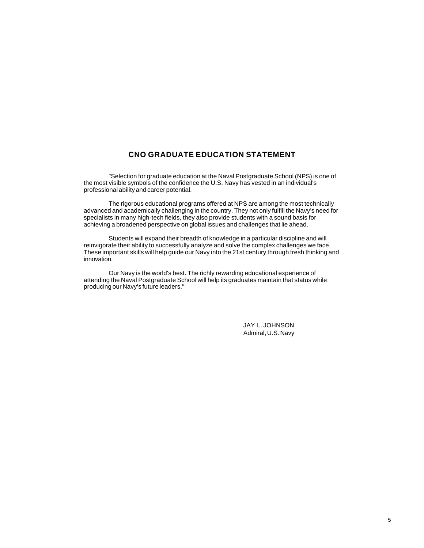#### **CNO GRADUATE EDUCATION STATEMENT**

<span id="page-4-0"></span>"Selection for graduate education at the Naval Postgraduate School (NPS) is one of the most visible symbols of the confidence the U.S. Navy has vested in an individual's professional ability and career potential.

The rigorous educational programs offered at NPS are among the most technically advanced and academically challenging in the country. They not only fulfill the Navy's need for specialists in many high-tech fields, they also provide students with a sound basis for achieving a broadened perspective on global issues and challenges that lie ahead.

Students will expand their breadth of knowledge in a particular discipline and will reinvigorate their ability to successfully analyze and solve the complex challenges we face. These important skills will help guide our Navy into the 21st century through fresh thinking and innovation.

Our Navy is the world's best. The richly rewarding educational experience of attending the Naval Postgraduate School will help its graduates maintain that status while producing our Navy's future leaders."

> JAY L. JOHNSON Admiral, U.S. Navy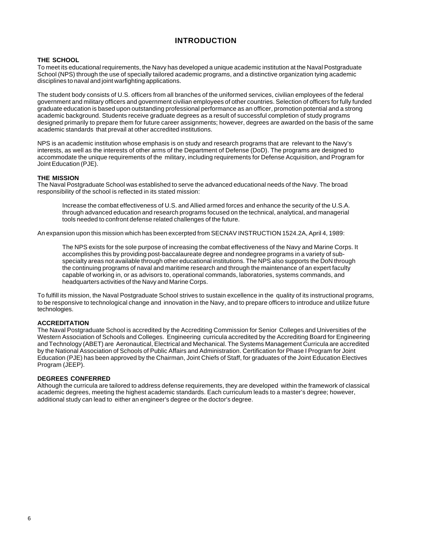## **INTRODUCTION**

#### <span id="page-5-0"></span>**THE SCHOOL**

To meet its educational requirements, the Navy has developed a unique academic institution at the Naval Postgraduate School (NPS) through the use of specially tailored academic programs, and a distinctive organization tying academic disciplines to naval and joint warfighting applications.

The student body consists of U.S. officers from all branches of the uniformed services, civilian employees of the federal government and military officers and government civilian employees of other countries. Selection of officers for fully funded graduate education is based upon outstanding professional performance as an officer, promotion potential and a strong academic background. Students receive graduate degrees as a result of successful completion of study programs designed primarily to prepare them for future career assignments; however, degrees are awarded on the basis of the same academic standards that prevail at other accredited institutions.

NPS is an academic institution whose emphasis is on study and research programs that are relevant to the Navy's interests, as well as the interests of other arms of the Department of Defense (DoD). The programs are designed to accommodate the unique requirements of the military, including requirements for Defense Acquisition, and Program for Joint Education (PJE).

#### **THE MISSION**

The Naval Postgraduate School was established to serve the advanced educational needs of the Navy. The broad responsibility of the school is reflected in its stated mission:

Increase the combat effectiveness of U.S. and Allied armed forces and enhance the security of the U.S.A. through advanced education and research programs focused on the technical, analytical, and managerial tools needed to confront defense related challenges of the future.

An expansion upon this mission which has been excerpted from SECNAV INSTRUCTION 1524.2A, April 4, 1989:

The NPS exists for the sole purpose of increasing the combat effectiveness of the Navy and Marine Corps. It accomplishes this by providing post-baccalaureate degree and nondegree programs in a variety of subspecialty areas not available through other educational institutions. The NPS also supports the DoN through the continuing programs of naval and maritime research and through the maintenance of an expert faculty capable of working in, or as advisors to, operational commands, laboratories, systems commands, and headquarters activities of the Navy and Marine Corps.

To fulfill its mission, the Naval Postgraduate School strives to sustain excellence in the quality of its instructional programs, to be responsive to technological change and innovation in the Navy, and to prepare officers to introduce and utilize future technologies.

#### **ACCREDITATION**

The Naval Postgraduate School is accredited by the Accrediting Commission for Senior Colleges and Universities of the Western Association of Schools and Colleges. Engineering curricula accredited by the Accrediting Board for Engineering and Technology (ABET) are Aeronautical, Electrical and Mechanical. The Systems Management Curricula are accredited by the National Association of Schools of Public Affairs and Administration. Certification for Phase I Program for Joint Education (PJE) has been approved by the Chairman, Joint Chiefs of Staff, for graduates of the Joint Education Electives Program (JEEP).

#### **DEGREES CONFERRED**

Although the curricula are tailored to address defense requirements, they are developed within the framework of classical academic degrees, meeting the highest academic standards. Each curriculum leads to a master's degree; however, additional study can lead to either an engineer's degree or the doctor's degree.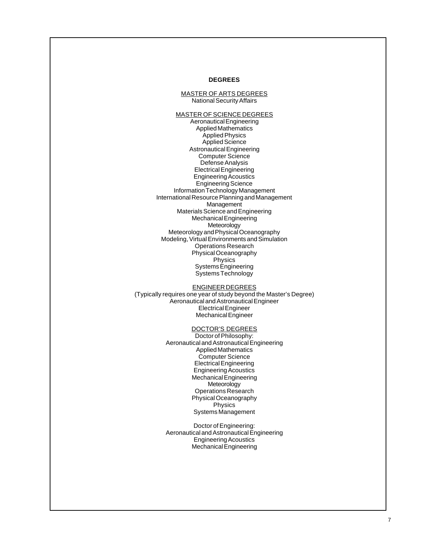#### **DEGREES**

#### MASTER OF ARTS DEGREES National Security Affairs

MASTER OF SCIENCE DEGREES Aeronautical Engineering Applied Mathematics Applied Physics Applied Science Astronautical Engineering Computer Science Defense Analysis Electrical Engineering Engineering Acoustics Engineering Science Information Technology Management International Resource Planning and Management **Management** Materials Science and Engineering Mechanical Engineering **Meteorology** Meteorology and Physical Oceanography Modeling, Virtual Environments and Simulation Operations Research Physical Oceanography Physics Systems Engineering Systems Technology

ENGINEER DEGREES (Typically requires one year of study beyond the Master's Degree) Aeronautical and Astronautical Engineer Electrical Engineer Mechanical Engineer

#### DOCTOR'S DEGREES

Doctor of Philosophy: Aeronautical and Astronautical Engineering Applied Mathematics Computer Science Electrical Engineering Engineering Acoustics Mechanical Engineering Meteorology Operations Research Physical Oceanography Physics Systems Management

Doctor of Engineering: Aeronautical and Astronautical Engineering Engineering Acoustics Mechanical Engineering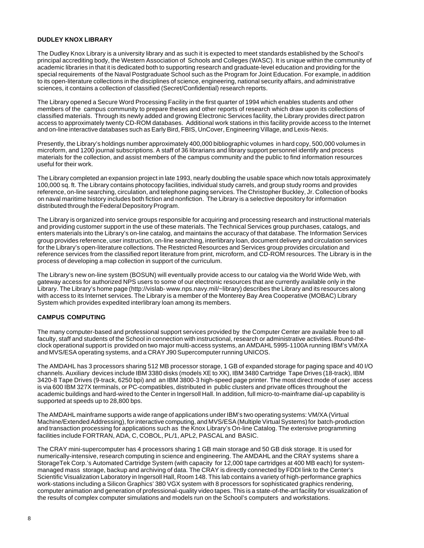#### <span id="page-7-0"></span>**DUDLEY KNOX LIBRARY**

The Dudley Knox Library is a university library and as such it is expected to meet standards established by the School's principal accrediting body, the Western Association of Schools and Colleges (WASC). It is unique within the community of academic libraries in that it is dedicated both to supporting research and graduate-level education and providing for the special requirements of the Naval Postgraduate School such as the Program for Joint Education. For example, in addition to its open-literature collections in the disciplines of science, engineering, national security affairs, and administrative sciences, it contains a collection of classified (Secret/Confidential) research reports.

The Library opened a Secure Word Processing Facility in the first quarter of 1994 which enables students and other members of the campus community to prepare theses and other reports of research which draw upon its collections of classified materials. Through its newly added and growing Electronic Services facility, the Library provides direct patron access to approximately twenty CD-ROM databases. Additional work stations in this facility provide access to the Internet and on-line interactive databases such as Early Bird, FBIS, UnCover, Engineering Village, and Lexis-Nexis.

Presently, the Library's holdings number approximately 400,000 bibliographic volumes in hard copy, 500,000 volumes in microform, and 1200 journal subscriptions. A staff of 36 librarians and library support personnel identify and process materials for the collection, and assist members of the campus community and the public to find information resources useful for their work.

The Library completed an expansion project in late 1993, nearly doubling the usable space which now totals approximately 100,000 sq. ft. The Library contains photocopy facilities, individual study carrels, and group study rooms and provides reference, on-line searching, circulation, and telephone paging services. The Christopher Buckley, Jr. Collection of books on naval maritime history includes both fiction and nonfiction. The Library is a selective depository for information distributed through the Federal Depository Program.

The Library is organized into service groups responsible for acquiring and processing research and instructional materials and providing customer support in the use of these materials. The Technical Services group purchases, catalogs, and enters materials into the Library's on-line catalog, and maintains the accuracy of that database. The Information Services group provides reference, user instruction, on-line searching, interlibrary loan, document delivery and circulation services for the Library's open-literature collections. The Restricted Resources and Services group provides circulation and reference services from the classified report literature from print, microform, and CD-ROM resources. The Library is in the process of developing a map collection in support of the curriculum.

The Library's new on-line system (BOSUN) will eventually provide access to our catalog via the World Wide Web, with gateway access for authorized NPS users to some of our electronic resources that are currently available only in the Library. The Library's home page (http://vislab- www.nps.navy.mil/~library) describes the Library and its resources along with access to its Internet services. The Library is a member of the Monterey Bay Area Cooperative (MOBAC) Library System which provides expedited interlibrary loan among its members.

#### **CAMPUS COMPUTING**

The many computer-based and professional support services provided by the Computer Center are available free to all faculty, staff and students of the School in connection with instructional, research or administrative activities. Round-theclock operational support is provided on two major multi-access systems, an AMDAHL 5995-1100A running IBM's VM/XA and MVS/ESA operating systems, and a CRAY J90 Supercomputer running UNICOS.

The AMDAHL has 3 processors sharing 512 MB processor storage, 1 GB of expanded storage for paging space and 40 I/O channels. Auxiliary devices include IBM 3380 disks (models XE to XK), IBM 3480 Cartridge Tape Drives (18-track), IBM 3420-8 Tape Drives (9-track, 6250 bpi) and an IBM 3800-3 high-speed page printer. The most direct mode of user access is via 600 IBM 327X terminals, or PC-compatibles, distributed in public clusters and private offices throughout the academic buildings and hard-wired to the Center in Ingersoll Hall. In addition, full micro-to-mainframe dial-up capability is supported at speeds up to 28,800 bps.

The AMDAHL mainframe supports a wide range of applications under IBM's two operating systems: VM/XA (Virtual Machine/Extended Addressing), for interactive computing, and MVS/ESA (Multiple Virtual Systems) for batch-production and transaction processing for applications such as the Knox Library's On-line Catalog. The extensive programming facilities include FORTRAN, ADA, C, COBOL, PL/1, APL2, PASCAL and BASIC.

The CRAY mini-supercomputer has 4 processors sharing 1 GB main storage and 50 GB disk storage. It is used for numerically-intensive, research computing in science and engineering. The AMDAHL and the CRAY systems share a StorageTek Corp.'s Automated Cartridge System (with capacity for 12,000 tape cartridges at 400 MB each) for systemmanaged mass storage, backup and archiving of data. The CRAY is directly connected by FDDI link to the Center's Scientific Visualization Laboratory in Ingersoll Hall, Room 148. This lab contains a variety of high-performance graphics work-stations including a Silicon Graphics' 380 VGX system with 8 processors for sophisticated graphics rendering, computer animation and generation of professional-quality video tapes. This is a state-of-the-art facility for visualization of the results of complex computer simulations and models run on the School's computers and workstations.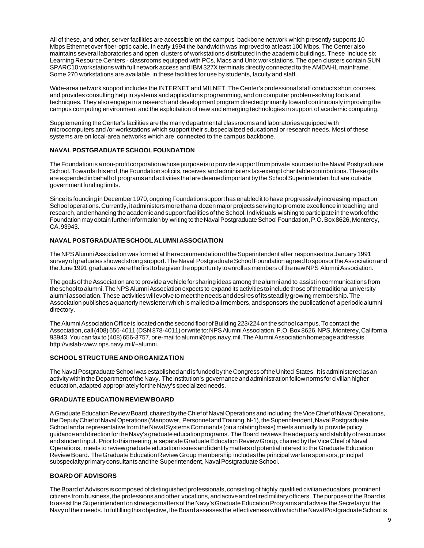<span id="page-8-0"></span>All of these, and other, server facilities are accessible on the campus backbone network which presently supports 10 Mbps Ethernet over fiber-optic cable. In early 1994 the bandwidth was improved to at least 100 Mbps. The Center also maintains several laboratories and open clusters of workstations distributed in the academic buildings. These include six Learning Resource Centers - classrooms equipped with PCs, Macs and Unix workstations. The open clusters contain SUN SPARC10 workstations with full network access and IBM 327X terminals directly connected to the AMDAHL mainframe. Some 270 workstations are available in these facilities for use by students, faculty and staff.

Wide-area network support includes the INTERNET and MILNET. The Center's professional staff conducts short courses, and provides consulting help in systems and applications programming, and on computer problem-solving tools and techniques. They also engage in a research and development program directed primarily toward continuously improving the campus computing environment and the exploitation of new and emerging technologies in support of academic computing.

Supplementing the Center's facilities are the many departmental classrooms and laboratories equipped with microcomputers and /or workstations which support their subspecialized educational or research needs. Most of these systems are on local-area networks which are connected to the campus backbone.

#### **NAVAL POSTGRADUATE SCHOOL FOUNDATION**

The Foundation is a non-profit corporation whose purpose is to provide support from private sources to the Naval Postgraduate School. Towards this end, the Foundation solicits, receives and administers tax-exempt charitable contributions. These gifts are expended in behalf of programs and activities that are deemed important by the School Superintendent but are outside government funding limits.

Since its founding in December 1970, ongoing Foundation support has enabled it to have progressively increasing impact on School operations. Currently, it administers more than a dozen major projects serving to promote excellence in teaching and research, and enhancing the academic and support facilities of the School. Individuals wishing to participate in the work of the Foundation may obtain further information by writing to the Naval Postgraduate School Foundation, P.O. Box 8626, Monterey, CA, 93943.

#### **NAVAL POSTGRADUATE SCHOOL ALUMNI ASSOCIATION**

The NPS Alumni Association was formed at the recommendation of the Superintendent after responses to a January 1991 survey of graduates showed strong support. The Naval Postgraduate School Foundation agreed to sponsor the Association and the June 1991 graduates were the first to be given the opportunity to enroll as members of the new NPS Alumni Association.

The goals of the Association are to provide a vehicle for sharing ideas among the alumni and to assist in communications from the school to alumni. The NPS Alumni Association expects to expand its activities to include those of the traditional university alumni association. These activities will evolve to meet the needs and desires of its steadily growing membership. The Association publishes a quarterly newsletter which is mailed to all members, and sponsors the publication of a periodic alumni directory.

The Alumni Association Office is located on the second floor of Building 223/224 on the school campus. To contact the Association, call (408) 656-4011 (DSN 878-4011) or write to: NPS Alumni Association, P.O. Box 8626, NPS, Monterey, California 93943. You can fax to (408) 656-3757, or e-mail to alumni@nps.navy.mil. The Alumni Association homepage address is http://vislab-www.nps.navy.mil/~alumni.

#### **SCHOOL STRUCTURE AND ORGANIZATION**

The Naval Postgraduate School was established and is funded by the Congress of the United States. It is administered as an activity within the Department of the Navy. The institution's governance and administration follow norms for civilian higher education, adapted appropriately for the Navy's specialized needs.

#### **GRADUATE EDUCATION REVIEW BOARD**

A Graduate Education Review Board, chaired by the Chief of Naval Operations and including the Vice Chief of Naval Operations, the Deputy Chief of Naval Operations (Manpower, Personnel and Training, N-1), the Superintendent, Naval Postgraduate School and a representative from the Naval Systems Commands (on a rotating basis) meets annually to provide policy guidance and direction for the Navy's graduate education programs. The Board reviews the adequacy and stability of resources and student input. Prior to this meeting, a separate Graduate Education Review Group, chaired by the Vice Chief of Naval Operations, meets to review graduate education issues and identify matters of potential interest to the Graduate Education Review Board. The Graduate Education Review Group membership includes the principal warfare sponsors, principal subspecialty primary consultants and the Superintendent, Naval Postgraduate School.

#### **BOARD OF ADVISORS**

The Board of Advisors is composed of distinguished professionals, consisting of highly qualified civilian educators, prominent citizens from business, the professions and other vocations, and active and retired military officers. The purpose of the Board is to assist the Superintendent on strategic matters of the Navy's Graduate Education Programs and advise the Secretary of the Navy of their needs. In fulfilling this objective, the Board assesses the effectiveness with which the Naval Postgraduate School is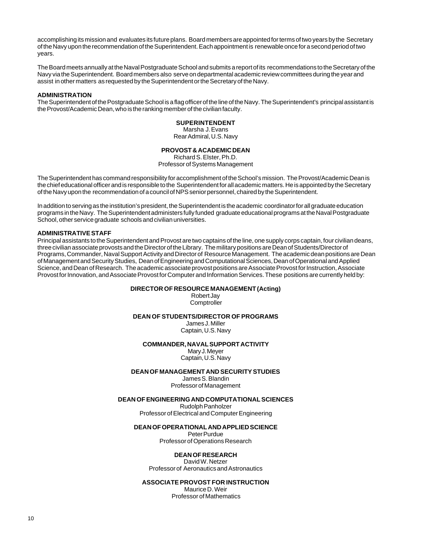<span id="page-9-0"></span>accomplishing its mission and evaluates its future plans. Board members are appointed for terms of two years by the Secretary of the Navy upon the recommendation of the Superintendent. Each appointment is renewable once for a second period of two years.

The Board meets annually at the Naval Postgraduate School and submits a report of its recommendations to the Secretary of the Navy via the Superintendent. Board members also serve on departmental academic review committees during the year and assist in other matters as requested by the Superintendent or the Secretary of the Navy.

#### **ADMINISTRATION**

The Superintendent of the Postgraduate School is a flag officer of the line of the Navy. The Superintendent's principal assistant is the Provost/Academic Dean, who is the ranking member of the civilian faculty.

#### **SUPERINTENDENT**

Marsha J. Evans Rear Admiral, U.S. Navy

#### **PROVOST & ACADEMIC DEAN**

Richard S. Elster, Ph.D. Professor of Systems Management

The Superintendent has command responsibility for accomplishment of the School's mission. The Provost/Academic Dean is the chief educational officer and is responsible to the Superintendent for all academic matters. He is appointed by the Secretary of the Navy upon the recommendation of a council of NPS senior personnel, chaired by the Superintendent.

In addition to serving as the institution's president, the Superintendent is the academic coordinator for all graduate education programs in the Navy. The Superintendent administers fully funded graduate educational programs at the Naval Postgraduate School, other service graduate schools and civilian universities.

#### **ADMINISTRATIVE STAFF**

Principal assistants to the Superintendent and Provost are two captains of the line, one supply corps captain, four civilian deans, three civilian associate provosts and the Director of the Library. The military positions are Dean of Students/Director of Programs, Commander, Naval Support Activity and Director of Resource Management. The academic dean positions are Dean of Management and Security Studies, Dean of Engineering and Computational Sciences, Dean of Operational and Applied Science, and Dean of Research. The academic associate provost positions are Associate Provost for Instruction, Associate Provost for Innovation, and Associate Provost for Computer and Information Services. These positions are currently held by:

#### **DIRECTOR OF RESOURCE MANAGEMENT (Acting)**

Robert Jay **Comptroller** 

#### **DEAN OF STUDENTS/DIRECTOR OF PROGRAMS**

James J. Miller Captain, U.S. Navy

#### **COMMANDER, NAVAL SUPPORT ACTIVITY**

Mary J. Meyer Captain, U.S. Navy

#### **DEAN OF MANAGEMENT AND SECURITY STUDIES**

James S. Blandin Professor of Management

#### **DEAN OF ENGINEERING AND COMPUTATIONAL SCIENCES**

Rudolph Panholzer Professor of Electrical and Computer Engineering

#### **DEAN OF OPERATIONAL AND APPLIED SCIENCE**

Peter Purdue Professor of Operations Research

#### **DEAN OF RESEARCH**

David W. Netzer Professor of Aeronautics and Astronautics

#### **ASSOCIATE PROVOST FOR INSTRUCTION**

Maurice D. Weir Professor of Mathematics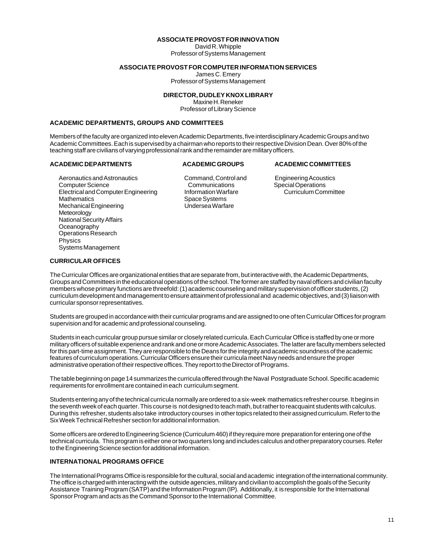#### **ASSOCIATE PROVOST FOR INNOVATION**

David R. Whipple Professor of Systems Management

#### **ASSOCIATE PROVOST FOR COMPUTER INFORMATION SERVICES**

James C. Emery

Professor of Systems Management

#### **DIRECTOR, DUDLEY KNOX LIBRARY**

Maxine H. Reneker Professor of Library Science

#### <span id="page-10-0"></span>**ACADEMIC DEPARTMENTS, GROUPS AND COMMITTEES**

Members of the faculty are organized into eleven Academic Departments, five interdisciplinary Academic Groups and two Academic Committees. Each is supervised by a chairman who reports to their respective Division Dean. Over 80% of the teaching staff are civilians of varying professional rank and the remainder are military officers.

#### **ACADEMIC DEPARTMENTS ACADEMIC GROUPS ACADEMIC COMMITTEES**

Aeronautics and Astronautics **Command, Control and Engineering Acoustics** Command, Control and Engineering Acoustics Computer Science Communications Communications<br>
Electrical and Computer Engineering Communication Warfare Curriculum Committee Electrical and Computer Engineering<br>Mathematics Mechanical Engineering Meteorology National Security Affairs **Oceanography** Operations Research Physics Systems Management

Space Systems<br>Undersea Warfare

#### **CURRICULAR OFFICES**

The Curricular Offices are organizational entities that are separate from, but interactive with, the Academic Departments, Groups and Committees in the educational operations of the school. The former are staffed by naval officers and civilian faculty members whose primary functions are threefold: (1) academic counseling and military supervision of officer students, (2) curriculum development and management to ensure attainment of professional and academic objectives, and (3) liaison with curricular sponsor representatives.

Students are grouped in accordance with their curricular programs and are assigned to one of ten Curricular Offices for program supervision and for academic and professional counseling.

Students in each curricular group pursue similar or closely related curricula. Each Curricular Office is staffed by one or more military officers of suitable experience and rank and one or more Academic Associates. The latter are faculty members selected for this part-time assignment. They are responsible to the Deans for the integrity and academic soundness of the academic features of curriculum operations. Curricular Officers ensure their curricula meet Navy needs and ensure the proper administrative operation of their respective offices. They report to the Director of Programs.

The table beginning on page 14 summarizes the curricula offered through the Naval Postgraduate School. Specific academic requirements for enrollment are contained in each curriculum segment.

Students entering any of the technical curricula normally are ordered to a six-week mathematics refresher course. It begins in the seventh week of each quarter. This course is not designed to teach math, but rather to reacquaint students with calculus. During this refresher, students also take introductory courses in other topics related to their assigned curriculum. Refer to the Six Week Technical Refresher section for additional information.

Some officers are ordered to Engineering Science (Curriculum 460) if they require more preparation for entering one of the technical curricula. This program is either one or two quarters long and includes calculus and other preparatory courses. Refer to the Engineering Science section for additional information.

#### **INTERNATIONAL PROGRAMS OFFICE**

The International Programs Office is responsible for the cultural, social and academic integration of the international community. The office is charged with interacting with the outside agencies, military and civilian to accomplish the goals of the Security Assistance Training Program (SATP) and the Information Program (IP). Additionally, it is responsible for the International Sponsor Program and acts as the Command Sponsor to the International Committee.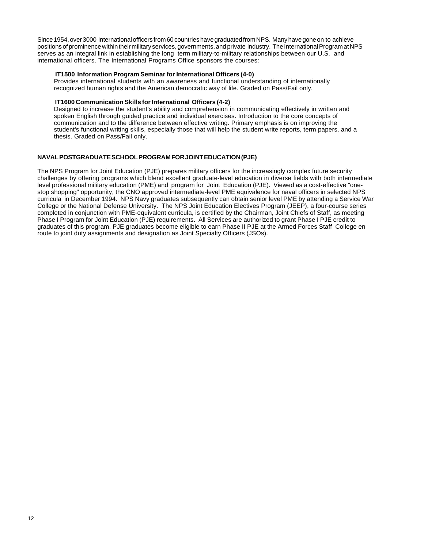<span id="page-11-0"></span>Since 1954, over 3000 International officers from 60 countries have graduated from NPS. Many have gone on to achieve positions of prominence within their military services, governments, and private industry. The International Program at NPS serves as an integral link in establishing the long term military-to-military relationships between our U.S. and international officers. The International Programs Office sponsors the courses:

#### **IT1500 Information Program Seminar for International Officers (4-0)**

Provides international students with an awareness and functional understanding of internationally recognized human rights and the American democratic way of life. Graded on Pass/Fail only.

#### **IT1600 Communication Skills for International Officers (4-2)**

Designed to increase the student's ability and comprehension in communicating effectively in written and spoken English through guided practice and individual exercises. Introduction to the core concepts of communication and to the difference between effective writing. Primary emphasis is on improving the student's functional writing skills, especially those that will help the student write reports, term papers, and a thesis. Graded on Pass/Fail only.

#### **NAVAL POSTGRADUATE SCHOOL PROGRAM FOR JOINT EDUCATION (PJE)**

The NPS Program for Joint Education (PJE) prepares military officers for the increasingly complex future security challenges by offering programs which blend excellent graduate-level education in diverse fields with both intermediate level professional military education (PME) and program for Joint Education (PJE). Viewed as a cost-effective "onestop shopping" opportunity, the CNO approved intermediate-level PME equivalence for naval officers in selected NPS curricula in December 1994. NPS Navy graduates subsequently can obtain senior level PME by attending a Service War College or the National Defense University. The NPS Joint Education Electives Program (JEEP), a four-course series completed in conjunction with PME-equivalent curricula, is certified by the Chairman, Joint Chiefs of Staff, as meeting Phase I Program for Joint Education (PJE) requirements. All Services are authorized to grant Phase I PJE credit to graduates of this program. PJE graduates become eligible to earn Phase II PJE at the Armed Forces Staff College en route to joint duty assignments and designation as Joint Specialty Officers (JSOs).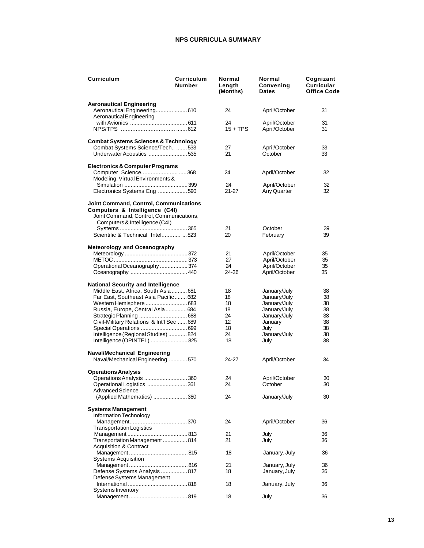#### **NPS CURRICULA SUMMARY**

<span id="page-12-0"></span>

| Curriculum                                                                                                                                                   | Curriculum<br><b>Number</b> | Normal<br>Length<br>(Months) | Normal<br>Convening<br>Dates | Cognizant<br>Curricular<br><b>Office Code</b> |
|--------------------------------------------------------------------------------------------------------------------------------------------------------------|-----------------------------|------------------------------|------------------------------|-----------------------------------------------|
| <b>Aeronautical Engineering</b>                                                                                                                              |                             |                              |                              |                                               |
| Aeronautical Engineering  610<br>Aeronautical Engineering                                                                                                    |                             | 24                           | April/October                | 31                                            |
|                                                                                                                                                              |                             | 24                           | April/October                | 31                                            |
|                                                                                                                                                              |                             | $15 + TPS$                   | April/October                | 31                                            |
| <b>Combat Systems Sciences &amp; Technology</b>                                                                                                              |                             |                              |                              |                                               |
| Combat Systems Science/Tech  533                                                                                                                             |                             | 27                           | April/October                | 33                                            |
| Underwater Acoustics 535                                                                                                                                     |                             | 21                           | October                      | 33                                            |
| <b>Electronics &amp; Computer Programs</b>                                                                                                                   |                             |                              |                              |                                               |
| Computer Science368                                                                                                                                          |                             | 24                           | April/October                | 32                                            |
| Modeling, Virtual Environments &                                                                                                                             |                             |                              |                              |                                               |
| Electronics Systems Eng590                                                                                                                                   |                             | 24<br>21-27                  | April/October<br>Any Quarter | 32<br>32                                      |
| <b>Joint Command, Control, Communications</b><br>Computers & Intelligence (C4I)<br>Joint Command, Control, Communications,<br>Computers & Intelligence (C4I) |                             |                              |                              |                                               |
|                                                                                                                                                              |                             | 21                           | October                      | 39                                            |
| Scientific & Technical Intel  823                                                                                                                            |                             | 20                           | February                     | 39                                            |
| <b>Meteorology and Oceanography</b>                                                                                                                          |                             |                              |                              |                                               |
|                                                                                                                                                              |                             | 21                           | April/October                | 35                                            |
|                                                                                                                                                              |                             | 27                           | April/October                | 35                                            |
| Operational Oceanography  374                                                                                                                                |                             | 24                           | April/October                | 35                                            |
|                                                                                                                                                              |                             | 24-36                        | April/October                | 35                                            |
| <b>National Security and Intelligence</b>                                                                                                                    |                             |                              |                              |                                               |
| Middle East, Africa, South Asia  681                                                                                                                         |                             | 18                           | January/July                 | 38                                            |
| Far East, Southeast Asia Pacific 682                                                                                                                         |                             | 18                           | January/July                 | 38                                            |
|                                                                                                                                                              |                             | 18                           | January/July                 | 38                                            |
| Russia, Europe, Central Asia 684                                                                                                                             |                             | 18                           | January/July                 | 38                                            |
|                                                                                                                                                              |                             | 24                           | January/July                 | 38                                            |
| Civil-Military Relations & Int'l Sec  689                                                                                                                    |                             | 12                           | January                      | 38                                            |
|                                                                                                                                                              |                             | 18                           | July                         | 38                                            |
| Intelligence (Regional Studies) 824                                                                                                                          |                             | 24                           | January/July                 | 38                                            |
| Intelligence (OPINTEL)  825                                                                                                                                  |                             | 18                           | July                         | 38                                            |
| <b>Naval/Mechanical Engineering</b>                                                                                                                          |                             |                              |                              |                                               |
| Naval/Mechanical Engineering  570                                                                                                                            |                             | 24-27                        | April/October                | 34                                            |
| <b>Operations Analysis</b>                                                                                                                                   |                             |                              |                              |                                               |
| Operations Analysis 360                                                                                                                                      |                             | 24                           | April/October                | 30                                            |
| Operational Logistics 361                                                                                                                                    |                             | 24                           | October                      | 30                                            |
| <b>Advanced Science</b><br>(Applied Mathematics) 380                                                                                                         |                             | 24                           | January/July                 | 30                                            |
| <b>Systems Management</b>                                                                                                                                    |                             |                              |                              |                                               |
| Information Technology                                                                                                                                       |                             |                              |                              |                                               |
|                                                                                                                                                              |                             | 24                           | April/October                | 36                                            |
| <b>Transportation Logistics</b>                                                                                                                              |                             |                              |                              |                                               |
|                                                                                                                                                              |                             | 21                           | July                         | 36                                            |
| Transportation Management 814                                                                                                                                |                             | 21                           | July                         | 36                                            |
| <b>Acquisition &amp; Contract</b>                                                                                                                            |                             |                              |                              |                                               |
|                                                                                                                                                              |                             | 18                           | January, July                | 36                                            |
| <b>Systems Acquisition</b>                                                                                                                                   |                             |                              |                              |                                               |
|                                                                                                                                                              |                             | 21                           | January, July                | 36                                            |
| Defense Systems Analysis 817                                                                                                                                 |                             | 18                           | January, July                | 36                                            |
| Defense Systems Management                                                                                                                                   |                             |                              |                              |                                               |
|                                                                                                                                                              |                             | 18                           | January, July                | 36                                            |
| Systems Inventory                                                                                                                                            |                             |                              |                              |                                               |
|                                                                                                                                                              |                             | 18                           | July                         | 36                                            |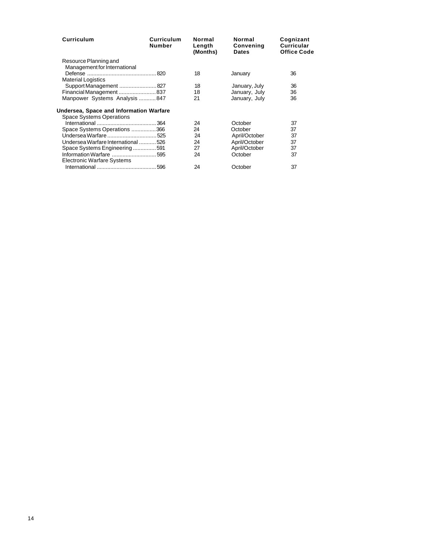| <b>Curriculum</b>                       | Curriculum<br><b>Number</b> | Normal<br>Length<br>(Months) | Normal<br>Convening<br><b>Dates</b> | Cognizant<br><b>Curricular</b><br><b>Office Code</b> |
|-----------------------------------------|-----------------------------|------------------------------|-------------------------------------|------------------------------------------------------|
| Resource Planning and                   |                             |                              |                                     |                                                      |
| Management for International            |                             |                              |                                     |                                                      |
|                                         |                             | 18                           | January                             | 36                                                   |
| <b>Material Logistics</b>               |                             |                              |                                     |                                                      |
| Support Management 827                  |                             | 18                           | January, July                       | 36                                                   |
|                                         |                             | 18                           | January, July                       | 36                                                   |
| Manpower Systems Analysis 847           |                             | 21                           | January, July                       | 36                                                   |
| Undersea, Space and Information Warfare |                             |                              |                                     |                                                      |
| <b>Space Systems Operations</b>         |                             |                              |                                     |                                                      |
|                                         |                             | 24                           | October                             | 37                                                   |
| Space Systems Operations 366            |                             | 24                           | October                             | 37                                                   |
|                                         |                             | 24                           | April/October                       | 37                                                   |
| Undersea Warfare International 526      |                             | 24                           | April/October                       | 37                                                   |
| Space Systems Engineering591            |                             | 27                           | April/October                       | 37                                                   |
|                                         |                             | 24                           | October                             | 37                                                   |
| Electronic Warfare Systems              |                             |                              |                                     |                                                      |
|                                         |                             | 24                           | October                             | 37                                                   |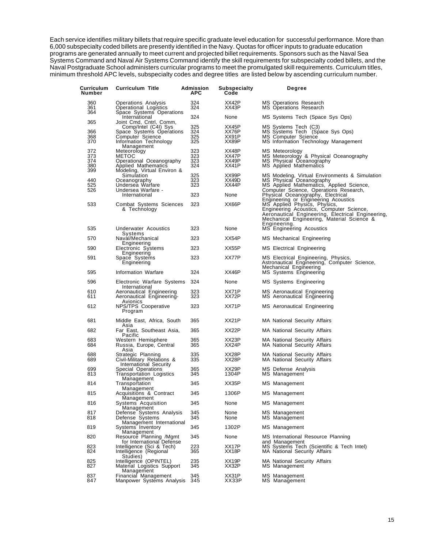Each service identifies military billets that require specific graduate level education for successful performance. More than 6,000 subspecialty coded billets are presently identified in the Navy. Quotas for officer inputs to graduate education programs are generated annually to meet current and projected billet requirements. Sponsors such as the Naval Sea Systems Command and Naval Air Systems Command identify the skill requirements for subspecialty coded billets, and the Naval Postgraduate School administers curricular programs to meet the promulgated skill requirements. Curriculum titles, minimum threshold APC levels, subspecialty codes and degree titles are listed below by ascending curriculum number.

| Curriculum<br>Number | <b>Curriculum Title</b>                                                        | Admission<br>APC | Subspecialty<br>Code | Degree                                                                                                                                                                                                                              |
|----------------------|--------------------------------------------------------------------------------|------------------|----------------------|-------------------------------------------------------------------------------------------------------------------------------------------------------------------------------------------------------------------------------------|
| 360<br>361<br>364    | Operations Analysis<br>Operational Logistics<br>Space Systems Operations       | 324<br>324       | XX42P<br>XX43P       | MS Operations Research<br>MS Operations Research                                                                                                                                                                                    |
| 365                  | International<br>Joint Cmd, Cntrl, Comm,                                       | 324              | None                 | MS Systems Tech (Space Sys Ops)                                                                                                                                                                                                     |
| 366                  | Comp/Intel (C4I) Sys<br>Space Systems Operations                               | 325<br>324       | XX45P<br>XX76P       | MS Systems Tech (C3)<br>MS Systems Tech (Space Sys Ops)                                                                                                                                                                             |
| 368<br>370           | Computer Science<br>Information Technology<br>Management                       | 325<br>325       | XX91P<br>XX89P       | MS Computer Science<br>MS Information Technology Management                                                                                                                                                                         |
| 372<br>373           | Meteorology<br><b>METOC</b>                                                    | 323<br>323       | XX48P<br>XX47P       | MS Meteorology                                                                                                                                                                                                                      |
| 374<br>380<br>399    | Operational Oceanography<br>Applied Mathematics<br>Modeling, Virtual Environ & | 323<br>324       | XX49P<br>XX41P       | MS Meteorology & Physical Oceanography<br>MS Physical Oceanography<br>MS Applied Mathematics                                                                                                                                        |
| 440                  | Simulation<br>Oceanography                                                     | 325<br>323       | XX99P<br>XX49D       | MS Modeling, Virtual Environments & Simulation<br>MS Physical Oceanography                                                                                                                                                          |
| 525                  | Undersea Warfare                                                               | 323              | XX44P                | MS Applied Mathematics, Applied Science,                                                                                                                                                                                            |
| 526                  | Undersea Warfare -<br>International                                            | 323              | None                 | Computer Science, Operations Research,<br>Physical Oceanography, Electrical                                                                                                                                                         |
| 533                  | Combat Systems Sciences<br>& Technology                                        | 323              | XX66P                | Engineering or Engineering Acoustics<br>MS Applied Physics, Physics,<br>Engineering Acoustics, Computer Science,<br>Aeronautical Engineering, Electrical Engineering,<br>Mechanical Engineering, Material Science &<br>Engineering. |
| 535                  | Underwater Acoustics<br>Systems                                                | 323              | None                 | MS Engineering Acoustics                                                                                                                                                                                                            |
| 570                  | Naval/Mechanical<br>Engineering                                                | 323              | XX54P                | MS Mechanical Engineering                                                                                                                                                                                                           |
| 590                  | Electronic Systems<br>Engineering                                              | 323              | XX55P                | MS Electrical Engineering                                                                                                                                                                                                           |
| 591                  | Space Systems<br>Engineering                                                   | 323              | XX77P                | MS Electrical Engineering, Physics,<br>Astronautical Engineering, Computer Science,<br>Mechanical Engineering                                                                                                                       |
| 595                  | Information Warfare                                                            | 324              | XX46P                | MS Systems Engineering                                                                                                                                                                                                              |
| 596                  | Electronic Warfare Systems<br>International                                    | 324              | None                 | MS Systems Engineering                                                                                                                                                                                                              |
| 610<br>611           | Aeronautical Engineering<br>Aeronautical Engineering-<br>Avionics              | 323<br>323       | XX71P<br>XX72P       | MS Aeronautical Engineering<br>MS Aeronautical Engineering                                                                                                                                                                          |
| 612                  | NPS/TPS Cooperative<br>Program                                                 | 323              | XX71P                | MS Aeronautical Engineering                                                                                                                                                                                                         |
| 681                  | Middle East, Africa, South<br>Asia                                             | 365              | XX21P                | MA National Security Affairs                                                                                                                                                                                                        |
| 682                  | Far East, Southeast Asia,<br>Pacific                                           | 365              | XX22P                | MA National Security Affairs                                                                                                                                                                                                        |
| 683<br>684           | Western Hemisphere<br>Russia, Europe, Central<br>Asia                          | 365<br>365       | XX23P<br>XX24P       | MA National Security Affairs<br>MA National Security Affairs                                                                                                                                                                        |
| 688<br>689           | Strategic Planning<br>Civil-Military Relations &<br>International Security     | 335<br>335       | XX28P<br>XX28P       | MA National Security Affairs<br>MA National Security Affairs                                                                                                                                                                        |
| 699<br>813           | Special Operations<br>Transportation Logistics                                 | 365<br>345       | XX29P<br>1304P       | MS Defense Analysis<br>MS Management                                                                                                                                                                                                |
| 814                  | Management<br>Transportation                                                   | 345              | XX35P                | MS Management                                                                                                                                                                                                                       |
| 815                  | Management<br>Acquisitions & Contract                                          | 345              | 1306P                | MS Management                                                                                                                                                                                                                       |
| 816                  | Management<br>Systems Acquisition                                              | 345              | None                 | MS Management                                                                                                                                                                                                                       |
| 817<br>818           | Management<br>Defense Systems Analysis<br>Defense Systems                      | 345<br>345       | None<br>None         | MS Management<br>MS Management                                                                                                                                                                                                      |
| 819                  | Management International<br>Systems Inventory                                  | 345              | 1302P                | MS Management                                                                                                                                                                                                                       |
| 820                  | Management<br>Resource Planning /Mgmt<br>for International Defense             | 345              | None                 | MS International Resource Planning                                                                                                                                                                                                  |
| 823<br>824           | Intelligence (Sci & Tech)<br>Intelligence (Regional<br>Studies)                | 223<br>365       | XX17P<br>XX18P       | and Management<br>MS Systems Tech (Scientific & Tech Intel)<br>MA National Security Affairs                                                                                                                                         |
| 825<br>827           | Intelligence (OPINTEL)<br>Material Logistics Support<br>Management             | 235<br>345       | XX19P<br>XX32P       | <b>MA National Security Affairs</b><br>MS Management                                                                                                                                                                                |
| 837<br>847           | Financial Management<br>Manpower Systems Analysis                              | 345<br>345       | XX31P<br>XX33P       | MS Management<br>MS Management                                                                                                                                                                                                      |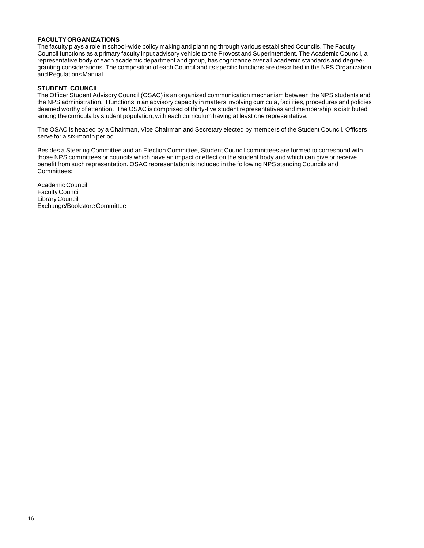#### <span id="page-15-0"></span>**FACULTY ORGANIZATIONS**

The faculty plays a role in school-wide policy making and planning through various established Councils. The Faculty Council functions as a primary faculty input advisory vehicle to the Provost and Superintendent. The Academic Council, a representative body of each academic department and group, has cognizance over all academic standards and degreegranting considerations. The composition of each Council and its specific functions are described in the NPS Organization and Regulations Manual.

#### **STUDENT COUNCIL**

The Officer Student Advisory Council (OSAC) is an organized communication mechanism between the NPS students and the NPS administration. It functions in an advisory capacity in matters involving curricula, facilities, procedures and policies deemed worthy of attention. The OSAC is comprised of thirty-five student representatives and membership is distributed among the curricula by student population, with each curriculum having at least one representative.

The OSAC is headed by a Chairman, Vice Chairman and Secretary elected by members of the Student Council. Officers serve for a six-month period.

Besides a Steering Committee and an Election Committee, Student Council committees are formed to correspond with those NPS committees or councils which have an impact or effect on the student body and which can give or receive benefit from such representation. OSAC representation is included in the following NPS standing Councils and Committees:

Academic Council Faculty Council Library Council Exchange/Bookstore Committee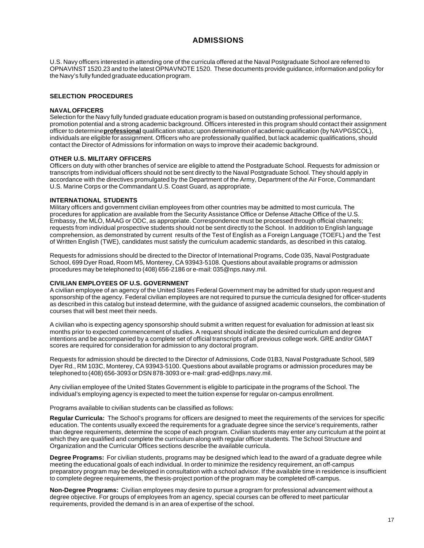## **ADMISSIONS**

<span id="page-16-0"></span>U.S. Navy officers interested in attending one of the curricula offered at the Naval Postgraduate School are referred to OPNAVINST 1520.23 and to the latest OPNAVNOTE 1520. These documents provide guidance, information and policy for the Navy's fully funded graduate education program.

#### **SELECTION PROCEDURES**

#### **NAVAL OFFICERS**

Selection for the Navy fully funded graduate education program is based on outstanding professional performance, promotion potential and a strong academic background. Officers interested in this program should contact their assignment officer to determine **professional** qualification status; upon determination of academic qualification (by NAVPGSCOL), individuals are eligible for assignment. Officers who are professionally qualified, but lack academic qualifications, should contact the Director of Admissions for information on ways to improve their academic background.

#### **OTHER U.S. MILITARY OFFICERS**

Officers on duty with other branches of service are eligible to attend the Postgraduate School. Requests for admission or transcripts from individual officers should not be sent directly to the Naval Postgraduate School. They should apply in accordance with the directives promulgated by the Department of the Army, Department of the Air Force, Commandant U.S. Marine Corps or the Commandant U.S. Coast Guard, as appropriate.

#### **INTERNATIONAL STUDENTS**

Military officers and government civilian employees from other countries may be admitted to most curricula. The procedures for application are available from the Security Assistance Office or Defense Attache Office of the U.S. Embassy, the MLO, MAAG or ODC, as appropriate. Correspondence must be processed through official channels; requests from individual prospective students should not be sent directly to the School. In addition to English language comprehension, as demonstrated by current results of the Test of English as a Foreign Language (TOEFL) and the Test of Written English (TWE), candidates must satisfy the curriculum academic standards, as described in this catalog.

Requests for admissions should be directed to the Director of International Programs, Code 035, Naval Postgraduate School, 699 Dyer Road, Room M5, Monterey, CA 93943-5108. Questions about available programs or admission procedures may be telephoned to (408) 656-2186 or e-mail: 035@nps.navy.mil.

#### **CIVILIAN EMPLOYEES OF U.S. GOVERNMENT**

A civilian employee of an agency of the United States Federal Government may be admitted for study upon request and sponsorship of the agency. Federal civilian employees are not required to pursue the curricula designed for officer-students as described in this catalog but instead determine, with the guidance of assigned academic counselors, the combination of courses that will best meet their needs.

A civilian who is expecting agency sponsorship should submit a written request for evaluation for admission at least six months prior to expected commencement of studies. A request should indicate the desired curriculum and degree intentions and be accompanied by a complete set of official transcripts of all previous college work. GRE and/or GMAT scores are required for consideration for admission to any doctoral program.

Requests for admission should be directed to the Director of Admissions, Code 01B3, Naval Postgraduate School, 589 Dyer Rd., RM 103C, Monterey, CA 93943-5100. Questions about available programs or admission procedures may be telephoned to (408) 656-3093 or DSN 878-3093 or e-mail: grad-ed@nps.navy.mil.

Any civilian employee of the United States Government is eligible to participate in the programs of the School. The individual's employing agency is expected to meet the tuition expense for regular on-campus enrollment.

Programs available to civilian students can be classified as follows:

**Regular Curricula:** The School's programs for officers are designed to meet the requirements of the services for specific education. The contents usually exceed the requirements for a graduate degree since the service's requirements, rather than degree requirements, determine the scope of each program. Civilian students may enter any curriculum at the point at which they are qualified and complete the curriculum along with regular officer students. The School Structure and Organization and the Curricular Offices sections describe the available curricula.

**Degree Programs:** For civilian students, programs may be designed which lead to the award of a graduate degree while meeting the educational goals of each individual. In order to minimize the residency requirement, an off-campus preparatory program may be developed in consultation with a school advisor. If the available time in residence is insufficient to complete degree requirements, the thesis-project portion of the program may be completed off-campus.

**Non-Degree Programs:** Civilian employees may desire to pursue a program for professional advancement without a degree objective. For groups of employees from an agency, special courses can be offered to meet particular requirements, provided the demand is in an area of expertise of the school.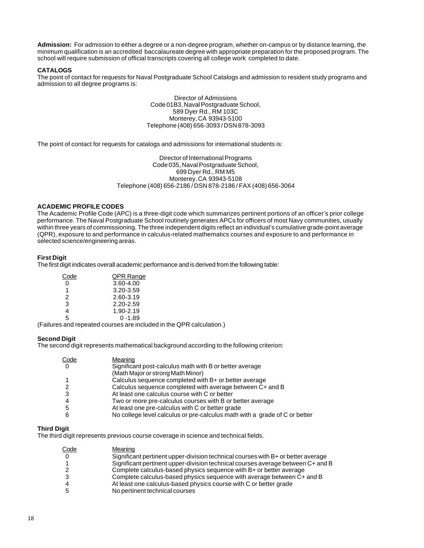<span id="page-17-0"></span>**Admission:** For admission to either a degree or a non-degree program, whether on-campus or by distance learning, the minimum qualification is an accredited baccalaureate degree with appropriate preparation for the proposed program. The school will require submission of official transcripts covering all college work completed to date.

#### **CATALOGS**

The point of contact for requests for Naval Postgraduate School Catalogs and admission to resident study programs and admission to all degree programs is:

> Director of Admissions Code 01B3, Naval Postgraduate School, 589 Dyer Rd., RM 103C Monterey, CA 93943-5100 Telephone (408) 656-3093 / DSN 878-3093

The point of contact for requests for catalogs and admissions for international students is:

Director of International Programs Code 035, Naval Postgraduate School, 699 Dyer Rd., RM M5 Monterey, CA 93943-5108 Telephone (408) 656-2186 / DSN 878-2186 / FAX (408) 656-3064

#### **ACADEMIC PROFILE CODES**

The Academic Profile Code (APC) is a three-digit code which summarizes pertinent portions of an officer's prior college performance. The Naval Postgraduate School routinely generates APCs for officers of most Navy communities, usually within three years of commissioning. The three independent digits reflect an individual's cumulative grade-point average (QPR), exposure to and performance in calculus-related mathematics courses and exposure to and performance in selected science/engineering areas.

#### **First Digit**

The first digit indicates overall academic performance and is derived from the following table:

| Code | <u>QPR Range</u> |
|------|------------------|
| 0    | 3.60-4.00        |
| 1    | 3.20-3.59        |
| 2    | 2.60-3.19        |
| 3    | 2.20-2.59        |
| 4    | 1.90-2.19        |
| 5    | በ -1 89          |

(Failures and repeated courses are included in the QPR calculation.)

#### **Second Digit**

The second digit represents mathematical background according to the following criterion:

| Code           | Meaning                                                                    |
|----------------|----------------------------------------------------------------------------|
| $\overline{0}$ | Significant post-calculus math with B or better average                    |
|                | (Math Major or strong Math Minor)                                          |
|                | Calculus sequence completed with B+ or better average                      |
|                | Calculus sequence completed with average between C+ and B                  |
|                | At least one calculus course with C or better                              |
|                | Two or more pre-calculus courses with B or better average                  |
| 5              | At least one pre-calculus with C or better grade                           |
| 6              | No college level calculus or pre-calculus math with a grade of C or better |

#### **Third Digit**

The third digit represents previous course coverage in science and technical fields.

| Code | Meaning                                                                          |
|------|----------------------------------------------------------------------------------|
|      | Significant pertinent upper-division technical courses with B+ or better average |
|      | Significant pertinent upper-division technical courses average between C+ and B  |
|      | Complete calculus-based physics sequence with B+ or better average               |
|      | Complete calculus-based physics sequence with average between C+ and B           |
|      | At least one calculus-based physics course with C or better grade                |
|      | No pertinent technical courses                                                   |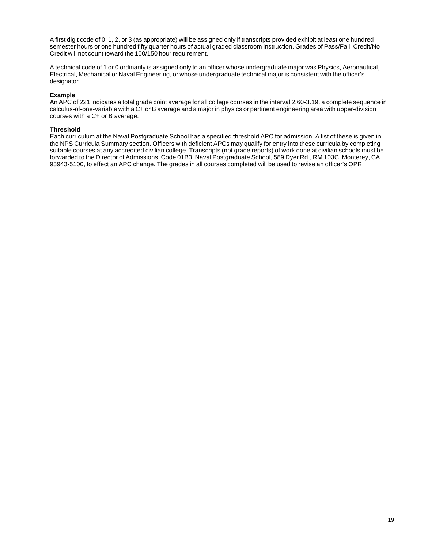A first digit code of 0, 1, 2, or 3 (as appropriate) will be assigned only if transcripts provided exhibit at least one hundred semester hours or one hundred fifty quarter hours of actual graded classroom instruction. Grades of Pass/Fail, Credit/No Credit will not count toward the 100/150 hour requirement.

A technical code of 1 or 0 ordinarily is assigned only to an officer whose undergraduate major was Physics, Aeronautical, Electrical, Mechanical or Naval Engineering, or whose undergraduate technical major is consistent with the officer's designator.

#### **Example**

An APC of 221 indicates a total grade point average for all college courses in the interval 2.60-3.19, a complete sequence in calculus-of-one-variable with a  $\tilde{C}$ + or B average and a major in physics or pertinent engineering area with upper-division courses with a C+ or B average.

#### **Threshold**

Each curriculum at the Naval Postgraduate School has a specified threshold APC for admission. A list of these is given in the NPS Curricula Summary section. Officers with deficient APCs may qualify for entry into these curricula by completing suitable courses at any accredited civilian college. Transcripts (not grade reports) of work done at civilian schools must be forwarded to the Director of Admissions, Code 01B3, Naval Postgraduate School, 589 Dyer Rd., RM 103C, Monterey, CA 93943-5100, to effect an APC change. The grades in all courses completed will be used to revise an officer's QPR.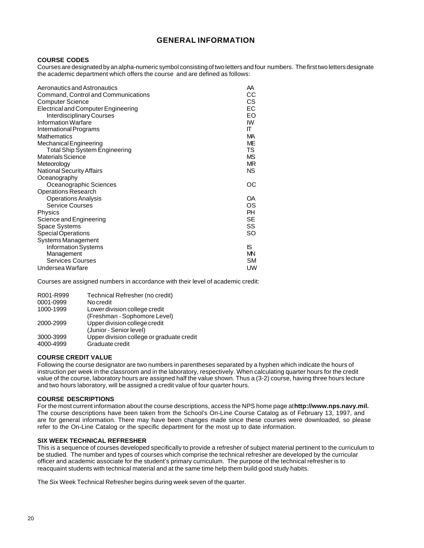### **GENERAL INFORMATION**

#### <span id="page-19-0"></span>**COURSE CODES**

Courses are designated by an alpha-numeric symbol consisting of two letters and four numbers. The first two letters designate the academic department which offers the course and are defined as follows:

| Aeronautics and Astronautics<br>Command, Control and Communications<br><b>Computer Science</b> | AA<br>CС<br>CS. |
|------------------------------------------------------------------------------------------------|-----------------|
| Electrical and Computer Engineering                                                            | EС              |
| <b>Interdisciplinary Courses</b>                                                               | EO              |
| Information Warfare                                                                            | IW              |
| International Programs                                                                         | π               |
| <b>Mathematics</b>                                                                             | MА              |
| Mechanical Engineering                                                                         | ME              |
| <b>Total Ship System Engineering</b>                                                           | TS              |
| <b>Materials Science</b>                                                                       | MS.             |
| Meteorology                                                                                    | MR.             |
| <b>National Security Affairs</b>                                                               | NS.             |
| Oceanography                                                                                   |                 |
| Oceanographic Sciences                                                                         | OС              |
| <b>Operations Research</b>                                                                     |                 |
| <b>Operations Analysis</b>                                                                     | OA              |
| <b>Service Courses</b>                                                                         | OS.             |
| <b>Physics</b>                                                                                 | PH              |
| Science and Engineering                                                                        | <b>SE</b>       |
| Space Systems                                                                                  | SS              |
| Special Operations                                                                             | <b>SO</b>       |
| Systems Management                                                                             |                 |
| <b>Information Systems</b>                                                                     | IS.             |
| Management                                                                                     | MN              |
| <b>Services Courses</b>                                                                        | <b>SM</b>       |
| Undersea Warfare                                                                               | UW              |

Courses are assigned numbers in accordance with their level of academic credit:

| R001-R999 | Technical Refresher (no credit)           |
|-----------|-------------------------------------------|
| 0001-0999 | No credit                                 |
| 1000-1999 | Lower division college credit             |
|           | (Freshman - Sophomore Level)              |
| 2000-2999 | Upper division college credit             |
|           | (Junior - Senior level)                   |
| 3000-3999 | Upper division college or graduate credit |
| 4000-4999 | Graduate credit                           |

#### **COURSE CREDIT VALUE**

Following the course designator are two numbers in parentheses separated by a hyphen which indicate the hours of instruction per week in the classroom and in the laboratory, respectively. When calculating quarter hours for the credit value of the course, laboratory hours are assigned half the value shown. Thus a (3-2) course, having three hours lecture and two hours laboratory, will be assigned a credit value of four quarter hours.

#### **COURSE DESCRIPTIONS**

For the most current information about the course descriptions, access the NPS home page at **http://www.nps.navy.mil.** The course descriptions have been taken from the School's On-Line Course Catalog as of February 13, 1997, and are for general information. There may have been changes made since these courses were downloaded, so please refer to the On-Line Catalog or the specific department for the most up to date information.

#### **SIX WEEK TECHNICAL REFRESHER**

This is a sequence of courses developed specifically to provide a refresher of subject material pertinent to the curriculum to be studied. The number and types of courses which comprise the technical refresher are developed by the curricular officer and academic associate for the student's primary curriculum. The purpose of the technical refresher is to reacquaint students with technical material and at the same time help them build good study habits.

The Six Week Technical Refresher begins during week seven of the quarter.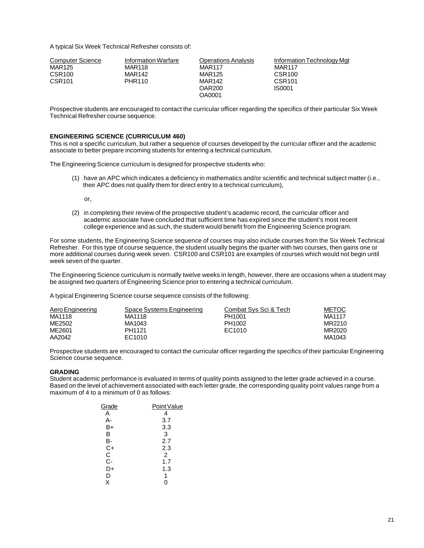<span id="page-20-0"></span>A typical Six Week Technical Refresher consists of:

| <b>Computer Science</b> | Information Warfare | <b>Operations Analysis</b> | Information Technology Mgt |
|-------------------------|---------------------|----------------------------|----------------------------|
| MAR125                  | <b>MAR118</b>       | <b>MAR117</b>              | <b>MAR117</b>              |
| CSR <sub>100</sub>      | MAR142              | MAR125                     | CSR <sub>100</sub>         |
| <b>CSR101</b>           | PHR110              | <b>MAR142</b>              | CSR <sub>101</sub>         |
|                         |                     | <b>OAR200</b>              | IS0001                     |
|                         |                     | OA0001                     |                            |

Prospective students are encouraged to contact the curricular officer regarding the specifics of their particular Six Week Technical Refresher course sequence.

#### **ENGINEERING SCIENCE (CURRICULUM 460)**

This is not a specific curriculum, but rather a sequence of courses developed by the curricular officer and the academic associate to better prepare incoming students for entering a technical curriculum.

The Engineering Science curriculum is designed for prospective students who:

(1) have an APC which indicates a deficiency in mathematics and/or scientific and technical subject matter (i.e., their APC does not qualify them for direct entry to a technical curriculum),

or,

(2) in completing their review of the prospective student's academic record, the curricular officer and academic associate have concluded that sufficient time has expired since the student's most recent college experience and as such, the student would benefit from the Engineering Science program.

For some students, the Engineering Science sequence of courses may also include courses from the Six Week Technical Refresher. For this type of course sequence, the student usually begins the quarter with two courses, then gains one or more additional courses during week seven. CSR100 and CSR101 are examples of courses which would not begin until week seven of the quarter.

The Engineering Science curriculum is normally twelve weeks in length, however, there are occasions when a student may be assigned two quarters of Engineering Science prior to entering a technical curriculum.

A typical Engineering Science course sequence consists of the following:

| Aero Engineering | Space Systems Engineering | Combat Sys Sci & Tech | <b>METOC</b> |
|------------------|---------------------------|-----------------------|--------------|
| MA1118           | MA1118                    | PH1001                | MA1117       |
| ME2502           | MA1043                    | PH1002                | MR2210       |
| ME2601           | PH1121                    | EC1010                | MR2020       |
| AA2042           | EC1010                    |                       | MA1043       |

Prospective students are encouraged to contact the curricular officer regarding the specifics of their particular Engineering Science course sequence.

#### **GRADING**

Student academic performance is evaluated in terms of quality points assigned to the letter grade achieved in a course. Based on the level of achievement associated with each letter grade, the corresponding quality point values range from a maximum of 4 to a minimum of 0 as follows:

| Grade | Point Value    |
|-------|----------------|
| Α     | 4              |
| А-    | 3.7            |
| B+    | 3.3            |
| В     | 3              |
| в-    | 2.7            |
| C+    | 2.3            |
| С     | $\overline{2}$ |
| C-    | 1.7            |
| D+    | 1.3            |
| D     | 1              |
| X     | ი              |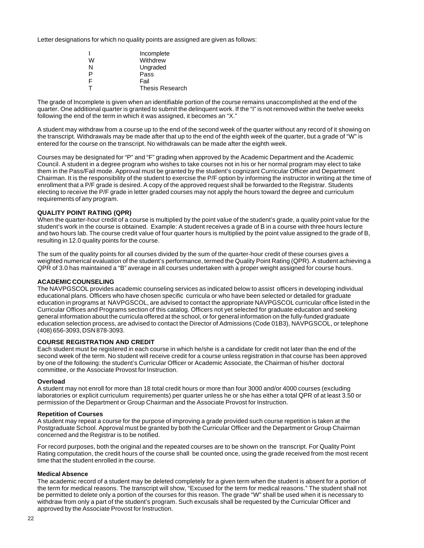<span id="page-21-0"></span>Letter designations for which no quality points are assigned are given as follows:

|    | Incomplete             |
|----|------------------------|
| W  | Withdrew               |
| N  | Ungraded               |
| P  | Pass                   |
| F  | Fail                   |
| T. | <b>Thesis Research</b> |

The grade of Incomplete is given when an identifiable portion of the course remains unaccomplished at the end of the quarter. One additional quarter is granted to submit the delinquent work. If the "I" is not removed within the twelve weeks following the end of the term in which it was assigned, it becomes an "X."

A student may withdraw from a course up to the end of the second week of the quarter without any record of it showing on the transcript. Withdrawals may be made after that up to the end of the eighth week of the quarter, but a grade of "W" is entered for the course on the transcript. No withdrawals can be made after the eighth week.

Courses may be designated for "P" and "F" grading when approved by the Academic Department and the Academic Council. A student in a degree program who wishes to take courses not in his or her normal program may elect to take them in the Pass/Fail mode. Approval must be granted by the student's cognizant Curricular Officer and Department Chairman. It is the responsibility of the student to exercise the P/F option by informing the instructor in writing at the time of enrollment that a P/F grade is desired. A copy of the approved request shall be forwarded to the Registrar. Students electing to receive the P/F grade in letter graded courses may not apply the hours toward the degree and curriculum requirements of any program.

#### **QUALITY POINT RATING (QPR)**

When the quarter-hour credit of a course is multiplied by the point value of the student's grade, a quality point value for the student's work in the course is obtained. Example: A student receives a grade of B in a course with three hours lecture and two hours lab. The course credit value of four quarter hours is multiplied by the point value assigned to the grade of B, resulting in 12.0 quality points for the course.

The sum of the quality points for all courses divided by the sum of the quarter-hour credit of these courses gives a weighted numerical evaluation of the student's performance, termed the Quality Point Rating (QPR). A student achieving a QPR of 3.0 has maintained a "B" average in all courses undertaken with a proper weight assigned for course hours.

#### **ACADEMIC COUNSELING**

The NAVPGSCOL provides academic counseling services as indicated below to assist officers in developing individual educational plans. Officers who have chosen specific curricula or who have been selected or detailed for graduate education in programs at NAVPGSCOL, are advised to contact the appropriate NAVPGSCOL curricular office listed in the Curricular Offices and Programs section of this catalog. Officers not yet selected for graduate education and seeking general information about the curricula offered at the school, or for general information on the fully-funded graduate education selection process, are advised to contact the Director of Admissions (Code 01B3), NAVPGSCOL, or telephone (408) 656-3093, DSN 878-3093.

#### **COURSE REGISTRATION AND CREDIT**

Each student must be registered in each course in which he/she is a candidate for credit not later than the end of the second week of the term. No student will receive credit for a course unless registration in that course has been approved by one of the following: the student's Curricular Officer or Academic Associate, the Chairman of his/her doctoral committee, or the Associate Provost for Instruction.

#### **Overload**

A student may not enroll for more than 18 total credit hours or more than four 3000 and/or 4000 courses (excluding laboratories or explicit curriculum requirements) per quarter unless he or she has either a total QPR of at least 3.50 or permission of the Department or Group Chairman and the Associate Provost for Instruction.

#### **Repetition of Courses**

A student may repeat a course for the purpose of improving a grade provided such course repetition is taken at the Postgraduate School. Approval must be granted by both the Curricular Officer and the Department or Group Chairman concerned and the Registrar is to be notified.

For record purposes, both the original and the repeated courses are to be shown on the transcript. For Quality Point Rating computation, the credit hours of the course shall be counted once, using the grade received from the most recent time that the student enrolled in the course.

#### **Medical Absence**

The academic record of a student may be deleted completely for a given term when the student is absent for a portion of the term for medical reasons. The transcript will show, "Excused for the term for medical reasons." The student shall not be permitted to delete only a portion of the courses for this reason. The grade "W" shall be used when it is necessary to withdraw from only a part of the student's program. Such excusals shall be requested by the Curricular Officer and approved by the Associate Provost for Instruction.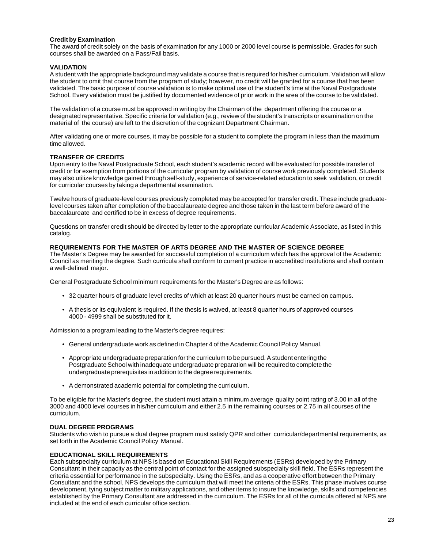#### <span id="page-22-0"></span>**Credit by Examination**

The award of credit solely on the basis of examination for any 1000 or 2000 level course is permissible. Grades for such courses shall be awarded on a Pass/Fail basis.

#### **VALIDATION**

A student with the appropriate background may validate a course that is required for his/her curriculum. Validation will allow the student to omit that course from the program of study; however, no credit will be granted for a course that has been validated. The basic purpose of course validation is to make optimal use of the student's time at the Naval Postgraduate School. Every validation must be justified by documented evidence of prior work in the area of the course to be validated.

The validation of a course must be approved in writing by the Chairman of the department offering the course or a designated representative. Specific criteria for validation (e.g., review of the student's transcripts or examination on the material of the course) are left to the discretion of the cognizant Department Chairman.

After validating one or more courses, it may be possible for a student to complete the program in less than the maximum time allowed.

#### **TRANSFER OF CREDITS**

Upon entry to the Naval Postgraduate School, each student's academic record will be evaluated for possible transfer of credit or for exemption from portions of the curricular program by validation of course work previously completed. Students may also utilize knowledge gained through self-study, experience of service-related education to seek validation, or credit for curricular courses by taking a departmental examination.

Twelve hours of graduate-level courses previously completed may be accepted for transfer credit. These include graduatelevel courses taken after completion of the baccalaureate degree and those taken in the last term before award of the baccalaureate and certified to be in excess of degree requirements.

Questions on transfer credit should be directed by letter to the appropriate curricular Academic Associate, as listed in this catalog.

#### **REQUIREMENTS FOR THE MASTER OF ARTS DEGREE AND THE MASTER OF SCIENCE DEGREE**

The Master's Degree may be awarded for successful completion of a curriculum which has the approval of the Academic Council as meriting the degree. Such curricula shall conform to current practice in accredited institutions and shall contain a well-defined major.

General Postgraduate School minimum requirements for the Master's Degree are as follows:

- 32 quarter hours of graduate level credits of which at least 20 quarter hours must be earned on campus.
- A thesis or its equivalent is required. If the thesis is waived, at least 8 quarter hours of approved courses 4000 - 4999 shall be substituted for it.

Admission to a program leading to the Master's degree requires:

- General undergraduate work as defined in Chapter 4 of the Academic Council Policy Manual.
- Appropriate undergraduate preparation for the curriculum to be pursued. A student entering the Postgraduate School with inadequate undergraduate preparation will be required to complete the undergraduate prerequisites in addition to the degree requirements.
- A demonstrated academic potential for completing the curriculum.

To be eligible for the Master's degree, the student must attain a minimum average quality point rating of 3.00 in all of the 3000 and 4000 level courses in his/her curriculum and either 2.5 in the remaining courses or 2.75 in all courses of the curriculum.

#### **DUAL DEGREE PROGRAMS**

Students who wish to pursue a dual degree program must satisfy QPR and other curricular/departmental requirements, as set forth in the Academic Council Policy Manual.

#### **EDUCATIONAL SKILL REQUIREMENTS**

Each subspecialty curriculum at NPS is based on Educational Skill Requirements (ESRs) developed by the Primary Consultant in their capacity as the central point of contact for the assigned subspecialty skill field. The ESRs represent the criteria essential for performance in the subspecialty. Using the ESRs, and as a cooperative effort between the Primary Consultant and the school, NPS develops the curriculum that will meet the criteria of the ESRs. This phase involves course development, tying subject matter to military applications, and other items to insure the knowledge, skills and competencies established by the Primary Consultant are addressed in the curriculum. The ESRs for all of the curricula offered at NPS are included at the end of each curricular office section.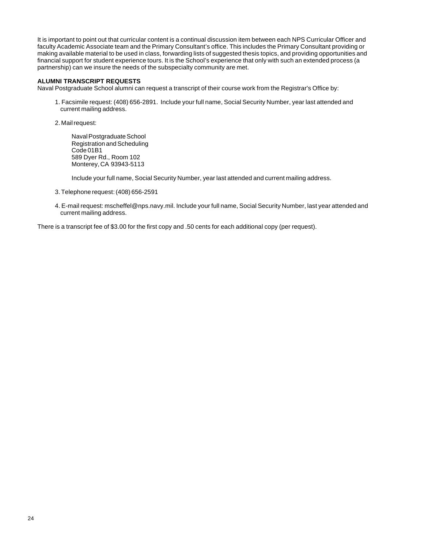<span id="page-23-0"></span>It is important to point out that curricular content is a continual discussion item between each NPS Curricular Officer and faculty Academic Associate team and the Primary Consultant's office. This includes the Primary Consultant providing or making available material to be used in class, forwarding lists of suggested thesis topics, and providing opportunities and financial support for student experience tours. It is the School's experience that only with such an extended process (a partnership) can we insure the needs of the subspecialty community are met.

#### **ALUMNI TRANSCRIPT REQUESTS**

Naval Postgraduate School alumni can request a transcript of their course work from the Registrar's Office by:

1. Facsimile request: (408) 656-2891. Include your full name, Social Security Number, year last attended and current mailing address.

2. Mail request:

Naval Postgraduate School Registration and Scheduling Code 01B1 589 Dyer Rd., Room 102 Monterey, CA 93943-5113

Include your full name, Social Security Number, year last attended and current mailing address.

- 3. Telephone request: (408) 656-2591
- 4. E-mail request: mscheffel@nps.navy.mil. Include your full name, Social Security Number, last year attended and current mailing address.

There is a transcript fee of \$3.00 for the first copy and .50 cents for each additional copy (per request).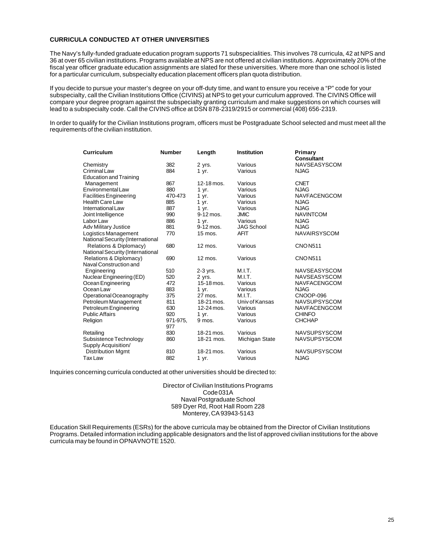#### <span id="page-24-0"></span>**CURRICULA CONDUCTED AT OTHER UNIVERSITIES**

The Navy's fully-funded graduate education program supports 71 subspecialities. This involves 78 curricula, 42 at NPS and 36 at over 65 civilian institutions. Programs available at NPS are not offered at civilian institutions. Approximately 20% of the fiscal year officer graduate education assignments are slated for these universities. Where more than one school is listed for a particular curriculum, subspecialty education placement officers plan quota distribution.

If you decide to pursue your master's degree on your off-duty time, and want to ensure you receive a "P" code for your subspecialty, call the Civilian Institutions Office (CIVINS) at NPS to get your curriculum approved. The CIVINS Office will compare your degree program against the subspecialty granting curriculum and make suggestions on which courses will lead to a subspecialty code. Call the CIVINS office at DSN 878-2319/2915 or commercial (408) 656-2319.

In order to qualify for the Civilian Institutions program, officers must be Postgraduate School selected and must meet all the requirements of the civilian institution.

| Curriculum                                    | <b>Number</b>   | Length            | <b>Institution</b> | Primary<br><b>Consultant</b> |
|-----------------------------------------------|-----------------|-------------------|--------------------|------------------------------|
| Chemistry                                     | 382             | 2 yrs.            | Various            | <b>NAVSEASYSCOM</b>          |
| Criminal Law                                  | 884             | 1 yr.             | Various            | <b>NJAG</b>                  |
| <b>Education and Training</b>                 |                 |                   |                    |                              |
| Management                                    | 867             | 12-18 mos.        | Various            | <b>CNET</b>                  |
| Environmental Law                             | 880             | 1 yr.             | Various            | <b>NJAG</b>                  |
| <b>Facilities Engineering</b>                 | 470-473         | 1 yr.             | Various            | <b>NAVFACENGCOM</b>          |
| <b>Health Care Law</b>                        | 885             | 1 yr.             | Various            | <b>NJAG</b>                  |
| International Law                             | 887             | 1 yr.             | Various            | <b>NJAG</b>                  |
| Joint Intelligence                            | 990             | 9-12 mos.         | <b>JMIC</b>        | <b>NAVINTCOM</b>             |
| Labor Law                                     | 886             | 1 yr.             | Various            | <b>NJAG</b>                  |
| <b>Adv Military Justice</b>                   | 881             | 9-12 mos.         | <b>JAG School</b>  | <b>NJAG</b>                  |
| Logistics Management                          | 770             | 15 mos.           | <b>AFIT</b>        | <b>NAVAIRSYSCOM</b>          |
| National Security (International              |                 |                   |                    |                              |
| Relations & Diplomacy)                        | 680             | $12 \text{ mos.}$ | Various            | <b>CNON511</b>               |
| National Security (International              |                 |                   |                    |                              |
| Relations & Diplomacy)                        | 690             | 12 mos.           | Various            | <b>CNON511</b>               |
| Naval Construction and                        |                 |                   |                    |                              |
| Engineering                                   | 510             | $2-3$ yrs.        | M.I.T.             | <b>NAVSEASYSCOM</b>          |
| Nuclear Engineering (ED)                      | 520             | 2 yrs.            | M.I.T.             | <b>NAVSEASYSCOM</b>          |
| Ocean Engineering                             | 472             | 15-18 mos.        | Various            | <b>NAVFACENGCOM</b>          |
| Ocean Law                                     | 883             | 1 yr.             | Various            | <b>NJAG</b>                  |
| Operational Oceanography                      | 375             | 27 mos.           | M.I.T.             | CNOOP-096                    |
| Petroleum Management                          | 811             | 18-21 mos.        | Univ of Kansas     | <b>NAVSUPSYSCOM</b>          |
| Petroleum Engineering                         | 630             | 12-24 mos.        | Various            | <b>NAVFACENGCOM</b>          |
| <b>Public Affairs</b>                         | 920             | 1 yr.             | Various            | <b>CHINFO</b>                |
| Religion                                      | 971-975,<br>977 | 9 mos.            | Various            | <b>CHCHAP</b>                |
| Retailing                                     | 830             | 18-21 mos.        | Various            | <b>NAVSUPSYSCOM</b>          |
| Subsistence Technology<br>Supply Acquisition/ | 860             | 18-21 mos.        | Michigan State     | <b>NAVSUPSYSCOM</b>          |
| <b>Distribution Mgmt</b>                      | 810             | 18-21 mos.        | Various            | NAVSUPSYSCOM                 |
| Tax Law                                       | 882             | 1 yr.             | Various            | <b>NJAG</b>                  |

Inquiries concerning curricula conducted at other universities should be directed to:

Director of Civilian Institutions Programs Code 031A Naval Postgraduate School 589 Dyer Rd, Root Hall Room 228 Monterey, CA 93943-5143

Education Skill Requirements (ESRs) for the above curricula may be obtained from the Director of Civilian Institutions Programs. Detailed information including applicable designators and the list of approved civilian institutions for the above curricula may be found in OPNAVNOTE 1520.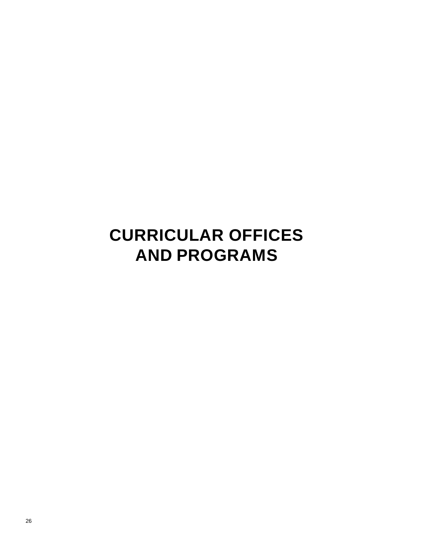# <span id="page-25-0"></span>**CURRICULAR OFFICES AND PROGRAMS**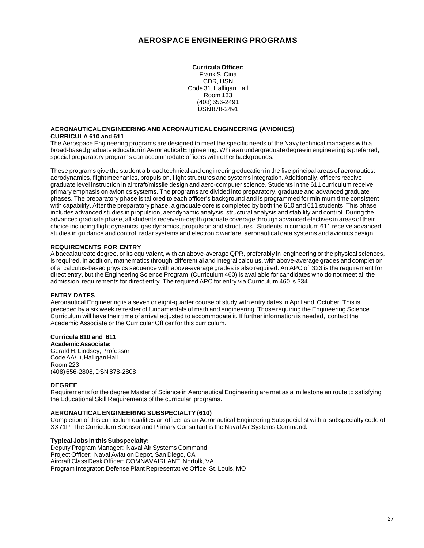#### **AEROSPACE ENGINEERING PROGRAMS**

**Curricula Officer:** Frank S. Cina CDR, USN Code 31, Halligan Hall Room 133 (408) 656-2491 DSN 878-2491

#### <span id="page-26-0"></span>**AERONAUTICAL ENGINEERING AND AERONAUTICAL ENGINEERING (AVIONICS) CURRICULA 610 and 611**

The Aerospace Engineering programs are designed to meet the specific needs of the Navy technical managers with a broad-based graduate education in Aeronautical Engineering. While an undergraduate degree in engineering is preferred, special preparatory programs can accommodate officers with other backgrounds.

These programs give the student a broad technical and engineering education in the five principal areas of aeronautics: aerodynamics, flight mechanics, propulsion, flight structures and systems integration. Additionally, officers receive graduate level instruction in aircraft/missile design and aero-computer science. Students in the 611 curriculum receive primary emphasis on avionics systems. The programs are divided into preparatory, graduate and advanced graduate phases. The preparatory phase is tailored to each officer's background and is programmed for minimum time consistent with capability. After the preparatory phase, a graduate core is completed by both the 610 and 611 students. This phase includes advanced studies in propulsion, aerodynamic analysis, structural analysis and stability and control. During the advanced graduate phase, all students receive in-depth graduate coverage through advanced electives in areas of their choice including flight dynamics, gas dynamics, propulsion and structures. Students in curriculum 611 receive advanced studies in guidance and control, radar systems and electronic warfare, aeronautical data systems and avionics design.

#### **REQUIREMENTS FOR ENTRY**

A baccalaureate degree, or its equivalent, with an above-average QPR, preferably in engineering or the physical sciences, is required. In addition, mathematics through differential and integral calculus, with above-average grades and completion of a calculus-based physics sequence with above-average grades is also required. An APC of 323 is the requirement for direct entry, but the Engineering Science Program (Curriculum 460) is available for candidates who do not meet all the admission requirements for direct entry. The required APC for entry via Curriculum 460 is 334.

#### **ENTRY DATES**

Aeronautical Engineering is a seven or eight-quarter course of study with entry dates in April and October. This is preceded by a six week refresher of fundamentals of math and engineering. Those requiring the Engineering Science Curriculum will have their time of arrival adjusted to accommodate it. If further information is needed, contact the Academic Associate or the Curricular Officer for this curriculum.

#### **Curricula 610 and 611**

**Academic Associate:** Gerald H. Lindsey, Professor Code AA/Li, Halligan Hall Room 223 (408) 656-2808, DSN 878-2808

#### **DEGREE**

Requirements for the degree Master of Science in Aeronautical Engineering are met as a milestone en route to satisfying the Educational Skill Requirements of the curricular programs.

#### **AERONAUTICAL ENGINEERING SUBSPECIALTY (610)**

Completion of this curriculum qualifies an officer as an Aeronautical Engineering Subspecialist with a subspecialty code of XX71P. The Curriculum Sponsor and Primary Consultant is the Naval Air Systems Command.

#### **Typical Jobs in this Subspecialty:**

Deputy Program Manager: Naval Air Systems Command Project Officer: Naval Aviation Depot, San Diego, CA Aircraft Class Desk Officer: COMNAVAIRLANT, Norfolk, VA Program Integrator: Defense Plant Representative Office, St. Louis, MO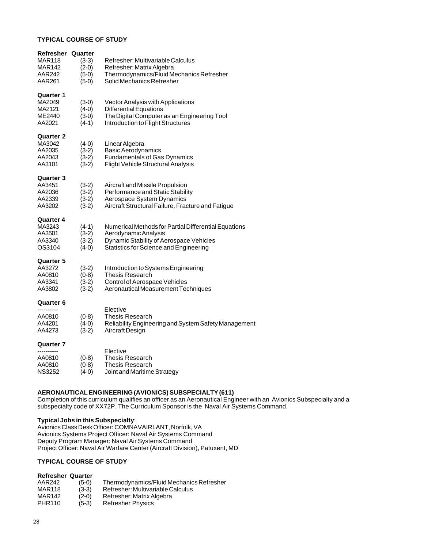#### **TYPICAL COURSE OF STUDY**

| Refresher        | Quarter            |                                                                         |
|------------------|--------------------|-------------------------------------------------------------------------|
| MAR118           | $(3-3)$            | Refresher: Multivariable Calculus                                       |
| MAR142           | $(2-0)$            | Refresher: Matrix Algebra                                               |
| AAR242           | $(5-0)$            | Thermodynamics/Fluid Mechanics Refresher                                |
| AAR261           | $(5-0)$            | Solid Mechanics Refresher                                               |
| Quarter 1        |                    |                                                                         |
| MA2049           | $(3-0)$            | Vector Analysis with Applications                                       |
| MA2121           | $(4-0)$            | <b>Differential Equations</b>                                           |
| ME2440           | $(3-0)$            | The Digital Computer as an Engineering Tool                             |
| AA2021           | $(4-1)$            | Introduction to Flight Structures                                       |
| <b>Quarter 2</b> |                    |                                                                         |
| MA3042           | $(4-0)$            | Linear Algebra                                                          |
| AA2035           | $(3-2)$            | <b>Basic Aerodynamics</b>                                               |
| AA2043           | $(3-2)$            | <b>Fundamentals of Gas Dynamics</b>                                     |
| AA3101           | $(3-2)$            | Flight Vehicle Structural Analysis                                      |
| <b>Quarter 3</b> |                    |                                                                         |
| AA3451           | $(3-2)$            | Aircraft and Missile Propulsion                                         |
| AA2036           | $(3-2)$            | Performance and Static Stability                                        |
| AA2339           | $(3-2)$            | Aerospace System Dynamics                                               |
| AA3202           | $(3-2)$            | Aircraft Structural Failure, Fracture and Fatigue                       |
| Quarter 4        |                    |                                                                         |
| MA3243           | $(4-1)$            | Numerical Methods for Partial Differential Equations                    |
| AA3501           | $(3-2)$            | Aerodynamic Analysis                                                    |
| AA3340           | $(3-2)$            | Dynamic Stability of Aerospace Vehicles                                 |
| OS3104           | $(4-0)$            | Statistics for Science and Engineering                                  |
| Quarter 5        |                    |                                                                         |
| AA3272           | $(3-2)$            | Introduction to Systems Engineering                                     |
| AA0810           | $(0-8)$            | <b>Thesis Research</b>                                                  |
| AA3341           | $(3-2)$            | Control of Aerospace Vehicles                                           |
| AA3802           | $(3-2)$            | Aeronautical Measurement Techniques                                     |
| Quarter 6        |                    |                                                                         |
|                  |                    | Elective                                                                |
| AA0810           | $(0-8)$            | <b>Thesis Research</b>                                                  |
| AA4201<br>AA4273 | $(4-0)$<br>$(3-2)$ | Reliability Engineering and System Safety Management<br>Aircraft Design |
|                  |                    |                                                                         |
| Quarter 7        |                    |                                                                         |
| AA0810           |                    | Elective                                                                |
| AA0810           | $(0-8)$<br>$(0-8)$ | Thesis Research<br>Thesis Research                                      |
| <b>NS3252</b>    | $(4-0)$            | Joint and Maritime Strategy                                             |
|                  |                    |                                                                         |

#### **AERONAUTICAL ENGINEERING (AVIONICS) SUBSPECIALTY (611)**

Completion of this curriculum qualifies an officer as an Aeronautical Engineer with an Avionics Subspecialty and a subspecialty code of XX72P. The Curriculum Sponsor is the Naval Air Systems Command.

#### **Typical Jobs in this Subspecialty**:

Avionics Class Desk Officer: COMNAVAIRLANT, Norfolk, VA Avionics Systems Project Officer: Naval Air Systems Command Deputy Program Manager: Naval Air Systems Command Project Officer: Naval Air Warfare Center (Aircraft Division), Patuxent, MD

#### **TYPICAL COURSE OF STUDY**

#### **Refresher Quarter**

| AAR242        | $(5-0)$ | Thermodynamics/Fluid Mechanics Refresher |
|---------------|---------|------------------------------------------|
| MAR118        | $(3-3)$ | Refresher: Multivariable Calculus        |
| MAR142        | $(2-0)$ | Refresher: Matrix Algebra                |
| <b>PHR110</b> | $(5-3)$ | <b>Refresher Physics</b>                 |
|               |         |                                          |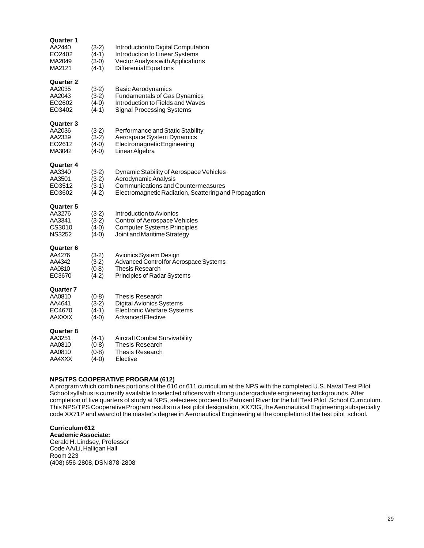| Quarter 1<br>AA2440<br>EO2402<br>MA2049<br>MA2121        | $(3-2)$<br>$(4-1)$<br>$(3-0)$<br>$(4-1)$ | Introduction to Digital Computation<br>Introduction to Linear Systems<br>Vector Analysis with Applications<br><b>Differential Equations</b>                           |
|----------------------------------------------------------|------------------------------------------|-----------------------------------------------------------------------------------------------------------------------------------------------------------------------|
| Quarter 2<br>AA2035<br>AA2043<br>EO2602<br>EO3402        | $(3-2)$<br>$(3-2)$<br>$(4-0)$<br>$(4-1)$ | <b>Basic Aerodynamics</b><br><b>Fundamentals of Gas Dynamics</b><br>Introduction to Fields and Waves<br>Signal Processing Systems                                     |
| Quarter 3<br>AA2036<br>AA2339<br>EO2612<br>MA3042        | $(3-2)$<br>$(3-2)$<br>$(4-0)$<br>$(4-0)$ | Performance and Static Stability<br>Aerospace System Dynamics<br>Electromagnetic Engineering<br>Linear Algebra                                                        |
| Quarter 4<br>AA3340<br>AA3501<br>EO3512<br>EO3602        | $(3-2)$<br>$(3-2)$<br>$(3-1)$<br>(4-2)   | Dynamic Stability of Aerospace Vehicles<br>Aerodynamic Analysis<br><b>Communications and Countermeasures</b><br>Electromagnetic Radiation, Scattering and Propagation |
| Quarter 5<br>AA3276<br>AA3341<br>CS3010<br><b>NS3252</b> | $(3-2)$<br>$(3-2)$<br>$(4-0)$<br>$(4-0)$ | Introduction to Avionics<br>Control of Aerospace Vehicles<br><b>Computer Systems Principles</b><br>Joint and Maritime Strategy                                        |
| Quarter 6<br>AA4276<br>AA4342<br>AA0810<br>EC3670        | $(3-2)$<br>$(3-2)$<br>$(0-8)$<br>$(4-2)$ | Avionics System Design<br>Advanced Control for Aerospace Systems<br>Thesis Research<br><b>Principles of Radar Systems</b>                                             |
| Quarter 7<br>AA0810<br>AA4641<br>EC4670<br>AAXXXX        | $(0-8)$<br>$(3-2)$<br>$(4-1)$<br>$(4-0)$ | <b>Thesis Research</b><br><b>Digital Avionics Systems</b><br><b>Electronic Warfare Systems</b><br><b>Advanced Elective</b>                                            |
| Quarter 8<br>AA3251<br>AA0810<br>AA0810<br>AA4XXX        | $(4-1)$<br>$(0-8)$<br>$(0-8)$<br>(4-0)   | Aircraft Combat Survivability<br>Thesis Research<br><b>Thesis Research</b><br>Elective                                                                                |

#### **NPS/TPS COOPERATIVE PROGRAM (612)**

A program which combines portions of the 610 or 611 curriculum at the NPS with the completed U.S. Naval Test Pilot School syllabus is currently available to selected officers with strong undergraduate engineering backgrounds. After completion of five quarters of study at NPS, selectees proceed to Patuxent River for the full Test Pilot School Curriculum. This NPS/TPS Cooperative Program results in a test pilot designation, XX73G, the Aeronautical Engineering subspecialty code XX71P and award of the master's degree in Aeronautical Engineering at the completion of the test pilot school.

**Curriculum 612 Academic Associate:** Gerald H. Lindsey, Professor Code AA/Li, Halligan Hall Room 223 (408) 656-2808, DSN 878-2808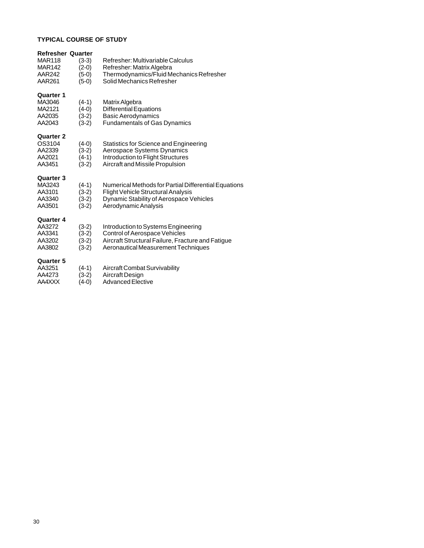#### **TYPICAL COURSE OF STUDY**

| <b>Refresher Quarter</b> |         |                                                      |
|--------------------------|---------|------------------------------------------------------|
| <b>MAR118</b>            | $(3-3)$ | Refresher: Multivariable Calculus                    |
| <b>MAR142</b>            | $(2-0)$ | Refresher: Matrix Algebra                            |
| AAR242                   | $(5-0)$ | Thermodynamics/Fluid Mechanics Refresher             |
| AAR261                   | $(5-0)$ | Solid Mechanics Refresher                            |
|                          |         |                                                      |
| <b>Quarter 1</b>         |         |                                                      |
| MA3046                   | $(4-1)$ | Matrix Algebra                                       |
| MA2121                   | $(4-0)$ | <b>Differential Equations</b>                        |
| AA2035                   | $(3-2)$ | <b>Basic Aerodynamics</b>                            |
| AA2043                   | $(3-2)$ | <b>Fundamentals of Gas Dynamics</b>                  |
|                          |         |                                                      |
| <b>Quarter 2</b>         |         |                                                      |
| OS3104                   | $(4-0)$ | Statistics for Science and Engineering               |
| AA2339                   | $(3-2)$ | Aerospace Systems Dynamics                           |
| AA2021                   | $(4-1)$ | Introduction to Flight Structures                    |
| AA3451                   | $(3-2)$ | Aircraft and Missile Propulsion                      |
|                          |         |                                                      |
| <b>Quarter 3</b>         |         |                                                      |
| MA3243                   | $(4-1)$ | Numerical Methods for Partial Differential Equations |
| AA3101                   | $(3-2)$ | Flight Vehicle Structural Analysis                   |
| AA3340                   | $(3-2)$ | Dynamic Stability of Aerospace Vehicles              |
| AA3501                   | $(3-2)$ | Aerodynamic Analysis                                 |
|                          |         |                                                      |
| <b>Quarter 4</b>         |         |                                                      |
| AA3272                   | $(3-2)$ | Introduction to Systems Engineering                  |
| AA3341                   | $(3-2)$ | Control of Aerospace Vehicles                        |
| AA3202                   | $(3-2)$ | Aircraft Structural Failure, Fracture and Fatigue    |
| AA3802                   | $(3-2)$ | Aeronautical Measurement Techniques                  |
|                          |         |                                                      |
| <b>Quarter 5</b>         |         |                                                      |
| AA3251                   | $(4-1)$ | Aircraft Combat Survivability                        |
| AA4273                   | (3-2)   | Aircraft Design                                      |
| AA4XXX                   | (4-0)   | <b>Advanced Elective</b>                             |
|                          |         |                                                      |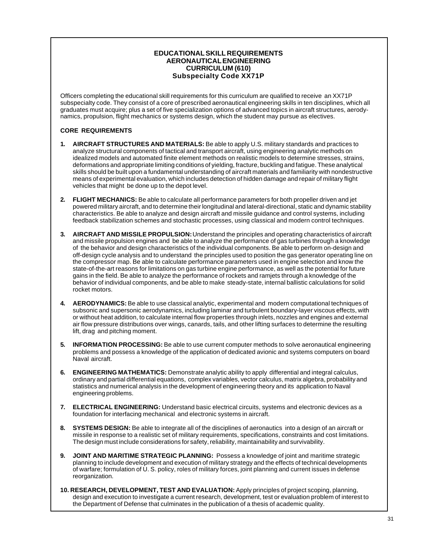#### **EDUCATIONAL SKILL REQUIREMENTS AERONAUTICAL ENGINEERING CURRICULUM (610) Subspecialty Code XX71P**

Officers completing the educational skill requirements for this curriculum are qualified to receive an XX71P subspecialty code. They consist of a core of prescribed aeronautical engineering skills in ten disciplines, which all graduates must acquire; plus a set of five specialization options of advanced topics in aircraft structures, aerodynamics, propulsion, flight mechanics or systems design, which the student may pursue as electives.

#### **CORE REQUIREMENTS**

- **1. AIRCRAFT STRUCTURES AND MATERIALS:** Be able to apply U.S. military standards and practices to analyze structural components of tactical and transport aircraft, using engineering analytic methods on idealized models and automated finite element methods on realistic models to determine stresses, strains, deformations and appropriate limiting conditions of yielding, fracture, buckling and fatigue. These analytical skills should be built upon a fundamental understanding of aircraft materials and familiarity with nondestructive means of experimental evaluation, which includes detection of hidden damage and repair of military flight vehicles that might be done up to the depot level.
- **2. FLIGHT MECHANICS:** Be able to calculate all performance parameters for both propeller driven and jet powered military aircraft, and to determine their longitudinal and lateral-directional, static and dynamic stability characteristics. Be able to analyze and design aircraft and missile guidance and control systems, including feedback stabilization schemes and stochastic processes, using classical and modern control techniques.
- **3. AIRCRAFT AND MISSILE PROPULSION:** Understand the principles and operating characteristics of aircraft and missile propulsion engines and be able to analyze the performance of gas turbines through a knowledge of the behavior and design characteristics of the individual components. Be able to perform on-design and off-design cycle analysis and to understand the principles used to position the gas generator operating line on the compressor map. Be able to calculate performance parameters used in engine selection and know the state-of-the-art reasons for limitations on gas turbine engine performance, as well as the potential for future gains in the field. Be able to analyze the performance of rockets and ramjets through a knowledge of the behavior of individual components, and be able to make steady-state, internal ballistic calculations for solid rocket motors.
- **4. AERODYNAMICS:** Be able to use classical analytic, experimental and modern computational techniques of subsonic and supersonic aerodynamics, including laminar and turbulent boundary-layer viscous effects, with or without heat addition, to calculate internal flow properties through inlets, nozzles and engines and external air flow pressure distributions over wings, canards, tails, and other lifting surfaces to determine the resulting lift, drag and pitching moment.
- **5. INFORMATION PROCESSING:** Be able to use current computer methods to solve aeronautical engineering problems and possess a knowledge of the application of dedicated avionic and systems computers on board Naval aircraft.
- **6. ENGINEERING MATHEMATICS:** Demonstrate analytic ability to apply differential and integral calculus, ordinary and partial differential equations, complex variables, vector calculus, matrix algebra, probability and statistics and numerical analysis in the development of engineering theory and its application to Naval engineering problems.
- **7. ELECTRICAL ENGINEERING:** Understand basic electrical circuits, systems and electronic devices as a foundation for interfacing mechanical and electronic systems in aircraft.
- **8. SYSTEMS DESIGN:** Be able to integrate all of the disciplines of aeronautics into a design of an aircraft or missile in response to a realistic set of military requirements, specifications, constraints and cost limitations. The design must include considerations for safety, reliability, maintainability and survivability.
- **9. JOINT AND MARITIME STRATEGIC PLANNING:** Possess a knowledge of joint and maritime strategic planning to include development and execution of military strategy and the effects of technical developments of warfare; formulation of U. S. policy, roles of military forces, joint planning and current issues in defense reorganization.
- **10. RESEARCH, DEVELOPMENT, TEST AND EVALUATION:** Apply principles of project scoping, planning, design and execution to investigate a current research, development, test or evaluation problem of interest to the Department of Defense that culminates in the publication of a thesis of academic quality.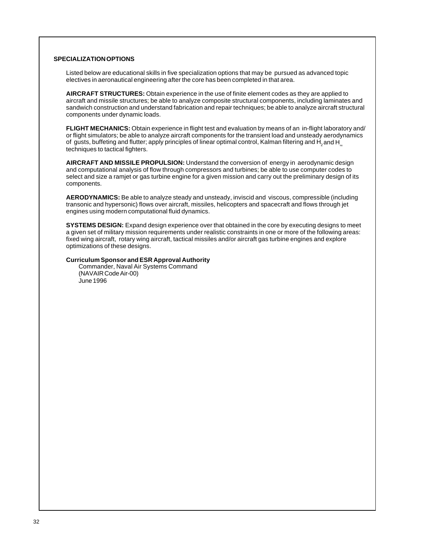#### **SPECIALIZATION OPTIONS**

Listed below are educational skills in five specialization options that may be pursued as advanced topic electives in aeronautical engineering after the core has been completed in that area.

**AIRCRAFT STRUCTURES:** Obtain experience in the use of finite element codes as they are applied to aircraft and missile structures; be able to analyze composite structural components, including laminates and sandwich construction and understand fabrication and repair techniques; be able to analyze aircraft structural components under dynamic loads.

**FLIGHT MECHANICS:** Obtain experience in flight test and evaluation by means of an in-flight laboratory and/ or flight simulators; be able to analyze aircraft components for the transient load and unsteady aerodynamics of gusts, buffeting and flutter; apply principles of linear optimal control, Kalman filtering and  $H_2$  and  $H_3$  techniques to tactical fighters.

**AIRCRAFT AND MISSILE PROPULSION:** Understand the conversion of energy in aerodynamic design and computational analysis of flow through compressors and turbines; be able to use computer codes to select and size a ramjet or gas turbine engine for a given mission and carry out the preliminary design of its components.

**AERODYNAMICS:** Be able to analyze steady and unsteady, inviscid and viscous, compressible (including transonic and hypersonic) flows over aircraft, missiles, helicopters and spacecraft and flows through jet engines using modern computational fluid dynamics.

**SYSTEMS DESIGN:** Expand design experience over that obtained in the core by executing designs to meet a given set of military mission requirements under realistic constraints in one or more of the following areas: fixed wing aircraft, rotary wing aircraft, tactical missiles and/or aircraft gas turbine engines and explore optimizations of these designs.

#### **Curriculum Sponsor and ESR Approval Authority**

Commander, Naval Air Systems Command (NAVAIR Code Air-00) June 1996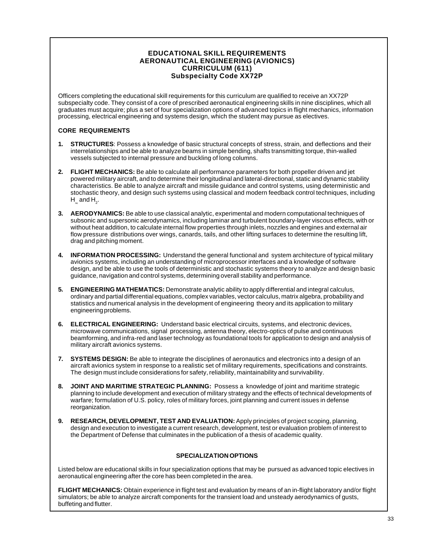#### **EDUCATIONAL SKILL REQUIREMENTS AERONAUTICAL ENGINEERING (AVIONICS) CURRICULUM (611) Subspecialty Code XX72P**

Officers completing the educational skill requirements for this curriculum are qualified to receive an XX72P subspecialty code. They consist of a core of prescribed aeronautical engineering skills in nine disciplines, which all graduates must acquire; plus a set of four specialization options of advanced topics in flight mechanics, information processing, electrical engineering and systems design, which the student may pursue as electives.

#### **CORE REQUIREMENTS**

- **1. STRUCTURES**: Possess a knowledge of basic structural concepts of stress, strain, and deflections and their interrelationships and be able to analyze beams in simple bending, shafts transmitting torque, thin-walled vessels subjected to internal pressure and buckling of long columns.
- **2. FLIGHT MECHANICS:** Be able to calculate all performance parameters for both propeller driven and jet powered military aircraft, and to determine their longitudinal and lateral-directional, static and dynamic stability characteristics. Be able to analyze aircraft and missile guidance and control systems, using deterministic and stochastic theory, and design such systems using classical and modern feedback control techniques, including  $H_{\scriptscriptstyle \infty}$  and  $H_{\scriptscriptstyle 2}$ .
- **3. AERODYNAMICS:** Be able to use classical analytic, experimental and modern computational techniques of subsonic and supersonic aerodynamics, including laminar and turbulent boundary-layer viscous effects, with or without heat addition, to calculate internal flow properties through inlets, nozzles and engines and external air flow pressure distributions over wings, canards, tails, and other lifting surfaces to determine the resulting lift, drag and pitching moment.
- **4. INFORMATION PROCESSING:** Understand the general functional and system architecture of typical military avionics systems, including an understanding of microprocessor interfaces and a knowledge of software design, and be able to use the tools of deterministic and stochastic systems theory to analyze and design basic guidance, navigation and control systems, determining overall stability and performance.
- **5. ENGINEERING MATHEMATICS:** Demonstrate analytic ability to apply differential and integral calculus, ordinary and partial differential equations, complex variables, vector calculus, matrix algebra, probability and statistics and numerical analysis in the development of engineering theory and its application to military engineering problems.
- **6. ELECTRICAL ENGINEERING:** Understand basic electrical circuits, systems, and electronic devices, microwave communications, signal processing, antenna theory, electro-optics of pulse and continuous beamforming, and infra-red and laser technology as foundational tools for application to design and analysis of military aircraft avionics systems.
- **7. SYSTEMS DESIGN:** Be able to integrate the disciplines of aeronautics and electronics into a design of an aircraft avionics system in response to a realistic set of military requirements, specifications and constraints. The design must include considerations for safety, reliability, maintainability and survivability.
- **8. JOINT AND MARITIME STRATEGIC PLANNING:** Possess a knowledge of joint and maritime strategic planning to include development and execution of military strategy and the effects of technical developments of warfare; formulation of U.S. policy, roles of military forces, joint planning and current issues in defense reorganization.
- **9. RESEARCH, DEVELOPMENT, TEST AND EVALUATION:** Apply principles of project scoping, planning, design and execution to investigate a current research, development, test or evaluation problem of interest to the Department of Defense that culminates in the publication of a thesis of academic quality.

#### **SPECIALIZATION OPTIONS**

Listed below are educational skills in four specialization options that may be pursued as advanced topic electives in aeronautical engineering after the core has been completed in the area.

**FLIGHT MECHANICS:** Obtain experience in flight test and evaluation by means of an in-flight laboratory and/or flight simulators; be able to analyze aircraft components for the transient load and unsteady aerodynamics of gusts, buffeting and flutter.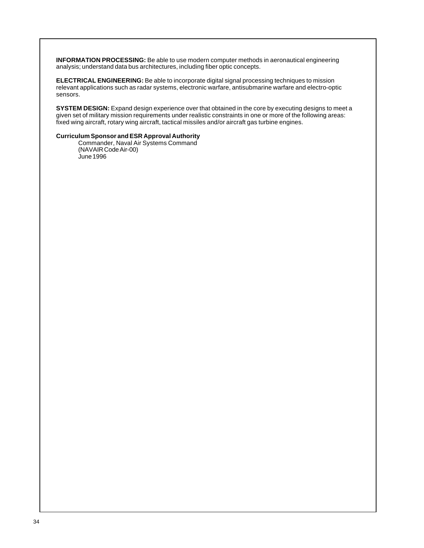**INFORMATION PROCESSING:** Be able to use modern computer methods in aeronautical engineering analysis; understand data bus architectures, including fiber optic concepts.

**ELECTRICAL ENGINEERING:** Be able to incorporate digital signal processing techniques to mission relevant applications such as radar systems, electronic warfare, antisubmarine warfare and electro-optic sensors.

**SYSTEM DESIGN:** Expand design experience over that obtained in the core by executing designs to meet a given set of military mission requirements under realistic constraints in one or more of the following areas: fixed wing aircraft, rotary wing aircraft, tactical missiles and/or aircraft gas turbine engines.

#### **Curriculum Sponsor and ESR Approval Authority**

Commander, Naval Air Systems Command (NAVAIR Code Air-00) June 1996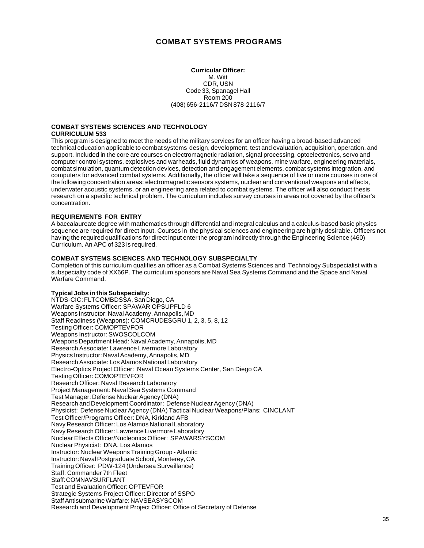#### **COMBAT SYSTEMS PROGRAMS**

#### **Curricular Officer:** M. Witt CDR, USN Code 33, Spanagel Hall Room 200 (408) 656-2116/7 DSN 878-2116/7

#### <span id="page-34-0"></span>**COMBAT SYSTEMS SCIENCES AND TECHNOLOGY CURRICULUM 533**

This program is designed to meet the needs of the military services for an officer having a broad-based advanced technical education applicable to combat systems design, development, test and evaluation, acquisition, operation, and support. Included in the core are courses on electromagnetic radiation, signal processing, optoelectronics, servo and computer control systems, explosives and warheads, fluid dynamics of weapons, mine warfare, engineering materials, combat simulation, quantum detection devices, detection and engagement elements, combat systems integration, and computers for advanced combat systems. Additionally, the officer will take a sequence of five or more courses in one of the following concentration areas: electromagnetic sensors systems, nuclear and conventional weapons and effects, underwater acoustic systems, or an engineering area related to combat systems. The officer will also conduct thesis research on a specific technical problem. The curriculum includes survey courses in areas not covered by the officer's concentration.

#### **REQUIREMENTS FOR ENTRY**

A baccalaureate degree with mathematics through differential and integral calculus and a calculus-based basic physics sequence are required for direct input. Courses in the physical sciences and engineering are highly desirable. Officers not having the required qualifications for direct input enter the program indirectly through the Engineering Science (460) Curriculum. An APC of 323 is required.

#### **COMBAT SYSTEMS SCIENCES AND TECHNOLOGY SUBSPECIALTY**

Completion of this curriculum qualifies an officer as a Combat Systems Sciences and Technology Subspecialist with a subspecialty code of XX66P. The curriculum sponsors are Naval Sea Systems Command and the Space and Naval Warfare Command.

#### **Typical Jobs in this Subspecialty:**

NTDS-CIC: FLTCOMBDSSA, San Diego, CA Warfare Systems Officer: SPAWAR OPSUPFLD 6 Weapons Instructor: Naval Academy, Annapolis, MD Staff Readiness (Weapons): COMCRUDESGRU 1, 2, 3, 5, 8, 12 Testing Officer: COMOPTEVFOR Weapons Instructor: SWOSCOLCOM Weapons Department Head: Naval Academy, Annapolis, MD Research Associate: Lawrence Livermore Laboratory Physics Instructor: Naval Academy, Annapolis, MD Research Associate: Los Alamos National Laboratory Electro-Optics Project Officer: Naval Ocean Systems Center, San Diego CA Testing Officer: COMOPTEVFOR Research Officer: Naval Research Laboratory Project Management: Naval Sea Systems Command Test Manager: Defense Nuclear Agency (DNA) Research and Development Coordinator: Defense Nuclear Agency (DNA) Physicist: Defense Nuclear Agency (DNA) Tactical Nuclear Weapons/Plans: CINCLANT Test Officer/Programs Officer: DNA, Kirkland AFB Navy Research Officer: Los Alamos National Laboratory Navy Research Officer: Lawrence Livermore Laboratory Nuclear Effects Officer/Nucleonics Officer: SPAWARSYSCOM Nuclear Physicist: DNA, Los Alamos Instructor: Nuclear Weapons Training Group - Atlantic Instructor: Naval Postgraduate School, Monterey, CA Training Officer: PDW-124 (Undersea Surveillance) Staff: Commander 7th Fleet Staff: COMNAVSURFLANT Test and Evaluation Officer: OPTEVFOR Strategic Systems Project Officer: Director of SSPO Staff Antisubmarine Warfare: NAVSEASYSCOM Research and Development Project Officer: Office of Secretary of Defense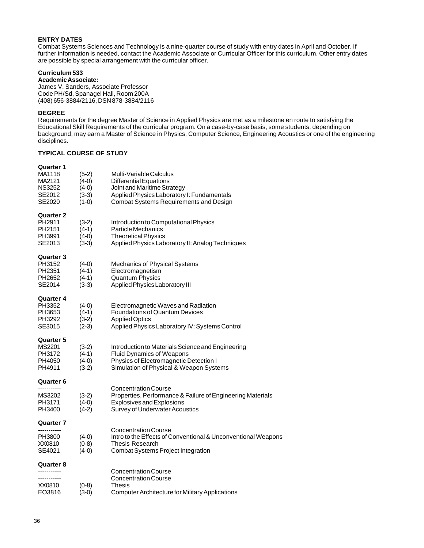#### **ENTRY DATES**

Combat Systems Sciences and Technology is a nine-quarter course of study with entry dates in April and October. If further information is needed, contact the Academic Associate or Curricular Officer for this curriculum. Other entry dates are possible by special arrangement with the curricular officer.

#### **Curriculum 533**

**Academic Associate:**

James V. Sanders, Associate Professor Code PH/Sd, Spanagel Hall, Room 200A (408) 656-3884/2116, DSN 878-3884/2116

#### **DEGREE**

Requirements for the degree Master of Science in Applied Physics are met as a milestone en route to satisfying the Educational Skill Requirements of the curricular program. On a case-by-case basis, some students, depending on background, may earn a Master of Science in Physics, Computer Science, Engineering Acoustics or one of the engineering disciplines.

#### **TYPICAL COURSE OF STUDY**

#### **Quarter 1**

| MA1118<br>MA2121<br><b>NS3252</b><br>SE2012<br>SE2020    | $(5-2)$<br>(4-0)<br>$(4-0)$<br>$(3-3)$<br>$(1-0)$ | Multi-Variable Calculus<br><b>Differential Equations</b><br>Joint and Maritime Strategy<br>Applied Physics Laboratory I: Fundamentals<br><b>Combat Systems Requirements and Design</b> |
|----------------------------------------------------------|---------------------------------------------------|----------------------------------------------------------------------------------------------------------------------------------------------------------------------------------------|
| Quarter 2<br>PH2911<br>PH2151<br>PH3991<br>SE2013        | $(3-2)$<br>$(4-1)$<br>$(4-0)$<br>$(3-3)$          | Introduction to Computational Physics<br><b>Particle Mechanics</b><br><b>Theoretical Physics</b><br>Applied Physics Laboratory II: Analog Techniques                                   |
| Quarter 3<br>PH3152<br>PH2351<br>PH2652<br>SE2014        | $(4-0)$<br>$(4-1)$<br>$(4-1)$<br>$(3-3)$          | Mechanics of Physical Systems<br>Electromagnetism<br><b>Quantum Physics</b><br>Applied Physics Laboratory III                                                                          |
| <b>Quarter 4</b><br>PH3352<br>PH3653<br>PH3292<br>SE3015 | $(4-0)$<br>$(4-1)$<br>$(3-2)$<br>$(2-3)$          | Electromagnetic Waves and Radiation<br><b>Foundations of Quantum Devices</b><br><b>Applied Optics</b><br>Applied Physics Laboratory IV: Systems Control                                |
| Quarter 5<br>MS2201<br>PH3172<br>PH4050<br>PH4911        | $(3-2)$<br>$(4-1)$<br>$(4-0)$<br>$(3-2)$          | Introduction to Materials Science and Engineering<br><b>Fluid Dynamics of Weapons</b><br>Physics of Electromagnetic Detection I<br>Simulation of Physical & Weapon Systems             |
| Quarter 6<br><br>MS3202<br>PH3171<br>PH3400              | $(3-2)$<br>$(4-0)$<br>$(4-2)$                     | <b>Concentration Course</b><br>Properties, Performance & Failure of Engineering Materials<br><b>Explosives and Explosions</b><br>Survey of Underwater Acoustics                        |
| Quarter 7<br>-----------<br>PH3800<br>XX0810<br>SE4021   | $(4-0)$<br>$(0-8)$<br>$(4-0)$                     | <b>Concentration Course</b><br>Intro to the Effects of Conventional & Unconventional Weapons<br><b>Thesis Research</b><br>Combat Systems Project Integration                           |
| Quarter 8<br>-----------<br>XX0810<br>EO3816             | $(0-8)$<br>$(3-0)$                                | <b>Concentration Course</b><br><b>Concentration Course</b><br>Thesis<br>Computer Architecture for Military Applications                                                                |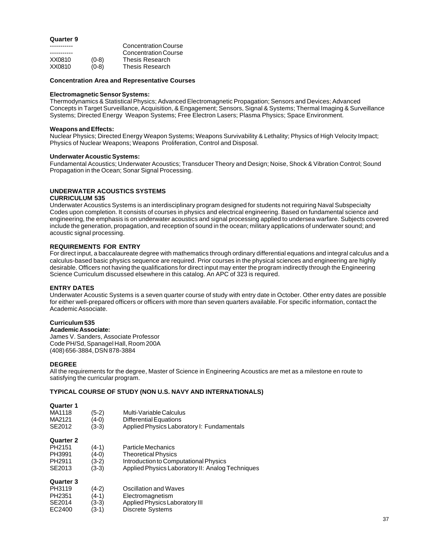## **Quarter 9**

|         | <b>Concentration Course</b> |
|---------|-----------------------------|
|         | <b>Concentration Course</b> |
| $(0-8)$ | <b>Thesis Research</b>      |
| $(0-8)$ | <b>Thesis Research</b>      |
|         |                             |

#### **Concentration Area and Representative Courses**

#### **Electromagnetic Sensor Systems:**

Thermodynamics & Statistical Physics; Advanced Electromagnetic Propagation; Sensors and Devices; Advanced Concepts in Target Surveillance, Acquisition, & Engagement; Sensors, Signal & Systems; Thermal Imaging & Surveillance Systems; Directed Energy Weapon Systems; Free Electron Lasers; Plasma Physics; Space Environment.

#### **Weapons and Effects:**

Nuclear Physics; Directed Energy Weapon Systems; Weapons Survivability & Lethality; Physics of High Velocity Impact; Physics of Nuclear Weapons; Weapons Proliferation, Control and Disposal.

#### **Underwater Acoustic Systems:**

Fundamental Acoustics; Underwater Acoustics; Transducer Theory and Design; Noise, Shock & Vibration Control; Sound Propagation in the Ocean; Sonar Signal Processing.

## **UNDERWATER ACOUSTICS SYSTEMS**

## **CURRICULUM 535**

Underwater Acoustics Systems is an interdisciplinary program designed for students not requiring Naval Subspecialty Codes upon completion. It consists of courses in physics and electrical engineering. Based on fundamental science and engineering, the emphasis is on underwater acoustics and signal processing applied to undersea warfare. Subjects covered include the generation, propagation, and reception of sound in the ocean; military applications of underwater sound; and acoustic signal processing.

#### **REQUIREMENTS FOR ENTRY**

For direct input, a baccalaureate degree with mathematics through ordinary differential equations and integral calculus and a calculus-based basic physics sequence are required. Prior courses in the physical sciences and engineering are highly desirable. Officers not having the qualifications for direct input may enter the program indirectly through the Engineering Science Curriculum discussed elsewhere in this catalog. An APC of 323 is required.

#### **ENTRY DATES**

Underwater Acoustic Systems is a seven quarter course of study with entry date in October. Other entry dates are possible for either well-prepared officers or officers with more than seven quarters available. For specific information, contact the Academic Associate.

## **Curriculum 535**

**Academic Associate:** James V. Sanders, Associate Professor Code PH/Sd, Spanagel Hall, Room 200A (408) 656-3884, DSN 878-3884

#### **DEGREE**

All the requirements for the degree, Master of Science in Engineering Acoustics are met as a milestone en route to satisfying the curricular program.

## **TYPICAL COURSE OF STUDY (NON U.S. NAVY AND INTERNATIONALS)**

#### **Quarter 1**

| MA1118             | (5-2)   | Multi-Variable Calculus                          |
|--------------------|---------|--------------------------------------------------|
| MA2121             | (4-0)   | Differential Equations                           |
| SE2012             | $(3-3)$ | Applied Physics Laboratory I: Fundamentals       |
| <b>Quarter 2</b>   |         |                                                  |
| PH <sub>2151</sub> | (4-1)   | Particle Mechanics                               |
| PH3991             | (4-0)   | <b>Theoretical Physics</b>                       |
| PH <sub>2911</sub> | (3-2)   | Introduction to Computational Physics            |
| SE2013             | $(3-3)$ | Applied Physics Laboratory II: Analog Techniques |
| Quarter 3          |         |                                                  |
| PH3119             | (4-2)   | Oscillation and Waves                            |
| PH <sub>2351</sub> | (4-1)   | Electromagnetism                                 |
| $S$ F2014          | (२-२)   | Annlied Physics Laboratory III                   |

SE2014 (3-3) Applied Physics Laboratory III<br>EC2400 (3-1) Discrete Systems Discrete Systems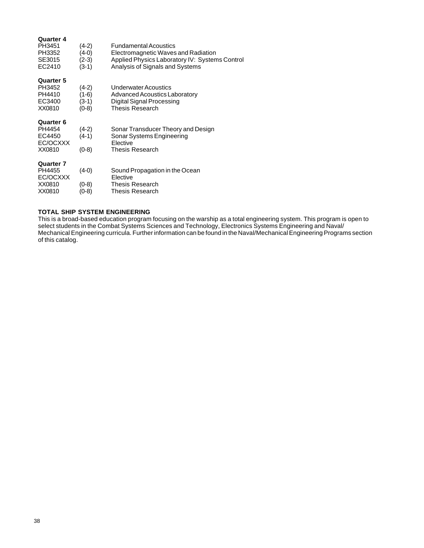| Quarter 4<br>PH3451<br>PH3352<br>SE3015 | (4-2)<br>(4-0)<br>$(2-3)$ | <b>Fundamental Acoustics</b><br>Electromagnetic Waves and Radiation<br>Applied Physics Laboratory IV: Systems Control |
|-----------------------------------------|---------------------------|-----------------------------------------------------------------------------------------------------------------------|
| EC2410                                  | $(3-1)$                   | Analysis of Signals and Systems                                                                                       |
| Quarter 5                               |                           |                                                                                                                       |
| PH3452                                  | $(4-2)$                   | Underwater Acoustics                                                                                                  |
| PH4410                                  | (1-6)                     | Advanced Acoustics Laboratory                                                                                         |
| EC3400                                  | $(3-1)$                   | Digital Signal Processing                                                                                             |
| XX0810                                  | $(0-8)$                   | <b>Thesis Research</b>                                                                                                |
| <b>Quarter 6</b>                        |                           |                                                                                                                       |
| PH4454                                  | $(4-2)$                   | Sonar Transducer Theory and Design                                                                                    |
| EC4450                                  | $(4-1)$                   | Sonar Systems Engineering                                                                                             |
| EC/OCXXX                                |                           | <b>Flective</b>                                                                                                       |
| XX0810                                  | $(0-8)$                   | Thesis Research                                                                                                       |
| Quarter 7                               |                           |                                                                                                                       |
| PH4455                                  | $(4-0)$                   | Sound Propagation in the Ocean                                                                                        |
| EC/OCXXX                                |                           | Elective                                                                                                              |
| XX0810                                  | $(0-8)$                   | Thesis Research                                                                                                       |
| XX0810                                  | (0-8)                     | <b>Thesis Research</b>                                                                                                |

## **TOTAL SHIP SYSTEM ENGINEERING**

This is a broad-based education program focusing on the warship as a total engineering system. This program is open to select students in the Combat Systems Sciences and Technology, Electronics Systems Engineering and Naval/ Mechanical Engineering curricula. Further information can be found in the Naval/Mechanical Engineering Programs section of this catalog.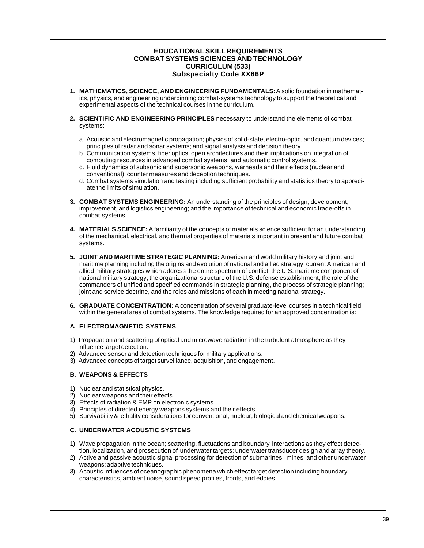## **EDUCATIONAL SKILL REQUIREMENTS COMBAT SYSTEMS SCIENCES AND TECHNOLOGY CURRICULUM (533) Subspecialty Code XX66P**

- **1. MATHEMATICS, SCIENCE, AND ENGINEERING FUNDAMENTALS:** A solid foundation in mathematics, physics, and engineering underpinning combat-systems technology to support the theoretical and experimental aspects of the technical courses in the curriculum.
- **2. SCIENTIFIC AND ENGINEERING PRINCIPLES** necessary to understand the elements of combat systems:
	- a. Acoustic and electromagnetic propagation; physics of solid-state, electro-optic, and quantum devices; principles of radar and sonar systems; and signal analysis and decision theory.
	- b. Communication systems, fiber optics, open architectures and their implications on integration of computing resources in advanced combat systems, and automatic control systems.
	- c. Fluid dynamics of subsonic and supersonic weapons, warheads and their effects (nuclear and conventional), counter measures and deception techniques.
	- d. Combat systems simulation and testing including sufficient probability and statistics theory to appreciate the limits of simulation.
- **3. COMBAT SYSTEMS ENGINEERING:** An understanding of the principles of design, development, improvement, and logistics engineering; and the importance of technical and economic trade-offs in combat systems.
- **4. MATERIALS SCIENCE:** A familiarity of the concepts of materials science sufficient for an understanding of the mechanical, electrical, and thermal properties of materials important in present and future combat systems.
- **5. JOINT AND MARITIME STRATEGIC PLANNING:** American and world military history and joint and maritime planning including the origins and evolution of national and allied strategy; current American and allied military strategies which address the entire spectrum of conflict; the U.S. maritime component of national military strategy; the organizational structure of the U.S. defense establishment; the role of the commanders of unified and specified commands in strategic planning, the process of strategic planning; joint and service doctrine, and the roles and missions of each in meeting national strategy.
- **6. GRADUATE CONCENTRATION:** A concentration of several graduate-level courses in a technical field within the general area of combat systems. The knowledge required for an approved concentration is:

## **A. ELECTROMAGNETIC SYSTEMS**

- 1) Propagation and scattering of optical and microwave radiation in the turbulent atmosphere as they influence target detection.
- 2) Advanced sensor and detection techniques for military applications.
- 3) Advanced concepts of target surveillance, acquisition, and engagement.

## **B. WEAPONS & EFFECTS**

- 1) Nuclear and statistical physics.
- 2) Nuclear weapons and their effects.
- 3) Effects of radiation & EMP on electronic systems.
- 4) Principles of directed energy weapons systems and their effects.
- 5) Survivability & lethality considerations for conventional, nuclear, biological and chemical weapons.

## **C. UNDERWATER ACOUSTIC SYSTEMS**

- 1) Wave propagation in the ocean; scattering, fluctuations and boundary interactions as they effect detection, localization, and prosecution of underwater targets; underwater transducer design and array theory.
- 2) Active and passive acoustic signal processing for detection of submarines, mines, and other underwater weapons; adaptive techniques.
- 3) Acoustic influences of oceanographic phenomena which effect target detection including boundary characteristics, ambient noise, sound speed profiles, fronts, and eddies.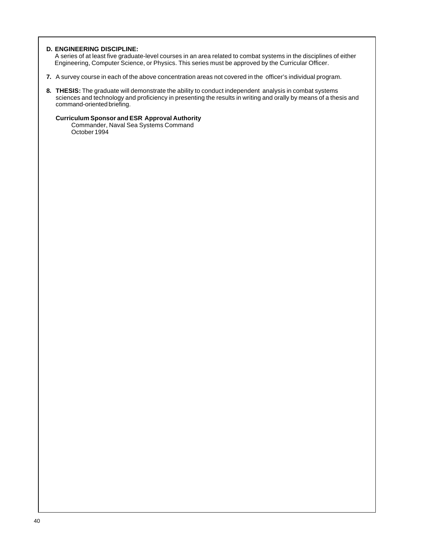## **D. ENGINEERING DISCIPLINE:**

A series of at least five graduate-level courses in an area related to combat systems in the disciplines of either Engineering, Computer Science, or Physics. This series must be approved by the Curricular Officer.

- **7.** A survey course in each of the above concentration areas not covered in the officer's individual program.
- **8. THESIS:** The graduate will demonstrate the ability to conduct independent analysis in combat systems sciences and technology and proficiency in presenting the results in writing and orally by means of a thesis and command-oriented briefing.

## **Curriculum Sponsor and ESR Approval Authority**

Commander, Naval Sea Systems Command October 1994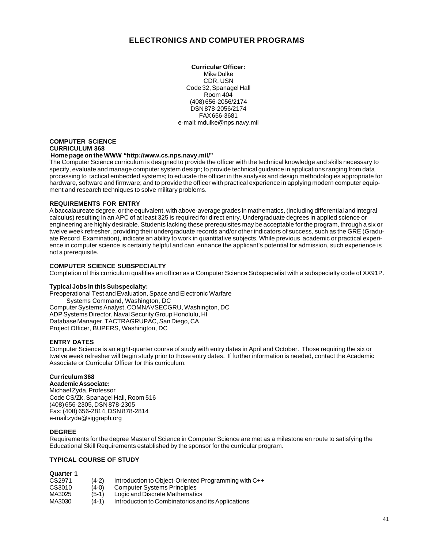# **ELECTRONICS AND COMPUTER PROGRAMS**

**Curricular Officer:** Mike Dulke CDR, USN Code 32, Spanagel Hall Room 404 (408) 656-2056/2174 DSN 878-2056/2174 FAX 656-3681 e-mail: mdulke@nps.navy.mil

## **COMPUTER SCIENCE CURRICULUM 368**

## **Home page on the WWW "http://www.cs.nps.navy.mil/"**

The Computer Science curriculum is designed to provide the officer with the technical knowledge and skills necessary to specify, evaluate and manage computer system design; to provide technical guidance in applications ranging from data processing to tactical embedded systems; to educate the officer in the analysis and design methodologies appropriate for hardware, software and firmware; and to provide the officer with practical experience in applying modern computer equipment and research techniques to solve military problems.

## **REQUIREMENTS FOR ENTRY**

A baccalaureate degree, or the equivalent, with above-average grades in mathematics, (including differential and integral calculus) resulting in an APC of at least 325 is required for direct entry. Undergraduate degrees in applied science or engineering are highly desirable. Students lacking these prerequisites may be acceptable for the program, through a six or twelve week refresher, providing their undergraduate records and/or other indicators of success, such as the GRE (Graduate Record Examination), indicate an ability to work in quantitative subjects. While previous academic or practical experience in computer science is certainly helpful and can enhance the applicant's potential for admission, such experience is not a prerequisite.

## **COMPUTER SCIENCE SUBSPECIALTY**

Completion of this curriculum qualifies an officer as a Computer Science Subspecialist with a subspecialty code of XX91P.

#### **Typical Jobs in this Subspecialty:**

Preoperational Test and Evaluation, Space and Electronic Warfare Systems Command, Washington, DC Computer Systems Analyst, COMNAVSECGRU, Washington, DC ADP Systems Director, Naval Security Group Honolulu, HI Database Manager, TACTRAGRUPAC, San Diego, CA Project Officer, BUPERS, Washington, DC

## **ENTRY DATES**

Computer Science is an eight-quarter course of study with entry dates in April and October. Those requiring the six or twelve week refresher will begin study prior to those entry dates. If further information is needed, contact the Academic Associate or Curricular Officer for this curriculum.

## **Curriculum 368**

**Academic Associate:** Michael Zyda, Professor Code CS/Zk, Spanagel Hall, Room 516 (408) 656-2305, DSN 878-2305 Fax: (408) 656-2814, DSN 878-2814 e-mail:zyda@siggraph.org

## **DEGREE**

Requirements for the degree Master of Science in Computer Science are met as a milestone en route to satisfying the Educational Skill Requirements established by the sponsor for the curricular program.

## **TYPICAL COURSE OF STUDY**

| Quarter 1 |         |                                                      |
|-----------|---------|------------------------------------------------------|
| CS2971    | $(4-2)$ | Introduction to Object-Oriented Programming with C++ |
| CS3010    | $(4-0)$ | <b>Computer Systems Principles</b>                   |
| MA3025    | $(5-1)$ | Logic and Discrete Mathematics                       |
| MA3030    | $(4-1)$ | Introduction to Combinatorics and its Applications   |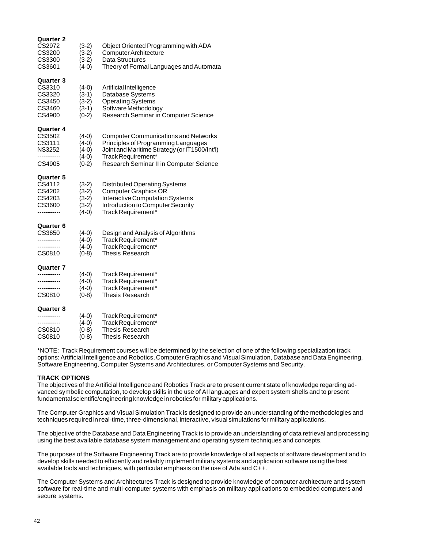| <b>Quarter 2</b><br>CS2972<br>CS3200<br>CS3300<br>CS3601               | $(3-2)$<br>$(3-2)$<br>$(3-2)$<br>$(4-0)$            | Object Oriented Programming with ADA<br><b>Computer Architecture</b><br>Data Structures<br>Theory of Formal Languages and Automata                                                                   |
|------------------------------------------------------------------------|-----------------------------------------------------|------------------------------------------------------------------------------------------------------------------------------------------------------------------------------------------------------|
| <b>Quarter 3</b><br>CS3310<br>CS3320<br>CS3450<br>CS3460<br>CS4900     | $(4-0)$<br>$(3-1)$<br>$(3-2)$<br>$(3-1)$<br>$(0-2)$ | Artificial Intelligence<br>Database Systems<br><b>Operating Systems</b><br>Software Methodology<br>Research Seminar in Computer Science                                                              |
| Quarter 4<br>CS3502<br>CS3111<br><b>NS3252</b><br><br>CS4905           | $(4-0)$<br>$(4-0)$<br>$(4-0)$<br>$(4-0)$<br>$(0-2)$ | <b>Computer Communications and Networks</b><br>Principles of Programming Languages<br>Joint and Maritime Strategy (or IT1500/Int'l)<br>Track Requirement*<br>Research Seminar II in Computer Science |
| <b>Quarter 5</b><br>CS4112<br>CS4202<br>CS4203<br>CS3600<br>---------- | $(3-2)$<br>$(3-2)$<br>$(3-2)$<br>$(3-2)$<br>$(4-0)$ | <b>Distributed Operating Systems</b><br><b>Computer Graphics OR</b><br><b>Interactive Computation Systems</b><br>Introduction to Computer Security<br>Track Requirement*                             |
| <b>Quarter 6</b><br>CS3650<br><br>-----------<br>CS0810                | $(4-0)$<br>$(4-0)$<br>$(4-0)$<br>$(0-8)$            | Design and Analysis of Algorithms<br>Track Requirement*<br>Track Requirement*<br><b>Thesis Research</b>                                                                                              |
| Quarter 7<br>-----------<br>-----------<br>CS0810                      | $(4-0)$<br>$(4-0)$<br>$(4-0)$<br>$(0-8)$            | Track Requirement*<br>Track Requirement*<br>Track Requirement*<br><b>Thesis Research</b>                                                                                                             |
| Quarter 8<br>.<br>CS0810<br>CS0810                                     | $(4-0)$<br>$(4-0)$<br>$(0-8)$<br>$(0-8)$            | Track Requirement*<br>Track Requirement*<br><b>Thesis Research</b><br>Thesis Research                                                                                                                |

\*NOTE: Track Requirement courses will be determined by the selection of one of the following specialization track options: Artificial Intelligence and Robotics, Computer Graphics and Visual Simulation, Database and Data Engineering, Software Engineering, Computer Systems and Architectures, or Computer Systems and Security.

## **TRACK OPTIONS**

The objectives of the Artificial Intelligence and Robotics Track are to present current state of knowledge regarding advanced symbolic computation, to develop skills in the use of AI languages and expert system shells and to present fundamental scientific/engineering knowledge in robotics for military applications.

The Computer Graphics and Visual Simulation Track is designed to provide an understanding of the methodologies and techniques required in real-time, three-dimensional, interactive, visual simulations for military applications.

The objective of the Database and Data Engineering Track is to provide an understanding of data retrieval and processing using the best available database system management and operating system techniques and concepts.

The purposes of the Software Engineering Track are to provide knowledge of all aspects of software development and to develop skills needed to efficiently and reliably implement military systems and application software using the best available tools and techniques, with particular emphasis on the use of Ada and C++.

The Computer Systems and Architectures Track is designed to provide knowledge of computer architecture and system software for real-time and multi-computer systems with emphasis on military applications to embedded computers and secure systems.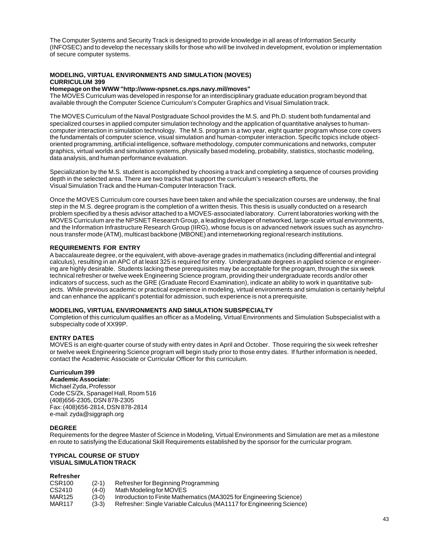The Computer Systems and Security Track is designed to provide knowledge in all areas of Information Security (INFOSEC) and to develop the necessary skills for those who will be involved in development, evolution or implementation of secure computer systems.

## **MODELING, VIRTUAL ENVIRONMENTS AND SIMULATION (MOVES) CURRICULUM 399**

#### **Homepage on the WWW "http://www-npsnet.cs.nps.navy.mil/moves"**

The MOVES Curriculum was developed in response for an interdisciplinary graduate education program beyond that available through the Computer Science Curriculum's Computer Graphics and Visual Simulation track.

The MOVES Curriculum of the Naval Postgraduate School provides the M.S. and Ph.D. student both fundamental and specialized courses in applied computer simulation technology and the application of quantitative analyses to humancomputer interaction in simulation technology. The M.S. program is a two year, eight quarter program whose core covers the fundamentals of computer science, visual simulation and human-computer interaction. Specific topics include objectoriented programming, artificial intelligence, software methodology, computer communications and networks, computer graphics, virtual worlds and simulation systems, physically based modeling, probability, statistics, stochastic modeling, data analysis, and human performance evaluation.

Specialization by the M.S. student is accomplished by choosing a track and completing a sequence of courses providing depth in the selected area. There are two tracks that support the curriculum's research efforts, the Visual Simulation Track and the Human-Computer Interaction Track.

Once the MOVES Curriculum core courses have been taken and while the specialization courses are underway, the final step in the M.S. degree program is the completion of a written thesis. This thesis is usually conducted on a research problem specified by a thesis advisor attached to a MOVES-associated laboratory. Current laboratories working with the MOVES Curriculum are the NPSNET Research Group, a leading developer of networked, large-scale virtual environments, and the Information Infrastructure Research Group (IIRG), whose focus is on advanced network issues such as asynchronous transfer mode (ATM), multicast backbone (MBONE) and internetworking regional research institutions.

## **REQUIREMENTS FOR ENTRY**

A baccalaureate degree, or the equivalent, with above-average grades in mathematics (including differential and integral calculus), resulting in an APC of at least 325 is required for entry. Undergraduate degrees in applied science or engineering are highly desirable. Students lacking these prerequisites may be acceptable for the program, through the six week technical refresher or twelve week Engineering Science program, providing their undergraduate records and/or other indicators of success, such as the GRE (Graduate Record Examination), indicate an ability to work in quantitative subjects. While previous academic or practical experience in modeling, virtual environments and simulation is certainly helpful and can enhance the applicant's potential for admission, such experience is not a prerequisite.

## **MODELING, VIRTUAL ENVIRONMENTS AND SIMULATION SUBSPECIALTY**

Completion of this curriculum qualifies an officer as a Modeling, Virtual Environments and Simulation Subspecialist with a subspecialty code of XX99P.

## **ENTRY DATES**

MOVES is an eight-quarter course of study with entry dates in April and October. Those requiring the six week refresher or twelve week Engineering Science program will begin study prior to those entry dates. If further information is needed, contact the Academic Associate or Curricular Officer for this curriculum.

## **Curriculum 399**

**Academic Associate:** Michael Zyda, Professor Code CS/Zk, Spanagel Hall, Room 516 (408)656-2305, DSN 878-2305 Fax: (408)656-2814, DSN 878-2814 e-mail: zyda@siggraph.org

## **DEGREE**

Requirements for the degree Master of Science in Modeling, Virtual Environments and Simulation are met as a milestone en route to satisfying the Educational Skill Requirements established by the sponsor for the curricular program.

#### **TYPICAL COURSE OF STUDY VISUAL SIMULATION TRACK**

## **Refresher**

| CSR <sub>100</sub> | $(2-1)$ | Refresher for Beginning Programming                                  |
|--------------------|---------|----------------------------------------------------------------------|
| CS2410             | $(4-0)$ | Math Modeling for MOVES                                              |
| MAR125             | $(3-0)$ | Introduction to Finite Mathematics (MA3025 for Engineering Science)  |
| MAR117             | $(3-3)$ | Refresher: Single Variable Calculus (MA1117 for Engineering Science) |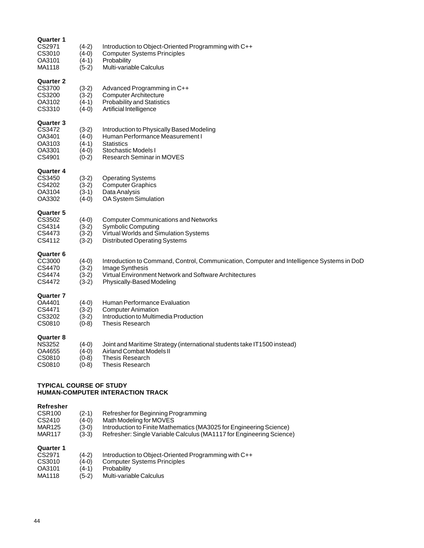| Quarter 1<br>CS2971<br>CS3010<br>OA3101<br>MA1118                  | $(4-2)$<br>$(4-0)$<br>$(4-1)$<br>$(5-2)$            | Introduction to Object-Oriented Programming with C++<br><b>Computer Systems Principles</b><br>Probability<br>Multi-variable Calculus                                                                |
|--------------------------------------------------------------------|-----------------------------------------------------|-----------------------------------------------------------------------------------------------------------------------------------------------------------------------------------------------------|
| <b>Quarter 2</b><br>CS3700<br>CS3200<br>OA3102<br>CS3310           | $(3-2)$<br>$(3-2)$<br>$(4-1)$<br>$(4-0)$            | Advanced Programming in C++<br><b>Computer Architecture</b><br><b>Probability and Statistics</b><br>Artificial Intelligence                                                                         |
| <b>Quarter 3</b><br>CS3472<br>OA3401<br>OA3103<br>OA3301<br>CS4901 | $(3-2)$<br>$(4-0)$<br>$(4-1)$<br>$(4-0)$<br>$(0-2)$ | Introduction to Physically Based Modeling<br>Human Performance Measurement I<br><b>Statistics</b><br>Stochastic Models I<br><b>Research Seminar in MOVES</b>                                        |
| Quarter 4<br>CS3450<br>CS4202<br>OA3104<br>OA3302                  | $(3-2)$<br>$(3-2)$<br>$(3-1)$<br>$(4-0)$            | <b>Operating Systems</b><br><b>Computer Graphics</b><br>Data Analysis<br><b>OA System Simulation</b>                                                                                                |
| Quarter 5<br>CS3502<br>CS4314<br>CS4473<br>CS4112                  | $(4-0)$<br>$(3-2)$<br>$(3-2)$<br>$(3-2)$            | <b>Computer Communications and Networks</b><br><b>Symbolic Computing</b><br>Virtual Worlds and Simulation Systems<br><b>Distributed Operating Systems</b>                                           |
| <b>Quarter 6</b><br>CC3000<br>CS4470<br>CS4474<br>CS4472           | $(4-0)$<br>$(3-2)$<br>$(3-2)$<br>$(3-2)$            | Introduction to Command, Control, Communication, Computer and Intelligence Systems in DoD<br>Image Synthesis<br>Virtual Environment Network and Software Architectures<br>Physically-Based Modeling |
| <b>Quarter 7</b><br>OA4401<br>CS4471<br>CS3202<br>CS0810           | $(4-0)$<br>$(3-2)$<br>$(3-2)$<br>$(0-8)$            | Human Performance Evaluation<br><b>Computer Animation</b><br>Introduction to Multimedia Production<br><b>Thesis Research</b>                                                                        |
| Quarter 8<br><b>NS3252</b><br>OA4655<br>CS0810<br>CS0810           | $(4-0)$<br>$(4-0)$<br>$(0-8)$<br>$(0-8)$            | Joint and Maritime Strategy (international students take IT1500 instead)<br>Airland Combat Models II<br><b>Thesis Research</b><br><b>Thesis Research</b>                                            |
| <b>TYPICAL COURSE OF STUDY</b>                                     |                                                     | HUMAN-COMPUTER INTERACTION TRACK                                                                                                                                                                    |

## **Refresher**

| CSR <sub>100</sub> | (2-1)   | Refresher for Beginning Programming                                  |
|--------------------|---------|----------------------------------------------------------------------|
| CS2410             | (4-0)   | Math Modeling for MOVES                                              |
| <b>MAR125</b>      | (3-0)   | Introduction to Finite Mathematics (MA3025 for Engineering Science)  |
| <b>MAR117</b>      | $(3-3)$ | Refresher: Single Variable Calculus (MA1117 for Engineering Science) |
| <b>Quarter 1</b>   |         |                                                                      |
| CS2971             | (4-2)   | Introduction to Object-Oriented Programming with C++                 |
| CS3010             | (4-0)   | <b>Computer Systems Principles</b>                                   |
| OA3101             | (4-1)   | Probability                                                          |
| MA1118             | (5-2)   | Multi-variable Calculus                                              |
|                    |         |                                                                      |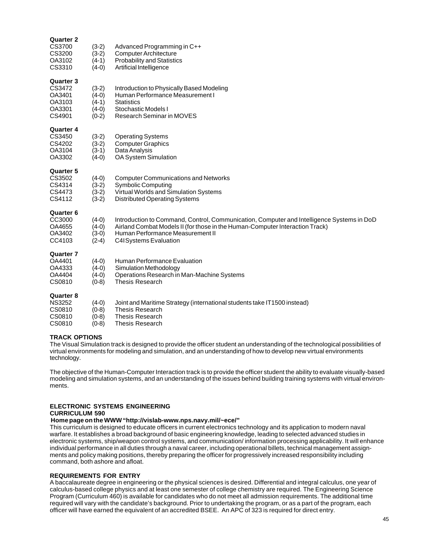| <b>Quarter 2</b><br>CS3700<br>CS3200<br>OA3102<br>CS3310           | $(3-2)$<br>$(3-2)$<br>$(4-1)$<br>$(4-0)$            | Advanced Programming in C++<br><b>Computer Architecture</b><br><b>Probability and Statistics</b><br>Artificial Intelligence                                                                                                                   |
|--------------------------------------------------------------------|-----------------------------------------------------|-----------------------------------------------------------------------------------------------------------------------------------------------------------------------------------------------------------------------------------------------|
| <b>Quarter 3</b><br>CS3472<br>OA3401<br>OA3103<br>OA3301<br>CS4901 | $(3-2)$<br>$(4-0)$<br>$(4-1)$<br>$(4-0)$<br>$(0-2)$ | Introduction to Physically Based Modeling<br>Human Performance Measurement I<br><b>Statistics</b><br>Stochastic Models I<br>Research Seminar in MOVES                                                                                         |
| <b>Quarter 4</b><br>CS3450<br>CS4202<br>OA3104<br>OA3302           | $(3-2)$<br>$(3-2)$<br>$(3-1)$<br>$(4-0)$            | <b>Operating Systems</b><br><b>Computer Graphics</b><br>Data Analysis<br>OA System Simulation                                                                                                                                                 |
| <b>Quarter 5</b><br>CS3502<br>CS4314<br>CS4473<br>CS4112           | $(4-0)$<br>$(3-2)$<br>$(3-2)$<br>$(3-2)$            | <b>Computer Communications and Networks</b><br><b>Symbolic Computing</b><br>Virtual Worlds and Simulation Systems<br><b>Distributed Operating Systems</b>                                                                                     |
| <b>Quarter 6</b><br>CC3000<br>OA4655<br>OA3402<br>CC4103           | $(4-0)$<br>$(4-0)$<br>$(3-0)$<br>$(2-4)$            | Introduction to Command, Control, Communication, Computer and Intelligence Systems in DoD<br>Airland Combat Models II (for those in the Human-Computer Interaction Track)<br>Human Performance Measurement II<br><b>C4ISystems Evaluation</b> |
| <b>Quarter 7</b><br>OA4401<br>OA4333<br>OA4404<br>CS0810           | $(4-0)$<br>$(4-0)$<br>$(4-0)$<br>$(0-8)$            | Human Performance Evaluation<br>Simulation Methodology<br>Operations Research in Man-Machine Systems<br><b>Thesis Research</b>                                                                                                                |
| <b>Quarter 8</b><br><b>NS3252</b><br>CS0810<br>CS0810<br>CS0810    | $(4-0)$<br>$(0-8)$<br>$(0-8)$<br>$(0-8)$            | Joint and Maritime Strategy (international students take IT1500 instead)<br><b>Thesis Research</b><br><b>Thesis Research</b><br><b>Thesis Research</b>                                                                                        |

## **TRACK OPTIONS**

The Visual Simulation track is designed to provide the officer student an understanding of the technological possibilities of virtual environments for modeling and simulation, and an understanding of how to develop new virtual environments technology.

The objective of the Human-Computer Interaction track is to provide the officer student the ability to evaluate visually-based modeling and simulation systems, and an understanding of the issues behind building training systems with virtual environments.

## **ELECTRONIC SYSTEMS ENGINEERING CURRICULUM 590**

## **Home page on the WWW "http://vislab-www.nps.navy.mil/~ece/"**

This curriculum is designed to educate officers in current electronics technology and its application to modern naval warfare. It establishes a broad background of basic engineering knowledge, leading to selected advanced studies in electronic systems, ship/weapon control systems, and communication/ information processing applicability. It will enhance individual performance in all duties through a naval career, including operational billets, technical management assignments and policy making positions, thereby preparing the officer for progressively increased responsibility including command, both ashore and afloat.

## **REQUIREMENTS FOR ENTRY**

A baccalaureate degree in engineering or the physical sciences is desired. Differential and integral calculus, one year of calculus-based college physics and at least one semester of college chemistry are required. The Engineering Science Program (Curriculum 460) is available for candidates who do not meet all admission requirements. The additional time required will vary with the candidate's background. Prior to undertaking the program, or as a part of the program, each officer will have earned the equivalent of an accredited BSEE. An APC of 323 is required for direct entry.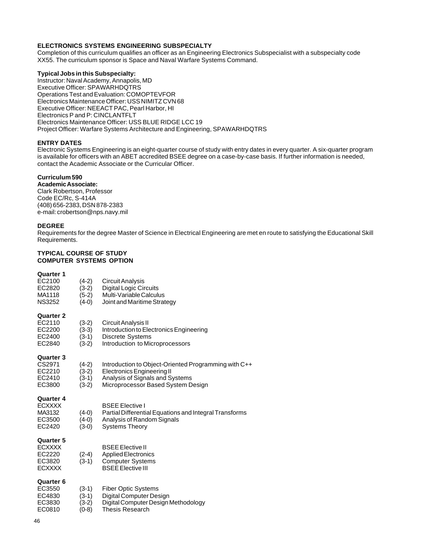## **ELECTRONICS SYSTEMS ENGINEERING SUBSPECIALTY**

Completion of this curriculum qualifies an officer as an Engineering Electronics Subspecialist with a subspecialty code XX55. The curriculum sponsor is Space and Naval Warfare Systems Command.

## **Typical Jobs in this Subspecialty:**

Instructor: Naval Academy, Annapolis, MD Executive Officer: SPAWARHDQTRS Operations Test and Evaluation: COMOPTEVFOR Electronics Maintenance Officer: USS NIMITZ CVN 68 Executive Officer: NEEACT PAC, Pearl Harbor, HI Electronics P and P: CINCLANTFLT Electronics Maintenance Officer: USS BLUE RIDGE LCC 19 Project Officer: Warfare Systems Architecture and Engineering, SPAWARHDQTRS

## **ENTRY DATES**

Electronic Systems Engineering is an eight-quarter course of study with entry dates in every quarter. A six-quarter program is available for officers with an ABET accredited BSEE degree on a case-by-case basis. If further information is needed, contact the Academic Associate or the Curricular Officer.

## **Curriculum 590**

## **Academic Associate:**

Clark Robertson, Professor Code EC/Rc, S-414A (408) 656-2383, DSN 878-2383 e-mail: crobertson@nps.navy.mil

## **DEGREE**

Requirements for the degree Master of Science in Electrical Engineering are met en route to satisfying the Educational Skill Requirements.

#### **TYPICAL COURSE OF STUDY COMPUTER SYSTEMS OPTION**

## **Quarter 1**

| EC2100<br>EC2820<br>MA1118<br><b>NS3252</b>                            | $(4-2)$<br>$(3-2)$<br>$(5-2)$<br>$(4-0)$ | Circuit Analysis<br><b>Digital Logic Circuits</b><br>Multi-Variable Calculus<br>Joint and Maritime Strategy                                                        |
|------------------------------------------------------------------------|------------------------------------------|--------------------------------------------------------------------------------------------------------------------------------------------------------------------|
| <b>Quarter 2</b><br>EC2110<br>EC2200<br>EC2400<br>EC2840               | $(3-2)$<br>$(3-3)$<br>$(3-1)$<br>$(3-2)$ | Circuit Analysis II<br>Introduction to Electronics Engineering<br><b>Discrete Systems</b><br>Introduction to Microprocessors                                       |
| <b>Quarter 3</b><br>CS2971<br>EC2210<br>EC2410<br>EC3800               | $(4-2)$<br>$(3-2)$<br>$(3-1)$<br>$(3-2)$ | Introduction to Object-Oriented Programming with C++<br><b>Electronics Engineering II</b><br>Analysis of Signals and Systems<br>Microprocessor Based System Design |
| <b>Quarter 4</b><br><b>ECXXXX</b><br>MA3132<br>EC3500<br>EC2420        | $(4-0)$<br>$(4-0)$<br>$(3-0)$            | <b>BSEE Elective I</b><br>Partial Differential Equations and Integral Transforms<br>Analysis of Random Signals<br><b>Systems Theory</b>                            |
| <b>Quarter 5</b><br><b>ECXXXX</b><br>EC2220<br>EC3820<br><b>ECXXXX</b> | $(2-4)$<br>$(3-1)$                       | <b>BSEE Elective II</b><br><b>Applied Electronics</b><br><b>Computer Systems</b><br><b>BSEE Elective III</b>                                                       |
| <b>Quarter 6</b><br>EC3550<br>EC4830<br>EC3830<br>EC0810               | $(3-1)$<br>$(3-1)$<br>$(3-2)$<br>$(0-8)$ | <b>Fiber Optic Systems</b><br>Digital Computer Design<br>Digital Computer Design Methodology<br>Thesis Research                                                    |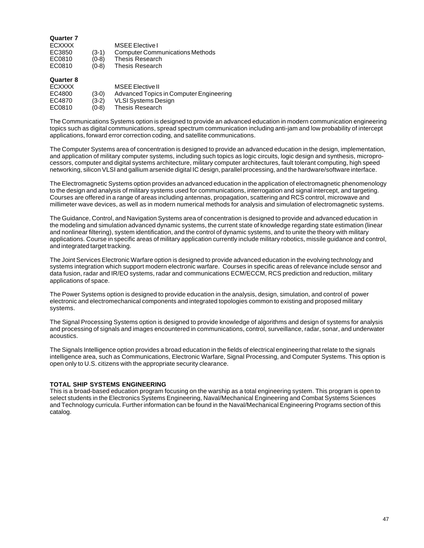| <b>Quarter 7</b><br><b>ECXXXX</b><br>EC3850<br>EC0810 | $(3-1)$<br>$(0-8)$ | <b>MSEE Elective I</b><br><b>Computer Communications Methods</b><br><b>Thesis Research</b> |
|-------------------------------------------------------|--------------------|--------------------------------------------------------------------------------------------|
| EC0810<br><b>Quarter 8</b>                            | $(0-8)$            | <b>Thesis Research</b>                                                                     |

| <b>ECXXXX</b> |         | MSEE Elective II                        |
|---------------|---------|-----------------------------------------|
| EC4800        | $(3-0)$ | Advanced Topics in Computer Engineering |
| EC4870        | $(3-2)$ | <b>VLSI Systems Design</b>              |
| EC0810        | $(0-8)$ | Thesis Research                         |

The Communications Systems option is designed to provide an advanced education in modern communication engineering topics such as digital communications, spread spectrum communication including anti-jam and low probability of intercept applications, forward error correction coding, and satellite communications.

The Computer Systems area of concentration is designed to provide an advanced education in the design, implementation, and application of military computer systems, including such topics as logic circuits, logic design and synthesis, microprocessors, computer and digital systems architecture, military computer architectures, fault tolerant computing, high speed networking, silicon VLSI and gallium arsenide digital IC design, parallel processing, and the hardware/software interface.

The Electromagnetic Systems option provides an advanced education in the application of electromagnetic phenomenology to the design and analysis of military systems used for communications, interrogation and signal intercept, and targeting. Courses are offered in a range of areas including antennas, propagation, scattering and RCS control, microwave and millimeter wave devices, as well as in modern numerical methods for analysis and simulation of electromagnetic systems.

The Guidance, Control, and Navigation Systems area of concentration is designed to provide and advanced education in the modeling and simulation advanced dynamic systems, the current state of knowledge regarding state estimation (linear and nonlinear filtering), system identification, and the control of dynamic systems, and to unite the theory with military applications. Course in specific areas of military application currently include military robotics, missile guidance and control, and integrated target tracking.

The Joint Services Electronic Warfare option is designed to provide advanced education in the evolving technology and systems integration which support modern electronic warfare. Courses in specific areas of relevance include sensor and data fusion, radar and IR/EO systems, radar and communications ECM/ECCM, RCS prediction and reduction, military applications of space.

The Power Systems option is designed to provide education in the analysis, design, simulation, and control of power electronic and electromechanical components and integrated topologies common to existing and proposed military systems.

The Signal Processing Systems option is designed to provide knowledge of algorithms and design of systems for analysis and processing of signals and images encountered in communications, control, surveillance, radar, sonar, and underwater acoustics.

The Signals Intelligence option provides a broad education in the fields of electrical engineering that relate to the signals intelligence area, such as Communications, Electronic Warfare, Signal Processing, and Computer Systems. This option is open only to U.S. citizens with the appropriate security clearance.

## **TOTAL SHIP SYSTEMS ENGINEERING**

This is a broad-based education program focusing on the warship as a total engineering system. This program is open to select students in the Electronics Systems Engineering, Naval/Mechanical Engineering and Combat Systems Sciences and Technology curricula. Further information can be found in the Naval/Mechanical Engineering Programs section of this catalog.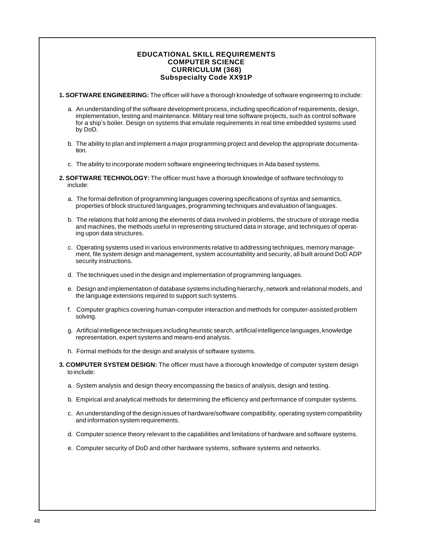## **EDUCATIONAL SKILL REQUIREMENTS COMPUTER SCIENCE CURRICULUM (368) Subspecialty Code XX91P**

- **1. SOFTWARE ENGINEERING:** The officer will have a thorough knowledge of software engineering to include:
	- a. An understanding of the software development process, including specification of requirements, design, implementation, testing and maintenance. Military real time software projects, such as control software for a ship's boiler. Design on systems that emulate requirements in real time embedded systems used by DoD.
	- b. The ability to plan and implement a major programming project and develop the appropriate documentation.
	- c. The ability to incorporate modern software engineering techniques in Ada based systems.
- **2. SOFTWARE TECHNOLOGY:** The officer must have a thorough knowledge of software technology to include:
	- a. The formal definition of programming languages covering specifications of syntax and semantics, properties of block structured languages, programming techniques and evaluation of languages.
	- b. The relations that hold among the elements of data involved in problems, the structure of storage media and machines, the methods useful in representing structured data in storage, and techniques of operating upon data structures.
	- c. Operating systems used in various environments relative to addressing techniques, memory management, file system design and management, system accountability and security, all built around DoD ADP security instructions.
	- d. The techniques used in the design and implementation of programming languages.
	- e. Design and implementation of database systems including hierarchy, network and relational models, and the language extensions required to support such systems.
	- f. Computer graphics covering human-computer interaction and methods for computer-assisted problem solving.
	- g. Artificial intelligence techniques including heuristic search, artificial intelligence languages, knowledge representation, expert systems and means-end analysis.
	- h. Formal methods for the design and analysis of software systems.
- **3. COMPUTER SYSTEM DESIGN:** The officer must have a thorough knowledge of computer system design to include:
	- a. System analysis and design theory encompassing the basics of analysis, design and testing.
	- b. Empirical and analytical methods for determining the efficiency and performance of computer systems.
	- c. An understanding of the design issues of hardware/software compatibility, operating system compatibility and information system requirements.
	- d. Computer science theory relevant to the capabilities and limitations of hardware and software systems.
	- e. Computer security of DoD and other hardware systems, software systems and networks.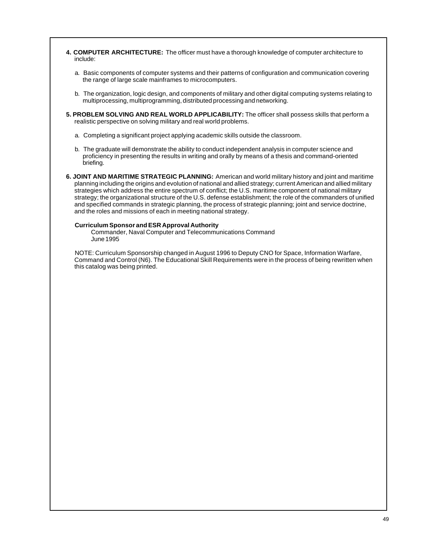- **4. COMPUTER ARCHITECTURE:** The officer must have a thorough knowledge of computer architecture to include:
	- a. Basic components of computer systems and their patterns of configuration and communication covering the range of large scale mainframes to microcomputers.
	- b. The organization, logic design, and components of military and other digital computing systems relating to multiprocessing, multiprogramming, distributed processing and networking.
- **5. PROBLEM SOLVING AND REAL WORLD APPLICABILITY:** The officer shall possess skills that perform a realistic perspective on solving military and real world problems.
	- a. Completing a significant project applying academic skills outside the classroom.
	- b. The graduate will demonstrate the ability to conduct independent analysis in computer science and proficiency in presenting the results in writing and orally by means of a thesis and command-oriented briefing.
- **6. JOINT AND MARITIME STRATEGIC PLANNING:** American and world military history and joint and maritime planning including the origins and evolution of national and allied strategy; current American and allied military strategies which address the entire spectrum of conflict; the U.S. maritime component of national military strategy; the organizational structure of the U.S. defense establishment; the role of the commanders of unified and specified commands in strategic planning, the process of strategic planning; joint and service doctrine, and the roles and missions of each in meeting national strategy.

## **Curriculum Sponsor and ESR Approval Authority**

Commander, Naval Computer and Telecommunications Command June 1995

NOTE: Curriculum Sponsorship changed in August 1996 to Deputy CNO for Space, Information Warfare, Command and Control (N6). The Educational Skill Requirements were in the process of being rewritten when this catalog was being printed.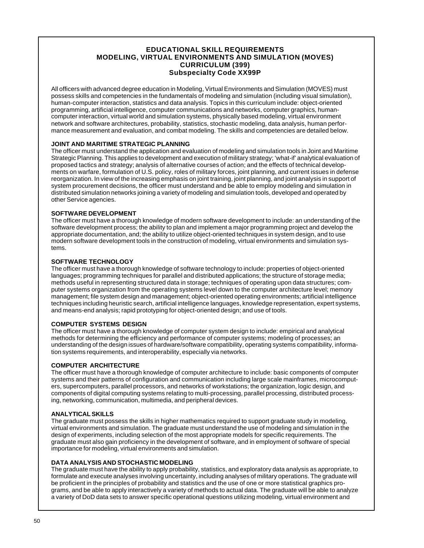## **EDUCATIONAL SKILL REQUIREMENTS MODELING, VIRTUAL ENVIRONMENTS AND SIMULATION (MOVES) CURRICULUM (399) Subspecialty Code XX99P**

All officers with advanced degree education in Modeling, Virtual Environments and Simulation (MOVES) must possess skills and competencies in the fundamentals of modeling and simulation (including visual simulation), human-computer interaction, statistics and data analysis. Topics in this curriculum include: object-oriented programming, artificial intelligence, computer communications and networks, computer graphics, humancomputer interaction, virtual world and simulation systems, physically based modeling, virtual environment network and software architectures, probability, statistics, stochastic modeling, data analysis, human performance measurement and evaluation, and combat modeling. The skills and competencies are detailed below.

## **JOINT AND MARITIME STRATEGIC PLANNING**

The officer must understand the application and evaluation of modeling and simulation tools in Joint and Maritime Strategic Planning. This applies to development and execution of military strategy; 'what-if' analytical evaluation of proposed tactics and strategy; analysis of alternative courses of action; and the effects of technical developments on warfare, formulation of U.S. policy, roles of military forces, joint planning, and current issues in defense reorganization. In view of the increasing emphasis on joint training, joint planning, and joint analysis in support of system procurement decisions, the officer must understand and be able to employ modeling and simulation in distributed simulation networks joining a variety of modeling and simulation tools, developed and operated by other Service agencies.

## **SOFTWARE DEVELOPMENT**

The officer must have a thorough knowledge of modern software development to include: an understanding of the software development process; the ability to plan and implement a major programming project and develop the appropriate documentation, and; the ability to utilize object-oriented techniques in system design, and to use modern software development tools in the construction of modeling, virtual environments and simulation systems.

## **SOFTWARE TECHNOLOGY**

The officer must have a thorough knowledge of software technology to include: properties of object-oriented languages; programming techniques for parallel and distributed applications; the structure of storage media; methods useful in representing structured data in storage; techniques of operating upon data structures; computer systems organization from the operating systems level down to the computer architecture level; memory management; file system design and management; object-oriented operating environments; artificial intelligence techniques including heuristic search, artificial intelligence languages, knowledge representation, expert systems, and means-end analysis; rapid prototyping for object-oriented design; and use of tools.

## **COMPUTER SYSTEMS DESIGN**

The officer must have a thorough knowledge of computer system design to include: empirical and analytical methods for determining the efficiency and performance of computer systems; modeling of processes; an understanding of the design issues of hardware/software compatibility, operating systems compatibility, information systems requirements, and interoperability, especially via networks.

## **COMPUTER ARCHITECTURE**

The officer must have a thorough knowledge of computer architecture to include: basic components of computer systems and their patterns of configuration and communication including large scale mainframes, microcomputers, supercomputers, parallel processors, and networks of workstations; the organization, logic design, and components of digital computing systems relating to multi-processing, parallel processing, distributed processing, networking, communication, multimedia, and peripheral devices.

## **ANALYTICAL SKILLS**

The graduate must possess the skills in higher mathematics required to support graduate study in modeling, virtual environments and simulation. The graduate must understand the use of modeling and simulation in the design of experiments, including selection of the most appropriate models for specific requirements. The graduate must also gain proficiency in the development of software, and in employment of software of special importance for modeling, virtual environments and simulation.

## **DATA ANALYSIS AND STOCHASTIC MODELING**

The graduate must have the ability to apply probability, statistics, and exploratory data analysis as appropriate, to formulate and execute analyses involving uncertainty, including analyses of military operations. The graduate will be proficient in the principles of probability and statistics and the use of one or more statistical graphics programs, and be able to apply interactively a variety of methods to actual data. The graduate will be able to analyze a variety of DoD data sets to answer specific operational questions utilizing modeling, virtual environment and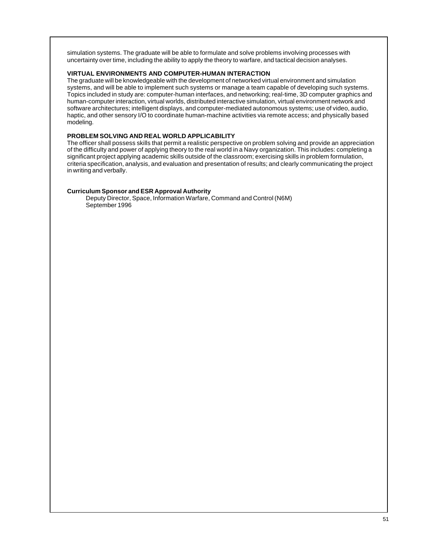simulation systems. The graduate will be able to formulate and solve problems involving processes with uncertainty over time, including the ability to apply the theory to warfare, and tactical decision analyses.

## **VIRTUAL ENVIRONMENTS AND COMPUTER-HUMAN INTERACTION**

The graduate will be knowledgeable with the development of networked virtual environment and simulation systems, and will be able to implement such systems or manage a team capable of developing such systems. Topics included in study are: computer-human interfaces, and networking; real-time, 3D computer graphics and human-computer interaction, virtual worlds, distributed interactive simulation, virtual environment network and software architectures; intelligent displays, and computer-mediated autonomous systems; use of video, audio, haptic, and other sensory I/O to coordinate human-machine activities via remote access; and physically based modeling.

## **PROBLEM SOLVING AND REAL WORLD APPLICABILITY**

The officer shall possess skills that permit a realistic perspective on problem solving and provide an appreciation of the difficulty and power of applying theory to the real world in a Navy organization. This includes: completing a significant project applying academic skills outside of the classroom; exercising skills in problem formulation, criteria specification, analysis, and evaluation and presentation of results; and clearly communicating the project in writing and verbally.

## **Curriculum Sponsor and ESR Approval Authority**

Deputy Director, Space, Information Warfare, Command and Control (N6M) September 1996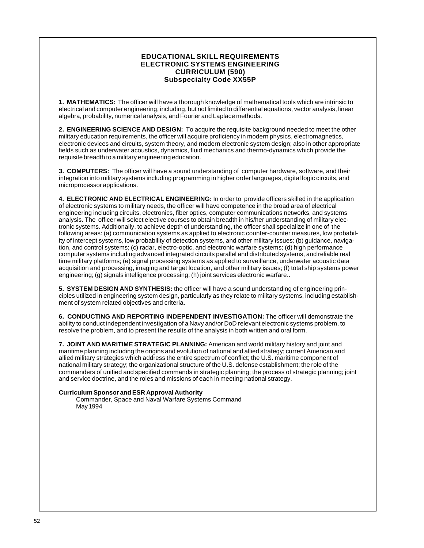## **EDUCATIONAL SKILL REQUIREMENTS ELECTRONIC SYSTEMS ENGINEERING CURRICULUM (590) Subspecialty Code XX55P**

**1. MATHEMATICS:** The officer will have a thorough knowledge of mathematical tools which are intrinsic to electrical and computer engineering, including, but not limited to differential equations, vector analysis, linear algebra, probability, numerical analysis, and Fourier and Laplace methods.

**2. ENGINEERING SCIENCE AND DESIGN:** To acquire the requisite background needed to meet the other military education requirements, the officer will acquire proficiency in modern physics, electromagnetics, electronic devices and circuits, system theory, and modern electronic system design; also in other appropriate fields such as underwater acoustics, dynamics, fluid mechanics and thermo-dynamics which provide the requisite breadth to a military engineering education.

**3. COMPUTERS:** The officer will have a sound understanding of computer hardware, software, and their integration into military systems including programming in higher order languages, digital logic circuits, and microprocessor applications.

**4. ELECTRONIC AND ELECTRICAL ENGINEERING:** In order to provide officers skilled in the application of electronic systems to military needs, the officer will have competence in the broad area of electrical engineering including circuits, electronics, fiber optics, computer communications networks, and systems analysis. The officer will select elective courses to obtain breadth in his/her understanding of military electronic systems. Additionally, to achieve depth of understanding, the officer shall specialize in one of the following areas: (a) communication systems as applied to electronic counter-counter measures, low probability of intercept systems, low probability of detection systems, and other military issues; (b) guidance, navigation, and control systems; (c) radar, electro-optic, and electronic warfare systems; (d) high performance computer systems including advanced integrated circuits parallel and distributed systems, and reliable real time military platforms; (e) signal processing systems as applied to surveillance, underwater acoustic data acquisition and processing, imaging and target location, and other military issues; (f) total ship systems power engineering; (g) signals intelligence processing; (h) joint services electronic warfare..

**5. SYSTEM DESIGN AND SYNTHESIS:** the officer will have a sound understanding of engineering principles utilized in engineering system design, particularly as they relate to military systems, including establishment of system related objectives and criteria.

**6. CONDUCTING AND REPORTING INDEPENDENT INVESTIGATION:** The officer will demonstrate the ability to conduct independent investigation of a Navy and/or DoD relevant electronic systems problem, to resolve the problem, and to present the results of the analysis in both written and oral form.

**7. JOINT AND MARITIME STRATEGIC PLANNING:** American and world military history and joint and maritime planning including the origins and evolution of national and allied strategy; current American and allied military strategies which address the entire spectrum of conflict; the U.S. maritime component of national military strategy; the organizational structure of the U.S. defense establishment; the role of the commanders of unified and specified commands in strategic planning; the process of strategic planning; joint and service doctrine, and the roles and missions of each in meeting national strategy.

## **Curriculum Sponsor and ESR Approval Authority**

Commander, Space and Naval Warfare Systems Command May 1994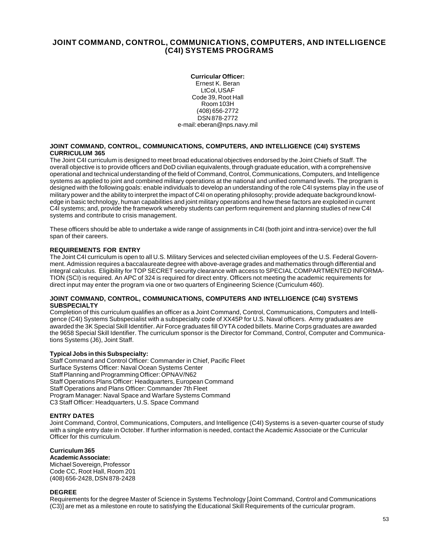## **JOINT COMMAND, CONTROL, COMMUNICATIONS, COMPUTERS, AND INTELLIGENCE (C4I) SYSTEMS PROGRAMS**

#### **Curricular Officer:**

Ernest K. Beran LtCol, USAF Code 39, Root Hall Room 103H (408) 656-2772 DSN 878-2772 e-mail: eberan@nps.navy.mil

#### **JOINT COMMAND, CONTROL, COMMUNICATIONS, COMPUTERS, AND INTELLIGENCE (C4I) SYSTEMS CURRICULUM 365**

The Joint C4I curriculum is designed to meet broad educational objectives endorsed by the Joint Chiefs of Staff. The overall objective is to provide officers and DoD civilian equivalents, through graduate education, with a comprehensive operational and technical understanding of the field of Command, Control, Communications, Computers, and Intelligence systems as applied to joint and combined military operations at the national and unified command levels. The program is designed with the following goals: enable individuals to develop an understanding of the role C4I systems play in the use of military power and the ability to interpret the impact of C4I on operating philosophy; provide adequate background knowledge in basic technology, human capabilities and joint military operations and how these factors are exploited in current C4I systems; and, provide the framework whereby students can perform requirement and planning studies of new C4I systems and contribute to crisis management.

These officers should be able to undertake a wide range of assignments in C4I (both joint and intra-service) over the full span of their careers.

## **REQUIREMENTS FOR ENTRY**

The Joint C4I curriculum is open to all U.S. Military Services and selected civilian employees of the U.S. Federal Government. Admission requires a baccalaureate degree with above-average grades and mathematics through differential and integral calculus. Eligibility for TOP SECRET security clearance with access to SPECIAL COMPARTMENTED INFORMA-TION (SCI) is required. An APC of 324 is required for direct entry. Officers not meeting the academic requirements for direct input may enter the program via one or two quarters of Engineering Science (Curriculum 460).

#### **JOINT COMMAND, CONTROL, COMMUNICATIONS, COMPUTERS AND INTELLIGENCE (C4I) SYSTEMS SUBSPECIALTY**

Completion of this curriculum qualifies an officer as a Joint Command, Control, Communications, Computers and Intelligence (C4I) Systems Subspecialist with a subspecialty code of XX45P for U.S. Naval officers. Army graduates are awarded the 3K Special Skill Identifier. Air Force graduates fill OYTA coded billets. Marine Corps graduates are awarded the 9658 Special Skill Identifier. The curriculum sponsor is the Director for Command, Control, Computer and Communications Systems (J6), Joint Staff.

## **Typical Jobs in this Subspecialty:**

Staff Command and Control Officer: Commander in Chief, Pacific Fleet Surface Systems Officer: Naval Ocean Systems Center Staff Planning and Programming Officer: OPNAV/N62 Staff Operations Plans Officer: Headquarters, European Command Staff Operations and Plans Officer: Commander 7th Fleet Program Manager: Naval Space and Warfare Systems Command C3 Staff Officer: Headquarters, U.S. Space Command

## **ENTRY DATES**

Joint Command, Control, Communications, Computers, and Intelligence (C4I) Systems is a seven-quarter course of study with a single entry date in October. If further information is needed, contact the Academic Associate or the Curricular Officer for this curriculum.

## **Curriculum 365**

## **Academic Associate:**

Michael Sovereign, Professor Code CC, Root Hall, Room 201 (408) 656-2428, DSN 878-2428

## **DEGREE**

Requirements for the degree Master of Science in Systems Technology [Joint Command, Control and Communications (C3)] are met as a milestone en route to satisfying the Educational Skill Requirements of the curricular program.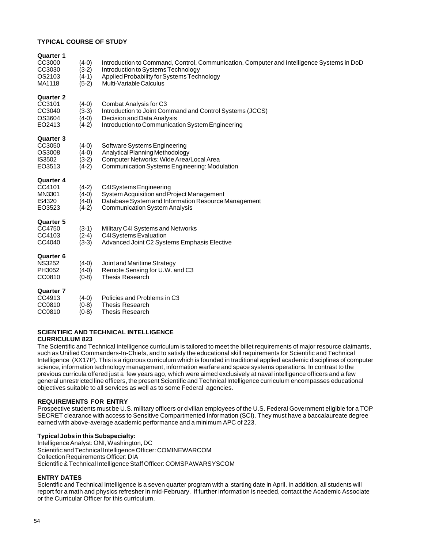## **TYPICAL COURSE OF STUDY**

| <b>Quarter 1</b><br>CC3000<br>CC3030<br>OS2103<br>MA1118        | $(4-0)$<br>$(3-2)$<br>$(4-1)$<br>$(5-2)$ | Introduction to Command, Control, Communication, Computer and Intelligence Systems in DoD<br>Introduction to Systems Technology<br>Applied Probability for Systems Technology<br>Multi-Variable Calculus |
|-----------------------------------------------------------------|------------------------------------------|----------------------------------------------------------------------------------------------------------------------------------------------------------------------------------------------------------|
| <b>Quarter 2</b><br>CC3101<br>CC3040<br>OS3604<br>EO2413        | $(4-0)$<br>$(3-3)$<br>$(4-0)$<br>$(4-2)$ | Combat Analysis for C3<br>Introduction to Joint Command and Control Systems (JCCS)<br>Decision and Data Analysis<br>Introduction to Communication System Engineering                                     |
| <b>Quarter 3</b><br>CC3050<br>OS3008<br>IS3502<br>EO3513        | $(4-0)$<br>$(4-0)$<br>$(3-2)$<br>$(4-2)$ | Software Systems Engineering<br>Analytical Planning Methodology<br>Computer Networks: Wide Area/Local Area<br>Communication Systems Engineering: Modulation                                              |
| <b>Quarter 4</b><br>CC4101<br>MN3301<br><b>IS4320</b><br>EO3523 | $(4-2)$<br>$(4-0)$<br>$(4-0)$<br>$(4-2)$ | C4ISystems Engineering<br>System Acquisition and Project Management<br>Database System and Information Resource Management<br><b>Communication System Analysis</b>                                       |
| <b>Quarter 5</b><br>CC4750<br>CC4103<br>CC4040                  | $(3-1)$<br>$(2-4)$<br>$(3-3)$            | Military C4I Systems and Networks<br><b>C4ISystems Evaluation</b><br>Advanced Joint C2 Systems Emphasis Elective                                                                                         |
| <b>Quarter 6</b><br><b>NS3252</b><br>PH3052<br>CC0810           | $(4-0)$<br>$(4-0)$<br>$(0-8)$            | Joint and Maritime Strategy<br>Remote Sensing for U.W. and C3<br><b>Thesis Research</b>                                                                                                                  |
| <b>Quarter 7</b><br>CC4913<br>CC0810<br>CC0810                  | $(4-0)$<br>$(0-8)$<br>$(0-8)$            | Policies and Problems in C3<br><b>Thesis Research</b><br>Thesis Research                                                                                                                                 |

# **SCIENTIFIC AND TECHNICAL INTELLIGENCE**

## **CURRICULUM 823**

The Scientific and Technical Intelligence curriculum is tailored to meet the billet requirements of major resource claimants, such as Unified Commanders-In-Chiefs, and to satisfy the educational skill requirements for Scientific and Technical Intelligence (XX17P). This is a rigorous curriculum which is founded in traditional applied academic disciplines of computer science, information technology management, information warfare and space systems operations. In contrast to the previous curricula offered just a few years ago, which were aimed exclusively at naval intelligence officers and a few general unrestricted line officers, the present Scientific and Technical Intelligence curriculum encompasses educational objectives suitable to all services as well as to some Federal agencies.

## **REQUIREMENTS FOR ENTRY**

Prospective students must be U.S. military officers or civilian employees of the U.S. Federal Government eligible for a TOP SECRET clearance with access to Sensitive Compartmented Information (SCI). They must have a baccalaureate degree earned with above-average academic performance and a minimum APC of 223.

## **Typical Jobs in this Subspecialty:**

Intelligence Analyst: ONI, Washington, DC Scientific and Technical Intelligence Officer: COMINEWARCOM Collection Requirements Officer: DIA Scientific & Technical Intelligence Staff Officer: COMSPAWARSYSCOM

## **ENTRY DATES**

Scientific and Technical Intelligence is a seven quarter program with a starting date in April. In addition, all students will report for a math and physics refresher in mid-February. If further information is needed, contact the Academic Associate or the Curricular Officer for this curriculum.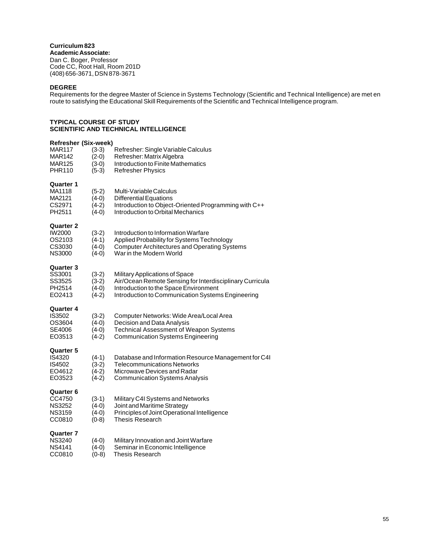**Curriculum 823 Academic Associate:** Dan C. Boger, Professor Code CC, Root Hall, Room 201D (408) 656-3671, DSN 878-3671

## **DEGREE**

Requirements for the degree Master of Science in Systems Technology (Scientific and Technical Intelligence) are met en route to satisfying the Educational Skill Requirements of the Scientific and Technical Intelligence program.

## **TYPICAL COURSE OF STUDY SCIENTIFIC AND TECHNICAL INTELLIGENCE**

| <b>Refresher (Six-week)</b> |                    |                                                          |
|-----------------------------|--------------------|----------------------------------------------------------|
| MAR117                      | $(3-3)$            | Refresher: Single Variable Calculus                      |
| <b>MAR142</b>               | $(2-0)$            | Refresher: Matrix Algebra                                |
| MAR125                      | $(3-0)$            | Introduction to Finite Mathematics                       |
| <b>PHR110</b>               | $(5-3)$            | <b>Refresher Physics</b>                                 |
| Quarter 1                   |                    |                                                          |
| MA1118                      | $(5-2)$            | Multi-Variable Calculus                                  |
| MA2121                      | $(4-0)$            | <b>Differential Equations</b>                            |
| CS2971                      | $(4-2)$            | Introduction to Object-Oriented Programming with C++     |
| PH <sub>2511</sub>          | $(4-0)$            | Introduction to Orbital Mechanics                        |
| Quarter 2                   |                    |                                                          |
| IW2000                      | $(3-2)$            | Introduction to Information Warfare                      |
| OS2103                      | $(4-1)$            | Applied Probability for Systems Technology               |
| CS3030                      | $(4-0)$            | <b>Computer Architectures and Operating Systems</b>      |
| <b>NS3000</b>               | $(4-0)$            | War in the Modern World                                  |
| Quarter 3                   |                    |                                                          |
| SS3001                      | $(3-2)$            | Military Applications of Space                           |
| SS3525                      | $(3-2)$            | Air/Ocean Remote Sensing for Interdisciplinary Curricula |
| PH2514                      | $(4-0)$            | Introduction to the Space Environment                    |
| EO2413                      | $(4-2)$            | Introduction to Communication Systems Engineering        |
| Quarter 4                   |                    |                                                          |
| <b>IS3502</b>               | $(3-2)$            | Computer Networks: Wide Area/Local Area                  |
| OS3604                      | $(4-0)$            | Decision and Data Analysis                               |
| SE4006                      | $(4-0)$            | <b>Technical Assessment of Weapon Systems</b>            |
| EO3513                      | $(4-2)$            | <b>Communication Systems Engineering</b>                 |
| Quarter 5                   |                    |                                                          |
| IS4320                      | $(4-1)$            | Database and Information Resource Management for C4I     |
| IS4502                      | $(3-2)$            | <b>Telecommunications Networks</b>                       |
| EO4612<br>EO3523            | $(4-2)$<br>$(4-2)$ | Microwave Devices and Radar                              |
|                             |                    | <b>Communication Systems Analysis</b>                    |
| Quarter 6                   |                    |                                                          |
| CC4750                      | $(3-1)$            | Military C4I Systems and Networks                        |
| <b>NS3252</b>               | $(4-0)$            | Joint and Maritime Strategy                              |
| <b>NS3159</b>               | $(4-0)$            | Principles of Joint Operational Intelligence             |
| CC0810                      | $(0-8)$            | Thesis Research                                          |
| Quarter 7                   |                    |                                                          |
| <b>NS3240</b>               | $(4-0)$            | Military Innovation and Joint Warfare                    |
| <b>NS4141</b>               | $(4-0)$            | Seminar in Economic Intelligence                         |
| CC0810                      | $(0-8)$            | Thesis Research                                          |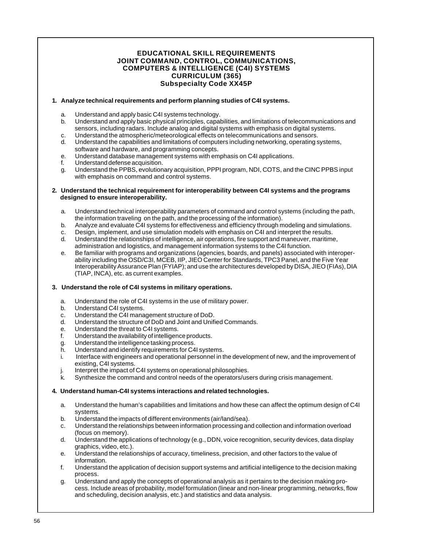## **EDUCATIONAL SKILL REQUIREMENTS JOINT COMMAND, CONTROL, COMMUNICATIONS, COMPUTERS & INTELLIGENCE (C4I) SYSTEMS CURRICULUM (365) Subspecialty Code XX45P**

## **1. Analyze technical requirements and perform planning studies of C4I systems.**

- a. Understand and apply basic C4I systems technology.
- b. Understand and apply basic physical principles, capabilities, and limitations of telecommunications and sensors, including radars. Include analog and digital systems with emphasis on digital systems.
- c. Understand the atmospheric/meteorological effects on telecommunications and sensors.
- d. Understand the capabilities and limitations of computers including networking, operating systems, software and hardware, and programming concepts.
- e. Understand database management systems with emphasis on C4I applications.
- f. Understand defense acquisition.
- g. Understand the PPBS, evolutionary acquisition, PPPI program, NDI, COTS, and the CINC PPBS input with emphasis on command and control systems.

#### **2. Understand the technical requirement for interoperability between C4I systems and the programs designed to ensure interoperability.**

- a. Understand technical interoperability parameters of command and control systems (including the path, the information traveling on the path, and the processing of the information).
- b. Analyze and evaluate C4I systems for effectiveness and efficiency through modeling and simulations.
- c. Design, implement, and use simulation models with emphasis on C4I and interpret the results.
- d. Understand the relationships of intelligence, air operations, fire support and maneuver, maritime, administration and logistics, and management information systems to the C4I function.
- e. Be familiar with programs and organizations (agencies, boards, and panels) associated with interoperability including the OSD/C3I, MCEB, IIP, JIEO Center for Standards, TPC3 Panel, and the Five Year Interoperability Assurance Plan (FYIAP); and use the architectures developed by DISA, JIEO (FIAs), DIA (TIAP, INCA), etc. as current examples.

## **3. Understand the role of C4I systems in military operations.**

- a. Understand the role of C4I systems in the use of military power.
- b. Understand C4I systems.
- c. Understand the C4I management structure of DoD.
- d. Understand the structure of DoD and Joint and Unified Commands.
- e. Understand the threat to C4I systems.
- f. Understand the availability of intelligence products.
- g. Understand the intelligence tasking process.
- h. Understand and identify requirements for C4I systems.
- i. Interface with engineers and operational personnel in the development of new, and the improvement of existing, C4I systems.
- Interpret the impact of C4I systems on operational philosophies.
- k. Synthesize the command and control needs of the operators/users during crisis management.

## **4. Understand human-C4I systems interactions and related technologies.**

- a. Understand the human's capabilities and limitations and how these can affect the optimum design of C4I systems.
- b. Understand the impacts of different environments (air/land/sea).
- c. Understand the relationships between information processing and collection and information overload (focus on memory).
- d. Understand the applications of technology (e.g., DDN, voice recognition, security devices, data display graphics, video, etc.).
- e. Understand the relationships of accuracy, timeliness, precision, and other factors to the value of information.
- f. Understand the application of decision support systems and artificial intelligence to the decision making process.
- g. Understand and apply the concepts of operational analysis as it pertains to the decision making process. Include areas of probability, model formulation (linear and non-linear programming, networks, flow and scheduling, decision analysis, etc.) and statistics and data analysis.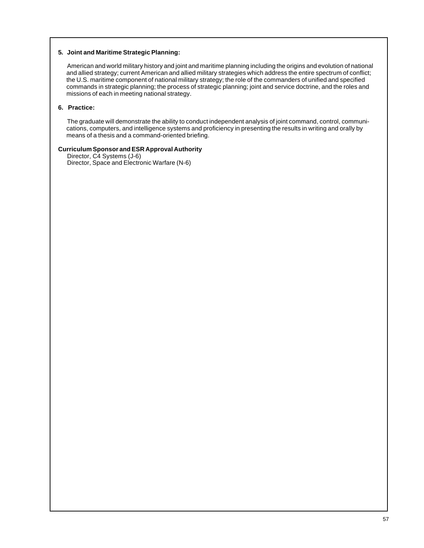## **5. Joint and Maritime Strategic Planning:**

American and world military history and joint and maritime planning including the origins and evolution of national and allied strategy; current American and allied military strategies which address the entire spectrum of conflict; the U.S. maritime component of national military strategy; the role of the commanders of unified and specified commands in strategic planning; the process of strategic planning; joint and service doctrine, and the roles and missions of each in meeting national strategy.

## **6. Practice:**

The graduate will demonstrate the ability to conduct independent analysis of joint command, control, communications, computers, and intelligence systems and proficiency in presenting the results in writing and orally by means of a thesis and a command-oriented briefing.

## **Curriculum Sponsor and ESR Approval Authority**

Director, C4 Systems (J-6) Director, Space and Electronic Warfare (N-6)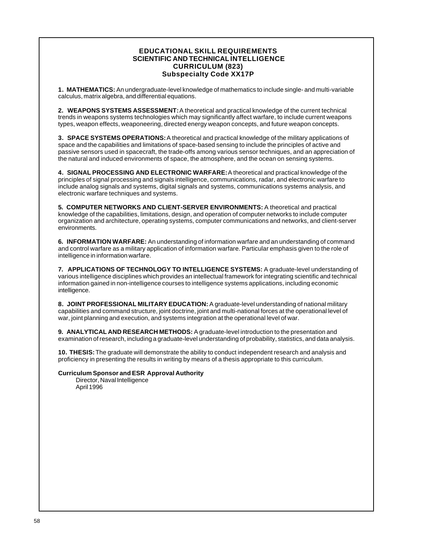## **EDUCATIONAL SKILL REQUIREMENTS SCIENTIFIC AND TECHNICALINTELLIGENCE CURRICULUM (823) Subspecialty Code XX17P**

**1. MATHEMATICS:** An undergraduate-level knowledge of mathematics to include single- and multi-variable calculus, matrix algebra, and differential equations.

**2. WEAPONS SYSTEMS ASSESSMENT:** A theoretical and practical knowledge of the current technical trends in weapons systems technologies which may significantly affect warfare, to include current weapons types, weapon effects, weaponeering, directed energy weapon concepts, and future weapon concepts.

**3. SPACE SYSTEMS OPERATIONS:** A theoretical and practical knowledge of the military applications of space and the capabilities and limitations of space-based sensing to include the principles of active and passive sensors used in spacecraft, the trade-offs among various sensor techniques, and an appreciation of the natural and induced environments of space, the atmosphere, and the ocean on sensing systems.

**4. SIGNAL PROCESSING AND ELECTRONIC WARFARE:** A theoretical and practical knowledge of the principles of signal processing and signals intelligence, communications, radar, and electronic warfare to include analog signals and systems, digital signals and systems, communications systems analysis, and electronic warfare techniques and systems.

**5. COMPUTER NETWORKS AND CLIENT-SERVER ENVIRONMENTS:** A theoretical and practical knowledge of the capabilities, limitations, design, and operation of computer networks to include computer organization and architecture, operating systems, computer communications and networks, and client-server environments.

**6. INFORMATION WARFARE:** An understanding of information warfare and an understanding of command and control warfare as a military application of information warfare. Particular emphasis given to the role of intelligence in information warfare.

**7. APPLICATIONS OF TECHNOLOGY TO INTELLIGENCE SYSTEMS:** A graduate-level understanding of various intelligence disciplines which provides an intellectual framework for integrating scientific and technical information gained in non-intelligence courses to intelligence systems applications, including economic intelligence.

**8. JOINT PROFESSIONAL MILITARY EDUCATION:** A graduate-level understanding of national military capabilities and command structure, joint doctrine, joint and multi-national forces at the operational level of war, joint planning and execution, and systems integration at the operational level of war.

**9. ANALYTICAL AND RESEARCH METHODS:** A graduate-level introduction to the presentation and examination of research, including a graduate-level understanding of probability, statistics, and data analysis.

**10. THESIS:** The graduate will demonstrate the ability to conduct independent research and analysis and proficiency in presenting the results in writing by means of a thesis appropriate to this curriculum.

## **Curriculum Sponsor and ESR Approval Authority**

Director, Naval Intelligence April 1996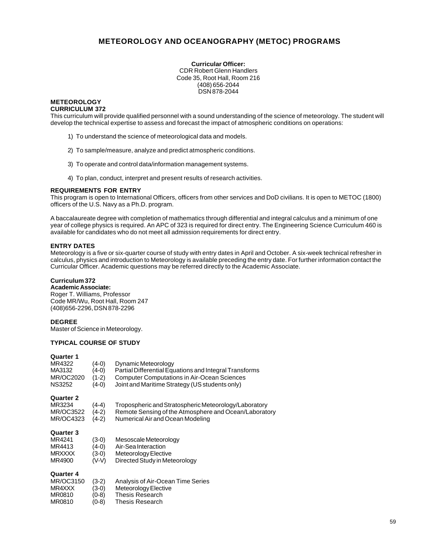# **METEOROLOGY AND OCEANOGRAPHY (METOC) PROGRAMS**

**Curricular Officer:** CDR Robert Glenn Handlers Code 35, Root Hall, Room 216 (408) 656-2044 DSN 878-2044

#### **METEOROLOGY CURRICULUM 372**

This curriculum will provide qualified personnel with a sound understanding of the science of meteorology. The student will develop the technical expertise to assess and forecast the impact of atmospheric conditions on operations:

- 1) To understand the science of meteorological data and models.
- 2) To sample/measure, analyze and predict atmospheric conditions.
- 3) To operate and control data/information management systems.
- 4) To plan, conduct, interpret and present results of research activities.

## **REQUIREMENTS FOR ENTRY**

This program is open to International Officers, officers from other services and DoD civilians. It is open to METOC (1800) officers of the U.S. Navy as a Ph.D. program.

A baccalaureate degree with completion of mathematics through differential and integral calculus and a minimum of one year of college physics is required. An APC of 323 is required for direct entry. The Engineering Science Curriculum 460 is available for candidates who do not meet all admission requirements for direct entry.

## **ENTRY DATES**

Meteorology is a five or six-quarter course of study with entry dates in April and October. A six-week technical refresher in calculus, physics and introduction to Meteorology is available preceding the entry date. For further information contact the Curricular Officer. Academic questions may be referred directly to the Academic Associate.

## **Curriculum 372**

**Academic Associate:** Roger T. Williams, Professor Code MR/Wu, Root Hall, Room 247 (408)656-2296, DSN 878-2296

## **DEGREE**

Master of Science in Meteorology.

## **TYPICAL COURSE OF STUDY**

#### **Quarter 1**

| MR4322<br>MA3132<br><b>MR/OC2020</b><br><b>NS3252</b>       | (4-0)<br>(4-0)<br>$(1-2)$<br>(4-0) | Dynamic Meteorology<br>Partial Differential Equations and Integral Transforms<br><b>Computer Computations in Air-Ocean Sciences</b><br>Joint and Maritime Strategy (US students only) |
|-------------------------------------------------------------|------------------------------------|---------------------------------------------------------------------------------------------------------------------------------------------------------------------------------------|
| Quarter 2<br>MR3234<br><b>MR/OC3522</b><br><b>MR/OC4323</b> | (4-4)<br>(4-2)<br>$(4-2)$          | Tropospheric and Stratospheric Meteorology/Laboratory<br>Remote Sensing of the Atmosphere and Ocean/Laboratory<br>Numerical Air and Ocean Modeling                                    |
| Quarter 3<br>MR4241<br>MR4413<br><b>MRXXXX</b><br>MR4900    | (3-0)<br>(4-0)<br>(3-0)<br>(V-V)   | Mesoscale Meteorology<br>Air-Sea Interaction<br>Meteorology Elective<br>Directed Study in Meteorology                                                                                 |
| Quarter 4<br>MR/OC3150<br>MR4XXX<br>MR0810                  | $(3-2)$<br>(3-0)<br>0-8)           | Analysis of Air-Ocean Time Series<br>Meteorology Elective<br>Thesis Research                                                                                                          |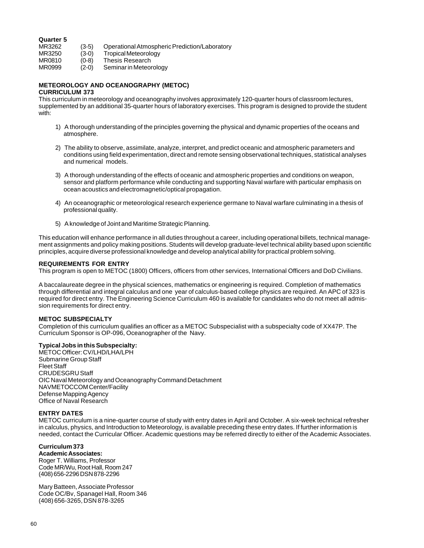# **Quarter 5**

- MR3262 (3-5) Operational Atmospheric Prediction/Laboratory<br>MR3250 (3-0) Tropical Meteorology
- Tropical Meteorology
- 
- MR0810 (0-8) Thesis Research<br>MR0999 (2-0) Seminar in Meteor Seminar in Meteorology

# **METEOROLOGY AND OCEANOGRAPHY (METOC)**

## **CURRICULUM 373**

This curriculum in meteorology and oceanography involves approximately 120-quarter hours of classroom lectures, supplemented by an additional 35-quarter hours of laboratory exercises. This program is designed to provide the student with:

- 1) A thorough understanding of the principles governing the physical and dynamic properties of the oceans and atmosphere.
- 2) The ability to observe, assimilate, analyze, interpret, and predict oceanic and atmospheric parameters and conditions using field experimentation, direct and remote sensing observational techniques, statistical analyses and numerical models.
- 3) A thorough understanding of the effects of oceanic and atmospheric properties and conditions on weapon, sensor and platform performance while conducting and supporting Naval warfare with particular emphasis on ocean acoustics and electromagnetic/optical propagation.
- 4) An oceanographic or meteorological research experience germane to Naval warfare culminating in a thesis of professional quality.
- 5) A knowledge of Joint and Maritime Strategic Planning.

This education will enhance performance in all duties throughout a career, including operational billets, technical management assignments and policy making positions. Students will develop graduate-level technical ability based upon scientific principles, acquire diverse professional knowledge and develop analytical ability for practical problem solving.

#### **REQUIREMENTS FOR ENTRY**

This program is open to METOC (1800) Officers, officers from other services, International Officers and DoD Civilians.

A baccalaureate degree in the physical sciences, mathematics or engineering is required. Completion of mathematics through differential and integral calculus and one year of calculus-based college physics are required. An APC of 323 is required for direct entry. The Engineering Science Curriculum 460 is available for candidates who do not meet all admission requirements for direct entry.

#### **METOC SUBSPECIALTY**

Completion of this curriculum qualifies an officer as a METOC Subspecialist with a subspecialty code of XX47P. The Curriculum Sponsor is OP-096, Oceanographer of the Navy.

#### **Typical Jobs in this Subspecialty:**

METOC Officer: CV/LHD/LHA/LPH Submarine Group Staff Fleet Staff CRUDESGRU Staff OIC Naval Meteorology and Oceanography Command Detachment NAVMETOCCOM Center/Facility Defense Mapping Agency Office of Naval Research

#### **ENTRY DATES**

METOC curriculum is a nine-quarter course of study with entry dates in April and October. A six-week technical refresher in calculus, physics, and Introduction to Meteorology, is available preceding these entry dates. If further information is needed, contact the Curricular Officer. Academic questions may be referred directly to either of the Academic Associates.

## **Curriculum 373**

**Academic Associates:** Roger T. Williams, Professor Code MR/Wu, Root Hall, Room 247 (408) 656-2296 DSN 878-2296

Mary Batteen, Associate Professor Code OC/Bv, Spanagel Hall, Room 346 (408) 656-3265, DSN 878-3265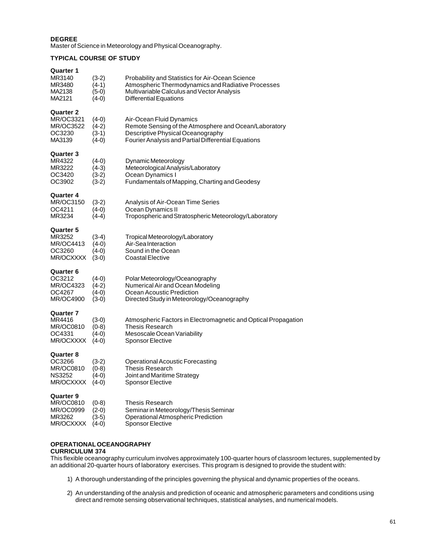## **DEGREE**

Master of Science in Meteorology and Physical Oceanography.

## **TYPICAL COURSE OF STUDY**

| <b>Quarter 1</b><br>MR3140<br>MR3480<br>MA2138<br>MA2121                 | $(3-2)$<br>$(4-1)$<br>$(5-0)$<br>$(4-0)$ | Probability and Statistics for Air-Ocean Science<br>Atmospheric Thermodynamics and Radiative Processes<br>Multivariable Calculus and Vector Analysis<br>Differential Equations |
|--------------------------------------------------------------------------|------------------------------------------|--------------------------------------------------------------------------------------------------------------------------------------------------------------------------------|
| <b>Quarter 2</b><br>MR/OC3321<br><b>MR/OC3522</b><br>OC3230<br>MA3139    | $(4-0)$<br>$(4-2)$<br>$(3-1)$<br>$(4-0)$ | Air-Ocean Fluid Dynamics<br>Remote Sensing of the Atmosphere and Ocean/Laboratory<br>Descriptive Physical Oceanography<br>Fourier Analysis and Partial Differential Equations  |
| <b>Quarter 3</b><br>MR4322<br>MR3222<br>OC3420<br>OC3902                 | $(4-0)$<br>$(4-3)$<br>$(3-2)$<br>$(3-2)$ | Dynamic Meteorology<br>Meteorological Analysis/Laboratory<br>Ocean Dynamics I<br>Fundamentals of Mapping, Charting and Geodesy                                                 |
| Quarter 4<br>MR/OC3150<br>OC4211<br>MR3234                               | $(3-2)$<br>$(4-0)$<br>$(4-4)$            | Analysis of Air-Ocean Time Series<br>Ocean Dynamics II<br>Tropospheric and Stratospheric Meteorology/Laboratory                                                                |
| <b>Quarter 5</b><br>MR3252<br>MR/OC4413<br>OC3260<br>MR/OCXXXX           | $(3-4)$<br>$(4-0)$<br>$(4-0)$<br>$(3-0)$ | Tropical Meteorology/Laboratory<br>Air-Sea Interaction<br>Sound in the Ocean<br><b>Coastal Elective</b>                                                                        |
| <b>Quarter 6</b><br>OC3212<br>MR/OC4323<br>OC4267<br>MR/OC4900           | $(4-0)$<br>$(4-2)$<br>$(4-0)$<br>$(3-0)$ | Polar Meteorology/Oceanography<br>Numerical Air and Ocean Modeling<br>Ocean Acoustic Prediction<br>Directed Study in Meteorology/Oceanography                                  |
| <b>Quarter 7</b><br>MR4416<br>MR/OC0810<br>OC4331<br>MR/OCXXXX           | $(3-0)$<br>$(0-8)$<br>$(4-0)$<br>$(4-0)$ | Atmospheric Factors in Electromagnetic and Optical Propagation<br><b>Thesis Research</b><br>Mesoscale Ocean Variability<br>Sponsor Elective                                    |
| <b>Quarter 8</b><br>OC3266<br>MR/OC0810<br><b>NS3252</b><br>MR/OCXXXX    | $(3-2)$<br>$(0-8)$<br>$(4-0)$<br>$(4-0)$ | <b>Operational Acoustic Forecasting</b><br><b>Thesis Research</b><br>Joint and Maritime Strategy<br>Sponsor Elective                                                           |
| <b>Quarter 9</b><br><b>MR/OC0810</b><br>MR/OC0999<br>MR3262<br>MR/OCXXXX | $(0-8)$<br>$(2-0)$<br>$(3-5)$<br>$(4-0)$ | Thesis Research<br>Seminar in Meteorology/Thesis Seminar<br>Operational Atmospheric Prediction<br>Sponsor Elective                                                             |

## **OPERATIONAL OCEANOGRAPHY CURRICULUM 374**

This flexible oceanography curriculum involves approximately 100-quarter hours of classroom lectures, supplemented by an additional 20-quarter hours of laboratory exercises. This program is designed to provide the student with:

- 1) A thorough understanding of the principles governing the physical and dynamic properties of the oceans.
- 2) An understanding of the analysis and prediction of oceanic and atmospheric parameters and conditions using direct and remote sensing observational techniques, statistical analyses, and numerical models.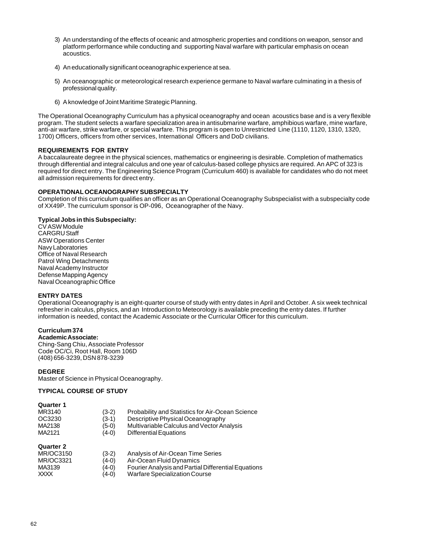- 3) An understanding of the effects of oceanic and atmospheric properties and conditions on weapon, sensor and platform performance while conducting and supporting Naval warfare with particular emphasis on ocean acoustics.
- 4) An educationally significant oceanographic experience at sea.
- 5) An oceanographic or meteorological research experience germane to Naval warfare culminating in a thesis of professional quality.
- 6) A knowledge of Joint Maritime Strategic Planning.

The Operational Oceanography Curriculum has a physical oceanography and ocean acoustics base and is a very flexible program. The student selects a warfare specialization area in antisubmarine warfare, amphibious warfare, mine warfare, anti-air warfare, strike warfare, or special warfare. This program is open to Unrestricted Line (1110, 1120, 1310, 1320, 1700) Officers, officers from other services, International Officers and DoD civilians.

## **REQUIREMENTS FOR ENTRY**

A baccalaureate degree in the physical sciences, mathematics or engineering is desirable. Completion of mathematics through differential and integral calculus and one year of calculus-based college physics are required. An APC of 323 is required for direct entry. The Engineering Science Program (Curriculum 460) is available for candidates who do not meet all admission requirements for direct entry.

## **OPERATIONAL OCEANOGRAPHY SUBSPECIALTY**

Completion of this curriculum qualifies an officer as an Operational Oceanography Subspecialist with a subspecialty code of XX49P. The curriculum sponsor is OP-096, Oceanographer of the Navy.

## **Typical Jobs in this Subspecialty:**

CV ASW Module CARGRU Staff ASW Operations Center Navy Laboratories Office of Naval Research Patrol Wing Detachments Naval Academy Instructor Defense Mapping Agency Naval Oceanographic Office

## **ENTRY DATES**

Operational Oceanography is an eight-quarter course of study with entry dates in April and October. A six week technical refresher in calculus, physics, and an Introduction to Meteorology is available preceding the entry dates. If further information is needed, contact the Academic Associate or the Curricular Officer for this curriculum.

## **Curriculum 374**

**Academic Associate:** Ching-Sang Chiu, Associate Professor Code OC/Ci, Root Hall, Room 106D (408) 656-3239, DSN 878-3239

## **DEGREE**

Master of Science in Physical Oceanography.

## **TYPICAL COURSE OF STUDY**

#### **Quarter 1**

| Quarter 2 |         |                                                  |
|-----------|---------|--------------------------------------------------|
| MA2121    | $(4-0)$ | Differential Equations                           |
| MA2138    | $(5-0)$ | Multivariable Calculus and Vector Analysis       |
| OC3230    | $(3-1)$ | Descriptive Physical Oceanography                |
| MR3140    | $(3-2)$ | Probability and Statistics for Air-Ocean Science |

| --------         |         |                                                     |
|------------------|---------|-----------------------------------------------------|
| <b>MR/OC3150</b> | $(3-2)$ | Analysis of Air-Ocean Time Series                   |
| MR/OC3321        | $(4-0)$ | Air-Ocean Fluid Dynamics                            |
| MA3139           | $(4-0)$ | Fourier Analysis and Partial Differential Equations |
| <b>XXXX</b>      | $(4-0)$ | Warfare Specialization Course                       |
|                  |         |                                                     |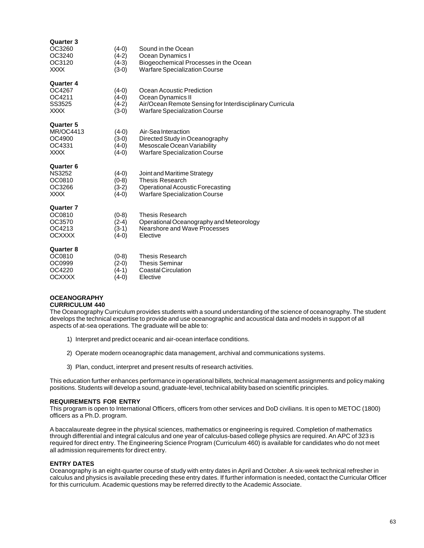| <b>Quarter 3</b><br>OC3260<br>OC3240<br>OC3120<br><b>XXXX</b>    | $(4-0)$<br>$(4-2)$<br>$(4-3)$<br>$(3-0)$ | Sound in the Ocean<br>Ocean Dynamics I<br>Biogeochemical Processes in the Ocean<br><b>Warfare Specialization Course</b>                            |
|------------------------------------------------------------------|------------------------------------------|----------------------------------------------------------------------------------------------------------------------------------------------------|
| <b>Quarter 4</b><br>OC4267<br>OC4211<br>SS3525<br><b>XXXX</b>    | $(4-0)$<br>$(4-0)$<br>$(4-2)$<br>$(3-0)$ | Ocean Acoustic Prediction<br>Ocean Dynamics II<br>Air/Ocean Remote Sensing for Interdisciplinary Curricula<br><b>Warfare Specialization Course</b> |
| <b>Quarter 5</b><br><b>MR/OC4413</b><br>OC4900<br>OC4331<br>XXXX | $(4-0)$<br>$(3-0)$<br>$(4-0)$<br>$(4-0)$ | Air-Sea Interaction<br>Directed Study in Oceanography<br>Mesoscale Ocean Variability<br><b>Warfare Specialization Course</b>                       |
| Quarter 6<br><b>NS3252</b><br>OC0810<br>OC3266<br><b>XXXX</b>    | $(4-0)$<br>$(0-8)$<br>$(3-2)$<br>$(4-0)$ | Joint and Maritime Strategy<br><b>Thesis Research</b><br>Operational Acoustic Forecasting<br><b>Warfare Specialization Course</b>                  |
| <b>Quarter 7</b><br>OC0810<br>OC3570<br>OC4213<br><b>OCXXXX</b>  | $(0-8)$<br>$(2-4)$<br>$(3-1)$<br>$(4-0)$ | <b>Thesis Research</b><br>Operational Oceanography and Meteorology<br>Nearshore and Wave Processes<br>Elective                                     |
| <b>Quarter 8</b><br>OC0810<br>OC0999<br>OC4220<br><b>OCXXXX</b>  | $(0-8)$<br>$(2-0)$<br>$(4-1)$<br>$(4-0)$ | <b>Thesis Research</b><br><b>Thesis Seminar</b><br>Coastal Circulation<br>Elective                                                                 |

#### **OCEANOGRAPHY CURRICULUM 440**

The Oceanography Curriculum provides students with a sound understanding of the science of oceanography. The student develops the technical expertise to provide and use oceanographic and acoustical data and models in support of all aspects of at-sea operations. The graduate will be able to:

- 1) Interpret and predict oceanic and air-ocean interface conditions.
- 2) Operate modern oceanographic data management, archival and communications systems.
- 3) Plan, conduct, interpret and present results of research activities.

This education further enhances performance in operational billets, technical management assignments and policy making positions. Students will develop a sound, graduate-level, technical ability based on scientific principles.

## **REQUIREMENTS FOR ENTRY**

This program is open to International Officers, officers from other services and DoD civilians. It is open to METOC (1800) officers as a Ph.D. program.

A baccalaureate degree in the physical sciences, mathematics or engineering is required. Completion of mathematics through differential and integral calculus and one year of calculus-based college physics are required. An APC of 323 is required for direct entry. The Engineering Science Program (Curriculum 460) is available for candidates who do not meet all admission requirements for direct entry.

## **ENTRY DATES**

Oceanography is an eight-quarter course of study with entry dates in April and October. A six-week technical refresher in calculus and physics is available preceding these entry dates. If further information is needed, contact the Curricular Officer for this curriculum. Academic questions may be referred directly to the Academic Associate.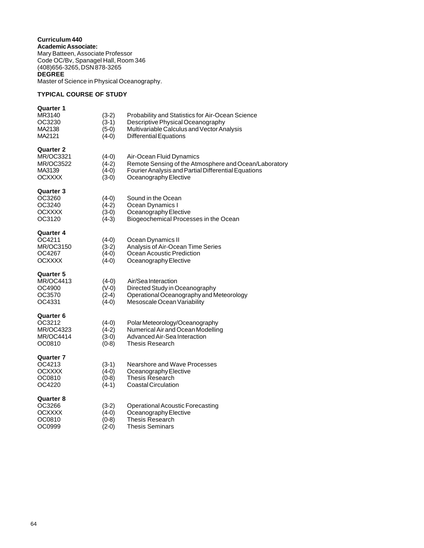**Curriculum 440 Academic Associate:** Mary Batteen, Associate Professor Code OC/Bv, Spanagel Hall, Room 346 (408)656-3265, DSN 878-3265 **DEGREE** Master of Science in Physical Oceanography.

## **TYPICAL COURSE OF STUDY**

| <b>Quarter 1</b><br>MR3140<br>OC3230<br>MA2138<br>MA2121                     | $(3-2)$<br>$(3-1)$<br>$(5-0)$<br>$(4-0)$ | Probability and Statistics for Air-Ocean Science<br>Descriptive Physical Oceanography<br>Multivariable Calculus and Vector Analysis<br><b>Differential Equations</b> |
|------------------------------------------------------------------------------|------------------------------------------|----------------------------------------------------------------------------------------------------------------------------------------------------------------------|
| <b>Quarter 2</b><br>MR/OC3321<br>MR/OC3522<br>MA3139<br><b>OCXXXX</b>        | $(4-0)$<br>$(4-2)$<br>$(4-0)$<br>$(3-0)$ | Air-Ocean Fluid Dynamics<br>Remote Sensing of the Atmosphere and Ocean/Laboratory<br>Fourier Analysis and Partial Differential Equations<br>Oceanography Elective    |
| <b>Quarter 3</b><br>OC3260<br>OC3240<br><b>OCXXXX</b><br>OC3120              | $(4-0)$<br>$(4-2)$<br>$(3-0)$<br>$(4-3)$ | Sound in the Ocean<br>Ocean Dynamics I<br>Oceanography Elective<br>Biogeochemical Processes in the Ocean                                                             |
| <b>Quarter 4</b><br>OC4211<br><b>MR/OC3150</b><br>OC4267<br><b>OCXXXX</b>    | $(4-0)$<br>$(3-2)$<br>$(4-0)$<br>$(4-0)$ | Ocean Dynamics II<br>Analysis of Air-Ocean Time Series<br>Ocean Acoustic Prediction<br>Oceanography Elective                                                         |
| <b>Quarter 5</b><br><b>MR/OC4413</b><br>OC4900<br>OC3570<br>OC4331           | $(4-0)$<br>$(V-0)$<br>$(2-4)$<br>$(4-0)$ | Air/Sea Interaction<br>Directed Study in Oceanography<br>Operational Oceanography and Meteorology<br>Mesoscale Ocean Variability                                     |
| <b>Quarter 6</b><br>OC3212<br><b>MR/OC4323</b><br><b>MR/OC4414</b><br>OC0810 | $(4-0)$<br>$(4-2)$<br>$(3-0)$<br>$(0-8)$ | Polar Meteorology/Oceanography<br>Numerical Air and Ocean Modelling<br>Advanced Air-Sea Interaction<br><b>Thesis Research</b>                                        |
| Quarter 7<br>OC4213<br><b>OCXXXX</b><br>OC0810<br>OC4220                     | $(3-1)$<br>$(4-0)$<br>$(0-8)$<br>$(4-1)$ | Nearshore and Wave Processes<br>Oceanography Elective<br><b>Thesis Research</b><br>Coastal Circulation                                                               |
| <b>Quarter 8</b><br>OC3266<br><b>OCXXXX</b><br>OC0810<br>OC0999              | $(3-2)$<br>$(4-0)$<br>$(0-8)$<br>$(2-0)$ | <b>Operational Acoustic Forecasting</b><br>Oceanography Elective<br>Thesis Research<br><b>Thesis Seminars</b>                                                        |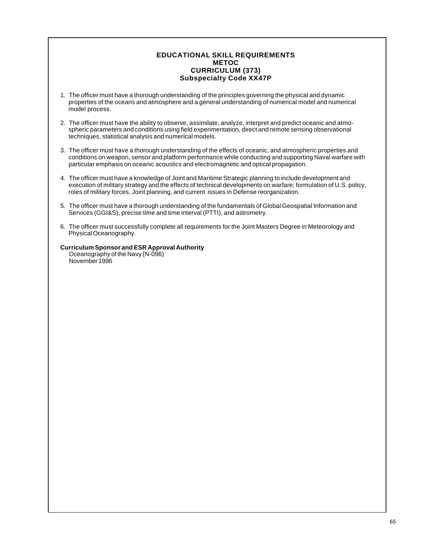## **EDUCATIONAL SKILL REQUIREMENTS METOC CURRICULUM (373) Subspecialty Code XX47P**

- 1. The officer must have a thorough understanding of the principles governing the physical and dynamic properties of the oceans and atmosphere and a general understanding of numerical model and numerical model process.
- 2. The officer must have the ability to observe, assimilate, analyze, interpret and predict oceanic and atmospheric parameters and conditions using field experimentation, direct and remote sensing observational techniques, statistical analysis and numerical models.
- 3. The officer must have a thorough understanding of the effects of oceanic, and atmospheric properties and conditions on weapon, sensor and platform performance while conducting and supporting Naval warfare with particular emphasis on oceanic acoustics and electromagnetic and optical propagation.
- 4. The officer must have a knowledge of Joint and Maritime Strategic planning to include development and execution of military strategy and the effects of technical developments on warfare; formulation of U.S. policy, roles of military forces, Joint planning, and current issues in Defense reorganization.
- 5. The officer must have a thorough understanding of the fundamentals of Global Geospatial Information and Services (GGI&S), precise time and time interval (PTTI), and astrometry.
- 6. The officer must successfully complete all requirements for the Joint Masters Degree in Meteorology and Physical Oceanography.

## **Curriculum Sponsor and ESR Approval Authority**

Oceanography of the Navy (N-096) November 1996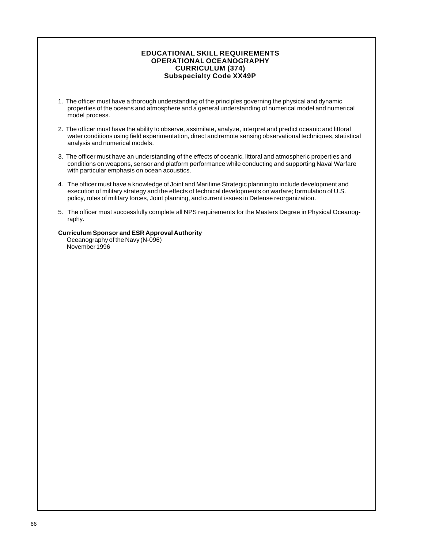## **EDUCATIONAL SKILL REQUIREMENTS OPERATIONAL OCEANOGRAPHY CURRICULUM (374) Subspecialty Code XX49P**

- 1. The officer must have a thorough understanding of the principles governing the physical and dynamic properties of the oceans and atmosphere and a general understanding of numerical model and numerical model process.
- 2. The officer must have the ability to observe, assimilate, analyze, interpret and predict oceanic and littoral water conditions using field experimentation, direct and remote sensing observational techniques, statistical analysis and numerical models.
- 3. The officer must have an understanding of the effects of oceanic, littoral and atmospheric properties and conditions on weapons, sensor and platform performance while conducting and supporting Naval Warfare with particular emphasis on ocean acoustics.
- 4. The officer must have a knowledge of Joint and Maritime Strategic planning to include development and execution of military strategy and the effects of technical developments on warfare; formulation of U.S. policy, roles of military forces, Joint planning, and current issues in Defense reorganization.
- 5. The officer must successfully complete all NPS requirements for the Masters Degree in Physical Oceanography.

## **Curriculum Sponsor and ESR Approval Authority**

Oceanography of the Navy (N-096) November 1996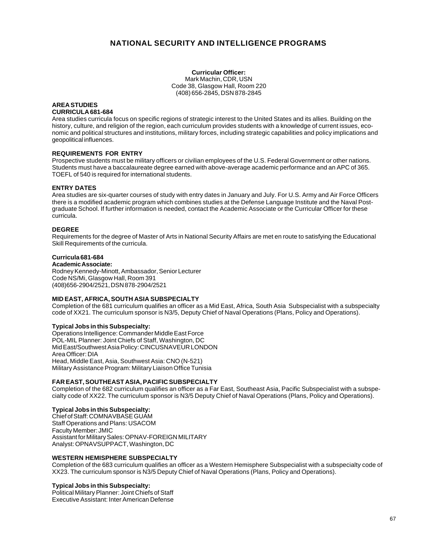# **NATIONAL SECURITY AND INTELLIGENCE PROGRAMS**

**Curricular Officer:** Mark Machin, CDR, USN Code 38, Glasgow Hall, Room 220 (408) 656-2845, DSN 878-2845

#### **AREA STUDIES CURRICULA 681-684**

Area studies curricula focus on specific regions of strategic interest to the United States and its allies. Building on the history, culture, and religion of the region, each curriculum provides students with a knowledge of current issues, economic and political structures and institutions, military forces, including strategic capabilities and policy implications and geopolitical influences.

## **REQUIREMENTS FOR ENTRY**

Prospective students must be military officers or civilian employees of the U.S. Federal Government or other nations. Students must have a baccalaureate degree earned with above-average academic performance and an APC of 365. TOEFL of 540 is required for international students.

## **ENTRY DATES**

Area studies are six-quarter courses of study with entry dates in January and July. For U.S. Army and Air Force Officers there is a modified academic program which combines studies at the Defense Language Institute and the Naval Postgraduate School. If further information is needed, contact the Academic Associate or the Curricular Officer for these curricula.

## **DEGREE**

Requirements for the degree of Master of Arts in National Security Affairs are met en route to satisfying the Educational Skill Requirements of the curricula.

## **Curricula 681-684**

**Academic Associate:** Rodney Kennedy-Minott, Ambassador, Senior Lecturer Code NS/Mi, Glasgow Hall, Room 391 (408)656-2904/2521, DSN 878-2904/2521

## **MID EAST, AFRICA, SOUTH ASIA SUBSPECIALTY**

Completion of the 681 curriculum qualifies an officer as a Mid East, Africa, South Asia Subspecialist with a subspecialty code of XX21. The curriculum sponsor is N3/5, Deputy Chief of Naval Operations (Plans, Policy and Operations).

## **Typical Jobs in this Subspecialty:**

Operations Intelligence: Commander Middle East Force POL-MIL Planner: Joint Chiefs of Staff, Washington, DC Mid East/Southwest Asia Policy: CINCUSNAVEUR LONDON Area Officer: DIA Head, Middle East, Asia, Southwest Asia: CNO (N-521) Military Assistance Program: Military Liaison Office Tunisia

## **FAR EAST, SOUTHEAST ASIA, PACIFIC SUBSPECIALTY**

Completion of the 682 curriculum qualifies an officer as a Far East, Southeast Asia, Pacific Subspecialist with a subspecialty code of XX22. The curriculum sponsor is N3/5 Deputy Chief of Naval Operations (Plans, Policy and Operations).

## **Typical Jobs in this Subspecialty:**

Chief of Staff: COMNAVBASE GUAM Staff Operations and Plans: USACOM Faculty Member: JMIC Assistant for Military Sales: OPNAV-FOREIGN MILITARY Analyst: OPNAVSUPPACT, Washington, DC

## **WESTERN HEMISPHERE SUBSPECIALTY**

Completion of the 683 curriculum qualifies an officer as a Western Hemisphere Subspecialist with a subspecialty code of XX23. The curriculum sponsor is N3/5 Deputy Chief of Naval Operations (Plans, Policy and Operations).

#### **Typical Jobs in this Subspecialty:**

Political Military Planner: Joint Chiefs of Staff Executive Assistant: Inter American Defense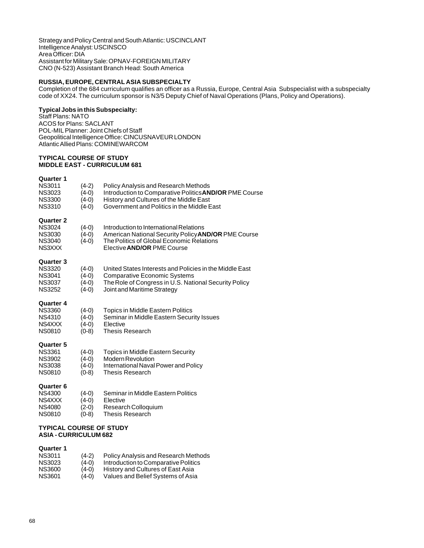Strategy and Policy Central and South Atlantic: USCINCLANT Intelligence Analyst: USCINSCO Area Officer: DIA Assistant for Military Sale: OPNAV-FOREIGN MILITARY CNO (N-523) Assistant Branch Head: South America

## **RUSSIA, EUROPE, CENTRAL ASIA SUBSPECIALTY**

Completion of the 684 curriculum qualifies an officer as a Russia, Europe, Central Asia Subspecialist with a subspecialty code of XX24. The curriculum sponsor is N3/5 Deputy Chief of Naval Operations (Plans, Policy and Operations).

## **Typical Jobs in this Subspecialty:**

Staff Plans: NATO ACOS for Plans: SACLANT POL-MIL Planner: Joint Chiefs of Staff Geopolitical Intelligence Office: CINCUSNAVEUR LONDON Atlantic Allied Plans: COMINEWARCOM

#### **TYPICAL COURSE OF STUDY MIDDLE EAST - CURRICULUM 681**

#### **Quarter 1**

| <b>TYPICAL COURSE OF STUDY</b><br><b>ASIA - CURRICULUM 682</b>                       |                                          |                                                                                                                                                                                                |
|--------------------------------------------------------------------------------------|------------------------------------------|------------------------------------------------------------------------------------------------------------------------------------------------------------------------------------------------|
| <b>Quarter 6</b><br><b>NS4300</b><br>NS4XXX<br><b>NS4080</b><br><b>NS0810</b>        | $(4-0)$<br>$(4-0)$<br>$(2-0)$<br>$(0-8)$ | Seminar in Middle Eastern Politics<br>Elective<br>Research Colloquium<br><b>Thesis Research</b>                                                                                                |
| <b>Quarter 5</b><br><b>NS3361</b><br><b>NS3902</b><br><b>NS3038</b><br><b>NS0810</b> | $(4-0)$<br>$(4-0)$<br>$(4-0)$<br>$(0-8)$ | <b>Topics in Middle Eastern Security</b><br><b>Modern Revolution</b><br>International Naval Power and Policy<br><b>Thesis Research</b>                                                         |
| <b>Quarter 4</b><br><b>NS3360</b><br>NS4310<br>NS4XXX<br><b>NS0810</b>               | $(4-0)$<br>$(4-0)$<br>$(4-0)$<br>$(0-8)$ | <b>Topics in Middle Eastern Politics</b><br>Seminar in Middle Eastern Security Issues<br>Elective<br><b>Thesis Research</b>                                                                    |
| <b>Quarter 3</b><br><b>NS3320</b><br><b>NS3041</b><br><b>NS3037</b><br><b>NS3252</b> | $(4-0)$<br>$(4-0)$<br>$(4-0)$<br>$(4-0)$ | United States Interests and Policies in the Middle East<br><b>Comparative Economic Systems</b><br>The Role of Congress in U.S. National Security Policy<br>Joint and Maritime Strategy         |
| <b>Quarter 2</b><br><b>NS3024</b><br><b>NS3030</b><br><b>NS3040</b><br>NS3XXX        | $(4-0)$<br>$(4-0)$<br>$(4-0)$            | Introduction to International Relations<br>American National Security Policy <b>AND/OR</b> PME Course<br>The Politics of Global Economic Relations<br>Elective <b>AND/OR</b> PME Course        |
| <b>NS3011</b><br><b>NS3023</b><br><b>NS3300</b><br><b>NS3310</b>                     | $(4-2)$<br>$(4-0)$<br>$(4-0)$<br>$(4-0)$ | Policy Analysis and Research Methods<br>Introduction to Comparative Politics <b>AND/OR</b> PME Course<br>History and Cultures of the Middle East<br>Government and Politics in the Middle East |

| <b>Quarter 1</b> |         |                                      |
|------------------|---------|--------------------------------------|
| <b>NS3011</b>    | $(4-2)$ | Policy Analysis and Research Methods |
| <b>NS3023</b>    | $(4-0)$ | Introduction to Comparative Politics |
| <b>NS3600</b>    | $(4-0)$ | History and Cultures of East Asia    |
| <b>NS3601</b>    | $(4-0)$ | Values and Belief Systems of Asia    |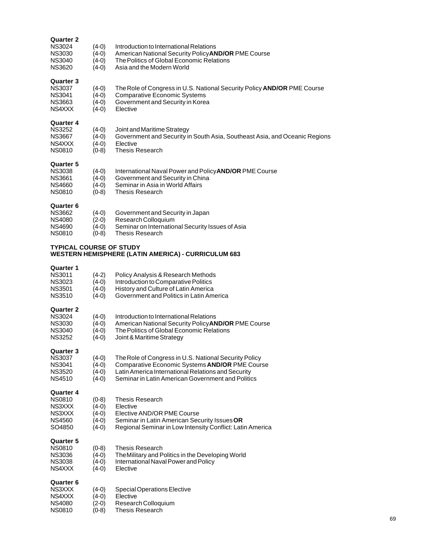## **Quarter 2**

| <b>NS3024</b> | $(4-0)$ | Introduction to International Relations                    |
|---------------|---------|------------------------------------------------------------|
| <b>NS3030</b> | $(4-0)$ | American National Security Policy <b>AND/OR</b> PME Course |
| NS3040        | $(4-0)$ | The Politics of Global Economic Relations                  |
| NS3620        | $(4-0)$ | Asia and the Modern World                                  |
|               |         |                                                            |

## **Quarter 3**

| <b>NS3037</b> | (4-0) |  |  |  | The Role of Congress in U.S. National Security Policy AND/OR PME Course |  |
|---------------|-------|--|--|--|-------------------------------------------------------------------------|--|
|               |       |  |  |  |                                                                         |  |

- NS3041 (4-0) Comparative Economic Systems
- NS3663 (4-0) Government and Security in Korea
- NS4XXX (4-0) Elective

## **Quarter 4**

| <b>NS3252</b> | $(4-0)$ | Joint and Maritime Strategy                                                |
|---------------|---------|----------------------------------------------------------------------------|
| <b>NS3667</b> | (4-0)   | Government and Security in South Asia, Southeast Asia, and Oceanic Regions |
| NS4XXX        | (4-0)   | Elective                                                                   |
| NS0810        | $(0-8)$ | Thesis Research                                                            |
|               |         |                                                                            |

## **Quarter 5**

| <b>NS3038</b><br>International Naval Power and Policy <b>AND/OR</b> PME Course<br>$(4-0)$ |  |
|-------------------------------------------------------------------------------------------|--|
| NS3661<br>Government and Security in China<br>$(4-0)$                                     |  |
|                                                                                           |  |
| NS4660<br>Seminar in Asia in World Affairs<br>$(4-0)$                                     |  |
| NS0810<br>$(0-8)$<br>Thesis Research                                                      |  |

## **Quarter 6**

| <b>NS3662</b> | $(4-0)$ | Government and Security in Japan                 |
|---------------|---------|--------------------------------------------------|
| NS4080        | $(2-0)$ | Research Colloquium                              |
| NS4690        | $(4-0)$ | Seminar on International Security Issues of Asia |
| NS0810        | $(0-8)$ | Thesis Research                                  |
|               |         |                                                  |

## **TYPICAL COURSE OF STUDY WESTERN HEMISPHERE (LATIN AMERICA) - CURRICULUM 683**

| Quarter 1<br><b>NS3011</b><br>NS3023<br><b>NS3501</b><br><b>NS3510</b>               | $(4-2)$<br>$(4-0)$<br>(4-0)<br>(4-0)              | Policy Analysis & Research Methods<br>Introduction to Comparative Politics<br>History and Culture of Latin America<br>Government and Politics in Latin America                                                     |
|--------------------------------------------------------------------------------------|---------------------------------------------------|--------------------------------------------------------------------------------------------------------------------------------------------------------------------------------------------------------------------|
| <b>Quarter 2</b><br><b>NS3024</b><br><b>NS3030</b><br><b>NS3040</b><br><b>NS3252</b> | $(4-0)$<br>$(4-0)$<br>$(4-0)$<br>$(4-0)$          | Introduction to International Relations<br>American National Security Policy AND/OR PME Course<br>The Politics of Global Economic Relations<br>Joint & Maritime Strategy                                           |
| Quarter 3<br><b>NS3037</b><br><b>NS3041</b><br><b>NS3520</b><br><b>NS4510</b>        | $(4-0)$<br>$(4-0)$<br>$(4-0)$<br>$(4-0)$          | The Role of Congress in U.S. National Security Policy<br>Comparative Economic Systems AND/OR PME Course<br>Latin America International Relations and Security<br>Seminar in Latin American Government and Politics |
| Quarter 4<br><b>NS0810</b><br>NS3XXX<br>NS3XXX<br>NS4560<br>SO4850                   | $(0-8)$<br>$(4-0)$<br>(4-0)<br>$(4-0)$<br>$(4-0)$ | Thesis Research<br>Elective<br>Elective AND/OR PME Course<br>Seminar in Latin American Security Issues OR<br>Regional Seminar in Low Intensity Conflict: Latin America                                             |
| Quarter 5<br><b>NS0810</b><br><b>NS3036</b><br><b>NS3038</b><br>NS4XXX               | $(0-8)$<br>$(4-0)$<br>$(4-0)$<br>$(4-0)$          | <b>Thesis Research</b><br>The Military and Politics in the Developing World<br>International Naval Power and Policy<br>Elective                                                                                    |
| <b>Quarter 6</b><br>NS3XXX<br>NS4XXX<br><b>NS4080</b><br><b>NS0810</b>               | (4-0)<br>(4-0)<br>(2-0)<br>$(0-8)$                | Special Operations Elective<br>Elective<br>Research Colloquium<br>Thesis Research                                                                                                                                  |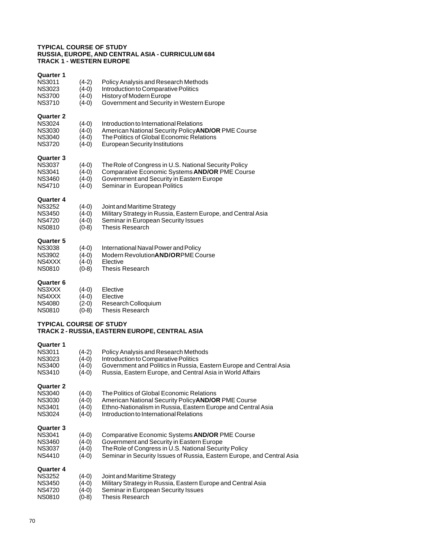#### **TYPICAL COURSE OF STUDY RUSSIA, EUROPE, AND CENTRAL ASIA - CURRICULUM 684 TRACK 1 - WESTERN EUROPE**

| Quarter 1<br><b>NS3011</b><br><b>NS3023</b><br><b>NS3700</b><br><b>NS3710</b>        | (4-2)<br>$(4-0)$<br>$(4-0)$<br>(4-0)     | <b>Policy Analysis and Research Methods</b><br>Introduction to Comparative Politics<br>History of Modern Europe<br>Government and Security in Western Europe                         |
|--------------------------------------------------------------------------------------|------------------------------------------|--------------------------------------------------------------------------------------------------------------------------------------------------------------------------------------|
| <b>Quarter 2</b><br><b>NS3024</b><br><b>NS3030</b><br><b>NS3040</b><br><b>NS3720</b> | $(4-0)$<br>$(4-0)$<br>$(4-0)$<br>$(4-0)$ | Introduction to International Relations<br>American National Security Policy AND/OR PME Course<br>The Politics of Global Economic Relations<br><b>European Security Institutions</b> |
| <b>Quarter 3</b><br><b>NS3037</b><br><b>NS3041</b><br><b>NS3460</b><br><b>NS4710</b> | $(4-0)$<br>$(4-0)$<br>$(4-0)$<br>$(4-0)$ | The Role of Congress in U.S. National Security Policy<br>Comparative Economic Systems AND/OR PME Course<br>Government and Security in Eastern Europe<br>Seminar in European Politics |
| <b>Quarter 4</b><br><b>NS3252</b><br><b>NS3450</b><br><b>NS4720</b><br><b>NS0810</b> | $(4-0)$<br>(4-0)<br>$(4-0)$<br>$(0-8)$   | Joint and Maritime Strategy<br>Military Strategy in Russia, Eastern Europe, and Central Asia<br>Seminar in European Security Issues<br><b>Thesis Research</b>                        |
| <b>Quarter 5</b><br><b>NS3038</b><br><b>NS3902</b><br>NS4XXX<br><b>NS0810</b>        | $(4-0)$<br>$(4-0)$<br>(4-0)<br>(0-8)     | International Naval Power and Policy<br>Modern Revolution <b>AND/ORPME</b> Course<br>Elective<br><b>Thesis Research</b>                                                              |
| <b>Quarter 6</b><br>NS3XXX<br>NS4XXX                                                 | (4-0)<br>(4-0)                           | Elective<br>Elective                                                                                                                                                                 |

- NS4080 (2-0) Research Colloquium<br>NS0810 (0-8) Thesis Research
- Thesis Research

## **TYPICAL COURSE OF STUDY TRACK 2 - RUSSIA, EASTERN EUROPE, CENTRAL ASIA**

## **Quarter 1**

| 93991. V<br><b>NS3011</b><br><b>NS3023</b><br><b>NS3400</b><br><b>NS3410</b>         | (4-2)<br>(4-0)<br>(4-0)<br>(4-0) | Policy Analysis and Research Methods<br>Introduction to Comparative Politics<br>Government and Politics in Russia, Eastern Europe and Central Asia<br>Russia, Eastern Europe, and Central Asia in World Affairs                       |
|--------------------------------------------------------------------------------------|----------------------------------|---------------------------------------------------------------------------------------------------------------------------------------------------------------------------------------------------------------------------------------|
| <b>Quarter 2</b><br><b>NS3040</b><br><b>NS3030</b><br><b>NS3401</b><br><b>NS3024</b> | (4-0)<br>(4-0)<br>(4-0)<br>(4-0) | The Politics of Global Economic Relations<br>American National Security Policy <b>AND/OR</b> PME Course<br>Ethno-Nationalism in Russia, Eastern Europe and Central Asia<br>Introduction to International Relations                    |
| <b>Quarter 3</b><br><b>NS3041</b><br><b>NS3460</b><br><b>NS3037</b><br><b>NS4410</b> | (4-0)<br>(4-0)<br>(4-0)<br>(4-0) | Comparative Economic Systems <b>AND/OR</b> PME Course<br>Government and Security in Eastern Europe<br>The Role of Congress in U.S. National Security Policy<br>Seminar in Security Issues of Russia, Eastern Europe, and Central Asia |
| <b>Quarter 4</b><br><b>NS3252</b><br><b>NS3450</b><br><b>NS4720</b><br><b>NS0810</b> | (4-0)<br>(4-0)<br>(4-0)<br>(0-8) | Joint and Maritime Strategy<br>Military Strategy in Russia, Eastern Europe and Central Asia<br>Seminar in European Security Issues<br>Thesis Research                                                                                 |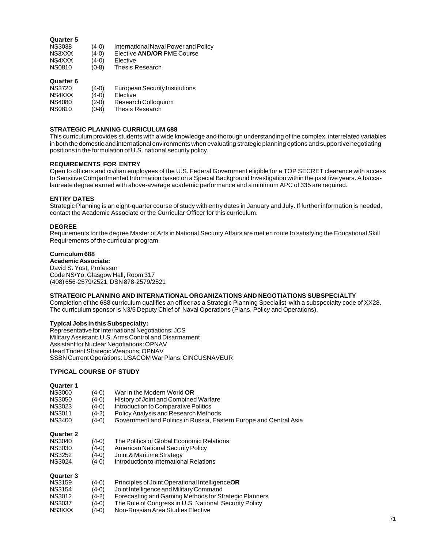## **Quarter 5**

| <b>NS3038</b> | $(4-0)$ | International Naval Power and Policy |
|---------------|---------|--------------------------------------|
| NS3XXX        | $(4-0)$ | Elective <b>AND/OR</b> PME Course    |
| NS4XXX        | $(4-0)$ | Elective                             |
| <b>NS0810</b> | $(0-8)$ | Thesis Research                      |
|               |         |                                      |

## **Quarter 6**

| <b>NS3720</b> | $(4-0)$ | <b>European Security Institutions</b> |
|---------------|---------|---------------------------------------|
| NS4XXX        | $(4-0)$ | Elective                              |
| NS4080        | $(2-0)$ | Research Colloquium                   |
| <b>NS0810</b> | $(0-8)$ | Thesis Research                       |

## **STRATEGIC PLANNING CURRICULUM 688**

This curriculum provides students with a wide knowledge and thorough understanding of the complex, interrelated variables in both the domestic and international environments when evaluating strategic planning options and supportive negotiating positions in the formulation of U.S. national security policy.

## **REQUIREMENTS FOR ENTRY**

Open to officers and civilian employees of the U.S. Federal Government eligible for a TOP SECRET clearance with access to Sensitive Compartmented Information based on a Special Background Investigation within the past five years. A baccalaureate degree earned with above-average academic performance and a minimum APC of 335 are required.

## **ENTRY DATES**

Strategic Planning is an eight-quarter course of study with entry dates in January and July. If further information is needed, contact the Academic Associate or the Curricular Officer for this curriculum.

#### **DEGREE**

Requirements for the degree Master of Arts in National Security Affairs are met en route to satisfying the Educational Skill Requirements of the curricular program.

## **Curriculum 688**

**Academic Associate:** David S. Yost, Professor Code NS/Yo, Glasgow Hall, Room 317 (408) 656-2579/2521, DSN 878-2579/2521

#### **STRATEGIC PLANNING AND INTERNATIONAL ORGANIZATIONS AND NEGOTIATIONS SUBSPECIALTY**

Completion of the 688 curriculum qualifies an officer as a Strategic Planning Specialist with a subspecialty code of XX28. The curriculum sponsor is N3/5 Deputy Chief of Naval Operations (Plans, Policy and Operations).

## **Typical Jobs in this Subspecialty:**

Representative for International Negotiations: JCS Military Assistant: U.S. Arms Control and Disarmament Assistant for Nuclear Negotiations: OPNAV Head Trident Strategic Weapons: OPNAV SSBN Current Operations: USACOM War Plans: CINCUSNAVEUR

## **TYPICAL COURSE OF STUDY**

## **Quarter 1**

| <b>NS3000</b>    | (4-0) | War in the Modern World <b>OR</b>                                  |
|------------------|-------|--------------------------------------------------------------------|
| <b>NS3050</b>    | (4-0) | History of Joint and Combined Warfare                              |
| <b>NS3023</b>    | (4-0) | Introduction to Comparative Politics                               |
| <b>NS3011</b>    | (4-2) | Policy Analysis and Research Methods                               |
| <b>NS3400</b>    | (4-0) | Government and Politics in Russia, Eastern Europe and Central Asia |
| <b>Quarter 2</b> |       |                                                                    |
| <b>NS3040</b>    | (4-0) | The Politics of Global Economic Relations                          |
| <b>NS3030</b>    | (4-0) | American National Security Policy                                  |
| <b>NS3252</b>    | (4-0) | Joint & Maritime Strategy                                          |
| <b>NS3024</b>    | (4-0) | Introduction to International Relations                            |
| .                |       |                                                                    |

| <b>Quarter 3</b> |  |
|------------------|--|
|------------------|--|

| NS3159 | $(4-0)$ | Principles of Joint Operational Intelligence OR       |
|--------|---------|-------------------------------------------------------|
| NS3154 | $(4-0)$ | Joint Intelligence and Military Command               |
| NS3012 | $(4-2)$ | Forecasting and Gaming Methods for Strategic Planners |
| NS3037 | $(4-0)$ | The Role of Congress in U.S. National Security Policy |
| NS3XXX | $(4-0)$ | Non-Russian Area Studies Elective                     |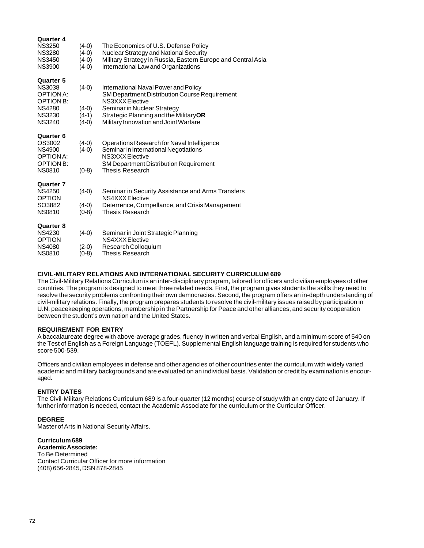| Quarter 4                            |                    |                                                                                |
|--------------------------------------|--------------------|--------------------------------------------------------------------------------|
| <b>NS3250</b><br><b>NS3280</b>       | $(4-0)$<br>(4-0)   | The Economics of U.S. Defense Policy<br>Nuclear Strategy and National Security |
| <b>NS3450</b>                        | (4-0)              | Military Strategy in Russia, Eastern Europe and Central Asia                   |
| <b>NS3900</b>                        | (4-0)              | International Law and Organizations                                            |
| Quarter 5                            |                    |                                                                                |
| <b>NS3038</b>                        | $(4-0)$            | International Naval Power and Policy                                           |
| <b>OPTION A:</b><br><b>OPTION B:</b> |                    | <b>SM Department Distribution Course Requirement</b><br>NS3XXX Elective        |
| <b>NS4280</b>                        | $(4-0)$            | Seminar in Nuclear Strategy                                                    |
| <b>NS3230</b>                        | (4-1)              | Strategic Planning and the MilitaryOR                                          |
| <b>NS3240</b>                        | $(4-0)$            | Military Innovation and Joint Warfare                                          |
| Quarter 6                            |                    |                                                                                |
| OS3002                               | $(4-0)$            | Operations Research for Naval Intelligence                                     |
| <b>NS4900</b><br>OPTION A:           | $(4-0)$            | Seminar in International Negotiations<br>NS3XXX Elective                       |
| <b>OPTION B:</b>                     |                    | <b>SM Department Distribution Requirement</b>                                  |
| <b>NS0810</b>                        | $(0-8)$            | <b>Thesis Research</b>                                                         |
| Quarter 7                            |                    |                                                                                |
| <b>NS4250</b>                        | $(4-0)$            | Seminar in Security Assistance and Arms Transfers                              |
| <b>OPTION</b>                        |                    | NS4XXX Elective                                                                |
| SO3882<br><b>NS0810</b>              | $(4-0)$<br>$(0-8)$ | Deterrence, Compellance, and Crisis Management<br><b>Thesis Research</b>       |
|                                      |                    |                                                                                |
| Quarter 8                            |                    |                                                                                |
| <b>NS4230</b>                        | $(4-0)$            | Seminar in Joint Strategic Planning                                            |
| <b>OPTION</b><br>NS4080              | $(2-0)$            | NS4XXX Elective<br>Research Colloquium                                         |
| <b>NS0810</b>                        | (0-8)              | Thesis Research                                                                |
|                                      |                    |                                                                                |

## **CIVIL-MILITARY RELATIONS AND INTERNATIONAL SECURITY CURRICULUM 689**

The Civil-Military Relations Curriculum is an inter-disciplinary program, tailored for officers and civilian employees of other countries. The program is designed to meet three related needs. First, the program gives students the skills they need to resolve the security problems confronting their own democracies. Second, the program offers an in-depth understanding of civil-military relations. Finally, the program prepares students to resolve the civil-military issues raised by participation in U.N. peacekeeping operations, membership in the Partnership for Peace and other alliances, and security cooperation between the student's own nation and the United States.

## **REQUIREMENT FOR ENTRY**

A baccalaureate degree with above-average grades, fluency in written and verbal English, and a minimum score of 540 on the Test of English as a Foreign Language (TOEFL). Supplemental English language training is required for students who score 500-539.

Officers and civilian employees in defense and other agencies of other countries enter the curriculum with widely varied academic and military backgrounds and are evaluated on an individual basis. Validation or credit by examination is encouraged.

## **ENTRY DATES**

The Civil-Military Relations Curriculum 689 is a four-quarter (12 months) course of study with an entry date of January. If further information is needed, contact the Academic Associate for the curriculum or the Curricular Officer.

## **DEGREE**

Master of Arts in National Security Affairs.

# **Curriculum 689**

**Academic Associate:**

To Be Determined Contact Curricular Officer for more information (408) 656-2845, DSN 878-2845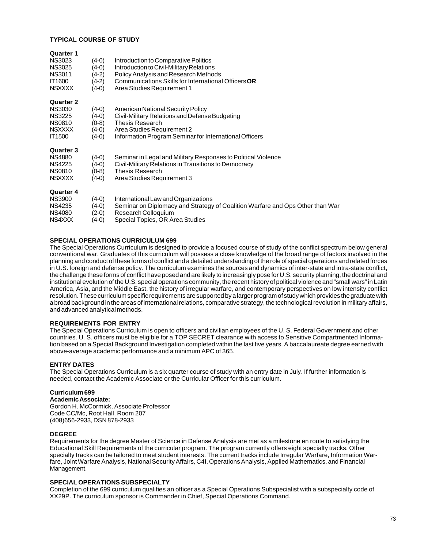### **TYPICAL COURSE OF STUDY**

| <b>Quarter 1</b><br><b>NS3023</b><br><b>NS3025</b><br><b>NS3011</b><br>IT1600<br><b>NSXXXX</b>        | (4-0)<br>(4-0)<br>(4-2)<br>$(4-2)$<br>(4-0) | Introduction to Comparative Politics<br>Introduction to Civil-Military Relations<br>Policy Analysis and Research Methods<br>Communications Skills for International Officers OR<br>Area Studies Requirement 1 |
|-------------------------------------------------------------------------------------------------------|---------------------------------------------|---------------------------------------------------------------------------------------------------------------------------------------------------------------------------------------------------------------|
| <b>Quarter 2</b><br><b>NS3030</b><br><b>NS3225</b><br><b>NS0810</b><br><b>NSXXXX</b><br><b>IT1500</b> | (4-0)<br>(4-0)<br>(0-8)<br>(4-0)<br>$(4-0)$ | American National Security Policy<br>Civil-Military Relations and Defense Budgeting<br><b>Thesis Research</b><br>Area Studies Requirement 2<br>Information Program Seminar for International Officers         |
| <b>Quarter 3</b><br><b>NS4880</b><br><b>NS4225</b><br><b>NS0810</b><br><b>NSXXXX</b>                  | (4-0)<br>(4-0)<br>(0-8)<br>(4-0)            | Seminar in Legal and Military Responses to Political Violence<br>Civil-Military Relations in Transitions to Democracy<br><b>Thesis Research</b><br>Area Studies Requirement 3                                 |
| Quarter 4<br><b>NS3900</b><br><b>NS4235</b><br><b>NS4080</b><br>NS4XXX                                | (4-0)<br>(4-0)<br>(2-0)<br>(4-0)            | International Law and Organizations<br>Seminar on Diplomacy and Strategy of Coalition Warfare and Ops Other than War<br>Research Colloquium<br>Special Topics, OR Area Studies                                |

#### **SPECIAL OPERATIONS CURRICULUM 699**

The Special Operations Curriculum is designed to provide a focused course of study of the conflict spectrum below general conventional war. Graduates of this curriculum will possess a close knowledge of the broad range of factors involved in the planning and conduct of these forms of conflict and a detailed understanding of the role of special operations and related forces in U.S. foreign and defense policy. The curriculum examines the sources and dynamics of inter-state and intra-state conflict, the challenge these forms of conflict have posed and are likely to increasingly pose for U.S. security planning, the doctrinal and institutional evolution of the U.S. special operations community, the recent history of political violence and "small wars" in Latin America, Asia, and the Middle East, the history of irregular warfare, and contemporary perspectives on low intensity conflict resolution. These curriculum specific requirements are supported by a larger program of study which provides the graduate with a broad background in the areas of international relations, comparative strategy, the technological revolution in military affairs, and advanced analytical methods.

#### **REQUIREMENTS FOR ENTRY**

The Special Operations Curriculum is open to officers and civilian employees of the U. S. Federal Government and other countries. U. S. officers must be eligible for a TOP SECRET clearance with access to Sensitive Compartmented Information based on a Special Background Investigation completed within the last five years. A baccalaureate degree earned with above-average academic performance and a minimum APC of 365.

#### **ENTRY DATES**

The Special Operations Curriculum is a six quarter course of study with an entry date in July. If further information is needed, contact the Academic Associate or the Curricular Officer for this curriculum.

# **Curriculum 699**

**Academic Associate:** Gordon H. McCormick, Associate Professor Code CC/Mc, Root Hall, Room 207 (408)656-2933, DSN 878-2933

#### **DEGREE**

Requirements for the degree Master of Science in Defense Analysis are met as a milestone en route to satisfying the Educational Skill Requirements of the curricular program. The program currently offers eight specialty tracks. Other specialty tracks can be tailored to meet student interests. The current tracks include Irregular Warfare, Information Warfare, Joint Warfare Analysis, National Security Affairs, C4I, Operations Analysis, Applied Mathematics, and Financial Management.

#### **SPECIAL OPERATIONS SUBSPECIALTY**

Completion of the 699 curriculum qualifies an officer as a Special Operations Subspecialist with a subspecialty code of XX29P. The curriculum sponsor is Commander in Chief, Special Operations Command.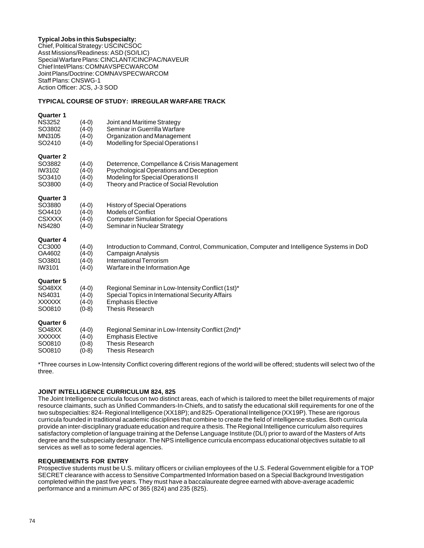# **Typical Jobs in this Subspecialty:**

Chief, Political Strategy: USCINCSOC Asst Missions/Readiness: ASD (SO/LIC) Special Warfare Plans: CINCLANT/CINCPAC/NAVEUR Chief Intel/Plans: COMNAVSPECWARCOM Joint Plans/Doctrine: COMNAVSPECWARCOM Staff Plans: CNSWG-1 Action Officer: JCS, J-3 SOD

#### **TYPICAL COURSE OF STUDY: IRREGULAR WARFARE TRACK**

#### **Quarter 1**

| NS3252<br>SO3802<br>MN3105<br>SO2410              | $(4-0)$<br>$(4-0)$<br>$(4-0)$<br>$(4-0)$ | Joint and Maritime Strategy<br>Seminar in Guerrilla Warfare<br>Organization and Management<br>Modelling for Special Operations I                                            |
|---------------------------------------------------|------------------------------------------|-----------------------------------------------------------------------------------------------------------------------------------------------------------------------------|
| Quarter 2<br>SO3882<br>IW3102<br>SO3410<br>SO3800 | $(4-0)$<br>$(4-0)$<br>$(4-0)$<br>$(4-0)$ | Deterrence, Compellance & Crisis Management<br>Psychological Operations and Deception<br>Modeling for Special Operations II<br>Theory and Practice of Social Revolution     |
| Quarter 3<br>SO3880<br>SO4410<br>CSXXXX<br>NS4280 | $(4-0)$<br>$(4-0)$<br>$(4-0)$<br>$(4-0)$ | <b>History of Special Operations</b><br><b>Models of Conflict</b><br><b>Computer Simulation for Special Operations</b><br>Seminar in Nuclear Strategy                       |
| Quarter 4<br>CC3000<br>OA4602<br>SO3801<br>IW3101 | $(4-0)$<br>$(4-0)$<br>$(4-0)$<br>$(4-0)$ | Introduction to Command, Control, Communication, Computer and Intelligence Systems in DoD<br>Campaign Analysis<br>International Terrorism<br>Warfare in the Information Age |
| Quarter 5<br>SO48XX<br>NS4031<br>XXXXXX<br>SO0810 | $(4-0)$<br>$(4-0)$<br>$(4-0)$<br>$(0-8)$ | Regional Seminar in Low-Intensity Conflict (1st)*<br>Special Topics in International Security Affairs<br><b>Emphasis Elective</b><br><b>Thesis Research</b>                 |
| Quarter 6<br>SO48XX<br>XXXXXX<br>SO0810<br>SO0810 | $(4-0)$<br>$(4-0)$<br>$(0-8)$<br>$(0-8)$ | Regional Seminar in Low-Intensity Conflict (2nd)*<br><b>Emphasis Elective</b><br><b>Thesis Research</b><br><b>Thesis Research</b>                                           |
|                                                   |                                          |                                                                                                                                                                             |

\*Three courses in Low-Intensity Conflict covering different regions of the world will be offered; students will select two of the three.

### **JOINT INTELLIGENCE CURRICULUM 824, 825**

The Joint Intelligence curricula focus on two distinct areas, each of which is tailored to meet the billet requirements of major resource claimants, such as Unified Commanders-In-Chiefs, and to satisfy the educational skill requirements for one of the two subspecialties: 824- Regional Intelligence (XX18P); and 825- Operational Intelligence (XX19P). These are rigorous curricula founded in traditional academic disciplines that combine to create the field of intelligence studies. Both curricula provide an inter-disciplinary graduate education and require a thesis. The Regional Intelligence curriculum also requires satisfactory completion of language training at the Defense Language Institute (DLI) prior to award of the Masters of Arts degree and the subspecialty designator. The NPS intelligence curricula encompass educational objectives suitable to all services as well as to some federal agencies.

### **REQUIREMENTS FOR ENTRY**

Prospective students must be U.S. military officers or civilian employees of the U.S. Federal Government eligible for a TOP SECRET clearance with access to Sensitive Compartmented Information based on a Special Background Investigation completed within the past five years. They must have a baccalaureate degree earned with above-average academic performance and a minimum APC of 365 (824) and 235 (825).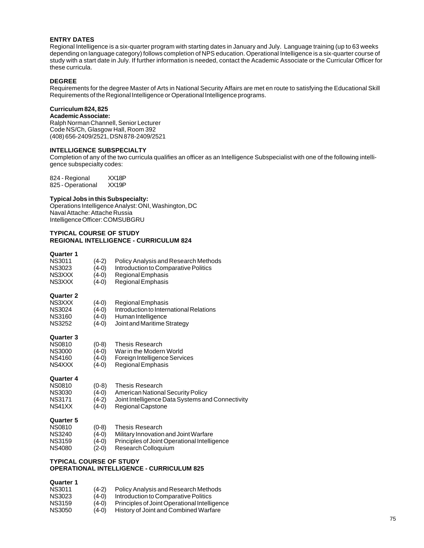# **ENTRY DATES**

Regional Intelligence is a six-quarter program with starting dates in January and July. Language training (up to 63 weeks depending on language category) follows completion of NPS education. Operational Intelligence is a six-quarter course of study with a start date in July. If further information is needed, contact the Academic Associate or the Curricular Officer for these curricula.

#### **DEGREE**

Requirements for the degree Master of Arts in National Security Affairs are met en route to satisfying the Educational Skill Requirements of the Regional Intelligence or Operational Intelligence programs.

# **Curriculum 824, 825**

# **Academic Associate:**

Ralph Norman Channell, Senior Lecturer Code NS/Ch, Glasgow Hall, Room 392 (408) 656-2409/2521, DSN 878-2409/2521

#### **INTELLIGENCE SUBSPECIALTY**

Completion of any of the two curricula qualifies an officer as an Intelligence Subspecialist with one of the following intelligence subspecialty codes:

824 - Regional XX18P<br>825 - Operational XX19P 825 - Operational

#### **Typical Jobs in this Subspecialty:**

Operations Intelligence Analyst: ONI, Washington, DC Naval Attache: Attache Russia Intelligence Officer: COMSUBGRU

#### **TYPICAL COURSE OF STUDY REGIONAL INTELLIGENCE - CURRICULUM 824**

#### **Quarter 1**

| <b>NS3011</b> | $(4-2)$ | <b>Policy Analysis and Research Methods</b> |
|---------------|---------|---------------------------------------------|
| NS3023        | $(4-0)$ | Introduction to Comparative Politics        |
| NS3XXX        | $(4-0)$ | Regional Emphasis                           |
| NS3XXX        | $(4-0)$ | Regional Emphasis                           |

#### **Quarter 2**

| NS3XXX   | $(4-0)$   | Regional Emphasis                       |
|----------|-----------|-----------------------------------------|
| NS3024   | $(4-0)$   | Introduction to International Relations |
| NIC2160. | $(1 \cap$ | Human Intolligance                      |

NS3160 (4-0) Human Intelligence<br>NS3252 (4-0) Joint and Maritime S Joint and Maritime Strategy

#### **Quarter 3**

| NS0810 | $(0-8)$ | Thesis Research               |
|--------|---------|-------------------------------|
| NS3000 | $(4-0)$ | War in the Modern World       |
| NS4160 | $(4-0)$ | Foreign Intelligence Services |
| NS4XXX | $(4-0)$ | Regional Emphasis             |

#### **Quarter 4**

| <b>NS0810</b> | $(0-8)$ | Thesis Research                                  |
|---------------|---------|--------------------------------------------------|
| <b>NS3030</b> | $(4-0)$ | American National Security Policy                |
| <b>NS3171</b> | $(4-2)$ | Joint Intelligence Data Systems and Connectivity |
| NS41XX        | $(4-0)$ | Regional Capstone                                |

# **Quarter 5**

| <b>NS0810</b> | $(0-8)$ | Thesis Research                              |
|---------------|---------|----------------------------------------------|
| <b>NS3240</b> | $(4-0)$ | Military Innovation and Joint Warfare        |
| <b>NS3159</b> | $(4-0)$ | Principles of Joint Operational Intelligence |
| NS4080        | $(2-0)$ | Research Colloquium                          |

# **TYPICAL COURSE OF STUDY OPERATIONAL INTELLIGENCE - CURRICULUM 825**

| <b>NS3011</b> | $(4-2)$ | <b>Policy Analysis and Research Methods</b>  |
|---------------|---------|----------------------------------------------|
| NS3023        | $(4-0)$ | Introduction to Comparative Politics         |
| NS3159        | $(4-0)$ | Principles of Joint Operational Intelligence |
| NS3050        | $(4-0)$ | History of Joint and Combined Warfare        |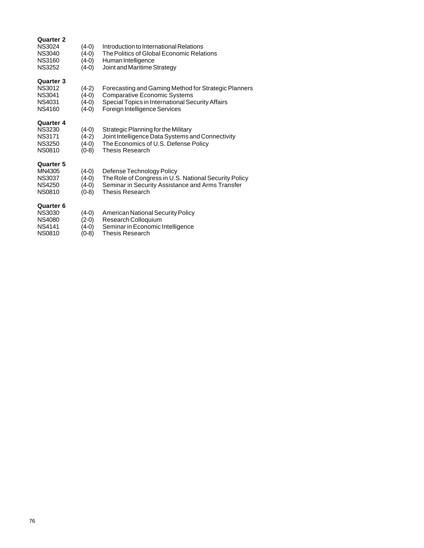| Quarter 2<br><b>NS3024</b><br>NS3040<br><b>NS3160</b><br><b>NS3252</b>        | $(4-0)$<br>$(4-0)$<br>(4-0)<br>(4-0)     | Introduction to International Relations<br>The Politics of Global Economic Relations<br>Human Intelligence<br>Joint and Maritime Strategy                                        |
|-------------------------------------------------------------------------------|------------------------------------------|----------------------------------------------------------------------------------------------------------------------------------------------------------------------------------|
| Quarter 3<br><b>NS3012</b><br><b>NS3041</b><br><b>NS4031</b><br><b>NS4160</b> | $(4-2)$<br>$(4-0)$<br>(4-0)<br>(4-0)     | Forecasting and Gaming Method for Strategic Planners<br><b>Comparative Economic Systems</b><br>Special Topics in International Security Affairs<br>Foreign Intelligence Services |
| Quarter 4<br><b>NS3230</b><br><b>NS3171</b><br><b>NS3250</b><br><b>NS0810</b> | $(4-0)$<br>$(4-2)$<br>$(4-0)$<br>$(0-8)$ | Strategic Planning for the Military<br>Joint Intelligence Data Systems and Connectivity<br>The Economics of U.S. Defense Policy<br>Thesis Research                               |
| Quarter 5<br>MN4305<br><b>NS3037</b><br>NS4250<br><b>NS0810</b>               | $(4-0)$<br>$(4-0)$<br>(4-0)<br>$(0-8)$   | Defense Technology Policy<br>The Role of Congress in U.S. National Security Policy<br>Seminar in Security Assistance and Arms Transfer<br><b>Thesis Research</b>                 |
| Quarter 6<br><b>NS3030</b><br><b>NS4080</b><br><b>NS4141</b><br><b>NS0810</b> | $(4-0)$<br>$(2-0)$<br>(4-0)<br>(0-8)     | <b>American National Security Policy</b><br>Research Colloquium<br>Seminar in Economic Intelligence<br>Thesis Research                                                           |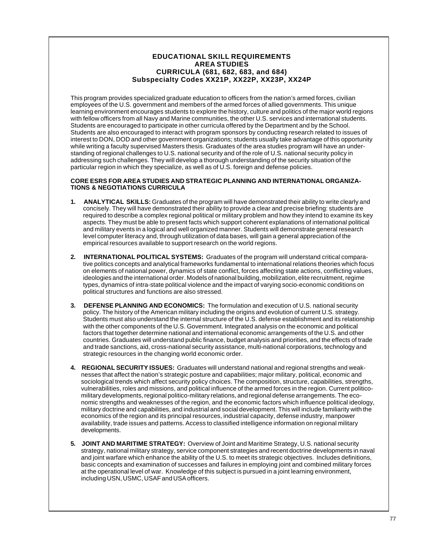# **EDUCATIONAL SKILL REQUIREMENTS AREA STUDIES CURRICULA (681, 682, 683, and 684) Subspecialty Codes XX21P, XX22P, XX23P, XX24P**

This program provides specialized graduate education to officers from the nation's armed forces, civilian employees of the U.S. government and members of the armed forces of allied governments. This unique learning environment encourages students to explore the history, culture and politics of the major world regions with fellow officers from all Navy and Marine communities, the other U.S. services and international students. Students are encouraged to participate in other curricula offered by the Department and by the School. Students are also encouraged to interact with program sponsors by conducting research related to issues of interest to DON, DOD and other government organizations; students usually take advantage of this opportunity while writing a faculty supervised Masters thesis. Graduates of the area studies program will have an understanding of regional challenges to U.S. national security and of the role of U.S. national security policy in addressing such challenges. They will develop a thorough understanding of the security situation of the particular region in which they specialize, as well as of U.S. foreign and defense policies.

### **CORE ESRS FOR AREA STUDIES AND STRATEGIC PLANNING AND INTERNATIONAL ORGANIZA-TIONS & NEGOTIATIONS CURRICULA**

- **1. ANALYTICAL SKILLS:** Graduates of the program will have demonstrated their ability to write clearly and concisely. They will have demonstrated their ability to provide a clear and precise briefing: students are required to describe a complex regional political or military problem and how they intend to examine its key aspects. They must be able to present facts which support coherent explanations of international political and military events in a logical and well organized manner. Students will demonstrate general research level computer literacy and, through utilization of data bases, will gain a general appreciation of the empirical resources available to support research on the world regions.
- **2. INTERNATIONAL POLITICAL SYSTEMS:** Graduates of the program will understand critical comparative politics concepts and analytical frameworks fundamental to international relations theories which focus on elements of national power, dynamics of state conflict, forces affecting state actions, conflicting values, ideologies and the international order. Models of national building, mobilization, elite recruitment, regime types, dynamics of intra-state political violence and the impact of varying socio-economic conditions on political structures and functions are also stressed.
- **3. DEFENSE PLANNING AND ECONOMICS:** The formulation and execution of U.S. national security policy. The history of the American military including the origins and evolution of current U.S. strategy. Students must also understand the internal structure of the U.S. defense establishment and its relationship with the other components of the U.S. Government. Integrated analysis on the economic and political factors that together determine national and international economic arrangements of the U.S. and other countries. Graduates will understand public finance, budget analysis and priorities, and the effects of trade and trade sanctions, aid, cross-national security assistance, multi-national corporations, technology and strategic resources in the changing world economic order.
- **4. REGIONAL SECURITY ISSUES:** Graduates will understand national and regional strengths and weaknesses that affect the nation's strategic posture and capabilities; major military, political, economic and sociological trends which affect security policy choices. The composition, structure, capabilities, strengths, vulnerabilities, roles and missions, and political influence of the armed forces in the region. Current politicomilitary developments, regional politico-military relations, and regional defense arrangements. The economic strengths and weaknesses of the region, and the economic factors which influence political ideology, military doctrine and capabilities, and industrial and social development. This will include familiarity with the economics of the region and its principal resources, industrial capacity, defense industry, manpower availability, trade issues and patterns. Access to classified intelligence information on regional military developments.
- **5. JOINT AND MARITIME STRATEGY:** Overview of Joint and Maritime Strategy, U.S. national security strategy, national military strategy, service component strategies and recent doctrine developments in naval and joint warfare which enhance the ability of the U.S. to meet its strategic objectives. Includes definitions, basic concepts and examination of successes and failures in employing joint and combined military forces at the operational level of war. Knowledge of this subject is pursued in a joint learning environment, including USN, USMC, USAF and USA officers.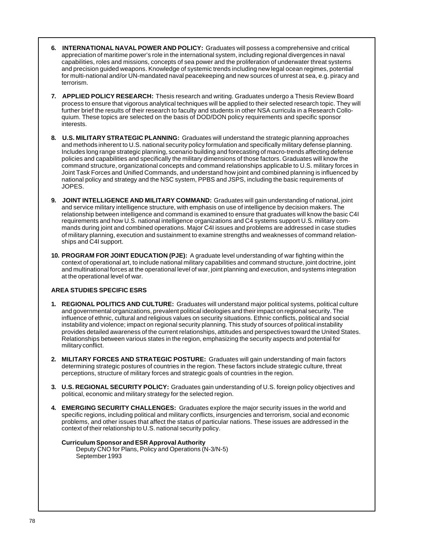- **6. INTERNATIONAL NAVAL POWER AND POLICY:** Graduates will possess a comprehensive and critical appreciation of maritime power's role in the international system, including regional divergences in naval capabilities, roles and missions, concepts of sea power and the proliferation of underwater threat systems and precision guided weapons. Knowledge of systemic trends including new legal ocean regimes, potential for multi-national and/or UN-mandated naval peacekeeping and new sources of unrest at sea, e.g. piracy and terrorism.
- **7. APPLIED POLICY RESEARCH:** Thesis research and writing. Graduates undergo a Thesis Review Board process to ensure that vigorous analytical techniques will be applied to their selected research topic. They will further brief the results of their research to faculty and students in other NSA curricula in a Research Colloquium. These topics are selected on the basis of DOD/DON policy requirements and specific sponsor interests.
- **8. U.S. MILITARY STRATEGIC PLANNING:** Graduates will understand the strategic planning approaches and methods inherent to U.S. national security policy formulation and specifically military defense planning. Includes long range strategic planning, scenario building and forecasting of macro-trends affecting defense policies and capabilities and specifically the military dimensions of those factors. Graduates will know the command structure, organizational concepts and command relationships applicable to U.S. military forces in Joint Task Forces and Unified Commands, and understand how joint and combined planning is influenced by national policy and strategy and the NSC system, PPBS and JSPS, including the basic requirements of JOPES.
- **9. JOINT INTELLIGENCE AND MILITARY COMMAND:** Graduates will gain understanding of national, joint and service military intelligence structure, with emphasis on use of intelligence by decision makers. The relationship between intelligence and command is examined to ensure that graduates will know the basic C4I requirements and how U.S. national intelligence organizations and C4 systems support U.S. military commands during joint and combined operations. Major C4I issues and problems are addressed in case studies of military planning, execution and sustainment to examine strengths and weaknesses of command relationships and C4I support.
- **10. PROGRAM FOR JOINT EDUCATION (PJE):** A graduate level understanding of war fighting within the context of operational art, to include national military capabilities and command structure, joint doctrine, joint and multinational forces at the operational level of war, joint planning and execution, and systems integration at the operational level of war.

# **AREA STUDIES SPECIFIC ESRS**

- **1. REGIONAL POLITICS AND CULTURE:** Graduates will understand major political systems, political culture and governmental organizations, prevalent political ideologies and their impact on regional security. The influence of ethnic, cultural and religious values on security situations. Ethnic conflicts, political and social instability and violence; impact on regional security planning. This study of sources of political instability provides detailed awareness of the current relationships, attitudes and perspectives toward the United States. Relationships between various states in the region, emphasizing the security aspects and potential for military conflict.
- **2. MILITARY FORCES AND STRATEGIC POSTURE:** Graduates will gain understanding of main factors determining strategic postures of countries in the region. These factors include strategic culture, threat perceptions, structure of military forces and strategic goals of countries in the region.
- **3. U.S. REGIONAL SECURITY POLICY:** Graduates gain understanding of U.S. foreign policy objectives and political, economic and military strategy for the selected region.
- **4. EMERGING SECURITY CHALLENGES:** Graduates explore the major security issues in the world and specific regions, including political and military conflicts, insurgencies and terrorism, social and economic problems, and other issues that affect the status of particular nations. These issues are addressed in the context of their relationship to U.S. national security policy.

# **Curriculum Sponsor and ESR Approval Authority**

Deputy CNO for Plans, Policy and Operations (N-3/N-5) September 1993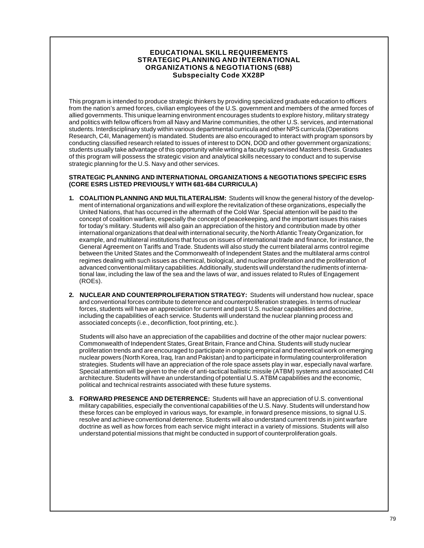# **EDUCATIONAL SKILL REQUIREMENTS STRATEGIC PLANNING AND INTERNATIONAL ORGANIZATIONS & NEGOTIATIONS (688) Subspecialty Code XX28P**

This program is intended to produce strategic thinkers by providing specialized graduate education to officers from the nation's armed forces, civilian employees of the U.S. government and members of the armed forces of allied governments. This unique learning environment encourages students to explore history, military strategy and politics with fellow officers from all Navy and Marine communities, the other U.S. services, and international students. Interdisciplinary study within various departmental curricula and other NPS curricula (Operations Research, C4I, Management) is mandated. Students are also encouraged to interact with program sponsors by conducting classified research related to issues of interest to DON, DOD and other government organizations; students usually take advantage of this opportunity while writing a faculty supervised Masters thesis. Graduates of this program will possess the strategic vision and analytical skills necessary to conduct and to supervise strategic planning for the U.S. Navy and other services.

# **STRATEGIC PLANNING AND INTERNATIONAL ORGANIZATIONS & NEGOTIATIONS SPECIFIC ESRS (CORE ESRS LISTED PREVIOUSLY WITH 681-684 CURRICULA)**

- **1. COALITION PLANNING AND MULTILATERALISM:** Students will know the general history of the development of international organizations and will explore the revitalization of these organizations, especially the United Nations, that has occurred in the aftermath of the Cold War. Special attention will be paid to the concept of coalition warfare, especially the concept of peacekeeping, and the important issues this raises for today's military. Students will also gain an appreciation of the history and contribution made by other international organizations that deal with international security, the North Atlantic Treaty Organization, for example, and multilateral institutions that focus on issues of international trade and finance, for instance, the General Agreement on Tariffs and Trade. Students will also study the current bilateral arms control regime between the United States and the Commonwealth of Independent States and the multilateral arms control regimes dealing with such issues as chemical, biological, and nuclear proliferation and the proliferation of advanced conventional military capabilities. Additionally, students will understand the rudiments of international law, including the law of the sea and the laws of war, and issues related to Rules of Engagement (ROEs).
- **2. NUCLEAR AND COUNTERPROLIFERATION STRATEGY:** Students will understand how nuclear, space and conventional forces contribute to deterrence and counterproliferation strategies. In terms of nuclear forces, students will have an appreciation for current and past U.S. nuclear capabilities and doctrine, including the capabilities of each service. Students will understand the nuclear planning process and associated concepts (i.e., deconfliction, foot printing, etc.).

Students will also have an appreciation of the capabilities and doctrine of the other major nuclear powers: Commonwealth of Independent States, Great Britain, France and China. Students will study nuclear proliferation trends and are encouraged to participate in ongoing empirical and theoretical work on emerging nuclear powers (North Korea, Iraq, Iran and Pakistan) and to participate in formulating counterproliferation strategies. Students will have an appreciation of the role space assets play in war, especially naval warfare. Special attention will be given to the role of anti-tactical ballistic missile (ATBM) systems and associated C4I architecture. Students will have an understanding of potential U.S. ATBM capabilities and the economic, political and technical restraints associated with these future systems.

**3. FORWARD PRESENCE AND DETERRENCE:** Students will have an appreciation of U.S. conventional military capabilities, especially the conventional capabilities of the U.S. Navy. Students will understand how these forces can be employed in various ways, for example, in forward presence missions, to signal U.S. resolve and achieve conventional deterrence. Students will also understand current trends in joint warfare doctrine as well as how forces from each service might interact in a variety of missions. Students will also understand potential missions that might be conducted in support of counterproliferation goals.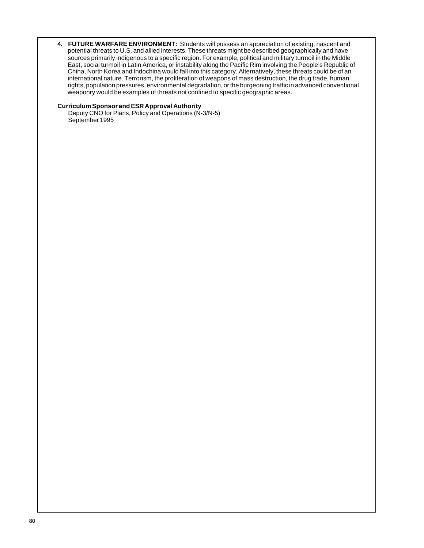**4. FUTURE WARFARE ENVIRONMENT:** Students will possess an appreciation of existing, nascent and potential threats to U.S. and allied interests. These threats might be described geographically and have sources primarily indigenous to a specific region. For example, political and military turmoil in the Middle East, social turmoil in Latin America, or instability along the Pacific Rim involving the People's Republic of China, North Korea and Indochina would fall into this category. Alternatively, these threats could be of an international nature. Terrorism, the proliferation of weapons of mass destruction, the drug trade, human rights, population pressures, environmental degradation, or the burgeoning traffic in advanced conventional weaponry would be examples of threats not confined to specific geographic areas.

### **Curriculum Sponsor and ESR Approval Authority**

Deputy CNO for Plans, Policy and Operations (N-3/N-5) September 1995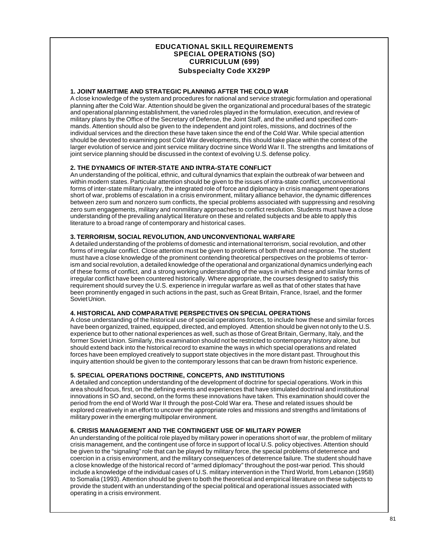# **EDUCATIONAL SKILL REQUIREMENTS SPECIAL OPERATIONS (SO) CURRICULUM (699) Subspecialty Code XX29P**

# **1. JOINT MARITIME AND STRATEGIC PLANNING AFTER THE COLD WAR**

A close knowledge of the system and procedures for national and service strategic formulation and operational planning after the Cold War. Attention should be given the organizational and procedural bases of the strategic and operational planning establishment, the varied roles played in the formulation, execution, and review of military plans by the Office of the Secretary of Defense, the Joint Staff, and the unified and specified commands. Attention should also be given to the independent and joint roles, missions, and doctrines of the individual services and the direction these have taken since the end of the Cold War. While special attention should be devoted to examining post Cold War developments, this should take place within the context of the larger evolution of service and joint service military doctrine since World War II. The strengths and limitations of joint service planning should be discussed in the context of evolving U.S. defense policy.

# **2. THE DYNAMICS OF INTER-STATE AND INTRA-STATE CONFLICT**

An understanding of the political, ethnic, and cultural dynamics that explain the outbreak of war between and within modern states. Particular attention should be given to the issues of intra-state conflict, unconventional forms of inter-state military rivalry, the integrated role of force and diplomacy in crisis management operations short of war, problems of escalation in a crisis environment, military alliance behavior, the dynamic differences between zero sum and nonzero sum conflicts, the special problems associated with suppressing and resolving zero sum engagements, military and nonmilitary approaches to conflict resolution. Students must have a close understanding of the prevailing analytical literature on these and related subjects and be able to apply this literature to a broad range of contemporary and historical cases.

# **3. TERRORISM, SOCIAL REVOLUTION, AND UNCONVENTIONAL WARFARE**

A detailed understanding of the problems of domestic and international terrorism, social revolution, and other forms of irregular conflict. Close attention must be given to problems of both threat and response. The student must have a close knowledge of the prominent contending theoretical perspectives on the problems of terrorism and social revolution, a detailed knowledge of the operational and organizational dynamics underlying each of these forms of conflict, and a strong working understanding of the ways in which these and similar forms of irregular conflict have been countered historically. Where appropriate, the courses designed to satisfy this requirement should survey the U.S. experience in irregular warfare as well as that of other states that have been prominently engaged in such actions in the past, such as Great Britain, France, Israel, and the former Soviet Union.

# **4. HISTORICAL AND COMPARATIVE PERSPECTIVES ON SPECIAL OPERATIONS**

A close understanding of the historical use of special operations forces, to include how these and similar forces have been organized, trained, equipped, directed, and employed. Attention should be given not only to the U.S. experience but to other national experiences as well, such as those of Great Britain, Germany, Italy, and the former Soviet Union. Similarly, this examination should not be restricted to contemporary history alone, but should extend back into the historical record to examine the ways in which special operations and related forces have been employed creatively to support state objectives in the more distant past. Throughout this inquiry attention should be given to the contemporary lessons that can be drawn from historic experience.

### **5. SPECIAL OPERATIONS DOCTRINE, CONCEPTS, AND INSTITUTIONS**

A detailed and conception understanding of the development of doctrine for special operations. Work in this area should focus, first, on the defining events and experiences that have stimulated doctrinal and institutional innovations in SO and, second, on the forms these innovations have taken. This examination should cover the period from the end of World War II through the post-Cold War era. These and related issues should be explored creatively in an effort to uncover the appropriate roles and missions and strengths and limitations of military power in the emerging multipolar environment.

# **6. CRISIS MANAGEMENT AND THE CONTINGENT USE OF MILITARY POWER**

An understanding of the political role played by military power in operations short of war, the problem of military crisis management, and the contingent use of force in support of local U.S. policy objectives. Attention should be given to the "signaling" role that can be played by military force, the special problems of deterrence and coercion in a crisis environment, and the military consequences of deterrence failure. The student should have a close knowledge of the historical record of "armed diplomacy" throughout the post-war period. This should include a knowledge of the individual cases of U.S. military intervention in the Third World, from Lebanon (1958) to Somalia (1993). Attention should be given to both the theoretical and empirical literature on these subjects to provide the student with an understanding of the special political and operational issues associated with operating in a crisis environment.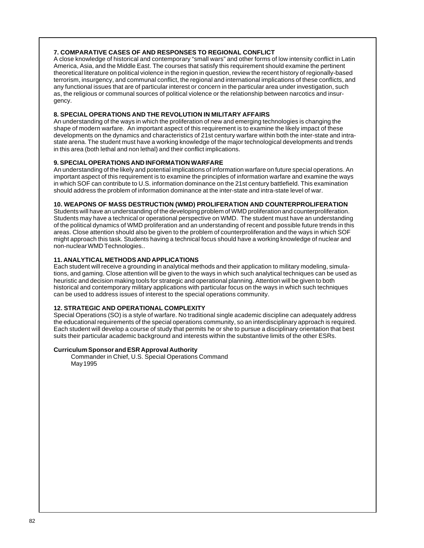# **7. COMPARATIVE CASES OF AND RESPONSES TO REGIONAL CONFLICT**

A close knowledge of historical and contemporary "small wars" and other forms of low intensity conflict in Latin America, Asia, and the Middle East. The courses that satisfy this requirement should examine the pertinent theoretical literature on political violence in the region in question, review the recent history of regionally-based terrorism, insurgency, and communal conflict, the regional and international implications of these conflicts, and any functional issues that are of particular interest or concern in the particular area under investigation, such as, the religious or communal sources of political violence or the relationship between narcotics and insurgency.

# **8. SPECIAL OPERATIONS AND THE REVOLUTION IN MILITARY AFFAIRS**

An understanding of the ways in which the proliferation of new and emerging technologies is changing the shape of modern warfare. An important aspect of this requirement is to examine the likely impact of these developments on the dynamics and characteristics of 21st century warfare within both the inter-state and intrastate arena. The student must have a working knowledge of the major technological developments and trends in this area (both lethal and non lethal) and their conflict implications.

### **9. SPECIAL OPERATIONS AND INFORMATION WARFARE**

An understanding of the likely and potential implications of information warfare on future special operations. An important aspect of this requirement is to examine the principles of information warfare and examine the ways in which SOF can contribute to U.S. information dominance on the 21st century battlefield. This examination should address the problem of information dominance at the inter-state and intra-state level of war.

### **10. WEAPONS OF MASS DESTRUCTION (WMD) PROLIFERATION AND COUNTERPROLIFERATION**

Students will have an understanding of the developing problem of WMD proliferation and counterproliferation. Students may have a technical or operational perspective on WMD. The student must have an understanding of the political dynamics of WMD proliferation and an understanding of recent and possible future trends in this areas. Close attention should also be given to the problem of counterproliferation and the ways in which SOF might approach this task. Students having a technical focus should have a working knowledge of nuclear and non-nuclear WMD Technologies..

# **11. ANALYTICAL METHODS AND APPLICATIONS**

Each student will receive a grounding in analytical methods and their application to military modeling, simulations, and gaming. Close attention will be given to the ways in which such analytical techniques can be used as heuristic and decision making tools for strategic and operational planning. Attention will be given to both historical and contemporary military applications with particular focus on the ways in which such techniques can be used to address issues of interest to the special operations community.

## **12. STRATEGIC AND OPERATIONAL COMPLEXITY**

Special Operations (SO) is a style of warfare. No traditional single academic discipline can adequately address the educational requirements of the special operations community, so an interdisciplinary approach is required. Each student will develop a course of study that permits he or she to pursue a disciplinary orientation that best suits their particular academic background and interests within the substantive limits of the other ESRs.

### **Curriculum Sponsor and ESR Approval Authority**

Commander in Chief, U.S. Special Operations Command May 1995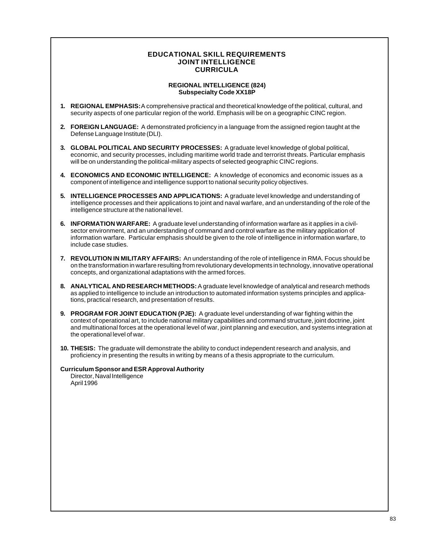# **EDUCATIONAL SKILL REQUIREMENTS JOINT INTELLIGENCE CURRICULA**

# **REGIONAL INTELLIGENCE (824) Subspecialty Code XX18P**

- **1. REGIONAL EMPHASIS:** A comprehensive practical and theoretical knowledge of the political, cultural, and security aspects of one particular region of the world. Emphasis will be on a geographic CINC region.
- **2. FOREIGN LANGUAGE:** A demonstrated proficiency in a language from the assigned region taught at the Defense Language Institute (DLI).
- **3. GLOBAL POLITICAL AND SECURITY PROCESSES:** A graduate level knowledge of global political, economic, and security processes, including maritime world trade and terrorist threats. Particular emphasis will be on understanding the political-military aspects of selected geographic CINC regions.
- **4. ECONOMICS AND ECONOMIC INTELLIGENCE:** A knowledge of economics and economic issues as a component of intelligence and intelligence support to national security policy objectives.
- **5. INTELLIGENCE PROCESSES AND APPLICATIONS:** A graduate level knowledge and understanding of intelligence processes and their applications to joint and naval warfare, and an understanding of the role of the intelligence structure at the national level.
- **6. INFORMATION WARFARE:** A graduate level understanding of information warfare as it applies in a civilsector environment, and an understanding of command and control warfare as the military application of information warfare. Particular emphasis should be given to the role of intelligence in information warfare, to include case studies.
- **7. REVOLUTION IN MILITARY AFFAIRS:** An understanding of the role of intelligence in RMA. Focus should be on the transformation in warfare resulting from revolutionary developments in technology, innovative operational concepts, and organizational adaptations with the armed forces.
- **8. ANALYTICAL AND RESEARCH METHODS:** A graduate level knowledge of analytical and research methods as applied to intelligence to include an introduction to automated information systems principles and applications, practical research, and presentation of results.
- **9. PROGRAM FOR JOINT EDUCATION (PJE):** A graduate level understanding of war fighting within the context of operational art, to include national military capabilities and command structure, joint doctrine, joint and multinational forces at the operational level of war, joint planning and execution, and systems integration at the operational level of war.
- **10. THESIS:** The graduate will demonstrate the ability to conduct independent research and analysis, and proficiency in presenting the results in writing by means of a thesis appropriate to the curriculum.

# **Curriculum Sponsor and ESR Approval Authority**

Director, Naval Intelligence April 1996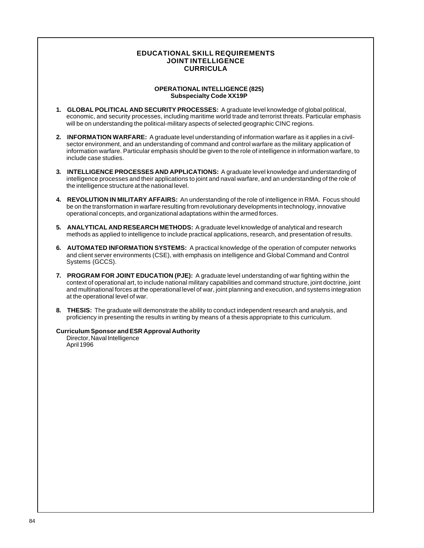# **EDUCATIONAL SKILL REQUIREMENTS JOINT INTELLIGENCE CURRICULA**

#### **OPERATIONAL INTELLIGENCE (825) Subspecialty Code XX19P**

- **1. GLOBAL POLITICAL AND SECURITY PROCESSES:** A graduate level knowledge of global political, economic, and security processes, including maritime world trade and terrorist threats. Particular emphasis will be on understanding the political-military aspects of selected geographic CINC regions.
- **2. INFORMATION WARFARE:** A graduate level understanding of information warfare as it applies in a civilsector environment, and an understanding of command and control warfare as the military application of information warfare. Particular emphasis should be given to the role of intelligence in information warfare, to include case studies.
- **3. INTELLIGENCE PROCESSES AND APPLICATIONS:** A graduate level knowledge and understanding of intelligence processes and their applications to joint and naval warfare, and an understanding of the role of the intelligence structure at the national level.
- **4. REVOLUTION IN MILITARY AFFAIRS:** An understanding of the role of intelligence in RMA. Focus should be on the transformation in warfare resulting from revolutionary developments in technology, innovative operational concepts, and organizational adaptations within the armed forces.
- **5. ANALYTICAL AND RESEARCH METHODS:** A graduate level knowledge of analytical and research methods as applied to intelligence to include practical applications, research, and presentation of results.
- **6. AUTOMATED INFORMATION SYSTEMS:** A practical knowledge of the operation of computer networks and client server environments (CSE), with emphasis on intelligence and Global Command and Control Systems (GCCS).
- **7. PROGRAM FOR JOINT EDUCATION (PJE):** A graduate level understanding of war fighting within the context of operational art, to include national military capabilities and command structure, joint doctrine, joint and multinational forces at the operational level of war, joint planning and execution, and systems integration at the operational level of war.
- **8. THESIS:** The graduate will demonstrate the ability to conduct independent research and analysis, and proficiency in presenting the results in writing by means of a thesis appropriate to this curriculum.

**Curriculum Sponsor and ESR Approval Authority**

Director, Naval Intelligence April 1996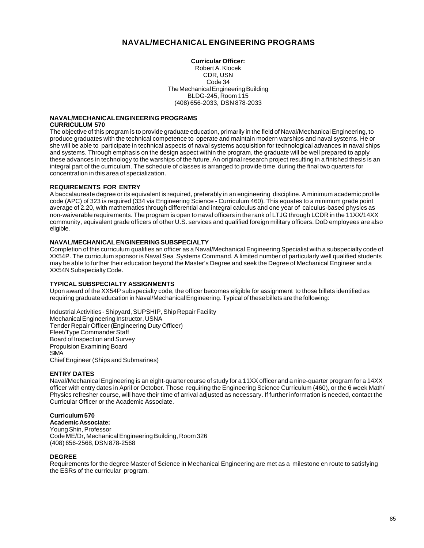# **NAVAL/MECHANICAL ENGINEERING PROGRAMS**

**Curricular Officer:** Robert A. Klocek CDR, USN Code 34 The Mechanical Engineering Building BLDG-245, Room 115 (408) 656-2033, DSN 878-2033

### **NAVAL/MECHANICAL ENGINEERING PROGRAMS CURRICULUM 570**

The objective of this program is to provide graduate education, primarily in the field of Naval/Mechanical Engineering, to produce graduates with the technical competence to operate and maintain modern warships and naval systems. He or she will be able to participate in technical aspects of naval systems acquisition for technological advances in naval ships and systems. Through emphasis on the design aspect within the program, the graduate will be well prepared to apply these advances in technology to the warships of the future. An original research project resulting in a finished thesis is an integral part of the curriculum. The schedule of classes is arranged to provide time during the final two quarters for concentration in this area of specialization.

# **REQUIREMENTS FOR ENTRY**

A baccalaureate degree or its equivalent is required, preferably in an engineering discipline. A minimum academic profile code (APC) of 323 is required (334 via Engineering Science - Curriculum 460). This equates to a minimum grade point average of 2.20, with mathematics through differential and integral calculus and one year of calculus-based physics as non-waiverable requirements. The program is open to naval officers in the rank of LTJG through LCDR in the 11XX/14XX community, equivalent grade officers of other U.S. services and qualified foreign military officers. DoD employees are also eligible.

### **NAVAL/MECHANICAL ENGINEERING SUBSPECIALTY**

Completion of this curriculum qualifies an officer as a Naval/Mechanical Engineering Specialist with a subspecialty code of XX54P. The curriculum sponsor is Naval Sea Systems Command. A limited number of particularly well qualified students may be able to further their education beyond the Master's Degree and seek the Degree of Mechanical Engineer and a XX54N Subspecialty Code.

### **TYPICAL SUBSPECIALTY ASSIGNMENTS**

Upon award of the XX54P subspecialty code, the officer becomes eligible for assignment to those billets identified as requiring graduate education in Naval/Mechanical Engineering. Typical of these billets are the following:

Industrial Activities - Shipyard, SUPSHIP, Ship Repair Facility Mechanical Engineering Instructor, USNA Tender Repair Officer (Engineering Duty Officer) Fleet/Type Commander Staff Board of Inspection and Survey Propulsion Examining Board **SIMA** Chief Engineer (Ships and Submarines)

### **ENTRY DATES**

Naval/Mechanical Engineering is an eight-quarter course of study for a 11XX officer and a nine-quarter program for a 14XX officer with entry dates in April or October. Those requiring the Engineering Science Curriculum (460), or the 6 week Math/ Physics refresher course, will have their time of arrival adjusted as necessary. If further information is needed, contact the Curricular Officer or the Academic Associate.

# **Curriculum 570**

**Academic Associate:** Young Shin, Professor Code ME/Dr, Mechanical Engineering Building, Room 326 (408) 656-2568, DSN 878-2568

### **DEGREE**

Requirements for the degree Master of Science in Mechanical Engineering are met as a milestone en route to satisfying the ESRs of the curricular program.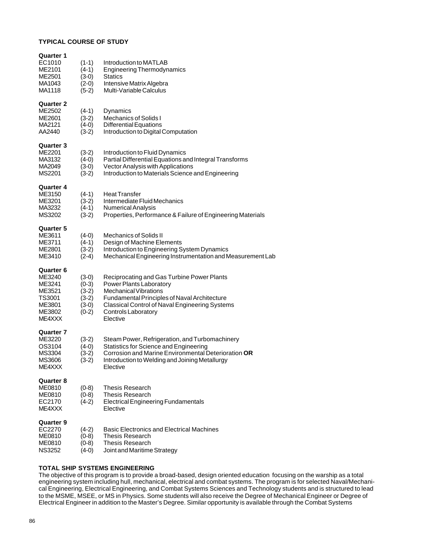# **TYPICAL COURSE OF STUDY**

| Quarter 1<br>EC1010<br>ME2101<br>ME2501<br>MA1043<br>MA1118                     | $(1-1)$<br>$(4-1)$<br>$(3-0)$<br>$(2-0)$<br>$(5-2)$            | Introduction to MATLAB<br><b>Engineering Thermodynamics</b><br>Statics<br>Intensive Matrix Algebra<br>Multi-Variable Calculus                                                                                                                     |
|---------------------------------------------------------------------------------|----------------------------------------------------------------|---------------------------------------------------------------------------------------------------------------------------------------------------------------------------------------------------------------------------------------------------|
| <b>Quarter 2</b><br>ME2502<br>ME2601<br>MA2121<br>AA2440                        | $(4-1)$<br>$(3-2)$<br>$(4-0)$<br>$(3-2)$                       | Dynamics<br><b>Mechanics of Solids I</b><br><b>Differential Equations</b><br>Introduction to Digital Computation                                                                                                                                  |
| <b>Quarter 3</b><br>ME2201<br>MA3132<br>MA2049<br>MS2201                        | $(3-2)$<br>$(4-0)$<br>$(3-0)$<br>$(3-2)$                       | Introduction to Fluid Dynamics<br>Partial Differential Equations and Integral Transforms<br>Vector Analysis with Applications<br>Introduction to Materials Science and Engineering                                                                |
| Quarter 4<br>ME3150<br>ME3201<br>MA3232<br>MS3202                               | $(4-1)$<br>$(3-2)$<br>$(4-1)$<br>$(3-2)$                       | <b>Heat Transfer</b><br>Intermediate Fluid Mechanics<br>Numerical Analysis<br>Properties, Performance & Failure of Engineering Materials                                                                                                          |
| Quarter 5<br>ME3611<br>ME3711<br>ME2801<br>ME3410                               | $(4-0)$<br>$(4-1)$<br>$(3-2)$<br>$(2-4)$                       | <b>Mechanics of Solids II</b><br>Design of Machine Elements<br>Introduction to Engineering System Dynamics<br>Mechanical Engineering Instrumentation and Measurement Lab                                                                          |
| Quarter 6<br>ME3240<br>ME3241<br>ME3521<br>TS3001<br>ME3801<br>ME3802<br>ME4XXX | $(3-0)$<br>$(0-3)$<br>$(3-2)$<br>$(3-2)$<br>$(3-0)$<br>$(0-2)$ | Reciprocating and Gas Turbine Power Plants<br>Power Plants Laboratory<br><b>Mechanical Vibrations</b><br>Fundamental Principles of Naval Architecture<br>Classical Control of Naval Engineering Systems<br><b>Controls Laboratory</b><br>Elective |
| <b>Quarter 7</b><br>ME3220<br>OS3104<br>MS3304<br>MS3606<br>ME4XXX              | $(3-2)$<br>$(4-0)$<br>$(3-2)$<br>$(3-2)$                       | Steam Power, Refrigeration, and Turbomachinery<br>Statistics for Science and Engineering<br>Corrosion and Marine Environmental Deterioration OR<br>Introduction to Welding and Joining Metallurgy<br>Elective                                     |
| <b>Quarter 8</b><br>ME0810<br>ME0810<br>EC2170<br>ME4XXX                        | $(0-8)$<br>$(0-8)$<br>$(4-2)$                                  | <b>Thesis Research</b><br><b>Thesis Research</b><br><b>Electrical Engineering Fundamentals</b><br>Elective                                                                                                                                        |
| <b>Quarter 9</b><br>EC2270<br>ME0810<br>ME0810<br><b>NS3252</b>                 | $(4-2)$<br>$(0-8)$<br>$(0-8)$<br>$(4-0)$                       | <b>Basic Electronics and Electrical Machines</b><br><b>Thesis Research</b><br><b>Thesis Research</b><br>Joint and Maritime Strategy                                                                                                               |

# **TOTAL SHIP SYSTEMS ENGINEERING**

The objective of this program is to provide a broad-based, design oriented education focusing on the warship as a total engineering system including hull, mechanical, electrical and combat systems. The program is for selected Naval/Mechanical Engineering, Electrical Engineering, and Combat Systems Sciences and Technology students and is structured to lead to the MSME, MSEE, or MS in Physics. Some students will also receive the Degree of Mechanical Engineer or Degree of Electrical Engineer in addition to the Master's Degree. Similar opportunity is available through the Combat Systems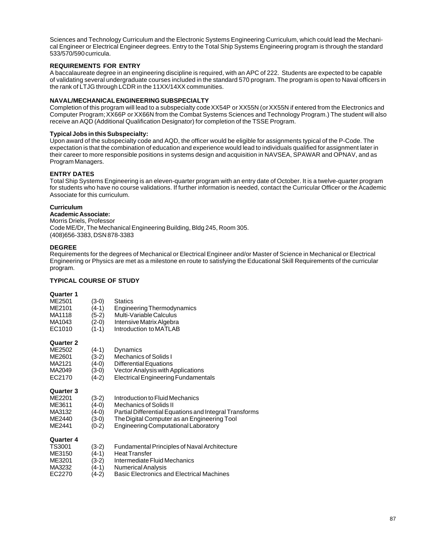Sciences and Technology Curriculum and the Electronic Systems Engineering Curriculum, which could lead the Mechanical Engineer or Electrical Engineer degrees. Entry to the Total Ship Systems Engineering program is through the standard 533/570/590 curricula.

# **REQUIREMENTS FOR ENTRY**

A baccalaureate degree in an engineering discipline is required, with an APC of 222. Students are expected to be capable of validating several undergraduate courses included in the standard 570 program. The program is open to Naval officers in the rank of LTJG through LCDR in the 11XX/14XX communities.

## **NAVAL/MECHANICAL ENGINEERING SUBSPECIALTY**

Completion of this program will lead to a subspecialty code XX54P or XX55N (or XX55N if entered from the Electronics and Computer Program; XX66P or XX66N from the Combat Systems Sciences and Technology Program.) The student will also receive an AQD (Additional Qualification Designator) for completion of the TSSE Program.

### **Typical Jobs in this Subspecialty:**

Upon award of the subspecialty code and AQD, the officer would be eligible for assignments typical of the P-Code. The expectation is that the combination of education and experience would lead to individuals qualified for assignment later in their career to more responsible positions in systems design and acquisition in NAVSEA, SPAWAR and OPNAV, and as Program Managers.

# **ENTRY DATES**

Total Ship Systems Engineering is an eleven-quarter program with an entry date of October. It is a twelve-quarter program for students who have no course validations. If further information is needed, contact the Curricular Officer or the Academic Associate for this curriculum.

### **Curriculum**

**Academic Associate:** Morris Driels, Professor Code ME/Dr, The Mechanical Engineering Building, Bldg 245, Room 305. (408)656-3383, DSN 878-3383

# **DEGREE**

Requirements for the degrees of Mechanical or Electrical Engineer and/or Master of Science in Mechanical or Electrical Engineering or Physics are met as a milestone en route to satisfying the Educational Skill Requirements of the curricular program.

### **TYPICAL COURSE OF STUDY**

### **Quarter 1**

| ME2501 | $(3-0)$ | <b>Statics</b>                    |
|--------|---------|-----------------------------------|
| ME2101 | $(4-1)$ | <b>Engineering Thermodynamics</b> |
| MA1118 | $(5-2)$ | Multi-Variable Calculus           |
| MA1043 | $(2-0)$ | Intensive Matrix Algebra          |
| EC1010 | $(1-1)$ | Introduction to MATLAB            |
|        |         |                                   |

### **Quarter 2**

| ME2502 | $(4-1)$ | Dynamics                                   |
|--------|---------|--------------------------------------------|
| ME2601 | $(3-2)$ | Mechanics of Solids I                      |
| MA2121 | $(4-0)$ | <b>Differential Equations</b>              |
| MA2049 | $(3-0)$ | Vector Analysis with Applications          |
| EC2170 | $(4-2)$ | <b>Electrical Engineering Fundamentals</b> |

#### **Quarter 3**

| ME2201 | $(3-2)$ | Introduction to Fluid Mechanics |
|--------|---------|---------------------------------|
|--------|---------|---------------------------------|

- ME3611 (4-0) Mechanics of Solids II<br>MA3132 (4-0) Partial Differential Equ
- MA3132 (4-0) Partial Differential Equations and Integral Transforms<br>ME2440 (3-0) The Digital Computer as an Engineering Tool
- ME2440 (3-0) The Digital Computer as an Engineering Tool<br>ME2441 (0-2) Engineering Computational Laboratory
- $(0-2)$  Engineering Computational Laboratory

| TS3001 | $(3-2)$ | Fundamental Principles of Naval Architecture     |
|--------|---------|--------------------------------------------------|
| ME3150 | $(4-1)$ | <b>Heat Transfer</b>                             |
| ME3201 | $(3-2)$ | Intermediate Fluid Mechanics                     |
| MA3232 | $(4-1)$ | <b>Numerical Analysis</b>                        |
| EC2270 | $(4-2)$ | <b>Basic Electronics and Electrical Machines</b> |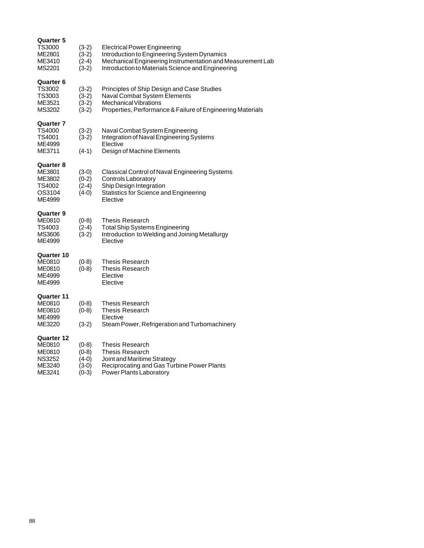| Quarter 5<br>TS3000<br>ME2801<br>ME3410<br>MS2201                  | $(3-2)$<br>$(3-2)$<br>$(2-4)$<br>$(3-2)$ | <b>Electrical Power Engineering</b><br>Introduction to Engineering System Dynamics<br>Mechanical Engineering Instrumentation and Measurement Lab<br>Introduction to Materials Science and Engineering |
|--------------------------------------------------------------------|------------------------------------------|-------------------------------------------------------------------------------------------------------------------------------------------------------------------------------------------------------|
| <b>Quarter 6</b><br>TS3002<br>TS3003<br>ME3521<br>MS3202           | $(3-2)$<br>$(3-2)$<br>$(3-2)$<br>$(3-2)$ | Principles of Ship Design and Case Studies<br>Naval Combat System Elements<br><b>Mechanical Vibrations</b><br>Properties, Performance & Failure of Engineering Materials                              |
| Quarter 7<br>TS4000<br>TS4001<br>ME4999<br>ME3711                  | $(3-2)$<br>$(3-2)$<br>$(4-1)$            | Naval Combat System Engineering<br>Integration of Naval Engineering Systems<br>Elective<br>Design of Machine Elements                                                                                 |
| <b>Quarter 8</b><br>ME3801<br>ME3802<br>TS4002<br>OS3104<br>ME4999 | $(3-0)$<br>$(0-2)$<br>$(2-4)$<br>$(4-0)$ | Classical Control of Naval Engineering Systems<br>Controls Laboratory<br>Ship Design Integration<br>Statistics for Science and Engineering<br>Elective                                                |
| Quarter 9<br>ME0810<br>TS4003<br>MS3606<br>ME4999                  | $(0-8)$<br>$(2-4)$<br>$(3-2)$            | <b>Thesis Research</b><br><b>Total Ship Systems Engineering</b><br>Introduction to Welding and Joining Metallurgy<br>Elective                                                                         |
| Quarter 10<br>ME0810<br>ME0810<br>ME4999<br>ME4999                 | $(0-8)$<br>$(0-8)$                       | <b>Thesis Research</b><br>Thesis Research<br>Elective<br>Elective                                                                                                                                     |
| Quarter 11<br>ME0810<br>ME0810<br>ME4999<br>ME3220                 | $(0-8)$<br>$(0-8)$<br>$(3-2)$            | <b>Thesis Research</b><br><b>Thesis Research</b><br>Elective<br>Steam Power, Refrigeration and Turbomachinery                                                                                         |
| Quarter 12<br>ME0810<br>ME0810<br><b>NS3252</b><br>ME3240          | $(0-8)$<br>$(0-8)$<br>(4-0)<br>(3-0)     | <b>Thesis Research</b><br>Thesis Research<br>Joint and Maritime Strategy<br>Reciprocating and Gas Turbine Power Plants                                                                                |

ME3241 (0-3) Power Plants Laboratory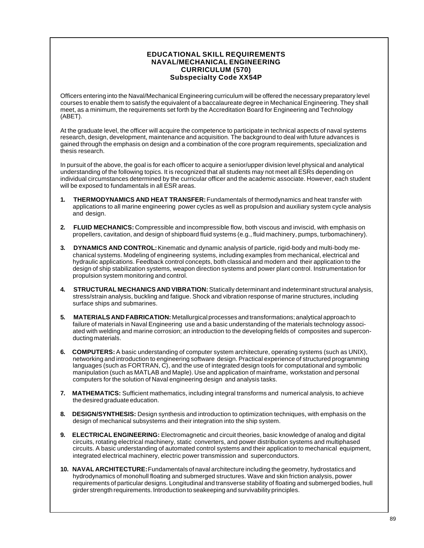# **EDUCATIONAL SKILL REQUIREMENTS NAVAL/MECHANICAL ENGINEERING CURRICULUM (570) Subspecialty Code XX54P**

Officers entering into the Naval/Mechanical Engineering curriculum will be offered the necessary preparatory level courses to enable them to satisfy the equivalent of a baccalaureate degree in Mechanical Engineering. They shall meet, as a minimum, the requirements set forth by the Accreditation Board for Engineering and Technology (ABET).

At the graduate level, the officer will acquire the competence to participate in technical aspects of naval systems research, design, development, maintenance and acquisition. The background to deal with future advances is gained through the emphasis on design and a combination of the core program requirements, specialization and thesis research.

In pursuit of the above, the goal is for each officer to acquire a senior/upper division level physical and analytical understanding of the following topics. It is recognized that all students may not meet all ESRs depending on individual circumstances determined by the curricular officer and the academic associate. However, each student will be exposed to fundamentals in all ESR areas.

- **1. THERMODYNAMICS AND HEAT TRANSFER:** Fundamentals of thermodynamics and heat transfer with applications to all marine engineering power cycles as well as propulsion and auxiliary system cycle analysis and design.
- **2. FLUID MECHANICS:** Compressible and incompressible flow, both viscous and inviscid, with emphasis on propellers, cavitation, and design of shipboard fluid systems (e.g., fluid machinery, pumps, turbomachinery).
- **3. DYNAMICS AND CONTROL:** Kinematic and dynamic analysis of particle, rigid-body and multi-body mechanical systems. Modeling of engineering systems, including examples from mechanical, electrical and hydraulic applications. Feedback control concepts, both classical and modern and their application to the design of ship stabilization systems, weapon direction systems and power plant control. Instrumentation for propulsion system monitoring and control.
- **4. STRUCTURAL MECHANICS AND VIBRATION:** Statically determinant and indeterminant structural analysis, stress/strain analysis, buckling and fatigue. Shock and vibration response of marine structures, including surface ships and submarines.
- **5. MATERIALS AND FABRICATION:** Metallurgical processes and transformations; analytical approach to failure of materials in Naval Engineering use and a basic understanding of the materials technology associated with welding and marine corrosion; an introduction to the developing fields of composites and superconducting materials.
- **6. COMPUTERS:** A basic understanding of computer system architecture, operating systems (such as UNIX), networking and introduction to engineering software design. Practical experience of structured programming languages (such as FORTRAN, C), and the use of integrated design tools for computational and symbolic manipulation (such as MATLAB and Maple). Use and application of mainframe, workstation and personal computers for the solution of Naval engineering design and analysis tasks.
- **7. MATHEMATICS:** Sufficient mathematics, including integral transforms and numerical analysis, to achieve the desired graduate education.
- **8. DESIGN/SYNTHESIS:** Design synthesis and introduction to optimization techniques, with emphasis on the design of mechanical subsystems and their integration into the ship system.
- **9. ELECTRICAL ENGINEERING:** Electromagnetic and circuit theories, basic knowledge of analog and digital circuits, rotating electrical machinery, static converters, and power distribution systems and multiphased circuits. A basic understanding of automated control systems and their application to mechanical equipment, integrated electrical machinery, electric power transmission and superconductors.
- **10. NAVAL ARCHITECTURE:** Fundamentals of naval architecture including the geometry, hydrostatics and hydrodynamics of monohull floating and submerged structures. Wave and skin friction analysis, power requirements of particular designs. Longitudinal and transverse stability of floating and submerged bodies, hull girder strength requirements. Introduction to seakeeping and survivability principles.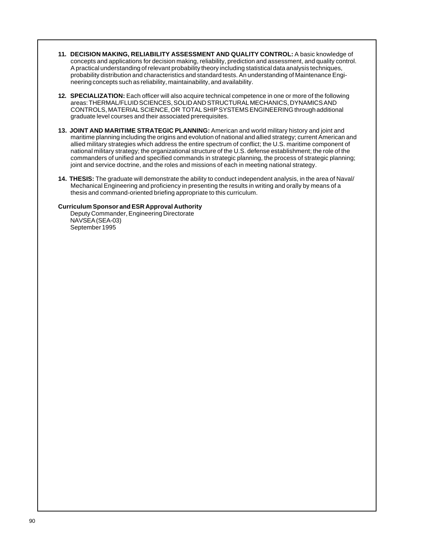- **11. DECISION MAKING, RELIABILITY ASSESSMENT AND QUALITY CONTROL:** A basic knowledge of concepts and applications for decision making, reliability, prediction and assessment, and quality control. A practical understanding of relevant probability theory including statistical data analysis techniques, probability distribution and characteristics and standard tests. An understanding of Maintenance Engineering concepts such as reliability, maintainability, and availability.
- **12. SPECIALIZATION:** Each officer will also acquire technical competence in one or more of the following areas: THERMAL/FLUID SCIENCES, SOLID AND STRUCTURAL MECHANICS, DYNAMICS AND CONTROLS, MATERIAL SCIENCE, OR TOTAL SHIP SYSTEMS ENGINEERING through additional graduate level courses and their associated prerequisites.
- **13. JOINT AND MARITIME STRATEGIC PLANNING:** American and world military history and joint and maritime planning including the origins and evolution of national and allied strategy; current American and allied military strategies which address the entire spectrum of conflict; the U.S. maritime component of national military strategy; the organizational structure of the U.S. defense establishment; the role of the commanders of unified and specified commands in strategic planning, the process of strategic planning; joint and service doctrine, and the roles and missions of each in meeting national strategy.
- **14. THESIS:** The graduate will demonstrate the ability to conduct independent analysis, in the area of Naval/ Mechanical Engineering and proficiency in presenting the results in writing and orally by means of a thesis and command-oriented briefing appropriate to this curriculum.

#### **Curriculum Sponsor and ESR Approval Authority**

Deputy Commander, Engineering Directorate NAVSEA (SEA-03) September 1995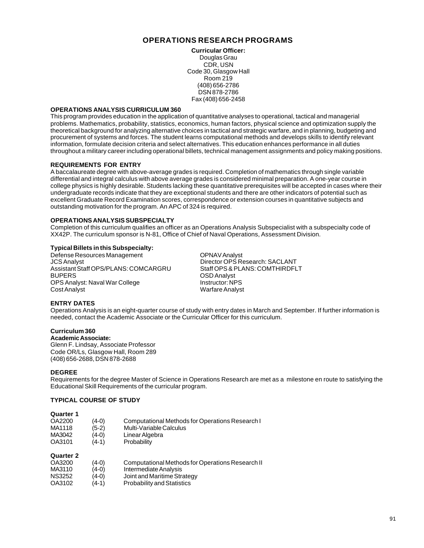# **OPERATIONS RESEARCH PROGRAMS**

**Curricular Officer:** Douglas Grau CDR, USN Code 30, Glasgow Hall Room 219 (408) 656-2786 DSN 878-2786 Fax (408) 656-2458

#### **OPERATIONS ANALYSIS CURRICULUM 360**

This program provides education in the application of quantitative analyses to operational, tactical and managerial problems. Mathematics, probability, statistics, economics, human factors, physical science and optimization supply the theoretical background for analyzing alternative choices in tactical and strategic warfare, and in planning, budgeting and procurement of systems and forces. The student learns computational methods and develops skills to identify relevant information, formulate decision criteria and select alternatives. This education enhances performance in all duties throughout a military career including operational billets, technical management assignments and policy making positions.

#### **REQUIREMENTS FOR ENTRY**

A baccalaureate degree with above-average grades is required. Completion of mathematics through single variable differential and integral calculus with above average grades is considered minimal preparation. A one-year course in college physics is highly desirable. Students lacking these quantitative prerequisites will be accepted in cases where their undergraduate records indicate that they are exceptional students and there are other indicators of potential such as excellent Graduate Record Examination scores, correspondence or extension courses in quantitative subjects and outstanding motivation for the program. An APC of 324 is required.

### **OPERATIONS ANALYSIS SUBSPECIALTY**

Completion of this curriculum qualifies an officer as an Operations Analysis Subspecialist with a subspecialty code of XX42P. The curriculum sponsor is N-81, Office of Chief of Naval Operations, Assessment Division.

#### **Typical Billets in this Subspecialty:**

Defense Resources Management COPNAV Analyst<br>JCS Analyst CSS Analyst COPS Re Assistant Staff OPS/PLANS: COMCARGRU BUPERS OSD Analyst OPS Analyst: Naval War College<br>Cost Analyst

Director OPS Research: SACLANT<br>Staff OPS & PLANS: COMTHIRDFLT Warfare Analyst

### **ENTRY DATES**

Operations Analysis is an eight-quarter course of study with entry dates in March and September. If further information is needed, contact the Academic Associate or the Curricular Officer for this curriculum.

### **Curriculum 360**

**Academic Associate:** Glenn F. Lindsay, Associate Professor Code OR/Ls, Glasgow Hall, Room 289 (408) 656-2688, DSN 878-2688

#### **DEGREE**

Requirements for the degree Master of Science in Operations Research are met as a milestone en route to satisfying the Educational Skill Requirements of the curricular program.

#### **TYPICAL COURSE OF STUDY**

#### **Quarter 1**

| OA2200<br>MA1118 | $(4-0)$<br>$(5-2)$ | Computational Methods for Operations Research I<br>Multi-Variable Calculus |
|------------------|--------------------|----------------------------------------------------------------------------|
| MA3042           | $(4-0)$            | Linear Algebra                                                             |
| OA3101           | $(4-1)$            | Probability                                                                |

| OA3200 | $(4-0)$ | Computational Methods for Operations Research II |
|--------|---------|--------------------------------------------------|
| MA3110 | $(4-0)$ | Intermediate Analysis                            |
| NS3252 | $(4-0)$ | Joint and Maritime Strategy                      |
| OA3102 | $(4-1)$ | <b>Probability and Statistics</b>                |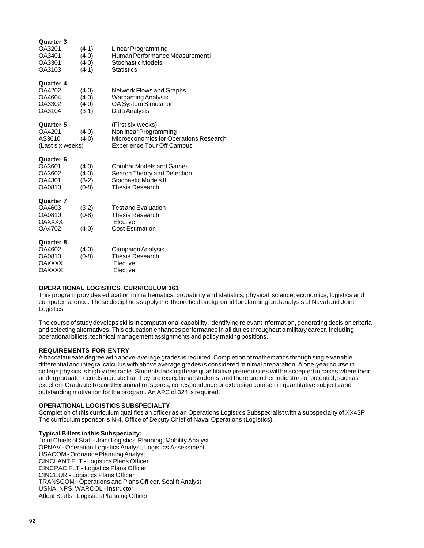| Quarter 3<br>OA3201<br>OA3401<br>OA3301<br>OA3103               | $(4-1)$<br>$(4-0)$<br>$(4-0)$<br>$(4-1)$ | Linear Programming<br>Human Performance Measurement I<br>Stochastic Models I<br><b>Statistics</b>                         |
|-----------------------------------------------------------------|------------------------------------------|---------------------------------------------------------------------------------------------------------------------------|
| <b>Quarter 4</b><br>OA4202<br>OA4604<br>OA3302<br>OA3104        | $(4-0)$<br>$(4-0)$<br>$(4-0)$<br>$(3-1)$ | Network Flows and Graphs<br>Wargaming Analysis<br><b>OA System Simulation</b><br>Data Analysis                            |
| Quarter 5<br>OA4201<br>AS3610<br>(Last six weeks)               | $(4-0)$<br>$(4-0)$                       | (First six weeks)<br>Nonlinear Programming<br>Microeconomics for Operations Research<br><b>Experience Tour Off Campus</b> |
| Quarter 6<br>OA3601<br>OA3602<br>OA4301<br>OA0810               | $(4-0)$<br>$(4-0)$<br>$(3-2)$<br>$(0-8)$ | <b>Combat Models and Games</b><br>Search Theory and Detection<br>Stochastic Models II<br>Thesis Research                  |
| <b>Quarter 7</b><br>OA4603<br>OA0810<br><b>OAXXXX</b><br>OA4702 | $(3-2)$<br>$(0-8)$<br>$(4-0)$            | <b>Test and Evaluation</b><br>Thesis Research<br>Elective<br><b>Cost Estimation</b>                                       |
| <b>Quarter 8</b><br>OA4602<br>OA0810<br>OAXXXX<br>OAXXXX        | $(4-0)$<br>$(0-8)$                       | Campaign Analysis<br>Thesis Research<br>Elective<br>Elective                                                              |

### **OPERATIONAL LOGISTICS CURRICULUM 361**

This program provides education in mathematics, probability and statistics, physical science, economics, logistics and computer science. These disciplines supply the theoretical background for planning and analysis of Naval and Joint Logistics.

The course of study develops skills in computational capability, identifying relevant information, generating decision criteria and selecting alternatives. This education enhances performance in all duties throughout a military career, including operational billets, technical management assignments and policy making positions.

### **REQUIREMENTS FOR ENTRY**

A baccalaureate degree with above-average grades is required. Completion of mathematics through single variable differential and integral calculus with above average grades is considered minimal preparation. A one-year course in college physics is highly desirable. Students lacking these quantitative prerequisites will be accepted in cases where their undergraduate records indicate that they are exceptional students, and there are other indicators of potential, such as excellent Graduate Record Examination scores, correspondence or extension courses in quantitative subjects and outstanding motivation for the program. An APC of 324 is required.

### **OPERATIONAL LOGISTICS SUBSPECIALTY**

Completion of this curriculum qualifies an officer as an Operations Logistics Subspecialist with a subspecialty of XX43P. The curriculum sponsor is N-4, Office of Deputy Chief of Naval Operations (Logistics).

### **Typical Billets in this Subspecialty:**

Joint Chiefs of Staff - Joint Logistics Planning, Mobility Analyst OPNAV - Operation Logistics Analyst, Logistics Assessment USACOM - Ordnance Planning Analyst CINCLANT FLT - Logistics Plans Officer CINCPAC FLT - Logistics Plans Officer CINCEUR - Logistics Plans Officer TRANSCOM - Operations and Plans Officer, Sealift Analyst USNA, NPS, WARCOL - Instructor Afloat Staffs - Logistics Planning Officer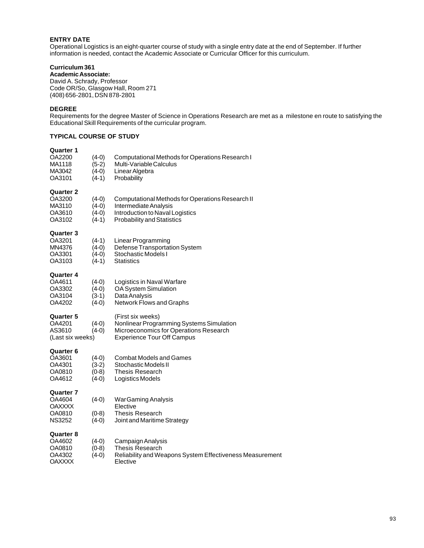# **ENTRY DATE**

Operational Logistics is an eight-quarter course of study with a single entry date at the end of September. If further information is needed, contact the Academic Associate or Curricular Officer for this curriculum.

# **Curriculum 361**

**Academic Associate:** David A. Schrady, Professor Code OR/So, Glasgow Hall, Room 271 (408) 656-2801, DSN 878-2801

#### **DEGREE**

Requirements for the degree Master of Science in Operations Research are met as a milestone en route to satisfying the Educational Skill Requirements of the curricular program.

# **TYPICAL COURSE OF STUDY**

# **Quarter 1** OA2200 (4-0) Computational Methods for Operations Research I<br>MA1118 (5-2) Multi-Variable Calculus MA1118 (5-2) Multi-Variable Calculus<br>MA3042 (4-0) Linear Algebra MA3042 (4-0) Linear Algebra<br>OA3101 (4-1) Probability **Probability Quarter 2** OA3200 (4-0) Computational Methods for Operations Research II<br>MA3110 (4-0) Intermediate Analysis MA3110 (4-0) Intermediate Analysis<br>OA3610 (4-0) Introduction to Naval L OA3610 (4-0) Introduction to Naval Logistics<br>OA3102 (4-1) Probability and Statistics Probability and Statistics **Quarter 3** OA3201 (4-1) Linear Programming<br>MN4376 (4-0) Defense Transportat MN4376 (4-0) Defense Transportation System<br>OA3301 (4-0) Stochastic Models I  $\overrightarrow{A-0}$  Stochastic Models I<br>(4-1) Statistics OA3103 **Quarter 4** OA4611 (4-0) Logistics in Naval Warfare<br>OA3302 (4-0) OA System Simulation OA3302 (4-0) OA System Simulation<br>OA3104 (3-1) Data Analysis OA3104 (3-1) Data Analysis<br>OA4202 (4-0) Network Flows Network Flows and Graphs **Quarter 5** (First six weeks)<br>
OA4201 (4-0) Nonlinear Progra OA4201 (4-0) Nonlinear Programming Systems Simulation<br>AS3610 (4-0) Microeconomics for Operations Research AS3610 (4-0) Microeconomics for Operations Research<br>(Last six weeks) Experience Tour Off Campus Experience Tour Off Campus **Quarter 6** OA3601 (4-0) Combat Models and Games<br>OA4301 (3-2) Stochastic Models II Stochastic Models II OA0810 (0-8) Thesis Research Logistics Models **Quarter 7** (4-0) War Gaming Analysis<br>Flective OAXXXX<br>OA0810 OA0810 (0-8) Thesis Research<br>NS3252 (4-0) Joint and Maritime Joint and Maritime Strategy **Quarter 8**<br> $0A4602$ OA4602 (4-0) Campaign Analysis<br>OA0810 (0-8) Thesis Research Thesis Research OA4302 (4-0) Reliability and Weapons System Effectiveness Measurement<br>OAXXXX Elective OAXXXX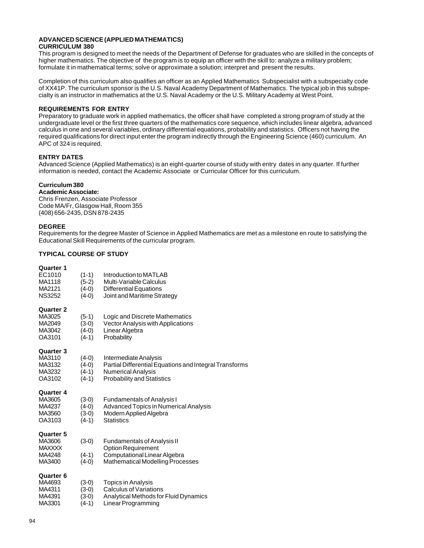#### **ADVANCED SCIENCE (APPLIED MATHEMATICS) CURRICULUM 380**

This program is designed to meet the needs of the Department of Defense for graduates who are skilled in the concepts of higher mathematics. The objective of the program is to equip an officer with the skill to: analyze a military problem; formulate it in mathematical terms; solve or approximate a solution; interpret and present the results.

Completion of this curriculum also qualifies an officer as an Applied Mathematics Subspecialist with a subspecialty code of XX41P. The curriculum sponsor is the U.S. Naval Academy Department of Mathematics. The typical job in this subspecialty is an instructor in mathematics at the U.S. Naval Academy or the U.S. Military Academy at West Point.

# **REQUIREMENTS FOR ENTRY**

Preparatory to graduate work in applied mathematics, the officer shall have completed a strong program of study at the undergraduate level or the first three quarters of the mathematics core sequence, which includes linear algebra, advanced calculus in one and several variables, ordinary differential equations, probability and statistics. Officers not having the required qualifications for direct input enter the program indirectly through the Engineering Science (460) curriculum. An APC of 324 is required.

# **ENTRY DATES**

Advanced Science (Applied Mathematics) is an eight-quarter course of study with entry dates in any quarter. If further information is needed, contact the Academic Associate or Curricular Officer for this curriculum.

# **Curriculum 380**

**Academic Associate:** Chris Frenzen, Associate Professor Code MA/Fr, Glasgow Hall, Room 355 (408) 656-2435, DSN 878-2435

### **DEGREE**

Requirements for the degree Master of Science in Applied Mathematics are met as a milestone en route to satisfying the Educational Skill Requirements of the curricular program.

# **TYPICAL COURSE OF STUDY**

| <b>Quarter 1</b><br>EC1010<br>MA1118<br>MA2121<br><b>NS3252</b> | $(1-1)$<br>$(5-2)$<br>$(4-0)$<br>$(4-0)$ | Introduction to MATLAB<br>Multi-Variable Calculus<br><b>Differential Equations</b><br>Joint and Maritime Strategy                                 |
|-----------------------------------------------------------------|------------------------------------------|---------------------------------------------------------------------------------------------------------------------------------------------------|
| <b>Quarter 2</b><br>MA3025<br>MA2049<br>MA3042<br>OA3101        | $(5-1)$<br>$(3-0)$<br>$(4-0)$<br>$(4-1)$ | Logic and Discrete Mathematics<br>Vector Analysis with Applications<br>Linear Algebra<br>Probability                                              |
| <b>Quarter 3</b><br>MA3110<br>MA3132<br>MA3232<br>OA3102        | $(4-0)$<br>$(4-0)$<br>$(4-1)$<br>$(4-1)$ | Intermediate Analysis<br>Partial Differential Equations and Integral Transforms<br><b>Numerical Analysis</b><br><b>Probability and Statistics</b> |
| <b>Quarter 4</b><br>MA3605<br>MA4237<br>MA3560<br>OA3103        | $(3-0)$<br>$(4-0)$<br>$(3-0)$<br>$(4-1)$ | <b>Fundamentals of Analysis I</b><br><b>Advanced Topics in Numerical Analysis</b><br>Modern Applied Algebra<br><b>Statistics</b>                  |
| <b>Quarter 5</b><br>MA3606<br><b>MAXXXX</b><br>MA4248<br>MA3400 | $(3-0)$<br>$(4-1)$<br>$(4-0)$            | <b>Fundamentals of Analysis II</b><br><b>Option Requirement</b><br>Computational Linear Algebra<br>Mathematical Modelling Processes               |
| <b>Quarter 6</b><br>MA4693<br>MA4311<br>MA4391<br>MA3301        | $(3-0)$<br>$(3-0)$<br>$(3-0)$<br>$(4-1)$ | Topics in Analysis<br>Calculus of Variations<br>Analytical Methods for Fluid Dynamics<br>Linear Programming                                       |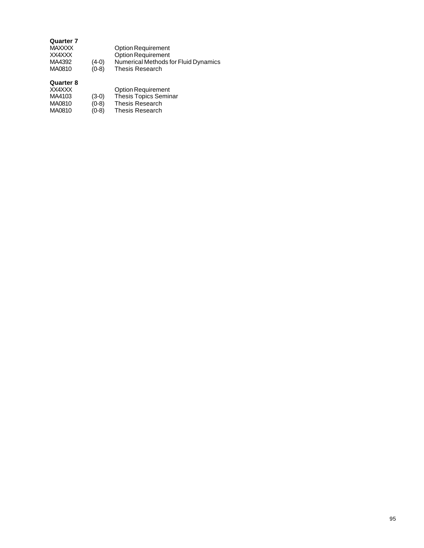# **Quarter 7**

| MAXXXX |         | <b>Option Requirement</b>            |
|--------|---------|--------------------------------------|
| XX4XXX |         | <b>Option Requirement</b>            |
| MA4392 | $(4-0)$ | Numerical Methods for Fluid Dynamics |
| MA0810 | $(0-8)$ | Thesis Research                      |
|        |         |                                      |

| XX4XXX |         | <b>Option Requirement</b>    |
|--------|---------|------------------------------|
| MA4103 | $(3-0)$ | <b>Thesis Topics Seminar</b> |
| MA0810 | $(0-8)$ | Thesis Research              |
| MA0810 | $(0-8)$ | Thesis Research              |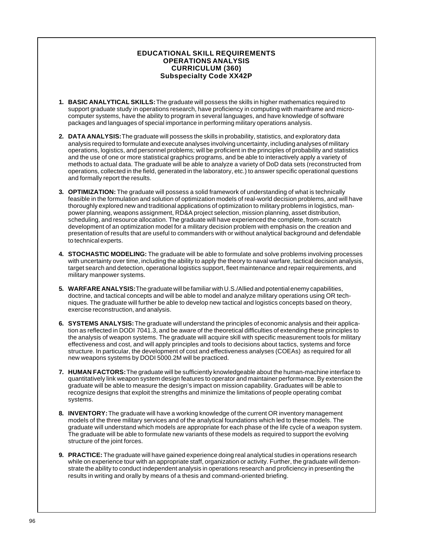# **EDUCATIONAL SKILL REQUIREMENTS OPERATIONS ANALYSIS CURRICULUM (360) Subspecialty Code XX42P**

- **1. BASIC ANALYTICAL SKILLS:** The graduate will possess the skills in higher mathematics required to support graduate study in operations research, have proficiency in computing with mainframe and microcomputer systems, have the ability to program in several languages, and have knowledge of software packages and languages of special importance in performing military operations analysis.
- **2. DATA ANALYSIS:** The graduate will possess the skills in probability, statistics, and exploratory data analysis required to formulate and execute analyses involving uncertainty, including analyses of military operations, logistics, and personnel problems; will be proficient in the principles of probability and statistics and the use of one or more statistical graphics programs, and be able to interactively apply a variety of methods to actual data. The graduate will be able to analyze a variety of DoD data sets (reconstructed from operations, collected in the field, generated in the laboratory, etc.) to answer specific operational questions and formally report the results.
- **3. OPTIMIZATION:** The graduate will possess a solid framework of understanding of what is technically feasible in the formulation and solution of optimization models of real-world decision problems, and will have thoroughly explored new and traditional applications of optimization to military problems in logistics, manpower planning, weapons assignment, RD&A project selection, mission planning, asset distribution, scheduling, and resource allocation. The graduate will have experienced the complete, from-scratch development of an optimization model for a military decision problem with emphasis on the creation and presentation of results that are useful to commanders with or without analytical background and defendable to technical experts.
- **4. STOCHASTIC MODELING:** The graduate will be able to formulate and solve problems involving processes with uncertainty over time, including the ability to apply the theory to naval warfare, tactical decision analysis, target search and detection, operational logistics support, fleet maintenance and repair requirements, and military manpower systems.
- **5. WARFARE ANALYSIS:** The graduate will be familiar with U.S./Allied and potential enemy capabilities, doctrine, and tactical concepts and will be able to model and analyze military operations using OR techniques. The graduate will further be able to develop new tactical and logistics concepts based on theory, exercise reconstruction, and analysis.
- **6. SYSTEMS ANALYSIS:** The graduate will understand the principles of economic analysis and their application as reflected in DODI 7041.3, and be aware of the theoretical difficulties of extending these principles to the analysis of weapon systems. The graduate will acquire skill with specific measurement tools for military effectiveness and cost, and will apply principles and tools to decisions about tactics, systems and force structure. In particular, the development of cost and effectiveness analyses (COEAs) as required for all new weapons systems by DODI 5000.2M will be practiced.
- **7. HUMAN FACTORS:** The graduate will be sufficiently knowledgeable about the human-machine interface to quantitatively link weapon system design features to operator and maintainer performance. By extension the graduate will be able to measure the design's impact on mission capability. Graduates will be able to recognize designs that exploit the strengths and minimize the limitations of people operating combat systems.
- **8. INVENTORY:** The graduate will have a working knowledge of the current OR inventory management models of the three military services and of the analytical foundations which led to these models. The graduate will understand which models are appropriate for each phase of the life cycle of a weapon system. The graduate will be able to formulate new variants of these models as required to support the evolving structure of the joint forces.
- **9. PRACTICE:** The graduate will have gained experience doing real analytical studies in operations research while on experience tour with an appropriate staff, organization or activity. Further, the graduate will demonstrate the ability to conduct independent analysis in operations research and proficiency in presenting the results in writing and orally by means of a thesis and command-oriented briefing.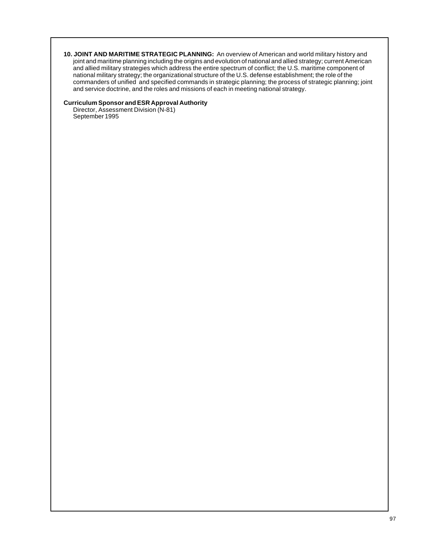**10. JOINT AND MARITIME STRATEGIC PLANNING:** An overview of American and world military history and joint and maritime planning including the origins and evolution of national and allied strategy; current American and allied military strategies which address the entire spectrum of conflict; the U.S. maritime component of national military strategy; the organizational structure of the U.S. defense establishment; the role of the commanders of unified and specified commands in strategic planning; the process of strategic planning; joint and service doctrine, and the roles and missions of each in meeting national strategy.

# **Curriculum Sponsor and ESR Approval Authority**

Director, Assessment Division (N-81) September 1995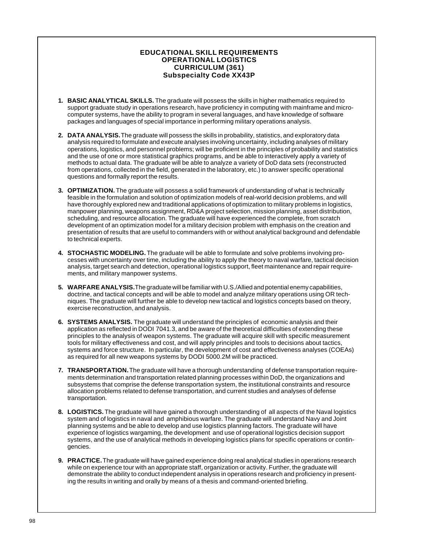# **EDUCATIONAL SKILL REQUIREMENTS OPERATIONAL LOGISTICS CURRICULUM (361) Subspecialty Code XX43P**

- **1. BASIC ANALYTICAL SKILLS.** The graduate will possess the skills in higher mathematics required to support graduate study in operations research, have proficiency in computing with mainframe and microcomputer systems, have the ability to program in several languages, and have knowledge of software packages and languages of special importance in performing military operations analysis.
- **2. DATA ANALYSIS.** The graduate will possess the skills in probability, statistics, and exploratory data analysis required to formulate and execute analyses involving uncertainty, including analyses of military operations, logistics, and personnel problems; will be proficient in the principles of probability and statistics and the use of one or more statistical graphics programs, and be able to interactively apply a variety of methods to actual data. The graduate will be able to analyze a variety of DoD data sets (reconstructed from operations, collected in the field, generated in the laboratory, etc.) to answer specific operational questions and formally report the results.
- **3. OPTIMIZATION.** The graduate will possess a solid framework of understanding of what is technically feasible in the formulation and solution of optimization models of real-world decision problems, and will have thoroughly explored new and traditional applications of optimization to military problems in logistics, manpower planning, weapons assignment, RD&A project selection, mission planning, asset distribution, scheduling, and resource allocation. The graduate will have experienced the complete, from scratch development of an optimization model for a military decision problem with emphasis on the creation and presentation of results that are useful to commanders with or without analytical background and defendable to technical experts.
- **4. STOCHASTIC MODELING.** The graduate will be able to formulate and solve problems involving processes with uncertainty over time, including the ability to apply the theory to naval warfare, tactical decision analysis, target search and detection, operational logistics support, fleet maintenance and repair requirements, and military manpower systems.
- **5. WARFARE ANALYSIS.** The graduate will be familiar with U.S./Allied and potential enemy capabilities, doctrine, and tactical concepts and will be able to model and analyze military operations using OR techniques. The graduate will further be able to develop new tactical and logistics concepts based on theory, exercise reconstruction, and analysis.
- **6. SYSTEMS ANALYSIS.** The graduate will understand the principles of economic analysis and their application as reflected in DODI 7041.3, and be aware of the theoretical difficulties of extending these principles to the analysis of weapon systems. The graduate will acquire skill with specific measurement tools for military effectiveness and cost, and will apply principles and tools to decisions about tactics, systems and force structure. In particular, the development of cost and effectiveness analyses (COEAs) as required for all new weapons systems by DODI 5000.2M will be practiced.
- **7. TRANSPORTATION.** The graduate will have a thorough understanding of defense transportation requirements determination and transportation related planning processes within DoD, the organizations and subsystems that comprise the defense transportation system, the institutional constraints and resource allocation problems related to defense transportation, and current studies and analyses of defense transportation.
- **8. LOGISTICS.** The graduate will have gained a thorough understanding of all aspects of the Naval logistics system and of logistics in naval and amphibious warfare. The graduate will understand Navy and Joint planning systems and be able to develop and use logistics planning factors. The graduate will have experience of logistics wargaming, the development and use of operational logistics decision support systems, and the use of analytical methods in developing logistics plans for specific operations or contingencies.
- **9. PRACTICE.** The graduate will have gained experience doing real analytical studies in operations research while on experience tour with an appropriate staff, organization or activity. Further, the graduate will demonstrate the ability to conduct independent analysis in operations research and proficiency in presenting the results in writing and orally by means of a thesis and command-oriented briefing.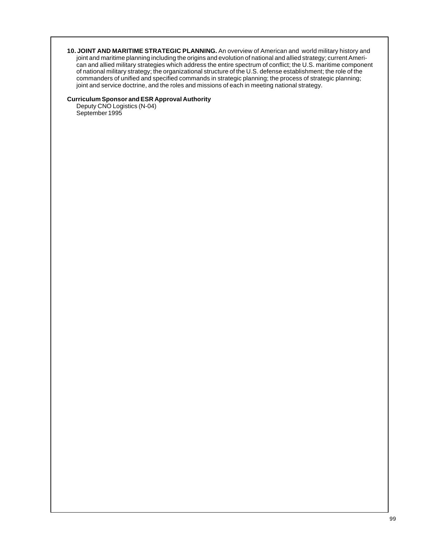**10. JOINT AND MARITIME STRATEGIC PLANNING.** An overview of American and world military history and joint and maritime planning including the origins and evolution of national and allied strategy; current American and allied military strategies which address the entire spectrum of conflict; the U.S. maritime component of national military strategy; the organizational structure of the U.S. defense establishment; the role of the commanders of unified and specified commands in strategic planning; the process of strategic planning; joint and service doctrine, and the roles and missions of each in meeting national strategy.

# **Curriculum Sponsor and ESR Approval Authority**

Deputy CNO Logistics (N-04) September 1995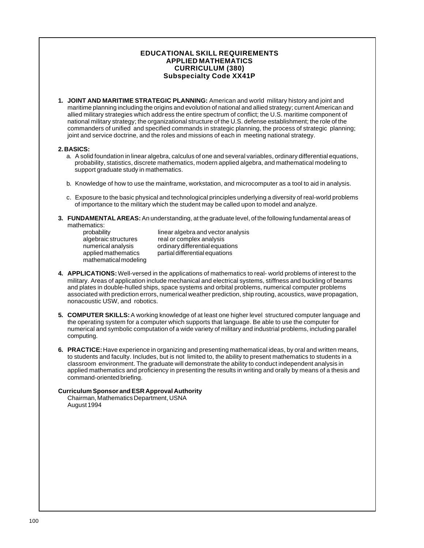# **EDUCATIONAL SKILL REQUIREMENTS APPLIED MATHEMATICS CURRICULUM (380) Subspecialty Code XX41P**

**1. JOINT AND MARITIME STRATEGIC PLANNING:** American and world military history and joint and maritime planning including the origins and evolution of national and allied strategy; current American and allied military strategies which address the entire spectrum of conflict; the U.S. maritime component of national military strategy; the organizational structure of the U.S. defense establishment; the role of the commanders of unified and specified commands in strategic planning, the process of strategic planning; joint and service doctrine, and the roles and missions of each in meeting national strategy.

#### **2. BASICS:**

- a. A solid foundation in linear algebra, calculus of one and several variables, ordinary differential equations, probability, statistics, discrete mathematics, modern applied algebra, and mathematical modeling to support graduate study in mathematics.
- b. Knowledge of how to use the mainframe, workstation, and microcomputer as a tool to aid in analysis.
- c. Exposure to the basic physical and technological principles underlying a diversity of real-world problems of importance to the military which the student may be called upon to model and analyze.
- **3. FUNDAMENTAL AREAS:** An understanding, at the graduate level, of the following fundamental areas of mathematics:

| probability           |  |
|-----------------------|--|
| algebraic structures  |  |
| numerical analysis    |  |
| applied mathematics   |  |
| mathematical modeling |  |

linear algebra and vector analysis real or complex analysis ordinary differential equations partial differential equations

- **4. APPLICATIONS:** Well-versed in the applications of mathematics to real- world problems of interest to the military. Areas of application include mechanical and electrical systems, stiffness and buckling of beams and plates in double-hulled ships, space systems and orbital problems, numerical computer problems associated with prediction errors, numerical weather prediction, ship routing, acoustics, wave propagation, nonacoustic USW, and robotics.
- **5. COMPUTER SKILLS:** A working knowledge of at least one higher level structured computer language and the operating system for a computer which supports that language. Be able to use the computer for numerical and symbolic computation of a wide variety of military and industrial problems, including parallel computing.
- **6. PRACTICE:** Have experience in organizing and presenting mathematical ideas, by oral and written means, to students and faculty. Includes, but is not limited to, the ability to present mathematics to students in a classroom environment. The graduate will demonstrate the ability to conduct independent analysis in applied mathematics and proficiency in presenting the results in writing and orally by means of a thesis and command-oriented briefing.

#### **Curriculum Sponsor and ESR Approval Authority**

Chairman, Mathematics Department, USNA August 1994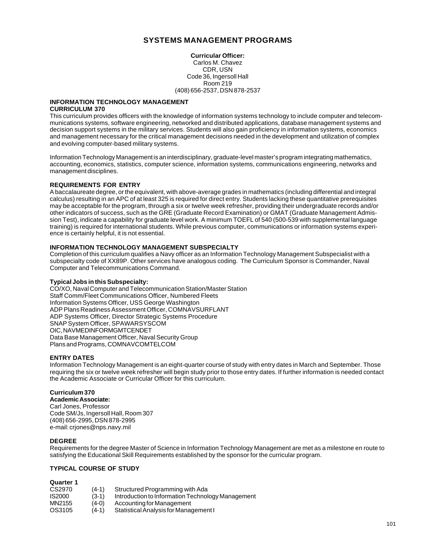# **SYSTEMS MANAGEMENT PROGRAMS**

**Curricular Officer:** Carlos M. Chavez CDR, USN Code 36, Ingersoll Hall Room 219 (408) 656-2537, DSN 878-2537

#### **INFORMATION TECHNOLOGY MANAGEMENT CURRICULUM 370**

This curriculum provides officers with the knowledge of information systems technology to include computer and telecommunications systems, software engineering, networked and distributed applications, database management systems and decision support systems in the military services. Students will also gain proficiency in information systems, economics and management necessary for the critical management decisions needed in the development and utilization of complex and evolving computer-based military systems.

Information Technology Management is an interdisciplinary, graduate-level master's program integrating mathematics, accounting, economics, statistics, computer science, information systems, communications engineering, networks and management disciplines.

# **REQUIREMENTS FOR ENTRY**

A baccalaureate degree, or the equivalent, with above-average grades in mathematics (including differential and integral calculus) resulting in an APC of at least 325 is required for direct entry. Students lacking these quantitative prerequisites may be acceptable for the program, through a six or twelve week refresher, providing their undergraduate records and/or other indicators of success, such as the GRE (Graduate Record Examination) or GMAT (Graduate Management Admission Test), indicate a capability for graduate level work. A minimum TOEFL of 540 (500-539 with supplemental language training) is required for international students. While previous computer, communications or information systems experience is certainly helpful, it is not essential.

### **INFORMATION TECHNOLOGY MANAGEMENT SUBSPECIALTY**

Completion of this curriculum qualifies a Navy officer as an Information Technology Management Subspecialist with a subspecialty code of XX89P. Other services have analogous coding. The Curriculum Sponsor is Commander, Naval Computer and Telecommunications Command.

# **Typical Jobs in this Subspecialty:**

CO/XO, Naval Computer and Telecommunication Station/Master Station Staff Comm/Fleet Communications Officer, Numbered Fleets Information Systems Officer, USS George Washington ADP Plans Readiness Assessment Officer, COMNAVSURFLANT ADP Systems Officer, Director Strategic Systems Procedure SNAP System Officer, SPAWARSYSCOM OIC, NAVMEDINFORMGMTCENDET Data Base Management Officer, Naval Security Group Plans and Programs, COMNAVCOMTELCOM

### **ENTRY DATES**

Information Technology Management is an eight-quarter course of study with entry dates in March and September. Those requiring the six or twelve week refresher will begin study prior to those entry dates. If further information is needed contact the Academic Associate or Curricular Officer for this curriculum.

### **Curriculum 370**

**Academic Associate:** Carl Jones, Professor Code SM/Js, Ingersoll Hall, Room 307 (408) 656-2995, DSN 878-2995 e-mail: crjones@nps.navy.mil

### **DEGREE**

Requirements for the degree Master of Science in Information Technology Management are met as a milestone en route to satisfying the Educational Skill Requirements established by the sponsor for the curricular program.

# **TYPICAL COURSE OF STUDY**

| CS2970 | $(4-1)$ | Structured Programming with Ada                   |
|--------|---------|---------------------------------------------------|
| IS2000 | $(3-1)$ | Introduction to Information Technology Management |
| MN2155 | $(4-0)$ | Accounting for Management                         |
| OS3105 | (4-1)   | Statistical Analysis for Management I             |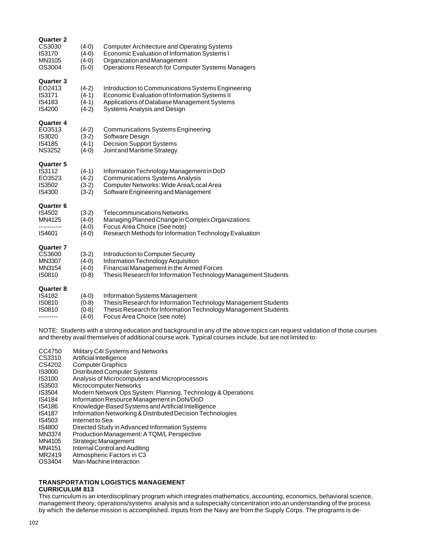| <b>Quarter 2</b><br>CS3030<br><b>IS3170</b><br>MN3105<br>OS3004 | $(4-0)$<br>$(4-0)$<br>$(4-0)$<br>$(5-0)$ | <b>Computer Architecture and Operating Systems</b><br>Economic Evaluation of Information Systems I<br>Organization and Management<br><b>Operations Research for Computer Systems Managers</b>             |
|-----------------------------------------------------------------|------------------------------------------|-----------------------------------------------------------------------------------------------------------------------------------------------------------------------------------------------------------|
| <b>Quarter 3</b><br>EO2413<br>IS3171<br>IS4183<br>IS4200        | $(4-2)$<br>$(4-1)$<br>$(4-1)$<br>$(4-2)$ | Introduction to Communications Systems Engineering<br>Economic Evaluation of Information Systems II<br>Applications of Database Management Systems<br>Systems Analysis and Design                         |
| <b>Quarter 4</b><br>EO3513<br>IS3020<br>IS4185<br><b>NS3252</b> | $(4-2)$<br>$(3-2)$<br>$(4-1)$<br>$(4-0)$ | <b>Communications Systems Engineering</b><br>Software Design<br><b>Decision Support Systems</b><br>Joint and Maritime Strategy                                                                            |
| <b>Quarter 5</b><br>IS3112<br>EO3523<br>IS3502<br>IS4300        | $(4-1)$<br>$(4-2)$<br>$(3-2)$<br>$(3-2)$ | Information Technology Management in DoD<br><b>Communications Systems Analysis</b><br>Computer Networks: Wide Area/Local Area<br>Software Engineering and Management                                      |
| <b>Quarter 6</b><br>IS4502<br>MN4125<br>IS4601                  | $(3-2)$<br>$(4-0)$<br>$(4-0)$<br>$(4-0)$ | <b>Telecommunications Networks</b><br>Managing Planned Change in Complex Organizations<br>Focus Area Choice (See note)<br>Research Methods for Information Technology Evaluation                          |
| <b>Quarter 7</b><br>CS3600<br>MN3307<br>MN3154<br><b>IS0810</b> | $(3-2)$<br>$(4-0)$<br>$(4-0)$<br>$(0-8)$ | Introduction to Computer Security<br>Information Technology Acquisition<br>Financial Management in the Armed Forces<br>Thesis Research for Information Technology Management Students                     |
| <b>Quarter 8</b><br>IS4182<br>IS0810<br><b>IS0810</b>           | $(4-0)$<br>$(0-8)$<br>$(0-8)$<br>$(4-0)$ | <b>Information Systems Management</b><br>Thesis Research for Information Technology Management Students<br>Thesis Research for Information Technology Management Students<br>Focus Area Choice (see note) |

NOTE: Students with a strong education and background in any of the above topics can request validation of those courses and thereby avail themselves of additional course work. Typical courses include, but are not limited to:

- CC4750 Military C4I Systems and Networks<br>CS3310 Artificial Intelligence
- CS3310 Artificial Intelligence<br>CS4202 Computer Graphics
- Computer Graphics
- **IS3000** Distributed Computer Systems<br>**IS3100** Analysis of Microcomputers and
- IS3100 Analysis of Microcomputers and Microprocessors
- **Microcomputer Networks**
- IS3504 Modern Network Ops System: Planning, Technology & Operations
- IS4184 Information Resource Management in DoN/DoD
- Knowledge-Based Systems and Artificial Intelligence
- IS4187 Information Networking & Distributed Decision Technologies
- Internet to Sea
- IS4800 Directed Study in Advanced Information Systems
- MN3374 Production Management: A TQM/L Perspective
- MN4105 Strategic Management<br>MN4151 Internal Control and Aug
- Internal Control and Auditing
- MR2419 Atmospheric Factors in C3
- OS3404 Man-Machine Interaction

#### **TRANSPORTATION LOGISTICS MANAGEMENT CURRICULUM 813**

This curriculum is an interdisciplinary program which integrates mathematics, accounting, economics, behavioral science, management theory, operations/systems analysis and a subspecialty concentration into an understanding of the process by which the defense mission is accomplished. Inputs from the Navy are from the Supply Corps. The programs is de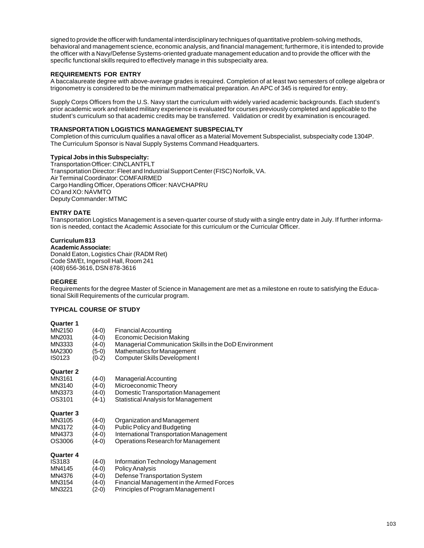signed to provide the officer with fundamental interdisciplinary techniques of quantitative problem-solving methods, behavioral and management science, economic analysis, and financial management; furthermore, it is intended to provide the officer with a Navy/Defense Systems-oriented graduate management education and to provide the officer with the specific functional skills required to effectively manage in this subspecialty area.

# **REQUIREMENTS FOR ENTRY**

A baccalaureate degree with above-average grades is required. Completion of at least two semesters of college algebra or trigonometry is considered to be the minimum mathematical preparation. An APC of 345 is required for entry.

Supply Corps Officers from the U.S. Navy start the curriculum with widely varied academic backgrounds. Each student's prior academic work and related military experience is evaluated for courses previously completed and applicable to the student's curriculum so that academic credits may be transferred. Validation or credit by examination is encouraged.

# **TRANSPORTATION LOGISTICS MANAGEMENT SUBSPECIALTY**

Completion of this curriculum qualifies a naval officer as a Material Movement Subspecialist, subspecialty code 1304P. The Curriculum Sponsor is Naval Supply Systems Command Headquarters.

#### **Typical Jobs in this Subspecialty:**

Transportation Officer: CINCLANTFLT Transportation Director: Fleet and Industrial Support Center (FISC) Norfolk, VA. Air Terminal Coordinator: COMFAIRMED Cargo Handling Officer, Operations Officer: NAVCHAPRU CO and XO: NAVMTO Deputy Commander: MTMC

# **ENTRY DATE**

Transportation Logistics Management is a seven-quarter course of study with a single entry date in July. If further information is needed, contact the Academic Associate for this curriculum or the Curricular Officer.

# **Curriculum 813**

**Academic Associate:** Donald Eaton, Logistics Chair (RADM Ret) Code SM/Et, Ingersoll Hall, Room 241 (408) 656-3616, DSN 878-3616

#### **DEGREE**

Requirements for the degree Master of Science in Management are met as a milestone en route to satisfying the Educational Skill Requirements of the curricular program.

# **TYPICAL COURSE OF STUDY**

| MN2150<br>MN2031<br>MN3333<br>MA2300<br><b>IS0123</b>              | (4-0)<br>(4-0)<br>(4-0)<br>(5-0)<br>$(0-2)$ | <b>Financial Accounting</b><br><b>Economic Decision Making</b><br>Managerial Communication Skills in the DoD Environment<br>Mathematics for Management<br>Computer Skills Development I |
|--------------------------------------------------------------------|---------------------------------------------|-----------------------------------------------------------------------------------------------------------------------------------------------------------------------------------------|
| Quarter 2<br>MN3161<br>MN3140<br>MN3373<br>OS3101                  | (4-0)<br>(4-0)<br>(4-0)<br>(4-1)            | Managerial Accounting<br>Microeconomic Theory<br>Domestic Transportation Management<br>Statistical Analysis for Management                                                              |
| <b>Quarter 3</b><br>MN3105<br>MN3172<br>MN4373<br>OS3006           | (4-0)<br>(4-0)<br>(4-0)<br>(4-0)            | Organization and Management<br><b>Public Policy and Budgeting</b><br>International Transportation Management<br>Operations Research for Management                                      |
| <b>Quarter 4</b><br>IS3183<br>MN4145<br>MN4376<br>MN3154<br>MN3221 | $(4-0)$<br>(4-0)<br>(4-0)<br>(4-0)<br>(2-0) | Information Technology Management<br><b>Policy Analysis</b><br>Defense Transportation System<br>Financial Management in the Armed Forces<br>Principles of Program Management I          |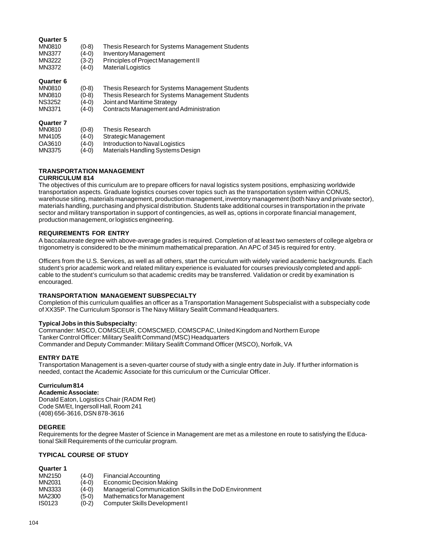### **Quarter 5**

| <b>MN0810</b><br><b>MN3377</b><br>MN3222<br>MN3372                  | $(0-8)$<br>(4-0)<br>(3-2)<br>(4-0) | Thesis Research for Systems Management Students<br><b>Inventory Management</b><br>Principles of Project Management II<br><b>Material Logistics</b> |
|---------------------------------------------------------------------|------------------------------------|----------------------------------------------------------------------------------------------------------------------------------------------------|
| <b>Quarter 6</b><br><b>MN0810</b><br><b>MN0810</b><br><b>NS3252</b> | $(0-8)$<br>$(0-8)$<br>(4-0)        | Thesis Research for Systems Management Students<br>Thesis Research for Systems Management Students<br>Joint and Maritime Strategy                  |
| <b>MN3371</b><br><b>Quarter 7</b><br>MN0810<br>.                    | (4-0)<br>$(0-8)$<br>$(1 - 2)$      | Contracts Management and Administration<br>Thesis Research<br>$\sim$ $\sim$ $\sim$ $\sim$ $\sim$ $\sim$                                            |

MN4105 (4-0) Strategic Management

- OA3610 (4-0) Introduction to Naval Logistics<br>MN3375 (4-0) Materials Handling Systems De
- (4-0) Materials Handling Systems Design

# **TRANSPORTATION MANAGEMENT**

# **CURRICULUM 814**

The objectives of this curriculum are to prepare officers for naval logistics system positions, emphasizing worldwide transportation aspects. Graduate logistics courses cover topics such as the transportation system within CONUS, warehouse siting, materials management, production management, inventory management (both Navy and private sector), materials handling, purchasing and physical distribution. Students take additional courses in transportation in the private sector and military transportation in support of contingencies, as well as, options in corporate financial management, production management, or logistics engineering.

#### **REQUIREMENTS FOR ENTRY**

A baccalaureate degree with above-average grades is required. Completion of at least two semesters of college algebra or trigonometry is considered to be the minimum mathematical preparation. An APC of 345 is required for entry.

Officers from the U.S. Services, as well as all others, start the curriculum with widely varied academic backgrounds. Each student's prior academic work and related military experience is evaluated for courses previously completed and applicable to the student's curriculum so that academic credits may be transferred. Validation or credit by examination is encouraged.

#### **TRANSPORTATION MANAGEMENT SUBSPECIALTY**

Completion of this curriculum qualifies an officer as a Transportation Management Subspecialist with a subspecialty code of XX35P. The Curriculum Sponsor is The Navy Military Sealift Command Headquarters.

#### **Typical Jobs in this Subspecialty:**

Commander: MSCO, COMSCEUR, COMSCMED, COMSCPAC, United Kingdom and Northern Europe Tanker Control Officer: Military Sealift Command (MSC) Headquarters Commander and Deputy Commander: Military Sealift Command Officer (MSCO), Norfolk, VA

#### **ENTRY DATE**

Transportation Management is a seven-quarter course of study with a single entry date in July. If further information is needed, contact the Academic Associate for this curriculum or the Curricular Officer.

#### **Curriculum 814**

#### **Academic Associate:**

Donald Eaton, Logistics Chair (RADM Ret) Code SM/Et, Ingersoll Hall, Room 241 (408) 656-3616, DSN 878-3616

#### **DEGREE**

Requirements for the degree Master of Science in Management are met as a milestone en route to satisfying the Educational Skill Requirements of the curricular program.

#### **TYPICAL COURSE OF STUDY**

| MN2150 | $(4-0)$ | Financial Accounting                                   |
|--------|---------|--------------------------------------------------------|
| MN2031 | $(4-0)$ | Economic Decision Making                               |
| MN3333 | $(4-0)$ | Managerial Communication Skills in the DoD Environment |
| MA2300 | $(5-0)$ | Mathematics for Management                             |
| IS0123 | $(0-2)$ | Computer Skills Development I                          |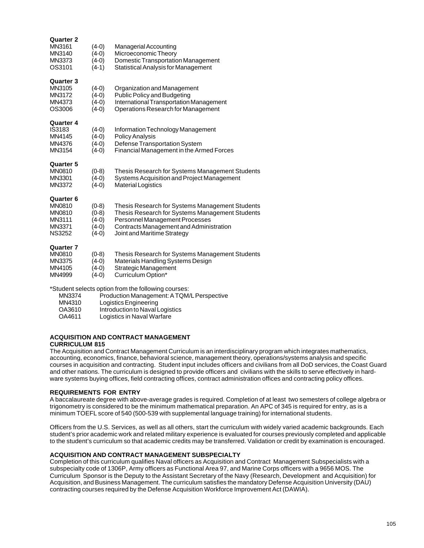| Quarter 2<br>MN3161<br>MN3140<br>MN3373<br>OS3101                                | $(4-0)$<br>$(4-0)$<br>$(4-0)$<br>$(4-1)$            | Managerial Accounting<br>Microeconomic Theory<br><b>Domestic Transportation Management</b><br>Statistical Analysis for Management                                                                              |
|----------------------------------------------------------------------------------|-----------------------------------------------------|----------------------------------------------------------------------------------------------------------------------------------------------------------------------------------------------------------------|
| <b>Quarter 3</b><br>MN3105<br>MN3172<br>MN4373<br>OS3006                         | $(4-0)$<br>$(4-0)$<br>$(4-0)$<br>$(4-0)$            | Organization and Management<br><b>Public Policy and Budgeting</b><br>International Transportation Management<br>Operations Research for Management                                                             |
| <b>Quarter 4</b><br>IS3183<br>MN4145<br>MN4376<br>MN3154                         | $(4-0)$<br>$(4-0)$<br>$(4-0)$<br>(4-0)              | Information Technology Management<br><b>Policy Analysis</b><br>Defense Transportation System<br>Financial Management in the Armed Forces                                                                       |
| <b>Quarter 5</b><br><b>MN0810</b><br>MN3301<br>MN3372                            | $(0-8)$<br>$(4-0)$<br>$(4-0)$                       | Thesis Research for Systems Management Students<br>Systems Acquisition and Project Management<br><b>Material Logistics</b>                                                                                     |
| <b>Quarter 6</b><br><b>MN0810</b><br>MN0810<br>MN3111<br>MN3371<br><b>NS3252</b> | $(0-8)$<br>$(0-8)$<br>$(4-0)$<br>$(4-0)$<br>$(4-0)$ | Thesis Research for Systems Management Students<br>Thesis Research for Systems Management Students<br>Personnel Management Processes<br>Contracts Management and Administration<br>Joint and Maritime Strategy |
| <b>Quarter 7</b><br><b>MN0810</b><br>MN3375<br>MN4105<br>MN4999                  | $(0-8)$<br>$(4-0)$<br>$(4-0)$<br>(4-0)              | Thesis Research for Systems Management Students<br>Materials Handling Systems Design<br>Strategic Management<br>Curriculum Option*                                                                             |

\*Student selects option from the following courses:

- Production Management: A TQM/L Perspective
- MN4310 Logistics Engineering<br>
OA3610 Introduction to Naval L
- OA3610 Introduction to Naval Logistics<br>OA4611 Logistics in Naval Warfare
- Logistics in Naval Warfare

# **ACQUISITION AND CONTRACT MANAGEMENT**

# **CURRICULUM 815**

The Acquisition and Contract Management Curriculum is an interdisciplinary program which integrates mathematics, accounting, economics, finance, behavioral science, management theory, operations/systems analysis and specific courses in acquisition and contracting. Student input includes officers and civilians from all DoD services, the Coast Guard and other nations. The curriculum is designed to provide officers and civilians with the skills to serve effectively in hardware systems buying offices, field contracting offices, contract administration offices and contracting policy offices.

# **REQUIREMENTS FOR ENTRY**

A baccalaureate degree with above-average grades is required. Completion of at least two semesters of college algebra or trigonometry is considered to be the minimum mathematical preparation. An APC of 345 is required for entry, as is a minimum TOEFL score of 540 (500-539 with supplemental language training) for international students.

Officers from the U.S. Services, as well as all others, start the curriculum with widely varied academic backgrounds. Each student's prior academic work and related military experience is evaluated for courses previously completed and applicable to the student's curriculum so that academic credits may be transferred. Validation or credit by examination is encouraged.

### **ACQUISITION AND CONTRACT MANAGEMENT SUBSPECIALTY**

Completion of this curriculum qualifies Naval officers as Acquisition and Contract Management Subspecialists with a subspecialty code of 1306P, Army officers as Functional Area 97, and Marine Corps officers with a 9656 MOS. The Curriculum Sponsor is the Deputy to the Assistant Secretary of the Navy (Research, Development and Acquisition) for Acquisition, and Business Management. The curriculum satisfies the mandatory Defense Acquisition University (DAU) contracting courses required by the Defense Acquisition Workforce Improvement Act (DAWIA).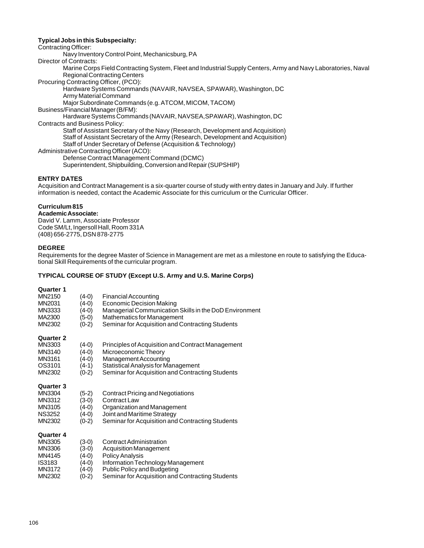## **Typical Jobs in this Subspecialty:**

Contracting Officer:

Navy Inventory Control Point, Mechanicsburg, PA

Director of Contracts:

Marine Corps Field Contracting System, Fleet and Industrial Supply Centers, Army and Navy Laboratories, Naval Regional Contracting Centers

Procuring Contracting Officer, (PCO):

Hardware Systems Commands (NAVAIR, NAVSEA, SPAWAR), Washington, DC Army Material Command

Major Subordinate Commands (e.g. ATCOM, MICOM, TACOM)

Business/Financial Manager (B/FM):

Hardware Systems Commands (NAVAIR, NAVSEA,SPAWAR), Washington, DC Contracts and Business Policy:

Staff of Assistant Secretary of the Navy (Research, Development and Acquisition)

Staff of Assistant Secretary of the Army (Research, Development and Acquisition)

Staff of Under Secretary of Defense (Acquisition & Technology)

Administrative Contracting Officer (ACO):

Defense Contract Management Command (DCMC)

Superintendent, Shipbuilding, Conversion and Repair (SUPSHIP)

# **ENTRY DATES**

Acquisition and Contract Management is a six-quarter course of study with entry dates in January and July. If further information is needed, contact the Academic Associate for this curriculum or the Curricular Officer.

# **Curriculum 815**

**Academic Associate:** David V. Lamm, Associate Professor

Code SM/Lt, Ingersoll Hall, Room 331A (408) 656-2775, DSN 878-2775

# **DEGREE**

Requirements for the degree Master of Science in Management are met as a milestone en route to satisfying the Educational Skill Requirements of the curricular program.

# **TYPICAL COURSE OF STUDY (Except U.S. Army and U.S. Marine Corps)**

| MN2150<br>MN2031<br>MN3333<br>MA2300<br>MN2302                            | $(4-0)$<br>(4-0)<br>(4-0)<br>(5-0)<br>$(0-2)$       | <b>Financial Accounting</b><br><b>Economic Decision Making</b><br>Managerial Communication Skills in the DoD Environment<br>Mathematics for Management<br>Seminar for Acquisition and Contracting Students |
|---------------------------------------------------------------------------|-----------------------------------------------------|------------------------------------------------------------------------------------------------------------------------------------------------------------------------------------------------------------|
| <b>Quarter 2</b><br>MN3303<br>MN3140<br>MN3161<br>OS3101<br>MN2302        | $(4-0)$<br>(4-0)<br>(4-0)<br>$(4-1)$<br>$(0-2)$     | <b>Principles of Acquisition and Contract Management</b><br>Microeconomic Theory<br>Management Accounting<br>Statistical Analysis for Management<br>Seminar for Acquisition and Contracting Students       |
| <b>Quarter 3</b><br>MN3304<br>MN3312<br>MN3105<br><b>NS3252</b><br>MN2302 | $(5-2)$<br>$(3-0)$<br>$(4-0)$<br>$(4-0)$<br>$(0-2)$ | Contract Pricing and Negotiations<br><b>Contract Law</b><br>Organization and Management<br>Joint and Maritime Strategy<br>Seminar for Acquisition and Contracting Students                                 |
| <b>Quarter 4</b><br>MN3305<br>MN3306<br>MN4145<br><b>IS3183</b><br>MN3172 | $(3-0)$<br>(3-0)<br>$(4-0)$<br>$(4-0)$<br>(4-0)     | Contract Administration<br><b>Acquisition Management</b><br><b>Policy Analysis</b><br>Information Technology Management<br>Public Policy and Budgeting                                                     |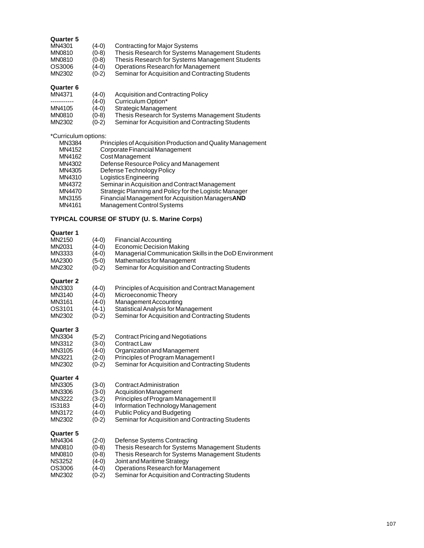# **Quarter 5**

| MN4301 | $(4-0)$ | Contracting for Major Systems                    |
|--------|---------|--------------------------------------------------|
| MN0810 | $(0-8)$ | Thesis Research for Systems Management Students  |
| MN0810 | $(0-8)$ | Thesis Research for Systems Management Students  |
| OS3006 | $(4-0)$ | Operations Research for Management               |
| MN2302 | $(0-2)$ | Seminar for Acquisition and Contracting Students |
|        |         |                                                  |

# **Quarter 6**

| Acquisition and Contracting Policy               |
|--------------------------------------------------|
| Curriculum Option*                               |
| Strategic Management                             |
| Thesis Research for Systems Management Students  |
| Seminar for Acquisition and Contracting Students |
|                                                  |

# \*Curriculum options:

| MN3384 | Principles of Acquisition Production and Quality Management |
|--------|-------------------------------------------------------------|
| MN4152 | Corporate Financial Management                              |
| MN4162 | Cost Management                                             |
| MN4302 | Defense Resource Policy and Management                      |
| MN4305 | Defense Technology Policy                                   |
| MN4310 | Logistics Engineering                                       |
| MN4372 | Seminar in Acquisition and Contract Management              |
| MN4470 | Strategic Planning and Policy for the Logistic Manager      |
| MN3155 | Financial Management for Acquisition ManagersAND            |
| MN4161 | Management Control Systems                                  |
|        |                                                             |

# **TYPICAL COURSE OF STUDY (U. S. Marine Corps)**

| Quarter 1        |         |                                                        |
|------------------|---------|--------------------------------------------------------|
| MN2150           | $(4-0)$ | <b>Financial Accounting</b>                            |
| MN2031           | $(4-0)$ | <b>Economic Decision Making</b>                        |
| MN3333           | $(4-0)$ | Managerial Communication Skills in the DoD Environment |
| MA2300           | $(5-0)$ | <b>Mathematics for Management</b>                      |
| MN2302           | $(0-2)$ | Seminar for Acquisition and Contracting Students       |
| <b>Quarter 2</b> |         |                                                        |
| MN3303           | $(4-0)$ | Principles of Acquisition and Contract Management      |
| MN3140           | $(4-0)$ | Microeconomic Theory                                   |
| MN3161           | $(4-0)$ | Management Accounting                                  |
| OS3101           | $(4-1)$ | <b>Statistical Analysis for Management</b>             |
| MN2302           | $(0-2)$ | Seminar for Acquisition and Contracting Students       |
| <b>Quarter 3</b> |         |                                                        |
| MN3304           | $(5-2)$ | Contract Pricing and Negotiations                      |
| MN3312           | $(3-0)$ | Contract Law                                           |
| MN3105           | $(4-0)$ | Organization and Management                            |
| MN3221           | $(2-0)$ | Principles of Program Management I                     |
| MN2302           | $(0-2)$ | Seminar for Acquisition and Contracting Students       |
| <b>Quarter 4</b> |         |                                                        |
| MN3305           | $(3-0)$ | <b>Contract Administration</b>                         |
| MN3306           | $(3-0)$ | <b>Acquisition Management</b>                          |
| MN3222           | $(3-2)$ | Principles of Program Management II                    |
| IS3183           | $(4-0)$ | Information Technology Management                      |
| MN3172           | $(4-0)$ | Public Policy and Budgeting                            |
| MN2302           | $(0-2)$ | Seminar for Acquisition and Contracting Students       |
| <b>Quarter 5</b> |         |                                                        |
| MN4304           | $(2-0)$ | Defense Systems Contracting                            |
| MN0810           | $(0-8)$ | Thesis Research for Systems Management Students        |
| MN0810           | $(0-8)$ | Thesis Research for Systems Management Students        |
| <b>NS3252</b>    | $(4-0)$ | Joint and Maritime Strategy                            |
| OS3006           | $(4-0)$ | Operations Research for Management                     |
| MN2302           | $(0-2)$ | Seminar for Acquisition and Contracting Students       |
|                  |         |                                                        |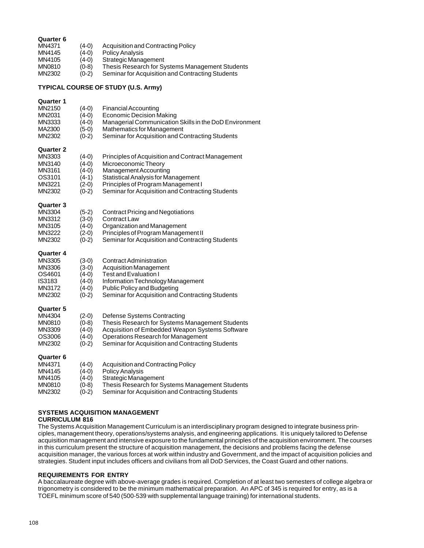| MN4371<br>MN4145<br>MN4105<br>MN0810<br>MN2302                        | $(4-0)$<br>(4-0)<br>$(4-0)$<br>(0-8)<br>$(0-2)$                | Acquisition and Contracting Policy<br>Policy Analysis<br>Strategic Management<br>Thesis Research for Systems Management Students<br>Seminar for Acquisition and Contracting Students                                                |
|-----------------------------------------------------------------------|----------------------------------------------------------------|-------------------------------------------------------------------------------------------------------------------------------------------------------------------------------------------------------------------------------------|
|                                                                       |                                                                | TYPICAL COURSE OF STUDY (U.S. Army)                                                                                                                                                                                                 |
| Quarter 1<br>MN2150<br>MN2031<br>MN3333<br>MA2300<br>MN2302           | $(4-0)$<br>(4-0)<br>$(4-0)$<br>(5-0)<br>$(0-2)$                | <b>Financial Accounting</b><br>Economic Decision Making<br>Managerial Communication Skills in the DoD Environment<br>Mathematics for Management<br>Seminar for Acquisition and Contracting Students                                 |
| Quarter 2<br>MN3303<br>MN3140<br>MN3161<br>OS3101<br>MN3221<br>MN2302 | $(4-0)$<br>$(4-0)$<br>$(4-0)$<br>$(4-1)$<br>$(2-0)$<br>$(0-2)$ | Principles of Acquisition and Contract Management<br>Microeconomic Theory<br>Management Accounting<br>Statistical Analysis for Management<br>Principles of Program Management I<br>Seminar for Acquisition and Contracting Students |
| Quarter 3<br>MN3304<br>MN3312<br>MN3105<br>MN3222<br>MN2302           | $(5-2)$<br>(3-0)<br>(4-0)<br>(2-0)<br>$(0-2)$                  | <b>Contract Pricing and Negotiations</b><br>Contract Law<br>Organization and Management<br>Principles of Program Management II<br>Seminar for Acquisition and Contracting Students                                                  |
| Quarter 4<br>MN3305<br>MN3306<br>OS4601<br>IS3183<br>MN3172<br>MN2302 | $(3-0)$<br>$(3-0)$<br>$(4-0)$<br>$(4-0)$<br>(4-0)<br>$(0-2)$   | Contract Administration<br><b>Acquisition Management</b><br>Test and Evaluation I<br>Information Technology Management<br>Public Policy and Budgeting<br>Seminar for Acquisition and Contracting Students                           |
| Quarter 5<br>MN4304<br>MN0810<br>MN3309<br>OS3006<br>MN2302           | $(2-0)$<br>$(0-8)$<br>$(4-0)$<br>(4-0)<br>$(0-2)$              | Defense Systems Contracting<br>Thesis Research for Systems Management Students<br>Acquisition of Embedded Weapon Systems Software<br>Operations Research for Management<br>Seminar for Acquisition and Contracting Students         |
| Quarter 6<br>MN4371<br>MN4145<br>MN4105<br>MN0810<br>MN2302           | $(4-0)$<br>(4-0)<br>$(4-0)$<br>(0-8)<br>$(0-2)$                | Acquisition and Contracting Policy<br>Policy Analysis<br>Strategic Management<br>Thesis Research for Systems Management Students<br>Seminar for Acquisition and Contracting Students                                                |

# **SYSTEMS ACQUISITION MANAGEMENT**

# **CURRICULUM 816**

**Quarter 6**

The Systems Acquisition Management Curriculum is an interdisciplinary program designed to integrate business principles, management theory, operations/systems analysis, and engineering applications. It is uniquely tailored to Defense acquisition management and intensive exposure to the fundamental principles of the acquisition environment. The courses in this curriculum present the structure of acquisition management, the decisions and problems facing the defense acquisition manager, the various forces at work within industry and Government, and the impact of acquisition policies and strategies. Student input includes officers and civilians from all DoD Services, the Coast Guard and other nations.

### **REQUIREMENTS FOR ENTRY**

A baccalaureate degree with above-average grades is required. Completion of at least two semesters of college algebra or trigonometry is considered to be the minimum mathematical preparation. An APC of 345 is required for entry, as is a TOEFL minimum score of 540 (500-539 with supplemental language training) for international students.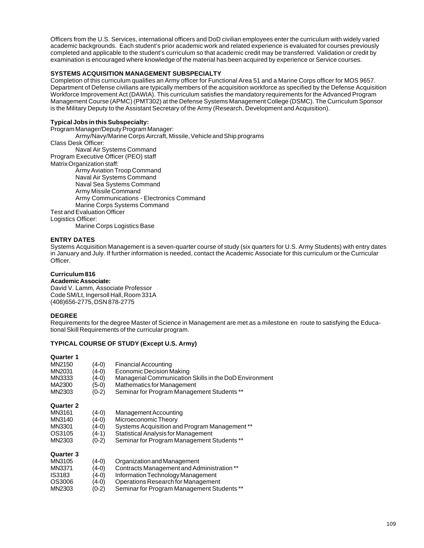Officers from the U.S. Services, international officers and DoD civilian employees enter the curriculum with widely varied academic backgrounds. Each student's prior academic work and related experience is evaluated for courses previously completed and applicable to the student's curriculum so that academic credit may be transferred. Validation or credit by examination is encouraged where knowledge of the material has been acquired by experience or Service courses.

### **SYSTEMS ACQUISITION MANAGEMENT SUBSPECIALTY**

Completion of this curriculum qualifies an Army officer for Functional Area 51 and a Marine Corps officer for MOS 9657. Department of Defense civilians are typically members of the acquisition workforce as specified by the Defense Acquisition Workforce Improvement Act (DAWIA). This curriculum satisfies the mandatory requirements for the Advanced Program Management Course (APMC) (PMT302) at the Defense Systems Management College (DSMC). The Curriculum Sponsor is the Military Deputy to the Assistant Secretary of the Army (Research, Development and Acquisition).

#### **Typical Jobs in this Subspecialty:**

Program Manager/Deputy Program Manager: Army/Navy/Marine Corps Aircraft, Missile, Vehicle and Ship programs Class Desk Officer: Naval Air Systems Command Program Executive Officer (PEO) staff Matrix Organization staff: Army Aviation Troop Command Naval Air Systems Command Naval Sea Systems Command Army Missile Command Army Communications - Electronics Command Marine Corps Systems Command Test and Evaluation Officer Logistics Officer:

Marine Corps Logistics Base

### **ENTRY DATES**

Systems Acquisition Management is a seven-quarter course of study (six quarters for U.S. Army Students) with entry dates in January and July. If further information is needed, contact the Academic Associate for this curriculum or the Curricular Officer.

# **Curriculum 816**

### **Academic Associate:**

David V. Lamm, Associate Professor Code SM/Lt, Ingersoll Hall, Room 331A (408)656-2775, DSN 878-2775

#### **DEGREE**

Requirements for the degree Master of Science in Management are met as a milestone en route to satisfying the Educational Skill Requirements of the curricular program.

### **TYPICAL COURSE OF STUDY (Except U.S. Army)**

| MN2150    | (4-0)   | <b>Financial Accounting</b>                            |
|-----------|---------|--------------------------------------------------------|
| MN2031    | $(4-0)$ | Economic Decision Making                               |
| MN3333    | (4-0)   | Managerial Communication Skills in the DoD Environment |
| MA2300    | (5-0)   | Mathematics for Management                             |
| MN2303    | $(0-2)$ | Seminar for Program Management Students **             |
| Quarter 2 |         |                                                        |
| MN3161    | (4-0)   | Management Accounting                                  |
| MN3140    | $(4-0)$ | Microeconomic Theory                                   |
| MN3301    | (4-0)   | Systems Acquisition and Program Management **          |
| OS3105    | (4-1)   | <b>Statistical Analysis for Management</b>             |
| MN2303    | $(0-2)$ | Seminar for Program Management Students **             |
| Quarter 3 |         |                                                        |
| MN3105    | $(4-0)$ | Organization and Management                            |
| MN3371    | (4-0)   | Contracts Management and Administration **             |
| IS3183    | (4-0)   | Information Technology Management                      |
| OS3006    | (4-0)   | Operations Research for Management                     |
| MN2303    | '0-2)   | Seminar for Program Management Students **             |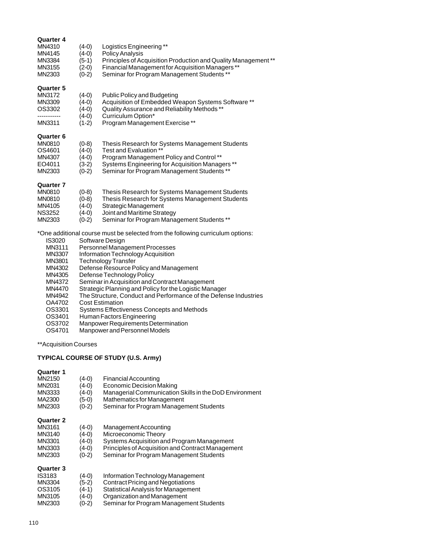| <b>Quarter 4</b> |                                                                  |                                                                                |  |
|------------------|------------------------------------------------------------------|--------------------------------------------------------------------------------|--|
| MN4310           | $(4-0)$                                                          | Logistics Engineering **                                                       |  |
| MN4145           | $(4-0)$                                                          | Policy Analysis                                                                |  |
| MN3384           | $(5-1)$                                                          | Principles of Acquisition Production and Quality Management**                  |  |
| MN3155           | $(2-0)$                                                          | Financial Management for Acquisition Managers**                                |  |
| MN2303           | $(0-2)$                                                          | Seminar for Program Management Students **                                     |  |
| <b>Quarter 5</b> |                                                                  |                                                                                |  |
| MN3172           | $(4-0)$                                                          | <b>Public Policy and Budgeting</b>                                             |  |
| MN3309           | $(4-0)$                                                          | Acquisition of Embedded Weapon Systems Software **                             |  |
| OS3302           | $(4-0)$                                                          | Quality Assurance and Reliability Methods**                                    |  |
|                  | $(4-0)$                                                          | Curriculum Option*                                                             |  |
| MN3311           | $(1-2)$                                                          | Program Management Exercise**                                                  |  |
| <b>Quarter 6</b> |                                                                  |                                                                                |  |
| <b>MN0810</b>    | $(0-8)$                                                          | Thesis Research for Systems Management Students                                |  |
| OS4601           | $(4-0)$                                                          | Test and Evaluation **                                                         |  |
| MN4307           | $(4-0)$                                                          | Program Management Policy and Control**                                        |  |
| EO4011           | $(3-2)$                                                          | Systems Engineering for Acquisition Managers **                                |  |
| MN2303           | $(0-2)$                                                          | Seminar for Program Management Students **                                     |  |
| <b>Quarter 7</b> |                                                                  |                                                                                |  |
| <b>MN0810</b>    | $(0-8)$                                                          | Thesis Research for Systems Management Students                                |  |
| MN0810           | $(0-8)$                                                          | Thesis Research for Systems Management Students                                |  |
| MN4105           | $(4-0)$                                                          | Strategic Management                                                           |  |
| <b>NS3252</b>    | $(4-0)$                                                          | Joint and Maritime Strategy                                                    |  |
| MN2303           | $(0-2)$                                                          | Seminar for Program Management Students **                                     |  |
|                  |                                                                  | *One additional course must be selected from the following curriculum options: |  |
| IS3020           |                                                                  | Software Design                                                                |  |
| MN3111           | Personnel Management Processes                                   |                                                                                |  |
| MN3307           | Information Technology Acquisition                               |                                                                                |  |
| MN3801           | Technology Transfer                                              |                                                                                |  |
| MN4302           | Defense Resource Policy and Management                           |                                                                                |  |
| MN4305           | Defense Technology Policy                                        |                                                                                |  |
| MN4372           | Seminar in Acquisition and Contract Management                   |                                                                                |  |
| MN4470           | Strategic Planning and Policy for the Logistic Manager           |                                                                                |  |
| MN4942           | The Structure, Conduct and Performance of the Defense Industries |                                                                                |  |
| OA4702           |                                                                  | <b>Cost Estimation</b>                                                         |  |
| OS3301           |                                                                  | Systems Effectiveness Concepts and Methods                                     |  |
| OS3401           | Human Factors Engineering                                        |                                                                                |  |

OS3702 Manpower Requirements Determination OS4701 Manpower and Personnel Models

\*\*Acquisition Courses

# **TYPICAL COURSE OF STUDY (U.S. Army)**

## **Quarter 1**

| MN2150<br>MN2031<br>MN3333<br>MA2300<br>MN2303 | (4-0)<br>(4-0)<br>(4-0)<br>(5-0)<br>$(0-2)$ | Financial Accounting<br>Economic Decision Making<br>Managerial Communication Skills in the DoD Environment<br>Mathematics for Management<br>Seminar for Program Management Students |
|------------------------------------------------|---------------------------------------------|-------------------------------------------------------------------------------------------------------------------------------------------------------------------------------------|
| Quarter 2                                      |                                             |                                                                                                                                                                                     |
| MN3161                                         | (4-0)                                       | Management Accounting                                                                                                                                                               |
| MN3140                                         | (4-0)                                       | Microeconomic Theory                                                                                                                                                                |
| MN3301                                         | (4-0)                                       | Systems Acquisition and Program Management                                                                                                                                          |
| MN3303                                         | (4-0)                                       | Principles of Acquisition and Contract Management                                                                                                                                   |
| MN2303                                         | $(0-2)$                                     | Seminar for Program Management Students                                                                                                                                             |
| Quarter 3                                      |                                             |                                                                                                                                                                                     |
| IS3183                                         | (4-0)                                       | Information Technology Management                                                                                                                                                   |
| MN3304                                         | (5-2)                                       | Contract Pricing and Negotiations                                                                                                                                                   |
| OS3105                                         | (4-1)                                       | Statistical Analysis for Management                                                                                                                                                 |
| MN3105                                         | (4-0)                                       | Organization and Management                                                                                                                                                         |

MN2303 (0-2) Seminar for Program Management Students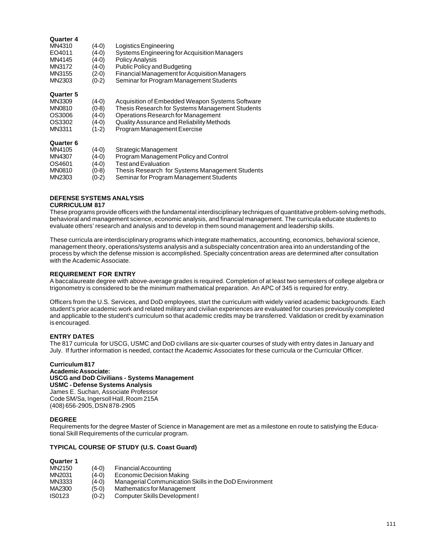### **Quarter 4**

| Logistics Engineering                         |
|-----------------------------------------------|
| Systems Engineering for Acquisition Managers  |
| <b>Policy Analysis</b>                        |
| <b>Public Policy and Budgeting</b>            |
| Financial Management for Acquisition Managers |
| Seminar for Program Management Students       |
|                                               |

#### **Quarter 5**

| MN3309           | $(4-0)$ | Acquisition of Embedded Weapon Systems Software |
|------------------|---------|-------------------------------------------------|
| <b>MN0810</b>    | $(0-8)$ | Thesis Research for Systems Management Students |
| OS3006           | $(4-0)$ | Operations Research for Management              |
| OS3302           | $(4-0)$ | Quality Assurance and Reliability Methods       |
| MN3311           | $(1-2)$ | Program Management Exercise                     |
| <b>Quarter 6</b> |         |                                                 |

| wuu wi v |         |                                                 |
|----------|---------|-------------------------------------------------|
| MN4105   | $(4-0)$ | Strategic Management                            |
| MN4307   | $(4-0)$ | Program Management Policy and Control           |
| OS4601   | $(4-0)$ | Test and Evaluation                             |
| MN0810   | $(0-8)$ | Thesis Research for Systems Management Students |
| MN2303   | $(0-2)$ | Seminar for Program Management Students         |
|          |         |                                                 |

#### **DEFENSE SYSTEMS ANALYSIS CURRICULUM 817**

These programs provide officers with the fundamental interdisciplinary techniques of quantitative problem-solving methods, behavioral and management science, economic analysis, and financial management. The curricula educate students to evaluate others' research and analysis and to develop in them sound management and leadership skills.

These curricula are interdisciplinary programs which integrate mathematics, accounting, economics, behavioral science, management theory, operations/systems analysis and a subspecialty concentration area into an understanding of the process by which the defense mission is accomplished. Specialty concentration areas are determined after consultation with the Academic Associate.

### **REQUIREMENT FOR ENTRY**

A baccalaureate degree with above-average grades is required. Completion of at least two semesters of college algebra or trigonometry is considered to be the minimum mathematical preparation. An APC of 345 is required for entry.

Officers from the U.S. Services, and DoD employees, start the curriculum with widely varied academic backgrounds. Each student's prior academic work and related military and civilian experiences are evaluated for courses previously completed and applicable to the student's curriculum so that academic credits may be transferred. Validation or credit by examination is encouraged.

### **ENTRY DATES**

The 817 curricula for USCG, USMC and DoD civilians are six-quarter courses of study with entry dates in January and July. If further information is needed, contact the Academic Associates for these curricula or the Curricular Officer.

#### **Curriculum 817 Academic Associate: USCG and DoD Civilians - Systems Management USMC - Defense Systems Analysis** James E. Suchan, Associate Professor Code SM/Sa, Ingersoll Hall, Room 215A (408) 656-2905, DSN 878-2905

#### **DEGREE**

Requirements for the degree Master of Science in Management are met as a milestone en route to satisfying the Educational Skill Requirements of the curricular program.

### **TYPICAL COURSE OF STUDY (U.S. Coast Guard)**

| MN2150 | $(4-0)$ | Financial Accounting                                   |
|--------|---------|--------------------------------------------------------|
| MN2031 | $(4-0)$ | Economic Decision Making                               |
| MN3333 | $(4-0)$ | Managerial Communication Skills in the DoD Environment |
| MA2300 | $(5-0)$ | Mathematics for Management                             |
| IS0123 | $(0-2)$ | Computer Skills Development I                          |
|        |         |                                                        |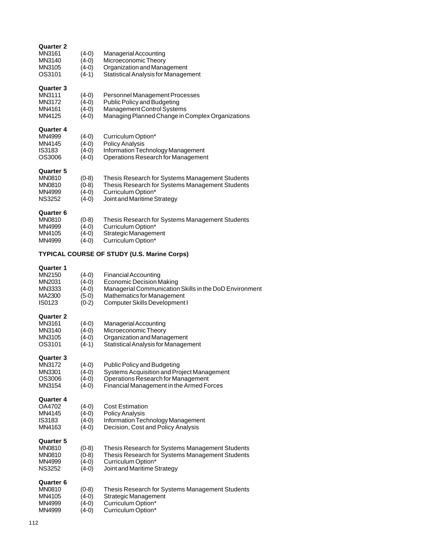| <b>Quarter 2</b><br>MN3161<br>MN3140<br>MN3105<br>OS3101               | $(4-0)$<br>$(4-0)$<br>$(4-0)$<br>$(4-1)$            | Managerial Accounting<br>Microeconomic Theory<br>Organization and Management<br><b>Statistical Analysis for Management</b>                                                                     |
|------------------------------------------------------------------------|-----------------------------------------------------|------------------------------------------------------------------------------------------------------------------------------------------------------------------------------------------------|
| Quarter 3<br>MN3111<br>MN3172<br>MN4161<br>MN4125                      | $(4-0)$<br>$(4-0)$<br>$(4-0)$<br>$(4-0)$            | Personnel Management Processes<br><b>Public Policy and Budgeting</b><br>Management Control Systems<br>Managing Planned Change in Complex Organizations                                         |
| Quarter 4<br>MN4999<br>MN4145<br>IS3183<br>OS3006                      | $(4-0)$<br>$(4-0)$<br>$(4-0)$<br>$(4-0)$            | Curriculum Option*<br><b>Policy Analysis</b><br>Information Technology Management<br>Operations Research for Management                                                                        |
| <b>Quarter 5</b><br><b>MN0810</b><br>MN0810<br>MN4999<br><b>NS3252</b> | $(0-8)$<br>$(0-8)$<br>$(4-0)$<br>$(4-0)$            | Thesis Research for Systems Management Students<br>Thesis Research for Systems Management Students<br>Curriculum Option*<br>Joint and Maritime Strategy                                        |
| Quarter 6<br>MN0810<br>MN4999<br>MN4105<br>MN4999                      | $(0-8)$<br>$(4-0)$<br>$(4-0)$<br>$(4-0)$            | Thesis Research for Systems Management Students<br>Curriculum Option*<br>Strategic Management<br>Curriculum Option*                                                                            |
|                                                                        |                                                     | <b>TYPICAL COURSE OF STUDY (U.S. Marine Corps)</b>                                                                                                                                             |
| Quarter 1<br>MN2150<br>MN2031<br>MN3333<br>MA2300<br><b>IS0123</b>     | $(4-0)$<br>$(4-0)$<br>$(4-0)$<br>$(5-0)$<br>$(0-2)$ | <b>Financial Accounting</b><br><b>Economic Decision Making</b><br>Managerial Communication Skills in the DoD Environment<br><b>Mathematics for Management</b><br>Computer Skills Development I |
| <b>Quarter 2</b><br>MN3161<br>MN3140<br>MN3105<br>OS3101               | $(4-0)$<br>$(4-0)$<br>$(4-0)$<br>$(4-1)$            | Managerial Accounting<br>Microeconomic Theory<br>Organization and Management<br><b>Statistical Analysis for Management</b>                                                                     |
| <b>Quarter 3</b><br>MN3172<br>MN3301<br>OS3006<br>MN3154               | $(4-0)$<br>$(4-0)$<br>$(4-0)$<br>$(4-0)$            | <b>Public Policy and Budgeting</b><br>Systems Acquisition and Project Management<br>Operations Research for Management<br>Financial Management in the Armed Forces                             |
| <b>Quarter 4</b><br>OA4702<br>MN4145<br><b>IS3183</b><br>MN4163        | $(4-0)$<br>$(4-0)$<br>$(4-0)$<br>$(4-0)$            | <b>Cost Estimation</b><br><b>Policy Analysis</b><br>Information Technology Management<br>Decision, Cost and Policy Analysis                                                                    |
| <b>Quarter 5</b><br>MN0810<br>MN0810<br>MN4999<br><b>NS3252</b>        | $(0-8)$<br>$(0-8)$<br>$(4-0)$<br>$(4-0)$            | Thesis Research for Systems Management Students<br>Thesis Research for Systems Management Students<br>Curriculum Option*<br>Joint and Maritime Strategy                                        |
| Quarter 6<br>MN0810<br>MN4105<br>MN4999<br>MN4999                      | $(0-8)$<br>$(4-0)$<br>$(4-0)$<br>$(4-0)$            | Thesis Research for Systems Management Students<br>Strategic Management<br>Curriculum Option*<br>Curriculum Option*                                                                            |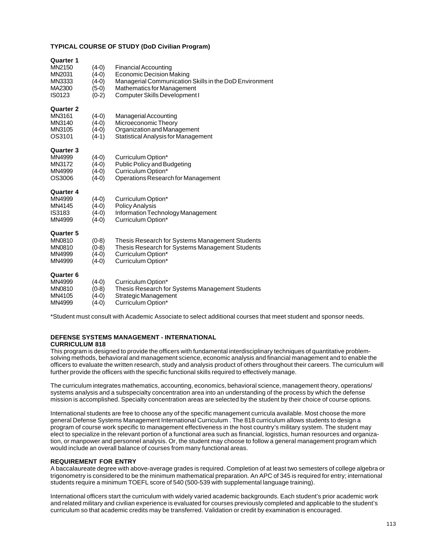#### **TYPICAL COURSE OF STUDY (DoD Civilian Program)**

| <b>Quarter 1</b><br>MN2150<br>MN2031<br>MN3333<br>MA2300<br>IS0123 | $(4-0)$<br>(4-0)<br>$(4-0)$<br>(5-0)<br>$(0-2)$ | <b>Financial Accounting</b><br><b>Economic Decision Making</b><br>Managerial Communication Skills in the DoD Environment<br>Mathematics for Management<br>Computer Skills Development I |
|--------------------------------------------------------------------|-------------------------------------------------|-----------------------------------------------------------------------------------------------------------------------------------------------------------------------------------------|
| <b>Quarter 2</b><br>MN3161<br>MN3140<br>MN3105<br>OS3101           | $(4-0)$<br>$(4-0)$<br>$(4-0)$<br>$(4-1)$        | Managerial Accounting<br>Microeconomic Theory<br>Organization and Management<br><b>Statistical Analysis for Management</b>                                                              |
| <b>Quarter 3</b><br>MN4999<br>MN3172<br>MN4999<br>OS3006           | $(4-0)$<br>$(4-0)$<br>$(4-0)$<br>$(4-0)$        | Curriculum Option*<br>Public Policy and Budgeting<br>Curriculum Option*<br>Operations Research for Management                                                                           |
| <b>Quarter 4</b><br>MN4999<br>MN4145<br><b>IS3183</b><br>MN4999    | $(4-0)$<br>(4-0)<br>(4-0)<br>$(4-0)$            | Curriculum Option*<br><b>Policy Analysis</b><br>Information Technology Management<br>Curriculum Option*                                                                                 |
| <b>Quarter 5</b><br><b>MN0810</b><br>MN0810<br>MN4999<br>MN4999    | $(0-8)$<br>(0-8)<br>(4-0)<br>$(4-0)$            | Thesis Research for Systems Management Students<br>Thesis Research for Systems Management Students<br>Curriculum Option*<br>Curriculum Option*                                          |
| <b>Quarter 6</b><br>MN4999<br>MN0810<br>MN4105<br>MN4999           | $(4-0)$<br>(0-8)<br>$(4-0)$<br>(4-0)            | Curriculum Option*<br>Thesis Research for Systems Management Students<br>Strategic Management<br>Curriculum Option*                                                                     |

\*Student must consult with Academic Associate to select additional courses that meet student and sponsor needs.

## **DEFENSE SYSTEMS MANAGEMENT - INTERNATIONAL**

#### **CURRICULUM 818**

This program is designed to provide the officers with fundamental interdisciplinary techniques of quantitative problemsolving methods, behavioral and management science, economic analysis and financial management and to enable the officers to evaluate the written research, study and analysis product of others throughout their careers. The curriculum will further provide the officers with the specific functional skills required to effectively manage.

The curriculum integrates mathematics, accounting, economics, behavioral science, management theory, operations/ systems analysis and a subspecialty concentration area into an understanding of the process by which the defense mission is accomplished. Specialty concentration areas are selected by the student by their choice of course options.

International students are free to choose any of the specific management curricula available. Most choose the more general Defense Systems Management International Curriculum . The 818 curriculum allows students to design a program of course work specific to management effectiveness in the host country's military system. The student may elect to specialize in the relevant portion of a functional area such as financial, logistics, human resources and organization, or manpower and personnel analysis. Or, the student may choose to follow a general management program which would include an overall balance of courses from many functional areas.

### **REQUIREMENT FOR ENTRY**

A baccalaureate degree with above-average grades is required. Completion of at least two semesters of college algebra or trigonometry is considered to be the minimum mathematical preparation. An APC of 345 is required for entry; international students require a minimum TOEFL score of 540 (500-539 with supplemental language training).

International officers start the curriculum with widely varied academic backgrounds. Each student's prior academic work and related military and civilian experience is evaluated for courses previously completed and applicable to the student's curriculum so that academic credits may be transferred. Validation or credit by examination is encouraged.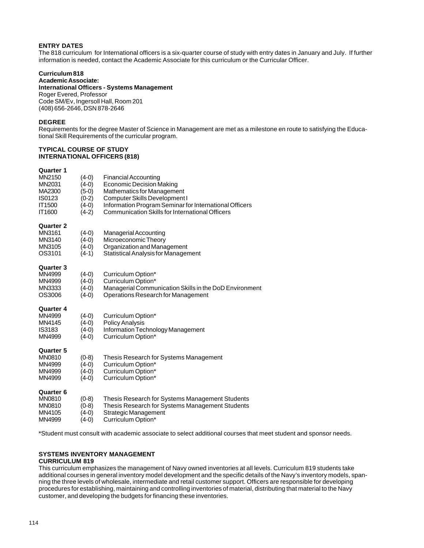## **ENTRY DATES**

The 818 curriculum for International officers is a six-quarter course of study with entry dates in January and July. If further information is needed, contact the Academic Associate for this curriculum or the Curricular Officer.

### **Curriculum 818**

**Academic Associate: International Officers - Systems Management** Roger Evered, Professor Code SM/Ev, Ingersoll Hall, Room 201 (408) 656-2646, DSN 878-2646

#### **DEGREE**

Requirements for the degree Master of Science in Management are met as a milestone en route to satisfying the Educational Skill Requirements of the curricular program.

#### **TYPICAL COURSE OF STUDY INTERNATIONAL OFFICERS (818)**

# **Quarter 1**

| MN2150<br>MN2031<br>MA2300<br>IS0123<br><b>IT1500</b><br>IT1600        | $(4-0)$<br>$(4-0)$<br>(5-0)<br>$(0-2)$<br>$(4-0)$<br>$(4-2)$ | <b>Financial Accounting</b><br><b>Economic Decision Making</b><br>Mathematics for Management<br>Computer Skills Development I<br>Information Program Seminar for International Officers<br><b>Communication Skills for International Officers</b> |
|------------------------------------------------------------------------|--------------------------------------------------------------|---------------------------------------------------------------------------------------------------------------------------------------------------------------------------------------------------------------------------------------------------|
| <b>Quarter 2</b><br>MN3161<br>MN3140<br>MN3105<br>OS3101               | $(4-0)$<br>$(4-0)$<br>$(4-0)$<br>$(4-1)$                     | Managerial Accounting<br>Microeconomic Theory<br>Organization and Management<br><b>Statistical Analysis for Management</b>                                                                                                                        |
| <b>Quarter 3</b><br>MN4999<br>MN4999<br>MN3333<br>OS3006               | $(4-0)$<br>$(4-0)$<br>$(4-0)$<br>$(4-0)$                     | Curriculum Option*<br>Curriculum Option*<br>Managerial Communication Skills in the DoD Environment<br>Operations Research for Management                                                                                                          |
| <b>Quarter 4</b><br>MN4999<br>MN4145<br>IS3183<br>MN4999               | $(4-0)$<br>$(4-0)$<br>$(4-0)$<br>$(4-0)$                     | Curriculum Option*<br><b>Policy Analysis</b><br>Information Technology Management<br>Curriculum Option*                                                                                                                                           |
| <b>Quarter 5</b><br><b>MN0810</b><br>MN4999<br>MN4999<br>MN4999        | $(0-8)$<br>$(4-0)$<br>$(4-0)$<br>$(4-0)$                     | Thesis Research for Systems Management<br>Curriculum Option*<br>Curriculum Option*<br>Curriculum Option*                                                                                                                                          |
| <b>Quarter 6</b><br><b>MN0810</b><br><b>MN0810</b><br>MN4105<br>MN4999 | $(0-8)$<br>(0-8)<br>$(4-0)$<br>(4-0)                         | Thesis Research for Systems Management Students<br>Thesis Research for Systems Management Students<br>Strategic Management<br>Curriculum Option*                                                                                                  |

\*Student must consult with academic associate to select additional courses that meet student and sponsor needs.

# **SYSTEMS INVENTORY MANAGEMENT**

# **CURRICULUM 819**

This curriculum emphasizes the management of Navy owned inventories at all levels. Curriculum 819 students take additional courses in general inventory model development and the specific details of the Navy's inventory models, spanning the three levels of wholesale, intermediate and retail customer support. Officers are responsible for developing procedures for establishing, maintaining and controlling inventories of material, distributing that material to the Navy customer, and developing the budgets for financing these inventories.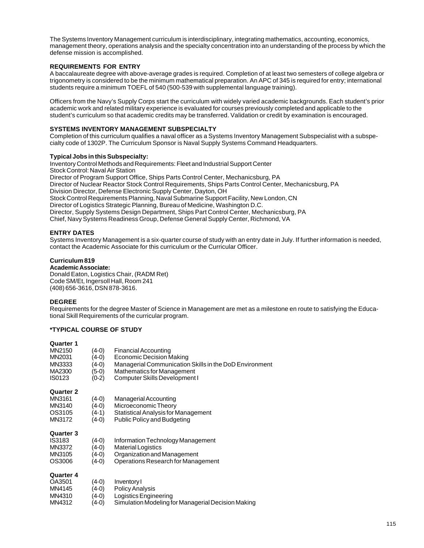The Systems Inventory Management curriculum is interdisciplinary, integrating mathematics, accounting, economics, management theory, operations analysis and the specialty concentration into an understanding of the process by which the defense mission is accomplished.

### **REQUIREMENTS FOR ENTRY**

A baccalaureate degree with above-average grades is required. Completion of at least two semesters of college algebra or trigonometry is considered to be the minimum mathematical preparation. An APC of 345 is required for entry; international students require a minimum TOEFL of 540 (500-539 with supplemental language training).

Officers from the Navy's Supply Corps start the curriculum with widely varied academic backgrounds. Each student's prior academic work and related military experience is evaluated for courses previously completed and applicable to the student's curriculum so that academic credits may be transferred. Validation or credit by examination is encouraged.

## **SYSTEMS INVENTORY MANAGEMENT SUBSPECIALTY**

Completion of this curriculum qualifies a naval officer as a Systems Inventory Management Subspecialist with a subspecialty code of 1302P. The Curriculum Sponsor is Naval Supply Systems Command Headquarters.

### **Typical Jobs in this Subspecialty:**

Inventory Control Methods and Requirements: Fleet and Industrial Support Center Stock Control: Naval Air Station Director of Program Support Office, Ships Parts Control Center, Mechanicsburg, PA Director of Nuclear Reactor Stock Control Requirements, Ships Parts Control Center, Mechanicsburg, PA Division Director, Defense Electronic Supply Center, Dayton, OH Stock Control Requirements Planning, Naval Submarine Support Facility, New London, CN Director of Logistics Strategic Planning, Bureau of Medicine, Washington D.C. Director, Supply Systems Design Department, Ships Part Control Center, Mechanicsburg, PA Chief, Navy Systems Readiness Group, Defense General Supply Center, Richmond, VA

## **ENTRY DATES**

Systems Inventory Management is a six-quarter course of study with an entry date in July. If further information is needed, contact the Academic Associate for this curriculum or the Curricular Officer.

### **Curriculum 819**

**Academic Associate:**

Donald Eaton, Logistics Chair, (RADM Ret) Code SM/Et, Ingersoll Hall, Room 241 (408) 656-3616, DSN 878-3616.

#### **DEGREE**

Requirements for the degree Master of Science in Management are met as a milestone en route to satisfying the Educational Skill Requirements of the curricular program.

### **\*TYPICAL COURSE OF STUDY**

| MN2150<br>MN2031<br>MN3333<br>MA2300<br>IS0123           | (4-0)<br>(4-0)<br>(4-0)<br>(5-0)<br>(0-2) | Financial Accounting<br>Economic Decision Making<br>Managerial Communication Skills in the DoD Environment<br>Mathematics for Management<br>Computer Skills Development I |
|----------------------------------------------------------|-------------------------------------------|---------------------------------------------------------------------------------------------------------------------------------------------------------------------------|
| Quarter 2<br>MN3161<br>MN3140<br>OS3105<br>MN3172        | (4-0)<br>(4-0)<br>(4-1)<br>(4-0)          | <b>Managerial Accounting</b><br>Microeconomic Theory<br>Statistical Analysis for Management<br><b>Public Policy and Budgeting</b>                                         |
| Quarter 3<br><b>IS3183</b><br>MN3372<br>MN3105<br>OS3006 | (4-0)<br>(4-0)<br>(4-0)<br>(4-0)          | Information Technology Management<br><b>Material Logistics</b><br>Organization and Management<br>Operations Research for Management                                       |
| <b>Quarter 4</b><br>OA3501                               | (4-0)                                     | Inventory I                                                                                                                                                               |

| OA3501 | $(4-0)$ | Inventory I                                        |
|--------|---------|----------------------------------------------------|
| MN4145 | $(4-0)$ | <b>Policy Analysis</b>                             |
| MN4310 | $(4-0)$ | Logistics Engineering                              |
| MN4312 | (4-0)   | Simulation Modeling for Managerial Decision Making |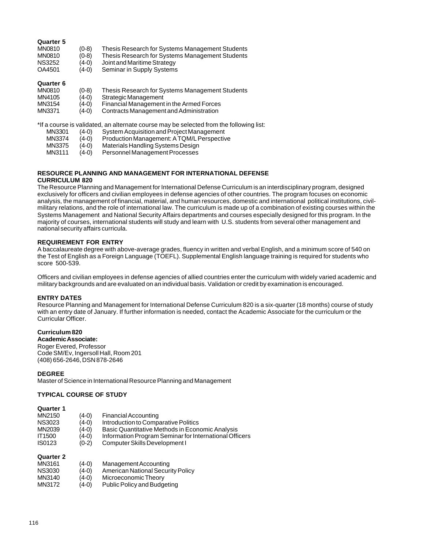### **Quarter 5**

| MN0810        | $(0-8)$ | Thesis Research for Systems Management Students |
|---------------|---------|-------------------------------------------------|
| MN0810        | $(0-8)$ | Thesis Research for Systems Management Students |
| <b>NS3252</b> | $(4-0)$ | Joint and Maritime Strategy                     |
| OA4501        | $(4-0)$ | Seminar in Supply Systems                       |

#### **Quarter 6**

| MN0810 | (0-8) | Thesis Research for Systems Management Students |  |
|--------|-------|-------------------------------------------------|--|
|--------|-------|-------------------------------------------------|--|

- MN4105 (4-0) Strategic Management
- MN3154 (4-0) Financial Management in the Armed Forces
- MN3371 (4-0) Contracts Management and Administration

#### \*If a course is validated, an alternate course may be selected from the following list:

- MN3301 (4-0) System Acquisition and Project Management
- MN3374 (4-0) Production Management: A TQM/L Perspective
- MN3375 (4-0) Materials Handling Systems Design<br>MN3111 (4-0) Personnel Management Processes
- Personnel Management Processes

## **RESOURCE PLANNING AND MANAGEMENT FOR INTERNATIONAL DEFENSE**

#### **CURRICULUM 820**

The Resource Planning and Management for International Defense Curriculum is an interdisciplinary program, designed exclusively for officers and civilian employees in defense agencies of other countries. The program focuses on economic analysis, the management of financial, material, and human resources, domestic and international political institutions, civilmilitary relations, and the role of international law. The curriculum is made up of a combination of existing courses within the Systems Management and National Security Affairs departments and courses especially designed for this program. In the majority of courses, international students will study and learn with U.S. students from several other management and national security affairs curricula.

#### **REQUIREMENT FOR ENTRY**

A baccalaureate degree with above-average grades, fluency in written and verbal English, and a minimum score of 540 on the Test of English as a Foreign Language (TOEFL). Supplemental English language training is required for students who score 500-539.

Officers and civilian employees in defense agencies of allied countries enter the curriculum with widely varied academic and military backgrounds and are evaluated on an individual basis. Validation or credit by examination is encouraged.

### **ENTRY DATES**

Resource Planning and Management for International Defense Curriculum 820 is a six-quarter (18 months) course of study with an entry date of January. If further information is needed, contact the Academic Associate for the curriculum or the Curricular Officer.

### **Curriculum 820**

**Academic Associate:** Roger Evered, Professor Code SM/Ev, Ingersoll Hall, Room 201 (408) 656-2646, DSN 878-2646

#### **DEGREE**

Master of Science in International Resource Planning and Management

#### **TYPICAL COURSE OF STUDY**

#### **Quarter 1**

| MN2150        | $(4-0)$ | <b>Financial Accounting</b>                            |
|---------------|---------|--------------------------------------------------------|
| <b>NS3023</b> | $(4-0)$ | Introduction to Comparative Politics                   |
| MN2039        | $(4-0)$ | Basic Quantitative Methods in Economic Analysis        |
| <b>IT1500</b> | $(4-0)$ | Information Program Seminar for International Officers |
| IS0123        | $(0-2)$ | Computer Skills Development I                          |
|               |         |                                                        |

| MN3161  | $(4-0)$ | Management Accounting             |
|---------|---------|-----------------------------------|
| NS3030  | $(4-0)$ | American National Security Policy |
| <b></b> |         |                                   |

- MN3140 (4-0) Microeconomic Theory<br>MN3172 (4-0) Public Policy and Budge
- Public Policy and Budgeting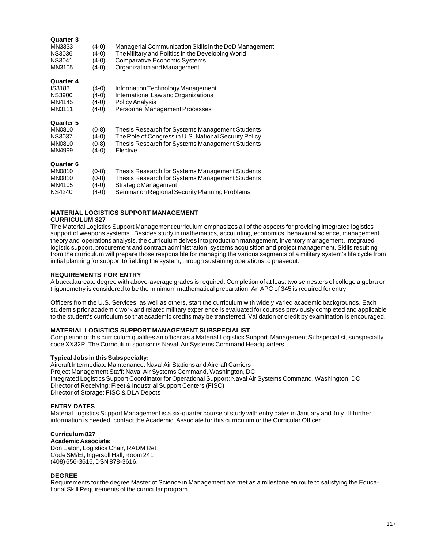| Quarter 3<br>MN3333<br><b>NS3036</b><br><b>NS3041</b><br>MN3105               | $(4-0)$<br>(4-0)<br>(4-0)<br>(4-0) | Managerial Communication Skills in the DoD Management<br>The Military and Politics in the Developing World<br><b>Comparative Economic Systems</b><br>Organization and Management |
|-------------------------------------------------------------------------------|------------------------------------|----------------------------------------------------------------------------------------------------------------------------------------------------------------------------------|
| Quarter 4<br>IS3183<br><b>NS3900</b><br>MN4145<br>MN3111                      | (4-0)<br>(4-0)<br>(4-0)<br>(4-0)   | Information Technology Management<br>International Law and Organizations<br><b>Policy Analysis</b><br>Personnel Management Processes                                             |
| <b>Quarter 5</b><br><b>MN0810</b><br><b>NS3037</b><br><b>MN0810</b><br>MN4999 | (0-8)<br>(4-0)<br>(0-8)<br>(4-0)   | Thesis Research for Systems Management Students<br>The Role of Congress in U.S. National Security Policy<br>Thesis Research for Systems Management Students<br>Elective          |
| <b>Quarter 6</b><br><b>MN0810</b><br><b>MN0810</b><br>MN4105                  | (0-8)<br>(0-8)<br>4-0)             | Thesis Research for Systems Management Students<br>Thesis Research for Systems Management Students<br>Strategic Management                                                       |

NS4240 (4-0) Seminar on Regional Security Planning Problems

#### **MATERIAL LOGISTICS SUPPORT MANAGEMENT CURRICULUM 827**

The Material Logistics Support Management curriculum emphasizes all of the aspects for providing integrated logistics support of weapons systems. Besides study in mathematics, accounting, economics, behavioral science, management theory and operations analysis, the curriculum delves into production management, inventory management, integrated logistic support, procurement and contract administration, systems acquisition and project management. Skills resulting from the curriculum will prepare those responsible for managing the various segments of a military system's life cycle from initial planning for support to fielding the system, through sustaining operations to phaseout.

#### **REQUIREMENTS FOR ENTRY**

A baccalaureate degree with above-average grades is required. Completion of at least two semesters of college algebra or trigonometry is considered to be the minimum mathematical preparation. An APC of 345 is required for entry.

Officers from the U.S. Services, as well as others, start the curriculum with widely varied academic backgrounds. Each student's prior academic work and related military experience is evaluated for courses previously completed and applicable to the student's curriculum so that academic credits may be transferred. Validation or credit by examination is encouraged.

#### **MATERIAL LOGISTICS SUPPORT MANAGEMENT SUBSPECIALIST**

Completion of this curriculum qualifies an officer as a Material Logistics Support Management Subspecialist, subspecialty code XX32P. The Curriculum sponsor is Naval Air Systems Command Headquarters.

#### **Typical Jobs in this Subspecialty:**

Aircraft Intermediate Maintenance: Naval Air Stations and Aircraft Carriers Project Management Staff: Naval Air Systems Command, Washington, DC Integrated Logistics Support Coordinator for Operational Support: Naval Air Systems Command, Washington, DC Director of Receiving: Fleet & Industrial Support Centers (FISC) Director of Storage: FISC & DLA Depots

#### **ENTRY DATES**

Material Logistics Support Management is a six-quarter course of study with entry dates in January and July. If further information is needed, contact the Academic Associate for this curriculum or the Curricular Officer.

#### **Curriculum 827**

**Academic Associate:** Don Eaton, Logistics Chair, RADM Ret Code SM/Et, Ingersoll Hall, Room 241 (408) 656-3616, DSN 878-3616.

#### **DEGREE**

Requirements for the degree Master of Science in Management are met as a milestone en route to satisfying the Educational Skill Requirements of the curricular program.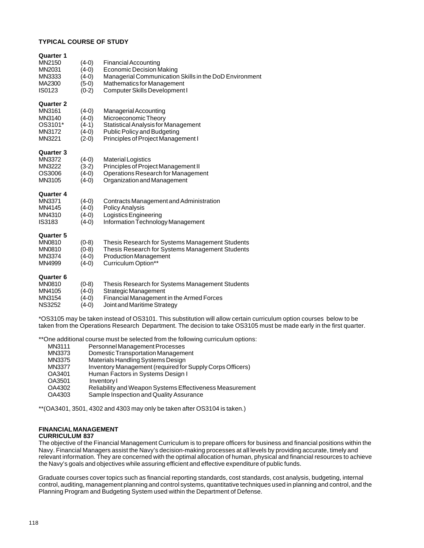#### **TYPICAL COURSE OF STUDY**

| <b>Quarter 1</b><br>MN2150<br>MN2031<br>MN3333<br>MA2300<br>IS0123     | $(4-0)$<br>$(4-0)$<br>$(4-0)$<br>$(5-0)$<br>$(0-2)$ | <b>Financial Accounting</b><br><b>Economic Decision Making</b><br>Managerial Communication Skills in the DoD Environment<br><b>Mathematics for Management</b><br>Computer Skills Development I |
|------------------------------------------------------------------------|-----------------------------------------------------|------------------------------------------------------------------------------------------------------------------------------------------------------------------------------------------------|
| <b>Quarter 2</b><br>MN3161<br>MN3140<br>OS3101*<br>MN3172<br>MN3221    | $(4-0)$<br>$(4-0)$<br>$(4-1)$<br>$(4-0)$<br>$(2-0)$ | Managerial Accounting<br>Microeconomic Theory<br><b>Statistical Analysis for Management</b><br><b>Public Policy and Budgeting</b><br>Principles of Project Management I                        |
| <b>Quarter 3</b><br>MN3372<br>MN3222<br>OS3006<br>MN3105               | $(4-0)$<br>$(3-2)$<br>$(4-0)$<br>$(4-0)$            | Material Logistics<br>Principles of Project Management II<br>Operations Research for Management<br>Organization and Management                                                                 |
| <b>Quarter 4</b><br>MN3371<br>MN4145<br>MN4310<br>IS3183               | $(4-0)$<br>$(4-0)$<br>$(4-0)$<br>$(4-0)$            | Contracts Management and Administration<br><b>Policy Analysis</b><br>Logistics Engineering<br>Information Technology Management                                                                |
| <b>Quarter 5</b><br>MN0810<br>MN0810<br>MN3374<br>MN4999               | $(0-8)$<br>$(0-8)$<br>$(4-0)$<br>$(4-0)$            | Thesis Research for Systems Management Students<br>Thesis Research for Systems Management Students<br><b>Production Management</b><br>Curriculum Option**                                      |
| <b>Quarter 6</b><br><b>MN0810</b><br>MN4105<br>MN3154<br><b>NS3252</b> | $(0-8)$<br>$(4-0)$<br>$(4-0)$<br>$(4-0)$            | Thesis Research for Systems Management Students<br>Strategic Management<br>Financial Management in the Armed Forces<br>Joint and Maritime Strategy                                             |
|                                                                        |                                                     | *OS3105 may be taken instead of OS3101. This substitution will allow certain curricul                                                                                                          |

e taken instead of OS3101. This substitution will allow certain curriculum option courses below to be taken from the Operations Research Department. The decision to take OS3105 must be made early in the first quarter.

\*\*One additional course must be selected from the following curriculum options:

| Domestic Transportation Management<br>MN3373<br>Materials Handling Systems Design<br>MN3375<br>Inventory Management (required for Supply Corps Officers)<br><b>MN3377</b><br>Human Factors in Systems Design I<br>OA3401<br>Inventory I<br>OA3501<br>OA4302<br>Sample Inspection and Quality Assurance<br>OA4303 | MN3111 | Personnel Management Processes                                  |
|------------------------------------------------------------------------------------------------------------------------------------------------------------------------------------------------------------------------------------------------------------------------------------------------------------------|--------|-----------------------------------------------------------------|
|                                                                                                                                                                                                                                                                                                                  |        |                                                                 |
|                                                                                                                                                                                                                                                                                                                  |        |                                                                 |
|                                                                                                                                                                                                                                                                                                                  |        |                                                                 |
|                                                                                                                                                                                                                                                                                                                  |        |                                                                 |
|                                                                                                                                                                                                                                                                                                                  |        |                                                                 |
|                                                                                                                                                                                                                                                                                                                  |        | <b>Reliability and Weapon Systems Effectiveness Measurement</b> |
|                                                                                                                                                                                                                                                                                                                  |        |                                                                 |

\*\*(OA3401, 3501, 4302 and 4303 may only be taken after OS3104 is taken.)

## **FINANCIAL MANAGEMENT**

### **CURRICULUM 837**

The objective of the Financial Management Curriculum is to prepare officers for business and financial positions within the Navy. Financial Managers assist the Navy's decision-making processes at all levels by providing accurate, timely and relevant information. They are concerned with the optimal allocation of human, physical and financial resources to achieve the Navy's goals and objectives while assuring efficient and effective expenditure of public funds.

Graduate courses cover topics such as financial reporting standards, cost standards, cost analysis, budgeting, internal control, auditing, management planning and control systems, quantitative techniques used in planning and control, and the Planning Program and Budgeting System used within the Department of Defense.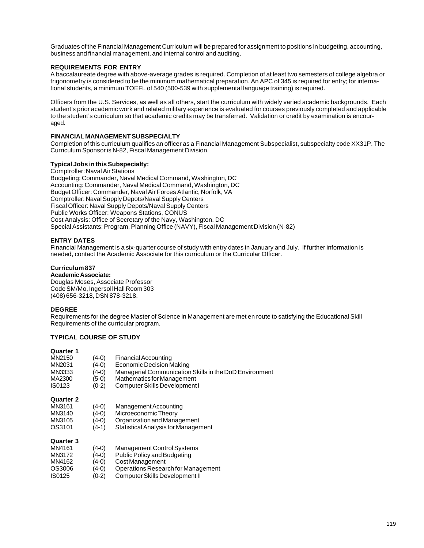Graduates of the Financial Management Curriculum will be prepared for assignment to positions in budgeting, accounting, business and financial management, and internal control and auditing.

#### **REQUIREMENTS FOR ENTRY**

A baccalaureate degree with above-average grades is required. Completion of at least two semesters of college algebra or trigonometry is considered to be the minimum mathematical preparation. An APC of 345 is required for entry; for international students, a minimum TOEFL of 540 (500-539 with supplemental language training) is required.

Officers from the U.S. Services, as well as all others, start the curriculum with widely varied academic backgrounds. Each student's prior academic work and related military experience is evaluated for courses previously completed and applicable to the student's curriculum so that academic credits may be transferred. Validation or credit by examination is encouraged.

#### **FINANCIAL MANAGEMENT SUBSPECIALTY**

Completion of this curriculum qualifies an officer as a Financial Management Subspecialist, subspecialty code XX31P. The Curriculum Sponsor is N-82, Fiscal Management Division.

#### **Typical Jobs in this Subspecialty:**

Comptroller: Naval Air Stations Budgeting: Commander, Naval Medical Command, Washington, DC Accounting: Commander, Naval Medical Command, Washington, DC Budget Officer: Commander, Naval Air Forces Atlantic, Norfolk, VA Comptroller: Naval Supply Depots/Naval Supply Centers Fiscal Officer: Naval Supply Depots/Naval Supply Centers Public Works Officer: Weapons Stations, CONUS Cost Analysis: Office of Secretary of the Navy, Washington, DC Special Assistants: Program, Planning Office (NAVY), Fiscal Management Division (N-82)

#### **ENTRY DATES**

Financial Management is a six-quarter course of study with entry dates in January and July. If further information is needed, contact the Academic Associate for this curriculum or the Curricular Officer.

#### **Curriculum 837**

### **Academic Associate:**

Douglas Moses, Associate Professor Code SM/Mo, Ingersoll Hall Room 303 (408) 656-3218, DSN 878-3218.

#### **DEGREE**

Requirements for the degree Master of Science in Management are met en route to satisfying the Educational Skill Requirements of the curricular program.

## **TYPICAL COURSE OF STUDY**

#### **Quarter 1**

| MN2150 | $(4-0)$ | <b>Financial Accounting</b>                            |
|--------|---------|--------------------------------------------------------|
| MN2031 | $(4-0)$ | Economic Decision Making                               |
| MN3333 | $(4-0)$ | Managerial Communication Skills in the DoD Environment |
| MA2300 | $(5-0)$ | Mathematics for Management                             |
| IS0123 | $(0-2)$ | Computer Skills Development I                          |
|        |         |                                                        |
|        |         |                                                        |

#### **Quarter 2**

| MN3161 | $(4-0)$ | Management Accounting |
|--------|---------|-----------------------|
|        |         |                       |

- MN3140 (4-0) Microeconomic Theory<br>MN3105 (4-0) Organization and Mana
- Organization and Management
- OS3101 (4-1) Statistical Analysis for Management

| MN4161 | $(4-0)$ | Management Control Systems         |
|--------|---------|------------------------------------|
| MN3172 | $(4-0)$ | Public Policy and Budgeting        |
| MN4162 | $(4-0)$ | Cost Management                    |
| OS3006 | $(4-0)$ | Operations Research for Management |
| IS0125 | $(0-2)$ | Computer Skills Development II     |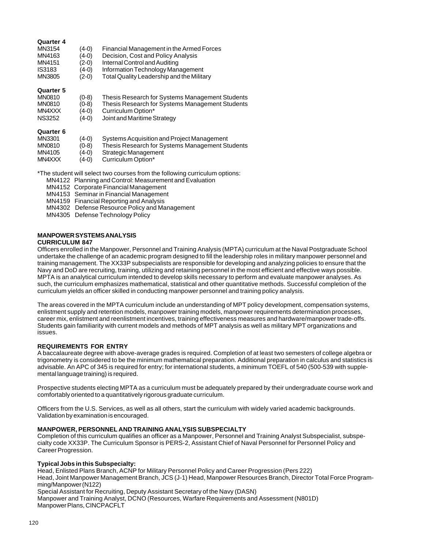#### **Quarter 4**

| MN3154           | (4-0)   | Financial Management in the Armed Forces        |
|------------------|---------|-------------------------------------------------|
| MN4163           | $(4-0)$ | Decision, Cost and Policy Analysis              |
| MN4151           | $(2-0)$ | Internal Control and Auditing                   |
| <b>IS3183</b>    | (4-0)   | Information Technology Management               |
| MN3805           | $(2-0)$ | Total Quality Leadership and the Military       |
| <b>Quarter 5</b> |         |                                                 |
| <b>MN0810</b>    | $(0-8)$ | Thesis Research for Systems Management Students |
| MN0810           | $(0-8)$ | Thesis Research for Systems Management Students |

- MN4XXX (4-0) Curriculum Option\*
- NS3252 (4-0) Joint and Maritime Strategy

#### **Quarter 6**

| MN3301 | $(4-0)$ | Systems Acquisition and Project Management      |
|--------|---------|-------------------------------------------------|
| MN0810 | $(0-8)$ | Thesis Research for Systems Management Students |
| MN4105 | $(4-0)$ | Strategic Management                            |
| MN4XXX | $(4-0)$ | Curriculum Option*                              |

\*The student will select two courses from the following curriculum options:

- MN4122 Planning and Control: Measurement and Evaluation
- MN4152 Corporate Financial Management
- MN4153 Seminar in Financial Management
- MN4159 Financial Reporting and Analysis
- MN4302 Defense Resource Policy and Management
- MN4305 Defense Technology Policy

## **MANPOWER SYSTEMS ANALYSIS**

#### **CURRICULUM 847**

Officers enrolled in the Manpower, Personnel and Training Analysis (MPTA) curriculum at the Naval Postgraduate School undertake the challenge of an academic program designed to fill the leadership roles in military manpower personnel and training management. The XX33P subspecialists are responsible for developing and analyzing policies to ensure that the Navy and DoD are recruiting, training, utilizing and retaining personnel in the most efficient and effective ways possible. MPTA is an analytical curriculum intended to develop skills necessary to perform and evaluate manpower analyses. As such, the curriculum emphasizes mathematical, statistical and other quantitative methods. Successful completion of the curriculum yields an officer skilled in conducting manpower personnel and training policy analysis.

The areas covered in the MPTA curriculum include an understanding of MPT policy development, compensation systems, enlistment supply and retention models, manpower training models, manpower requirements determination processes, career mix, enlistment and reenlistment incentives, training effectiveness measures and hardware/manpower trade-offs. Students gain familiarity with current models and methods of MPT analysis as well as military MPT organizations and issues.

#### **REQUIREMENTS FOR ENTRY**

A baccalaureate degree with above-average grades is required. Completion of at least two semesters of college algebra or trigonometry is considered to be the minimum mathematical preparation. Additional preparation in calculus and statistics is advisable. An APC of 345 is required for entry; for international students, a minimum TOEFL of 540 (500-539 with supplemental language training) is required.

Prospective students electing MPTA as a curriculum must be adequately prepared by their undergraduate course work and comfortably oriented to a quantitatively rigorous graduate curriculum.

Officers from the U.S. Services, as well as all others, start the curriculum with widely varied academic backgrounds. Validation by examination is encouraged.

#### **MANPOWER, PERSONNEL AND TRAINING ANALYSIS SUBSPECIALTY**

Completion of this curriculum qualifies an officer as a Manpower, Personnel and Training Analyst Subspecialist, subspecialty code XX33P. The Curriculum Sponsor is PERS-2, Assistant Chief of Naval Personnel for Personnel Policy and Career Progression.

#### **Typical Jobs in this Subspecialty:**

Head, Enlisted Plans Branch, ACNP for Military Personnel Policy and Career Progression (Pers 222) Head, Joint Manpower Management Branch, JCS (J-1) Head, Manpower Resources Branch, Director Total Force Programming/Manpower (N122)

Special Assistant for Recruiting, Deputy Assistant Secretary of the Navy (DASN) Manpower and Training Analyst, DCNO (Resources, Warfare Requirements and Assessment (N801D) Manpower Plans, CINCPACFLT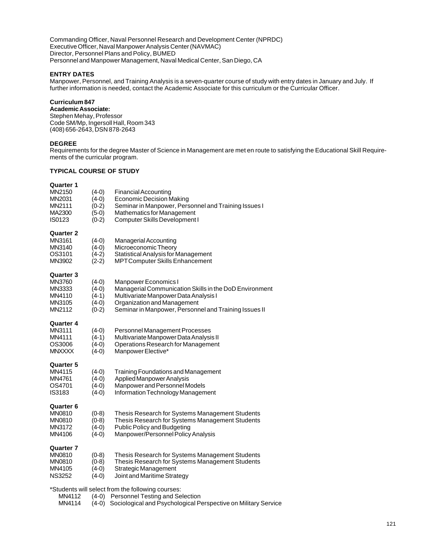Commanding Officer, Naval Personnel Research and Development Center (NPRDC) Executive Officer, Naval Manpower Analysis Center (NAVMAC) Director, Personnel Plans and Policy, BUMED Personnel and Manpower Management, Naval Medical Center, San Diego, CA

## **ENTRY DATES**

Manpower, Personnel, and Training Analysis is a seven-quarter course of study with entry dates in January and July. If further information is needed, contact the Academic Associate for this curriculum or the Curricular Officer.

## **Curriculum 847**

**Academic Associate:** Stephen Mehay, Professor Code SM/Mp, Ingersoll Hall, Room 343 (408) 656-2643, DSN 878-2643

### **DEGREE**

Requirements for the degree Master of Science in Management are met en route to satisfying the Educational Skill Requirements of the curricular program.

## **TYPICAL COURSE OF STUDY**

| Quarter 1<br>MN2150<br>MN2031<br>MN2111<br>MA2300<br>IS0123        | $(4-0)$<br>$(4-0)$<br>$(0-2)$<br>$(5-0)$<br>$(0-2)$ | <b>Financial Accounting</b><br><b>Economic Decision Making</b><br>Seminar in Manpower, Personnel and Training Issues I<br>Mathematics for Management<br>Computer Skills Development I                           |
|--------------------------------------------------------------------|-----------------------------------------------------|-----------------------------------------------------------------------------------------------------------------------------------------------------------------------------------------------------------------|
| Quarter 2<br>MN3161<br>MN3140<br>OS3101<br>MN3902                  | $(4-0)$<br>$(4-0)$<br>$(4-2)$<br>$(2-2)$            | Managerial Accounting<br>Microeconomic Theory<br><b>Statistical Analysis for Management</b><br>MPTComputer Skills Enhancement                                                                                   |
| <b>Quarter 3</b><br>MN3760<br>MN3333<br>MN4110<br>MN3105<br>MN2112 | $(4-0)$<br>$(4-0)$<br>$(4-1)$<br>$(4-0)$<br>$(0-2)$ | Manpower Economics I<br>Managerial Communication Skills in the DoD Environment<br>Multivariate Manpower Data Analysis I<br>Organization and Management<br>Seminar in Manpower, Personnel and Training Issues II |
| Quarter 4<br>MN3111<br>MN4111<br>OS3006<br><b>MNXXXX</b>           | $(4-0)$<br>$(4-1)$<br>$(4-0)$<br>$(4-0)$            | Personnel Management Processes<br>Multivariate Manpower Data Analysis II<br>Operations Research for Management<br>Manpower Elective*                                                                            |
| Quarter 5<br>MN4115<br>MN4761<br>OS4701<br>IS3183                  | $(4-0)$<br>$(4-0)$<br>$(4-0)$<br>$(4-0)$            | Training Foundations and Management<br>Applied Manpower Analysis<br>Manpower and Personnel Models<br>Information Technology Management                                                                          |
| Quarter 6<br>MN0810<br>MN0810<br>MN3172<br>MN4106                  | $(0-8)$<br>$(0-8)$<br>$(4-0)$<br>$(4-0)$            | Thesis Research for Systems Management Students<br>Thesis Research for Systems Management Students<br><b>Public Policy and Budgeting</b><br>Manpower/Personnel Policy Analysis                                  |
| Quarter 7<br>MN0810<br>MN0810<br>MN4105<br><b>NS3252</b>           | $(0-8)$<br>$(0-8)$<br>$(4-0)$<br>$(4-0)$            | Thesis Research for Systems Management Students<br>Thesis Research for Systems Management Students<br>Strategic Management<br>Joint and Maritime Strategy                                                       |
| *Students will select from the following courses:                  |                                                     |                                                                                                                                                                                                                 |

MN4112 (4-0) Personnel Testing and Selection<br>MN4114 (4-0) Sociological and Psychological Pe  $(4-0)$  Sociological and Psychological Perspective on Military Service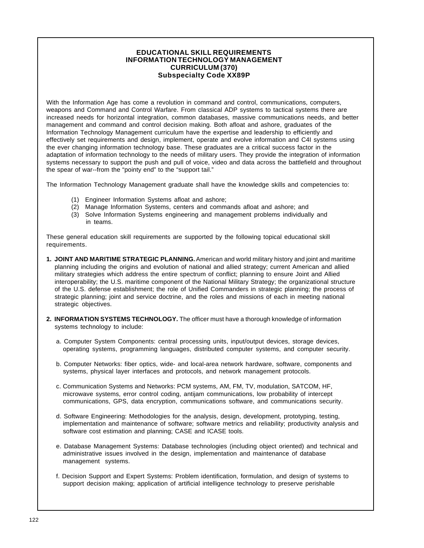## **EDUCATIONAL SKILL REQUIREMENTS INFORMATION TECHNOLOGY MANAGEMENT CURRICULUM (370) Subspecialty Code XX89P**

With the Information Age has come a revolution in command and control, communications, computers, weapons and Command and Control Warfare. From classical ADP systems to tactical systems there are increased needs for horizontal integration, common databases, massive communications needs, and better management and command and control decision making. Both afloat and ashore, graduates of the Information Technology Management curriculum have the expertise and leadership to efficiently and effectively set requirements and design, implement, operate and evolve information and C4I systems using the ever changing information technology base. These graduates are a critical success factor in the adaptation of information technology to the needs of military users. They provide the integration of information systems necessary to support the push and pull of voice, video and data across the battlefield and throughout the spear of war--from the "pointy end" to the "support tail."

The Information Technology Management graduate shall have the knowledge skills and competencies to:

- (1) Engineer Information Systems afloat and ashore;
- (2) Manage Information Systems, centers and commands afloat and ashore; and
- (3) Solve Information Systems engineering and management problems individually and in teams.

These general education skill requirements are supported by the following topical educational skill requirements.

- **1. JOINT AND MARITIME STRATEGIC PLANNING.** American and world military history and joint and maritime planning including the origins and evolution of national and allied strategy; current American and allied military strategies which address the entire spectrum of conflict; planning to ensure Joint and Allied interoperability; the U.S. maritime component of the National Military Strategy; the organizational structure of the U.S. defense establishment; the role of Unified Commanders in strategic planning; the process of strategic planning; joint and service doctrine, and the roles and missions of each in meeting national strategic objectives.
- **2. INFORMATION SYSTEMS TECHNOLOGY.** The officer must have a thorough knowledge of information systems technology to include:
	- a. Computer System Components: central processing units, input/output devices, storage devices, operating systems, programming languages, distributed computer systems, and computer security.
	- b. Computer Networks: fiber optics, wide- and local-area network hardware, software, components and systems, physical layer interfaces and protocols, and network management protocols.
	- c. Communication Systems and Networks: PCM systems, AM, FM, TV, modulation, SATCOM, HF, microwave systems, error control coding, antijam communications, low probability of intercept communications, GPS, data encryption, communications software, and communications security.
	- d. Software Engineering: Methodologies for the analysis, design, development, prototyping, testing, implementation and maintenance of software; software metrics and reliability; productivity analysis and software cost estimation and planning; CASE and ICASE tools.
	- e. Database Management Systems: Database technologies (including object oriented) and technical and administrative issues involved in the design, implementation and maintenance of database management systems.
	- f. Decision Support and Expert Systems: Problem identification, formulation, and design of systems to support decision making; application of artificial intelligence technology to preserve perishable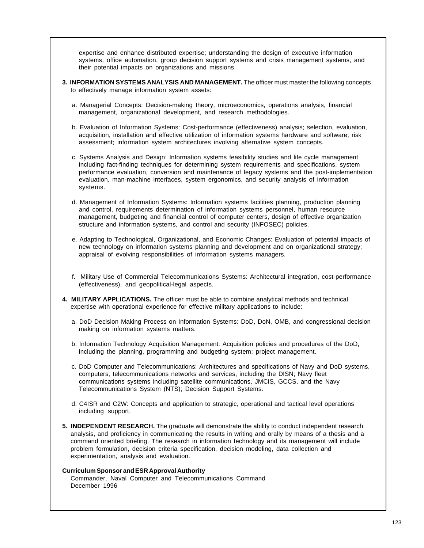expertise and enhance distributed expertise; understanding the design of executive information systems, office automation, group decision support systems and crisis management systems, and their potential impacts on organizations and missions.

- **3. INFORMATION SYSTEMS ANALYSIS AND MANAGEMENT.** The officer must master the following concepts to effectively manage information system assets:
	- a. Managerial Concepts: Decision-making theory, microeconomics, operations analysis, financial management, organizational development, and research methodologies.
	- b. Evaluation of Information Systems: Cost-performance (effectiveness) analysis; selection, evaluation, acquisition, installation and effective utilization of information systems hardware and software; risk assessment; information system architectures involving alternative system concepts.
	- c. Systems Analysis and Design: Information systems feasibility studies and life cycle management including fact-finding techniques for determining system requirements and specifications, system performance evaluation, conversion and maintenance of legacy systems and the post-implementation evaluation, man-machine interfaces, system ergonomics, and security analysis of information systems.
	- d. Management of Information Systems: Information systems facilities planning, production planning and control, requirements determination of information systems personnel, human resource management, budgeting and financial control of computer centers, design of effective organization structure and information systems, and control and security (INFOSEC) policies.
	- e. Adapting to Technological, Organizational, and Economic Changes: Evaluation of potential impacts of new technology on information systems planning and development and on organizational strategy; appraisal of evolving responsibilities of information systems managers.
	- f. Military Use of Commercial Telecommunications Systems: Architectural integration, cost-performance (effectiveness), and geopolitical-legal aspects.
- **4. MILITARY APPLICATIONS.** The officer must be able to combine analytical methods and technical expertise with operational experience for effective military applications to include:
	- a. DoD Decision Making Process on Information Systems: DoD, DoN, OMB, and congressional decision making on information systems matters.
	- b. Information Technology Acquisition Management: Acquisition policies and procedures of the DoD, including the planning, programming and budgeting system; project management.
	- c. DoD Computer and Telecommunications: Architectures and specifications of Navy and DoD systems, computers, telecommunications networks and services, including the DISN; Navy fleet communications systems including satellite communications, JMCIS, GCCS, and the Navy Telecommunications System (NTS); Decision Support Systems.
	- d. C4ISR and C2W: Concepts and application to strategic, operational and tactical level operations including support.
- **5. INDEPENDENT RESEARCH.** The graduate will demonstrate the ability to conduct independent research analysis, and proficiency in communicating the results in writing and orally by means of a thesis and a command oriented briefing. The research in information technology and its management will include problem formulation, decision criteria specification, decision modeling, data collection and experimentation, analysis and evaluation.

### **Curriculum Sponsor and ESR Approval Authority**

Commander, Naval Computer and Telecommunications Command December 1996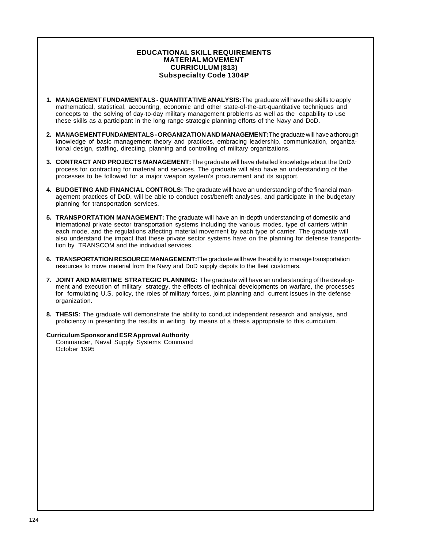## **EDUCATIONAL SKILL REQUIREMENTS MATERIAL MOVEMENT CURRICULUM (813) Subspecialty Code 1304P**

- **1. MANAGEMENT FUNDAMENTALS QUANTITATIVE ANALYSIS:** The graduate will have the skills to apply mathematical, statistical, accounting, economic and other state-of-the-art-quantitative techniques and concepts to the solving of day-to-day military management problems as well as the capability to use these skills as a participant in the long range strategic planning efforts of the Navy and DoD.
- **2. MANAGEMENT FUNDAMENTALS ORGANIZATION AND MANAGEMENT:** The graduate will have a thorough knowledge of basic management theory and practices, embracing leadership, communication, organizational design, staffing, directing, planning and controlling of military organizations.
- **3. CONTRACT AND PROJECTS MANAGEMENT:** The graduate will have detailed knowledge about the DoD process for contracting for material and services. The graduate will also have an understanding of the processes to be followed for a major weapon system's procurement and its support.
- **4. BUDGETING AND FINANCIAL CONTROLS:** The graduate will have an understanding of the financial management practices of DoD, will be able to conduct cost/benefit analyses, and participate in the budgetary planning for transportation services.
- **5. TRANSPORTATION MANAGEMENT:** The graduate will have an in-depth understanding of domestic and international private sector transportation systems including the various modes, type of carriers within each mode, and the regulations affecting material movement by each type of carrier. The graduate will also understand the impact that these private sector systems have on the planning for defense transportation by TRANSCOM and the individual services.
- **6. TRANSPORTATION RESOURCE MANAGEMENT:** The graduate will have the ability to manage transportation resources to move material from the Navy and DoD supply depots to the fleet customers.
- **7. JOINT AND MARITIME STRATEGIC PLANNING:** The graduate will have an understanding of the development and execution of military strategy, the effects of technical developments on warfare, the processes for formulating U.S. policy, the roles of military forces, joint planning and current issues in the defense organization.
- **8. THESIS:** The graduate will demonstrate the ability to conduct independent research and analysis, and proficiency in presenting the results in writing by means of a thesis appropriate to this curriculum.

### **Curriculum Sponsor and ESR Approval Authority**

Commander, Naval Supply Systems Command October 1995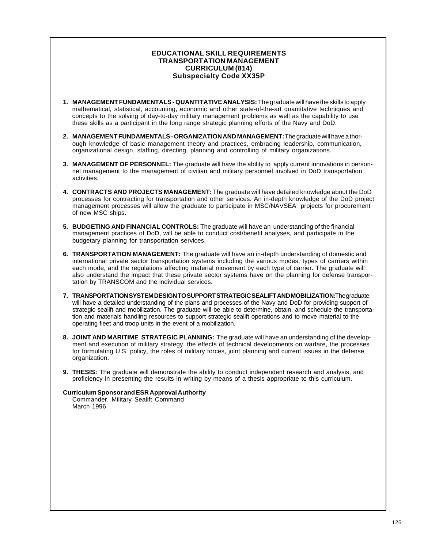## **EDUCATIONAL SKILL REQUIREMENTS TRANSPORTATION MANAGEMENT CURRICULUM (814) Subspecialty Code XX35P**

- **1. MANAGEMENT FUNDAMENTALS QUANTITATIVE ANALYSIS:** The graduate will have the skills to apply mathematical, statistical, accounting, economic and other state-of-the-art quantitative techniques and concepts to the solving of day-to-day military management problems as well as the capability to use these skills as a participant in the long range strategic planning efforts of the Navy and DoD.
- **2. MANAGEMENT FUNDAMENTALS ORGANIZATION AND MANAGEMENT:** The graduate will have a thorough knowledge of basic management theory and practices, embracing leadership, communication, organizational design, staffing, directing, planning and controlling of military organizations.
- **3. MANAGEMENT OF PERSONNEL:** The graduate will have the ability to apply current innovations in personnel management to the management of civilian and military personnel involved in DoD transportation activities.
- **4. CONTRACTS AND PROJECTS MANAGEMENT:** The graduate will have detailed knowledge about the DoD processes for contracting for transportation and other services. An in-depth knowledge of the DoD project management processes will allow the graduate to participate in MSC/NAVSEA projects for procurement of new MSC ships.
- **5. BUDGETING AND FINANCIAL CONTROLS:** The graduate will have an understanding of the financial management practices of DoD, will be able to conduct cost/benefit analyses, and participate in the budgetary planning for transportation services.
- **6. TRANSPORTATION MANAGEMENT:** The graduate will have an in-depth understanding of domestic and international private sector transportation systems including the various modes, types of carriers within each mode, and the regulations affecting material movement by each type of carrier. The graduate will also understand the impact that these private sector systems have on the planning for defense transportation by TRANSCOM and the individual services.
- **7. TRANSPORTATION SYSTEM DESIGN TO SUPPORT STRATEGIC SEALIFT AND MOBILIZATION:** The graduate will have a detailed understanding of the plans and processes of the Navy and DoD for providing support of strategic sealift and mobilization. The graduate will be able to determine, obtain, and schedule the transportation and materials handling resources to support strategic sealift operations and to move material to the operating fleet and troop units in the event of a mobilization.
- **8. JOINT AND MARITIME STRATEGIC PLANNING:** The graduate will have an understanding of the development and execution of military strategy, the effects of technical developments on warfare, the processes for formulating U.S. policy, the roles of military forces, joint planning and current issues in the defense organization.
- **9. THESIS:** The graduate will demonstrate the ability to conduct independent research and analysis, and proficiency in presenting the results in writing by means of a thesis appropriate to this curriculum.

### **Curriculum Sponsor and ESR Approval Authority**

Commander, Military Sealift Command March 1996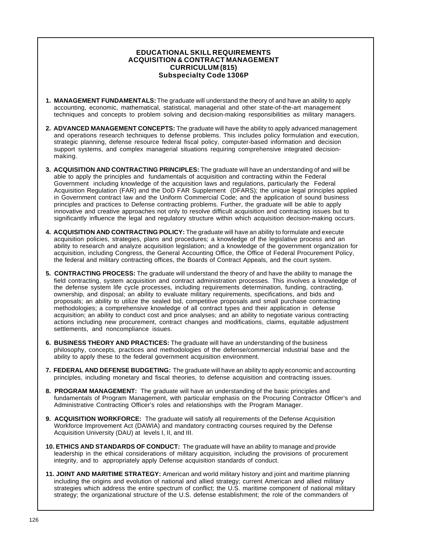## **EDUCATIONAL SKILL REQUIREMENTS ACQUISITION & CONTRACT MANAGEMENT CURRICULUM (815) Subspecialty Code 1306P**

- **1. MANAGEMENT FUNDAMENTALS:** The graduate will understand the theory of and have an ability to apply accounting, economic, mathematical, statistical, managerial and other state-of-the-art management techniques and concepts to problem solving and decision-making responsibilities as military managers.
- **2. ADVANCED MANAGEMENT CONCEPTS:** The graduate will have the ability to apply advanced management and operations research techniques to defense problems. This includes policy formulation and execution, strategic planning, defense resource federal fiscal policy, computer-based information and decision support systems, and complex managerial situations requiring comprehensive integrated decisionmaking.
- **3. ACQUISITION AND CONTRACTING PRINCIPLES:** The graduate will have an understanding of and will be able to apply the principles and fundamentals of acquisition and contracting within the Federal Government including knowledge of the acquisition laws and regulations, particularly the Federal Acquisition Regulation (FAR) and the DoD FAR Supplement (DFARS); the unique legal principles applied in Government contract law and the Uniform Commercial Code; and the application of sound business principles and practices to Defense contracting problems. Further, the graduate will be able to apply innovative and creative approaches not only to resolve difficult acquisition and contracting issues but to significantly influence the legal and regulatory structure within which acquisition decision-making occurs.
- **4. ACQUISITION AND CONTRACTING POLICY:** The graduate will have an ability to formulate and execute acquisition policies, strategies, plans and procedures; a knowledge of the legislative process and an ability to research and analyze acquisition legislation; and a knowledge of the government organization for acquisition, including Congress, the General Accounting Office, the Office of Federal Procurement Policy, the federal and military contracting offices, the Boards of Contract Appeals, and the court system.
- **5. CONTRACTING PROCESS:** The graduate will understand the theory of and have the ability to manage the field contracting, system acquisition and contract administration processes. This involves a knowledge of the defense system life cycle processes, including requirements determination, funding, contracting, ownership, and disposal; an ability to evaluate military requirements, specifications, and bids and proposals; an ability to utilize the sealed bid, competitive proposals and small purchase contracting methodologies; a comprehensive knowledge of all contract types and their application in defense acquisition; an ability to conduct cost and price analyses; and an ability to negotiate various contracting actions including new procurement, contract changes and modifications, claims, equitable adjustment settlements, and noncompliance issues.
- **6. BUSINESS THEORY AND PRACTICES:** The graduate will have an understanding of the business philosophy, concepts, practices and methodologies of the defense/commercial industrial base and the ability to apply these to the federal government acquisition environment.
- **7. FEDERAL AND DEFENSE BUDGETING:** The graduate will have an ability to apply economic and accounting principles, including monetary and fiscal theories, to defense acquisition and contracting issues.
- **8. PROGRAM MANAGEMENT:** The graduate will have an understanding of the basic principles and fundamentals of Program Management, with particular emphasis on the Procuring Contractor Officer's and Administrative Contracting Officer's roles and relationships with the Program Manager.
- **9. ACQUISITION WORKFORCE:** The graduate will satisfy all requirements of the Defense Acquisition Workforce Improvement Act (DAWIA) and mandatory contracting courses required by the Defense Acquisition University (DAU) at levels I, II, and III.
- **10. ETHICS AND STANDARDS OF CONDUCT:** The graduate will have an ability to manage and provide leadership in the ethical considerations of military acquisition, including the provisions of procurement integrity, and to appropriately apply Defense acquisition standards of conduct.
- **11. JOINT AND MARITIME STRATEGY:** American and world military history and joint and maritime planning including the origins and evolution of national and allied strategy; current American and allied military strategies which address the entire spectrum of conflict; the U.S. maritime component of national military strategy; the organizational structure of the U.S. defense establishment; the role of the commanders of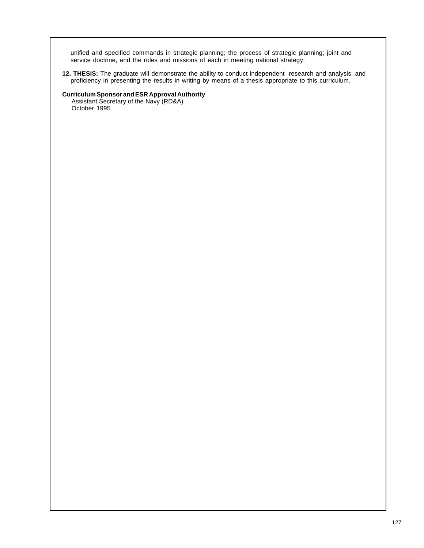unified and specified commands in strategic planning; the process of strategic planning; joint and service doctrine, and the roles and missions of each in meeting national strategy.

**12. THESIS:** The graduate will demonstrate the ability to conduct independent research and analysis, and proficiency in presenting the results in writing by means of a thesis appropriate to this curriculum.

## **Curriculum Sponsor and ESR Approval Authority**

Assistant Secretary of the Navy (RD&A) October 1995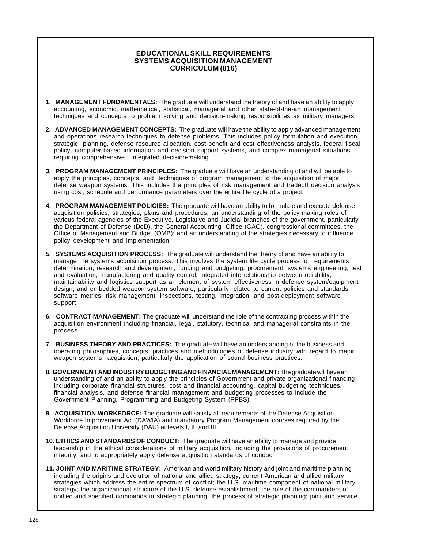## **EDUCATIONAL SKILL REQUIREMENTS SYSTEMS ACQUISITION MANAGEMENT CURRICULUM (816)**

- **1. MANAGEMENT FUNDAMENTALS:** The graduate will understand the theory of and have an ability to apply accounting, economic, mathematical, statistical, managerial and other state-of-the-art management techniques and concepts to problem solving and decision-making responsibilities as military managers.
- **2. ADVANCED MANAGEMENT CONCEPTS:** The graduate will have the ability to apply advanced management and operations research techniques to defense problems. This includes policy formulation and execution, strategic planning, defense resource allocation, cost benefit and cost effectiveness analysis, federal fiscal policy, computer-based information and decision support systems, and complex managerial situations requiring comprehensive integrated decision-making.
- **3. PROGRAM MANAGEMENT PRINCIPLES:** The graduate will have an understanding of and will be able to apply the principles, concepts, and techniques of program management to the acquisition of major defense weapon systems. This includes the principles of risk management and tradeoff decision analysis using cost, schedule and performance parameters over the entire life cycle of a project.
- **4. PROGRAM MANAGEMENT POLICIES:** The graduate will have an ability to formulate and execute defense acquisition policies, strategies, plans and procedures; an understanding of the policy-making roles of various federal agencies of the Executive, Legislative and Judicial branches of the government, particularly the Department of Defense (DoD), the General Accounting Office (GAO), congressional committees, the Office of Management and Budget (OMB); and an understanding of the strategies necessary to influence policy development and implementation.
- **5. SYSTEMS ACQUISITION PROCESS:** The graduate will understand the theory of and have an ability to manage the systems acquisition process. This involves the system life cycle process for requirements determination, research and development, funding and budgeting, procurement, systems engineering, test and evaluation, manufacturing and quality control, integrated interrelationship between reliability, maintainability and logistics support as an element of system effectiveness in defense system/equipment design; and embedded weapon system software, particularly related to current policies and standards, software metrics, risk management, inspections, testing, integration, and post-deployment software support.
- **6. CONTRACT MANAGEMENT:** The graduate will understand the role of the contracting process within the acquisition environment including financial, legal, statutory, technical and managerial constraints in the process.
- **7. BUSINESS THEORY AND PRACTICES:** The graduate will have an understanding of the business and operating philosophies, concepts, practices and methodologies of defense industry with regard to major weapon systems acquisition, particularly the application of sound business practices.
- **8. GOVERNMENT AND INDUSTRY BUDGETING AND FINANCIAL MANAGEMENT:** The graduate will have an understanding of and an ability to apply the principles of Government and private organizational financing including corporate financial structures, cost and financial accounting, capital budgeting techniques, financial analysis, and defense financial management and budgeting processes to include the Government Planning, Programming and Budgeting System (PPBS).
- **9. ACQUISITION WORKFORCE:** The graduate will satisfy all requirements of the Defense Acquisition Workforce Improvement Act (DAWIA) and mandatory Program Management courses required by the Defense Acquisition University (DAU) at levels I, II, and III.
- **10. ETHICS AND STANDARDS OF CONDUCT:** The graduate will have an ability to manage and provide leadership in the ethical considerations of military acquisition, including the provisions of procurement integrity, and to appropriately apply defense acquisition standards of conduct.
- **11. JOINT AND MARITIME STRATEGY:** American and world military history and joint and maritime planning including the origins and evolution of national and allied strategy; current American and allied military strategies which address the entire spectrum of conflict; the U.S. maritime component of national military strategy; the organizational structure of the U.S. defense establishment; the role of the commanders of unified and specified commands in strategic planning; the process of strategic planning; joint and service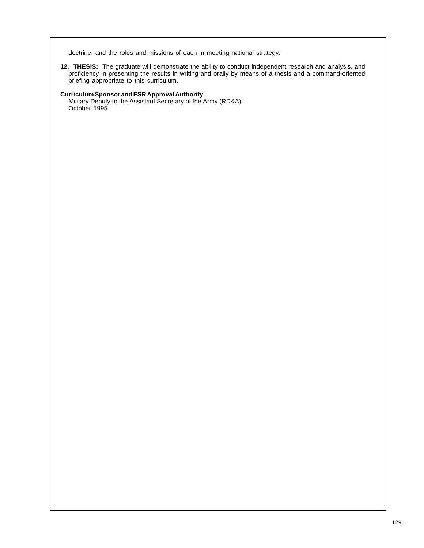doctrine, and the roles and missions of each in meeting national strategy.

**12. THESIS:** The graduate will demonstrate the ability to conduct independent research and analysis, and proficiency in presenting the results in writing and orally by means of a thesis and a command-oriented briefing appropriate to this curriculum.

## **Curriculum Sponsor and ESR Approval Authority**

Military Deputy to the Assistant Secretary of the Army (RD&A) October 1995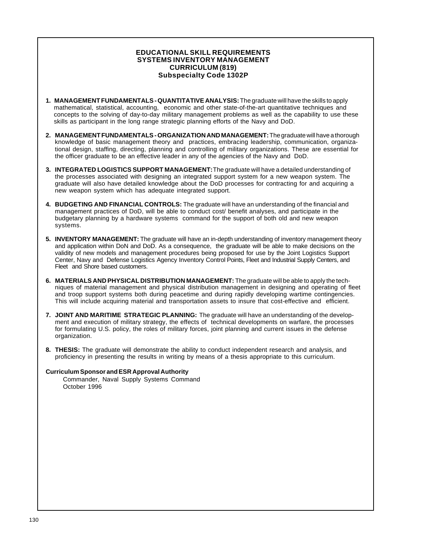## **EDUCATIONAL SKILL REQUIREMENTS SYSTEMS INVENTORY MANAGEMENT CURRICULUM (819) Subspecialty Code 1302P**

- **1. MANAGEMENT FUNDAMENTALS QUANTITATIVE ANALYSIS:** The graduate will have the skills to apply mathematical, statistical, accounting, economic and other state-of-the-art quantitative techniques and concepts to the solving of day-to-day military management problems as well as the capability to use these skills as participant in the long range strategic planning efforts of the Navy and DoD.
- **2. MANAGEMENT FUNDAMENTALS ORGANIZATION AND MANAGEMENT:** The graduate will have a thorough knowledge of basic management theory and practices, embracing leadership, communication, organizational design, staffing, directing, planning and controlling of military organizations. These are essential for the officer graduate to be an effective leader in any of the agencies of the Navy and DoD.
- **3. INTEGRATED LOGISTICS SUPPORT MANAGEMENT:** The graduate will have a detailed understanding of the processes associated with designing an integrated support system for a new weapon system. The graduate will also have detailed knowledge about the DoD processes for contracting for and acquiring a new weapon system which has adequate integrated support.
- **4. BUDGETING AND FINANCIAL CONTROLS:** The graduate will have an understanding of the financial and management practices of DoD, will be able to conduct cost/ benefit analyses, and participate in the budgetary planning by a hardware systems command for the support of both old and new weapon systems.
- **5. INVENTORY MANAGEMENT:** The graduate will have an in-depth understanding of inventory management theory and application within DoN and DoD. As a consequence, the graduate will be able to make decisions on the validity of new models and management procedures being proposed for use by the Joint Logistics Support Center, Navy and Defense Logistics Agency Inventory Control Points, Fleet and Industrial Supply Centers, and Fleet and Shore based customers.
- **6. MATERIALS AND PHYSICAL DISTRIBUTION MANAGEMENT:** The graduate will be able to apply the techniques of material management and physical distribution management in designing and operating of fleet and troop support systems both during peacetime and during rapidly developing wartime contingencies. This will include acquiring material and transportation assets to insure that cost-effective and efficient.
- **7. JOINT AND MARITIME STRATEGIC PLANNING:** The graduate will have an understanding of the development and execution of military strategy, the effects of technical developments on warfare, the processes for formulating U.S. policy, the roles of military forces, joint planning and current issues in the defense organization.
- **8. THESIS:** The graduate will demonstrate the ability to conduct independent research and analysis, and proficiency in presenting the results in writing by means of a thesis appropriate to this curriculum.

## **Curriculum Sponsor and ESR Approval Authority**

Commander, Naval Supply Systems Command October 1996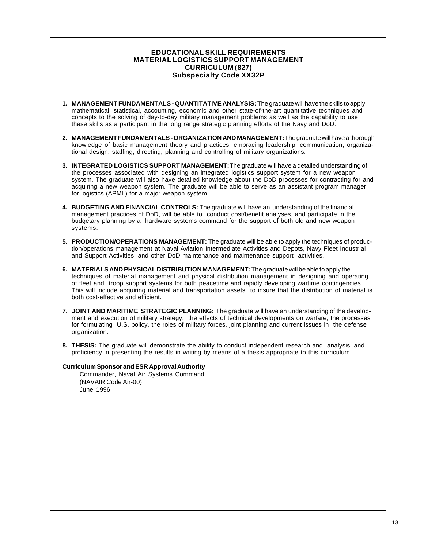## **EDUCATIONAL SKILL REQUIREMENTS MATERIAL LOGISTICS SUPPORT MANAGEMENT CURRICULUM (827) Subspecialty Code XX32P**

- **1. MANAGEMENT FUNDAMENTALS QUANTITATIVE ANALYSIS:** The graduate will have the skills to apply mathematical, statistical, accounting, economic and other state-of-the-art quantitative techniques and concepts to the solving of day-to-day military management problems as well as the capability to use these skills as a participant in the long range strategic planning efforts of the Navy and DoD.
- **2. MANAGEMENT FUNDAMENTALS ORGANIZATION AND MANAGEMENT:** The graduate will have a thorough knowledge of basic management theory and practices, embracing leadership, communication, organizational design, staffing, directing, planning and controlling of military organizations.
- **3. INTEGRATED LOGISTICS SUPPORT MANAGEMENT:** The graduate will have a detailed understanding of the processes associated with designing an integrated logistics support system for a new weapon system. The graduate will also have detailed knowledge about the DoD processes for contracting for and acquiring a new weapon system. The graduate will be able to serve as an assistant program manager for logistics (APML) for a major weapon system.
- **4. BUDGETING AND FINANCIAL CONTROLS:** The graduate will have an understanding of the financial management practices of DoD, will be able to conduct cost/benefit analyses, and participate in the budgetary planning by a hardware systems command for the support of both old and new weapon systems.
- **5. PRODUCTION/OPERATIONS MANAGEMENT:** The graduate will be able to apply the techniques of production/operations management at Naval Aviation Intermediate Activities and Depots, Navy Fleet Industrial and Support Activities, and other DoD maintenance and maintenance support activities.
- **6. MATERIALS AND PHYSICAL DISTRIBUTION MANAGEMENT:** The graduate will be able to apply the techniques of material management and physical distribution management in designing and operating of fleet and troop support systems for both peacetime and rapidly developing wartime contingencies. This will include acquiring material and transportation assets to insure that the distribution of material is both cost-effective and efficient.
- **7. JOINT AND MARITIME STRATEGIC PLANNING:** The graduate will have an understanding of the development and execution of military strategy, the effects of technical developments on warfare, the processes for formulating U.S. policy, the roles of military forces, joint planning and current issues in the defense organization.
- **8. THESIS:** The graduate will demonstrate the ability to conduct independent research and analysis, and proficiency in presenting the results in writing by means of a thesis appropriate to this curriculum.

### **Curriculum Sponsor and ESR Approval Authority**

Commander, Naval Air Systems Command (NAVAIR Code Air-00) June 1996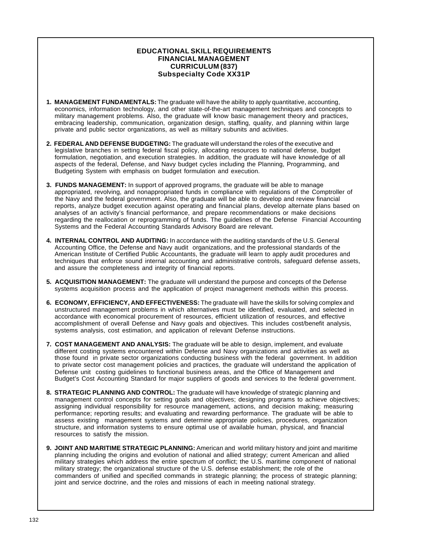## **EDUCATIONAL SKILL REQUIREMENTS FINANCIAL MANAGEMENT CURRICULUM (837) Subspecialty Code XX31P**

- **1. MANAGEMENT FUNDAMENTALS:** The graduate will have the ability to apply quantitative, accounting, economics, information technology, and other state-of-the-art management techniques and concepts to military management problems. Also, the graduate will know basic management theory and practices, embracing leadership, communication, organization design, staffing, quality, and planning within large private and public sector organizations, as well as military subunits and activities.
- **2. FEDERAL AND DEFENSE BUDGETING:** The graduate will understand the roles of the executive and legislative branches in setting federal fiscal policy, allocating resources to national defense, budget formulation, negotiation, and execution strategies. In addition, the graduate will have knowledge of all aspects of the federal, Defense, and Navy budget cycles including the Planning, Programming, and Budgeting System with emphasis on budget formulation and execution.
- **3. FUNDS MANAGEMENT:** In support of approved programs, the graduate will be able to manage appropriated, revolving, and nonappropriated funds in compliance with regulations of the Comptroller of the Navy and the federal government. Also, the graduate will be able to develop and review financial reports, analyze budget execution against operating and financial plans, develop alternate plans based on analyses of an activity's financial performance, and prepare recommendations or make decisions regarding the reallocation or reprogramming of funds. The guidelines of the Defense Financial Accounting Systems and the Federal Accounting Standards Advisory Board are relevant.
- **4. INTERNAL CONTROL AND AUDITING:** In accordance with the auditing standards of the U.S. General Accounting Office, the Defense and Navy audit organizations, and the professional standards of the American Institute of Certified Public Accountants, the graduate will learn to apply audit procedures and techniques that enforce sound internal accounting and administrative controls, safeguard defense assets, and assure the completeness and integrity of financial reports.
- **5. ACQUISITION MANAGEMENT:** The graduate will understand the purpose and concepts of the Defense systems acquisition process and the application of project management methods within this process.
- **6. ECONOMY, EFFICIENCY, AND EFFECTIVENESS:** The graduate will have the skills for solving complex and unstructured management problems in which alternatives must be identified, evaluated, and selected in accordance with economical procurement of resources, efficient utilization of resources, and effective accomplishment of overall Defense and Navy goals and objectives. This includes cost/benefit analysis, systems analysis, cost estimation, and application of relevant Defense instructions.
- **7. COST MANAGEMENT AND ANALYSIS:** The graduate will be able to design, implement, and evaluate different costing systems encountered within Defense and Navy organizations and activities as well as those found in private sector organizations conducting business with the federal government. In addition to private sector cost management policies and practices, the graduate will understand the application of Defense unit costing guidelines to functional business areas, and the Office of Management and Budget's Cost Accounting Standard for major suppliers of goods and services to the federal government.
- **8. STRATEGIC PLANNING AND CONTROL:** The graduate will have knowledge of strategic planning and management control concepts for setting goals and objectives; designing programs to achieve objectives; assigning individual responsibility for resource management, actions, and decision making; measuring performance; reporting results; and evaluating and rewarding performance. The graduate will be able to assess existing management systems and determine appropriate policies, procedures, organization structure, and information systems to ensure optimal use of available human, physical, and financial resources to satisfy the mission.
- **9. JOINT AND MARITIME STRATEGIC PLANNING:** American and world military history and joint and maritime planning including the origins and evolution of national and allied strategy; current American and allied military strategies which address the entire spectrum of conflict; the U.S. maritime component of national military strategy; the organizational structure of the U.S. defense establishment; the role of the commanders of unified and specified commands in strategic planning; the process of strategic planning; joint and service doctrine, and the roles and missions of each in meeting national strategy.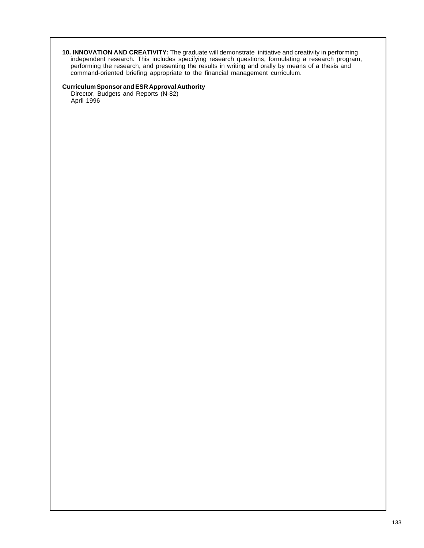**10. INNOVATION AND CREATIVITY:** The graduate will demonstrate initiative and creativity in performing independent research. This includes specifying research questions, formulating a research program, performing the research, and presenting the results in writing and orally by means of a thesis and command-oriented briefing appropriate to the financial management curriculum.

#### **Curriculum Sponsor and ESR Approval Authority**

Director, Budgets and Reports (N-82) April 1996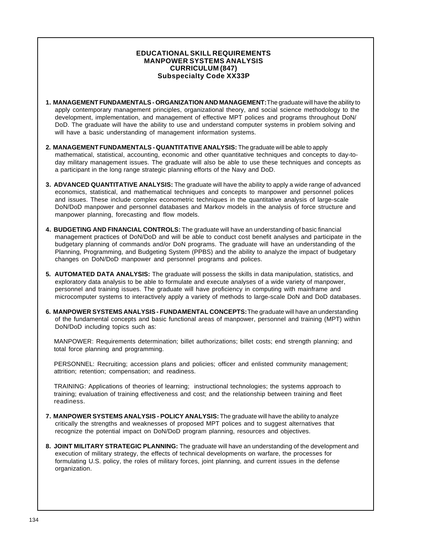## **EDUCATIONAL SKILL REQUIREMENTS MANPOWER SYSTEMS ANALYSIS CURRICULUM (847) Subspecialty Code XX33P**

- **1. MANAGEMENT FUNDAMENTALS ORGANIZATION AND MANAGEMENT:** The graduate will have the ability to apply contemporary management principles, organizational theory, and social science methodology to the development, implementation, and management of effective MPT polices and programs throughout DoN/ DoD. The graduate will have the ability to use and understand computer systems in problem solving and will have a basic understanding of management information systems.
- **2. MANAGEMENT FUNDAMENTALS QUANTITATIVE ANALYSIS:** The graduate will be able to apply mathematical, statistical, accounting, economic and other quantitative techniques and concepts to day-today military management issues. The graduate will also be able to use these techniques and concepts as a participant in the long range strategic planning efforts of the Navy and DoD.
- **3. ADVANCED QUANTITATIVE ANALYSIS:** The graduate will have the ability to apply a wide range of advanced economics, statistical, and mathematical techniques and concepts to manpower and personnel polices and issues. These include complex econometric techniques in the quantitative analysis of large-scale DoN/DoD manpower and personnel databases and Markov models in the analysis of force structure and manpower planning, forecasting and flow models.
- **4. BUDGETING AND FINANCIAL CONTROLS:** The graduate will have an understanding of basic financial management practices of DoN/DoD and will be able to conduct cost benefit analyses and participate in the budgetary planning of commands and/or DoN programs. The graduate will have an understanding of the Planning, Programming, and Budgeting System (PPBS) and the ability to analyze the impact of budgetary changes on DoN/DoD manpower and personnel programs and polices.
- **5. AUTOMATED DATA ANALYSIS:** The graduate will possess the skills in data manipulation, statistics, and exploratory data analysis to be able to formulate and execute analyses of a wide variety of manpower, personnel and training issues. The graduate will have proficiency in computing with mainframe and microcomputer systems to interactively apply a variety of methods to large-scale DoN and DoD databases.
- **6. MANPOWER SYSTEMS ANALYSIS FUNDAMENTAL CONCEPTS:** The graduate will have an understanding of the fundamental concepts and basic functional areas of manpower, personnel and training (MPT) within DoN/DoD including topics such as:

MANPOWER: Requirements determination; billet authorizations; billet costs; end strength planning; and total force planning and programming.

PERSONNEL: Recruiting; accession plans and policies; officer and enlisted community management; attrition; retention; compensation; and readiness.

TRAINING: Applications of theories of learning; instructional technologies; the systems approach to training; evaluation of training effectiveness and cost; and the relationship between training and fleet readiness.

- **7. MANPOWER SYSTEMS ANALYSIS POLICY ANALYSIS:** The graduate will have the ability to analyze critically the strengths and weaknesses of proposed MPT polices and to suggest alternatives that recognize the potential impact on DoN/DoD program planning, resources and objectives.
- **8. JOINT MILITARY STRATEGIC PLANNING:** The graduate will have an understanding of the development and execution of military strategy, the effects of technical developments on warfare, the processes for formulating U.S. policy, the roles of military forces, joint planning, and current issues in the defense organization.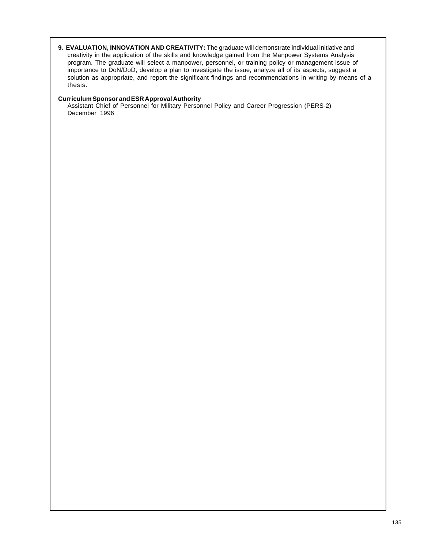**9. EVALUATION, INNOVATION AND CREATIVITY:** The graduate will demonstrate individual initiative and creativity in the application of the skills and knowledge gained from the Manpower Systems Analysis program. The graduate will select a manpower, personnel, or training policy or management issue of importance to DoN/DoD, develop a plan to investigate the issue, analyze all of its aspects, suggest a solution as appropriate, and report the significant findings and recommendations in writing by means of a thesis.

## **Curriculum Sponsor and ESR Approval Authority**

Assistant Chief of Personnel for Military Personnel Policy and Career Progression (PERS-2) December 1996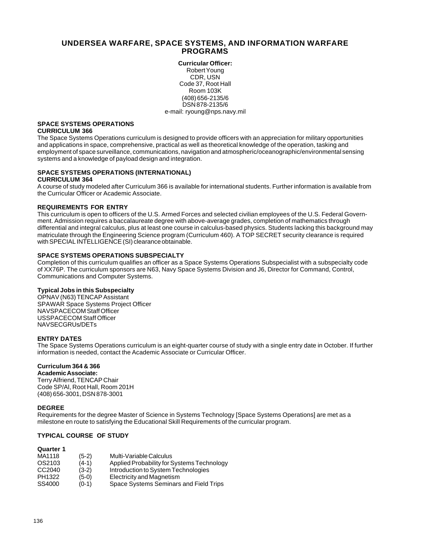## **UNDERSEA WARFARE, SPACE SYSTEMS, AND INFORMATION WARFARE PROGRAMS**

**Curricular Officer:** Robert Young CDR, USN Code 37, Root Hall Room 103K (408) 656-2135/6 DSN 878-2135/6 e-mail: ryoung@nps.navy.mil

#### **SPACE SYSTEMS OPERATIONS CURRICULUM 366**

The Space Systems Operations curriculum is designed to provide officers with an appreciation for military opportunities and applications in space, comprehensive, practical as well as theoretical knowledge of the operation, tasking and employment of space surveillance, communications, navigation and atmospheric/oceanographic/environmental sensing systems and a knowledge of payload design and integration.

## **SPACE SYSTEMS OPERATIONS (INTERNATIONAL)**

### **CURRICULUM 364**

A course of study modeled after Curriculum 366 is available for international students. Further information is available from the Curricular Officer or Academic Associate.

## **REQUIREMENTS FOR ENTRY**

This curriculum is open to officers of the U.S. Armed Forces and selected civilian employees of the U.S. Federal Government. Admission requires a baccalaureate degree with above-average grades, completion of mathematics through differential and integral calculus, plus at least one course in calculus-based physics. Students lacking this background may matriculate through the Engineering Science program (Curriculum 460). A TOP SECRET security clearance is required with SPECIAL INTELLIGENCE (SI) clearance obtainable.

## **SPACE SYSTEMS OPERATIONS SUBSPECIALTY**

Completion of this curriculum qualifies an officer as a Space Systems Operations Subspecialist with a subspecialty code of XX76P. The curriculum sponsors are N63, Navy Space Systems Division and J6, Director for Command, Control, Communications and Computer Systems.

### **Typical Jobs in this Subspecialty**

OPNAV (N63) TENCAP Assistant SPAWAR Space Systems Project Officer NAVSPACECOM Staff Officer USSPACECOM Staff Officer NAVSECGRUs/DETs

### **ENTRY DATES**

The Space Systems Operations curriculum is an eight-quarter course of study with a single entry date in October. If further information is needed, contact the Academic Associate or Curricular Officer.

## **Curriculum 364 & 366**

**Academic Associate:** Terry Alfriend, TENCAP Chair Code SP/Al, Root Hall, Room 201H (408) 656-3001, DSN 878-3001

### **DEGREE**

Requirements for the degree Master of Science in Systems Technology [Space Systems Operations] are met as a milestone en route to satisfying the Educational Skill Requirements of the curricular program.

## **TYPICAL COURSE OF STUDY**

| <b>Quarter 1</b> |         |                                            |
|------------------|---------|--------------------------------------------|
| MA1118           | $(5-2)$ | Multi-Variable Calculus                    |
| OS2103           | $(4-1)$ | Applied Probability for Systems Technology |
| CC2040           | $(3-2)$ | Introduction to System Technologies        |
| PH1322           | $(5-0)$ | Electricity and Magnetism                  |
| SS4000           | $(0-1)$ | Space Systems Seminars and Field Trips     |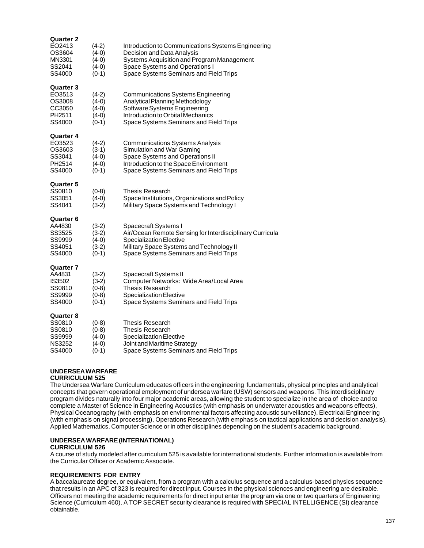| Quarter 2<br>EO2413<br>OS3604<br>MN3301<br>SS2041<br>SS4000        | (4-2)<br>(4-0)<br>$(4-0)$<br>(4-0)<br>$(0-1)$       | Introduction to Communications Systems Engineering<br>Decision and Data Analysis<br>Systems Acquisition and Program Management<br>Space Systems and Operations I<br>Space Systems Seminars and Field Trips |
|--------------------------------------------------------------------|-----------------------------------------------------|------------------------------------------------------------------------------------------------------------------------------------------------------------------------------------------------------------|
| <b>Quarter 3</b><br>EO3513<br>OS3008<br>CC3050<br>PH2511<br>SS4000 | $(4-2)$<br>$(4-0)$<br>$(4-0)$<br>$(4-0)$<br>$(0-1)$ | <b>Communications Systems Engineering</b><br>Analytical Planning Methodology<br>Software Systems Engineering<br>Introduction to Orbital Mechanics<br>Space Systems Seminars and Field Trips                |
| Quarter 4<br>EO3523<br>OS3603<br>SS3041<br>PH2514<br>SS4000        | $(4-2)$<br>$(3-1)$<br>$(4-0)$<br>$(4-0)$<br>$(0-1)$ | <b>Communications Systems Analysis</b><br>Simulation and War Gaming<br>Space Systems and Operations II<br>Introduction to the Space Environment<br>Space Systems Seminars and Field Trips                  |
| <b>Quarter 5</b><br>SS0810<br>SS3051<br>SS4041                     | $(0-8)$<br>$(4-0)$<br>$(3-2)$                       | Thesis Research<br>Space Institutions, Organizations and Policy<br>Military Space Systems and Technology I                                                                                                 |
| Quarter 6<br>AA4830<br>SS3525<br>SS9999<br>SS4051<br>SS4000        | $(3-2)$<br>$(3-2)$<br>$(4-0)$<br>$(3-2)$<br>$(0-1)$ | Spacecraft Systems I<br>Air/Ocean Remote Sensing for Interdisciplinary Curricula<br><b>Specialization Elective</b><br>Military Space Systems and Technology II<br>Space Systems Seminars and Field Trips   |
| Quarter 7<br>AA4831<br>IS3502<br>SS0810<br>SS9999<br>SS4000        | $(3-2)$<br>$(3-2)$<br>$(0-8)$<br>$(0-8)$<br>$(0-1)$ | Spacecraft Systems II<br>Computer Networks: Wide Area/Local Area<br><b>Thesis Research</b><br><b>Specialization Elective</b><br>Space Systems Seminars and Field Trips                                     |
| <b>Quarter 8</b><br>SS0810<br>SS0810<br>SS9999<br>NS3252<br>SS4000 | $(0-8)$<br>$(0-8)$<br>$(4-0)$<br>(4-0)<br>(0-1)     | Thesis Research<br><b>Thesis Research</b><br><b>Specialization Elective</b><br>Joint and Maritime Strategy<br>Space Systems Seminars and Field Trips                                                       |

## **UNDERSEA WARFARE**

#### **CURRICULUM 525**

The Undersea Warfare Curriculum educates officers in the engineering fundamentals, physical principles and analytical concepts that govern operational employment of undersea warfare (USW) sensors and weapons. This interdisciplinary program divides naturally into four major academic areas, allowing the student to specialize in the area of choice and to complete a Master of Science in Engineering Acoustics (with emphasis on underwater acoustics and weapons effects), Physical Oceanography (with emphasis on environmental factors affecting acoustic surveillance), Electrical Engineering (with emphasis on signal processing), Operations Research (with emphasis on tactical applications and decision analysis), Applied Mathematics, Computer Science or in other disciplines depending on the student's academic background.

## **UNDERSEA WARFARE (INTERNATIONAL)**

### **CURRICULUM 526**

A course of study modeled after curriculum 525 is available for international students. Further information is available from the Curricular Officer or Academic Associate.

### **REQUIREMENTS FOR ENTRY**

A baccalaureate degree, or equivalent, from a program with a calculus sequence and a calculus-based physics sequence that results in an APC of 323 is required for direct input. Courses in the physical sciences and engineering are desirable. Officers not meeting the academic requirements for direct input enter the program via one or two quarters of Engineering Science (Curriculum 460). A TOP SECRET security clearance is required with SPECIAL INTELLIGENCE (SI) clearance obtainable.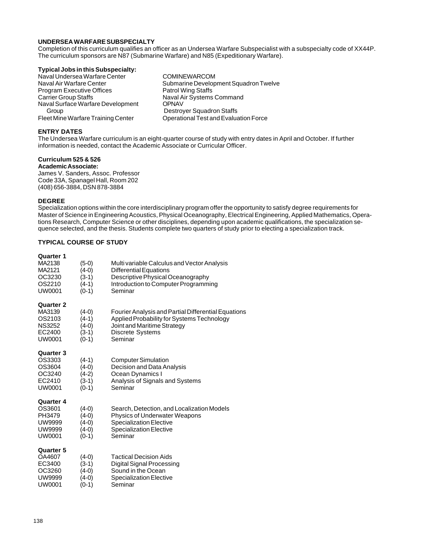### **UNDERSEA WARFARE SUBSPECIALTY**

Completion of this curriculum qualifies an officer as an Undersea Warfare Subspecialist with a subspecialty code of XX44P. The curriculum sponsors are N87 (Submarine Warfare) and N85 (Expeditionary Warfare).

#### **Typical Jobs in this Subspecialty:**

Naval Undersea Warfare Center Comine Waval Air Warfare Center<br>Naval Air Warfare Center Center Submarine Develop Program Executive Offices Carrier Group Staffs Naval Air Systems Command Naval Surface Warfare Development OPNAV Group **Destroyer Squadron Staffs** Fleet Mine Warfare Training Center **Operational Test and Evaluation Force** 

Submarine Development Squadron Twelve<br>Patrol Wing Staffs

## **ENTRY DATES**

The Undersea Warfare curriculum is an eight-quarter course of study with entry dates in April and October. If further information is needed, contact the Academic Associate or Curricular Officer.

# **Curriculum 525 & 526**

**Academic Associate:** James V. Sanders, Assoc. Professor Code 33A, Spanagel Hall, Room 202 (408) 656-3884, DSN 878-3884

## **DEGREE**

Specialization options within the core interdisciplinary program offer the opportunity to satisfy degree requirements for Master of Science in Engineering Acoustics, Physical Oceanography, Electrical Engineering, Applied Mathematics, Operations Research, Computer Science or other disciplines, depending upon academic qualifications, the specialization sequence selected, and the thesis. Students complete two quarters of study prior to electing a specialization track.

## **TYPICAL COURSE OF STUDY**

| uuarter i<br>MA2138<br>MA2121<br>OC3230<br>OS2210<br>UW0001               | (5-0)<br>$(4-0)$<br>(3-1)<br>$(4-1)$<br>$(0-1)$     | Multi variable Calculus and Vector Analysis<br><b>Differential Equations</b><br>Descriptive Physical Oceanography<br>Introduction to Computer Programming<br>Seminar |
|---------------------------------------------------------------------------|-----------------------------------------------------|----------------------------------------------------------------------------------------------------------------------------------------------------------------------|
| <b>Quarter 2</b><br>MA3139<br>OS2103<br><b>NS3252</b><br>EC2400<br>UW0001 | $(4-0)$<br>$(4-1)$<br>$(4-0)$<br>$(3-1)$<br>$(0-1)$ | Fourier Analysis and Partial Differential Equations<br>Applied Probability for Systems Technology<br>Joint and Maritime Strategy<br>Discrete Systems<br>Seminar      |
| <b>Quarter 3</b><br>OS3303<br>OS3604<br>OC3240<br>EC2410<br>UW0001        | $(4-1)$<br>(4-0)<br>$(4-2)$<br>$(3-1)$<br>$(0-1)$   | <b>Computer Simulation</b><br>Decision and Data Analysis<br>Ocean Dynamics I<br>Analysis of Signals and Systems<br>Seminar                                           |
| Quarter 4<br>OS3601<br>PH3479<br>UW9999<br>UW9999<br>UW0001               | $(4-0)$<br>$(4-0)$<br>$(4-0)$<br>$(4-0)$<br>$(0-1)$ | Search, Detection, and Localization Models<br>Physics of Underwater Weapons<br><b>Specialization Elective</b><br><b>Specialization Elective</b><br>Seminar           |
| <b>Quarter 5</b><br>OA4607<br>EC3400<br>OC3260<br>UW9999<br>UW0001        | $(4-0)$<br>$(3-1)$<br>(4-0)<br>(4-0)<br>(0-1)       | <b>Tactical Decision Aids</b><br>Digital Signal Processing<br>Sound in the Ocean<br><b>Specialization Elective</b><br>Seminar                                        |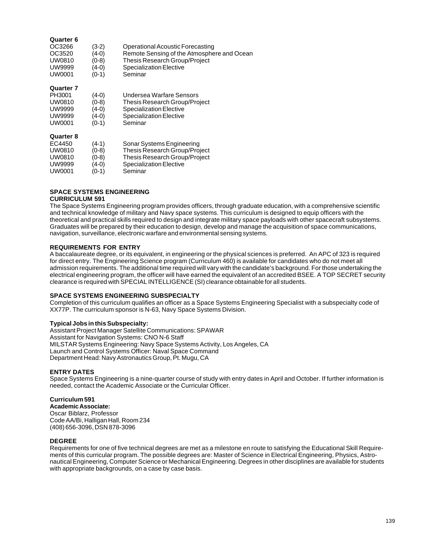#### **Quarter 6**

| OC3266 | $(3-2)$ | Operational Acoustic Forecasting           |
|--------|---------|--------------------------------------------|
| OC3520 | $(4-0)$ | Remote Sensing of the Atmosphere and Ocean |
| UW0810 | $(0-8)$ | Thesis Research Group/Project              |
| UW9999 | $(4-0)$ | Specialization Elective                    |
| UW0001 | $(0-1)$ | Seminar                                    |
|        |         |                                            |

#### **Quarter 7**

| PH3001           | (4-0)   | Undersea Warfare Sensors       |
|------------------|---------|--------------------------------|
| UW0810           | $(0-8)$ | Thesis Research Group/Project  |
| <b>UW9999</b>    | (4-0)   | <b>Specialization Elective</b> |
| <b>UW9999</b>    | (4-0)   | <b>Specialization Elective</b> |
| UW0001           | $(0-1)$ | Seminar                        |
| <b>Quarter 8</b> |         |                                |
| EC4450           | $(4-1)$ | Sonar Systems Engineering      |
| UW0810           | $(0-8)$ | Thesis Research Group/Project  |
| UW0810           | $(0-8)$ | Thesis Research Group/Project  |
| <b>UW9999</b>    | $(4-0)$ | <b>Specialization Elective</b> |
| UW0001           | (0-1)   | Seminar                        |

## **SPACE SYSTEMS ENGINEERING**

#### **CURRICULUM 591**

The Space Systems Engineering program provides officers, through graduate education, with a comprehensive scientific and technical knowledge of military and Navy space systems. This curriculum is designed to equip officers with the theoretical and practical skills required to design and integrate military space payloads with other spacecraft subsystems. Graduates will be prepared by their education to design, develop and manage the acquisition of space communications, navigation, surveillance, electronic warfare and environmental sensing systems.

### **REQUIREMENTS FOR ENTRY**

A baccalaureate degree, or its equivalent, in engineering or the physical sciences is preferred. An APC of 323 is required for direct entry. The Engineering Science program (Curriculum 460) is available for candidates who do not meet all admission requirements. The additional time required will vary with the candidate's background. For those undertaking the electrical engineering program, the officer will have earned the equivalent of an accredited BSEE. A TOP SECRET security clearance is required with SPECIAL INTELLIGENCE (SI) clearance obtainable for all students.

#### **SPACE SYSTEMS ENGINEERING SUBSPECIALTY**

Completion of this curriculum qualifies an officer as a Space Systems Engineering Specialist with a subspecialty code of XX77P. The curriculum sponsor is N-63, Navy Space Systems Division.

### **Typical Jobs in this Subspecialty:**

Assistant Project Manager Satellite Communications: SPAWAR Assistant for Navigation Systems: CNO N-6 Staff MILSTAR Systems Engineering: Navy Space Systems Activity, Los Angeles, CA Launch and Control Systems Officer: Naval Space Command Department Head: Navy Astronautics Group, Pt. Mugu, CA

### **ENTRY DATES**

Space Systems Engineering is a nine-quarter course of study with entry dates in April and October. If further information is needed, contact the Academic Associate or the Curricular Officer.

#### **Curriculum 591 Academic Associate:** Oscar Biblarz, Professor Code AA/Bi, Halligan Hall, Room 234 (408) 656-3096, DSN 878-3096

#### **DEGREE**

Requirements for one of five technical degrees are met as a milestone en route to satisfying the Educational Skill Requirements of this curricular program. The possible degrees are: Master of Science in Electrical Engineering, Physics, Astronautical Engineering, Computer Science or Mechanical Engineering. Degrees in other disciplines are available for students with appropriate backgrounds, on a case by case basis.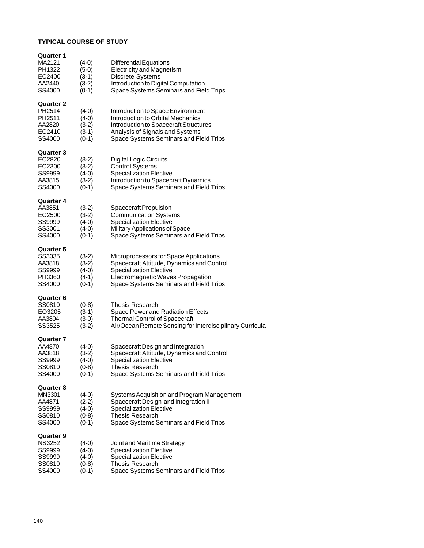## **TYPICAL COURSE OF STUDY**

| Quarter 1<br>MA2121<br>PH1322<br>EC2400<br>AA2440<br>SS4000             | $(4-0)$<br>$(5-0)$<br>$(3-1)$<br>$(3-2)$<br>$(0-1)$ | <b>Differential Equations</b><br><b>Electricity and Magnetism</b><br>Discrete Systems<br>Introduction to Digital Computation<br>Space Systems Seminars and Field Trips                               |
|-------------------------------------------------------------------------|-----------------------------------------------------|------------------------------------------------------------------------------------------------------------------------------------------------------------------------------------------------------|
| Quarter 2<br>PH2514<br>PH <sub>2511</sub><br>AA2820<br>EC2410<br>SS4000 | $(4-0)$<br>$(4-0)$<br>$(3-2)$<br>$(3-1)$<br>$(0-1)$ | Introduction to Space Environment<br>Introduction to Orbital Mechanics<br>Introduction to Spacecraft Structures<br>Analysis of Signals and Systems<br>Space Systems Seminars and Field Trips         |
| Quarter 3<br>EC2820<br>EC2300<br>SS9999<br>AA3815<br>SS4000             | $(3-2)$<br>$(3-2)$<br>$(4-0)$<br>$(3-2)$<br>$(0-1)$ | <b>Digital Logic Circuits</b><br><b>Control Systems</b><br><b>Specialization Elective</b><br>Introduction to Spacecraft Dynamics<br>Space Systems Seminars and Field Trips                           |
| Quarter 4<br>AA3851<br>EC2500<br>SS9999<br>SS3001<br>SS4000             | $(3-2)$<br>$(3-2)$<br>$(4-0)$<br>$(4-0)$<br>$(0-1)$ | Spacecraft Propulsion<br><b>Communication Systems</b><br><b>Specialization Elective</b><br>Military Applications of Space<br>Space Systems Seminars and Field Trips                                  |
| <b>Quarter 5</b><br>SS3035<br>AA3818<br>SS9999<br>PH3360<br>SS4000      | $(3-2)$<br>$(3-2)$<br>$(4-0)$<br>$(4-1)$<br>$(0-1)$ | Microprocessors for Space Applications<br>Spacecraft Attitude, Dynamics and Control<br><b>Specialization Elective</b><br>Electromagnetic Waves Propagation<br>Space Systems Seminars and Field Trips |
| Quarter 6<br>SS0810<br>EO3205<br>AA3804<br>SS3525                       | $(0-8)$<br>$(3-1)$<br>$(3-0)$<br>$(3-2)$            | <b>Thesis Research</b><br>Space Power and Radiation Effects<br><b>Thermal Control of Spacecraft</b><br>Air/Ocean Remote Sensing for Interdisciplinary Curricula                                      |
| Quarter 7<br>AA4870<br>AA3818<br>SS9999<br>SS0810<br>SS4000             | (4-0)<br>(3-2)<br>$(4-0)$<br>$(0-8)$<br>$(0-1)$     | Spacecraft Design and Integration<br>Spacecraft Attitude, Dynamics and Control<br><b>Specialization Elective</b><br><b>Thesis Research</b><br>Space Systems Seminars and Field Trips                 |
| <b>Quarter 8</b><br>MN3301<br>AA4871<br>SS9999<br>SS0810<br>SS4000      | $(4-0)$<br>$(2-2)$<br>$(4-0)$<br>$(0-8)$<br>$(0-1)$ | Systems Acquisition and Program Management<br>Spacecraft Design and Integration II<br><b>Specialization Elective</b><br><b>Thesis Research</b><br>Space Systems Seminars and Field Trips             |
| Quarter 9<br><b>NS3252</b><br>SS9999<br>SS9999<br>SS0810<br>SS4000      | $(4-0)$<br>$(4-0)$<br>$(4-0)$<br>$(0-8)$<br>$(0-1)$ | Joint and Maritime Strategy<br><b>Specialization Elective</b><br><b>Specialization Elective</b><br><b>Thesis Research</b><br>Space Systems Seminars and Field Trips                                  |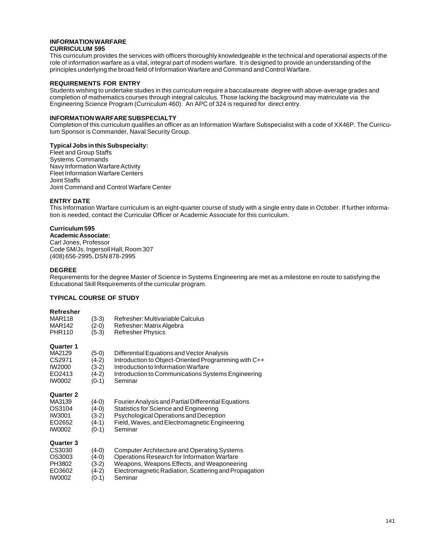#### **INFORMATION WARFARE CURRICULUM 595**

This curriculum provides the services with officers thoroughly knowledgeable in the technical and operational aspects of the role of information warfare as a vital, integral part of modern warfare. It is designed to provide an understanding of the principles underlying the broad field of Information Warfare and Command and Control Warfare.

### **REQUIREMENTS FOR ENTRY**

Students wishing to undertake studies in this curriculum require a baccalaureate degree with above-average grades and completion of mathematics courses through integral calculus. Those lacking the background may matriculate via the Engineering Science Program (Curriculum 460). An APC of 324 is required for direct entry.

#### **INFORMATION WARFARE SUBSPECIALTY**

Completion of this curriculum qualifies an officer as an Information Warfare Subspecialist with a code of XX46P. The Curriculum Sponsor is Commander, Naval Security Group.

#### **Typical Jobs in this Subspecialty:**

Fleet and Group Staffs Systems Commands Navy Information Warfare Activity Fleet Information Warfare Centers Joint Staffs Joint Command and Control Warfare Center

### **ENTRY DATE**

This Information Warfare curriculum is an eight-quarter course of study with a single entry date in October. If further information is needed, contact the Curricular Officer or Academic Associate for this curriculum.

## **Curriculum 595**

**Academic Associate:** Carl Jones, Professor Code SM/Js, Ingersoll Hall, Room 307 (408) 656-2995, DSN 878-2995

### **DEGREE**

Requirements for the degree Master of Science in Systems Engineering are met as a milestone en route to satisfying the Educational Skill Requirements of the curricular program.

## **TYPICAL COURSE OF STUDY**

#### **Refresher**

| <b>MAR118</b><br><b>MAR142</b><br><b>PHR110</b>                           | (3-3)<br>(2-0)<br>$(5-3)$                       | Refresher: Multivariable Calculus<br>Refresher: Matrix Algebra<br><b>Refresher Physics</b>                                                                                                                          |
|---------------------------------------------------------------------------|-------------------------------------------------|---------------------------------------------------------------------------------------------------------------------------------------------------------------------------------------------------------------------|
| <b>Quarter 1</b><br>MA2129<br>CS2971<br><b>IW2000</b><br>EO2413<br>IW0002 | (5-0)<br>(4-2)<br>(3-2)<br>(4-2)<br>$(0-1)$     | Differential Equations and Vector Analysis<br>Introduction to Object-Oriented Programming with C++<br>Introduction to Information Warfare<br>Introduction to Communications Systems Engineering<br>Seminar          |
| <b>Quarter 2</b><br>MA3139<br>OS3104<br>IW3001<br>EO2652<br>IW0002        | (4-0)<br>(4-0)<br>$(3-2)$<br>$(4-1)$<br>$(0-1)$ | Fourier Analysis and Partial Differential Equations<br>Statistics for Science and Engineering<br>Psychological Operations and Deception<br>Field, Waves, and Electromagnetic Engineering<br>Seminar                 |
| <b>Quarter 3</b><br>CS3030<br>OS3003<br>PH3802<br>EO3602<br><b>IW0002</b> | (4-0)<br>(4-0)<br>(3-2)<br>(4-2)<br>(0-1)       | <b>Computer Architecture and Operating Systems</b><br>Operations Research for Information Warfare<br>Weapons, Weapons Effects, and Weaponeering<br>Electromagnetic Radiation, Scattering and Propagation<br>Seminar |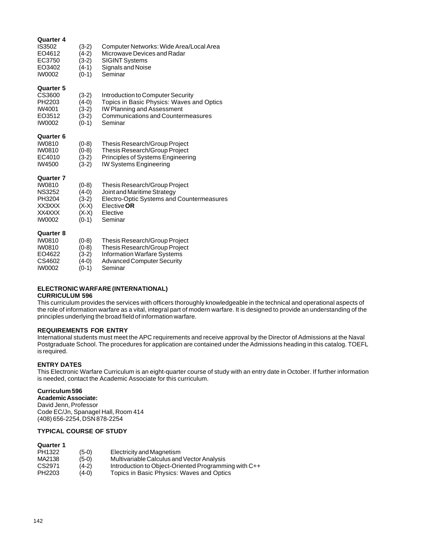| Quarter 4<br>IS3502<br>EO4612<br>EC3750<br>EO3402<br><b>IW0002</b>                                | $(3-2)$<br>$(4-2)$<br>$(3-2)$<br>$(4-1)$<br>$(0-1)$        | Computer Networks: Wide Area/Local Area<br>Microwave Devices and Radar<br><b>SIGINT Systems</b><br>Signals and Noise<br>Seminar                               |
|---------------------------------------------------------------------------------------------------|------------------------------------------------------------|---------------------------------------------------------------------------------------------------------------------------------------------------------------|
| <b>Quarter 5</b><br>CS3600<br>PH2203<br>IW4001<br>EO3512<br><b>IW0002</b>                         | $(3-2)$<br>$(4-0)$<br>$(3-2)$<br>$(3-2)$<br>$(0-1)$        | Introduction to Computer Security<br>Topics in Basic Physics: Waves and Optics<br>IW Planning and Assessment<br>Communications and Countermeasures<br>Seminar |
| <b>Quarter 6</b><br>IW0810<br>IW0810<br>EC4010<br>IW4500                                          | $(0-8)$<br>$(0-8)$<br>$(3-2)$<br>(3-2)                     | Thesis Research/Group Project<br>Thesis Research/Group Project<br>Principles of Systems Engineering<br><b>IW Systems Engineering</b>                          |
| <b>Quarter 7</b><br><b>IW0810</b><br><b>NS3252</b><br>PH3204<br>XX3XXX<br>XX4XXX<br><b>IW0002</b> | $(0-8)$<br>$(4-0)$<br>(3-2)<br>(X-X)<br>$(X-X)$<br>$(0-1)$ | Thesis Research/Group Project<br>Joint and Maritime Strategy<br>Electro-Optic Systems and Countermeasures<br>Elective <b>OR</b><br>Elective<br>Seminar        |
| <b>Quarter 8</b><br>IW0810<br><b>IW0810</b><br>EO4622<br>CS4602                                   | $(0-8)$<br>(0-8)<br>$(3-2)$<br>(4-0)                       | Thesis Research/Group Project<br>Thesis Research/Group Project<br><b>Information Warfare Systems</b><br><b>Advanced Computer Security</b>                     |

IW0002 (0-1) Seminar

# **ELECTRONIC WARFARE (INTERNATIONAL)**

### **CURRICULUM 596**

This curriculum provides the services with officers thoroughly knowledgeable in the technical and operational aspects of the role of information warfare as a vital, integral part of modern warfare. It is designed to provide an understanding of the principles underlying the broad field of information warfare.

## **REQUIREMENTS FOR ENTRY**

International students must meet the APC requirements and receive approval by the Director of Admissions at the Naval Postgraduate School. The procedures for application are contained under the Admissions heading in this catalog. TOEFL is required.

### **ENTRY DATES**

This Electronic Warfare Curriculum is an eight-quarter course of study with an entry date in October. If further information is needed, contact the Academic Associate for this curriculum.

## **Curriculum 596**

**Academic Associate:** David Jenn, Professor Code EC/Jn, Spanagel Hall, Room 414 (408) 656-2254, DSN 878-2254

## **TYPICAL COURSE OF STUDY**

| PH1322 | $(5-0)$ | Electricity and Magnetism                            |
|--------|---------|------------------------------------------------------|
| MA2138 | (5-0)   | Multivariable Calculus and Vector Analysis           |
| CS2971 | $(4-2)$ | Introduction to Object-Oriented Programming with C++ |
| PH2203 | $(4-0)$ | Topics in Basic Physics: Waves and Optics            |
|        |         |                                                      |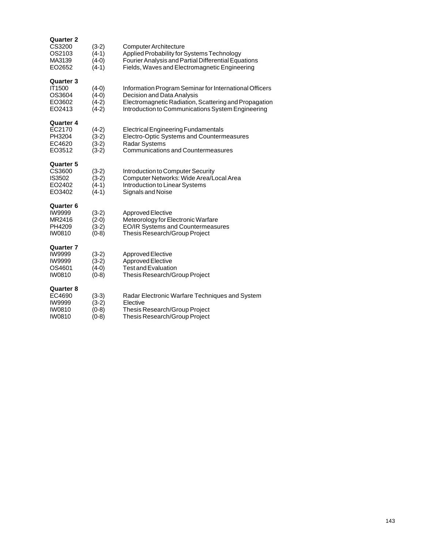| <b>Quarter 2</b> |         |                                                        |
|------------------|---------|--------------------------------------------------------|
| CS3200           | $(3-2)$ | Computer Architecture                                  |
| OS2103           | $(4-1)$ | Applied Probability for Systems Technology             |
| MA3139           | $(4-0)$ | Fourier Analysis and Partial Differential Equations    |
| EO2652           | (4-1)   | Fields, Waves and Electromagnetic Engineering          |
| <b>Quarter 3</b> |         |                                                        |
| <b>IT1500</b>    | $(4-0)$ | Information Program Seminar for International Officers |
| OS3604           | $(4-0)$ | Decision and Data Analysis                             |
| EO3602           | $(4-2)$ | Electromagnetic Radiation, Scattering and Propagation  |
| EO2413           | $(4-2)$ | Introduction to Communications System Engineering      |
| Quarter 4        |         |                                                        |
| EC2170           | $(4-2)$ | <b>Electrical Engineering Fundamentals</b>             |
| PH3204           | $(3-2)$ | Electro-Optic Systems and Countermeasures              |
| EC4620           | $(3-2)$ | <b>Radar Systems</b>                                   |
| EO3512           | $(3-2)$ | <b>Communications and Countermeasures</b>              |
| <b>Quarter 5</b> |         |                                                        |
| CS3600           | $(3-2)$ | Introduction to Computer Security                      |
| <b>IS3502</b>    | $(3-2)$ | Computer Networks: Wide Area/Local Area                |
| EO2402           | $(4-1)$ | Introduction to Linear Systems                         |
| EO3402           | $(4-1)$ | Signals and Noise                                      |
| <b>Quarter 6</b> |         |                                                        |
| <b>IW9999</b>    | $(3-2)$ | Approved Elective                                      |
| MR2416           | $(2-0)$ | Meteorology for Electronic Warfare                     |
| PH4209           | (3-2)   | <b>EO/IR Systems and Countermeasures</b>               |
| IW0810           | $(0-8)$ | Thesis Research/Group Project                          |
| <b>Quarter 7</b> |         |                                                        |
| <b>IW9999</b>    | $(3-2)$ | Approved Elective                                      |
| <b>IW9999</b>    | $(3-2)$ | Approved Elective                                      |
| OS4601           | $(4-0)$ | <b>Test and Evaluation</b>                             |
| <b>IW0810</b>    | $(0-8)$ | Thesis Research/Group Project                          |
| <b>Quarter 8</b> |         |                                                        |
| EC4690           | $(3-3)$ | Radar Electronic Warfare Techniques and System         |
| <b>IW9999</b>    | $(3-2)$ | Elective                                               |
| <b>IW0810</b>    | (0-8)   | Thesis Research/Group Project                          |
| IW0810           | (0-8)   | Thesis Research/Group Project                          |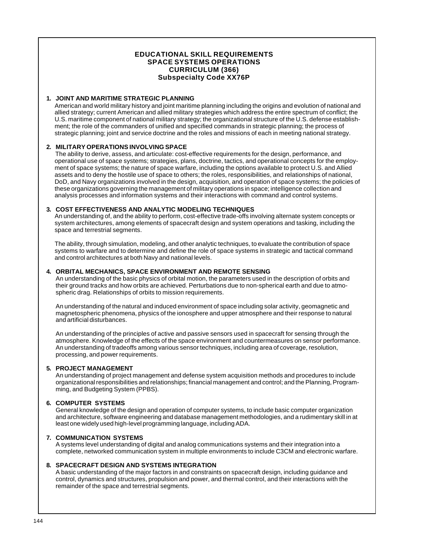## **EDUCATIONAL SKILL REQUIREMENTS SPACE SYSTEMS OPERATIONS CURRICULUM (366) Subspecialty Code XX76P**

## **1. JOINT AND MARITIME STRATEGIC PLANNING**

American and world military history and joint maritime planning including the origins and evolution of national and allied strategy; current American and allied military strategies which address the entire spectrum of conflict; the U.S. maritime component of national military strategy; the organizational structure of the U.S. defense establishment; the role of the commanders of unified and specified commands in strategic planning; the process of strategic planning; joint and service doctrine and the roles and missions of each in meeting national strategy.

### **2. MILITARY OPERATIONS INVOLVING SPACE**

The ability to derive, assess, and articulate: cost-effective requirements for the design, performance, and operational use of space systems; strategies, plans, doctrine, tactics, and operational concepts for the employment of space systems; the nature of space warfare, including the options available to protect U.S. and Allied assets and to deny the hostile use of space to others; the roles, responsibilities, and relationships of national, DoD, and Navy organizations involved in the design, acquisition, and operation of space systems; the policies of these organizations governing the management of military operations in space; intelligence collection and analysis processes and information systems and their interactions with command and control systems.

### **3. COST EFFECTIVENESS AND ANALYTIC MODELING TECHNIQUES**

An understanding of, and the ability to perform, cost-effective trade-offs involving alternate system concepts or system architectures, among elements of spacecraft design and system operations and tasking, including the space and terrestrial segments.

The ability, through simulation, modeling, and other analytic techniques, to evaluate the contribution of space systems to warfare and to determine and define the role of space systems in strategic and tactical command and control architectures at both Navy and national levels.

## **4. ORBITAL MECHANICS, SPACE ENVIRONMENT AND REMOTE SENSING**

An understanding of the basic physics of orbital motion, the parameters used in the description of orbits and their ground tracks and how orbits are achieved. Perturbations due to non-spherical earth and due to atmospheric drag. Relationships of orbits to mission requirements.

An understanding of the natural and induced environment of space including solar activity, geomagnetic and magnetospheric phenomena, physics of the ionosphere and upper atmosphere and their response to natural and artificial disturbances.

An understanding of the principles of active and passive sensors used in spacecraft for sensing through the atmosphere. Knowledge of the effects of the space environment and countermeasures on sensor performance. An understanding of tradeoffs among various sensor techniques, including area of coverage, resolution, processing, and power requirements.

### **5. PROJECT MANAGEMENT**

An understanding of project management and defense system acquisition methods and procedures to include organizational responsibilities and relationships; financial management and control; and the Planning, Programming, and Budgeting System (PPBS).

## **6. COMPUTER SYSTEMS**

General knowledge of the design and operation of computer systems, to include basic computer organization and architecture, software engineering and database management methodologies, and a rudimentary skill in at least one widely used high-level programming language, including ADA.

## **7. COMMUNICATION SYSTEMS**

A systems level understanding of digital and analog communications systems and their integration into a complete, networked communication system in multiple environments to include C3CM and electronic warfare.

### **8. SPACECRAFT DESIGN AND SYSTEMS INTEGRATION**

A basic understanding of the major factors in and constraints on spacecraft design, including guidance and control, dynamics and structures, propulsion and power, and thermal control, and their interactions with the remainder of the space and terrestrial segments.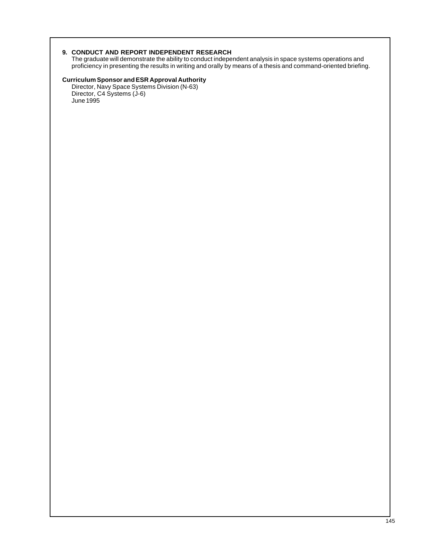# **9. CONDUCT AND REPORT INDEPENDENT RESEARCH**

The graduate will demonstrate the ability to conduct independent analysis in space systems operations and proficiency in presenting the results in writing and orally by means of a thesis and command-oriented briefing.

# **Curriculum Sponsor and ESR Approval Authority**

Director, Navy Space Systems Division (N-63) Director, C4 Systems (J-6) June 1995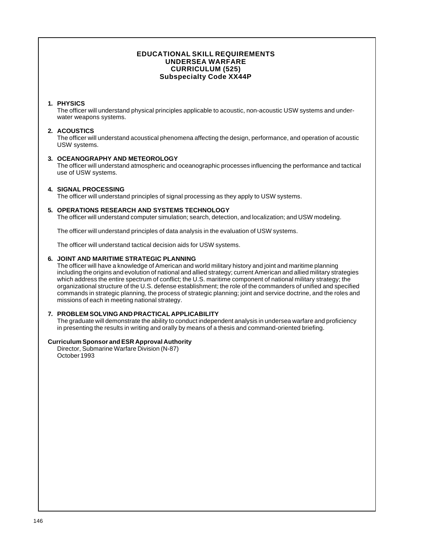# **EDUCATIONAL SKILL REQUIREMENTS UNDERSEA WARFARE CURRICULUM (525) Subspecialty Code XX44P**

# **1. PHYSICS**

The officer will understand physical principles applicable to acoustic, non-acoustic USW systems and underwater weapons systems.

# **2. ACOUSTICS**

The officer will understand acoustical phenomena affecting the design, performance, and operation of acoustic USW systems.

# **3. OCEANOGRAPHY AND METEOROLOGY**

The officer will understand atmospheric and oceanographic processes influencing the performance and tactical use of USW systems.

# **4. SIGNAL PROCESSING**

The officer will understand principles of signal processing as they apply to USW systems.

# **5. OPERATIONS RESEARCH AND SYSTEMS TECHNOLOGY**

The officer will understand computer simulation; search, detection, and localization; and USW modeling.

The officer will understand principles of data analysis in the evaluation of USW systems.

The officer will understand tactical decision aids for USW systems.

#### **6. JOINT AND MARITIME STRATEGIC PLANNING**

The officer will have a knowledge of American and world military history and joint and maritime planning including the origins and evolution of national and allied strategy; current American and allied military strategies which address the entire spectrum of conflict; the U.S. maritime component of national military strategy; the organizational structure of the U.S. defense establishment; the role of the commanders of unified and specified commands in strategic planning, the process of strategic planning; joint and service doctrine, and the roles and missions of each in meeting national strategy.

#### **7. PROBLEM SOLVING AND PRACTICAL APPLICABILITY**

The graduate will demonstrate the ability to conduct independent analysis in undersea warfare and proficiency in presenting the results in writing and orally by means of a thesis and command-oriented briefing.

## **Curriculum Sponsor and ESR Approval Authority**

Director, Submarine Warfare Division (N-87) October 1993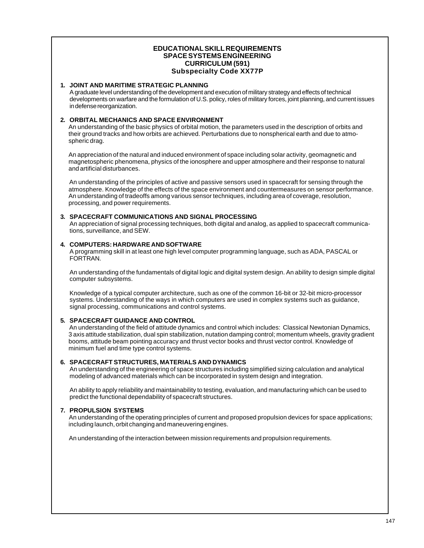# **EDUCATIONAL SKILL REQUIREMENTS SPACE SYSTEMS ENGINEERING CURRICULUM (591) Subspecialty Code XX77P**

## **1. JOINT AND MARITIME STRATEGIC PLANNING**

A graduate level understanding of the development and execution of military strategy and effects of technical developments on warfare and the formulation of U.S. policy, roles of military forces, joint planning, and current issues in defense reorganization.

# **2. ORBITAL MECHANICS AND SPACE ENVIRONMENT**

An understanding of the basic physics of orbital motion, the parameters used in the description of orbits and their ground tracks and how orbits are achieved. Perturbations due to nonspherical earth and due to atmospheric drag.

An appreciation of the natural and induced environment of space including solar activity, geomagnetic and magnetospheric phenomena, physics of the ionosphere and upper atmosphere and their response to natural and artificial disturbances.

An understanding of the principles of active and passive sensors used in spacecraft for sensing through the atmosphere. Knowledge of the effects of the space environment and countermeasures on sensor performance. An understanding of tradeoffs among various sensor techniques, including area of coverage, resolution, processing, and power requirements.

#### **3. SPACECRAFT COMMUNICATIONS AND SIGNAL PROCESSING**

An appreciation of signal processing techniques, both digital and analog, as applied to spacecraft communications, surveillance, and SEW.

#### **4. COMPUTERS: HARDWARE AND SOFTWARE**

A programming skill in at least one high level computer programming language, such as ADA, PASCAL or FORTRAN.

An understanding of the fundamentals of digital logic and digital system design. An ability to design simple digital computer subsystems.

Knowledge of a typical computer architecture, such as one of the common 16-bit or 32-bit micro-processor systems. Understanding of the ways in which computers are used in complex systems such as guidance, signal processing, communications and control systems.

# **5. SPACECRAFT GUIDANCE AND CONTROL**

An understanding of the field of attitude dynamics and control which includes: Classical Newtonian Dynamics, 3 axis attitude stabilization, dual spin stabilization, nutation damping control; momentum wheels, gravity gradient booms, attitude beam pointing accuracy and thrust vector books and thrust vector control. Knowledge of minimum fuel and time type control systems.

# **6. SPACECRAFT STRUCTURES, MATERIALS AND DYNAMICS**

An understanding of the engineering of space structures including simplified sizing calculation and analytical modeling of advanced materials which can be incorporated in system design and integration.

An ability to apply reliability and maintainability to testing, evaluation, and manufacturing which can be used to predict the functional dependability of spacecraft structures.

# **7. PROPULSION SYSTEMS**

An understanding of the operating principles of current and proposed propulsion devices for space applications; including launch, orbit changing and maneuvering engines.

An understanding of the interaction between mission requirements and propulsion requirements.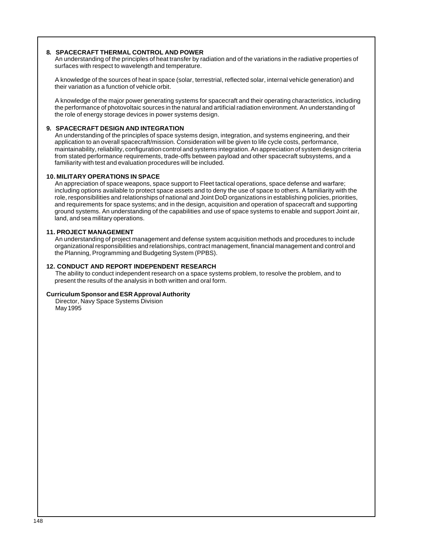# **8. SPACECRAFT THERMAL CONTROL AND POWER**

An understanding of the principles of heat transfer by radiation and of the variations in the radiative properties of surfaces with respect to wavelength and temperature.

A knowledge of the sources of heat in space (solar, terrestrial, reflected solar, internal vehicle generation) and their variation as a function of vehicle orbit.

A knowledge of the major power generating systems for spacecraft and their operating characteristics, including the performance of photovoltaic sources in the natural and artificial radiation environment. An understanding of the role of energy storage devices in power systems design.

# **9. SPACECRAFT DESIGN AND INTEGRATION**

An understanding of the principles of space systems design, integration, and systems engineering, and their application to an overall spacecraft/mission. Consideration will be given to life cycle costs, performance, maintainability, reliability, configuration control and systems integration. An appreciation of system design criteria from stated performance requirements, trade-offs between payload and other spacecraft subsystems, and a familiarity with test and evaluation procedures will be included.

#### **10. MILITARY OPERATIONS IN SPACE**

An appreciation of space weapons, space support to Fleet tactical operations, space defense and warfare; including options available to protect space assets and to deny the use of space to others. A familiarity with the role, responsibilities and relationships of national and Joint DoD organizations in establishing policies, priorities, and requirements for space systems; and in the design, acquisition and operation of spacecraft and supporting ground systems. An understanding of the capabilities and use of space systems to enable and support Joint air, land, and sea military operations.

#### **11. PROJECT MANAGEMENT**

An understanding of project management and defense system acquisition methods and procedures to include organizational responsibilities and relationships, contract management, financial management and control and the Planning, Programming and Budgeting System (PPBS).

#### **12. CONDUCT AND REPORT INDEPENDENT RESEARCH**

The ability to conduct independent research on a space systems problem, to resolve the problem, and to present the results of the analysis in both written and oral form.

#### **Curriculum Sponsor and ESR Approval Authority**

Director, Navy Space Systems Division May 1995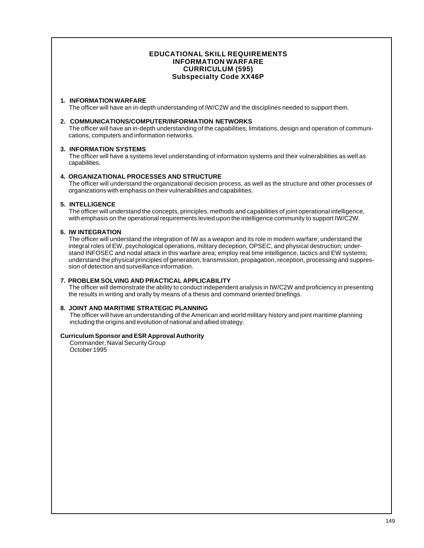# **EDUCATIONAL SKILL REQUIREMENTS INFORMATION WARFARE CURRICULUM (595) Subspecialty Code XX46P**

## **1. INFORMATION WARFARE**

The officer will have an in-depth understanding of IW/C2W and the disciplines needed to support them.

## **2. COMMUNICATIONS/COMPUTER/INFORMATION NETWORKS**

The officer will have an in-depth understanding of the capabilities, limitations, design and operation of communications, computers and information networks.

#### **3. INFORMATION SYSTEMS**

The officer will have a systems level understanding of information systems and their vulnerabilities as well as capabilities.

#### **4. ORGANIZATIONAL PROCESSES AND STRUCTURE**

The officer will understand the organizational decision process, as well as the structure and other processes of organizations with emphasis on their vulnerabilities and capabilities.

#### **5. INTELLIGENCE**

The officer will understand the concepts, principles, methods and capabilities of joint operational intelligence, with emphasis on the operational requirements levied upon the intelligence community to support IW/C2W.

#### **6. IW INTEGRATION**

The officer will understand the integration of IW as a weapon and its role in modern warfare; understand the integral roles of EW, psychological operations, military deception, OPSEC, and physical destruction; understand INFOSEC and nodal attack in this warfare area; employ real time intelligence, tactics and EW systems; understand the physical principles of generation, transmission, propagation, reception, processing and suppression of detection and surveillance information.

# **7. PROBLEM SOLVING AND PRACTICAL APPLICABILITY**

The officer will demonstrate the ability to conduct independent analysis in IW/C2W and proficiency in presenting the results in writing and orally by means of a thesis and command oriented briefings.

# **8. JOINT AND MARITIME STRATEGIC PLANNING**

The officer will have an understanding of the American and world military history and joint maritime planning including the origins and evolution of national and allied strategy.

#### **Curriculum Sponsor and ESR Approval Authority**

Commander, Naval Security Group October 1995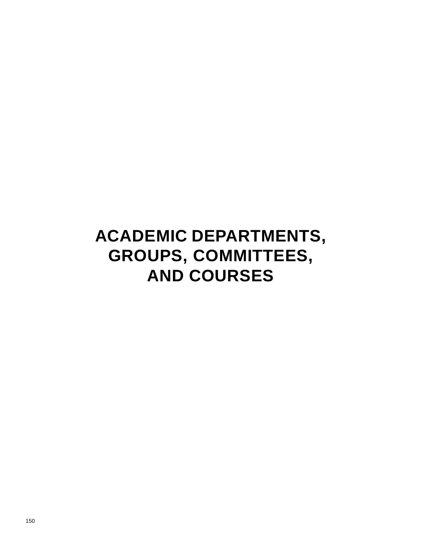# **ACADEMIC DEPARTMENTS, GROUPS, COMMITTEES, AND COURSES**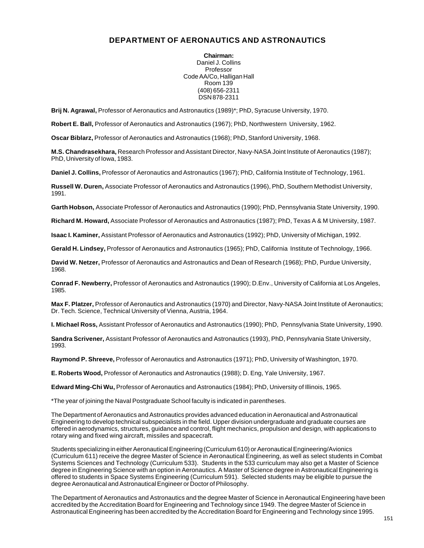# **DEPARTMENT OF AERONAUTICS AND ASTRONAUTICS**

**Chairman:** Daniel J. Collins Professor Code AA/Co, Halligan Hall Room 139 (408) 656-2311 DSN 878-2311

**Brij N. Agrawal,** Professor of Aeronautics and Astronautics (1989)\*; PhD, Syracuse University, 1970.

**Robert E. Ball,** Professor of Aeronautics and Astronautics (1967); PhD, Northwestern University, 1962.

**Oscar Biblarz,** Professor of Aeronautics and Astronautics (1968); PhD, Stanford University, 1968.

**M.S. Chandrasekhara,** Research Professor and Assistant Director, Navy-NASA Joint Institute of Aeronautics (1987); PhD, University of Iowa, 1983.

**Daniel J. Collins,** Professor of Aeronautics and Astronautics (1967); PhD, California Institute of Technology, 1961.

**Russell W. Duren,** Associate Professor of Aeronautics and Astronautics (1996), PhD, Southern Methodist University, 1991.

**Garth Hobson,** Associate Professor of Aeronautics and Astronautics (1990); PhD, Pennsylvania State University, 1990.

**Richard M. Howard,** Associate Professor of Aeronautics and Astronautics (1987); PhD, Texas A & M University, 1987.

**Isaac I. Kaminer,** Assistant Professor of Aeronautics and Astronautics (1992); PhD, University of Michigan, 1992.

**Gerald H. Lindsey,** Professor of Aeronautics and Astronautics (1965); PhD, California Institute of Technology, 1966.

**David W. Netzer,** Professor of Aeronautics and Astronautics and Dean of Research (1968); PhD, Purdue University, 1968.

**Conrad F. Newberry,** Professor of Aeronautics and Astronautics (1990); D.Env., University of California at Los Angeles, 1985.

**Max F. Platzer,** Professor of Aeronautics and Astronautics (1970) and Director, Navy-NASA Joint Institute of Aeronautics; Dr. Tech. Science, Technical University of Vienna, Austria, 1964.

**I. Michael Ross,** Assistant Professor of Aeronautics and Astronautics (1990); PhD, Pennsylvania State University, 1990.

**Sandra Scrivener,** Assistant Professor of Aeronautics and Astronautics (1993), PhD, Pennsylvania State University, 1993.

**Raymond P. Shreeve,** Professor of Aeronautics and Astronautics (1971); PhD, University of Washington, 1970.

**E. Roberts Wood,** Professor of Aeronautics and Astronautics (1988); D. Eng, Yale University, 1967.

**Edward Ming-Chi Wu,** Professor of Aeronautics and Astronautics (1984); PhD, University of Illinois, 1965.

\*The year of joining the Naval Postgraduate School faculty is indicated in parentheses.

The Department of Aeronautics and Astronautics provides advanced education in Aeronautical and Astronautical Engineering to develop technical subspecialists in the field. Upper division undergraduate and graduate courses are offered in aerodynamics, structures, guidance and control, flight mechanics, propulsion and design, with applications to rotary wing and fixed wing aircraft, missiles and spacecraft.

Students specializing in either Aeronautical Engineering (Curriculum 610) or Aeronautical Engineering/Avionics (Curriculum 611) receive the degree Master of Science in Aeronautical Engineering, as well as select students in Combat Systems Sciences and Technology (Curriculum 533). Students in the 533 curriculum may also get a Master of Science degree in Engineering Science with an option in Aeronautics. A Master of Science degree in Astronautical Engineering is offered to students in Space Systems Engineering (Curriculum 591). Selected students may be eligible to pursue the degree Aeronautical and Astronautical Engineer or Doctor of Philosophy.

The Department of Aeronautics and Astronautics and the degree Master of Science in Aeronautical Engineering have been accredited by the Accreditation Board for Engineering and Technology since 1949. The degree Master of Science in Astronautical Engineering has been accredited by the Accreditation Board for Engineering and Technology since 1995.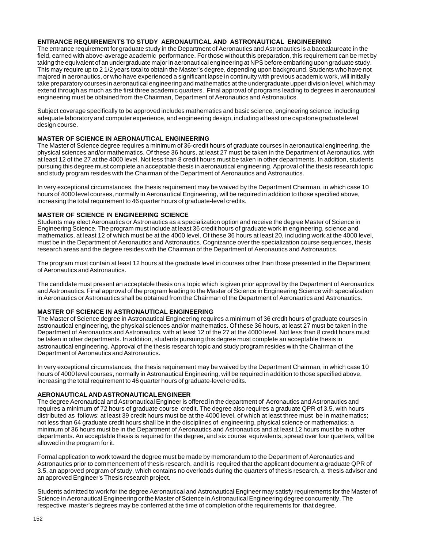# **ENTRANCE REQUIREMENTS TO STUDY AERONAUTICAL AND ASTRONAUTICAL ENGINEERING**

The entrance requirement for graduate study in the Department of Aeronautics and Astronautics is a baccalaureate in the field, earned with above-average academic performance. For those without this preparation, this requirement can be met by taking the equivalent of an undergraduate major in aeronautical engineering at NPS before embarking upon graduate study. This may require up to 2 1/2 years total to obtain the Master's degree, depending upon background. Students who have not majored in aeronautics, or who have experienced a significant lapse in continuity with previous academic work, will initially take preparatory courses in aeronautical engineering and mathematics at the undergraduate upper division level, which may extend through as much as the first three academic quarters. Final approval of programs leading to degrees in aeronautical engineering must be obtained from the Chairman, Department of Aeronautics and Astronautics.

Subject coverage specifically to be approved includes mathematics and basic science, engineering science, including adequate laboratory and computer experience, and engineering design, including at least one capstone graduate level design course.

# **MASTER OF SCIENCE IN AERONAUTICAL ENGINEERING**

The Master of Science degree requires a minimum of 36-credit hours of graduate courses in aeronautical engineering, the physical sciences and/or mathematics. Of these 36 hours, at least 27 must be taken in the Department of Aeronautics, with at least 12 of the 27 at the 4000 level. Not less than 8 credit hours must be taken in other departments. In addition, students pursuing this degree must complete an acceptable thesis in aeronautical engineering. Approval of the thesis research topic and study program resides with the Chairman of the Department of Aeronautics and Astronautics.

In very exceptional circumstances, the thesis requirement may be waived by the Department Chairman, in which case 10 hours of 4000 level courses, normally in Aeronautical Engineering, will be required in addition to those specified above, increasing the total requirement to 46 quarter hours of graduate-level credits.

# **MASTER OF SCIENCE IN ENGINEERING SCIENCE**

Students may elect Aeronautics or Astronautics as a specialization option and receive the degree Master of Science in Engineering Science. The program must include at least 36 credit hours of graduate work in engineering, science and mathematics, at least 12 of which must be at the 4000 level. Of these 36 hours at least 20, including work at the 4000 level, must be in the Department of Aeronautics and Astronautics. Cognizance over the specialization course sequences, thesis research areas and the degree resides with the Chairman of the Department of Aeronautics and Astronautics.

The program must contain at least 12 hours at the graduate level in courses other than those presented in the Department of Aeronautics and Astronautics.

The candidate must present an acceptable thesis on a topic which is given prior approval by the Department of Aeronautics and Astronautics. Final approval of the program leading to the Master of Science in Engineering Science with specialization in Aeronautics or Astronautics shall be obtained from the Chairman of the Department of Aeronautics and Astronautics.

# **MASTER OF SCIENCE IN ASTRONAUTICAL ENGINEERING**

The Master of Science degree in Astronautical Engineering requires a minimum of 36 credit hours of graduate courses in astronautical engineering, the physical sciences and/or mathematics. Of these 36 hours, at least 27 must be taken in the Department of Aeronautics and Astronautics, with at least 12 of the 27 at the 4000 level. Not less than 8 credit hours must be taken in other departments. In addition, students pursuing this degree must complete an acceptable thesis in astronautical engineering. Approval of the thesis research topic and study program resides with the Chairman of the Department of Aeronautics and Astronautics.

In very exceptional circumstances, the thesis requirement may be waived by the Department Chairman, in which case 10 hours of 4000 level courses, normally in Astronautical Engineering, will be required in addition to those specified above, increasing the total requirement to 46 quarter hours of graduate-level credits.

#### **AERONAUTICAL AND ASTRONAUTICAL ENGINEER**

The degree Aeronautical and Astronautical Engineer is offered in the department of Aeronautics and Astronautics and requires a minimum of 72 hours of graduate course credit. The degree also requires a graduate QPR of 3.5, with hours distributed as follows: at least 39 credit hours must be at the 4000 level, of which at least three must be in mathematics; not less than 64 graduate credit hours shall be in the disciplines of engineering, physical science or mathematics; a minimum of 36 hours must be in the Department of Aeronautics and Astronautics and at least 12 hours must be in other departments. An acceptable thesis is required for the degree, and six course equivalents, spread over four quarters, will be allowed in the program for it.

Formal application to work toward the degree must be made by memorandum to the Department of Aeronautics and Astronautics prior to commencement of thesis research, and it is required that the applicant document a graduate QPR of 3.5, an approved program of study, which contains no overloads during the quarters of thesis research, a thesis advisor and an approved Engineer's Thesis research project.

Students admitted to work for the degree Aeronautical and Astronautical Engineer may satisfy requirements for the Master of Science in Aeronautical Engineering or the Master of Science in Astronautical Engineering degree concurrently. The respective master's degrees may be conferred at the time of completion of the requirements for that degree.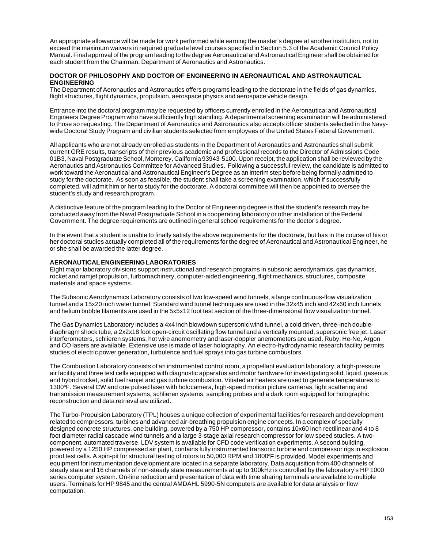An appropriate allowance will be made for work performed while earning the master's degree at another institution, not to exceed the maximum waivers in required graduate level courses specified in Section 5.3 of the Academic Council Policy Manual. Final approval of the program leading to the degree Aeronautical and Astronautical Engineer shall be obtained for each student from the Chairman, Department of Aeronautics and Astronautics.

#### **DOCTOR OF PHILOSOPHY AND DOCTOR OF ENGINEERING IN AERONAUTICAL AND ASTRONAUTICAL ENGINEERING**

The Department of Aeronautics and Astronautics offers programs leading to the doctorate in the fields of gas dynamics, flight structures, flight dynamics, propulsion, aerospace physics and aerospace vehicle design.

Entrance into the doctoral program may be requested by officers currently enrolled in the Aeronautical and Astronautical Engineers Degree Program who have sufficiently high standing. A departmental screening examination will be administered to those so requesting. The Department of Aeronautics and Astronautics also accepts officer students selected in the Navywide Doctoral Study Program and civilian students selected from employees of the United States Federal Government.

All applicants who are not already enrolled as students in the Department of Aeronautics and Astronautics shall submit current GRE results, transcripts of their previous academic and professional records to the Director of Admissions Code 01B3, Naval Postgraduate School, Monterey, California 93943-5100. Upon receipt, the application shall be reviewed by the Aeronautics and Astronautics Committee for Advanced Studies. Following a successful review, the candidate is admitted to work toward the Aeronautical and Astronautical Engineer's Degree as an interim step before being formally admitted to study for the doctorate. As soon as feasible, the student shall take a screening examination, which if successfully completed, will admit him or her to study for the doctorate. A doctoral committee will then be appointed to oversee the student's study and research program.

A distinctive feature of the program leading to the Doctor of Engineering degree is that the student's research may be conducted away from the Naval Postgraduate School in a cooperating laboratory or other installation of the Federal Government. The degree requirements are outlined in general school requirements for the doctor's degree.

In the event that a student is unable to finally satisfy the above requirements for the doctorate, but has in the course of his or her doctoral studies actually completed all of the requirements for the degree of Aeronautical and Astronautical Engineer, he or she shall be awarded the latter degree.

#### **AERONAUTICAL ENGINEERING LABORATORIES**

Eight major laboratory divisions support instructional and research programs in subsonic aerodynamics, gas dynamics, rocket and ramjet propulsion, turbomachinery, computer-aided engineering, flight mechanics, structures, composite materials and space systems.

The Subsonic Aerodynamics Laboratory consists of two low-speed wind tunnels, a large continuous-flow visualization tunnel and a 15x20 inch water tunnel. Standard wind tunnel techniques are used in the 32x45 inch and 42x60 inch tunnels and helium bubble filaments are used in the 5x5x12 foot test section of the three-dimensional flow visualization tunnel.

The Gas Dynamics Laboratory includes a 4x4 inch blowdown supersonic wind tunnel, a cold driven, three-inch doublediaphragm shock tube, a 2x2x18 foot open-circuit oscillating flow tunnel and a vertically mounted, supersonic free jet. Laser interferometers, schlieren systems, hot wire anemometry and laser-doppler anemometers are used. Ruby, He-Ne, Argon and CO lasers are available. Extensive use is made of laser holography. An electro-hydrodynamic research facility permits studies of electric power generation, turbulence and fuel sprays into gas turbine combustors.

The Combustion Laboratory consists of an instrumented control room, a propellant evaluation laboratory, a high-pressure air facility and three test cells equipped with diagnostic apparatus and motor hardware for investigating solid, liquid, gaseous and hybrid rocket, solid fuel ramjet and gas turbine combustion. Vitiated air heaters are used to generate temperatures to 1300°F. Several CW and one pulsed laser with holocamera, high-speed motion picture cameras, light scattering and transmission measurement systems, schlieren systems, sampling probes and a dark room equipped for holographic reconstruction and data retrieval are utilized.

The Turbo-Propulsion Laboratory (TPL) houses a unique collection of experimental facilities for research and development related to compressors, turbines and advanced air-breathing propulsion engine concepts. In a complex of specially designed concrete structures, one building, powered by a 750 HP compressor, contains 10x60 inch rectilinear and 4 to 8 foot diameter radial cascade wind tunnels and a large 3-stage axial research compressor for low speed studies. A twocomponent, automated traverse, LDV system is available for CFD code verification experiments. A second building, powered by a 1250 HP compressed air plant, contains fully instrumented transonic turbine and compressor rigs in explosion proof test cells. A spin-pit for structural testing of rotors to 50,000 RPM and 1800°F is provided. Model experiments and equipment for instrumentation development are located in a separate laboratory. Data acquisition from 400 channels of steady state and 16 channels of non-steady state measurements at up to 100kHz is controlled by the laboratory's HP 1000 series computer system. On-line reduction and presentation of data with time sharing terminals are available to multiple users. Terminals for HP 9845 and the central AMDAHL 5990-5N computers are available for data analysis or flow computation.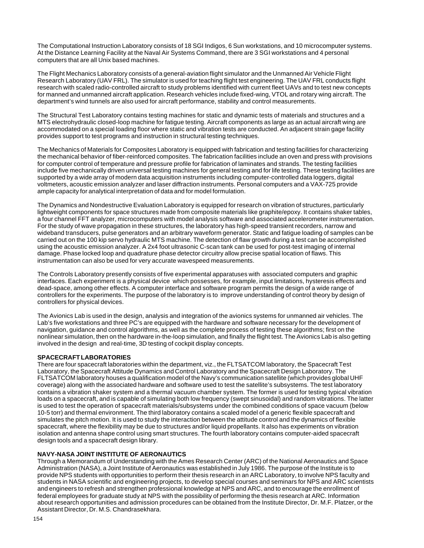The Computational Instruction Laboratory consists of 18 SGI Indigos, 6 Sun workstations, and 10 microcomputer systems. At the Distance Learning Facility at the Naval Air Systems Command, there are 3 SGI workstations and 4 personal computers that are all Unix based machines.

The Flight Mechanics Laboratory consists of a general-aviation flight simulator and the Unmanned Air Vehicle Flight Research Laboratory (UAV FRL). The simulator is used for teaching flight test engineering. The UAV FRL conducts flight research with scaled radio-controlled aircraft to study problems identified with current fleet UAVs and to test new concepts for manned and unmanned aircraft application. Research vehicles include fixed-wing, VTOL and rotary wing aircraft. The department's wind tunnels are also used for aircraft performance, stability and control measurements.

The Structural Test Laboratory contains testing machines for static and dynamic tests of materials and structures and a MTS electrohydraulic closed-loop machine for fatigue testing. Aircraft components as large as an actual aircraft wing are accommodated on a special loading floor where static and vibration tests are conducted. An adjacent strain gage facility provides support to test programs and instruction in structural testing techniques.

The Mechanics of Materials for Composites Laboratory is equipped with fabrication and testing facilities for characterizing the mechanical behavior of fiber-reinforced composites. The fabrication facilities include an oven and press with provisions for computer control of temperature and pressure profile for fabrication of laminates and strands. The testing facilities include five mechanically driven universal testing machines for general testing and for life testing. These testing facilities are supported by a wide array of modern data acquisition instruments including computer-controlled data loggers, digital voltmeters, acoustic emission analyzer and laser diffraction instruments. Personal computers and a VAX-725 provide ample capacity for analytical interpretation of data and for model formulation.

The Dynamics and Nondestructive Evaluation Laboratory is equipped for research on vibration of structures, particularly lightweight components for space structures made from composite materials like graphite/epoxy. It contains shaker tables, a four channel FFT analyzer, microcomputers with model analysis software and associated accelerometer instrumentation. For the study of wave propagation in these structures, the laboratory has high-speed transient recorders, narrow and wideband transducers, pulse generators and an arbitrary waveform generator. Static and fatigue loading of samples can be carried out on the 100 kip servo hydraulic MTS machine. The detection of flaw growth during a test can be accomplished using the acoustic emission analyzer. A 2x4 foot ultrasonic C-scan tank can be used for post-test imaging of internal damage. Phase locked loop and quadrature phase detector circuitry allow precise spatial location of flaws. This instrumentation can also be used for very accurate wavespeed measurements.

The Controls Laboratory presently consists of five experimental apparatuses with associated computers and graphic interfaces. Each experiment is a physical device which possesses, for example, input limitations, hysteresis effects and dead-space, among other effects. A computer interface and software program permits the design of a wide range of controllers for the experiments. The purpose of the laboratory is to improve understanding of control theory by design of controllers for physical devices.

The Avionics Lab is used in the design, analysis and integration of the avionics systems for unmanned air vehicles. The Lab's five workstations and three PC's are equipped with the hardware and software necessary for the development of navigation, guidance and control algorithms, as well as the complete process of testing these algorithms; first on the nonlinear simulation, then on the hardware in-the-loop simulation, and finally the flight test. The Avionics Lab is also getting involved in the design and real-time, 3D testing of cockpit display concepts.

#### **SPACECRAFT LABORATORIES**

There are four spacecraft laboratories within the department, viz., the FLTSATCOM laboratory, the Spacecraft Test Laboratory, the Spacecraft Attitude Dynamics and Control Laboratory and the Spacecraft Design Laboratory. The FLTSATCOM laboratory houses a qualification model of the Navy's communication satellite (which provides global UHF coverage) along with the associated hardware and software used to test the satellite's subsystems. The test laboratory contains a vibration shaker system and a thermal vacuum chamber system. The former is used for testing typical vibration loads on a spacecraft, and is capable of simulating both low frequency (swept sinusoidal) and random vibrations. The latter is used to test the operation of spacecraft materials/subsystems under the combined conditions of space vacuum (below 10-5 torr) and thermal environment. The third laboratory contains a scaled model of a generic flexible spacecraft and simulates the pitch motion. It is used to study the interaction between the attitude control and the dynamics of flexible spacecraft, where the flexibility may be due to structures and/or liquid propellants. It also has experiments on vibration isolation and antenna shape control using smart structures. The fourth laboratory contains computer-aided spacecraft design tools and a spacecraft design library.

# **NAVY-NASA JOINT INSTITUTE OF AERONAUTICS**

Through a Memorandum of Understanding with the Ames Research Center (ARC) of the National Aeronautics and Space Administration (NASA), a Joint Institute of Aeronautics was established in July 1986. The purpose of the Institute is to provide NPS students with opportunities to perform their thesis research in an ARC Laboratory, to involve NPS faculty and students in NASA scientific and engineering projects, to develop special courses and seminars for NPS and ARC scientists and engineers to refresh and strengthen professional knowledge at NPS and ARC, and to encourage the enrollment of federal employees for graduate study at NPS with the possibility of performing the thesis research at ARC. Information about research opportunities and admission procedures can be obtained from the Institute Director, Dr. M.F. Platzer, or the Assistant Director, Dr. M.S. Chandrasekhara.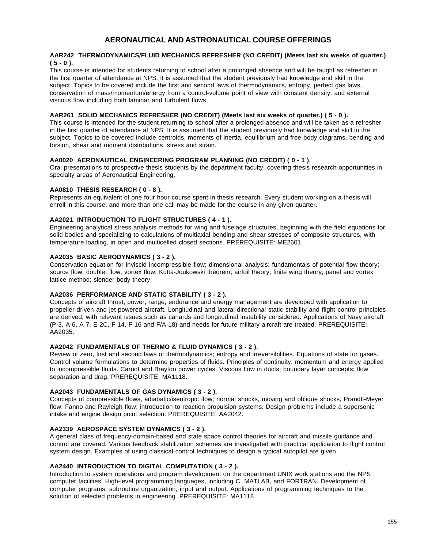# **AERONAUTICAL AND ASTRONAUTICAL COURSE OFFERINGS**

#### **AAR242 THERMODYNAMICS/FLUID MECHANICS REFRESHER (NO CREDIT) (Meets last six weeks of quarter.) ( 5 - 0 ).**

This course is intended for students returning to school after a prolonged absence and will be taught as refresher in the first quarter of attendance at NPS. It is assumed that the student previously had knowledge and skill in the subject. Topics to be covered include the first and second laws of thermodynamics, entropy, perfect gas laws, conservation of mass/momentum/energy from a control-volume point of view with constant density, and external viscous flow including both laminar and turbulent flows.

#### **AAR261 SOLID MECHANICS REFRESHER (NO CREDIT) (Meets last six weeks of quarter.) ( 5 - 0 ).**

This course is intended for the student returning to school after a prolonged absence and will be taken as a refresher in the first quarter of attendance at NPS. It is assumed that the student previously had knowledge and skill in the subject. Topics to be covered include centroids, moments of inertia, equilibrium and free-body diagrams, bending and torsion, shear and moment distributions, stress and strain.

#### **AA0020 AERONAUTICAL ENGINEERING PROGRAM PLANNING (NO CREDIT) ( 0 - 1 ).**

Oral presentations to prospective thesis students by the department faculty, covering thesis research opportunities in specialty areas of Aeronautical Engineering.

# **AA0810 THESIS RESEARCH ( 0 - 8 ).**

Represents an equivalent of one four hour course spent in thesis research. Every student working on a thesis will enroll in this course, and more than one call may be made for the course in any given quarter.

#### **AA2021 INTRODUCTION TO FLIGHT STRUCTURES ( 4 - 1 ).**

Engineering analytical stress analysis methods for wing and fuselage structures, beginning with the field equations for solid bodies and specializing to calculations of multiaxial bending and shear stresses of composite structures, with temperature loading, in open and multicelled closed sections. PREREQUISITE: ME2601.

#### **AA2035 BASIC AERODYNAMICS ( 3 - 2 ).**

Conservation equation for inviscid incompressible flow; dimensional analysis; fundamentals of potential flow theory; source flow, doublet flow, vortex flow; Kutta-Joukowski theorem; airfoil theory; finite wing theory; panel and vortex lattice method; slender body theory.

# **AA2036 PERFORMANCE AND STATIC STABILITY ( 3 - 2 ).**

Concepts of aircraft thrust, power, range, endurance and energy management are developed with application to propeller-driven and jet-powered aircraft. Longitudinal and lateral-directional static stability and flight control principles are derived, with relevant issues such as canards and longitudinal instability considered. Applications of Navy aircraft (P-3, A-6, A-7, E-2C, F-14, F-16 and F/A-18) and needs for future military aircraft are treated. PREREQUISITE: AA2035.

#### **AA2042 FUNDAMENTALS OF THERMO & FLUID DYNAMICS ( 3 - 2 ).**

Review of zero, first and second laws of thermodynamics; entropy and irreversibilities. Equations of state for gases. Control volume formulations to determine properties of fluids. Principles of continuity, momentum and energy applied to incompressible fluids. Carnot and Brayton power cycles. Viscous flow in ducts; boundary layer concepts; flow separation and drag. PREREQUISITE: MA1118.

#### **AA2043 FUNDAMENTALS OF GAS DYNAMICS ( 3 - 2 ).**

Concepts of compressible flows, adiabatic/isentropic flow; normal shocks, moving and oblique shocks, Prandtl-Meyer flow; Fanno and Rayleigh flow; introduction to reaction propulsion systems. Design problems include a supersonic intake and engine design point selection. PREREQUISITE: AA2042.

#### **AA2339 AEROSPACE SYSTEM DYNAMICS ( 3 - 2 ).**

A general class of frequency-domain-based and state space control theories for aircraft and missile guidance and control are covered. Various feedback stabilization schemes are investigated with practical application to flight control system design. Examples of using classical control techniques to design a typical autopilot are given.

# **AA2440 INTRODUCTION TO DIGITAL COMPUTATION ( 3 - 2 ).**

Introduction to system operations and program development on the department UNIX work stations and the NPS computer facilities. High-level programming languages, including C, MATLAB, and FORTRAN. Development of computer programs, subroutine organization, input and output. Applications of programming techniques to the solution of selected problems in engineering. PREREQUISITE: MA1118.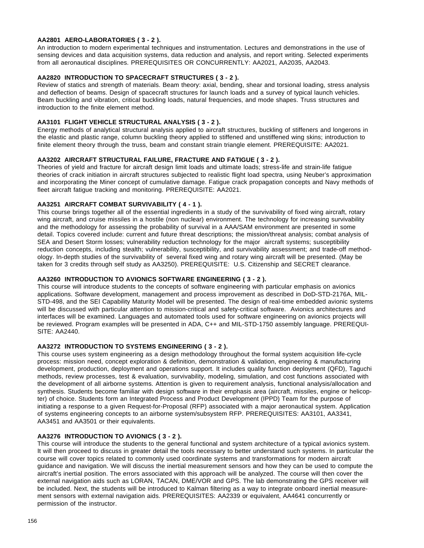# **AA2801 AERO-LABORATORIES ( 3 - 2 ).**

An introduction to modern experimental techniques and instrumentation. Lectures and demonstrations in the use of sensing devices and data acquisition systems, data reduction and analysis, and report writing. Selected experiments from all aeronautical disciplines. PREREQUISITES OR CONCURRENTLY: AA2021, AA2035, AA2043.

# **AA2820 INTRODUCTION TO SPACECRAFT STRUCTURES ( 3 - 2 ).**

Review of statics and strength of materials. Beam theory: axial, bending, shear and torsional loading, stress analysis and deflection of beams. Design of spacecraft structures for launch loads and a survey of typical launch vehicles. Beam buckling and vibration, critical buckling loads, natural frequencies, and mode shapes. Truss structures and introduction to the finite element method.

# **AA3101 FLIGHT VEHICLE STRUCTURAL ANALYSIS ( 3 - 2 ).**

Energy methods of analytical structural analysis applied to aircraft structures, buckling of stiffeners and longerons in the elastic and plastic range, column buckling theory applied to stiffened and unstiffened wing skins; introduction to finite element theory through the truss, beam and constant strain triangle element. PREREQUISITE: AA2021.

#### **AA3202 AIRCRAFT STRUCTURAL FAILURE, FRACTURE AND FATIGUE ( 3 - 2 ).**

Theories of yield and fracture for aircraft design limit loads and ultimate loads; stress-life and strain-life fatigue theories of crack initiation in aircraft structures subjected to realistic flight load spectra, using Neuber's approximation and incorporating the Miner concept of cumulative damage. Fatigue crack propagation concepts and Navy methods of fleet aircraft fatigue tracking and monitoring. PREREQUISITE: AA2021.

# **AA3251 AIRCRAFT COMBAT SURVIVABILITY ( 4 - 1 ).**

This course brings together all of the essential ingredients in a study of the survivability of fixed wing aircraft, rotary wing aircraft, and cruise missiles in a hostile (non nuclear) environment. The technology for increasing survivability and the methodology for assessing the probability of survival in a AAA/SAM environment are presented in some detail. Topics covered include: current and future threat descriptions; the mission/threat analysis; combat analysis of SEA and Desert Storm losses; vulnerability reduction technology for the major aircraft systems; susceptibility reduction concepts, including stealth; vulnerability, susceptibility, and survivability assessment; and trade-off methodology. In-depth studies of the survivability of several fixed wing and rotary wing aircraft will be presented. (May be taken for 3 credits through self study as AA3250). PREREQUISITE: U.S. Citizenship and SECRET clearance.

# **AA3260 INTRODUCTION TO AVIONICS SOFTWARE ENGINEERING ( 3 - 2 ).**

This course will introduce students to the concepts of software engineering with particular emphasis on avionics applications. Software development, management and process improvement as described in DoD-STD-2176A, MIL-STD-498, and the SEI Capability Maturity Model will be presented. The design of real-time embedded avionic systems will be discussed with particular attention to mission-critical and safety-critical software. Avionics architectures and interfaces will be examined. Languages and automated tools used for software engineering on avionics projects will be reviewed. Program examples will be presented in ADA, C++ and MIL-STD-1750 assembly language. PREREQUI-SITE: AA2440.

# **AA3272 INTRODUCTION TO SYSTEMS ENGINEERING ( 3 - 2 ).**

This course uses system engineering as a design methodology throughout the formal system acquisition life-cycle process: mission need, concept exploration & definition, demonstration & validation, engineering & manufacturing development, production, deployment and operations support. It includes quality function deployment (QFD), Taguchi methods, review processes, test & evaluation, survivability, modeling, simulation, and cost functions associated with the development of all airborne systems. Attention is given to requirement analysis, functional analysis/allocation and synthesis. Students become familiar with design software in their emphasis area (aircraft, missiles, engine or helicopter) of choice. Students form an Integrated Process and Product Development (IPPD) Team for the purpose of initiating a response to a given Request-for-Proposal (RFP) associated with a major aeronautical system. Application of systems engineering concepts to an airborne system/subsystem RFP. PREREQUISITES: AA3101, AA3341, AA3451 and AA3501 or their equivalents.

#### **AA3276 INTRODUCTION TO AVIONICS ( 3 - 2 ).**

This course will introduce the students to the general functional and system architecture of a typical avionics system. It will then proceed to discuss in greater detail the tools necessary to better understand such systems. In particular the course will cover topics related to commonly used coordinate systems and transformations for modern aircraft guidance and navigation. We will discuss the inertial measurement sensors and how they can be used to compute the aircraft's inertial position. The errors associated with this approach will be analyzed. The course will then cover the external navigation aids such as LORAN, TACAN, DME/VOR and GPS. The lab demonstrating the GPS receiver will be included. Next, the students will be introduced to Kalman filtering as a way to integrate onboard inertial measurement sensors with external navigation aids. PREREQUISITES: AA2339 or equivalent, AA4641 concurrently or permission of the instructor.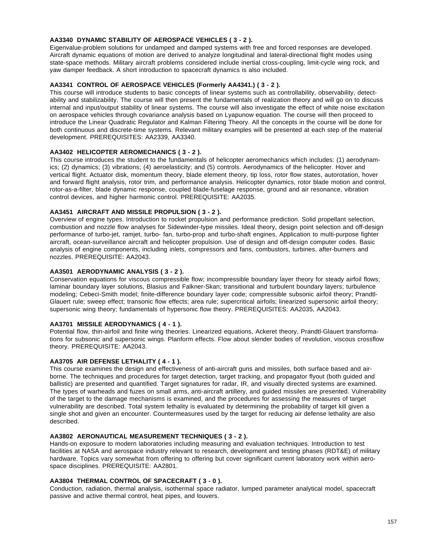# **AA3340 DYNAMIC STABILITY OF AEROSPACE VEHICLES ( 3 - 2 ).**

Eigenvalue-problem solutions for undamped and damped systems with free and forced responses are developed. Aircraft dynamic equations of motion are derived to analyze longitudinal and lateral-directional flight modes using state-space methods. Military aircraft problems considered include inertial cross-coupling, limit-cycle wing rock, and yaw damper feedback. A short introduction to spacecraft dynamics is also included.

# **AA3341 CONTROL OF AEROSPACE VEHICLES (Formerly AA4341.) ( 3 - 2 ).**

This course will introduce students to basic concepts of linear systems such as controllability, observability, detectability and stabilizability. The course will then present the fundamentals of realization theory and will go on to discuss internal and input/output stability of linear systems. The course will also investigate the effect of white noise excitation on aerospace vehicles through covariance analysis based on Lyapunow equation. The course will then proceed to introduce the Linear Quadratic Regulator and Kalman Filtering Theory. All the concepts in the course will be done for both continuous and discrete-time systems. Relevant military examples will be presented at each step of the material development. PREREQUISITES: AA2339, AA3340.

# **AA3402 HELICOPTER AEROMECHANICS ( 3 - 2 ).**

This course introduces the student to the fundamentals of helicopter aeromechanics which includes: (1) aerodynamics; (2) dynamics; (3) vibrations; (4) aeroelasticity; and (5) controls. Aerodynamics of the helicopter. Hover and vertical flight. Actuator disk, momentum theory, blade element theory, tip loss, rotor flow states, autorotation, hover and forward flight analysis, rotor trim, and performance analysis. Helicopter dynamics, rotor blade motion and control, rotor-as-a-filter, blade dynamic response, coupled blade-fuselage response, ground and air resonance, vibration control devices, and higher harmonic control. PREREQUISITE: AA2035.

# **AA3451 AIRCRAFT AND MISSILE PROPULSION ( 3 - 2 ).**

Overview of engine types. Introduction to rocket propulsion and performance prediction. Solid propellant selection, combustion and nozzle flow analyses for Sidewinder-type missiles. Ideal theory, design point selection and off-design performance of turbo-jet, ramjet, turbo- fan, turbo-prop and turbo-shaft engines. Application to multi-purpose fighter aircraft, ocean-surveillance aircraft and helicopter propulsion. Use of design and off-design computer codes. Basic analysis of engine components, including inlets, compressors and fans, combustors, turbines, after-burners and nozzles. PREREQUISITE: AA2043.

# **AA3501 AERODYNAMIC ANALYSIS ( 3 - 2 ).**

Conservation equations for viscous compressible flow; incompressible boundary layer theory for steady airfoil flows; laminar boundary layer solutions, Blasius and Falkner-Skan; transitional and turbulent boundary layers; turbulence modeling; Cebeci-Smith model; finite-difference boundary layer code; compressible subsonic airfoil theory; Prandtl-Glauert rule; sweep effect; transonic flow effects; area rule; supercritical airfoils; linearized supersonic airfoil theory; supersonic wing theory; fundamentals of hypersonic flow theory. PREREQUISITES: AA2035, AA2043.

### **AA3701 MISSILE AERODYNAMICS ( 4 - 1 ).**

Potential flow, thin-airfoil and finite wing theories. Linearized equations, Ackeret theory, Prandtl-Glauert transformations for subsonic and supersonic wings. Planform effects. Flow about slender bodies of revolution, viscous crossflow theory. PREREQUISITE: AA2043.

# **AA3705 AIR DEFENSE LETHALITY ( 4 - 1 ).**

This course examines the design and effectiveness of anti-aircraft guns and missiles, both surface based and airborne. The techniques and procedures for target detection, target tracking, and propagator flyout (both guided and ballistic) are presented and quantified. Target signatures for radar, IR, and visually directed systems are examined. The types of warheads and fuzes on small arms, anti-aircraft artillery, and guided missiles are presented. Vulnerability of the target to the damage mechanisms is examined, and the procedures for assessing the measures of target vulnerability are described. Total system lethality is evaluated by determining the probability of target kill given a single shot and given an encounter. Countermeasures used by the target for reducing air defense lethality are also described.

#### **AA3802 AERONAUTICAL MEASUREMENT TECHNIQUES ( 3 - 2 ).**

Hands-on exposure to modern laboratories including measuring and evaluation techniques. Introduction to test facilities at NASA and aerospace industry relevant to research, development and testing phases (RDT&E) of military hardware. Topics vary somewhat from offering to offering but cover significant current laboratory work within aerospace disciplines. PREREQUISITE: AA2801.

#### **AA3804 THERMAL CONTROL OF SPACECRAFT ( 3 - 0 ).**

Conduction, radiation, thermal analysis, isothermal space radiator, lumped parameter analytical model, spacecraft passive and active thermal control, heat pipes, and louvers.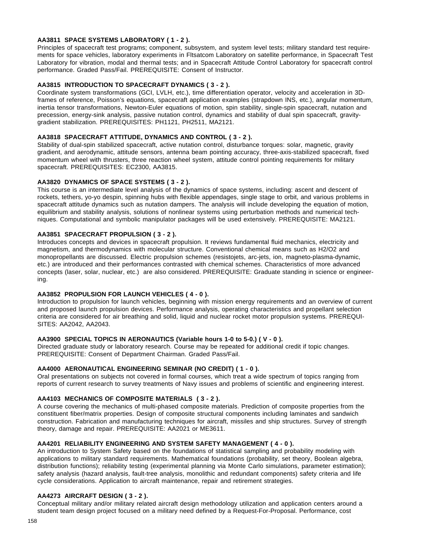# **AA3811 SPACE SYSTEMS LABORATORY ( 1 - 2 ).**

Principles of spacecraft test programs; component, subsystem, and system level tests; military standard test requirements for space vehicles, laboratory experiments in Fltsatcom Laboratory on satellite performance, in Spacecraft Test Laboratory for vibration, modal and thermal tests; and in Spacecraft Attitude Control Laboratory for spacecraft control performance. Graded Pass/Fail. PREREQUISITE: Consent of Instructor.

# **AA3815 INTRODUCTION TO SPACECRAFT DYNAMICS ( 3 - 2 ).**

Coordinate system transformations (GCI, LVLH, etc.), time differentiation operator, velocity and acceleration in 3Dframes of reference, Poisson's equations, spacecraft application examples (strapdown INS, etc.), angular momentum, inertia tensor transformations, Newton-Euler equations of motion, spin stability, single-spin spacecraft, nutation and precession, energy-sink analysis, passive nutation control, dynamics and stability of dual spin spacecraft, gravitygradient stabilization. PREREQUISITES: PH1121, PH2511, MA2121.

# **AA3818 SPACECRAFT ATTITUDE, DYNAMICS AND CONTROL ( 3 - 2 ).**

Stability of dual-spin stabilized spacecraft, active nutation control, disturbance torques: solar, magnetic, gravity gradient, and aerodynamic, attitude sensors, antenna beam pointing accuracy, three-axis-stabilized spacecraft, fixed momentum wheel with thrusters, three reaction wheel system, attitude control pointing requirements for military spacecraft. PREREQUISITES: EC2300, AA3815.

# **AA3820 DYNAMICS OF SPACE SYSTEMS ( 3 - 2 ).**

This course is an intermediate level analysis of the dynamics of space systems, including: ascent and descent of rockets, tethers, yo-yo despin, spinning hubs with flexible appendages, single stage to orbit, and various problems in spacecraft attitude dynamics such as nutation dampers. The analysis will include developing the equation of motion, equilibrium and stability analysis, solutions of nonlinear systems using perturbation methods and numerical techniques. Computational and symbolic manipulator packages will be used extensively. PREREQUISITE: MA2121.

# **AA3851 SPACECRAFT PROPULSION ( 3 - 2 ).**

Introduces concepts and devices in spacecraft propulsion. It reviews fundamental fluid mechanics, electricity and magnetism, and thermodynamics with molecular structure. Conventional chemical means such as H2/O2 and monopropellants are discussed. Electric propulsion schemes (resistojets, arc-jets, ion, magneto-plasma-dynamic, etc.) are introduced and their performances contrasted with chemical schemes. Characteristics of more advanced concepts (laser, solar, nuclear, etc.) are also considered. PREREQUISITE: Graduate standing in science or engineering.

#### **AA3852 PROPULSION FOR LAUNCH VEHICLES ( 4 - 0 ).**

Introduction to propulsion for launch vehicles, beginning with mission energy requirements and an overview of current and proposed launch propulsion devices. Performance analysis, operating characteristics and propellant selection criteria are considered for air breathing and solid, liquid and nuclear rocket motor propulsion systems. PREREQUI-SITES: AA2042, AA2043.

#### **AA3900 SPECIAL TOPICS IN AERONAUTICS (Variable hours 1-0 to 5-0.) ( V - 0 ).**

Directed graduate study or laboratory research. Course may be repeated for additional credit if topic changes. PREREQUISITE: Consent of Department Chairman. Graded Pass/Fail.

# **AA4000 AERONAUTICAL ENGINEERING SEMINAR (NO CREDIT) ( 1 - 0 ).**

Oral presentations on subjects not covered in formal courses, which treat a wide spectrum of topics ranging from reports of current research to survey treatments of Navy issues and problems of scientific and engineering interest.

# **AA4103 MECHANICS OF COMPOSITE MATERIALS ( 3 - 2 ).**

A course covering the mechanics of multi-phased composite materials. Prediction of composite properties from the constituent fiber/matrix properties. Design of composite structural components including laminates and sandwich construction. Fabrication and manufacturing techniques for aircraft, missiles and ship structures. Survey of strength theory, damage and repair. PREREQUISITE: AA2021 or ME3611.

#### **AA4201 RELIABILITY ENGINEERING AND SYSTEM SAFETY MANAGEMENT ( 4 - 0 ).**

An introduction to System Safety based on the foundations of statistical sampling and probability modeling with applications to military standard requirements. Mathematical foundations (probability, set theory, Boolean algebra, distribution functions); reliability testing (experimental planning via Monte Carlo simulations, parameter estimation); safety analysis (hazard analysis, fault-tree analysis, monolithic and redundant components) safety criteria and life cycle considerations. Application to aircraft maintenance, repair and retirement strategies.

# **AA4273 AIRCRAFT DESIGN ( 3 - 2 ).**

Conceptual military and/or military related aircraft design methodology utilization and application centers around a student team design project focused on a military need defined by a Request-For-Proposal. Performance, cost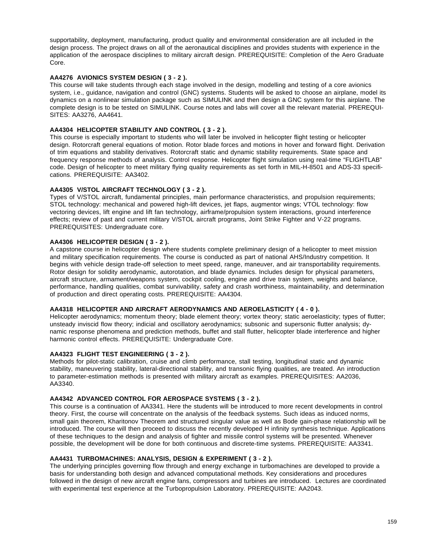supportability, deployment, manufacturing, product quality and environmental consideration are all included in the design process. The project draws on all of the aeronautical disciplines and provides students with experience in the application of the aerospace disciplines to military aircraft design. PREREQUISITE: Completion of the Aero Graduate Core.

# **AA4276 AVIONICS SYSTEM DESIGN ( 3 - 2 ).**

This course will take students through each stage involved in the design, modelling and testing of a core avionics system, i.e., guidance, navigation and control (GNC) systems. Students will be asked to choose an airplane, model its dynamics on a nonlinear simulation package such as SIMULINK and then design a GNC system for this airplane. The complete design is to be tested on SIMULINK. Course notes and labs will cover all the relevant material. PREREQUI-SITES: AA3276, AA4641.

# **AA4304 HELICOPTER STABILITY AND CONTROL ( 3 - 2 ).**

This course is especially important to students who will later be involved in helicopter flight testing or helicopter design. Rotorcraft general equations of motion. Rotor blade forces and motions in hover and forward flight. Derivation of trim equations and stability derivatives. Rotorcraft static and dynamic stability requirements. State space and frequency response methods of analysis. Control response. Helicopter flight simulation using real-time "FLIGHTLAB" code. Design of helicopter to meet military flying quality requirements as set forth in MIL-H-8501 and ADS-33 specifications. PREREQUISITE: AA3402.

# **AA4305 V/STOL AIRCRAFT TECHNOLOGY ( 3 - 2 ).**

Types of V/STOL aircraft, fundamental principles, main performance characteristics, and propulsion requirements; STOL technology: mechanical and powered high-lift devices, jet flaps, augmentor wings; VTOL technology: flow vectoring devices, lift engine and lift fan technology, airframe/propulsion system interactions, ground interference effects; review of past and current military V/STOL aircraft programs, Joint Strike Fighter and V-22 programs. PREREQUISITES: Undergraduate core.

# **AA4306 HELICOPTER DESIGN ( 3 - 2 ).**

A capstone course in helicopter design where students complete preliminary design of a helicopter to meet mission and military specification requirements. The course is conducted as part of national AHS/Industry competition. It begins with vehicle design trade-off selection to meet speed, range, maneuver, and air transportability requirements. Rotor design for solidity aerodynamic, autorotation, and blade dynamics. Includes design for physical parameters, aircraft structure, armament/weapons system, cockpit cooling, engine and drive train system, weights and balance, performance, handling qualities, combat survivability, safety and crash worthiness, maintainability, and determination of production and direct operating costs. PREREQUISITE: AA4304.

# **AA4318 HELICOPTER AND AIRCRAFT AERODYNAMICS AND AEROELASTICITY ( 4 - 0 ).**

Helicopter aerodynamics; momentum theory; blade element theory; vortex theory; static aeroelasticity; types of flutter; unsteady inviscid flow theory; indicial and oscillatory aerodynamics; subsonic and supersonic flutter analysis; dynamic response phenomena and prediction methods, buffet and stall flutter, helicopter blade interference and higher harmonic control effects. PREREQUISITE: Undergraduate Core.

# **AA4323 FLIGHT TEST ENGINEERING ( 3 - 2 ).**

Methods for pilot-static calibration, cruise and climb performance, stall testing, longitudinal static and dynamic stability, maneuvering stability, lateral-directional stability, and transonic flying qualities, are treated. An introduction to parameter-estimation methods is presented with military aircraft as examples. PREREQUISITES: AA2036, AA3340.

# **AA4342 ADVANCED CONTROL FOR AEROSPACE SYSTEMS ( 3 - 2 ).**

This course is a continuation of AA3341. Here the students will be introduced to more recent developments in control theory. First, the course will concentrate on the analysis of the feedback systems. Such ideas as induced norms, small gain theorem, Kharitonov Theorem and structured singular value as well as Bode gain-phase relationship will be introduced. The course will then proceed to discuss the recently developed H infinity synthesis technique. Applications of these techniques to the design and analysis of fighter and missile control systems will be presented. Whenever possible, the development will be done for both continuous and discrete-time systems. PREREQUISITE: AA3341.

# **AA4431 TURBOMACHINES: ANALYSIS, DESIGN & EXPERIMENT ( 3 - 2 ).**

The underlying principles governing flow through and energy exchange in turbomachines are developed to provide a basis for understanding both design and advanced computational methods. Key considerations and procedures followed in the design of new aircraft engine fans, compressors and turbines are introduced. Lectures are coordinated with experimental test experience at the Turbopropulsion Laboratory. PREREQUISITE: AA2043.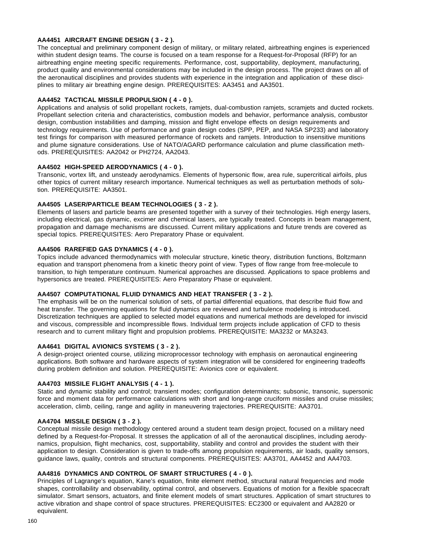# **AA4451 AIRCRAFT ENGINE DESIGN ( 3 - 2 ).**

The conceptual and preliminary component design of military, or military related, airbreathing engines is experienced within student design teams. The course is focused on a team response for a Request-for-Proposal (RFP) for an airbreathing engine meeting specific requirements. Performance, cost, supportability, deployment, manufacturing, product quality and environmental considerations may be included in the design process. The project draws on all of the aeronautical disciplines and provides students with experience in the integration and application of these disciplines to military air breathing engine design. PREREQUISITES: AA3451 and AA3501.

# **AA4452 TACTICAL MISSILE PROPULSION ( 4 - 0 ).**

Applications and analysis of solid propellant rockets, ramjets, dual-combustion ramjets, scramjets and ducted rockets. Propellant selection criteria and characteristics, combustion models and behavior, performance analysis, combustor design, combustion instabilities and damping, mission and flight envelope effects on design requirements and technology requirements. Use of performance and grain design codes (SPP, PEP, and NASA SP233) and laboratory test firings for comparison with measured performance of rockets and ramjets. Introduction to insensitive munitions and plume signature considerations. Use of NATO/AGARD performance calculation and plume classification methods. PREREQUISITES: AA2042 or PH2724, AA2043.

# **AA4502 HIGH-SPEED AERODYNAMICS ( 4 - 0 ).**

Transonic, vortex lift, and unsteady aerodynamics. Elements of hypersonic flow, area rule, supercritical airfoils, plus other topics of current military research importance. Numerical techniques as well as perturbation methods of solution. PREREQUISITE: AA3501.

# **AA4505 LASER/PARTICLE BEAM TECHNOLOGIES ( 3 - 2 ).**

Elements of lasers and particle beams are presented together with a survey of their technologies. High energy lasers, including electrical, gas dynamic, excimer and chemical lasers, are typically treated. Concepts in beam management, propagation and damage mechanisms are discussed. Current military applications and future trends are covered as special topics. PREREQUISITES: Aero Preparatory Phase or equivalent.

# **AA4506 RAREFIED GAS DYNAMICS ( 4 - 0 ).**

Topics include advanced thermodynamics with molecular structure, kinetic theory, distribution functions, Boltzmann equation and transport phenomena from a kinetic theory point of view. Types of flow range from free-molecule to transition, to high temperature continuum. Numerical approaches are discussed. Applications to space problems and hypersonics are treated. PREREQUISITES: Aero Preparatory Phase or equivalent.

# **AA4507 COMPUTATIONAL FLUID DYNAMICS AND HEAT TRANSFER ( 3 - 2 ).**

The emphasis will be on the numerical solution of sets, of partial differential equations, that describe fluid flow and heat transfer. The governing equations for fluid dynamics are reviewed and turbulence modeling is introduced. Discretization techniques are applied to selected model equations and numerical methods are developed for inviscid and viscous, compressible and incompressible flows. Individual term projects include application of CFD to thesis research and to current military flight and propulsion problems. PREREQUISITE: MA3232 or MA3243.

# **AA4641 DIGITAL AVIONICS SYSTEMS ( 3 - 2 ).**

A design-project oriented course, utilizing microprocessor technology with emphasis on aeronautical engineering applications. Both software and hardware aspects of system integration will be considered for engineering tradeoffs during problem definition and solution. PREREQUISITE: Avionics core or equivalent.

#### **AA4703 MISSILE FLIGHT ANALYSIS ( 4 - 1 ).**

Static and dynamic stability and control; transient modes; configuration determinants; subsonic, transonic, supersonic force and moment data for performance calculations with short and long-range cruciform missiles and cruise missiles; acceleration, climb, ceiling, range and agility in maneuvering trajectories. PREREQUISITE: AA3701.

#### **AA4704 MISSILE DESIGN ( 3 - 2 ).**

Conceptual missile design methodology centered around a student team design project, focused on a military need defined by a Request-for-Proposal. It stresses the application of all of the aeronautical disciplines, including aerodynamics, propulsion, flight mechanics, cost, supportability, stability and control and provides the student with their application to design. Consideration is given to trade-offs among propulsion requirements, air loads, quality sensors, guidance laws, quality, controls and structural components. PREREQUISITES: AA3701, AA4452 and AA4703.

# **AA4816 DYNAMICS AND CONTROL OF SMART STRUCTURES ( 4 - 0 ).**

Principles of Lagrange's equation, Kane's equation, finite element method, structural natural frequencies and mode shapes, controllability and observability, optimal control, and observers. Equations of motion for a flexible spacecraft simulator. Smart sensors, actuators, and finite element models of smart structures. Application of smart structures to active vibration and shape control of space structures. PREREQUISITES: EC2300 or equivalent and AA2820 or equivalent.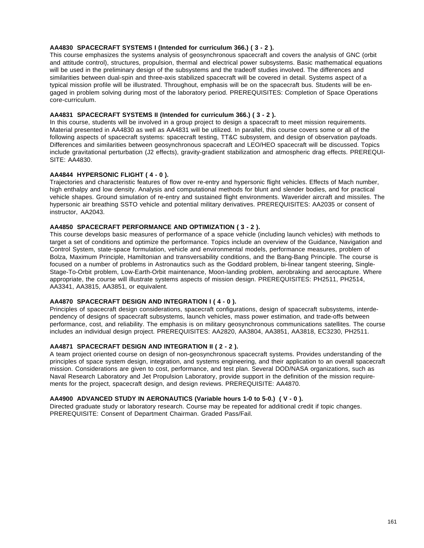# **AA4830 SPACECRAFT SYSTEMS I (Intended for curriculum 366.) ( 3 - 2 ).**

This course emphasizes the systems analysis of geosynchronous spacecraft and covers the analysis of GNC (orbit and attitude control), structures, propulsion, thermal and electrical power subsystems. Basic mathematical equations will be used in the preliminary design of the subsystems and the tradeoff studies involved. The differences and similarities between dual-spin and three-axis stabilized spacecraft will be covered in detail. Systems aspect of a typical mission profile will be illustrated. Throughout, emphasis will be on the spacecraft bus. Students will be engaged in problem solving during most of the laboratory period. PREREQUISITES: Completion of Space Operations core-curriculum.

# **AA4831 SPACECRAFT SYSTEMS II (Intended for curriculum 366.) ( 3 - 2 ).**

In this course, students will be involved in a group project to design a spacecraft to meet mission requirements. Material presented in AA4830 as well as AA4831 will be utilized. In parallel, this course covers some or all of the following aspects of spacecraft systems: spacecraft testing, TT&C subsystem, and design of observation payloads. Differences and similarities between geosynchronous spacecraft and LEO/HEO spacecraft will be discussed. Topics include gravitational perturbation (J2 effects), gravity-gradient stabilization and atmospheric drag effects. PREREQUI-SITE: AA4830.

## **AA4844 HYPERSONIC FLIGHT ( 4 - 0 ).**

Trajectories and characteristic features of flow over re-entry and hypersonic flight vehicles. Effects of Mach number, high enthalpy and low density. Analysis and computational methods for blunt and slender bodies, and for practical vehicle shapes. Ground simulation of re-entry and sustained flight environments. Waverider aircraft and missiles. The hypersonic air breathing SSTO vehicle and potential military derivatives. PREREQUISITES: AA2035 or consent of instructor, AA2043.

#### **AA4850 SPACECRAFT PERFORMANCE AND OPTIMIZATION ( 3 - 2 ).**

This course develops basic measures of performance of a space vehicle (including launch vehicles) with methods to target a set of conditions and optimize the performance. Topics include an overview of the Guidance, Navigation and Control System, state-space formulation, vehicle and environmental models, performance measures, problem of Bolza, Maximum Principle, Hamiltonian and transversability conditions, and the Bang-Bang Principle. The course is focused on a number of problems in Astronautics such as the Goddard problem, bi-linear tangent steering, Single-Stage-To-Orbit problem, Low-Earth-Orbit maintenance, Moon-landing problem, aerobraking and aerocapture. Where appropriate, the course will illustrate systems aspects of mission design. PREREQUISITES: PH2511, PH2514, AA3341, AA3815, AA3851, or equivalent.

# **AA4870 SPACECRAFT DESIGN AND INTEGRATION I ( 4 - 0 ).**

Principles of spacecraft design considerations, spacecraft configurations, design of spacecraft subsystems, interdependency of designs of spacecraft subsystems, launch vehicles, mass power estimation, and trade-offs between performance, cost, and reliability. The emphasis is on military geosynchronous communications satellites. The course includes an individual design project. PREREQUISITES: AA2820, AA3804, AA3851, AA3818, EC3230, PH2511.

# **AA4871 SPACECRAFT DESIGN AND INTEGRATION II ( 2 - 2 ).**

A team project oriented course on design of non-geosynchronous spacecraft systems. Provides understanding of the principles of space system design, integration, and systems engineering, and their application to an overall spacecraft mission. Considerations are given to cost, performance, and test plan. Several DOD/NASA organizations, such as Naval Research Laboratory and Jet Propulsion Laboratory, provide support in the definition of the mission requirements for the project, spacecraft design, and design reviews. PREREQUISITE: AA4870.

# **AA4900 ADVANCED STUDY IN AERONAUTICS (Variable hours 1-0 to 5-0.) ( V - 0 ).**

Directed graduate study or laboratory research. Course may be repeated for additional credit if topic changes. PREREQUISITE: Consent of Department Chairman. Graded Pass/Fail.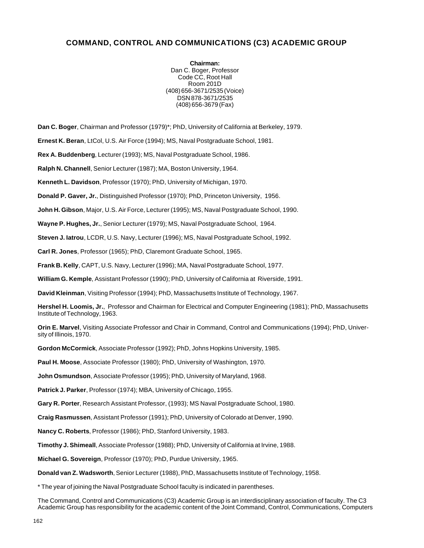# **COMMAND, CONTROL AND COMMUNICATIONS (C3) ACADEMIC GROUP**

**Chairman:** Dan C. Boger, Professor Code CC, Root Hall Room 201D (408) 656-3671/2535 (Voice) DSN 878-3671/2535 (408) 656-3679 (Fax)

**Dan C. Boger**, Chairman and Professor (1979)\*; PhD, University of California at Berkeley, 1979.

**Ernest K. Beran**, LtCol, U.S. Air Force (1994); MS, Naval Postgraduate School, 1981.

**Rex A. Buddenberg**, Lecturer (1993); MS, Naval Postgraduate School, 1986.

**Ralph N. Channell**, Senior Lecturer (1987); MA, Boston University, 1964.

**Kenneth L. Davidson**, Professor (1970); PhD, University of Michigan, 1970.

**Donald P. Gaver, Jr.**, Distinguished Professor (1970); PhD, Princeton University, 1956.

**John H. Gibson**, Major, U.S. Air Force, Lecturer (1995); MS, Naval Postgraduate School, 1990.

**Wayne P. Hughes, Jr.**, Senior Lecturer (1979); MS, Naval Postgraduate School, 1964.

**Steven J. Iatrou**, LCDR, U.S. Navy, Lecturer (1996); MS, Naval Postgraduate School, 1992.

**Carl R. Jones**, Professor (1965); PhD, Claremont Graduate School, 1965.

**Frank B. Kelly**, CAPT, U.S. Navy, Lecturer (1996); MA, Naval Postgraduate School, 1977.

**William G. Kemple**, Assistant Professor (1990); PhD, University of California at Riverside, 1991.

**David Kleinman**, Visiting Professor (1994); PhD, Massachusetts Institute of Technology, 1967.

**Hershel H. Loomis, Jr.**, Professor and Chairman for Electrical and Computer Engineering (1981); PhD, Massachusetts Institute of Technology, 1963.

**Orin E. Marvel**, Visiting Associate Professor and Chair in Command, Control and Communications (1994); PhD, University of Illinois, 1970.

**Gordon McCormick**, Associate Professor (1992); PhD, Johns Hopkins University, 1985.

**Paul H. Moose**, Associate Professor (1980); PhD, University of Washington, 1970.

**John Osmundson**, Associate Professor (1995); PhD, University of Maryland, 1968.

**Patrick J. Parker**, Professor (1974); MBA, University of Chicago, 1955.

**Gary R. Porter**, Research Assistant Professor, (1993); MS Naval Postgraduate School, 1980.

**Craig Rasmussen**, Assistant Professor (1991); PhD, University of Colorado at Denver, 1990.

**Nancy C. Roberts**, Professor (1986); PhD, Stanford University, 1983.

**Timothy J. Shimeall**, Associate Professor (1988); PhD, University of California at Irvine, 1988.

**Michael G. Sovereign**, Professor (1970); PhD, Purdue University, 1965.

**Donald van Z. Wadsworth**, Senior Lecturer (1988), PhD, Massachusetts Institute of Technology, 1958.

\* The year of joining the Naval Postgraduate School faculty is indicated in parentheses.

The Command, Control and Communications (C3) Academic Group is an interdisciplinary association of faculty. The C3 Academic Group has responsibility for the academic content of the Joint Command, Control, Communications, Computers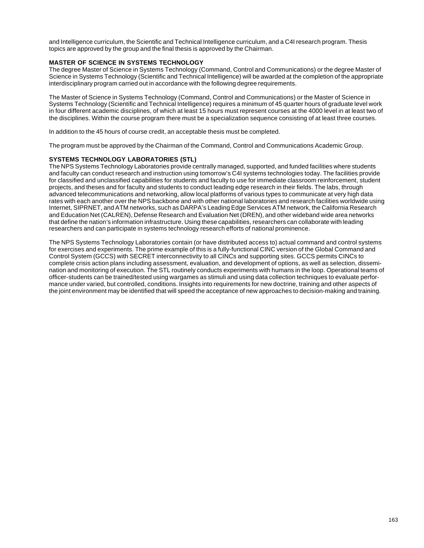and Intelligence curriculum, the Scientific and Technical Intelligence curriculum, and a C4I research program. Thesis topics are approved by the group and the final thesis is approved by the Chairman.

# **MASTER OF SCIENCE IN SYSTEMS TECHNOLOGY**

The degree Master of Science in Systems Technology (Command, Control and Communications) or the degree Master of Science in Systems Technology (Scientific and Technical Intelligence) will be awarded at the completion of the appropriate interdisciplinary program carried out in accordance with the following degree requirements.

The Master of Science in Systems Technology (Command, Control and Communications) or the Master of Science in Systems Technology (Scientific and Technical Intelligence) requires a minimum of 45 quarter hours of graduate level work in four different academic disciplines, of which at least 15 hours must represent courses at the 4000 level in at least two of the disciplines. Within the course program there must be a specialization sequence consisting of at least three courses.

In addition to the 45 hours of course credit, an acceptable thesis must be completed.

The program must be approved by the Chairman of the Command, Control and Communications Academic Group.

# **SYSTEMS TECHNOLOGY LABORATORIES (STL)**

The NPS Systems Technology Laboratories provide centrally managed, supported, and funded facilities where students and faculty can conduct research and instruction using tomorrow's C4I systems technologies today. The facilities provide for classified and unclassified capabilities for students and faculty to use for immediate classroom reinforcement, student projects, and theses and for faculty and students to conduct leading edge research in their fields. The labs, through advanced telecommunications and networking, allow local platforms of various types to communicate at very high data rates with each another over the NPS backbone and with other national laboratories and research facilities worldwide using Internet, SIPRNET, and ATM networks, such as DARPA's Leading Edge Services ATM network, the California Research and Education Net (CALREN), Defense Research and Evaluation Net (DREN), and other wideband wide area networks that define the nation's information infrastructure. Using these capabilities, researchers can collaborate with leading researchers and can participate in systems technology research efforts of national prominence.

The NPS Systems Technology Laboratories contain (or have distributed access to) actual command and control systems for exercises and experiments. The prime example of this is a fully-functional CINC version of the Global Command and Control System (GCCS) with SECRET interconnectivity to all CINCs and supporting sites. GCCS permits CINCs to complete crisis action plans including assessment, evaluation, and development of options, as well as selection, dissemination and monitoring of execution. The STL routinely conducts experiments with humans in the loop. Operational teams of officer-students can be trained/tested using wargames as stimuli and using data collection techniques to evaluate performance under varied, but controlled, conditions. Insights into requirements for new doctrine, training and other aspects of the joint environment may be identified that will speed the acceptance of new approaches to decision-making and training.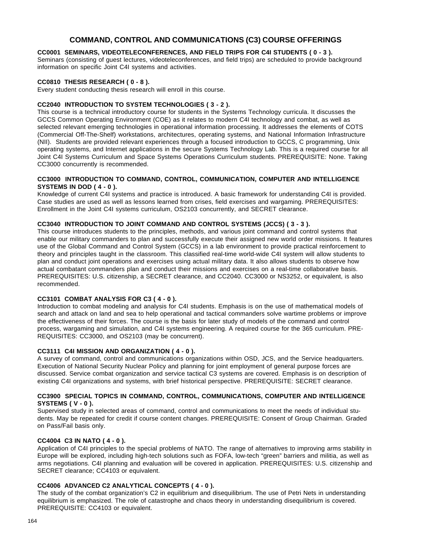# **COMMAND, CONTROL AND COMMUNICATIONS (C3) COURSE OFFERINGS**

# **CC0001 SEMINARS, VIDEOTELECONFERENCES, AND FIELD TRIPS FOR C4I STUDENTS ( 0 - 3 ).**

Seminars (consisting of guest lectures, videoteleconferences, and field trips) are scheduled to provide background information on specific Joint C4I systems and activities.

#### **CC0810 THESIS RESEARCH ( 0 - 8 ).**

Every student conducting thesis research will enroll in this course.

# **CC2040 INTRODUCTION TO SYSTEM TECHNOLOGIES ( 3 - 2 ).**

This course is a technical introductory course for students in the Systems Technology curricula. It discusses the GCCS Common Operating Environment (COE) as it relates to modern C4I technology and combat, as well as selected relevant emerging technologies in operational information processing. It addresses the elements of COTS (Commercial Off-The-Shelf) workstations, architectures, operating systems, and National Information Infrastructure (NII). Students are provided relevant experiences through a focused introduction to GCCS, C programming, Unix operating systems, and Internet applications in the secure Systems Technology Lab. This is a required course for all Joint C4I Systems Curriculum and Space Systems Operations Curriculum students. PREREQUISITE: None. Taking CC3000 concurrently is recommended.

#### **CC3000 INTRODUCTION TO COMMAND, CONTROL, COMMUNICATION, COMPUTER AND INTELLIGENCE SYSTEMS IN DOD ( 4 - 0 ).**

Knowledge of current C4I systems and practice is introduced. A basic framework for understanding C4I is provided. Case studies are used as well as lessons learned from crises, field exercises and wargaming. PREREQUISITES: Enrollment in the Joint C4I systems curriculum, OS2103 concurrently, and SECRET clearance.

#### **CC3040 INTRODUCTION TO JOINT COMMAND AND CONTROL SYSTEMS (JCCS) ( 3 - 3 ).**

This course introduces students to the principles, methods, and various joint command and control systems that enable our military commanders to plan and successfully execute their assigned new world order missions. It features use of the Global Command and Control System (GCCS) in a lab environment to provide practical reinforcement to theory and principles taught in the classroom. This classified real-time world-wide C4I system will allow students to plan and conduct joint operations and exercises using actual military data. It also allows students to observe how actual combatant commanders plan and conduct their missions and exercises on a real-time collaborative basis. PREREQUISITES: U.S. citizenship, a SECRET clearance, and CC2040. CC3000 or NS3252, or equivalent, is also recommended.

#### **CC3101 COMBAT ANALYSIS FOR C3 ( 4 - 0 ).**

Introduction to combat modeling and analysis for C4I students. Emphasis is on the use of mathematical models of search and attack on land and sea to help operational and tactical commanders solve wartime problems or improve the effectiveness of their forces. The course is the basis for later study of models of the command and control process, wargaming and simulation, and C4I systems engineering. A required course for the 365 curriculum. PRE-REQUISITES: CC3000, and OS2103 (may be concurrent).

# **CC3111 C4I MISSION AND ORGANIZATION ( 4 - 0 ).**

A survey of command, control and communications organizations within OSD, JCS, and the Service headquarters. Execution of National Security Nuclear Policy and planning for joint employment of general purpose forces are discussed. Service combat organization and service tactical C3 systems are covered. Emphasis is on description of existing C4I organizations and systems, with brief historical perspective. PREREQUISITE: SECRET clearance.

#### **CC3900 SPECIAL TOPICS IN COMMAND, CONTROL, COMMUNICATIONS, COMPUTER AND INTELLIGENCE SYSTEMS ( V - 0 ).**

Supervised study in selected areas of command, control and communications to meet the needs of individual students. May be repeated for credit if course content changes. PREREQUISITE: Consent of Group Chairman. Graded on Pass/Fail basis only.

# **CC4004 C3 IN NATO ( 4 - 0 ).**

Application of C4I principles to the special problems of NATO. The range of alternatives to improving arms stability in Europe will be explored, including high-tech solutions such as FOFA, low-tech "green" barriers and militia, as well as arms negotiations. C4I planning and evaluation will be covered in application. PREREQUISITES: U.S. citizenship and SECRET clearance; CC4103 or equivalent.

#### **CC4006 ADVANCED C2 ANALYTICAL CONCEPTS ( 4 - 0 ).**

The study of the combat organization's C2 in equilibrium and disequilibrium. The use of Petri Nets in understanding equilibrium is emphasized. The role of catastrophe and chaos theory in understanding disequilibrium is covered. PREREQUISITE: CC4103 or equivalent.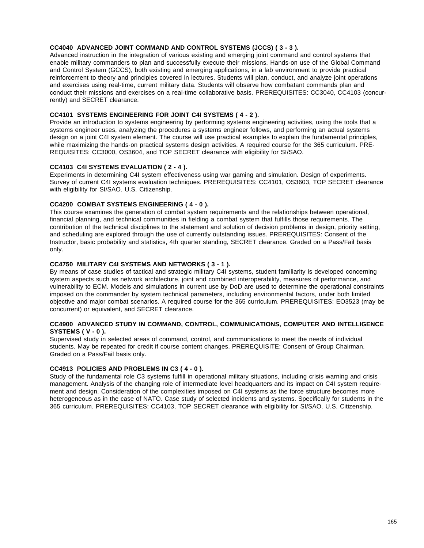# **CC4040 ADVANCED JOINT COMMAND AND CONTROL SYSTEMS (JCCS) ( 3 - 3 ).**

Advanced instruction in the integration of various existing and emerging joint command and control systems that enable military commanders to plan and successfully execute their missions. Hands-on use of the Global Command and Control System (GCCS), both existing and emerging applications, in a lab environment to provide practical reinforcement to theory and principles covered in lectures. Students will plan, conduct, and analyze joint operations and exercises using real-time, current military data. Students will observe how combatant commands plan and conduct their missions and exercises on a real-time collaborative basis. PREREQUISITES: CC3040, CC4103 (concurrently) and SECRET clearance.

# **CC4101 SYSTEMS ENGINEERING FOR JOINT C4I SYSTEMS ( 4 - 2 ).**

Provide an introduction to systems engineering by performing systems engineering activities, using the tools that a systems engineer uses, analyzing the procedures a systems engineer follows, and performing an actual systems design on a joint C4I system element. The course will use practical examples to explain the fundamental principles, while maximizing the hands-on practical systems design activities. A required course for the 365 curriculum. PRE-REQUISITES: CC3000, OS3604, and TOP SECRET clearance with eligibility for SI/SAO.

# **CC4103 C4I SYSTEMS EVALUATION ( 2 - 4 ).**

Experiments in determining C4I system effectiveness using war gaming and simulation. Design of experiments. Survey of current C4I systems evaluation techniques. PREREQUISITES: CC4101, OS3603, TOP SECRET clearance with eligibility for SI/SAO. U.S. Citizenship.

# **CC4200 COMBAT SYSTEMS ENGINEERING ( 4 - 0 ).**

This course examines the generation of combat system requirements and the relationships between operational, financial planning, and technical communities in fielding a combat system that fulfills those requirements. The contribution of the technical disciplines to the statement and solution of decision problems in design, priority setting, and scheduling are explored through the use of currently outstanding issues. PREREQUISITES: Consent of the Instructor, basic probability and statistics, 4th quarter standing, SECRET clearance. Graded on a Pass/Fail basis only.

# **CC4750 MILITARY C4I SYSTEMS AND NETWORKS ( 3 - 1 ).**

By means of case studies of tactical and strategic military C4I systems, student familiarity is developed concerning system aspects such as network architecture, joint and combined interoperability, measures of performance, and vulnerability to ECM. Models and simulations in current use by DoD are used to determine the operational constraints imposed on the commander by system technical parameters, including environmental factors, under both limited objective and major combat scenarios. A required course for the 365 curriculum. PREREQUISITES: EO3523 (may be concurrent) or equivalent, and SECRET clearance.

#### **CC4900 ADVANCED STUDY IN COMMAND, CONTROL, COMMUNICATIONS, COMPUTER AND INTELLIGENCE SYSTEMS ( V - 0 ).**

Supervised study in selected areas of command, control, and communications to meet the needs of individual students. May be repeated for credit if course content changes. PREREQUISITE: Consent of Group Chairman. Graded on a Pass/Fail basis only.

# **CC4913 POLICIES AND PROBLEMS IN C3 ( 4 - 0 ).**

Study of the fundamental role C3 systems fulfill in operational military situations, including crisis warning and crisis management. Analysis of the changing role of intermediate level headquarters and its impact on C4I system requirement and design. Consideration of the complexities imposed on C4I systems as the force structure becomes more heterogeneous as in the case of NATO. Case study of selected incidents and systems. Specifically for students in the 365 curriculum. PREREQUISITES: CC4103, TOP SECRET clearance with eligibility for SI/SAO. U.S. Citizenship.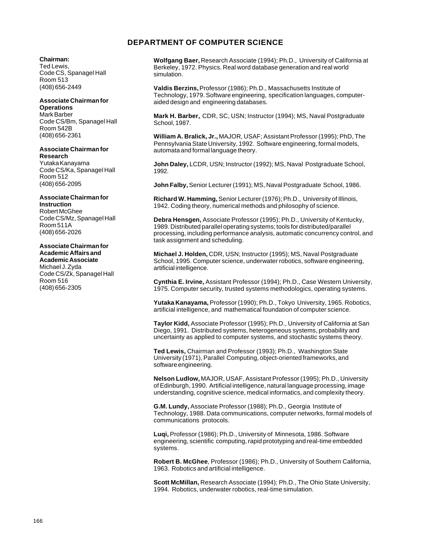# **DEPARTMENT OF COMPUTER SCIENCE**

# **Chairman:**

Ted Lewis, Code CS, Spanagel Hall Room 513 (408) 656-2449

# **Associate Chairman for**

**Operations** Mark Barber Code CS/Bm, Spanagel Hall Room 542B (408) 656-2361

# **Associate Chairman for**

**Research** Yutaka Kanayama Code CS/Ka, Spanagel Hall Room 512 (408) 656-2095

# **Associate Chairman for Instruction** Robert McGhee Code CS/Mz, Spanagel Hall

Room 511A (408) 656-2026

#### **Associate Chairman for Academic Affairs and**

**Academic Associate** Michael J. Zyda Code CS/Zk, Spanagel Hall Room 516 (408) 656-2305

**Wolfgang Baer,** Research Associate (1994); Ph.D., University of California at Berkeley, 1972. Physics. Real word database generation and real world simulation.

**Valdis Berzins,** Professor (1986); Ph.D., Massachusetts Institute of Technology, 1979. Software engineering, specification languages, computeraided design and engineering databases.

**Mark H. Barber,** CDR, SC, USN; Instructor (1994); MS, Naval Postgraduate School, 1987.

**William A. Bralick, Jr.,** MAJOR, USAF; Assistant Professor (1995); PhD, The Pennsylvania State University, 1992. Software engineering, formal models, automata and formal language theory.

**John Daley,** LCDR, USN; Instructor (1992); MS, Naval Postgraduate School, 1992.

**John Falby,** Senior Lecturer (1991); MS, Naval Postgraduate School, 1986.

**Richard W. Hamming,** Senior Lecturer (1976); Ph.D., University of Illinois, 1942. Coding theory, numerical methods and philosophy of science.

**Debra Hensgen,** Associate Professor (1995); Ph.D., University of Kentucky, 1989. Distributed parallel operating systems; tools for distributed/parallel processing, including performance analysis, automatic concurrency control, and task assignment and scheduling.

**Michael J. Holden,** CDR, USN; Instructor (1995); MS, Naval Postgraduate School, 1995. Computer science, underwater robotics, software engineering, artificial intelligence.

**Cynthia E. Irvine,** Assistant Professor (1994); Ph.D., Case Western University, 1975. Computer security, trusted systems methodologics, operating systems.

**Yutaka Kanayama,** Professor (1990); Ph.D., Tokyo University, 1965. Robotics, artificial intelligence, and mathematical foundation of computer science.

**Taylor Kidd,** Associate Professor (1995); Ph.D., University of California at San Diego, 1991. Distributed systems, heterogeneous systems, probability and uncertainty as applied to computer systems, and stochastic systems theory.

**Ted Lewis,** Chairman and Professor (1993); Ph.D., Washington State University (1971), Parallel Computing, object-oriented frameworks, and software engineering.

**Nelson Ludlow,** MAJOR, USAF, Assistant Professor (1995); Ph.D., University of Edinburgh, 1990. Artificial intelligence, natural language processing, image understanding, cognitive science, medical informatics, and complexity theory.

**G.M. Lundy,** Associate Professor (1988); Ph.D., Georgia Institute of Technology, 1988. Data communications, computer networks, formal models of communications protocols.

**Luqi,** Professor (1986); Ph.D., University of Minnesota, 1986. Software engineering, scientific computing, rapid prototyping and real-time embedded systems.

**Robert B. McGhee**, Professor (1986); Ph.D., University of Southern California, 1963. Robotics and artificial intelligence.

**Scott McMillan,** Research Associate (1994); Ph.D., The Ohio State University, 1994. Robotics, underwater robotics, real-time simulation.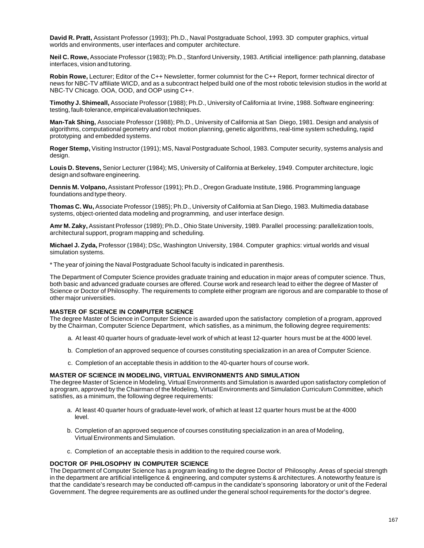**David R. Pratt,** Assistant Professor (1993); Ph.D., Naval Postgraduate School, 1993. 3D computer graphics, virtual worlds and environments, user interfaces and computer architecture.

**Neil C. Rowe,** Associate Professor (1983); Ph.D., Stanford University, 1983. Artificial intelligence: path planning, database interfaces, vision and tutoring.

**Robin Rowe,** Lecturer; Editor of the C++ Newsletter, former columnist for the C++ Report, former technical director of news for NBC-TV affiliate WICD, and as a subcontract helped build one of the most robotic television studios in the world at NBC-TV Chicago. OOA, OOD, and OOP using C++.

**Timothy J. Shimeall,** Associate Professor (1988); Ph.D., University of California at Irvine, 1988. Software engineering: testing, fault-tolerance, empirical evaluation techniques.

**Man-Tak Shing,** Associate Professor (1988); Ph.D., University of California at San Diego, 1981. Design and analysis of algorithms, computational geometry and robot motion planning, genetic algorithms, real-time system scheduling, rapid prototyping and embedded systems.

**Roger Stemp,** Visiting Instructor (1991); MS, Naval Postgraduate School, 1983. Computer security, systems analysis and design.

**Louis D. Stevens,** Senior Lecturer (1984); MS, University of California at Berkeley, 1949. Computer architecture, logic design and software engineering.

**Dennis M. Volpano,** Assistant Professor (1991); Ph.D., Oregon Graduate Institute, 1986. Programming language foundations and type theory.

**Thomas C. Wu,** Associate Professor (1985); Ph.D., University of California at San Diego, 1983. Multimedia database systems, object-oriented data modeling and programming, and user interface design.

**Amr M. Zaky,** Assistant Professor (1989); Ph.D., Ohio State University, 1989. Parallel processing: parallelization tools, architectural support, program mapping and scheduling.

**Michael J. Zyda,** Professor (1984); DSc, Washington University, 1984. Computer graphics: virtual worlds and visual simulation systems.

\* The year of joining the Naval Postgraduate School faculty is indicated in parenthesis.

The Department of Computer Science provides graduate training and education in major areas of computer science. Thus, both basic and advanced graduate courses are offered. Course work and research lead to either the degree of Master of Science or Doctor of Philosophy. The requirements to complete either program are rigorous and are comparable to those of other major universities.

# **MASTER OF SCIENCE IN COMPUTER SCIENCE**

The degree Master of Science in Computer Science is awarded upon the satisfactory completion of a program, approved by the Chairman, Computer Science Department, which satisfies, as a minimum, the following degree requirements:

- a. At least 40 quarter hours of graduate-level work of which at least 12-quarter hours must be at the 4000 level.
- b. Completion of an approved sequence of courses constituting specialization in an area of Computer Science.
- c. Completion of an acceptable thesis in addition to the 40-quarter hours of course work.

#### **MASTER OF SCIENCE IN MODELING, VIRTUAL ENVIRONMENTS AND SIMULATION**

The degree Master of Science in Modeling, Virtual Environments and Simulation is awarded upon satisfactory completion of a program, approved by the Chairman of the Modeling, Virtual Environments and Simulation Curriculum Committee, which satisfies, as a minimum, the following degree requirements:

- a. At least 40 quarter hours of graduate-level work, of which at least 12 quarter hours must be at the 4000 level.
- b. Completion of an approved sequence of courses constituting specialization in an area of Modeling, Virtual Environments and Simulation.
- c. Completion of an acceptable thesis in addition to the required course work.

# **DOCTOR OF PHILOSOPHY IN COMPUTER SCIENCE**

The Department of Computer Science has a program leading to the degree Doctor of Philosophy. Areas of special strength in the department are artificial intelligence & engineering, and computer systems & architectures. A noteworthy feature is that the candidate's research may be conducted off-campus in the candidate's sponsoring laboratory or unit of the Federal Government. The degree requirements are as outlined under the general school requirements for the doctor's degree.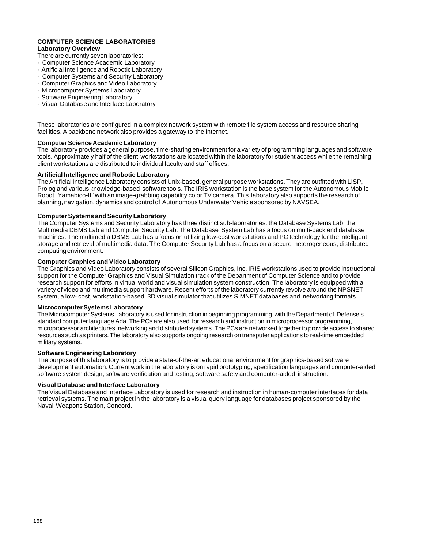#### **COMPUTER SCIENCE LABORATORIES Laboratory Overview**

- There are currently seven laboratories:
- Computer Science Academic Laboratory
- Artificial Intelligence and Robotic Laboratory
- Computer Systems and Security Laboratory
- Computer Graphics and Video Laboratory
- Microcomputer Systems Laboratory
- Software Engineering Laboratory
- Visual Database and Interface Laboratory

These laboratories are configured in a complex network system with remote file system access and resource sharing facilities. A backbone network also provides a gateway to the Internet.

#### **Computer Science Academic Laboratory**

The laboratory provides a general purpose, time-sharing environment for a variety of programming languages and software tools. Approximately half of the client workstations are located within the laboratory for student access while the remaining client workstations are distributed to individual faculty and staff offices.

#### **Artificial Intelligence and Robotic Laboratory**

The Artificial Intelligence Laboratory consists of Unix-based, general purpose workstations. They are outfitted with LISP, Prolog and various knowledge-based software tools. The IRIS workstation is the base system for the Autonomous Mobile Robot "Yamabico-II" with an image-grabbing capability color TV camera. This laboratory also supports the research of planning, navigation, dynamics and control of Autonomous Underwater Vehicle sponsored by NAVSEA.

#### **Computer Systems and Security Laboratory**

The Computer Systems and Security Laboratory has three distinct sub-laboratories: the Database Systems Lab, the Multimedia DBMS Lab and Computer Security Lab. The Database System Lab has a focus on multi-back end database machines. The multimedia DBMS Lab has a focus on utilizing low-cost workstations and PC technology for the intelligent storage and retrieval of multimedia data. The Computer Security Lab has a focus on a secure heterogeneous, distributed computing environment.

# **Computer Graphics and Video Laboratory**

The Graphics and Video Laboratory consists of several Silicon Graphics, Inc. IRIS workstations used to provide instructional support for the Computer Graphics and Visual Simulation track of the Department of Computer Science and to provide research support for efforts in virtual world and visual simulation system construction. The laboratory is equipped with a variety of video and multimedia support hardware. Recent efforts of the laboratory currently revolve around the NPSNET system, a low- cost, workstation-based, 3D visual simulator that utilizes SIMNET databases and networking formats.

## **Microcomputer Systems Laboratory**

The Microcomputer Systems Laboratory is used for instruction in beginning programming with the Department of Defense's standard computer language Ada. The PCs are also used for research and instruction in microprocessor programming, microprocessor architectures, networking and distributed systems. The PCs are networked together to provide access to shared resources such as printers. The laboratory also supports ongoing research on transputer applications to real-time embedded military systems.

# **Software Engineering Laboratory**

The purpose of this laboratory is to provide a state-of-the-art educational environment for graphics-based software development automation. Current work in the laboratory is on rapid prototyping, specification languages and computer-aided software system design, software verification and testing, software safety and computer-aided instruction.

#### **Visual Database and Interface Laboratory**

The Visual Database and Interface Laboratory is used for research and instruction in human-computer interfaces for data retrieval systems. The main project in the laboratory is a visual query language for databases project sponsored by the Naval Weapons Station, Concord.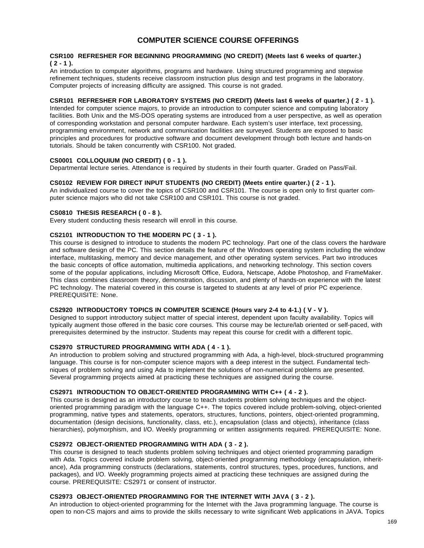# **COMPUTER SCIENCE COURSE OFFERINGS**

#### **CSR100 REFRESHER FOR BEGINNING PROGRAMMING (NO CREDIT) (Meets last 6 weeks of quarter.) ( 2 - 1 ).**

An introduction to computer algorithms, programs and hardware. Using structured programming and stepwise refinement techniques, students receive classroom instruction plus design and test programs in the laboratory. Computer projects of increasing difficulty are assigned. This course is not graded.

## **CSR101 REFRESHER FOR LABORATORY SYSTEMS (NO CREDIT) (Meets last 6 weeks of quarter.) ( 2 - 1 ).**

Intended for computer science majors, to provide an introduction to computer science and computing laboratory facilities. Both Unix and the MS-DOS operating systems are introduced from a user perspective, as well as operation of corresponding workstation and personal computer hardware. Each system's user interface, text processing, programming environment, network and communication facilities are surveyed. Students are exposed to basic principles and procedures for productive software and document development through both lecture and hands-on tutorials. Should be taken concurrently with CSR100. Not graded.

# **CS0001 COLLOQUIUM (NO CREDIT) ( 0 - 1 ).**

Departmental lecture series. Attendance is required by students in their fourth quarter. Graded on Pass/Fail.

#### **CS0102 REVIEW FOR DIRECT INPUT STUDENTS (NO CREDIT) (Meets entire quarter.) ( 2 - 1 ).**

An individualized course to cover the topics of CSR100 and CSR101. The course is open only to first quarter computer science majors who did not take CSR100 and CSR101. This course is not graded.

# **CS0810 THESIS RESEARCH ( 0 - 8 ).**

Every student conducting thesis research will enroll in this course.

# **CS2101 INTRODUCTION TO THE MODERN PC ( 3 - 1 ).**

This course is designed to introduce to students the modern PC technology. Part one of the class covers the hardware and software design of the PC. This section details the feature of the Windows operating system including the window interface, multitasking, memory and device management, and other operating system services. Part two introduces the basic concepts of office automation, multimedia applications, and networking technology. This section covers some of the popular applications, including Microsoft Office, Eudora, Netscape, Adobe Photoshop, and FrameMaker. This class combines classroom theory, demonstration, discussion, and plenty of hands-on experience with the latest PC technology. The material covered in this course is targeted to students at any level of prior PC experience. PREREQUISITE: None.

# **CS2920 INTRODUCTORY TOPICS IN COMPUTER SCIENCE (Hours vary 2-4 to 4-1.) ( V - V ).**

Designed to support introductory subject matter of special interest, dependent upon faculty availability. Topics will typically augment those offered in the basic core courses. This course may be lecture/lab oriented or self-paced, with prerequisites determined by the instructor. Students may repeat this course for credit with a different topic.

# **CS2970 STRUCTURED PROGRAMMING WITH ADA ( 4 - 1 ).**

An introduction to problem solving and structured programming with Ada, a high-level, block-structured programming language. This course is for non-computer science majors with a deep interest in the subject. Fundamental techniques of problem solving and using Ada to implement the solutions of non-numerical problems are presented. Several programming projects aimed at practicing these techniques are assigned during the course.

#### **CS2971 INTRODUCTION TO OBJECT-ORIENTED PROGRAMMING WITH C++ ( 4 - 2 ).**

This course is designed as an introductory course to teach students problem solving techniques and the objectoriented programming paradigm with the language C++. The topics covered include problem-solving, object-oriented programming, native types and statements, operators, structures, functions, pointers, object-oriented programming, documentation (design decisions, functionality, class, etc.), encapsulation (class and objects), inheritance (class hierarchies), polymorphism, and I/O. Weekly programming or written assignments required. PREREQUISITE: None.

## **CS2972 OBJECT-ORIENTED PROGRAMMING WITH ADA ( 3 - 2 ).**

This course is designed to teach students problem solving techniques and object oriented programming paradigm with Ada. Topics covered include problem solving, object-oriented programming methodology (encapsulation, inheritance), Ada programming constructs (declarations, statements, control structures, types, procedures, functions, and packages), and I/O. Weekly programming projects aimed at practicing these techniques are assigned during the course. PREREQUISITE: CS2971 or consent of instructor.

# **CS2973 OBJECT-ORIENTED PROGRAMMING FOR THE INTERNET WITH JAVA ( 3 - 2 ).**

An introduction to object-oriented programming for the Internet with the Java programming language. The course is open to non-CS majors and aims to provide the skills necessary to write significant Web applications in JAVA. Topics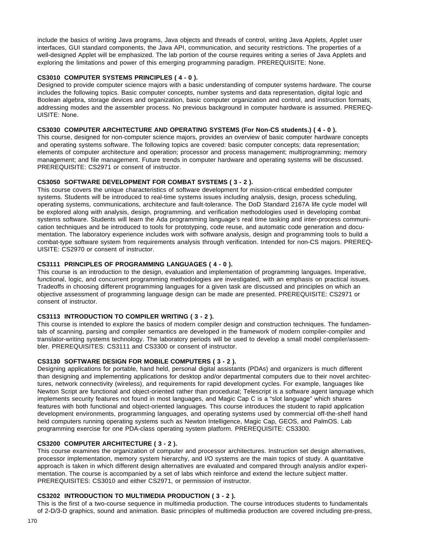include the basics of writing Java programs, Java objects and threads of control, writing Java Applets, Applet user interfaces, GUI standard components, the Java API, communication, and security restrictions. The properties of a well-designed Applet will be emphasized. The lab portion of the course requires writing a series of Java Applets and exploring the limitations and power of this emerging programming paradigm. PREREQUISITE: None.

# **CS3010 COMPUTER SYSTEMS PRINCIPLES ( 4 - 0 ).**

Designed to provide computer science majors with a basic understanding of computer systems hardware. The course includes the following topics. Basic computer concepts, number systems and data representation, digital logic and Boolean algebra, storage devices and organization, basic computer organization and control, and instruction formats, addressing modes and the assembler process. No previous background in computer hardware is assumed. PREREQ-UISITE: None.

# **CS3030 COMPUTER ARCHITECTURE AND OPERATING SYSTEMS (For Non-CS students.) ( 4 - 0 ).**

This course, designed for non-computer science majors, provides an overview of basic computer hardware concepts and operating systems software. The following topics are covered: basic computer concepts; data representation; elements of computer architecture and operation; processor and process management; multiprogramming; memory management; and file management. Future trends in computer hardware and operating systems will be discussed. PREREQUISITE: CS2971 or consent of instructor.

# **CS3050 SOFTWARE DEVELOPMENT FOR COMBAT SYSTEMS ( 3 - 2 ).**

This course covers the unique characteristics of software development for mission-critical embedded computer systems. Students will be introduced to real-time systems issues including analysis, design, process scheduling, operating systems, communications, architecture and fault-tolerance. The DoD Standard 2167A life cycle model will be explored along with analysis, design, programming. and verification methodologies used in developing combat systems software. Students will learn the Ada programming language's real time tasking and inter-process communication techniques and be introduced to tools for prototyping, code reuse, and automatic code generation and documentation. The laboratory experience includes work with software analysis, design and programming tools to build a combat-type software system from requirements analysis through verification. Intended for non-CS majors. PREREQ-UISITE: CS2970 or consent of instructor.

# **CS3111 PRINCIPLES OF PROGRAMMING LANGUAGES ( 4 - 0 ).**

This course is an introduction to the design, evaluation and implementation of programming languages. Imperative, functional, logic, and concurrent programming methodologies are investigated, with an emphasis on practical issues. Tradeoffs in choosing different programming languages for a given task are discussed and principles on which an objective assessment of programming language design can be made are presented. PREREQUISITE: CS2971 or consent of instructor.

# **CS3113 INTRODUCTION TO COMPILER WRITING ( 3 - 2 ).**

This course is intended to explore the basics of modern compiler design and construction techniques. The fundamentals of scanning, parsing and compiler semantics are developed in the framework of modern compiler-compiler and translator-writing systems technology. The laboratory periods will be used to develop a small model compiler/assembler. PREREQUISITES: CS3111 and CS3300 or consent of instructor.

# **CS3130 SOFTWARE DESIGN FOR MOBILE COMPUTERS ( 3 - 2 ).**

Designing applications for portable, hand held, personal digital assistants (PDAs) and organizers is much different than designing and implementing applications for desktop and/or departmental computers due to their novel architectures, network connectivity (wireless), and requirements for rapid development cycles. For example, languages like Newton Script are functional and object-oriented rather than procedural; Telescript is a software agent language which implements security features not found in most languages, and Magic Cap C is a "slot language" which shares features with both functional and object-oriented languages. This course introduces the student to rapid application development environments, programming languages, and operating systems used by commercial off-the-shelf hand held computers running operating systems such as Newton Intelligence, Magic Cap, GEOS, and PalmOS. Lab programming exercise for one PDA-class operating system platform. PREREQUISITE: CS3300.

# **CS3200 COMPUTER ARCHITECTURE ( 3 - 2 ).**

This course examines the organization of computer and processor architectures. Instruction set design alternatives, processor implementation, memory system hierarchy, and I/O systems are the main topics of study. A quantitative approach is taken in which different design alternatives are evaluated and compared through analysis and/or experimentation. The course is accompanied by a set of labs which reinforce and extend the lecture subject matter. PREREQUISITES: CS3010 and either CS2971, or permission of instructor.

# **CS3202 INTRODUCTION TO MULTIMEDIA PRODUCTION ( 3 - 2 ).**

This is the first of a two-course sequence in multimedia production. The course introduces students to fundamentals of 2-D/3-D graphics, sound and animation. Basic principles of multimedia production are covered including pre-press,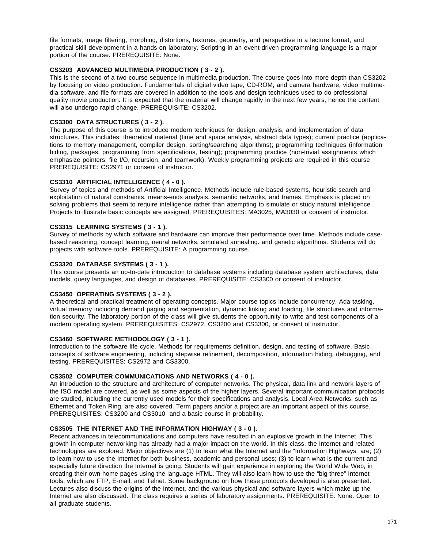file formats, image filtering, morphing, distortions, textures, geometry, and perspective in a lecture format, and practical skill development in a hands-on laboratory. Scripting in an event-driven programming language is a major portion of the course. PREREQUISITE: None.

# **CS3203 ADVANCED MULTIMEDIA PRODUCTION ( 3 - 2 ).**

This is the second of a two-course sequence in multimedia production. The course goes into more depth than CS3202 by focusing on video production. Fundamentals of digital video tape, CD-ROM, and camera hardware, video multimedia software, and file formats are covered in addition to the tools and design techniques used to do professional quality movie production. It is expected that the material will change rapidly in the next few years, hence the content will also undergo rapid change. PREREQUISITE: CS3202.

# **CS3300 DATA STRUCTURES ( 3 - 2 ).**

The purpose of this course is to introduce modern techniques for design, analysis, and implementation of data structures. This includes: theoretical material (time and space analysis, abstract data types); current practice (applications to memory management, compiler design, sorting/searching algorithms); programming techniques (information hiding, packages, programming from specifications, testing); programming practice (non-trivial assignments which emphasize pointers, file I/O, recursion, and teamwork). Weekly programming projects are required in this course PREREQUISITE: CS2971 or consent of instructor.

# **CS3310 ARTIFICIAL INTELLIGENCE ( 4 - 0 ).**

Survey of topics and methods of Artificial Intelligence. Methods include rule-based systems, heuristic search and exploitation of natural constraints, means-ends analysis, semantic networks, and frames. Emphasis is placed on solving problems that seem to require intelligence rather than attempting to simulate or study natural intelligence. Projects to illustrate basic concepts are assigned. PREREQUISITES: MA3025, MA3030 or consent of instructor.

# **CS3315 LEARNING SYSTEMS ( 3 - 1 ).**

Survey of methods by which software and hardware can improve their performance over time. Methods include casebased reasoning, concept learning, neural networks, simulated annealing. and genetic algorithms. Students will do projects with software tools. PREREQUISITE: A programming course.

# **CS3320 DATABASE SYSTEMS ( 3 - 1 ).**

This course presents an up-to-date introduction to database systems including database system architectures, data models, query languages, and design of databases. PREREQUISITE: CS3300 or consent of instructor.

# **CS3450 OPERATING SYSTEMS ( 3 - 2 ).**

A theoretical and practical treatment of operating concepts. Major course topics include concurrency, Ada tasking, virtual memory including demand paging and segmentation, dynamic linking and loading, file structures and information security. The laboratory portion of the class will give students the opportunity to write and test components of a modern operating system. PREREQUISITES: CS2972, CS3200 and CS3300, or consent of instructor.

# **CS3460 SOFTWARE METHODOLOGY ( 3 - 1 ).**

Introduction to the software life cycle. Methods for requirements definition, design, and testing of software. Basic concepts of software engineering, including stepwise refinement, decomposition, information hiding, debugging, and testing. PREREQUISITES: CS2972 and CS3300.

#### **CS3502 COMPUTER COMMUNICATIONS AND NETWORKS ( 4 - 0 ).**

An introduction to the structure and architecture of computer networks. The physical, data link and network layers of the ISO model are covered, as well as some aspects of the higher layers. Several important communication protocols are studied, including the currently used models for their specifications and analysis. Local Area Networks, such as Ethernet and Token Ring, are also covered. Term papers and/or a project are an important aspect of this course. PREREQUISITES: CS3200 and CS3010 and a basic course in probability.

#### **CS3505 THE INTERNET AND THE INFORMATION HIGHWAY ( 3 - 0 ).**

Recent advances in telecommunications and computers have resulted in an explosive growth in the Internet. This growth in computer networking has already had a major impact on the world. In this class, the Internet and related technologies are explored. Major objectives are (1) to learn what the Internet and the "Information Highways" are; (2) to learn how to use the Internet for both business, academic and personal uses; (3) to learn what is the current and especially future direction the Internet is going. Students will gain experience in exploring the World Wide Web, in creating their own home pages using the language HTML. They will also learn how to use the "big three" Internet tools, which are FTP, E-mail, and Telnet. Some background on how these protocols developed is also presented. Lectures also discuss the origins of the Internet, and the various physical and software layers which make up the Internet are also discussed. The class requires a series of laboratory assignments. PREREQUISITE: None. Open to all graduate students.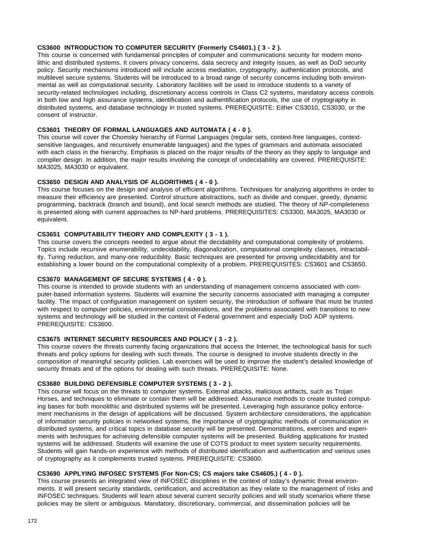# **CS3600 INTRODUCTION TO COMPUTER SECURITY (Formerly CS4601.) ( 3 - 2 ).**

This course is concerned with fundamental principles of computer and communications security for modern monolithic and distributed systems. It covers privacy concerns, data secrecy and integrity issues, as well as DoD security policy. Security mechanisms introduced will include access mediation, cryptography, authentication protocols, and multilevel secure systems. Students will be introduced to a broad range of security concerns including both environmental as well as computational security. Laboratory facilities will be used to introduce students to a variety of security-related technologies including, discretionary access controls in Class C2 systems, mandatory access controls in both low and high assurance systems, identification and authentification protocols, the use of cryptography in distributed systems, and database technology in trusted systems. PREREQUISITE: Either CS3010, CS3030, or the consent of instructor.

# **CS3601 THEORY OF FORMAL LANGUAGES AND AUTOMATA ( 4 - 0 ).**

This course will cover the Chomsky hierarchy of Formal Languages (regular sets, context-free languages, contextsensitive languages, and recursively enumerable languages) and the types of grammars and automata associated with each class in the hierarchy. Emphasis is placed on the major results of the theory as they apply to language and compiler design. In addition, the major results involving the concept of undecidability are covered. PREREQUISITE: MA3025, MA3030 or equivalent.

# **CS3650 DESIGN AND ANALYSIS OF ALGORITHMS ( 4 - 0 ).**

This course focuses on the design and analysis of efficient algorithms. Techniques for analyzing algorithms in order to measure their efficiency are presented. Control structure abstractions, such as divide and conquer, greedy, dynamic programming, backtrack (branch and bound), and local search methods are studied. The theory of NP-completeness is presented along with current approaches to NP-hard problems. PREREQUISITES: CS3300, MA3025, MA3030 or equivalent.

### **CS3651 COMPUTABILITY THEORY AND COMPLEXITY ( 3 - 1 ).**

This course covers the concepts needed to argue about the decidability and computational complexity of problems. Topics include recursive enumerability, undecidability, diagonalization, computational complexity classes, intractability, Turing reduction, and many-one reducibility. Basic techniques are presented for proving undecidability and for establishing a lower bound on the computational complexity of a problem. PREREQUISITES: CS3601 and CS3650.

# **CS3670 MANAGEMENT OF SECURE SYSTEMS ( 4 - 0 ).**

This course is intended to provide students with an understanding of management concerns associated with computer-based information systems. Students will examine the security concerns associated with managing a computer facility. The impact of configuration management on system security, the introduction of software that must be trusted with respect to computer policies, environmental considerations, and the problems associated with transitions to new systems and technology will be studied in the context of Federal government and especially DoD ADP systems. PREREQUISITE: CS3600.

# **CS3675 INTERNET SECURITY RESOURCES AND POLICY ( 3 - 2 ).**

This course covers the threats currently facing organizations that access the Internet, the technological basis for such threats and policy options for dealing with such threats. The course is designed to involve students directly in the composition of meaningful security policies. Lab exercises will be used to improve the student's detailed knowledge of security threats and of the options for dealing with such threats. PREREQUISITE: None.

#### **CS3680 BUILDING DEFENSIBLE COMPUTER SYSTEMS ( 3 - 2 ).**

This course will focus on the threats to computer systems. External attacks, malicious artifacts, such as Trojan Horses, and techniques to eliminate or contain them will be addressed. Assurance methods to create trusted computing bases for both monolithic and distributed systems will be presented. Leveraging high assurance policy enforcement mechanisms in the design of applications will be discussed. System architecture considerations, the application of information security policies in networked systems, the importance of cryptographic methods of communication in distributed systems, and critical topics in database security will be presented. Demonstrations, exercises and experiments with techniques for achieving defensible computer systems will be presented. Building applications for trusted systems will be addressed. Students will examine the use of COTS product to meet system security requirements. Students will gain hands-on experience with methods of distributed identification and authentication and various uses of cryptography as it complements trusted systems. PREREQUISITE: CS3600.

# **CS3690 APPLYING INFOSEC SYSTEMS (For Non-CS; CS majors take CS4605.) ( 4 - 0 ).**

This course presents an integrated view of INFOSEC disciplines in the context of today's dynamic threat environments. It will present security standards, certification, and accreditation as they relate to the management of risks and INFOSEC techniques. Students will learn about several current security policies and will study scenarios where these policies may be silent or ambiguous. Mandatory, discretionary, commercial, and dissemination policies will be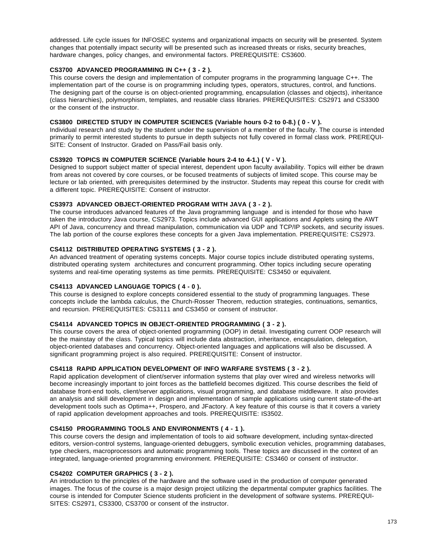addressed. Life cycle issues for INFOSEC systems and organizational impacts on security will be presented. System changes that potentially impact security will be presented such as increased threats or risks, security breaches, hardware changes, policy changes, and environmental factors. PREREQUISITE: CS3600.

# **CS3700 ADVANCED PROGRAMMING IN C++ ( 3 - 2 ).**

This course covers the design and implementation of computer programs in the programming language C++. The implementation part of the course is on programming including types, operators, structures, control, and functions. The designing part of the course is on object-oriented programming, encapsulation (classes and objects), inheritance (class hierarchies), polymorphism, templates, and reusable class libraries. PREREQUISITES: CS2971 and CS3300 or the consent of the instructor.

# **CS3800 DIRECTED STUDY IN COMPUTER SCIENCES (Variable hours 0-2 to 0-8.) ( 0 - V ).**

Individual research and study by the student under the supervision of a member of the faculty. The course is intended primarily to permit interested students to pursue in depth subjects not fully covered in formal class work. PREREQUI-SITE: Consent of Instructor. Graded on Pass/Fail basis only.

#### **CS3920 TOPICS IN COMPUTER SCIENCE (Variable hours 2-4 to 4-1.) ( V - V ).**

Designed to support subject matter of special interest, dependent upon faculty availability. Topics will either be drawn from areas not covered by core courses, or be focused treatments of subjects of limited scope. This course may be lecture or lab oriented, with prerequisites determined by the instructor. Students may repeat this course for credit with a different topic. PREREQUISITE: Consent of instructor.

#### **CS3973 ADVANCED OBJECT-ORIENTED PROGRAM WITH JAVA ( 3 - 2 ).**

The course introduces advanced features of the Java programming language and is intended for those who have taken the introductory Java course, CS2973. Topics include advanced GUI applications and Applets using the AWT API of Java, concurrency and thread manipulation, communication via UDP and TCP/IP sockets, and security issues. The lab portion of the course explores these concepts for a given Java implementation. PREREQUISITE: CS2973.

# **CS4112 DISTRIBUTED OPERATING SYSTEMS ( 3 - 2 ).**

An advanced treatment of operating systems concepts. Major course topics include distributed operating systems, distributed operating system architectures and concurrent programming. Other topics including secure operating systems and real-time operating systems as time permits. PREREQUISITE: CS3450 or equivalent.

# **CS4113 ADVANCED LANGUAGE TOPICS ( 4 - 0 ).**

This course is designed to explore concepts considered essential to the study of programming languages. These concepts include the lambda calculus, the Church-Rosser Theorem, reduction strategies, continuations, semantics, and recursion. PREREQUISITES: CS3111 and CS3450 or consent of instructor.

### **CS4114 ADVANCED TOPICS IN OBJECT-ORIENTED PROGRAMMING ( 3 - 2 ).**

This course covers the area of object-oriented programming (OOP) in detail. Investigating current OOP research will be the mainstay of the class. Typical topics will include data abstraction, inheritance, encapsulation, delegation, object-oriented databases and concurrency. Object-oriented languages and applications will also be discussed. A significant programming project is also required. PREREQUISITE: Consent of instructor.

# **CS4118 RAPID APPLICATION DEVELOPMENT OF INFO WARFARE SYSTEMS ( 3 - 2 ).**

Rapid application development of client/server information systems that play over wired and wireless networks will become increasingly important to joint forces as the battlefield becomes digitized. This course describes the field of database front-end tools, client/server applications, visual programming, and database middleware. It also provides an analysis and skill development in design and implementation of sample applications using current state-of-the-art development tools such as Optima++, Prospero, and JFactory. A key feature of this course is that it covers a variety of rapid application development approaches and tools. PREREQUISITE: IS3502.

# **CS4150 PROGRAMMING TOOLS AND ENVIRONMENTS ( 4 - 1 ).**

This course covers the design and implementation of tools to aid software development, including syntax-directed editors, version-control systems, language-oriented debuggers, symbolic execution vehicles, programming databases, type checkers, macroprocessors and automatic programming tools. These topics are discussed in the context of an integrated, language-oriented programming environment. PREREQUISITE: CS3460 or consent of instructor.

# **CS4202 COMPUTER GRAPHICS ( 3 - 2 ).**

An introduction to the principles of the hardware and the software used in the production of computer generated images. The focus of the course is a major design project utilizing the departmental computer graphics facilities. The course is intended for Computer Science students proficient in the development of software systems. PREREQUI-SITES: CS2971, CS3300, CS3700 or consent of the instructor.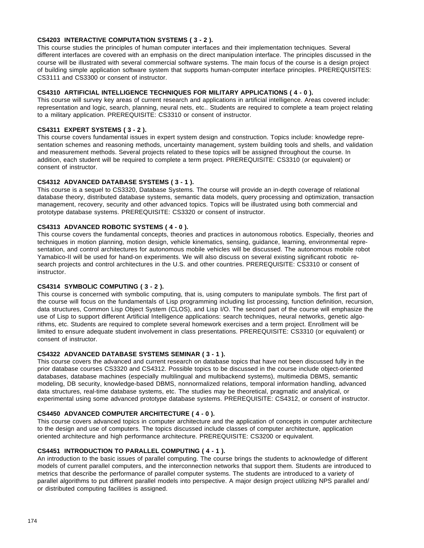# **CS4203 INTERACTIVE COMPUTATION SYSTEMS ( 3 - 2 ).**

This course studies the principles of human computer interfaces and their implementation techniques. Several different interfaces are covered with an emphasis on the direct manipulation interface. The principles discussed in the course will be illustrated with several commercial software systems. The main focus of the course is a design project of building simple application software system that supports human-computer interface principles. PREREQUISITES: CS3111 and CS3300 or consent of instructor.

# **CS4310 ARTIFICIAL INTELLIGENCE TECHNIQUES FOR MILITARY APPLICATIONS ( 4 - 0 ).**

This course will survey key areas of current research and applications in artificial intelligence. Areas covered include: representation and logic, search, planning, neural nets, etc.. Students are required to complete a team project relating to a military application. PREREQUISITE: CS3310 or consent of instructor.

# **CS4311 EXPERT SYSTEMS ( 3 - 2 ).**

This course covers fundamental issues in expert system design and construction. Topics include: knowledge representation schemes and reasoning methods, uncertainty management, system building tools and shells, and validation and measurement methods. Several projects related to these topics will be assigned throughout the course. In addition, each student will be required to complete a term project. PREREQUISITE: CS3310 (or equivalent) or consent of instructor.

# **CS4312 ADVANCED DATABASE SYSTEMS ( 3 - 1 ).**

This course is a sequel to CS3320, Database Systems. The course will provide an in-depth coverage of relational database theory, distributed database systems, semantic data models, query processing and optimization, transaction management, recovery, security and other advanced topics. Topics will be illustrated using both commercial and prototype database systems. PREREQUISITE: CS3320 or consent of instructor.

# **CS4313 ADVANCED ROBOTIC SYSTEMS ( 4 - 0 ).**

This course covers the fundamental concepts, theories and practices in autonomous robotics. Especially, theories and techniques in motion planning, motion design, vehicle kinematics, sensing, guidance, learning, environmental representation, and control architectures for autonomous mobile vehicles will be discussed. The autonomous mobile robot Yamabico-II will be used for hand-on experiments. We will also discuss on several existing significant robotic research projects and control architectures in the U.S. and other countries. PREREQUISITE: CS3310 or consent of instructor.

#### **CS4314 SYMBOLIC COMPUTING ( 3 - 2 ).**

This course is concerned with symbolic computing, that is, using computers to manipulate symbols. The first part of the course will focus on the fundamentals of Lisp programming including list processing, function definition, recursion, data structures, Common Lisp Object System (CLOS), and Lisp I/O. The second part of the course will emphasize the use of Lisp to support different Artificial Intelligence applications: search techniques, neural networks, genetic algorithms, etc. Students are required to complete several homework exercises and a term project. Enrollment will be limited to ensure adequate student involvement in class presentations. PREREQUISITE: CS3310 (or equivalent) or consent of instructor.

# **CS4322 ADVANCED DATABASE SYSTEMS SEMINAR ( 3 - 1 ).**

This course covers the advanced and current research on database topics that have not been discussed fully in the prior database courses CS3320 and CS4312. Possible topics to be discussed in the course include object-oriented databases, database machines (especially multilingual and multibackend systems), multimedia DBMS, semantic modeling, DB security, knowledge-based DBMS, nonnormalized relations, temporal information handling, advanced data structures, real-time database systems, etc. The studies may be theoretical, pragmatic and analytical, or experimental using some advanced prototype database systems. PREREQUISITE: CS4312, or consent of instructor.

#### **CS4450 ADVANCED COMPUTER ARCHITECTURE ( 4 - 0 ).**

This course covers advanced topics in computer architecture and the application of concepts in computer architecture to the design and use of computers. The topics discussed include classes of computer architecture, application oriented architecture and high performance architecture. PREREQUISITE: CS3200 or equivalent.

# **CS4451 INTRODUCTION TO PARALLEL COMPUTING ( 4 - 1 ).**

An introduction to the basic issues of parallel computing. The course brings the students to acknowledge of different models of current parallel computers, and the interconnection networks that support them. Students are introduced to metrics that describe the performance of parallel computer systems. The students are introduced to a variety of parallel algorithms to put different parallel models into perspective. A major design project utilizing NPS parallel and/ or distributed computing facilities is assigned.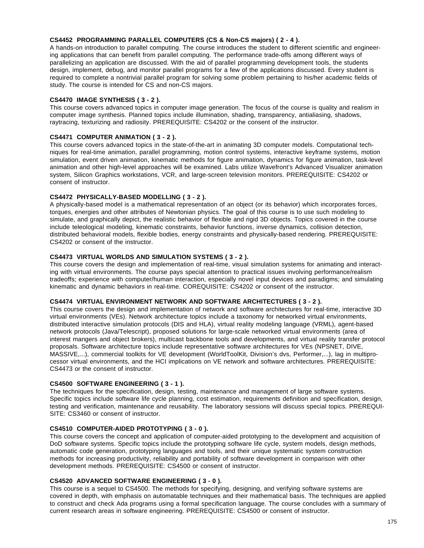# **CS4452 PROGRAMMING PARALLEL COMPUTERS (CS & Non-CS majors) ( 2 - 4 ).**

A hands-on introduction to parallel computing. The course introduces the student to different scientific and engineering applications that can benefit from parallel computing. The performance trade-offs among different ways of parallelizing an application are discussed. With the aid of parallel programming development tools, the students design, implement, debug, and monitor parallel programs for a few of the applications discussed. Every student is required to complete a nontrivial parallel program for solving some problem pertaining to his/her academic fields of study. The course is intended for CS and non-CS majors.

# **CS4470 IMAGE SYNTHESIS ( 3 - 2 ).**

This course covers advanced topics in computer image generation. The focus of the course is quality and realism in computer image synthesis. Planned topics include illumination, shading, transparency, antialiasing, shadows, raytracing, texturizing and radiosity. PREREQUISITE: CS4202 or the consent of the instructor.

# **CS4471 COMPUTER ANIMATION ( 3 - 2 ).**

This course covers advanced topics in the state-of-the-art in animating 3D computer models. Computational techniques for real-time animation, parallel programming, motion control systems, interactive keyframe systems, motion simulation, event driven animation, kinematic methods for figure animation, dynamics for figure animation, task-level animation and other high-level approaches will be examined. Labs utilize Wavefront's Advanced Visualizer animation system, Silicon Graphics workstations, VCR, and large-screen television monitors. PREREQUISITE: CS4202 or consent of instructor.

# **CS4472 PHYSICALLY-BASED MODELLING ( 3 - 2 ).**

A physically-based model is a mathematical representation of an object (or its behavior) which incorporates forces, torques, energies and other attributes of Newtonian physics. The goal of this course is to use such modeling to simulate, and graphically depict, the realistic behavior of flexible and rigid 3D objects. Topics covered in the course include teleological modeling, kinematic constraints, behavior functions, inverse dynamics, collision detection, distributed behavioral models, flexible bodies, energy constraints and physically-based rendering. PREREQUISITE: CS4202 or consent of the instructor.

# **CS4473 VIRTUAL WORLDS AND SIMULATION SYSTEMS ( 3 - 2 ).**

This course covers the design and implementation of real-time, visual simulation systems for animating and interacting with virtual environments. The course pays special attention to practical issues involving performance/realism tradeoffs; experience with computer/human interaction, especially novel input devices and paradigms; and simulating kinematic and dynamic behaviors in real-time. COREQUISITE: CS4202 or consent of the instructor.

# **CS4474 VIRTUAL ENVIRONMENT NETWORK AND SOFTWARE ARCHITECTURES ( 3 - 2 ).**

This course covers the design and implementation of network and software architectures for real-time, interactive 3D virtual environments (VEs). Network architecture topics include a taxonomy for networked virtual environments, distributed interactive simulation protocols (DIS and HLA), virtual reality modeling language (VRML), agent-based network protocols (Java/Telescript), proposed solutions for large-scale networked virtual environments (area of interest mangers and object brokers), multicast backbone tools and developments, and virtual reality transfer protocol proposals. Software architecture topics include representative software architectures for VEs (NPSNET, DIVE, MASSIVE,...), commercial toolkits for VE development (WorldToolKit, Division's dvs, Performer,...), lag in multiprocessor virtual environments, and the HCI implications on VE network and software architectures. PREREQUISITE: CS4473 or the consent of instructor.

#### **CS4500 SOFTWARE ENGINEERING ( 3 - 1 ).**

The techniques for the specification, design, testing, maintenance and management of large software systems. Specific topics include software life cycle planning, cost estimation, requirements definition and specification, design, testing and verification, maintenance and reusability. The laboratory sessions will discuss special topics. PREREQUI-SITE: CS3460 or consent of instructor.

#### **CS4510 COMPUTER-AIDED PROTOTYPING ( 3 - 0 ).**

This course covers the concept and application of computer-aided prototyping to the development and acquisition of DoD software systems. Specific topics include the prototyping software life cycle, system models, design methods, automatic code generation, prototyping languages and tools, and their unique systematic system construction methods for increasing productivity, reliability and portability of software development in comparison with other development methods. PREREQUISITE: CS4500 or consent of instructor.

# **CS4520 ADVANCED SOFTWARE ENGINEERING ( 3 - 0 ).**

This course is a sequel to CS4500. The methods for specifying, designing, and verifying software systems are covered in depth, with emphasis on automatable techniques and their mathematical basis. The techniques are applied to construct and check Ada programs using a formal specification language. The course concludes with a summary of current research areas in software engineering. PREREQUISITE: CS4500 or consent of instructor.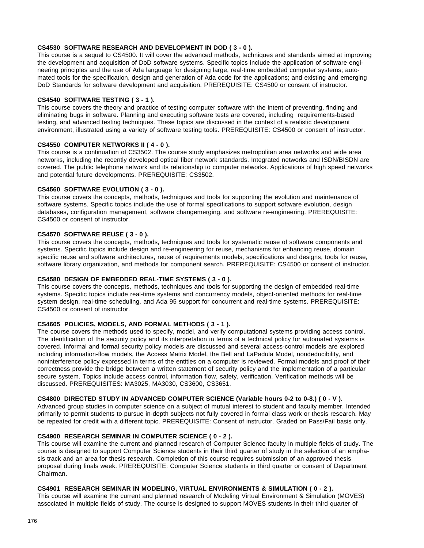# **CS4530 SOFTWARE RESEARCH AND DEVELOPMENT IN DOD ( 3 - 0 ).**

This course is a sequel to CS4500. It will cover the advanced methods, techniques and standards aimed at improving the development and acquisition of DoD software systems. Specific topics include the application of software engineering principles and the use of Ada language for designing large, real-time embedded computer systems; automated tools for the specification, design and generation of Ada code for the applications; and existing and emerging DoD Standards for software development and acquisition. PREREQUISITE: CS4500 or consent of instructor.

#### **CS4540 SOFTWARE TESTING ( 3 - 1 ).**

This course covers the theory and practice of testing computer software with the intent of preventing, finding and eliminating bugs in software. Planning and executing software tests are covered, including requirements-based testing, and advanced testing techniques. These topics are discussed in the context of a realistic development environment, illustrated using a variety of software testing tools. PREREQUISITE: CS4500 or consent of instructor.

# **CS4550 COMPUTER NETWORKS II ( 4 - 0 ).**

This course is a continuation of CS3502. The course study emphasizes metropolitan area networks and wide area networks, including the recently developed optical fiber network standards. Integrated networks and ISDN/BISDN are covered. The public telephone network and its relationship to computer networks. Applications of high speed networks and potential future developments. PREREQUISITE: CS3502.

# **CS4560 SOFTWARE EVOLUTION ( 3 - 0 ).**

This course covers the concepts, methods, techniques and tools for supporting the evolution and maintenance of software systems. Specific topics include the use of formal specifications to support software evolution, design databases, configuration management, software changemerging, and software re-engineering. PREREQUISITE: CS4500 or consent of instructor.

#### **CS4570 SOFTWARE REUSE ( 3 - 0 ).**

This course covers the concepts, methods, techniques and tools for systematic reuse of software components and systems. Specific topics include design and re-engineering for reuse, mechanisms for enhancing reuse, domain specific reuse and software architectures, reuse of requirements models, specifications and designs, tools for reuse, software library organization, and methods for component search. PREREQUISITE: CS4500 or consent of instructor.

# **CS4580 DESIGN OF EMBEDDED REAL-TIME SYSTEMS ( 3 - 0 ).**

This course covers the concepts, methods, techniques and tools for supporting the design of embedded real-time systems. Specific topics include real-time systems and concurrency models, object-oriented methods for real-time system design, real-time scheduling, and Ada 95 support for concurrent and real-time systems. PREREQUISITE: CS4500 or consent of instructor.

# **CS4605 POLICIES, MODELS, AND FORMAL METHODS ( 3 - 1 ).**

The course covers the methods used to specify, model, and verify computational systems providing access control. The identification of the security policy and its interpretation in terms of a technical policy for automated systems is covered. Informal and formal security policy models are discussed and several access-control models are explored including information-flow models, the Access Matrix Model, the Bell and LaPadula Model, nondeducibility, and noninterference policy expressed in terms of the entities on a computer is reviewed. Formal models and proof of their correctness provide the bridge between a written statement of security policy and the implementation of a particular secure system. Topics include access control, information flow, safety, verification. Verification methods will be discussed. PREREQUISITES: MA3025, MA3030, CS3600, CS3651.

# **CS4800 DIRECTED STUDY IN ADVANCED COMPUTER SCIENCE (Variable hours 0-2 to 0-8.) ( 0 - V ).**

Advanced group studies in computer science on a subject of mutual interest to student and faculty member. Intended primarily to permit students to pursue in-depth subjects not fully covered in formal class work or thesis research. May be repeated for credit with a different topic. PREREQUISITE: Consent of instructor. Graded on Pass/Fail basis only.

#### **CS4900 RESEARCH SEMINAR IN COMPUTER SCIENCE ( 0 - 2 ).**

This course will examine the current and planned research of Computer Science faculty in multiple fields of study. The course is designed to support Computer Science students in their third quarter of study in the selection of an emphasis track and an area for thesis research. Completion of this course requires submission of an approved thesis proposal during finals week. PREREQUISITE: Computer Science students in third quarter or consent of Department Chairman.

# **CS4901 RESEARCH SEMINAR IN MODELING, VIRTUAL ENVIRONMENTS & SIMULATION ( 0 - 2 ).**

This course will examine the current and planned research of Modeling Virtual Environment & Simulation (MOVES) associated in multiple fields of study. The course is designed to support MOVES students in their third quarter of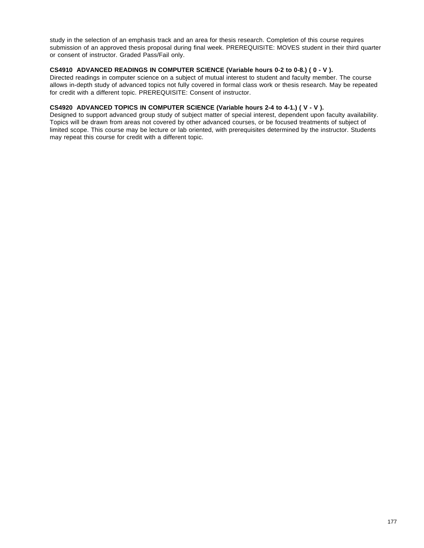study in the selection of an emphasis track and an area for thesis research. Completion of this course requires submission of an approved thesis proposal during final week. PREREQUISITE: MOVES student in their third quarter or consent of instructor. Graded Pass/Fail only.

# **CS4910 ADVANCED READINGS IN COMPUTER SCIENCE (Variable hours 0-2 to 0-8.) ( 0 - V ).**

Directed readings in computer science on a subject of mutual interest to student and faculty member. The course allows in-depth study of advanced topics not fully covered in formal class work or thesis research. May be repeated for credit with a different topic. PREREQUISITE: Consent of instructor.

# **CS4920 ADVANCED TOPICS IN COMPUTER SCIENCE (Variable hours 2-4 to 4-1.) ( V - V ).**

Designed to support advanced group study of subject matter of special interest, dependent upon faculty availability. Topics will be drawn from areas not covered by other advanced courses, or be focused treatments of subject of limited scope. This course may be lecture or lab oriented, with prerequisites determined by the instructor. Students may repeat this course for credit with a different topic.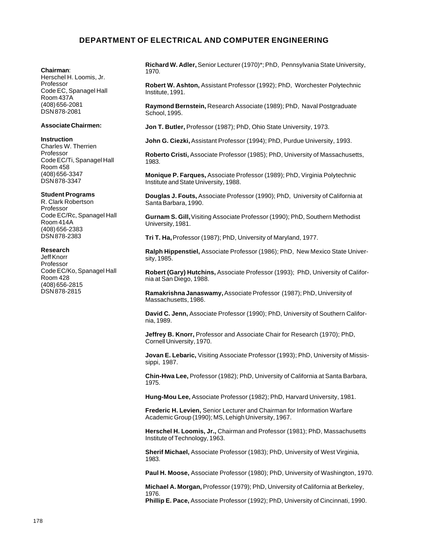# **DEPARTMENT OF ELECTRICAL AND COMPUTER ENGINEERING**

#### **Chairman**:

Herschel H. Loomis, Jr. Professor Code EC, Spanagel Hall Room 437A (408) 656-2081 DSN 878-2081

#### **Associate Chairmen:**

#### **Instruction**

Charles W. Therrien Professor Code EC/Ti, Spanagel Hall Room 458 (408) 656-3347 DSN 878-3347

#### **Student Programs**

R. Clark Robertson Professor Code EC/Rc, Spanagel Hall Room 414A (408) 656-2383 DSN 878-2383

#### **Research**

Jeff Knorr Professor Code EC/Ko, Spanagel Hall Room 428 (408) 656-2815 DSN 878-2815

**Richard W. Adler,** Senior Lecturer (1970)\*; PhD, Pennsylvania State University, 1970.

**Robert W. Ashton,** Assistant Professor (1992); PhD, Worchester Polytechnic Institute, 1991.

**Raymond Bernstein,** Research Associate (1989); PhD, Naval Postgraduate School, 1995.

**Jon T. Butler,** Professor (1987); PhD, Ohio State University, 1973.

**John G. Ciezki,** Assistant Professor (1994); PhD, Purdue University, 1993.

**Roberto Cristi,** Associate Professor (1985); PhD, University of Massachusetts, 1983.

**Monique P. Farques,** Associate Professor (1989); PhD, Virginia Polytechnic Institute and State University, 1988.

**Douglas J. Fouts,** Associate Professor (1990); PhD, University of California at Santa Barbara, 1990.

**Gurnam S. Gill,** Visiting Associate Professor (1990); PhD, Southern Methodist University, 1981.

**Tri T. Ha,** Professor (1987); PhD, University of Maryland, 1977.

**Ralph Hippenstiel,** Associate Professor (1986); PhD, New Mexico State University, 1985.

**Robert (Gary) Hutchins,** Associate Professor (1993); PhD, University of California at San Diego, 1988.

**Ramakrishna Janaswamy,** Associate Professor (1987); PhD, University of Massachusetts, 1986.

**David C. Jenn,** Associate Professor (1990); PhD, University of Southern California, 1989.

**Jeffrey B. Knorr,** Professor and Associate Chair for Research (1970); PhD, Cornell University, 1970.

**Jovan E. Lebaric,** Visiting Associate Professor (1993); PhD, University of Mississippi, 1987.

**Chin-Hwa Lee,** Professor (1982); PhD, University of California at Santa Barbara, 1975.

**Hung-Mou Lee,** Associate Professor (1982); PhD, Harvard University, 1981.

**Frederic H. Levien,** Senior Lecturer and Chairman for Information Warfare Academic Group (1990); MS, Lehigh University, 1967.

**Herschel H. Loomis, Jr.,** Chairman and Professor (1981); PhD, Massachusetts Institute of Technology, 1963.

**Sherif Michael,** Associate Professor (1983); PhD, University of West Virginia, 1983.

**Paul H. Moose,** Associate Professor (1980); PhD, University of Washington, 1970.

**Michael A. Morgan,** Professor (1979); PhD, University of California at Berkeley, 1976.

**Phillip E. Pace,** Associate Professor (1992); PhD, University of Cincinnati, 1990.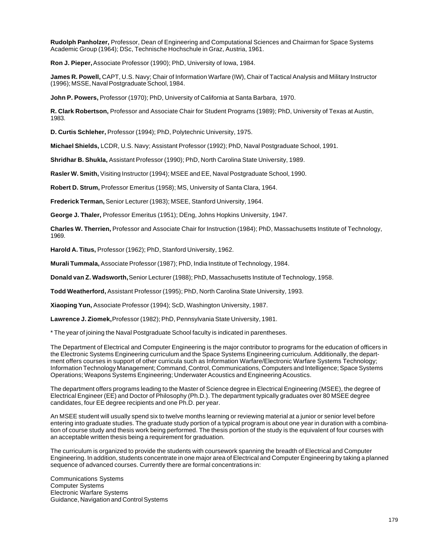**Rudolph Panholzer,** Professor, Dean of Engineering and Computational Sciences and Chairman for Space Systems Academic Group (1964); DSc, Technische Hochschule in Graz, Austria, 1961.

**Ron J. Pieper,** Associate Professor (1990); PhD, University of Iowa, 1984.

**James R. Powell,** CAPT, U.S. Navy; Chair of Information Warfare (IW), Chair of Tactical Analysis and Military Instructor (1996); MSSE, Naval Postgraduate School, 1984.

**John P. Powers,** Professor (1970); PhD, University of California at Santa Barbara, 1970.

**R. Clark Robertson,** Professor and Associate Chair for Student Programs (1989); PhD, University of Texas at Austin, 1983.

**D. Curtis Schleher,** Professor (1994); PhD, Polytechnic University, 1975.

**Michael Shields,** LCDR, U.S. Navy; Assistant Professor (1992); PhD, Naval Postgraduate School, 1991.

**Shridhar B. Shukla,** Assistant Professor (1990); PhD, North Carolina State University, 1989.

**Rasler W. Smith,** Visiting Instructor (1994); MSEE and EE, Naval Postgraduate School, 1990.

**Robert D. Strum,** Professor Emeritus (1958); MS, University of Santa Clara, 1964.

**Frederick Terman,** Senior Lecturer (1983); MSEE, Stanford University, 1964.

**George J. Thaler,** Professor Emeritus (1951); DEng, Johns Hopkins University, 1947.

**Charles W. Therrien,** Professor and Associate Chair for Instruction (1984); PhD, Massachusetts Institute of Technology, 1969.

**Harold A. Titus,** Professor (1962); PhD, Stanford University, 1962.

**Murali Tummala,** Associate Professor (1987); PhD, India Institute of Technology, 1984.

**Donald van Z. Wadsworth,** Senior Lecturer (1988); PhD, Massachusetts Institute of Technology, 1958.

**Todd Weatherford,** Assistant Professor (1995); PhD, North Carolina State University, 1993.

**Xiaoping Yun,** Associate Professor (1994); ScD, Washington University, 1987.

**Lawrence J. Ziomek,** Professor (1982); PhD, Pennsylvania State University, 1981.

\* The year of joining the Naval Postgraduate School faculty is indicated in parentheses.

The Department of Electrical and Computer Engineering is the major contributor to programs for the education of officers in the Electronic Systems Engineering curriculum and the Space Systems Engineering curriculum. Additionally, the department offers courses in support of other curricula such as Information Warfare/Electronic Warfare Systems Technology; Information Technology Management; Command, Control, Communications, Computers and Intelligence; Space Systems Operations; Weapons Systems Engineering; Underwater Acoustics and Engineering Acoustics.

The department offers programs leading to the Master of Science degree in Electrical Engineering (MSEE), the degree of Electrical Engineer (EE) and Doctor of Philosophy (Ph.D.). The department typically graduates over 80 MSEE degree candidates, four EE degree recipients and one Ph.D. per year.

An MSEE student will usually spend six to twelve months learning or reviewing material at a junior or senior level before entering into graduate studies. The graduate study portion of a typical program is about one year in duration with a combination of course study and thesis work being performed. The thesis portion of the study is the equivalent of four courses with an acceptable written thesis being a requirement for graduation.

The curriculum is organized to provide the students with coursework spanning the breadth of Electrical and Computer Engineering. In addition, students concentrate in one major area of Electrical and Computer Engineering by taking a planned sequence of advanced courses. Currently there are formal concentrations in:

Communications Systems Computer Systems Electronic Warfare Systems Guidance, Navigation and Control Systems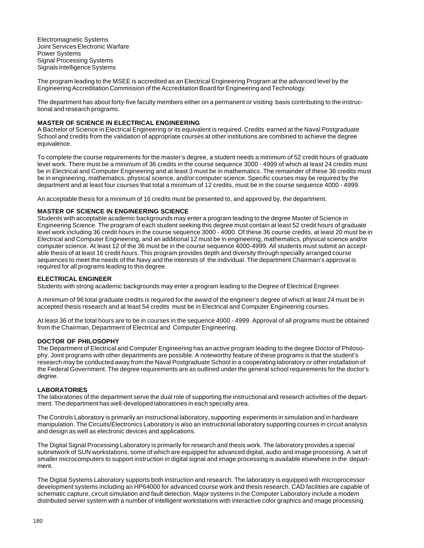Electromagnetic Systems Joint Services Electronic Warfare Power Systems Signal Processing Systems Signals Intelligence Systems

The program leading to the MSEE is accredited as an Electrical Engineering Program at the advanced level by the Engineering Accreditation Commission of the Accreditation Board for Engineering and Technology.

The department has about forty-five faculty members either on a permanent or visiting basis contributing to the instructional and research programs.

#### **MASTER OF SCIENCE IN ELECTRICAL ENGINEERING**

A Bachelor of Science in Electrical Engineering or its equivalent is required. Credits earned at the Naval Postgraduate School and credits from the validation of appropriate courses at other institutions are combined to achieve the degree equivalence.

To complete the course requirements for the master's degree, a student needs a minimum of 52 credit hours of graduate level work. There must be a minimum of 36 credits in the course sequence 3000 - 4999 of which at least 24 credits must be in Electrical and Computer Engineering and at least 3 must be in mathematics. The remainder of these 36 credits must be in engineering, mathematics, physical science, and/or computer science. Specific courses may be required by the department and at least four courses that total a minimum of 12 credits, must be in the course sequence 4000 - 4999.

An acceptable thesis for a minimum of 16 credits must be presented to, and approved by, the department.

#### **MASTER OF SCIENCE IN ENGINEERING SCIENCE**

Students with acceptable academic backgrounds may enter a program leading to the degree Master of Science in Engineering Science. The program of each student seeking this degree must contain at least 52 credit hours of graduate level work including 36 credit hours in the course sequence 3000 - 4000. Of these 36 course credits, at least 20 must be in Electrical and Computer Engineering, and an additional 12 must be in engineering, mathematics, physical science and/or computer science. At least 12 of the 36 must be in the course sequence 4000-4999. All students must submit an acceptable thesis of at least 16 credit hours. This program provides depth and diversity through specially arranged course sequences to meet the needs of the Navy and the interests of the individual. The department Chairman's approval is required for all programs leading to this degree.

#### **ELECTRICAL ENGINEER**

Students with strong academic backgrounds may enter a program leading to the Degree of Electrical Engineer.

A minimum of 96 total graduate credits is required for the award of the engineer's degree of which at least 24 must be in accepted thesis research and at least 54 credits must be in Electrical and Computer Engineering courses.

At least 36 of the total hours are to be in courses in the sequence 4000 - 4999. Approval of all programs must be obtained from the Chairman, Department of Electrical and Computer Engineering.

#### **DOCTOR OF PHILOSOPHY**

The Department of Electrical and Computer Engineering has an active program leading to the degree Doctor of Philosophy. Joint programs with other departments are possible. A noteworthy feature of these programs is that the student's research may be conducted away from the Naval Postgraduate School in a cooperating laboratory or other installation of the Federal Government. The degree requirements are as outlined under the general school requirements for the doctor's degree.

#### **LABORATORIES**

The laboratories of the department serve the dual role of supporting the instructional and research activities of the department. The department has well-developed laboratories in each specialty area.

The Controls Laboratory is primarily an instructional laboratory, supporting experiments in simulation and in hardware manipulation. The Circuits/Electronics Laboratory is also an instructional laboratory supporting courses in circuit analysis and design as well as electronic devices and applications.

The Digital Signal Processing Laboratory is primarily for research and thesis work. The laboratory provides a special subnetwork of SUN workstations, some of which are equipped for advanced digital, audio and image processing. A set of smaller microcomputers to support instruction in digital signal and image processing is available elsewhere in the department.

The Digital Systems Laboratory supports both instruction and research. The laboratory is equipped with microprocessor development systems including an HP64000 for advanced course work and thesis research. CAD facilities are capable of schematic capture, circuit simulation and fault detection. Major systems in the Computer Laboratory include a modem distributed server system with a number of intelligent workstations with interactive color graphics and image processing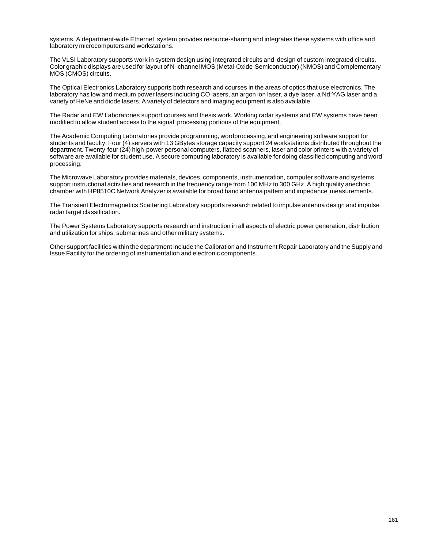systems. A department-wide Ethernet system provides resource-sharing and integrates these systems with office and laboratory microcomputers and workstations.

The VLSI Laboratory supports work in system design using integrated circuits and design of custom integrated circuits. Color graphic displays are used for layout of N- channel MOS (Metal-Oxide-Semiconductor) (NMOS) and Complementary MOS (CMOS) circuits.

The Optical Electronics Laboratory supports both research and courses in the areas of optics that use electronics. The laboratory has low and medium power lasers including CO lasers, an argon ion laser, a dye laser, a Nd:YAG laser and a variety of HeNe and diode lasers. A variety of detectors and imaging equipment is also available.

The Radar and EW Laboratories support courses and thesis work. Working radar systems and EW systems have been modified to allow student access to the signal processing portions of the equipment.

The Academic Computing Laboratories provide programming, wordprocessing, and engineering software support for students and faculty. Four (4) servers with 13 GBytes storage capacity support 24 workstations distributed throughout the department. Twenty-four (24) high-power personal computers, flatbed scanners, laser and color printers with a variety of software are available for student use. A secure computing laboratory is available for doing classified computing and word processing.

The Microwave Laboratory provides materials, devices, components, instrumentation, computer software and systems support instructional activities and research in the frequency range from 100 MHz to 300 GHz. A high quality anechoic chamber with HP8510C Network Analyzer is available for broad band antenna pattern and impedance measurements.

The Transient Electromagnetics Scattering Laboratory supports research related to impulse antenna design and impulse radar target classification.

The Power Systems Laboratory supports research and instruction in all aspects of electric power generation, distribution and utilization for ships, submarines and other military systems.

Other support facilities within the department include the Calibration and Instrument Repair Laboratory and the Supply and Issue Facility for the ordering of instrumentation and electronic components.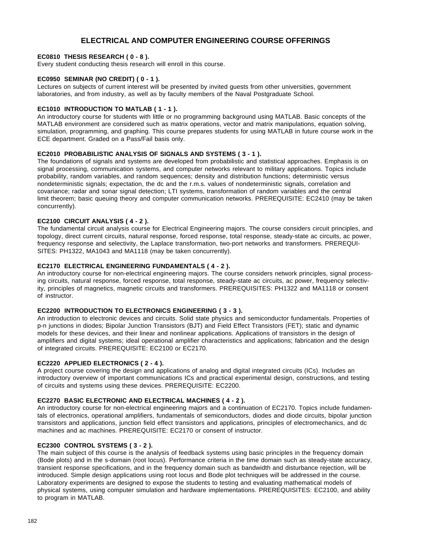# **ELECTRICAL AND COMPUTER ENGINEERING COURSE OFFERINGS**

### **EC0810 THESIS RESEARCH ( 0 - 8 ).**

Every student conducting thesis research will enroll in this course.

### **EC0950 SEMINAR (NO CREDIT) ( 0 - 1 ).**

Lectures on subjects of current interest will be presented by invited guests from other universities, government laboratories, and from industry, as well as by faculty members of the Naval Postgraduate School.

### **EC1010 INTRODUCTION TO MATLAB ( 1 - 1 ).**

An introductory course for students with little or no programming background using MATLAB. Basic concepts of the MATLAB environment are considered such as matrix operations, vector and matrix manipulations, equation solving, simulation, programming, and graphing. This course prepares students for using MATLAB in future course work in the ECE department. Graded on a Pass/Fail basis only.

### **EC2010 PROBABILISTIC ANALYSIS OF SIGNALS AND SYSTEMS ( 3 - 1 ).**

The foundations of signals and systems are developed from probabilistic and statistical approaches. Emphasis is on signal processing, communication systems, and computer networks relevant to military applications. Topics include probability, random variables, and random sequences; density and distribution functions; deterministic versus nondeterministic signals; expectation, the dc and the r.m.s. values of nondeterministic signals, correlation and covariance; radar and sonar signal detection; LTI systems, transformation of random variables and the central limit theorem; basic queuing theory and computer communication networks. PREREQUISITE: EC2410 (may be taken concurrently).

### **EC2100 CIRCUIT ANALYSIS ( 4 - 2 ).**

The fundamental circuit analysis course for Electrical Engineering majors. The course considers circuit principles, and topology, direct current circuits, natural response, forced response, total response, steady-state ac circuits, ac power, frequency response and selectivity, the Laplace transformation, two-port networks and transformers. PREREQUI-SITES: PH1322, MA1043 and MA1118 (may be taken concurrently).

### **EC2170 ELECTRICAL ENGINEERING FUNDAMENTALS ( 4 - 2 ).**

An introductory course for non-electrical engineering majors. The course considers network principles, signal processing circuits, natural response, forced response, total response, steady-state ac circuits, ac power, frequency selectivity, principles of magnetics, magnetic circuits and transformers. PREREQUISITES: PH1322 and MA1118 or consent of instructor.

#### **EC2200 INTRODUCTION TO ELECTRONICS ENGINEERING ( 3 - 3 ).**

An introduction to electronic devices and circuits. Solid state physics and semiconductor fundamentals. Properties of p-n junctions in diodes; Bipolar Junction Transistors (BJT) and Field Effect Transistors (FET); static and dynamic models for these devices, and their linear and nonlinear applications. Applications of transistors in the design of amplifiers and digital systems; ideal operational amplifier characteristics and applications; fabrication and the design of integrated circuits. PREREQUISITE: EC2100 or EC2170.

#### **EC2220 APPLIED ELECTRONICS ( 2 - 4 ).**

A project course covering the design and applications of analog and digital integrated circuits (ICs). Includes an introductory overview of important communications ICs and practical experimental design, constructions, and testing of circuits and systems using these devices. PREREQUISITE: EC2200.

### **EC2270 BASIC ELECTRONIC AND ELECTRICAL MACHINES ( 4 - 2 ).**

An introductory course for non-electrical engineering majors and a continuation of EC2170. Topics include fundamentals of electronics, operational amplifiers, fundamentals of semiconductors, diodes and diode circuits, bipolar junction transistors and applications, junction field effect transistors and applications, principles of electromechanics, and dc machines and ac machines. PREREQUISITE: EC2170 or consent of instructor.

## **EC2300 CONTROL SYSTEMS ( 3 - 2 ).**

The main subject of this course is the analysis of feedback systems using basic principles in the frequency domain (Bode plots) and in the s-domain (root locus). Performance criteria in the time domain such as steady-state accuracy, transient response specifications, and in the frequency domain such as bandwidth and disturbance rejection, will be introduced. Simple design applications using root locus and Bode plot techniques will be addressed in the course. Laboratory experiments are designed to expose the students to testing and evaluating mathematical models of physical systems, using computer simulation and hardware implementations. PREREQUISITES: EC2100, and ability to program in MATLAB.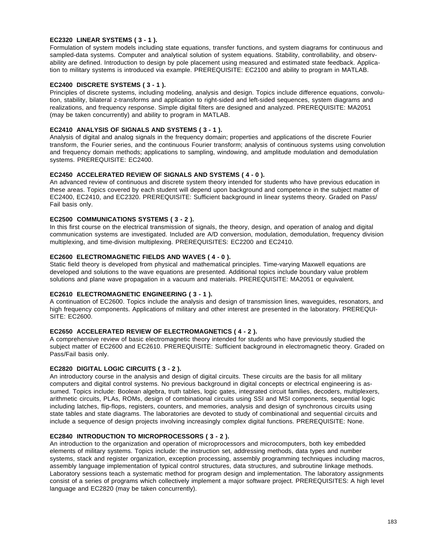### **EC2320 LINEAR SYSTEMS ( 3 - 1 ).**

Formulation of system models including state equations, transfer functions, and system diagrams for continuous and sampled-data systems. Computer and analytical solution of system equations. Stability, controllability, and observability are defined. Introduction to design by pole placement using measured and estimated state feedback. Application to military systems is introduced via example. PREREQUISITE: EC2100 and ability to program in MATLAB.

# **EC2400 DISCRETE SYSTEMS ( 3 - 1 ).**

Principles of discrete systems, including modeling, analysis and design. Topics include difference equations, convolution, stability, bilateral z-transforms and application to right-sided and left-sided sequences, system diagrams and realizations, and frequency response. Simple digital filters are designed and analyzed. PREREQUISITE: MA2051 (may be taken concurrently) and ability to program in MATLAB.

### **EC2410 ANALYSIS OF SIGNALS AND SYSTEMS ( 3 - 1 ).**

Analysis of digital and analog signals in the frequency domain; properties and applications of the discrete Fourier transform, the Fourier series, and the continuous Fourier transform; analysis of continuous systems using convolution and frequency domain methods; applications to sampling, windowing, and amplitude modulation and demodulation systems. PREREQUISITE: EC2400.

### **EC2450 ACCELERATED REVIEW OF SIGNALS AND SYSTEMS ( 4 - 0 ).**

An advanced review of continuous and discrete system theory intended for students who have previous education in these areas. Topics covered by each student will depend upon background and competence in the subject matter of EC2400, EC2410, and EC2320. PREREQUISITE: Sufficient background in linear systems theory. Graded on Pass/ Fail basis only.

### **EC2500 COMMUNICATIONS SYSTEMS ( 3 - 2 ).**

In this first course on the electrical transmission of signals, the theory, design, and operation of analog and digital communication systems are investigated. Included are A/D conversion, modulation, demodulation, frequency division multiplexing, and time-division multiplexing. PREREQUISITES: EC2200 and EC2410.

### **EC2600 ELECTROMAGNETIC FIELDS AND WAVES ( 4 - 0 ).**

Static field theory is developed from physical and mathematical principles. Time-varying Maxwell equations are developed and solutions to the wave equations are presented. Additional topics include boundary value problem solutions and plane wave propagation in a vacuum and materials. PREREQUISITE: MA2051 or equivalent.

## **EC2610 ELECTROMAGNETIC ENGINEERING ( 3 - 1 ).**

A continuation of EC2600. Topics include the analysis and design of transmission lines, waveguides, resonators, and high frequency components. Applications of military and other interest are presented in the laboratory. PREREQUI-SITE: EC2600.

### **EC2650 ACCELERATED REVIEW OF ELECTROMAGNETICS ( 4 - 2 ).**

A comprehensive review of basic electromagnetic theory intended for students who have previously studied the subject matter of EC2600 and EC2610. PREREQUISITE: Sufficient background in electromagnetic theory. Graded on Pass/Fail basis only.

## **EC2820 DIGITAL LOGIC CIRCUITS ( 3 - 2 ).**

An introductory course in the analysis and design of digital circuits. These circuits are the basis for all military computers and digital control systems. No previous background in digital concepts or electrical engineering is assumed. Topics include: Boolean algebra, truth tables, logic gates, integrated circuit families, decoders, multiplexers, arithmetic circuits, PLAs, ROMs, design of combinational circuits using SSI and MSI components, sequential logic including latches, flip-flops, registers, counters, and memories, analysis and design of synchronous circuits using state tables and state diagrams. The laboratories are devoted to study of combinational and sequential circuits and include a sequence of design projects involving increasingly complex digital functions. PREREQUISITE: None.

#### **EC2840 INTRODUCTION TO MICROPROCESSORS ( 3 - 2 ).**

An introduction to the organization and operation of microprocessors and microcomputers, both key embedded elements of military systems. Topics include: the instruction set, addressing methods, data types and number systems, stack and register organization, exception processing, assembly programming techniques including macros, assembly language implementation of typical control structures, data structures, and subroutine linkage methods. Laboratory sessions teach a systematic method for program design and implementation. The laboratory assignments consist of a series of programs which collectively implement a major software project. PREREQUISITES: A high level language and EC2820 (may be taken concurrently).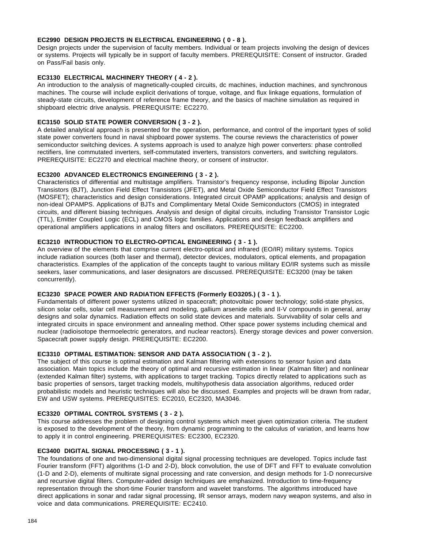### **EC2990 DESIGN PROJECTS IN ELECTRICAL ENGINEERING ( 0 - 8 ).**

Design projects under the supervision of faculty members. Individual or team projects involving the design of devices or systems. Projects will typically be in support of faculty members. PREREQUISITE: Consent of instructor. Graded on Pass/Fail basis only.

### **EC3130 ELECTRICAL MACHINERY THEORY ( 4 - 2 ).**

An introduction to the analysis of magnetically-coupled circuits, dc machines, induction machines, and synchronous machines. The course will include explicit derivations of torque, voltage, and flux linkage equations, formulation of steady-state circuits, development of reference frame theory, and the basics of machine simulation as required in shipboard electric drive analysis. PREREQUISITE: EC2270.

### **EC3150 SOLID STATE POWER CONVERSION ( 3 - 2 ).**

A detailed analytical approach is presented for the operation, performance, and control of the important types of solid state power converters found in naval shipboard power systems. The course reviews the characteristics of power semiconductor switching devices. A systems approach is used to analyze high power converters: phase controlled rectifiers, line commutated inverters, self-commutated inverters, transistors converters, and switching regulators. PREREQUISITE: EC2270 and electrical machine theory, or consent of instructor.

### **EC3200 ADVANCED ELECTRONICS ENGINEERING ( 3 - 2 ).**

Characteristics of differential and multistage amplifiers. Transistor's frequency response, including Bipolar Junction Transistors (BJT), Junction Field Effect Transistors (JFET), and Metal Oxide Semiconductor Field Effect Transistors (MOSFET); characteristics and design considerations. Integrated circuit OPAMP applications; analysis and design of non-ideal OPAMPS. Applications of BJTs and Complimentary Metal Oxide Semiconductors (CMOS) in integrated circuits, and different biasing techniques. Analysis and design of digital circuits, including Transistor Transistor Logic (TTL), Emitter Coupled Logic (ECL) and CMOS logic families. Applications and design feedback amplifiers and operational amplifiers applications in analog filters and oscillators. PREREQUISITE: EC2200.

# **EC3210 INTRODUCTION TO ELECTRO-OPTICAL ENGINEERING ( 3 - 1 ).**

An overview of the elements that comprise current electro-optical and infrared (EO/IR) military systems. Topics include radiation sources (both laser and thermal), detector devices, modulators, optical elements, and propagation characteristics. Examples of the application of the concepts taught to various military EO/IR systems such as missile seekers, laser communications, and laser designators are discussed. PREREQUISITE: EC3200 (may be taken concurrently).

#### **EC3230 SPACE POWER AND RADIATION EFFECTS (Formerly EO3205.) ( 3 - 1 ).**

Fundamentals of different power systems utilized in spacecraft; photovoltaic power technology; solid-state physics, silicon solar cells, solar cell measurement and modeling, gallium arsenide cells and II-V compounds in general, array designs and solar dynamics. Radiation effects on solid state devices and materials. Survivability of solar cells and integrated circuits in space environment and annealing method. Other space power systems including chemical and nuclear (radioisotope thermoelectric generators, and nuclear reactors). Energy storage devices and power conversion. Spacecraft power supply design. PREREQUISITE: EC2200.

#### **EC3310 OPTIMAL ESTIMATION: SENSOR AND DATA ASSOCIATION ( 3 - 2 ).**

The subject of this course is optimal estimation and Kalman filtering with extensions to sensor fusion and data association. Main topics include the theory of optimal and recursive estimation in linear (Kalman filter) and nonlinear (extended Kalman filter) systems, with applications to target tracking. Topics directly related to applications such as basic properties of sensors, target tracking models, multihypothesis data association algorithms, reduced order probabilistic models and heuristic techniques will also be discussed. Examples and projects will be drawn from radar, EW and USW systems. PREREQUISITES: EC2010, EC2320, MA3046.

#### **EC3320 OPTIMAL CONTROL SYSTEMS ( 3 - 2 ).**

This course addresses the problem of designing control systems which meet given optimization criteria. The student is exposed to the development of the theory, from dynamic programming to the calculus of variation, and learns how to apply it in control engineering. PREREQUISITES: EC2300, EC2320.

#### **EC3400 DIGITAL SIGNAL PROCESSING ( 3 - 1 ).**

The foundations of one and two-dimensional digital signal processing techniques are developed. Topics include fast Fourier transform (FFT) algorithms (1-D and 2-D), block convolution, the use of DFT and FFT to evaluate convolution (1-D and 2-D), elements of multirate signal processing and rate conversion, and design methods for 1-D nonrecursive and recursive digital filters. Computer-aided design techniques are emphasized. Introduction to time-frequency representation through the short-time Fourier transform and wavelet transforms. The algorithms introduced have direct applications in sonar and radar signal processing, IR sensor arrays, modern navy weapon systems, and also in voice and data communications. PREREQUISITE: EC2410.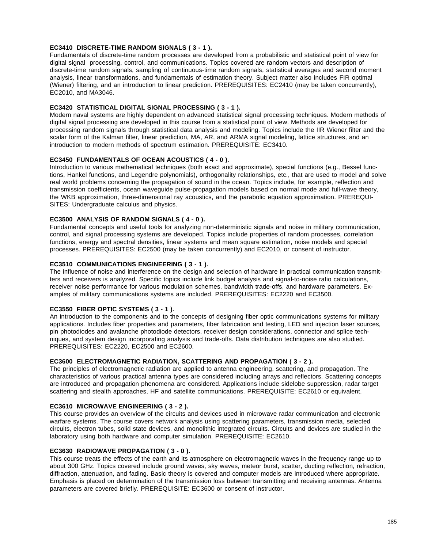### **EC3410 DISCRETE-TIME RANDOM SIGNALS ( 3 - 1 ).**

Fundamentals of discrete-time random processes are developed from a probabilistic and statistical point of view for digital signal processing, control, and communications. Topics covered are random vectors and description of discrete-time random signals, sampling of continuous-time random signals, statistical averages and second moment analysis, linear transformations, and fundamentals of estimation theory. Subject matter also includes FIR optimal (Wiener) filtering, and an introduction to linear prediction. PREREQUISITES: EC2410 (may be taken concurrently), EC2010, and MA3046.

### **EC3420 STATISTICAL DIGITAL SIGNAL PROCESSING ( 3 - 1 ).**

Modern naval systems are highly dependent on advanced statistical signal processing techniques. Modern methods of digital signal processing are developed in this course from a statistical point of view. Methods are developed for processing random signals through statistical data analysis and modeling. Topics include the IIR Wiener filter and the scalar form of the Kalman filter, linear prediction, MA, AR, and ARMA signal modeling, lattice structures, and an introduction to modern methods of spectrum estimation. PREREQUISITE: EC3410.

### **EC3450 FUNDAMENTALS OF OCEAN ACOUSTICS ( 4 - 0 ).**

Introduction to various mathematical techniques (both exact and approximate), special functions (e.g., Bessel functions, Hankel functions, and Legendre polynomials), orthogonality relationships, etc., that are used to model and solve real world problems concerning the propagation of sound in the ocean. Topics include, for example, reflection and transmission coefficients, ocean waveguide pulse-propagation models based on normal mode and full-wave theory, the WKB approximation, three-dimensional ray acoustics, and the parabolic equation approximation. PREREQUI-SITES: Undergraduate calculus and physics.

### **EC3500 ANALYSIS OF RANDOM SIGNALS ( 4 - 0 ).**

Fundamental concepts and useful tools for analyzing non-deterministic signals and noise in military communication, control, and signal processing systems are developed. Topics include properties of random processes, correlation functions, energy and spectral densities, linear systems and mean square estimation, noise models and special processes. PREREQUISITES: EC2500 (may be taken concurrently) and EC2010, or consent of instructor.

## **EC3510 COMMUNICATIONS ENGINEERING ( 3 - 1 ).**

The influence of noise and interference on the design and selection of hardware in practical communication transmitters and receivers is analyzed. Specific topics include link budget analysis and signal-to-noise ratio calculations, receiver noise performance for various modulation schemes, bandwidth trade-offs, and hardware parameters. Examples of military communications systems are included. PREREQUISITES: EC2220 and EC3500.

### **EC3550 FIBER OPTIC SYSTEMS ( 3 - 1 ).**

An introduction to the components and to the concepts of designing fiber optic communications systems for military applications. Includes fiber properties and parameters, fiber fabrication and testing, LED and injection laser sources, pin photodiodes and avalanche photodiode detectors, receiver design considerations, connector and splice techniques, and system design incorporating analysis and trade-offs. Data distribution techniques are also studied. PREREQUISITES: EC2220, EC2500 and EC2600.

### **EC3600 ELECTROMAGNETIC RADIATION, SCATTERING AND PROPAGATION ( 3 - 2 ).**

The principles of electromagnetic radiation are applied to antenna engineering, scattering, and propagation. The characteristics of various practical antenna types are considered including arrays and reflectors. Scattering concepts are introduced and propagation phenomena are considered. Applications include sidelobe suppression, radar target scattering and stealth approaches, HF and satellite communications. PREREQUISITE: EC2610 or equivalent.

#### **EC3610 MICROWAVE ENGINEERING ( 3 - 2 ).**

This course provides an overview of the circuits and devices used in microwave radar communication and electronic warfare systems. The course covers network analysis using scattering parameters, transmission media, selected circuits, electron tubes, solid state devices, and monolithic integrated circuits. Circuits and devices are studied in the laboratory using both hardware and computer simulation. PREREQUISITE: EC2610.

#### **EC3630 RADIOWAVE PROPAGATION ( 3 - 0 ).**

This course treats the effects of the earth and its atmosphere on electromagnetic waves in the frequency range up to about 300 GHz. Topics covered include ground waves, sky waves, meteor burst, scatter, ducting reflection, refraction, diffraction, attenuation, and fading. Basic theory is covered and computer models are introduced where appropriate. Emphasis is placed on determination of the transmission loss between transmitting and receiving antennas. Antenna parameters are covered briefly. PREREQUISITE: EC3600 or consent of instructor.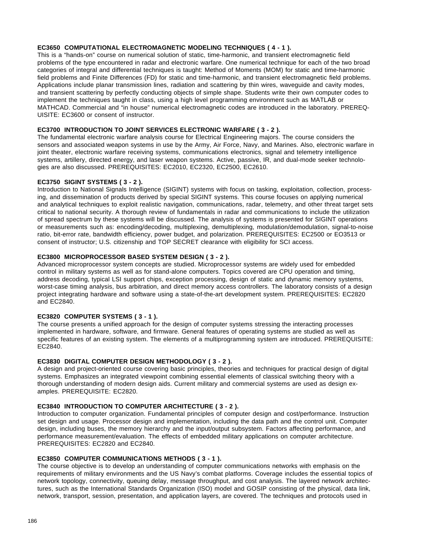### **EC3650 COMPUTATIONAL ELECTROMAGNETIC MODELING TECHNIQUES ( 4 - 1 ).**

This is a "hands-on" course on numerical solution of static, time-harmonic, and transient electromagnetic field problems of the type encountered in radar and electronic warfare. One numerical technique for each of the two broad categories of integral and differential techniques is taught: Method of Moments (MOM) for static and time-harmonic field problems and Finite Differences (FD) for static and time-harmonic, and transient electromagnetic field problems. Applications include planar transmission lines, radiation and scattering by thin wires, waveguide and cavity modes, and transient scattering by perfectly conducting objects of simple shape. Students write their own computer codes to implement the techniques taught in class, using a high level programming environment such as MATLAB or MATHCAD. Commercial and "in house" numerical electromagnetic codes are introduced in the laboratory. PREREQ-UISITE: EC3600 or consent of instructor.

### **EC3700 INTRODUCTION TO JOINT SERVICES ELECTRONIC WARFARE ( 3 - 2 ).**

The fundamental electronic warfare analysis course for Electrical Engineering majors. The course considers the sensors and associated weapon systems in use by the Army, Air Force, Navy, and Marines. Also, electronic warfare in joint theater, electronic warfare receiving systems, communications electronics, signal and telemetry intelligence systems, artillery, directed energy, and laser weapon systems. Active, passive, IR, and dual-mode seeker technologies are also discussed. PREREQUISITES: EC2010, EC2320, EC2500, EC2610.

### **EC3750 SIGINT SYSTEMS ( 3 - 2 ).**

Introduction to National Signals Intelligence (SIGINT) systems with focus on tasking, exploitation, collection, processing, and dissemination of products derived by special SIGINT systems. This course focuses on applying numerical and analytical techniques to exploit realistic navigation, communications, radar, telemetry, and other threat target sets critical to national security. A thorough review of fundamentals in radar and communications to include the utilization of spread spectrum by these systems will be discussed. The analysis of systems is presented for SIGINT operations or measurements such as: encoding/decoding, multiplexing, demultiplexing, modulation/demodulation, signal-to-noise ratio, bit-error rate, bandwidth efficiency, power budget, and polarization. PREREQUISITES: EC2500 or EO3513 or consent of instructor; U.S. citizenship and TOP SECRET clearance with eligibility for SCI access.

### **EC3800 MICROPROCESSOR BASED SYSTEM DESIGN ( 3 - 2 ).**

Advanced microprocessor system concepts are studied. Microprocessor systems are widely used for embedded control in military systems as well as for stand-alone computers. Topics covered are CPU operation and timing, address decoding, typical LSI support chips, exception processing, design of static and dynamic memory systems, worst-case timing analysis, bus arbitration, and direct memory access controllers. The laboratory consists of a design project integrating hardware and software using a state-of-the-art development system. PREREQUISITES: EC2820 and EC2840.

### **EC3820 COMPUTER SYSTEMS ( 3 - 1 ).**

The course presents a unified approach for the design of computer systems stressing the interacting processes implemented in hardware, software, and firmware. General features of operating systems are studied as well as specific features of an existing system. The elements of a multiprogramming system are introduced. PREREQUISITE: EC2840.

#### **EC3830 DIGITAL COMPUTER DESIGN METHODOLOGY ( 3 - 2 ).**

A design and project-oriented course covering basic principles, theories and techniques for practical design of digital systems. Emphasizes an integrated viewpoint combining essential elements of classical switching theory with a thorough understanding of modern design aids. Current military and commercial systems are used as design examples. PREREQUISITE: EC2820.

#### **EC3840 INTRODUCTION TO COMPUTER ARCHITECTURE ( 3 - 2 ).**

Introduction to computer organization. Fundamental principles of computer design and cost/performance. Instruction set design and usage. Processor design and implementation, including the data path and the control unit. Computer design, including buses, the memory hierarchy and the input/output subsystem. Factors affecting performance, and performance measurement/evaluation. The effects of embedded military applications on computer architecture. PREREQUISITES: EC2820 and EC2840.

#### **EC3850 COMPUTER COMMUNICATIONS METHODS ( 3 - 1 ).**

The course objective is to develop an understanding of computer communications networks with emphasis on the requirements of military environments and the US Navy's combat platforms. Coverage includes the essential topics of network topology, connectivity, queuing delay, message throughput, and cost analysis. The layered network architectures, such as the International Standards Organization (ISO) model and GOSIP consisting of the physical, data link, network, transport, session, presentation, and application layers, are covered. The techniques and protocols used in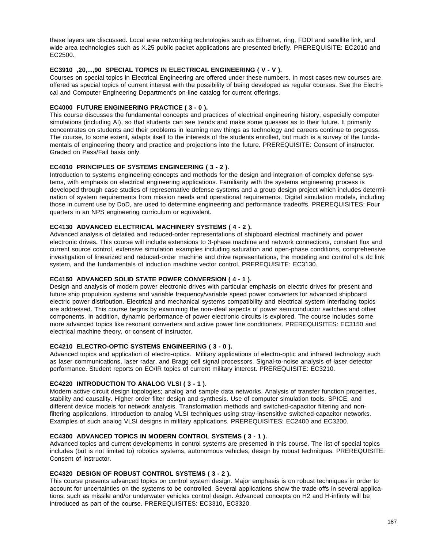these layers are discussed. Local area networking technologies such as Ethernet, ring, FDDI and satellite link, and wide area technologies such as X.25 public packet applications are presented briefly. PREREQUISITE: EC2010 and EC2500.

## **EC3910 ,20,...,90 SPECIAL TOPICS IN ELECTRICAL ENGINEERING ( V - V ).**

Courses on special topics in Electrical Engineering are offered under these numbers. In most cases new courses are offered as special topics of current interest with the possibility of being developed as regular courses. See the Electrical and Computer Engineering Department's on-line catalog for current offerings.

### **EC4000 FUTURE ENGINEERING PRACTICE ( 3 - 0 ).**

This course discusses the fundamental concepts and practices of electrical engineering history, especially computer simulations (including AI), so that students can see trends and make some guesses as to their future. It primarily concentrates on students and their problems in learning new things as technology and careers continue to progress. The course, to some extent, adapts itself to the interests of the students enrolled, but much is a survey of the fundamentals of engineering theory and practice and projections into the future. PREREQUISITE: Consent of instructor. Graded on Pass/Fail basis only.

### **EC4010 PRINCIPLES OF SYSTEMS ENGINEERING ( 3 - 2 ).**

Introduction to systems engineering concepts and methods for the design and integration of complex defense systems, with emphasis on electrical engineering applications. Familiarity with the systems engineering process is developed through case studies of representative defense systems and a group design project which includes determination of system requirements from mission needs and operational requirements. Digital simulation models, including those in current use by DoD, are used to determine engineering and performance tradeoffs. PREREQUISITES: Four quarters in an NPS engineering curriculum or equivalent.

### **EC4130 ADVANCED ELECTRICAL MACHINERY SYSTEMS ( 4 - 2 ).**

Advanced analysis of detailed and reduced-order representations of shipboard electrical machinery and power electronic drives. This course will include extensions to 3-phase machine and network connections, constant flux and current source control, extensive simulation examples including saturation and open-phase conditions, comprehensive investigation of linearized and reduced-order machine and drive representations, the modeling and control of a dc link system, and the fundamentals of induction machine vector control. PREREQUISITE: EC3130.

### **EC4150 ADVANCED SOLID STATE POWER CONVERSION ( 4 - 1 ).**

Design and analysis of modern power electronic drives with particular emphasis on electric drives for present and future ship propulsion systems and variable frequency/variable speed power converters for advanced shipboard electric power distribution. Electrical and mechanical systems compatibility and electrical system interfacing topics are addressed. This course begins by examining the non-ideal aspects of power semiconductor switches and other components. In addition, dynamic performance of power electronic circuits is explored. The course includes some more advanced topics like resonant converters and active power line conditioners. PREREQUISITES: EC3150 and electrical machine theory, or consent of instructor.

#### **EC4210 ELECTRO-OPTIC SYSTEMS ENGINEERING ( 3 - 0 ).**

Advanced topics and application of electro-optics. Military applications of electro-optic and infrared technology such as laser communications, laser radar, and Bragg cell signal processors. Signal-to-noise analysis of laser detector performance. Student reports on EO/IR topics of current military interest. PREREQUISITE: EC3210.

### **EC4220 INTRODUCTION TO ANALOG VLSI ( 3 - 1 ).**

Modern active circuit design topologies; analog and sample data networks. Analysis of transfer function properties, stability and causality. Higher order filter design and synthesis. Use of computer simulation tools, SPICE, and different device models for network analysis. Transformation methods and switched-capacitor filtering and nonfiltering applications. Introduction to analog VLSI techniques using stray-insensitive switched-capacitor networks. Examples of such analog VLSI designs in military applications. PREREQUISITES: EC2400 and EC3200.

#### **EC4300 ADVANCED TOPICS IN MODERN CONTROL SYSTEMS ( 3 - 1 ).**

Advanced topics and current developments in control systems are presented in this course. The list of special topics includes (but is not limited to) robotics systems, autonomous vehicles, design by robust techniques. PREREQUISITE: Consent of instructor.

#### **EC4320 DESIGN OF ROBUST CONTROL SYSTEMS ( 3 - 2 ).**

This course presents advanced topics on control system design. Major emphasis is on robust techniques in order to account for uncertainties on the systems to be controlled. Several applications show the trade-offs in several applications, such as missile and/or underwater vehicles control design. Advanced concepts on H2 and H-infinity will be introduced as part of the course. PREREQUISITES: EC3310, EC3320.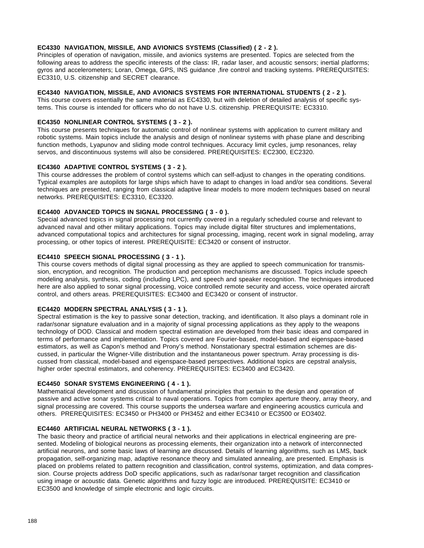## **EC4330 NAVIGATION, MISSILE, AND AVIONICS SYSTEMS (Classified) ( 2 - 2 ).**

Principles of operation of navigation, missile, and avionics systems are presented. Topics are selected from the following areas to address the specific interests of the class: IR, radar laser, and acoustic sensors; inertial platforms; gyros and accelerometers; Loran, Omega, GPS, INS guidance ,fire control and tracking systems. PREREQUISITES: EC3310, U.S. citizenship and SECRET clearance.

### **EC4340 NAVIGATION, MISSILE, AND AVIONICS SYSTEMS FOR INTERNATIONAL STUDENTS ( 2 - 2 ).**

This course covers essentially the same material as EC4330, but with deletion of detailed analysis of specific systems. This course is intended for officers who do not have U.S. citizenship. PREREQUISITE: EC3310.

## **EC4350 NONLINEAR CONTROL SYSTEMS ( 3 - 2 ).**

This course presents techniques for automatic control of nonlinear systems with application to current military and robotic systems. Main topics include the analysis and design of nonlinear systems with phase plane and describing function methods, Lyapunov and sliding mode control techniques. Accuracy limit cycles, jump resonances, relay servos, and discontinuous systems will also be considered. PREREQUISITES: EC2300, EC2320.

#### **EC4360 ADAPTIVE CONTROL SYSTEMS ( 3 - 2 ).**

This course addresses the problem of control systems which can self-adjust to changes in the operating conditions. Typical examples are autopilots for large ships which have to adapt to changes in load and/or sea conditions. Several techniques are presented, ranging from classical adaptive linear models to more modern techniques based on neural networks. PREREQUISITES: EC3310, EC3320.

#### **EC4400 ADVANCED TOPICS IN SIGNAL PROCESSING ( 3 - 0 ).**

Special advanced topics in signal processing not currently covered in a regularly scheduled course and relevant to advanced naval and other military applications. Topics may include digital filter structures and implementations, advanced computational topics and architectures for signal processing, imaging, recent work in signal modeling, array processing, or other topics of interest. PREREQUISITE: EC3420 or consent of instructor.

### **EC4410 SPEECH SIGNAL PROCESSING ( 3 - 1 ).**

This course covers methods of digital signal processing as they are applied to speech communication for transmission, encryption, and recognition. The production and perception mechanisms are discussed. Topics include speech modeling analysis, synthesis, coding (including LPC), and speech and speaker recognition. The techniques introduced here are also applied to sonar signal processing, voice controlled remote security and access, voice operated aircraft control, and others areas. PREREQUISITES: EC3400 and EC3420 or consent of instructor.

### **EC4420 MODERN SPECTRAL ANALYSIS ( 3 - 1 ).**

Spectral estimation is the key to passive sonar detection, tracking, and identification. It also plays a dominant role in radar/sonar signature evaluation and in a majority of signal processing applications as they apply to the weapons technology of DOD. Classical and modern spectral estimation are developed from their basic ideas and compared in terms of performance and implementation. Topics covered are Fourier-based, model-based and eigenspace-based estimators, as well as Capon's method and Prony's method. Nonstationary spectral estimation schemes are discussed, in particular the Wigner-Ville distribution and the instantaneous power spectrum. Array processing is discussed from classical, model-based and eigenspace-based perspectives. Additional topics are cepstral analysis, higher order spectral estimators, and coherency. PREREQUISITES: EC3400 and EC3420.

#### **EC4450 SONAR SYSTEMS ENGINEERING ( 4 - 1 ).**

Mathematical development and discussion of fundamental principles that pertain to the design and operation of passive and active sonar systems critical to naval operations. Topics from complex aperture theory, array theory, and signal processing are covered. This course supports the undersea warfare and engineering acoustics curricula and others. PREREQUISITES: EC3450 or PH3400 or PH3452 and either EC3410 or EC3500 or EO3402.

#### **EC4460 ARTIFICIAL NEURAL NETWORKS ( 3 - 1 ).**

The basic theory and practice of artificial neural networks and their applications in electrical engineering are presented. Modeling of biological neurons as processing elements, their organization into a network of interconnected artificial neurons, and some basic laws of learning are discussed. Details of learning algorithms, such as LMS, back propagation, self-organizing map, adaptive resonance theory and simulated annealing, are presented. Emphasis is placed on problems related to pattern recognition and classification, control systems, optimization, and data compression. Course projects address DoD specific applications, such as radar/sonar target recognition and classification using image or acoustic data. Genetic algorithms and fuzzy logic are introduced. PREREQUISITE: EC3410 or EC3500 and knowledge of simple electronic and logic circuits.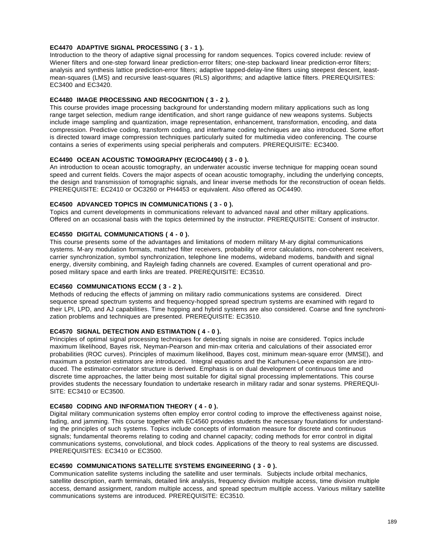## **EC4470 ADAPTIVE SIGNAL PROCESSING ( 3 - 1 ).**

Introduction to the theory of adaptive signal processing for random sequences. Topics covered include: review of Wiener filters and one-step forward linear prediction-error filters; one-step backward linear prediction-error filters; analysis and synthesis lattice prediction-error filters; adaptive tapped-delay-line filters using steepest descent, leastmean-squares (LMS) and recursive least-squares (RLS) algorithms; and adaptive lattice filters. PREREQUISITES: EC3400 and EC3420.

### **EC4480 IMAGE PROCESSING AND RECOGNITION ( 3 - 2 ).**

This course provides image processing background for understanding modern military applications such as long range target selection, medium range identification, and short range guidance of new weapons systems. Subjects include image sampling and quantization, image representation, enhancement, transformation, encoding, and data compression. Predictive coding, transform coding, and interframe coding techniques are also introduced. Some effort is directed toward image compression techniques particularly suited for multimedia video conferencing. The course contains a series of experiments using special peripherals and computers. PREREQUISITE: EC3400.

## **EC4490 OCEAN ACOUSTIC TOMOGRAPHY (EC/OC4490) ( 3 - 0 ).**

An introduction to ocean acoustic tomography, an underwater acoustic inverse technique for mapping ocean sound speed and current fields. Covers the major aspects of ocean acoustic tomography, including the underlying concepts, the design and transmission of tomographic signals, and linear inverse methods for the reconstruction of ocean fields. PREREQUISITE: EC2410 or OC3260 or PH4453 or equivalent. Also offered as OC4490.

#### **EC4500 ADVANCED TOPICS IN COMMUNICATIONS ( 3 - 0 ).**

Topics and current developments in communications relevant to advanced naval and other military applications. Offered on an occasional basis with the topics determined by the instructor. PREREQUISITE: Consent of instructor.

### **EC4550 DIGITAL COMMUNICATIONS ( 4 - 0 ).**

This course presents some of the advantages and limitations of modern military M-ary digital communications systems. M-ary modulation formats, matched filter receivers, probability of error calculations, non-coherent receivers, carrier synchronization, symbol synchronization, telephone line modems, wideband modems, bandwith and signal energy, diversity combining, and Rayleigh fading channels are covered. Examples of current operational and proposed military space and earth links are treated. PREREQUISITE: EC3510.

#### **EC4560 COMMUNICATIONS ECCM ( 3 - 2 ).**

Methods of reducing the effects of jamming on military radio communications systems are considered. Direct sequence spread spectrum systems and frequency-hopped spread spectrum systems are examined with regard to their LPI, LPD, and AJ capabilities. Time hopping and hybrid systems are also considered. Coarse and fine synchronization problems and techniques are presented. PREREQUISITE: EC3510.

### **EC4570 SIGNAL DETECTION AND ESTIMATION ( 4 - 0 ).**

Principles of optimal signal processing techniques for detecting signals in noise are considered. Topics include maximum likelihood, Bayes risk, Neyman-Pearson and min-max criteria and calculations of their associated error probabilities (ROC curves). Principles of maximum likelihood, Bayes cost, minimum mean-square error (MMSE), and maximum a posteriori estimators are introduced. Integral equations and the Karhunen-Loeve expansion are introduced. The estimator-correlator structure is derived. Emphasis is on dual development of continuous time and discrete time approaches, the latter being most suitable for digital signal processing implementations. This course provides students the necessary foundation to undertake research in military radar and sonar systems. PREREQUI-SITE: EC3410 or EC3500.

#### **EC4580 CODING AND INFORMATION THEORY ( 4 - 0 ).**

Digital military communication systems often employ error control coding to improve the effectiveness against noise, fading, and jamming. This course together with EC4560 provides students the necessary foundations for understanding the principles of such systems. Topics include concepts of information measure for discrete and continuous signals; fundamental theorems relating to coding and channel capacity; coding methods for error control in digital communications systems, convolutional, and block codes. Applications of the theory to real systems are discussed. PREREQUISITES: EC3410 or EC3500.

#### **EC4590 COMMUNICATIONS SATELLITE SYSTEMS ENGINEERING ( 3 - 0 ).**

Communication satellite systems including the satellite and user terminals. Subjects include orbital mechanics, satellite description, earth terminals, detailed link analysis, frequency division multiple access, time division multiple access, demand assignment, random multiple access, and spread spectrum multiple access. Various military satellite communications systems are introduced. PREREQUISITE: EC3510.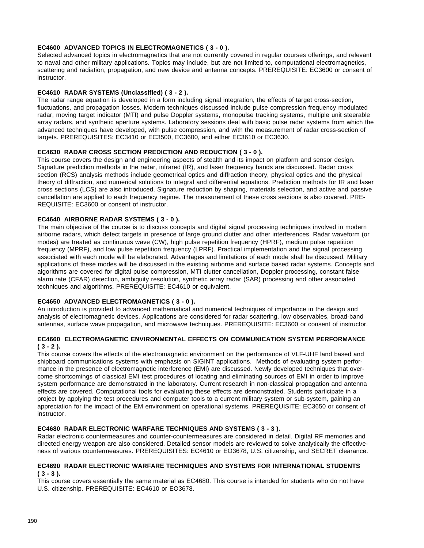### **EC4600 ADVANCED TOPICS IN ELECTROMAGNETICS ( 3 - 0 ).**

Selected advanced topics in electromagnetics that are not currently covered in regular courses offerings, and relevant to naval and other military applications. Topics may include, but are not limited to, computational electromagnetics, scattering and radiation, propagation, and new device and antenna concepts. PREREQUISITE: EC3600 or consent of instructor.

### **EC4610 RADAR SYSTEMS (Unclassified) ( 3 - 2 ).**

The radar range equation is developed in a form including signal integration, the effects of target cross-section, fluctuations, and propagation losses. Modern techniques discussed include pulse compression frequency modulated radar, moving target indicator (MTI) and pulse Doppler systems, monopulse tracking systems, multiple unit steerable array radars, and synthetic aperture systems. Laboratory sessions deal with basic pulse radar systems from which the advanced techniques have developed, with pulse compression, and with the measurement of radar cross-section of targets. PREREQUISITES: EC3410 or EC3500, EC3600, and either EC3610 or EC3630.

### **EC4630 RADAR CROSS SECTION PREDICTION AND REDUCTION ( 3 - 0 ).**

This course covers the design and engineering aspects of stealth and its impact on platform and sensor design. Signature prediction methods in the radar, infrared (IR), and laser frequency bands are discussed. Radar cross section (RCS) analysis methods include geometrical optics and diffraction theory, physical optics and the physical theory of diffraction, and numerical solutions to integral and differential equations. Prediction methods for IR and laser cross sections (LCS) are also introduced. Signature reduction by shaping, materials selection, and active and passive cancellation are applied to each frequency regime. The measurement of these cross sections is also covered. PRE-REQUISITE: EC3600 or consent of instructor.

#### **EC4640 AIRBORNE RADAR SYSTEMS ( 3 - 0 ).**

The main objective of the course is to discuss concepts and digital signal processing techniques involved in modern airborne radars, which detect targets in presence of large ground clutter and other interferences. Radar waveform (or modes) are treated as continuous wave (CW), high pulse repetition frequency (HPRF), medium pulse repetition frequency (MPRF), and low pulse repetition frequency (LPRF). Practical implementation and the signal processing associated with each mode will be elaborated. Advantages and limitations of each mode shall be discussed. Military applications of these modes will be discussed in the existing airborne and surface based radar systems. Concepts and algorithms are covered for digital pulse compression, MTI clutter cancellation, Doppler processing, constant false alarm rate (CFAR) detection, ambiguity resolution, synthetic array radar (SAR) processing and other associated techniques and algorithms. PREREQUISITE: EC4610 or equivalent.

### **EC4650 ADVANCED ELECTROMAGNETICS ( 3 - 0 ).**

An introduction is provided to advanced mathematical and numerical techniques of importance in the design and analysis of electromagnetic devices. Applications are considered for radar scattering, low observables, broad-band antennas, surface wave propagation, and microwave techniques. PREREQUISITE: EC3600 or consent of instructor.

### **EC4660 ELECTROMAGNETIC ENVIRONMENTAL EFFECTS ON COMMUNICATION SYSTEM PERFORMANCE ( 3 - 2 ).**

This course covers the effects of the electromagnetic environment on the performance of VLF-UHF land based and shipboard communications systems with emphasis on SIGINT applications. Methods of evaluating system performance in the presence of electromagnetic interference (EMI) are discussed. Newly developed techniques that overcome shortcomings of classical EMI test procedures of locating and eliminating sources of EMI in order to improve system performance are demonstrated in the laboratory. Current research in non-classical propagation and antenna effects are covered. Computational tools for evaluating these effects are demonstrated. Students participate in a project by applying the test procedures and computer tools to a current military system or sub-system, gaining an appreciation for the impact of the EM environment on operational systems. PREREQUISITE: EC3650 or consent of instructor.

## **EC4680 RADAR ELECTRONIC WARFARE TECHNIQUES AND SYSTEMS ( 3 - 3 ).**

Radar electronic countermeasures and counter-countermeasures are considered in detail. Digital RF memories and directed energy weapon are also considered. Detailed sensor models are reviewed to solve analytically the effectiveness of various countermeasures. PREREQUISITES: EC4610 or EO3678, U.S. citizenship, and SECRET clearance.

### **EC4690 RADAR ELECTRONIC WARFARE TECHNIQUES AND SYSTEMS FOR INTERNATIONAL STUDENTS ( 3 - 3 ).**

This course covers essentially the same material as EC4680. This course is intended for students who do not have U.S. citizenship. PREREQUISITE: EC4610 or EO3678.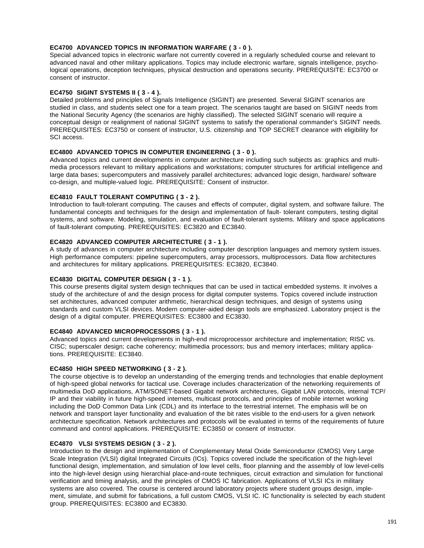### **EC4700 ADVANCED TOPICS IN INFORMATION WARFARE ( 3 - 0 ).**

Special advanced topics in electronic warfare not currently covered in a regularly scheduled course and relevant to advanced naval and other military applications. Topics may include electronic warfare, signals intelligence, psychological operations, deception techniques, physical destruction and operations security. PREREQUISITE: EC3700 or consent of instructor.

#### **EC4750 SIGINT SYSTEMS II ( 3 - 4 ).**

Detailed problems and principles of Signals Intelligence (SIGINT) are presented. Several SIGINT scenarios are studied in class, and students select one for a team project. The scenarios taught are based on SIGINT needs from the National Security Agency (the scenarios are highly classified). The selected SIGINT scenario will require a conceptual design or realignment of national SIGINT systems to satisfy the operational commander's SIGINT needs. PREREQUISITES: EC3750 or consent of instructor, U.S. citizenship and TOP SECRET clearance with eligibility for SCI access.

### **EC4800 ADVANCED TOPICS IN COMPUTER ENGINEERING ( 3 - 0 ).**

Advanced topics and current developments in computer architecture including such subjects as: graphics and multimedia processors relevant to military applications and workstations; computer structures for artificial intelligence and large data bases; supercomputers and massively parallel architectures; advanced logic design, hardware/ software co-design, and multiple-valued logic. PREREQUISITE: Consent of instructor.

#### **EC4810 FAULT TOLERANT COMPUTING ( 3 - 2 ).**

Introduction to fault-tolerant computing. The causes and effects of computer, digital system, and software failure. The fundamental concepts and techniques for the design and implementation of fault- tolerant computers, testing digital systems, and software. Modeling, simulation, and evaluation of fault-tolerant systems. Military and space applications of fault-tolerant computing. PREREQUISITES: EC3820 and EC3840.

# **EC4820 ADVANCED COMPUTER ARCHITECTURE ( 3 - 1 ).**

A study of advances in computer architecture including computer description languages and memory system issues. High performance computers: pipeline supercomputers, array processors, multiprocessors. Data flow architectures and architectures for military applications. PREREQUISITES: EC3820, EC3840.

### **EC4830 DIGITAL COMPUTER DESIGN ( 3 - 1 ).**

This course presents digital system design techniques that can be used in tactical embedded systems. It involves a study of the architecture of and the design process for digital computer systems. Topics covered include instruction set architectures, advanced computer arithmetic, hierarchical design techniques, and design of systems using standards and custom VLSI devices. Modern computer-aided design tools are emphasized. Laboratory project is the design of a digital computer. PREREQUISITES: EC3800 and EC3830.

# **EC4840 ADVANCED MICROPROCESSORS ( 3 - 1 ).**

Advanced topics and current developments in high-end microprocessor architecture and implementation; RISC vs. CISC; superscaler design; cache coherency; multimedia processors; bus and memory interfaces; military applications. PREREQUISITE: EC3840.

### **EC4850 HIGH SPEED NETWORKING ( 3 - 2 ).**

The course objective is to develop an understanding of the emerging trends and technologies that enable deployment of high-speed global networks for tactical use. Coverage includes characterization of the networking requirements of multimedia DoD applications, ATM/SONET-based Gigabit network architectures, Gigabit LAN protocols, internal TCP/ IP and their viability in future high-speed internets, multicast protocols, and principles of mobile internet working including the DoD Common Data Link (CDL) and its interface to the terrestrial internet. The emphasis will be on network and transport layer functionality and evaluation of the bit rates visible to the end-users for a given network architecture specification. Network architectures and protocols will be evaluated in terms of the requirements of future command and control applications. PREREQUISITE: EC3850 or consent of instructor.

#### **EC4870 VLSI SYSTEMS DESIGN ( 3 - 2 ).**

Introduction to the design and implementation of Complementary Metal Oxide Semiconductor (CMOS) Very Large Scale Integration (VLSI) digital Integrated Circuits (ICs). Topics covered include the specification of the high-level functional design, implementation, and simulation of low level cells, floor planning and the assembly of low level-cells into the high-level design using hierarchial place-and-route techniques, circuit extraction and simulation for functional verification and timing analysis, and the principles of CMOS IC fabrication. Applications of VLSI ICs in military systems are also covered. The course is centered around laboratory projects where student groups design, implement, simulate, and submit for fabrications, a full custom CMOS, VLSI IC. IC functionality is selected by each student group. PREREQUISITES: EC3800 and EC3830.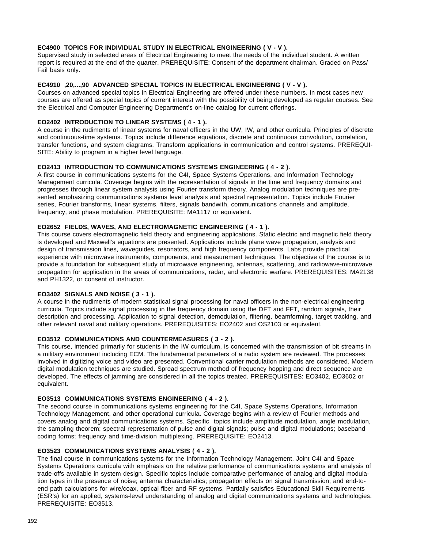### **EC4900 TOPICS FOR INDIVIDUAL STUDY IN ELECTRICAL ENGINEERING ( V - V ).**

Supervised study in selected areas of Electrical Engineering to meet the needs of the individual student. A written report is required at the end of the quarter. PREREQUISITE: Consent of the department chairman. Graded on Pass/ Fail basis only.

### **EC4910 ,20,...,90 ADVANCED SPECIAL TOPICS IN ELECTRICAL ENGINEERING ( V - V ).**

Courses on advanced special topics in Electrical Engineering are offered under these numbers. In most cases new courses are offered as special topics of current interest with the possibility of being developed as regular courses. See the Electrical and Computer Engineering Department's on-line catalog for current offerings.

### **EO2402 INTRODUCTION TO LINEAR SYSTEMS ( 4 - 1 ).**

A course in the rudiments of linear systems for naval officers in the UW, IW, and other curricula. Principles of discrete and continuous-time systems. Topics include difference equations, discrete and continuous convolution, correlation, transfer functions, and system diagrams. Transform applications in communication and control systems. PREREQUI-SITE: Ability to program in a higher level language.

### **EO2413 INTRODUCTION TO COMMUNICATIONS SYSTEMS ENGINEERING ( 4 - 2 ).**

A first course in communications systems for the C4I, Space Systems Operations, and Information Technology Management curricula. Coverage begins with the representation of signals in the time and frequency domains and progresses through linear system analysis using Fourier transform theory. Analog modulation techniques are presented emphasizing communications systems level analysis and spectral representation. Topics include Fourier series, Fourier transforms, linear systems, filters, signals bandwith, communications channels and amplitude, frequency, and phase modulation. PREREQUISITE: MA1117 or equivalent.

### **EO2652 FIELDS, WAVES, AND ELECTROMAGNETIC ENGINEERING ( 4 - 1 ).**

This course covers electromagnetic field theory and engineering applications. Static electric and magnetic field theory is developed and Maxwell's equations are presented. Applications include plane wave propagation, analysis and design of transmission lines, waveguides, resonators, and high frequency components. Labs provide practical experience with microwave instruments, components, and measurement techniques. The objective of the course is to provide a foundation for subsequent study of microwave engineering, antennas, scattering, and radiowave-microwave propagation for application in the areas of communications, radar, and electronic warfare. PREREQUISITES: MA2138 and PH1322, or consent of instructor.

#### **EO3402 SIGNALS AND NOISE ( 3 - 1 ).**

A course in the rudiments of modern statistical signal processing for naval officers in the non-electrical engineering curricula. Topics include signal processing in the frequency domain using the DFT and FFT, random signals, their description and processing. Application to signal detection, demodulation, filtering, beamforming, target tracking, and other relevant naval and military operations. PREREQUISITES: EO2402 and OS2103 or equivalent.

### **EO3512 COMMUNICATIONS AND COUNTERMEASURES ( 3 - 2 ).**

This course, intended primarily for students in the IW curriculum, is concerned with the transmission of bit streams in a military environment including ECM. The fundamental parameters of a radio system are reviewed. The processes involved in digitizing voice and video are presented. Conventional carrier modulation methods are considered. Modern digital modulation techniques are studied. Spread spectrum method of frequency hopping and direct sequence are developed. The effects of jamming are considered in all the topics treated. PREREQUISITES: EO3402, EO3602 or equivalent.

### **EO3513 COMMUNICATIONS SYSTEMS ENGINEERING ( 4 - 2 ).**

The second course in communications systems engineering for the C4I, Space Systems Operations, Information Technology Management, and other operational curricula. Coverage begins with a review of Fourier methods and covers analog and digital communications systems. Specific topics include amplitude modulation, angle modulation, the sampling theorem; spectral representation of pulse and digital signals; pulse and digital modulations; baseband coding forms; frequency and time-division multiplexing. PREREQUISITE: EO2413.

### **EO3523 COMMUNICATIONS SYSTEMS ANALYSIS ( 4 - 2 ).**

The final course in communications systems for the Information Technology Management, Joint C4I and Space Systems Operations curricula with emphasis on the relative performance of communications systems and analysis of trade-offs available in system design. Specific topics include comparative performance of analog and digital modulation types in the presence of noise; antenna characteristics; propagation effects on signal transmission; and end-toend path calculations for wire/coax, optical fiber and RF systems. Partially satisfies Educational Skill Requirements (ESR's) for an applied, systems-level understanding of analog and digital communications systems and technologies. PREREQUISITE: EO3513.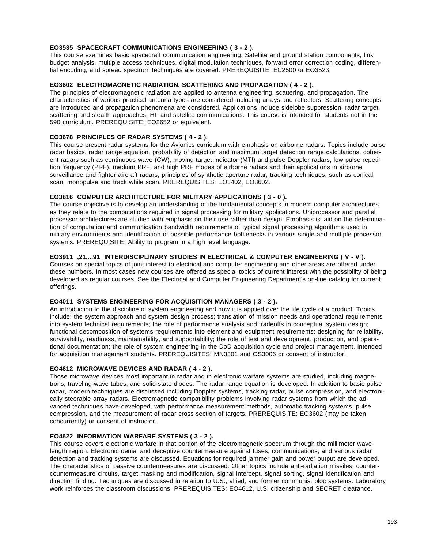### **EO3535 SPACECRAFT COMMUNICATIONS ENGINEERING ( 3 - 2 ).**

This course examines basic spacecraft communication engineering. Satellite and ground station components, link budget analysis, multiple access techniques, digital modulation techniques, forward error correction coding, differential encoding, and spread spectrum techniques are covered. PREREQUISITE: EC2500 or EO3523.

## **EO3602 ELECTROMAGNETIC RADIATION, SCATTERING AND PROPAGATION ( 4 - 2 ).**

The principles of electromagnetic radiation are applied to antenna engineering, scattering, and propagation. The characteristics of various practical antenna types are considered including arrays and reflectors. Scattering concepts are introduced and propagation phenomena are considered. Applications include sidelobe suppression, radar target scattering and stealth approaches, HF and satellite communications. This course is intended for students not in the 590 curriculum. PREREQUISITE: EO2652 or equivalent.

### **EO3678 PRINCIPLES OF RADAR SYSTEMS ( 4 - 2 ).**

This course present radar systems for the Avionics curriculum with emphasis on airborne radars. Topics include pulse radar basics, radar range equation, probability of detection and maximum target detection range calculations, coherent radars such as continuous wave (CW), moving target indicator (MTI) and pulse Doppler radars, low pulse repetition frequency (PRF), medium PRF, and high PRF modes of airborne radars and their applications in airborne surveillance and fighter aircraft radars, principles of synthetic aperture radar, tracking techniques, such as conical scan, monopulse and track while scan. PREREQUISITES: EO3402, EO3602.

#### **EO3816 COMPUTER ARCHITECTURE FOR MILITARY APPLICATIONS ( 3 - 0 ).**

The course objective is to develop an understanding of the fundamental concepts in modern computer architectures as they relate to the computations required in signal processing for military applications. Uniprocessor and parallel processor architectures are studied with emphasis on their use rather than design. Emphasis is laid on the determination of computation and communication bandwidth requirements of typical signal processing algorithms used in military environments and identification of possible performance bottlenecks in various single and multiple processor systems. PREREQUISITE: Ability to program in a high level language.

### **EO3911 ,21,...91 INTERDISCIPLINARY STUDIES IN ELECTRICAL & COMPUTER ENGINEERING ( V - V ).**

Courses on special topics of joint interest to electrical and computer engineering and other areas are offered under these numbers. In most cases new courses are offered as special topics of current interest with the possibility of being developed as regular courses. See the Electrical and Computer Engineering Department's on-line catalog for current offerings.

### **EO4011 SYSTEMS ENGINEERING FOR ACQUISITION MANAGERS ( 3 - 2 ).**

An introduction to the discipline of system engineering and how it is applied over the life cycle of a product. Topics include: the system approach and system design process; translation of mission needs and operational requirements into system technical requirements; the role of performance analysis and tradeoffs in conceptual system design; functional decomposition of systems requirements into element and equipment requirements; designing for reliability, survivability, readiness, maintainability, and supportability; the role of test and development, production, and operational documentation; the role of system engineering in the DoD acquisition cycle and project management. Intended for acquisition management students. PREREQUISITES: MN3301 and OS3006 or consent of instructor.

### **EO4612 MICROWAVE DEVICES AND RADAR ( 4 - 2 ).**

Those microwave devices most important in radar and in electronic warfare systems are studied, including magnetrons, traveling-wave tubes, and solid-state diodes. The radar range equation is developed. In addition to basic pulse radar, modern techniques are discussed including Doppler systems, tracking radar, pulse compression, and electronically steerable array radars. Electromagnetic compatibility problems involving radar systems from which the advanced techniques have developed, with performance measurement methods, automatic tracking systems, pulse compression, and the measurement of radar cross-section of targets. PREREQUISITE: EO3602 (may be taken concurrently) or consent of instructor.

#### **EO4622 INFORMATION WARFARE SYSTEMS ( 3 - 2 ).**

This course covers electronic warfare in that portion of the electromagnetic spectrum through the millimeter wavelength region. Electronic denial and deceptive countermeasure against fuses, communications, and various radar detection and tracking systems are discussed. Equations for required jammer gain and power output are developed. The characteristics of passive countermeasures are discussed. Other topics include anti-radiation missiles, countercountermeasure circuits, target masking and modification, signal intercept, signal sorting, signal identification and direction finding. Techniques are discussed in relation to U.S., allied, and former communist bloc systems. Laboratory work reinforces the classroom discussions. PREREQUISITES: EO4612, U.S. citizenship and SECRET clearance.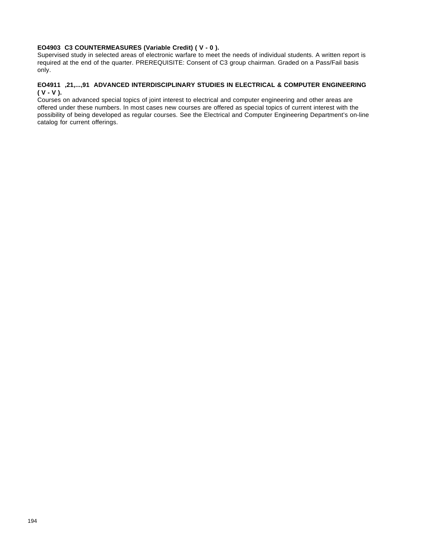### **EO4903 C3 COUNTERMEASURES (Variable Credit) ( V - 0 ).**

Supervised study in selected areas of electronic warfare to meet the needs of individual students. A written report is required at the end of the quarter. PREREQUISITE: Consent of C3 group chairman. Graded on a Pass/Fail basis only.

## **EO4911 ,21,...,91 ADVANCED INTERDISCIPLINARY STUDIES IN ELECTRICAL & COMPUTER ENGINEERING ( V - V ).**

Courses on advanced special topics of joint interest to electrical and computer engineering and other areas are offered under these numbers. In most cases new courses are offered as special topics of current interest with the possibility of being developed as regular courses. See the Electrical and Computer Engineering Department's on-line catalog for current offerings.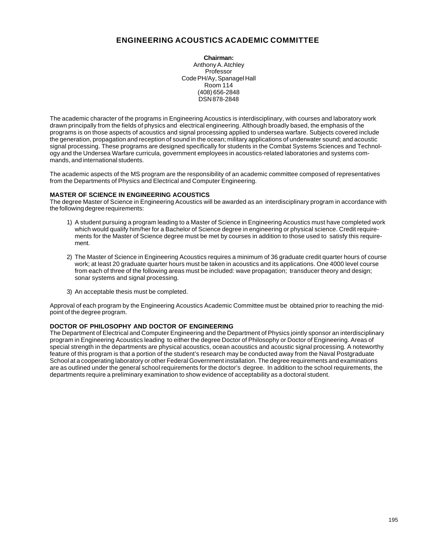# **ENGINEERING ACOUSTICS ACADEMIC COMMITTEE**

**Chairman:** Anthony A. Atchley Professor Code PH/Ay, Spanagel Hall Room 114 (408) 656-2848 DSN 878-2848

The academic character of the programs in Engineering Acoustics is interdisciplinary, with courses and laboratory work drawn principally from the fields of physics and electrical engineering. Although broadly based, the emphasis of the programs is on those aspects of acoustics and signal processing applied to undersea warfare. Subjects covered include the generation, propagation and reception of sound in the ocean; military applications of underwater sound; and acoustic signal processing. These programs are designed specifically for students in the Combat Systems Sciences and Technology and the Undersea Warfare curricula, government employees in acoustics-related laboratories and systems commands, and international students.

The academic aspects of the MS program are the responsibility of an academic committee composed of representatives from the Departments of Physics and Electrical and Computer Engineering.

#### **MASTER OF SCIENCE IN ENGINEERING ACOUSTICS**

The degree Master of Science in Engineering Acoustics will be awarded as an interdisciplinary program in accordance with the following degree requirements:

- 1) A student pursuing a program leading to a Master of Science in Engineering Acoustics must have completed work which would qualify him/her for a Bachelor of Science degree in engineering or physical science. Credit requirements for the Master of Science degree must be met by courses in addition to those used to satisfy this requirement.
- 2) The Master of Science in Engineering Acoustics requires a minimum of 36 graduate credit quarter hours of course work; at least 20 graduate quarter hours must be taken in acoustics and its applications. One 4000 level course from each of three of the following areas must be included: wave propagation; transducer theory and design; sonar systems and signal processing.
- 3) An acceptable thesis must be completed.

Approval of each program by the Engineering Acoustics Academic Committee must be obtained prior to reaching the midpoint of the degree program.

## **DOCTOR OF PHILOSOPHY AND DOCTOR OF ENGINEERING**

The Department of Electrical and Computer Engineering and the Department of Physics jointly sponsor an interdisciplinary program in Engineering Acoustics leading to either the degree Doctor of Philosophy or Doctor of Engineering. Areas of special strength in the departments are physical acoustics, ocean acoustics and acoustic signal processing. A noteworthy feature of this program is that a portion of the student's research may be conducted away from the Naval Postgraduate School at a cooperating laboratory or other Federal Government installation. The degree requirements and examinations are as outlined under the general school requirements for the doctor's degree. In addition to the school requirements, the departments require a preliminary examination to show evidence of acceptability as a doctoral student.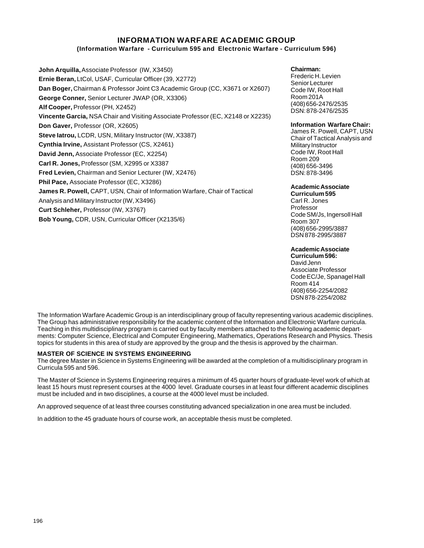## **INFORMATION WARFARE ACADEMIC GROUP (Information Warfare - Curriculum 595 and Electronic Warfare - Curriculum 596)**

**John Arquilla,** Associate Professor (IW, X3450) **Ernie Beran,** LtCol, USAF, Curricular Officer (39, X2772) **Dan Boger,** Chairman & Professor Joint C3 Academic Group (CC, X3671 or X2607) **George Conner,** Senior Lecturer JWAP (OR, X3306) **Alf Cooper,** Professor (PH, X2452) **Vincente Garcia,** NSA Chair and Visiting Associate Professor (EC, X2148 or X2235) **Don Gaver,** Professor (OR, X2605) **Steve Iatrou,** LCDR, USN, Military Instructor (IW, X3387) **Cynthia Irvine,** Assistant Professor (CS, X2461) **David Jenn,** Associate Professor (EC, X2254) **Carl R. Jones,** Professor (SM, X2995 or X3387 **Fred Levien,** Chairman and Senior Lecturer (IW, X2476) **Phil Pace,** Associate Professor (EC, X3286) **James R. Powell,** CAPT, USN, Chair of Information Warfare, Chair of Tactical Analysis and Military Instructor (IW, X3496) **Curt Schleher,** Professor (IW, X3767) **Bob Young,** CDR, USN, Curricular Officer (X2135/6)

### **Chairman:**

Frederic H. Levien Senior Lecturer Code IW, Root Hall Room 201A (408) 656-2476/2535 DSN: 878-2476/2535

#### **Information Warfare Chair:**

James R. Powell, CAPT, USN Chair of Tactical Analysis and Military Instructor Code IW, Root Hall Room 209 (408) 656-3496 DSN: 878-3496

#### **Academic Associate**

**Curriculum 595** Carl R. Jones Professor Code SM/Js, Ingersoll Hall Room 307 (408) 656-2995/3887 DSN 878-2995/3887

### **Academic Associate**

**Curriculum 596:** David Jenn Associate Professor Code EC/Je, Spanagel Hall Room 414 (408) 656-2254/2082 DSN 878-2254/2082

The Information Warfare Academic Group is an interdisciplinary group of faculty representing various academic disciplines. The Group has administrative responsibility for the academic content of the Information and Electronic Warfare curricula. Teaching in this multidisciplinary program is carried out by faculty members attached to the following academic departments: Computer Science, Electrical and Computer Engineering, Mathematics, Operations Research and Physics. Thesis topics for students in this area of study are approved by the group and the thesis is approved by the chairman.

#### **MASTER OF SCIENCE IN SYSTEMS ENGINEERING**

The degree Master in Science in Systems Engineering will be awarded at the completion of a multidisciplinary program in Curricula 595 and 596.

The Master of Science in Systems Engineering requires a minimum of 45 quarter hours of graduate-level work of which at least 15 hours must represent courses at the 4000 level. Graduate courses in at least four different academic disciplines must be included and in two disciplines, a course at the 4000 level must be included.

An approved sequence of at least three courses constituting advanced specialization in one area must be included.

In addition to the 45 graduate hours of course work, an acceptable thesis must be completed.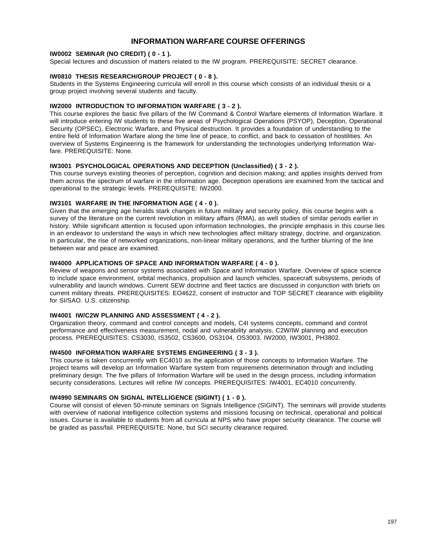# **INFORMATION WARFARE COURSE OFFERINGS**

## **IW0002 SEMINAR (NO CREDIT) ( 0 - 1 ).**

Special lectures and discussion of matters related to the IW program. PREREQUISITE: SECRET clearance.

## **IW0810 THESIS RESEARCH/GROUP PROJECT ( 0 - 8 ).**

Students in the Systems Engineering curricula will enroll in this course which consists of an individual thesis or a group project involving several students and faculty.

### **IW2000 INTRODUCTION TO INFORMATION WARFARE ( 3 - 2 ).**

This course explores the basic five pillars of the IW Command & Control Warfare elements of Information Warfare. It will introduce entering IW students to these five areas of Psychological Operations (PSYOP), Deception, Operational Security (OPSEC), Electronic Warfare, and Physical destruction. It provides a foundation of understanding to the entire field of Information Warfare along the time line of peace, to conflict, and back to cessation of hostilities. An overview of Systems Engineering is the framework for understanding the technologies underlying Information Warfare. PREREQUISITE: None.

### **IW3001 PSYCHOLOGICAL OPERATIONS AND DECEPTION (Unclassified) ( 3 - 2 ).**

This course surveys existing theories of perception, cognition and decision making; and applies insights derived from them across the spectrum of warfare in the information age. Deception operations are examined from the tactical and operational to the strategic levels. PREREQUISITE: IW2000.

### **IW3101 WARFARE IN THE INFORMATION AGE ( 4 - 0 ).**

Given that the emerging age heralds stark changes in future military and security policy, this course begins with a survey of the literature on the current revolution in military affairs (RMA), as well studies of similar periods earlier in history. While significant attention is focused upon information technologies, the principle emphasis in this course lies in an endeavor to understand the ways in which new technologies affect military strategy, doctrine, and organization. In particular, the rise of networked organizations, non-linear military operations, and the further blurring of the line between war and peace are examined.

### **IW4000 APPLICATIONS OF SPACE AND INFORMATION WARFARE ( 4 - 0 ).**

Review of weapons and sensor systems associated with Space and Information Warfare. Overview of space science to include space environment, orbital mechanics, propulsion and launch vehicles, spacecraft subsystems, periods of vulnerability and launch windows. Current SEW doctrine and fleet tactics are discussed in conjunction with briefs on current military threats. PREREQUISITES: EO4622, consent of instructor and TOP SECRET clearance with eligibility for SI/SAO. U.S. citizenship.

### **IW4001 IW/C2W PLANNING AND ASSESSMENT ( 4 - 2 ).**

Organization theory, command and control concepts and models, C4I systems concepts, command and control performance and effectiveness measurement, nodal and vulnerability analysis, C2W/IW planning and execution process. PREREQUISITES: CS3030, IS3502, CS3600, OS3104, OS3003, IW2000, IW3001, PH3802.

#### **IW4500 INFORMATION WARFARE SYSTEMS ENGINEERING ( 3 - 3 ).**

This course is taken concurrently with EC4010 as the application of those concepts to Information Warfare. The project teams will develop an Information Warfare system from requirements determination through and including preliminary design. The five pillars of Information Warfare will be used in the design process, including information security considerations. Lectures will refine IW concepts. PREREQUISITES: IW4001, EC4010 concurrently.

### **IW4990 SEMINARS ON SIGNAL INTELLIGENCE (SIGINT) ( 1 - 0 ).**

Course will consist of eleven 50-minute seminars on Signals Intelligence (SIGINT). The seminars will provide students with overview of national intelligence collection systems and missions focusing on technical, operational and political issues. Course is available to students from all curricula at NPS who have proper security clearance. The course will be graded as pass/fail. PREREQUISITE: None, but SCI security clearance required.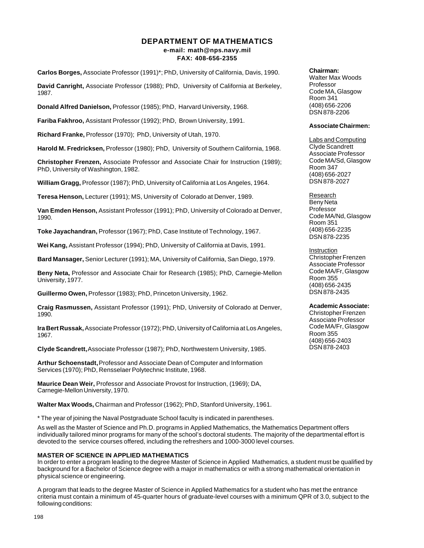# **DEPARTMENT OF MATHEMATICS e-mail: math@nps.navy.mil**

#### **FAX: 408-656-2355**

**Carlos Borges,** Associate Professor (1991)\*; PhD, University of California, Davis, 1990.

**David Canright,** Associate Professor (1988); PhD, University of California at Berkeley, 1987.

**Donald Alfred Danielson,** Professor (1985); PhD, Harvard University, 1968.

**Fariba Fakhroo,** Assistant Professor (1992); PhD, Brown University, 1991.

**Richard Franke,** Professor (1970); PhD, University of Utah, 1970.

**Harold M. Fredricksen,** Professor (1980); PhD, University of Southern California, 1968.

**Christopher Frenzen,** Associate Professor and Associate Chair for Instruction (1989); PhD, University of Washington, 1982.

**William Gragg,** Professor (1987); PhD, University of California at Los Angeles, 1964.

**Teresa Henson,** Lecturer (1991); MS, University of Colorado at Denver, 1989.

**Van Emden Henson,** Assistant Professor (1991); PhD, University of Colorado at Denver, 1990.

**Toke Jayachandran,** Professor (1967); PhD, Case Institute of Technology, 1967.

**Wei Kang,** Assistant Professor (1994); PhD, University of California at Davis, 1991.

**Bard Mansager,** Senior Lecturer (1991); MA, University of California, San Diego, 1979.

**Beny Neta,** Professor and Associate Chair for Research (1985); PhD, Carnegie-Mellon University, 1977.

**Guillermo Owen,** Professor (1983); PhD, Princeton University, 1962.

**Craig Rasmussen,** Assistant Professor (1991); PhD, University of Colorado at Denver, 1990.

**Ira Bert Russak,** Associate Professor (1972); PhD, University of California at Los Angeles, 1967.

**Clyde Scandrett,** Associate Professor (1987); PhD, Northwestern University, 1985.

**Arthur Schoenstadt,** Professor and Associate Dean of Computer and Information Services (1970); PhD, Rensselaer Polytechnic Institute, 1968.

**Maurice Dean Weir,** Professor and Associate Provost for Instruction, (1969); DA, Carnegie-Mellon University, 1970.

**Walter Max Woods,** Chairman and Professor (1962); PhD, Stanford University, 1961.

\* The year of joining the Naval Postgraduate School faculty is indicated in parentheses.

As well as the Master of Science and Ph.D. programs in Applied Mathematics, the Mathematics Department offers individually tailored minor programs for many of the school's doctoral students. The majority of the departmental effort is devoted to the service courses offered, including the refreshers and 1000-3000 level courses.

#### **MASTER OF SCIENCE IN APPLIED MATHEMATICS**

In order to enter a program leading to the degree Master of Science in Applied Mathematics, a student must be qualified by background for a Bachelor of Science degree with a major in mathematics or with a strong mathematical orientation in physical science or engineering.

A program that leads to the degree Master of Science in Applied Mathematics for a student who has met the entrance criteria must contain a minimum of 45-quarter hours of graduate-level courses with a minimum QPR of 3.0, subject to the following conditions:

**Chairman:**

Walter Max Woods Professor Code MA, Glasgow Room 341 (408) 656-2206 DSN 878-2206

#### **Associate Chairmen:**

**Labs and Computing** Clyde Scandrett Associate Professor Code MA/Sd, Glasgow Room 347 (408) 656-2027 DSN 878-2027

Research Beny Neta Professor Code MA/Nd, Glasgow Room 351 (408) 656-2235 DSN 878-2235

Instruction Christopher Frenzen Associate Professor Code MA/Fr, Glasgow Room 355 (408) 656-2435 DSN 878-2435

**Academic Associate:**

Christopher Frenzen Associate Professor Code MA/Fr, Glasgow Room 355 (408) 656-2403 DSN 878-2403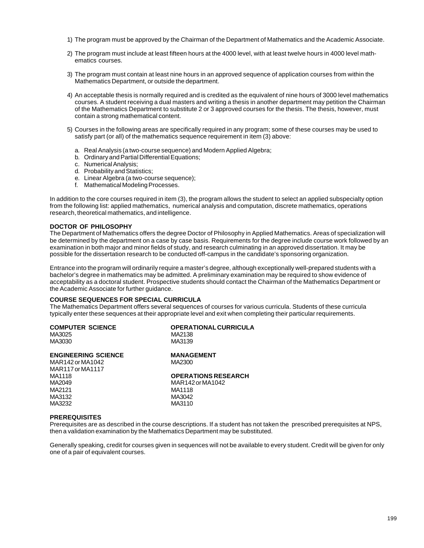- 1) The program must be approved by the Chairman of the Department of Mathematics and the Academic Associate.
- 2) The program must include at least fifteen hours at the 4000 level, with at least twelve hours in 4000 level mathematics courses.
- 3) The program must contain at least nine hours in an approved sequence of application courses from within the Mathematics Department, or outside the department.
- 4) An acceptable thesis is normally required and is credited as the equivalent of nine hours of 3000 level mathematics courses. A student receiving a dual masters and writing a thesis in another department may petition the Chairman of the Mathematics Department to substitute 2 or 3 approved courses for the thesis. The thesis, however, must contain a strong mathematical content.
- 5) Courses in the following areas are specifically required in any program; some of these courses may be used to satisfy part (or all) of the mathematics sequence requirement in item (3) above:
	- a. Real Analysis (a two-course sequence) and Modern Applied Algebra;
	- b. Ordinary and Partial Differential Equations:
	- c. Numerical Analysis;
	- d. Probability and Statistics;
	- e. Linear Algebra (a two-course sequence);
	- f. Mathematical Modeling Processes.

In addition to the core courses required in item (3), the program allows the student to select an applied subspecialty option from the following list: applied mathematics, numerical analysis and computation, discrete mathematics, operations research, theoretical mathematics, and intelligence.

#### **DOCTOR OF PHILOSOPHY**

The Department of Mathematics offers the degree Doctor of Philosophy in Applied Mathematics. Areas of specialization will be determined by the department on a case by case basis. Requirements for the degree include course work followed by an examination in both major and minor fields of study, and research culminating in an approved dissertation. It may be possible for the dissertation research to be conducted off-campus in the candidate's sponsoring organization.

Entrance into the program will ordinarily require a master's degree, although exceptionally well-prepared students with a bachelor's degree in mathematics may be admitted. A preliminary examination may be required to show evidence of acceptability as a doctoral student. Prospective students should contact the Chairman of the Mathematics Department or the Academic Associate for further guidance.

#### **COURSE SEQUENCES FOR SPECIAL CURRICULA**

The Mathematics Department offers several sequences of courses for various curricula. Students of these curricula typically enter these sequences at their appropriate level and exit when completing their particular requirements.

| <b>COMPUTER SCIENCE</b><br>MA3025<br>MA3030 | <b>OPERATIONAL CURRICULA</b><br>MA2138<br>MA3139 |
|---------------------------------------------|--------------------------------------------------|
| <b>ENGINEERING SCIENCE</b>                  | <b>MANAGEMENT</b>                                |
| MAR142 or MA1042<br>MAR117 or MA1117        | MA2300                                           |
| MA1118                                      | <b>OPERATIONS RESEARCH</b>                       |
| MA2049                                      | MAR142 or MA1042                                 |
| MA2121                                      | MA1118                                           |
| MA3132                                      | MA3042                                           |
| MA3232                                      | MA3110                                           |

#### **PREREQUISITES**

Prerequisites are as described in the course descriptions. If a student has not taken the prescribed prerequisites at NPS, then a validation examination by the Mathematics Department may be substituted.

Generally speaking, credit for courses given in sequences will not be available to every student. Credit will be given for only one of a pair of equivalent courses.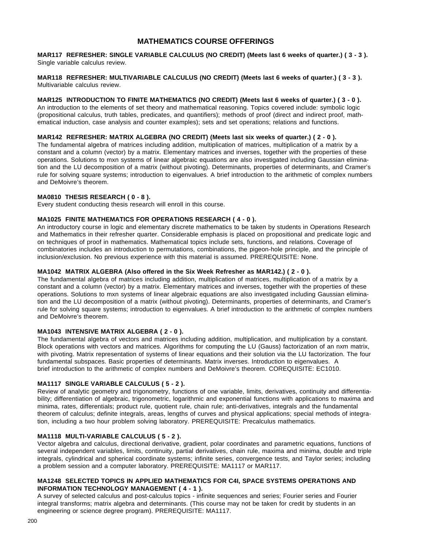# **MATHEMATICS COURSE OFFERINGS**

**MAR117 REFRESHER: SINGLE VARIABLE CALCULUS (NO CREDIT) (Meets last 6 weeks of quarter.) ( 3 - 3 ).** Single variable calculus review.

**MAR118 REFRESHER: MULTIVARIABLE CALCULUS (NO CREDIT) (Meets last 6 weeks of quarter.) ( 3 - 3 ).** Multivariable calculus review.

**MAR125 INTRODUCTION TO FINITE MATHEMATICS (NO CREDIT) (Meets last 6 weeks of quarter.) ( 3 - 0 ).** An introduction to the elements of set theory and mathematical reasoning. Topics covered include: symbolic logic (propositional calculus, truth tables, predicates, and quantifiers); methods of proof (direct and indirect proof, mathematical induction, case analysis and counter examples); sets and set operations; relations and functions.

### **MAR142 REFRESHER: MATRIX ALGEBRA (NO CREDIT) (Meets last six weeks of quarter.) ( 2 - 0 ).**

The fundamental algebra of matrices including addition, multiplication of matrices, multiplication of a matrix by a constant and a column (vector) by a matrix. Elementary matrices and inverses, together with the properties of these operations. Solutions to mxn systems of linear algebraic equations are also investigated including Gaussian elimination and the LU decomposition of a matrix (without pivoting). Determinants, properties of determinants, and Cramer's rule for solving square systems; introduction to eigenvalues. A brief introduction to the arithmetic of complex numbers and DeMoivre's theorem.

#### **MA0810 THESIS RESEARCH ( 0 - 8 ).**

Every student conducting thesis research will enroll in this course.

#### **MA1025 FINITE MATHEMATICS FOR OPERATIONS RESEARCH ( 4 - 0 ).**

An introductory course in logic and elementary discrete mathematics to be taken by students in Operations Research and Mathematics in their refresher quarter. Considerable emphasis is placed on propositional and predicate logic and on techniques of proof in mathematics. Mathematical topics include sets, functions, and relations. Coverage of combinatories includes an introduction to permutations, combinations, the pigeon-hole principle, and the principle of inclusion/exclusion. No previous experience with this material is assumed. PREREQUISITE: None.

### **MA1042 MATRIX ALGEBRA (Also offered in the Six Week Refresher as MAR142.) ( 2 - 0 ).**

The fundamental algebra of matrices including addition, multiplication of matrices, multiplication of a matrix by a constant and a column (vector) by a matrix. Elementary matrices and inverses, together with the properties of these operations. Solutions to mxn systems of linear algebraic equations are also investigated including Gaussian elimination and the LU decomposition of a matrix (without pivoting). Determinants, properties of determinants, and Cramer's rule for solving square systems; introduction to eigenvalues. A brief introduction to the arithmetic of complex numbers and DeMoivre's theorem.

### **MA1043 INTENSIVE MATRIX ALGEBRA ( 2 - 0 ).**

The fundamental algebra of vectors and matrices including addition, multiplication, and multiplication by a constant. Block operations with vectors and matrices. Algorithms for computing the LU (Gauss) factorization of an nxm matrix, with pivoting. Matrix representation of systems of linear equations and their solution via the LU factorization. The four fundamental subspaces. Basic properties of determinants. Matrix inverses. Introduction to eigenvalues. A brief introduction to the arithmetic of complex numbers and DeMoivre's theorem. COREQUISITE: EC1010.

### **MA1117 SINGLE VARIABLE CALCULUS ( 5 - 2 ).**

Review of analytic geometry and trigonometry, functions of one variable, limits, derivatives, continuity and differentiability; differentiation of algebraic, trigonometric, logarithmic and exponential functions with applications to maxima and minima, rates, differentials; product rule, quotient rule, chain rule; anti-derivatives, integrals and the fundamental theorem of calculus; definite integrals, areas, lengths of curves and physical applications; special methods of integration, including a two hour problem solving laboratory. PREREQUISITE: Precalculus mathematics.

### **MA1118 MULTI-VARIABLE CALCULUS ( 5 - 2 ).**

Vector algebra and calculus, directional derivative, gradient, polar coordinates and parametric equations, functions of several independent variables, limits, continuity, partial derivatives, chain rule, maxima and minima, double and triple integrals, cylindrical and spherical coordinate systems; infinite series, convergence tests, and Taylor series; including a problem session and a computer laboratory. PREREQUISITE: MA1117 or MAR117.

### **MA1248 SELECTED TOPICS IN APPLIED MATHEMATICS FOR C4I, SPACE SYSTEMS OPERATIONS AND INFORMATION TECHNOLOGY MANAGEMENT ( 4 - 1 ).**

A survey of selected calculus and post-calculus topics - infinite sequences and series; Fourier series and Fourier integral transforms; matrix algebra and determinants. (This course may not be taken for credit by students in an engineering or science degree program). PREREQUISITE: MA1117.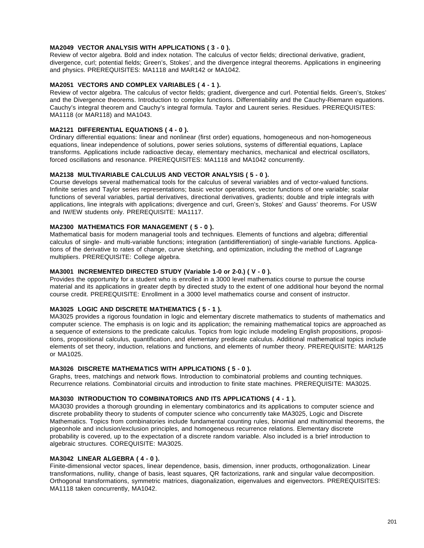### **MA2049 VECTOR ANALYSIS WITH APPLICATIONS ( 3 - 0 ).**

Review of vector algebra. Bold and index notation. The calculus of vector fields; directional derivative, gradient, divergence, curl; potential fields; Green's, Stokes', and the divergence integral theorems. Applications in engineering and physics. PREREQUISITES: MA1118 and MAR142 or MA1042.

### **MA2051 VECTORS AND COMPLEX VARIABLES ( 4 - 1 ).**

Review of vector algebra. The calculus of vector fields; gradient, divergence and curl. Potential fields. Green's, Stokes' and the Divergence theorems. Introduction to complex functions. Differentiability and the Cauchy-Riemann equations. Cauchy's integral theorem and Cauchy's integral formula. Taylor and Laurent series. Residues. PREREQUISITES: MA1118 (or MAR118) and MA1043.

### **MA2121 DIFFERENTIAL EQUATIONS ( 4 - 0 ).**

Ordinary differential equations: linear and nonlinear (first order) equations, homogeneous and non-homogeneous equations, linear independence of solutions, power series solutions, systems of differential equations, Laplace transforms. Applications include radioactive decay, elementary mechanics, mechanical and electrical oscillators, forced oscillations and resonance. PREREQUISITES: MA1118 and MA1042 concurrently.

#### **MA2138 MULTIVARIABLE CALCULUS AND VECTOR ANALYSIS ( 5 - 0 ).**

Course develops several mathematical tools for the calculus of several variables and of vector-valued functions. Infinite series and Taylor series representations; basic vector operations, vector functions of one variable; scalar functions of several variables, partial derivatives, directional derivatives, gradients; double and triple integrals with applications, line integrals with applications; divergence and curl, Green's, Stokes' and Gauss' theorems. For USW and IW/EW students only. PREREQUISITE: MA1117.

#### **MA2300 MATHEMATICS FOR MANAGEMENT ( 5 - 0 ).**

Mathematical basis for modern managerial tools and techniques. Elements of functions and algebra; differential calculus of single- and multi-variable functions; integration (antidifferentiation) of single-variable functions. Applications of the derivative to rates of change, curve sketching, and optimization, including the method of Lagrange multipliers. PREREQUISITE: College algebra.

### **MA3001 INCREMENTED DIRECTED STUDY (Variable 1-0 or 2-0.) ( V - 0 ).**

Provides the opportunity for a student who is enrolled in a 3000 level mathematics course to pursue the course material and its applications in greater depth by directed study to the extent of one additional hour beyond the normal course credit. PREREQUISITE: Enrollment in a 3000 level mathematics course and consent of instructor.

### **MA3025 LOGIC AND DISCRETE MATHEMATICS ( 5 - 1 ).**

MA3025 provides a rigorous foundation in logic and elementary discrete mathematics to students of mathematics and computer science. The emphasis is on logic and its application; the remaining mathematical topics are approached as a sequence of extensions to the predicate calculus. Topics from logic include modeling English propositions, propositions, propositional calculus, quantification, and elementary predicate calculus. Additional mathematical topics include elements of set theory, induction, relations and functions, and elements of number theory. PREREQUISITE: MAR125 or MA1025.

### **MA3026 DISCRETE MATHEMATICS WITH APPLICATIONS ( 5 - 0 ).**

Graphs, trees, matchings and network flows. Introduction to combinatorial problems and counting techniques. Recurrence relations. Combinatorial circuits and introduction to finite state machines. PREREQUISITE: MA3025.

### **MA3030 INTRODUCTION TO COMBINATORICS AND ITS APPLICATIONS ( 4 - 1 ).**

MA3030 provides a thorough grounding in elementary combinatorics and its applications to computer science and discrete probability theory to students of computer science who concurrently take MA3025, Logic and Discrete Mathematics. Topics from combinatories include fundamental counting rules, binomial and multinomial theorems, the pigeonhole and inclusion/exclusion principles, and homogeneous recurrence relations. Elementary discrete probability is covered, up to the expectation of a discrete random variable. Also included is a brief introduction to algebraic structures. COREQUISITE: MA3025.

#### **MA3042 LINEAR ALGEBRA ( 4 - 0 ).**

Finite-dimensional vector spaces, linear dependence, basis, dimension, inner products, orthogonalization. Linear transformations, nullity, change of basis, least squares, QR factorizations, rank and singular value decomposition. Orthogonal transformations, symmetric matrices, diagonalization, eigenvalues and eigenvectors. PREREQUISITES: MA1118 taken concurrently, MA1042.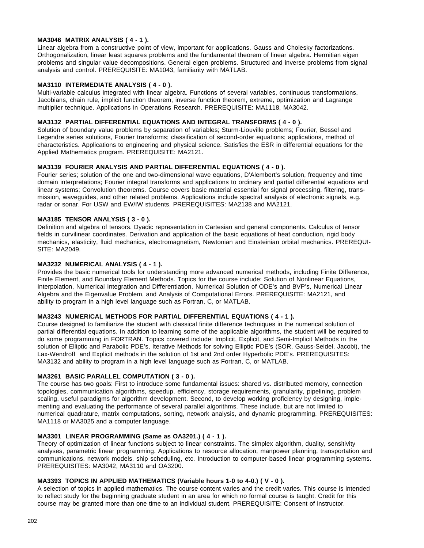### **MA3046 MATRIX ANALYSIS ( 4 - 1 ).**

Linear algebra from a constructive point of view, important for applications. Gauss and Cholesky factorizations. Orthogonalization, linear least squares problems and the fundamental theorem of linear algebra. Hermitian eigen problems and singular value decompositions. General eigen problems. Structured and inverse problems from signal analysis and control. PREREQUISITE: MA1043, familiarity with MATLAB.

### **MA3110 INTERMEDIATE ANALYSIS ( 4 - 0 ).**

Multi-variable calculus integrated with linear algebra. Functions of several variables, continuous transformations, Jacobians, chain rule, implicit function theorem, inverse function theorem, extreme, optimization and Lagrange multiplier technique. Applications in Operations Research. PREREQUISITE: MA1118, MA3042.

### **MA3132 PARTIAL DIFFERENTIAL EQUATIONS AND INTEGRAL TRANSFORMS ( 4 - 0 ).**

Solution of boundary value problems by separation of variables; Sturm-Liouville problems; Fourier, Bessel and Legendre series solutions, Fourier transforms; classification of second-order equations; applications, method of characteristics. Applications to engineering and physical science. Satisfies the ESR in differential equations for the Applied Mathematics program. PREREQUISITE: MA2121.

### **MA3139 FOURIER ANALYSIS AND PARTIAL DIFFERENTIAL EQUATIONS ( 4 - 0 ).**

Fourier series; solution of the one and two-dimensional wave equations, D'Alembert's solution, frequency and time domain interpretations; Fourier integral transforms and applications to ordinary and partial differential equations and linear systems; Convolution theorems. Course covers basic material essential for signal processing, filtering, transmission, waveguides, and other related problems. Applications include spectral analysis of electronic signals, e.g. radar or sonar. For USW and EW/IW students. PREREQUISITES: MA2138 and MA2121.

### **MA3185 TENSOR ANALYSIS ( 3 - 0 ).**

Definition and algebra of tensors. Dyadic representation in Cartesian and general components. Calculus of tensor fields in curvilinear coordinates. Derivation and application of the basic equations of heat conduction, rigid body mechanics, elasticity, fluid mechanics, electromagnetism, Newtonian and Einsteinian orbital mechanics. PREREQUI-SITE: MA2049.

#### **MA3232 NUMERICAL ANALYSIS ( 4 - 1 ).**

Provides the basic numerical tools for understanding more advanced numerical methods, including Finite Difference, Finite Element, and Boundary Element Methods. Topics for the course include: Solution of Nonlinear Equations, Interpolation, Numerical Integration and Differentiation, Numerical Solution of ODE's and BVP's, Numerical Linear Algebra and the Eigenvalue Problem, and Analysis of Computational Errors. PREREQUISITE: MA2121, and ability to program in a high level language such as Fortran, C, or MATLAB.

### **MA3243 NUMERICAL METHODS FOR PARTIAL DIFFERENTIAL EQUATIONS ( 4 - 1 ).**

Course designed to familiarize the student with classical finite difference techniques in the numerical solution of partial differential equations. In addition to learning some of the applicable algorithms, the student will be required to do some programming in FORTRAN. Topics covered include: Implicit, Explicit, and Semi-Implicit Methods in the solution of Elliptic and Parabolic PDE's, Iterative Methods for solving Elliptic PDE's (SOR, Gauss-Seidel, Jacobi), the Lax-Wendroff and Explicit methods in the solution of 1st and 2nd order Hyperbolic PDE's. PREREQUISITES: MA3132 and ability to program in a high level language such as Fortran, C, or MATLAB.

### **MA3261 BASIC PARALLEL COMPUTATION ( 3 - 0 ).**

The course has two goals: First to introduce some fundamental issues: shared vs. distributed memory, connection topologies, communication algorithms, speedup, efficiency, storage requirements, granularity, pipelining, problem scaling, useful paradigms for algorithm development. Second, to develop working proficiency by designing, implementing and evaluating the performance of several parallel algorithms. These include, but are not limited to numerical quadrature, matrix computations, sorting, network analysis, and dynamic programming. PREREQUISITES: MA1118 or MA3025 and a computer language.

#### **MA3301 LINEAR PROGRAMMING (Same as OA3201.) ( 4 - 1 ).**

Theory of optimization of linear functions subject to linear constraints. The simplex algorithm, duality, sensitivity analyses, parametric linear programming. Applications to resource allocation, manpower planning, transportation and communications, network models, ship scheduling, etc. Introduction to computer-based linear programming systems. PREREQUISITES: MA3042, MA3110 and OA3200.

#### **MA3393 TOPICS IN APPLIED MATHEMATICS (Variable hours 1-0 to 4-0.) ( V - 0 ).**

A selection of topics in applied mathematics. The course content varies and the credit varies. This course is intended to reflect study for the beginning graduate student in an area for which no formal course is taught. Credit for this course may be granted more than one time to an individual student. PREREQUISITE: Consent of instructor.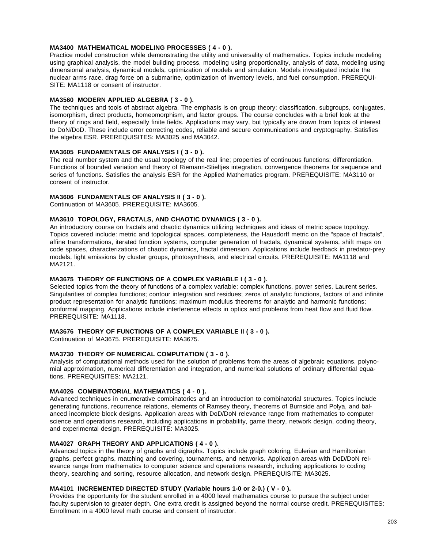### **MA3400 MATHEMATICAL MODELING PROCESSES ( 4 - 0 ).**

Practice model construction while demonstrating the utility and universality of mathematics. Topics include modeling using graphical analysis, the model building process, modeling using proportionality, analysis of data, modeling using dimensional analysis, dynamical models, optimization of models and simulation. Models investigated include the nuclear arms race, drag force on a submarine, optimization of inventory levels, and fuel consumption. PREREQUI-SITE: MA1118 or consent of instructor.

### **MA3560 MODERN APPLIED ALGEBRA ( 3 - 0 ).**

The techniques and tools of abstract algebra. The emphasis is on group theory: classification, subgroups, conjugates, isomorphism, direct products, homeomorphism, and factor groups. The course concludes with a brief look at the theory of rings and field, especially finite fields. Applications may vary, but typically are drawn from topics of interest to DoN/DoD. These include error correcting codes, reliable and secure communications and cryptography. Satisfies the algebra ESR. PREREQUISITES: MA3025 and MA3042.

### **MA3605 FUNDAMENTALS OF ANALYSIS I ( 3 - 0 ).**

The real number system and the usual topology of the real line; properties of continuous functions; differentiation. Functions of bounded variation and theory of Riemann-Stieltjes integration, convergence theorems for sequence and series of functions. Satisfies the analysis ESR for the Applied Mathematics program. PREREQUISITE: MA3110 or consent of instructor.

#### **MA3606 FUNDAMENTALS OF ANALYSIS II ( 3 - 0 ).**

Continuation of MA3605. PREREQUISITE: MA3605.

#### **MA3610 TOPOLOGY, FRACTALS, AND CHAOTIC DYNAMICS ( 3 - 0 ).**

An introductory course on fractals and chaotic dynamics utilizing techniques and ideas of metric space topology. Topics covered include: metric and topological spaces, completeness, the Hausdorff metric on the "space of fractals", affine transformations, iterated function systems, computer generation of fractals, dynamical systems, shift maps on code spaces, characterizations of chaotic dynamics, fractal dimension. Applications include feedback in predator-prey models, light emissions by cluster groups, photosynthesis, and electrical circuits. PREREQUISITE: MA1118 and MA2121.

### **MA3675 THEORY OF FUNCTIONS OF A COMPLEX VARIABLE I ( 3 - 0 ).**

Selected topics from the theory of functions of a complex variable; complex functions, power series, Laurent series. Singularities of complex functions; contour integration and residues; zeros of analytic functions, factors of and infinite product representation for analytic functions; maximum modulus theorems for analytic and harmonic functions; conformal mapping. Applications include interference effects in optics and problems from heat flow and fluid flow. PREREQUISITE: MA1118.

### **MA3676 THEORY OF FUNCTIONS OF A COMPLEX VARIABLE II ( 3 - 0 ).**

Continuation of MA3675. PREREQUISITE: MA3675.

### **MA3730 THEORY OF NUMERICAL COMPUTATION ( 3 - 0 ).**

Analysis of computational methods used for the solution of problems from the areas of algebraic equations, polynomial approximation, numerical differentiation and integration, and numerical solutions of ordinary differential equations. PREREQUISITES: MA2121.

#### **MA4026 COMBINATORIAL MATHEMATICS ( 4 - 0 ).**

Advanced techniques in enumerative combinatorics and an introduction to combinatorial structures. Topics include generating functions, recurrence relations, elements of Ramsey theory, theorems of Burnside and Polya, and balanced incomplete block designs. Application areas with DoD/DoN relevance range from mathematics to computer science and operations research, including applications in probability, game theory, network design, coding theory, and experimental design. PREREQUISITE: MA3025.

#### **MA4027 GRAPH THEORY AND APPLICATIONS ( 4 - 0 ).**

Advanced topics in the theory of graphs and digraphs. Topics include graph coloring, Eulerian and Hamiltonian graphs, perfect graphs, matching and covering, tournaments, and networks. Application areas with DoD/DoN relevance range from mathematics to computer science and operations research, including applications to coding theory, searching and sorting, resource allocation, and network design. PREREQUISITE: MA3025.

### **MA4101 INCREMENTED DIRECTED STUDY (Variable hours 1-0 or 2-0.) ( V - 0 ).**

Provides the opportunity for the student enrolled in a 4000 level mathematics course to pursue the subject under faculty supervision to greater depth. One extra credit is assigned beyond the normal course credit. PREREQUISITES: Enrollment in a 4000 level math course and consent of instructor.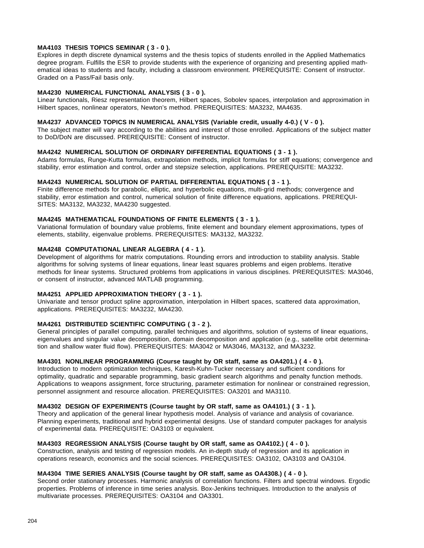### **MA4103 THESIS TOPICS SEMINAR ( 3 - 0 ).**

Explores in depth discrete dynamical systems and the thesis topics of students enrolled in the Applied Mathematics degree program. Fulfills the ESR to provide students with the experience of organizing and presenting applied mathematical ideas to students and faculty, including a classroom environment. PREREQUISITE: Consent of instructor. Graded on a Pass/Fail basis only.

### **MA4230 NUMERICAL FUNCTIONAL ANALYSIS ( 3 - 0 ).**

Linear functionals, Riesz representation theorem, Hilbert spaces, Sobolev spaces, interpolation and approximation in Hilbert spaces, nonlinear operators, Newton's method. PREREQUISITES: MA3232, MA4635.

### **MA4237 ADVANCED TOPICS IN NUMERICAL ANALYSIS (Variable credit, usually 4-0.) ( V - 0 ).**

The subject matter will vary according to the abilities and interest of those enrolled. Applications of the subject matter to DoD/DoN are discussed. PREREQUISITE: Consent of instructor.

### **MA4242 NUMERICAL SOLUTION OF ORDINARY DIFFERENTIAL EQUATIONS ( 3 - 1 ).**

Adams formulas, Runge-Kutta formulas, extrapolation methods, implicit formulas for stiff equations; convergence and stability, error estimation and control, order and stepsize selection, applications. PREREQUISITE: MA3232.

### **MA4243 NUMERICAL SOLUTION OF PARTIAL DIFFERENTIAL EQUATIONS ( 3 - 1 ).**

Finite difference methods for parabolic, elliptic, and hyperbolic equations, multi-grid methods; convergence and stability, error estimation and control, numerical solution of finite difference equations, applications. PREREQUI-SITES: MA3132, MA3232, MA4230 suggested.

#### **MA4245 MATHEMATICAL FOUNDATIONS OF FINITE ELEMENTS ( 3 - 1 ).**

Variational formulation of boundary value problems, finite element and boundary element approximations, types of elements, stability, eigenvalue problems. PREREQUISITES: MA3132, MA3232.

### **MA4248 COMPUTATIONAL LINEAR ALGEBRA ( 4 - 1 ).**

Development of algorithms for matrix computations. Rounding errors and introduction to stability analysis. Stable algorithms for solving systems of linear equations, linear least squares problems and eigen problems. Iterative methods for linear systems. Structured problems from applications in various disciplines. PREREQUISITES: MA3046, or consent of instructor, advanced MATLAB programming.

#### **MA4251 APPLIED APPROXIMATION THEORY ( 3 - 1 ).**

Univariate and tensor product spline approximation, interpolation in Hilbert spaces, scattered data approximation, applications. PREREQUISITES: MA3232, MA4230.

### **MA4261 DISTRIBUTED SCIENTIFIC COMPUTING ( 3 - 2 ).**

General principles of parallel computing, parallel techniques and algorithms, solution of systems of linear equations, eigenvalues and singular value decomposition, domain decomposition and application (e.g., satellite orbit determination and shallow water fluid flow). PREREQUISITES: MA3042 or MA3046, MA3132, and MA3232.

## **MA4301 NONLINEAR PROGRAMMING (Course taught by OR staff, same as OA4201.) ( 4 - 0 ).**

Introduction to modern optimization techniques, Karesh-Kuhn-Tucker necessary and sufficient conditions for optimality, quadratic and separable programming, basic gradient search algorithms and penalty function methods. Applications to weapons assignment, force structuring, parameter estimation for nonlinear or constrained regression, personnel assignment and resource allocation. PREREQUISITES: OA3201 and MA3110.

#### **MA4302 DESIGN OF EXPERIMENTS (Course taught by OR staff, same as OA4101.) ( 3 - 1 ).**

Theory and application of the general linear hypothesis model. Analysis of variance and analysis of covariance. Planning experiments, traditional and hybrid experimental designs. Use of standard computer packages for analysis of experimental data. PREREQUISITE: OA3103 or equivalent.

#### **MA4303 REGRESSION ANALYSIS (Course taught by OR staff, same as OA4102.) ( 4 - 0 ).**

Construction, analysis and testing of regression models. An in-depth study of regression and its application in operations research, economics and the social sciences. PREREQUISITES: OA3102, OA3103 and OA3104.

### **MA4304 TIME SERIES ANALYSIS (Course taught by OR staff, same as OA4308.) ( 4 - 0 ).**

Second order stationary processes. Harmonic analysis of correlation functions. Filters and spectral windows. Ergodic properties. Problems of inference in time series analysis. Box-Jenkins techniques. Introduction to the analysis of multivariate processes. PREREQUISITES: OA3104 and OA3301.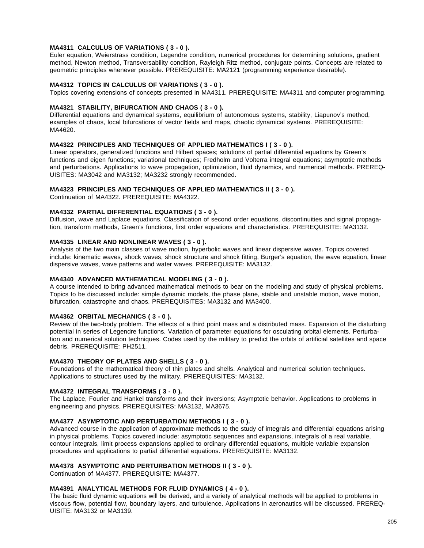### **MA4311 CALCULUS OF VARIATIONS ( 3 - 0 ).**

Euler equation, Weierstrass condition, Legendre condition, numerical procedures for determining solutions, gradient method, Newton method, Transversability condition, Rayleigh Ritz method, conjugate points. Concepts are related to geometric principles whenever possible. PREREQUISITE: MA2121 (programming experience desirable).

# **MA4312 TOPICS IN CALCULUS OF VARIATIONS ( 3 - 0 ).**

Topics covering extensions of concepts presented in MA4311. PREREQUISITE: MA4311 and computer programming.

#### **MA4321 STABILITY, BIFURCATION AND CHAOS ( 3 - 0 ).**

Differential equations and dynamical systems, equilibrium of autonomous systems, stability, Liapunov's method, examples of chaos, local bifurcations of vector fields and maps, chaotic dynamical systems. PREREQUISITE: MA4620.

### **MA4322 PRINCIPLES AND TECHNIQUES OF APPLIED MATHEMATICS I ( 3 - 0 ).**

Linear operators, generalized functions and Hilbert spaces; solutions of partial differential equations by Green's functions and eigen functions; variational techniques; Fredholm and Volterra integral equations; asymptotic methods and perturbations. Applications to wave propagation, optimization, fluid dynamics, and numerical methods. PREREQ-UISITES: MA3042 and MA3132; MA3232 strongly recommended.

#### **MA4323 PRINCIPLES AND TECHNIQUES OF APPLIED MATHEMATICS II ( 3 - 0 ).**

Continuation of MA4322. PREREQUISITE: MA4322.

#### **MA4332 PARTIAL DIFFERENTIAL EQUATIONS ( 3 - 0 ).**

Diffusion, wave and Laplace equations. Classification of second order equations, discontinuities and signal propagation, transform methods, Green's functions, first order equations and characteristics. PREREQUISITE: MA3132.

### **MA4335 LINEAR AND NONLINEAR WAVES ( 3 - 0 ).**

Analysis of the two main classes of wave motion, hyperbolic waves and linear dispersive waves. Topics covered include: kinematic waves, shock waves, shock structure and shock fitting, Burger's equation, the wave equation, linear dispersive waves, wave patterns and water waves. PREREQUISITE: MA3132.

#### **MA4340 ADVANCED MATHEMATICAL MODELING ( 3 - 0 ).**

A course intended to bring advanced mathematical methods to bear on the modeling and study of physical problems. Topics to be discussed include: simple dynamic models, the phase plane, stable and unstable motion, wave motion, bifurcation, catastrophe and chaos. PREREQUISITES: MA3132 and MA3400.

#### **MA4362 ORBITAL MECHANICS ( 3 - 0 ).**

Review of the two-body problem. The effects of a third point mass and a distributed mass. Expansion of the disturbing potential in series of Legendre functions. Variation of parameter equations for osculating orbital elements. Perturbation and numerical solution techniques. Codes used by the military to predict the orbits of artificial satellites and space debris. PREREQUISITE: PH2511.

### **MA4370 THEORY OF PLATES AND SHELLS ( 3 - 0 ).**

Foundations of the mathematical theory of thin plates and shells. Analytical and numerical solution techniques. Applications to structures used by the military. PREREQUISITES: MA3132.

#### **MA4372 INTEGRAL TRANSFORMS ( 3 - 0 ).**

The Laplace, Fourier and Hankel transforms and their inversions; Asymptotic behavior. Applications to problems in engineering and physics. PREREQUISITES: MA3132, MA3675.

#### **MA4377 ASYMPTOTIC AND PERTURBATION METHODS I ( 3 - 0 ).**

Advanced course in the application of approximate methods to the study of integrals and differential equations arising in physical problems. Topics covered include: asymptotic sequences and expansions, integrals of a real variable, contour integrals, limit process expansions applied to ordinary differential equations, multiple variable expansion procedures and applications to partial differential equations. PREREQUISITE: MA3132.

#### **MA4378 ASYMPTOTIC AND PERTURBATION METHODS II ( 3 - 0 ).**

Continuation of MA4377. PREREQUISITE: MA4377.

#### **MA4391 ANALYTICAL METHODS FOR FLUID DYNAMICS ( 4 - 0 ).**

The basic fluid dynamic equations will be derived, and a variety of analytical methods will be applied to problems in viscous flow, potential flow, boundary layers, and turbulence. Applications in aeronautics will be discussed. PREREQ-UISITE: MA3132 or MA3139.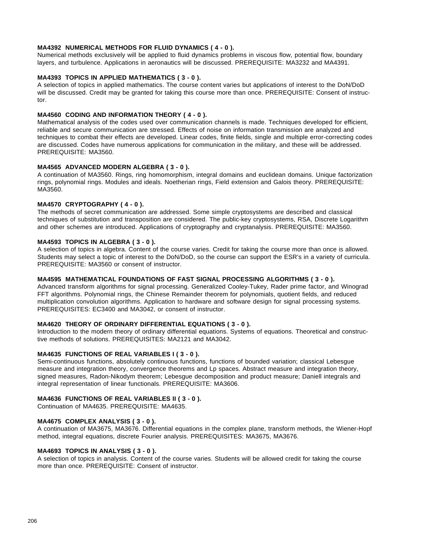### **MA4392 NUMERICAL METHODS FOR FLUID DYNAMICS ( 4 - 0 ).**

Numerical methods exclusively will be applied to fluid dynamics problems in viscous flow, potential flow, boundary layers, and turbulence. Applications in aeronautics will be discussed. PREREQUISITE: MA3232 and MA4391.

### **MA4393 TOPICS IN APPLIED MATHEMATICS ( 3 - 0 ).**

A selection of topics in applied mathematics. The course content varies but applications of interest to the DoN/DoD will be discussed. Credit may be granted for taking this course more than once. PREREQUISITE: Consent of instructor.

### **MA4560 CODING AND INFORMATION THEORY ( 4 - 0 ).**

Mathematical analysis of the codes used over communication channels is made. Techniques developed for efficient, reliable and secure communication are stressed. Effects of noise on information transmission are analyzed and techniques to combat their effects are developed. Linear codes, finite fields, single and multiple error-correcting codes are discussed. Codes have numerous applications for communication in the military, and these will be addressed. PREREQUISITE: MA3560.

### **MA4565 ADVANCED MODERN ALGEBRA ( 3 - 0 ).**

A continuation of MA3560. Rings, ring homomorphism, integral domains and euclidean domains. Unique factorization rings, polynomial rings. Modules and ideals. Noetherian rings, Field extension and Galois theory. PREREQUISITE: MA3560.

### **MA4570 CRYPTOGRAPHY ( 4 - 0 ).**

The methods of secret communication are addressed. Some simple cryptosystems are described and classical techniques of substitution and transposition are considered. The public-key cryptosystems, RSA, Discrete Logarithm and other schemes are introduced. Applications of cryptography and cryptanalysis. PREREQUISITE: MA3560.

### **MA4593 TOPICS IN ALGEBRA ( 3 - 0 ).**

A selection of topics in algebra. Content of the course varies. Credit for taking the course more than once is allowed. Students may select a topic of interest to the DoN/DoD, so the course can support the ESR's in a variety of curricula. PREREQUISITE: MA3560 or consent of instructor.

#### **MA4595 MATHEMATICAL FOUNDATIONS OF FAST SIGNAL PROCESSING ALGORITHMS ( 3 - 0 ).**

Advanced transform algorithms for signal processing. Generalized Cooley-Tukey, Rader prime factor, and Winograd FFT algorithms. Polynomial rings, the Chinese Remainder theorem for polynomials, quotient fields, and reduced multiplication convolution algorithms. Application to hardware and software design for signal processing systems. PREREQUISITES: EC3400 and MA3042, or consent of instructor.

## **MA4620 THEORY OF ORDINARY DIFFERENTIAL EQUATIONS ( 3 - 0 ).**

Introduction to the modern theory of ordinary differential equations. Systems of equations. Theoretical and constructive methods of solutions. PREREQUISITES: MA2121 and MA3042.

## **MA4635 FUNCTIONS OF REAL VARIABLES I ( 3 - 0 ).**

Semi-continuous functions, absolutely continuous functions, functions of bounded variation; classical Lebesgue measure and integration theory, convergence theorems and Lp spaces. Abstract measure and integration theory, signed measures, Radon-Nikodym theorem; Lebesgue decomposition and product measure; Daniell integrals and integral representation of linear functionals. PREREQUISITE: MA3606.

### **MA4636 FUNCTIONS OF REAL VARIABLES II ( 3 - 0 ).**

Continuation of MA4635. PREREQUISITE: MA4635.

#### **MA4675 COMPLEX ANALYSIS ( 3 - 0 ).**

A continuation of MA3675, MA3676. Differential equations in the complex plane, transform methods, the Wiener-Hopf method, integral equations, discrete Fourier analysis. PREREQUISITES: MA3675, MA3676.

#### **MA4693 TOPICS IN ANALYSIS ( 3 - 0 ).**

A selection of topics in analysis. Content of the course varies. Students will be allowed credit for taking the course more than once. PREREQUISITE: Consent of instructor.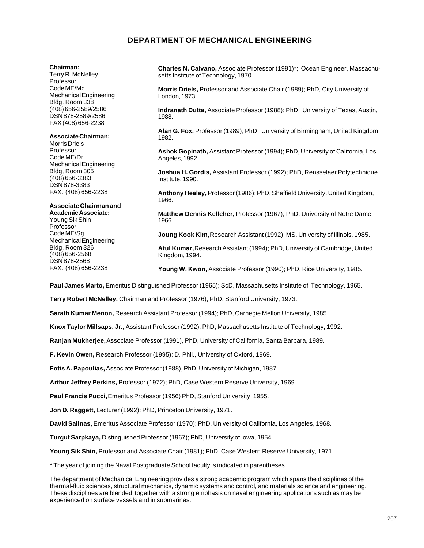# **DEPARTMENT OF MECHANICAL ENGINEERING**

#### **Chairman:**

Terry R. McNelley Professor Code ME/Mc Mechanical Engineering Bldg, Room 338 (408) 656-2589/2586 DSN 878-2589/2586 FAX (408) 656-2238

#### **Associate Chairman:**

Morris Driels Professor Code ME/Dr Mechanical Engineering Bldg, Room 305 (408) 656-3383 DSN 878-3383 FAX: (408) 656-2238

#### **Associate Chairman and Academic Associate:**

Young Sik Shin Professor Code ME/Sg Mechanical Engineering Bldg, Room 326 (408) 656-2568 DSN 878-2568 FAX: (408) 656-2238

**Charles N. Calvano,** Associate Professor (1991)\*; Ocean Engineer, Massachusetts Institute of Technology, 1970.

**Morris Driels,** Professor and Associate Chair (1989); PhD, City University of London, 1973.

**Indranath Dutta,** Associate Professor (1988); PhD, University of Texas, Austin, 1988.

**Alan G. Fox,** Professor (1989); PhD, University of Birmingham, United Kingdom, 1982.

**Ashok Gopinath,** Assistant Professor (1994); PhD, University of California, Los Angeles, 1992.

**Joshua H. Gordis,** Assistant Professor (1992); PhD, Rensselaer Polytechnique Institute, 1990.

**Anthony Healey,** Professor (1986); PhD, Sheffield University, United Kingdom, 1966.

**Matthew Dennis Kelleher,** Professor (1967); PhD, University of Notre Dame, 1966.

**Joung Kook Kim,** Research Assistant (1992); MS, University of Illinois, 1985.

**Atul Kumar,** Research Assistant (1994); PhD, University of Cambridge, United Kingdom, 1994.

**Young W. Kwon,** Associate Professor (1990); PhD, Rice University, 1985.

**Paul James Marto,** Emeritus Distinguished Professor (1965); ScD, Massachusetts Institute of Technology, 1965.

**Terry Robert McNelley,** Chairman and Professor (1976); PhD, Stanford University, 1973.

**Sarath Kumar Menon,** Research Assistant Professor (1994); PhD, Carnegie Mellon University, 1985.

**Knox Taylor Millsaps, Jr.,** Assistant Professor (1992); PhD, Massachusetts Institute of Technology, 1992.

**Ranjan Mukherjee,** Associate Professor (1991), PhD, University of California, Santa Barbara, 1989.

**F. Kevin Owen,** Research Professor (1995); D. Phil., University of Oxford, 1969.

**Fotis A. Papoulias,** Associate Professor (1988), PhD, University of Michigan, 1987.

**Arthur Jeffrey Perkins,** Professor (1972); PhD, Case Western Reserve University, 1969.

Paul Francis Pucci, Emeritus Professor (1956) PhD, Stanford University, 1955.

**Jon D. Raggett,** Lecturer (1992); PhD, Princeton University, 1971.

**David Salinas,** Emeritus Associate Professor (1970); PhD, University of California, Los Angeles, 1968.

**Turgut Sarpkaya,** Distinguished Professor (1967); PhD, University of Iowa, 1954.

**Young Sik Shin,** Professor and Associate Chair (1981); PhD, Case Western Reserve University, 1971.

\* The year of joining the Naval Postgraduate School faculty is indicated in parentheses.

The department of Mechanical Engineering provides a strong academic program which spans the disciplines of the thermal-fluid sciences, structural mechanics, dynamic systems and control, and materials science and engineering. These disciplines are blended together with a strong emphasis on naval engineering applications such as may be experienced on surface vessels and in submarines.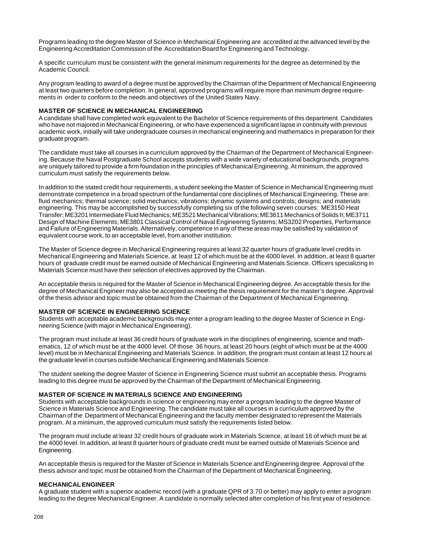Programs leading to the degree Master of Science in Mechanical Engineering are accredited at the advanced level by the Engineering Accreditation Commission of the Accreditation Board for Engineering and Technology.

A specific curriculum must be consistent with the general minimum requirements for the degree as determined by the Academic Council.

Any program leading to award of a degree must be approved by the Chairman of the Department of Mechanical Engineering at least two quarters before completion. In general, approved programs will require more than minimum degree requirements in order to conform to the needs and objectives of the United States Navy.

#### **MASTER OF SCIENCE IN MECHANICAL ENGINEERING**

A candidate shall have completed work equivalent to the Bachelor of Science requirements of this department. Candidates who have not majored in Mechanical Engineering, or who have experienced a significant lapse in continuity with previous academic work, initially will take undergraduate courses in mechanical engineering and mathematics in preparation for their graduate program.

The candidate must take all courses in a curriculum approved by the Chairman of the Department of Mechanical Engineering. Because the Naval Postgraduate School accepts students with a wide variety of educational backgrounds, programs are uniquely tailored to provide a firm foundation in the principles of Mechanical Engineering. At minimum, the approved curriculum must satisfy the requirements below.

In addition to the stated credit hour requirements, a student seeking the Master of Science in Mechanical Engineering must demonstrate competence in a broad spectrum of the fundamental core disciplines of Mechanical Engineering. These are: fluid mechanics; thermal science; solid mechanics; vibrations; dynamic systems and controls; designs; and materials engineering. This may be accomplished by successfully completing six of the following seven courses: ME3150 Heat Transfer; ME3201 Intermediate Fluid Mechanics; ME3521 Mechanical Vibrations; ME3611 Mechanics of Solids II; ME3711 Design of Machine Elements; ME3801 Classical Control of Naval Engineering Systems; MS3202 Properties, Performance and Failure of Engineering Materials. Alternatively, competence in any of these areas may be satisfied by validation of equivalent course work, to an acceptable level, from another institution.

The Master of Science degree in Mechanical Engineering requires at least 32 quarter hours of graduate level credits in Mechanical Engineering and Materials Science, at least 12 of which must be at the 4000 level. In addition, at least 8 quarter hours of graduate credit must be earned outside of Mechanical Engineering and Materials Science. Officers specializing in Materials Science must have their selection of electives approved by the Chairman.

An acceptable thesis is required for the Master of Science in Mechanical Engineering degree. An acceptable thesis for the degree of Mechanical Engineer may also be accepted as meeting the thesis requirement for the master's degree. Approval of the thesis advisor and topic must be obtained from the Chairman of the Department of Mechanical Engineering.

#### **MASTER OF SCIENCE IN ENGINEERING SCIENCE**

Students with acceptable academic backgrounds may enter a program leading to the degree Master of Science in Engineering Science (with major in Mechanical Engineering).

The program must include at least 36 credit hours of graduate work in the disciplines of engineering, science and mathematics, 12 of which must be at the 4000 level. Of those 36 hours, at least 20 hours (eight of which must be at the 4000 level) must be in Mechanical Engineering and Materials Science. In addition, the program must contain at least 12 hours at the graduate level in courses outside Mechanical Engineering and Materials Science.

The student seeking the degree Master of Science in Engineering Science must submit an acceptable thesis. Programs leading to this degree must be approved by the Chairman of the Department of Mechanical Engineering.

#### **MASTER OF SCIENCE IN MATERIALS SCIENCE AND ENGINEERING**

Students with acceptable backgrounds in science or engineering may enter a program leading to the degree Master of Science in Materials Science and Engineering. The candidate must take all courses in a curriculum approved by the Chairman of the Department of Mechanical Engineering and the faculty member designated to represent the Materials program. At a minimum, the approved curriculum must satisfy the requirements listed below.

The program must include at least 32 credit hours of graduate work in Materials Science, at least 16 of which must be at the 4000 level. In addition, at least 8 quarter hours of graduate credit must be earned outside of Materials Science and Engineering.

An acceptable thesis is required for the Master of Science in Materials Science and Engineering degree. Approval of the thesis advisor and topic must be obtained from the Chairman of the Department of Mechanical Engineering.

#### **MECHANICAL ENGINEER**

A graduate student with a superior academic record (with a graduate QPR of 3.70 or better) may apply to enter a program leading to the degree Mechanical Engineer. A candidate is normally selected after completion of his first year of residence.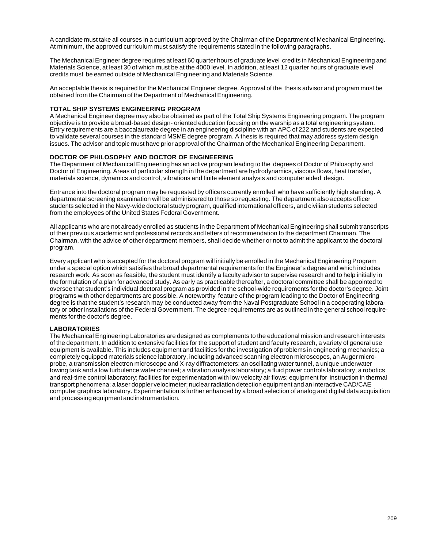A candidate must take all courses in a curriculum approved by the Chairman of the Department of Mechanical Engineering. At minimum, the approved curriculum must satisfy the requirements stated in the following paragraphs.

The Mechanical Engineer degree requires at least 60 quarter hours of graduate level credits in Mechanical Engineering and Materials Science, at least 30 of which must be at the 4000 level. In addition, at least 12 quarter hours of graduate level credits must be earned outside of Mechanical Engineering and Materials Science.

An acceptable thesis is required for the Mechanical Engineer degree. Approval of the thesis advisor and program must be obtained from the Chairman of the Department of Mechanical Engineering.

#### **TOTAL SHIP SYSTEMS ENGINEERING PROGRAM**

A Mechanical Engineer degree may also be obtained as part of the Total Ship Systems Engineering program. The program objective is to provide a broad-based design- oriented education focusing on the warship as a total engineering system. Entry requirements are a baccalaureate degree in an engineering discipline with an APC of 222 and students are expected to validate several courses in the standard MSME degree program. A thesis is required that may address system design issues. The advisor and topic must have prior approval of the Chairman of the Mechanical Engineering Department.

### **DOCTOR OF PHILOSOPHY AND DOCTOR OF ENGINEERING**

The Department of Mechanical Engineering has an active program leading to the degrees of Doctor of Philosophy and Doctor of Engineering. Areas of particular strength in the department are hydrodynamics, viscous flows, heat transfer, materials science, dynamics and control, vibrations and finite element analysis and computer aided design.

Entrance into the doctoral program may be requested by officers currently enrolled who have sufficiently high standing. A departmental screening examination will be administered to those so requesting. The department also accepts officer students selected in the Navy-wide doctoral study program, qualified international officers, and civilian students selected from the employees of the United States Federal Government.

All applicants who are not already enrolled as students in the Department of Mechanical Engineering shall submit transcripts of their previous academic and professional records and letters of recommendation to the department Chairman. The Chairman, with the advice of other department members, shall decide whether or not to admit the applicant to the doctoral program.

Every applicant who is accepted for the doctoral program will initially be enrolled in the Mechanical Engineering Program under a special option which satisfies the broad departmental requirements for the Engineer's degree and which includes research work. As soon as feasible, the student must identify a faculty advisor to supervise research and to help initially in the formulation of a plan for advanced study. As early as practicable thereafter, a doctoral committee shall be appointed to oversee that student's individual doctoral program as provided in the school-wide requirements for the doctor's degree. Joint programs with other departments are possible. A noteworthy feature of the program leading to the Doctor of Engineering degree is that the student's research may be conducted away from the Naval Postgraduate School in a cooperating laboratory or other installations of the Federal Government. The degree requirements are as outlined in the general school requirements for the doctor's degree.

#### **LABORATORIES**

The Mechanical Engineering Laboratories are designed as complements to the educational mission and research interests of the department. In addition to extensive facilities for the support of student and faculty research, a variety of general use equipment is available. This includes equipment and facilities for the investigation of problems in engineering mechanics; a completely equipped materials science laboratory, including advanced scanning electron microscopes, an Auger microprobe, a transmission electron microscope and X-ray diffractometers; an oscillating water tunnel, a unique underwater towing tank and a low turbulence water channel; a vibration analysis laboratory; a fluid power controls laboratory; a robotics and real-time control laboratory; facilities for experimentation with low velocity air flows; equipment for instruction in thermal transport phenomena; a laser doppler velocimeter; nuclear radiation detection equipment and an interactive CAD/CAE computer graphics laboratory. Experimentation is further enhanced by a broad selection of analog and digital data acquisition and processing equipment and instrumentation.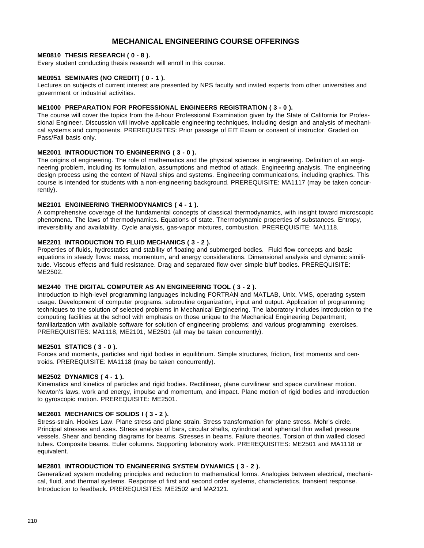# **MECHANICAL ENGINEERING COURSE OFFERINGS**

### **ME0810 THESIS RESEARCH ( 0 - 8 ).**

Every student conducting thesis research will enroll in this course.

### **ME0951 SEMINARS (NO CREDIT) ( 0 - 1 ).**

Lectures on subjects of current interest are presented by NPS faculty and invited experts from other universities and government or industrial activities.

### **ME1000 PREPARATION FOR PROFESSIONAL ENGINEERS REGISTRATION ( 3 - 0 ).**

The course will cover the topics from the 8-hour Professional Examination given by the State of California for Professional Engineer. Discussion will involve applicable engineering techniques, including design and analysis of mechanical systems and components. PREREQUISITES: Prior passage of EIT Exam or consent of instructor. Graded on Pass/Fail basis only.

## **ME2001 INTRODUCTION TO ENGINEERING ( 3 - 0 ).**

The origins of engineering. The role of mathematics and the physical sciences in engineering. Definition of an engineering problem, including its formulation, assumptions and method of attack. Engineering analysis. The engineering design process using the context of Naval ships and systems. Engineering communications, including graphics. This course is intended for students with a non-engineering background. PREREQUISITE: MA1117 (may be taken concurrently).

### **ME2101 ENGINEERING THERMODYNAMICS ( 4 - 1 ).**

A comprehensive coverage of the fundamental concepts of classical thermodynamics, with insight toward microscopic phenomena. The laws of thermodynamics. Equations of state. Thermodynamic properties of substances. Entropy, irreversibility and availability. Cycle analysis, gas-vapor mixtures, combustion. PREREQUISITE: MA1118.

# **ME2201 INTRODUCTION TO FLUID MECHANICS ( 3 - 2 ).**

Properties of fluids, hydrostatics and stability of floating and submerged bodies. Fluid flow concepts and basic equations in steady flows: mass, momentum, and energy considerations. Dimensional analysis and dynamic similitude. Viscous effects and fluid resistance. Drag and separated flow over simple bluff bodies. PREREQUISITE: ME2502.

#### **ME2440 THE DIGITAL COMPUTER AS AN ENGINEERING TOOL ( 3 - 2 ).**

Introduction to high-level programming languages including FORTRAN and MATLAB, Unix, VMS, operating system usage. Development of computer programs, subroutine organization, input and output. Application of programming techniques to the solution of selected problems in Mechanical Engineering. The laboratory includes introduction to the computing facilities at the school with emphasis on those unique to the Mechanical Engineering Department; familiarization with available software for solution of engineering problems; and various programming exercises. PREREQUISITES: MA1118, ME2101, ME2501 (all may be taken concurrently).

#### **ME2501 STATICS ( 3 - 0 ).**

Forces and moments, particles and rigid bodies in equilibrium. Simple structures, friction, first moments and centroids. PREREQUISITE: MA1118 (may be taken concurrently).

### **ME2502 DYNAMICS ( 4 - 1 ).**

Kinematics and kinetics of particles and rigid bodies. Rectilinear, plane curvilinear and space curvilinear motion. Newton's laws, work and energy, impulse and momentum, and impact. Plane motion of rigid bodies and introduction to gyroscopic motion. PREREQUISITE: ME2501.

#### **ME2601 MECHANICS OF SOLIDS I ( 3 - 2 ).**

Stress-strain. Hookes Law. Plane stress and plane strain. Stress transformation for plane stress. Mohr's circle. Principal stresses and axes. Stress analysis of bars, circular shafts, cylindrical and spherical thin walled pressure vessels. Shear and bending diagrams for beams. Stresses in beams. Failure theories. Torsion of thin walled closed tubes. Composite beams. Euler columns. Supporting laboratory work. PREREQUISITES: ME2501 and MA1118 or equivalent.

#### **ME2801 INTRODUCTION TO ENGINEERING SYSTEM DYNAMICS ( 3 - 2 ).**

Generalized system modeling principles and reduction to mathematical forms. Analogies between electrical, mechanical, fluid, and thermal systems. Response of first and second order systems, characteristics, transient response. Introduction to feedback. PREREQUISITES: ME2502 and MA2121.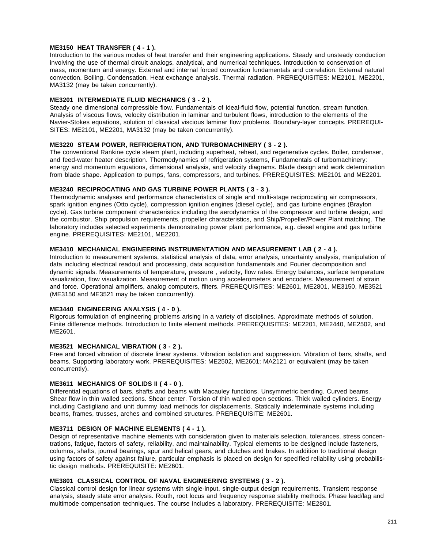### **ME3150 HEAT TRANSFER ( 4 - 1 ).**

Introduction to the various modes of heat transfer and their engineering applications. Steady and unsteady conduction involving the use of thermal circuit analogs, analytical, and numerical techniques. Introduction to conservation of mass, momentum and energy. External and internal forced convection fundamentals and correlation. External natural convection. Boiling. Condensation. Heat exchange analysis. Thermal radiation. PREREQUISITES: ME2101, ME2201, MA3132 (may be taken concurrently).

## **ME3201 INTERMEDIATE FLUID MECHANICS ( 3 - 2 ).**

Steady one dimensional compressible flow. Fundamentals of ideal-fluid flow, potential function, stream function. Analysis of viscous flows, velocity distribution in laminar and turbulent flows, introduction to the elements of the Navier-Stokes equations, solution of classical viscious laminar flow problems. Boundary-layer concepts. PREREQUI-SITES: ME2101, ME2201, MA3132 (may be taken concurrently).

### **ME3220 STEAM POWER, REFRIGERATION, AND TURBOMACHINERY ( 3 - 2 ).**

The conventional Rankine cycle steam plant, including superheat, reheat, and regenerative cycles. Boiler, condenser, and feed-water heater description. Thermodynamics of refrigeration systems, Fundamentals of turbomachinery: energy and momentum equations, dimensional analysis, and velocity diagrams. Blade design and work determination from blade shape. Application to pumps, fans, compressors, and turbines. PREREQUISITES: ME2101 and ME2201.

#### **ME3240 RECIPROCATING AND GAS TURBINE POWER PLANTS ( 3 - 3 ).**

Thermodynamic analyses and performance characteristics of single and multi-stage reciprocating air compressors, spark ignition engines (Otto cycle), compression ignition engines (diesel cycle), and gas turbine engines (Brayton cycle). Gas turbine component characteristics including the aerodynamics of the compressor and turbine design, and the combustor. Ship propulsion requirements, propeller characteristics, and Ship/Propeller/Power Plant matching. The laboratory includes selected experiments demonstrating power plant performance, e.g. diesel engine and gas turbine engine. PREREQUISITES: ME2101, ME2201.

### **ME3410 MECHANICAL ENGINEERING INSTRUMENTATION AND MEASUREMENT LAB ( 2 - 4 ).**

Introduction to measurement systems, statistical analysis of data, error analysis, uncertainty analysis, manipulation of data including electrical readout and processing, data acquisition fundamentals and Fourier decomposition and dynamic signals. Measurements of temperature, pressure , velocity, flow rates. Energy balances, surface temperature visualization, flow visualization. Measurement of motion using accelerometers and encoders. Measurement of strain and force. Operational amplifiers, analog computers, filters. PREREQUISITES: ME2601, ME2801, ME3150, ME3521 (ME3150 and ME3521 may be taken concurrently).

### **ME3440 ENGINEERING ANALYSIS ( 4 - 0 ).**

Rigorous formulation of engineering problems arising in a variety of disciplines. Approximate methods of solution. Finite difference methods. Introduction to finite element methods. PREREQUISITES: ME2201, ME2440, ME2502, and ME2601.

### **ME3521 MECHANICAL VIBRATION ( 3 - 2 ).**

Free and forced vibration of discrete linear systems. Vibration isolation and suppression. Vibration of bars, shafts, and beams. Supporting laboratory work. PREREQUISITES: ME2502, ME2601; MA2121 or equivalent (may be taken concurrently).

#### **ME3611 MECHANICS OF SOLIDS II ( 4 - 0 ).**

Differential equations of bars, shafts and beams with Macauley functions. Unsymmetric bending. Curved beams. Shear flow in thin walled sections. Shear center. Torsion of thin walled open sections. Thick walled cylinders. Energy including Castigliano and unit dummy load methods for displacements. Statically indeterminate systems including beams, frames, trusses, arches and combined structures. PREREQUISITE: ME2601.

#### **ME3711 DESIGN OF MACHINE ELEMENTS ( 4 - 1 ).**

Design of representative machine elements with consideration given to materials selection, tolerances, stress concentrations, fatigue, factors of safety, reliability, and maintainability. Typical elements to be designed include fasteners, columns, shafts, journal bearings, spur and helical gears, and clutches and brakes. In addition to traditional design using factors of safety against failure, particular emphasis is placed on design for specified reliability using probabilistic design methods. PREREQUISITE: ME2601.

### **ME3801 CLASSICAL CONTROL OF NAVAL ENGINEERING SYSTEMS ( 3 - 2 ).**

Classical control design for linear systems with single-input, single-output design requirements. Transient response analysis, steady state error analysis. Routh, root locus and frequency response stability methods. Phase lead/lag and multimode compensation techniques. The course includes a laboratory. PREREQUISITE: ME2801.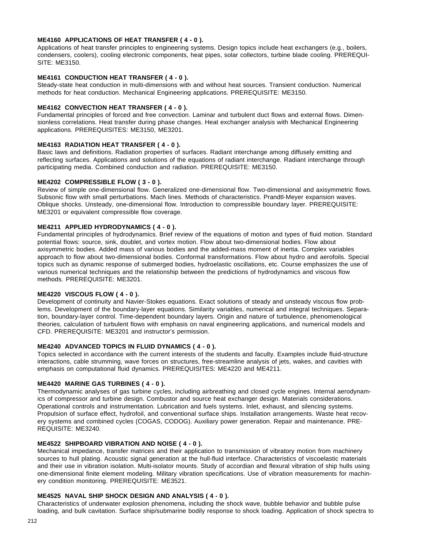### **ME4160 APPLICATIONS OF HEAT TRANSFER ( 4 - 0 ).**

Applications of heat transfer principles to engineering systems. Design topics include heat exchangers (e.g., boilers, condensers, coolers), cooling electronic components, heat pipes, solar collectors, turbine blade cooling. PREREQUI-SITE: ME3150.

### **ME4161 CONDUCTION HEAT TRANSFER ( 4 - 0 ).**

Steady-state heat conduction in multi-dimensions with and without heat sources. Transient conduction. Numerical methods for heat conduction. Mechanical Engineering applications. PREREQUISITE: ME3150.

#### **ME4162 CONVECTION HEAT TRANSFER ( 4 - 0 ).**

Fundamental principles of forced and free convection. Laminar and turbulent duct flows and external flows. Dimensionless correlations. Heat transfer during phase changes. Heat exchanger analysis with Mechanical Engineering applications. PREREQUISITES: ME3150, ME3201.

### **ME4163 RADIATION HEAT TRANSFER ( 4 - 0 ).**

Basic laws and definitions. Radiation properties of surfaces. Radiant interchange among diffusely emitting and reflecting surfaces. Applications and solutions of the equations of radiant interchange. Radiant interchange through participating media. Combined conduction and radiation. PREREQUISITE: ME3150.

### **ME4202 COMPRESSIBLE FLOW ( 3 - 0 ).**

Review of simple one-dimensional flow. Generalized one-dimensional flow. Two-dimensional and axisymmetric flows. Subsonic flow with small perturbations. Mach lines. Methods of characteristics. Prandtl-Meyer expansion waves. Oblique shocks. Unsteady, one-dimensional flow. Introduction to compressible boundary layer. PREREQUISITE: ME3201 or equivalent compressible flow coverage.

### **ME4211 APPLIED HYDRODYNAMICS ( 4 - 0 ).**

Fundamental principles of hydrodynamics. Brief review of the equations of motion and types of fluid motion. Standard potential flows: source, sink, doublet, and vortex motion. Flow about two-dimensional bodies. Flow about axisymmetric bodies. Added mass of various bodies and the added-mass moment of inertia. Complex variables approach to flow about two-dimensional bodies. Conformal transformations. Flow about hydro and aerofoils. Special topics such as dynamic response of submerged bodies, hydroelastic oscillations, etc. Course emphasizes the use of various numerical techniques and the relationship between the predictions of hydrodynamics and viscous flow methods. PREREQUISITE: ME3201.

#### **ME4220 VISCOUS FLOW ( 4 - 0 ).**

Development of continuity and Navier-Stokes equations. Exact solutions of steady and unsteady viscous flow problems. Development of the boundary-layer equations. Similarity variables, numerical and integral techniques. Separation, boundary-layer control. Time-dependent boundary layers. Origin and nature of turbulence, phenomenological theories, calculation of turbulent flows with emphasis on naval engineering applications, and numerical models and CFD. PREREQUISITE: ME3201 and instructor's permission.

#### **ME4240 ADVANCED TOPICS IN FLUID DYNAMICS ( 4 - 0 ).**

Topics selected in accordance with the current interests of the students and faculty. Examples include fluid-structure interactions, cable strumming, wave forces on structures, free-streamline analysis of jets, wakes, and cavities with emphasis on computational fluid dynamics. PREREQUISITES: ME4220 and ME4211.

### **ME4420 MARINE GAS TURBINES ( 4 - 0 ).**

Thermodynamic analyses of gas turbine cycles, including airbreathing and closed cycle engines. Internal aerodynamics of compressor and turbine design. Combustor and source heat exchanger design. Materials considerations. Operational controls and instrumentation. Lubrication and fuels systems. Inlet, exhaust, and silencing systems. Propulsion of surface effect, hydrofoil, and conventional surface ships. Installation arrangements. Waste heat recovery systems and combined cycles (COGAS, CODOG). Auxiliary power generation. Repair and maintenance. PRE-REQUISITE: ME3240.

#### **ME4522 SHIPBOARD VIBRATION AND NOISE ( 4 - 0 ).**

Mechanical impedance, transfer matrices and their application to transmission of vibratory motion from machinery sources to hull plating. Acoustic signal generation at the hull-fluid interface. Characteristics of viscoelastic materials and their use in vibration isolation. Multi-isolator mounts. Study of accordian and flexural vibration of ship hulls using one-dimensional finite element modeling. Military vibration specifications. Use of vibration measurements for machinery condition monitoring. PREREQUISITE: ME3521.

#### **ME4525 NAVAL SHIP SHOCK DESIGN AND ANALYSIS ( 4 - 0 ).**

Characteristics of underwater explosion phenomena, including the shock wave, bubble behavior and bubble pulse loading, and bulk cavitation. Surface ship/submarine bodily response to shock loading. Application of shock spectra to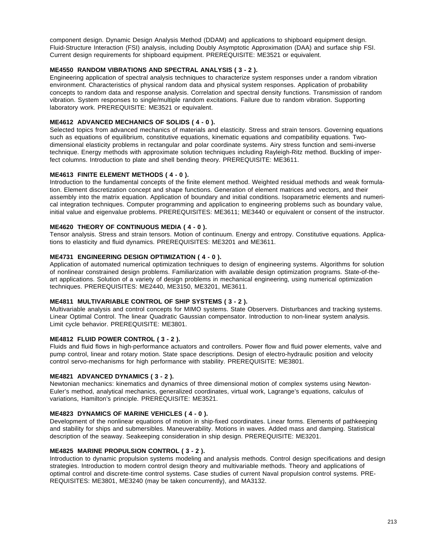component design. Dynamic Design Analysis Method (DDAM) and applications to shipboard equipment design. Fluid-Structure Interaction (FSI) analysis, including Doubly Asymptotic Approximation (DAA) and surface ship FSI. Current design requirements for shipboard equipment. PREREQUISITE: ME3521 or equivalent.

## **ME4550 RANDOM VIBRATIONS AND SPECTRAL ANALYSIS ( 3 - 2 ).**

Engineering application of spectral analysis techniques to characterize system responses under a random vibration environment. Characteristics of physical random data and physical system responses. Application of probability concepts to random data and response analysis. Correlation and spectral density functions. Transmission of random vibration. System responses to single/multiple random excitations. Failure due to random vibration. Supporting laboratory work. PREREQUISITE: ME3521 or equivalent.

### **ME4612 ADVANCED MECHANICS OF SOLIDS ( 4 - 0 ).**

Selected topics from advanced mechanics of materials and elasticity. Stress and strain tensors. Governing equations such as equations of equilibrium, constitutive equations, kinematic equations and compatibility equations. Twodimensional elasticity problems in rectangular and polar coordinate systems. Airy stress function and semi-inverse technique. Energy methods with approximate solution techniques including Rayleigh-Ritz method. Buckling of imperfect columns. Introduction to plate and shell bending theory. PREREQUISITE: ME3611.

### **ME4613 FINITE ELEMENT METHODS ( 4 - 0 ).**

Introduction to the fundamental concepts of the finite element method. Weighted residual methods and weak formulation. Element discretization concept and shape functions. Generation of element matrices and vectors, and their assembly into the matrix equation. Application of boundary and initial conditions. Isoparametric elements and numerical integration techniques. Computer programming and application to engineering problems such as boundary value, initial value and eigenvalue problems. PREREQUISITES: ME3611; ME3440 or equivalent or consent of the instructor.

# **ME4620 THEORY OF CONTINUOUS MEDIA ( 4 - 0 ).**

Tensor analysis. Stress and strain tensors. Motion of continuum. Energy and entropy. Constitutive equations. Applications to elasticity and fluid dynamics. PREREQUISITES: ME3201 and ME3611.

### **ME4731 ENGINEERING DESIGN OPTIMIZATION ( 4 - 0 ).**

Application of automated numerical optimization techniques to design of engineering systems. Algorithms for solution of nonlinear constrained design problems. Familiarization with available design optimization programs. State-of-theart applications. Solution of a variety of design problems in mechanical engineering, using numerical optimization techniques. PREREQUISITES: ME2440, ME3150, ME3201, ME3611.

## **ME4811 MULTIVARIABLE CONTROL OF SHIP SYSTEMS ( 3 - 2 ).**

Multivariable analysis and control concepts for MIMO systems. State Observers. Disturbances and tracking systems. Linear Optimal Control. The linear Quadratic Gaussian compensator. Introduction to non-linear system analysis. Limit cycle behavior. PREREQUISITE: ME3801.

### **ME4812 FLUID POWER CONTROL ( 3 - 2 ).**

Fluids and fluid flows in high-performance actuators and controllers. Power flow and fluid power elements, valve and pump control, linear and rotary motion. State space descriptions. Design of electro-hydraulic position and velocity control servo-mechanisms for high performance with stability. PREREQUISITE: ME3801.

### **ME4821 ADVANCED DYNAMICS ( 3 - 2 ).**

Newtonian mechanics: kinematics and dynamics of three dimensional motion of complex systems using Newton-Euler's method, analytical mechanics, generalized coordinates, virtual work, Lagrange's equations, calculus of variations, Hamilton's principle. PREREQUISITE: ME3521.

#### **ME4823 DYNAMICS OF MARINE VEHICLES ( 4 - 0 ).**

Development of the nonlinear equations of motion in ship-fixed coordinates. Linear forms. Elements of pathkeeping and stability for ships and submersibles. Maneuverability. Motions in waves. Added mass and damping. Statistical description of the seaway. Seakeeping consideration in ship design. PREREQUISITE: ME3201.

#### **ME4825 MARINE PROPULSION CONTROL ( 3 - 2 ).**

Introduction to dynamic propulsion systems modeling and analysis methods. Control design specifications and design strategies. Introduction to modern control design theory and multivariable methods. Theory and applications of optimal control and discrete-time control systems. Case studies of current Naval propulsion control systems. PRE-REQUISITES: ME3801, ME3240 (may be taken concurrently), and MA3132.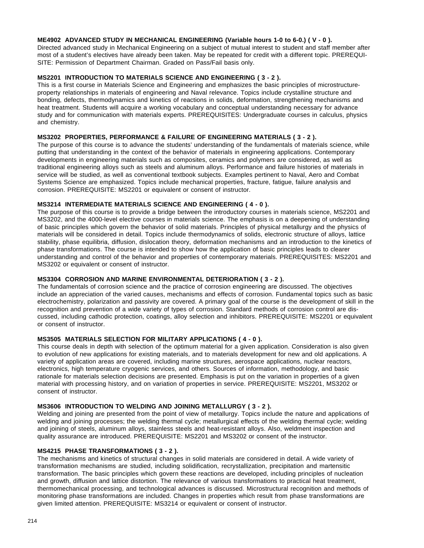### **ME4902 ADVANCED STUDY IN MECHANICAL ENGINEERING (Variable hours 1-0 to 6-0.) ( V - 0 ).**

Directed advanced study in Mechanical Engineering on a subject of mutual interest to student and staff member after most of a student's electives have already been taken. May be repeated for credit with a different topic. PREREQUI-SITE: Permission of Department Chairman. Graded on Pass/Fail basis only.

### **MS2201 INTRODUCTION TO MATERIALS SCIENCE AND ENGINEERING ( 3 - 2 ).**

This is a first course in Materials Science and Engineering and emphasizes the basic principles of microstructureproperty relationships in materials of engineering and Naval relevance. Topics include crystalline structure and bonding, defects, thermodynamics and kinetics of reactions in solids, deformation, strengthening mechanisms and heat treatment. Students will acquire a working vocabulary and conceptual understanding necessary for advance study and for communication with materials experts. PREREQUISITES: Undergraduate courses in calculus, physics and chemistry.

### **MS3202 PROPERTIES, PERFORMANCE & FAILURE OF ENGINEERING MATERIALS ( 3 - 2 ).**

The purpose of this course is to advance the students' understanding of the fundamentals of materials science, while putting that understanding in the context of the behavior of materials in engineering applications. Contemporary developments in engineering materials such as composites, ceramics and polymers are considered, as well as traditional engineering alloys such as steels and aluminum alloys. Performance and failure histories of materials in service will be studied, as well as conventional textbook subjects. Examples pertinent to Naval, Aero and Combat Systems Science are emphasized. Topics include mechanical properties, fracture, fatigue, failure analysis and corrosion. PREREQUISITE: MS2201 or equivalent or consent of instructor.

### **MS3214 INTERMEDIATE MATERIALS SCIENCE AND ENGINEERING ( 4 - 0 ).**

The purpose of this course is to provide a bridge between the introductory courses in materials science, MS2201 and MS3202, and the 4000-level elective courses in materials science. The emphasis is on a deepening of understanding of basic principles which govern the behavior of solid materials. Principles of physical metallurgy and the physics of materials will be considered in detail. Topics include thermodynamics of solids, electronic structure of alloys, lattice stability, phase equilibria, diffusion, dislocation theory, deformation mechanisms and an introduction to the kinetics of phase transformations. The course is intended to show how the application of basic principles leads to clearer understanding and control of the behavior and properties of contemporary materials. PREREQUISITES: MS2201 and MS3202 or equivalent or consent of instructor.

### **MS3304 CORROSION AND MARINE ENVIRONMENTAL DETERIORATION ( 3 - 2 ).**

The fundamentals of corrosion science and the practice of corrosion engineering are discussed. The objectives include an appreciation of the varied causes, mechanisms and effects of corrosion. Fundamental topics such as basic electrochemistry, polarization and passivity are covered. A primary goal of the course is the development of skill in the recognition and prevention of a wide variety of types of corrosion. Standard methods of corrosion control are discussed, including cathodic protection, coatings, alloy selection and inhibitors. PREREQUISITE: MS2201 or equivalent or consent of instructor.

## **MS3505 MATERIALS SELECTION FOR MILITARY APPLICATIONS ( 4 - 0 ).**

This course deals in depth with selection of the optimum material for a given application. Consideration is also given to evolution of new applications for existing materials, and to materials development for new and old applications. A variety of application areas are covered, including marine structures, aerospace applications, nuclear reactors, electronics, high temperature cryogenic services, and others. Sources of information, methodology, and basic rationale for materials selection decisions are presented. Emphasis is put on the variation in properties of a given material with processing history, and on variation of properties in service. PREREQUISITE: MS2201, MS3202 or consent of instructor.

#### **MS3606 INTRODUCTION TO WELDING AND JOINING METALLURGY ( 3 - 2 ).**

Welding and joining are presented from the point of view of metallurgy. Topics include the nature and applications of welding and joining processes; the welding thermal cycle; metallurgical effects of the welding thermal cycle; welding and joining of steels, aluminum alloys, stainless steels and heat-resistant alloys. Also, weldment inspection and quality assurance are introduced. PREREQUISITE: MS2201 and MS3202 or consent of the instructor.

## **MS4215 PHASE TRANSFORMATIONS ( 3 - 2 ).**

The mechanisms and kinetics of structural changes in solid materials are considered in detail. A wide variety of transformation mechanisms are studied, including solidification, recrystallization, precipitation and martensitic transformation. The basic principles which govern these reactions are developed, including principles of nucleation and growth, diffusion and lattice distortion. The relevance of various transformations to practical heat treatment, thermomechanical processing, and technological advances is discussed. Microstructural recognition and methods of monitoring phase transformations are included. Changes in properties which result from phase transformations are given limited attention. PREREQUISITE: MS3214 or equivalent or consent of instructor.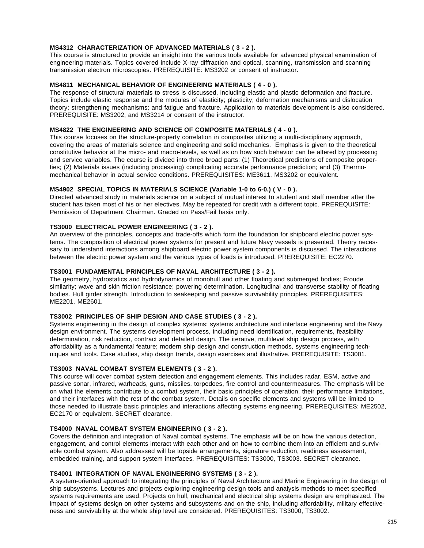### **MS4312 CHARACTERIZATION OF ADVANCED MATERIALS ( 3 - 2 ).**

This course is structured to provide an insight into the various tools available for advanced physical examination of engineering materials. Topics covered include X-ray diffraction and optical, scanning, transmission and scanning transmission electron microscopies. PREREQUISITE: MS3202 or consent of instructor.

### **MS4811 MECHANICAL BEHAVIOR OF ENGINEERING MATERIALS ( 4 - 0 ).**

The response of structural materials to stress is discussed, including elastic and plastic deformation and fracture. Topics include elastic response and the modules of elasticity; plasticity; deformation mechanisms and dislocation theory; strengthening mechanisms; and fatigue and fracture. Application to materials development is also considered. PREREQUISITE: MS3202, and MS3214 or consent of the instructor.

### **MS4822 THE ENGINEERING AND SCIENCE OF COMPOSITE MATERIALS ( 4 - 0 ).**

This course focuses on the structure-property correlation in composites utilizing a multi-disciplinary approach, covering the areas of materials science and engineering and solid mechanics. Emphasis is given to the theoretical constitutive behavior at the micro- and macro-levels, as well as on how such behavior can be altered by processing and service variables. The course is divided into three broad parts: (1) Theoretical predictions of composite properties; (2) Materials issues (including processing) complicating accurate performance prediction; and (3) Thermomechanical behavior in actual service conditions. PREREQUISITES: ME3611, MS3202 or equivalent.

### **MS4902 SPECIAL TOPICS IN MATERIALS SCIENCE (Variable 1-0 to 6-0.) ( V - 0 ).**

Directed advanced study in materials science on a subject of mutual interest to student and staff member after the student has taken most of his or her electives. May be repeated for credit with a different topic. PREREQUISITE: Permission of Department Chairman. Graded on Pass/Fail basis only.

# **TS3000 ELECTRICAL POWER ENGINEERING ( 3 - 2 ).**

An overview of the principles, concepts and trade-offs which form the foundation for shipboard electric power systems. The composition of electrical power systems for present and future Navy vessels is presented. Theory necessary to understand interactions among shipboard electric power system components is discussed. The interactions between the electric power system and the various types of loads is introduced. PREREQUISITE: EC2270.

### **TS3001 FUNDAMENTAL PRINCIPLES OF NAVAL ARCHITECTURE ( 3 - 2 ).**

The geometry, hydrostatics and hydrodynamics of monohull and other floating and submerged bodies; Froude similarity; wave and skin friction resistance; powering determination. Longitudinal and transverse stability of floating bodies. Hull girder strength. Introduction to seakeeping and passive survivability principles. PREREQUISITES: ME2201, ME2601.

### **TS3002 PRINCIPLES OF SHIP DESIGN AND CASE STUDIES ( 3 - 2 ).**

Systems engineering in the design of complex systems; systems architecture and interface engineering and the Navy design environment. The systems development process, including need identification, requirements, feasibility determination, risk reduction, contract and detailed design. The iterative, multilevel ship design process, with affordability as a fundamental feature; modern ship design and construction methods, systems engineering techniques and tools. Case studies, ship design trends, design exercises and illustrative. PREREQUISITE: TS3001.

### **TS3003 NAVAL COMBAT SYSTEM ELEMENTS ( 3 - 2 ).**

This course will cover combat system detection and engagement elements. This includes radar, ESM, active and passive sonar, infrared, warheads, guns, missiles, torpedoes, fire control and countermeasures. The emphasis will be on what the elements contribute to a combat system, their basic principles of operation, their performance limitations, and their interfaces with the rest of the combat system. Details on specific elements and systems will be limited to those needed to illustrate basic principles and interactions affecting systems engineering. PREREQUISITES: ME2502, EC2170 or equivalent. SECRET clearance.

#### **TS4000 NAVAL COMBAT SYSTEM ENGINEERING ( 3 - 2 ).**

Covers the definition and integration of Naval combat systems. The emphasis will be on how the various detection, engagement, and control elements interact with each other and on how to combine them into an efficient and survivable combat system. Also addressed will be topside arrangements, signature reduction, readiness assessment, embedded training, and support system interfaces. PREREQUISITES: TS3000, TS3003. SECRET clearance.

### **TS4001 INTEGRATION OF NAVAL ENGINEERING SYSTEMS ( 3 - 2 ).**

A system-oriented approach to integrating the principles of Naval Architecture and Marine Engineering in the design of ship subsystems. Lectures and projects exploring engineering design tools and analysis methods to meet specified systems requirements are used. Projects on hull, mechanical and electrical ship systems design are emphasized. The impact of systems design on other systems and subsystems and on the ship, including affordability, military effectiveness and survivability at the whole ship level are considered. PREREQUISITES: TS3000, TS3002.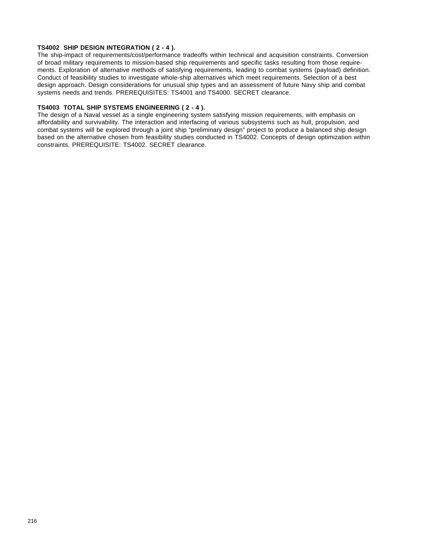### **TS4002 SHIP DESIGN INTEGRATION ( 2 - 4 ).**

The ship-impact of requirements/cost/performance tradeoffs within technical and acquisition constraints. Conversion of broad military requirements to mission-based ship requirements and specific tasks resulting from those requirements. Exploration of alternative methods of satisfying requirements, leading to combat systems (payload) definition. Conduct of feasibility studies to investigate whole-ship alternatives which meet requirements. Selection of a best design approach. Design considerations for unusual ship types and an assessment of future Navy ship and combat systems needs and trends. PREREQUISITES: TS4001 and TS4000. SECRET clearance.

### **TS4003 TOTAL SHIP SYSTEMS ENGINEERING ( 2 - 4 ).**

The design of a Naval vessel as a single engineering system satisfying mission requirements, with emphasis on affordability and survivability. The interaction and interfacing of various subsystems such as hull, propulsion, and combat systems will be explored through a joint ship "preliminary design" project to produce a balanced ship design based on the alternative chosen from feasibility studies conducted in TS4002. Concepts of design optimization within constraints. PREREQUISITE: TS4002. SECRET clearance.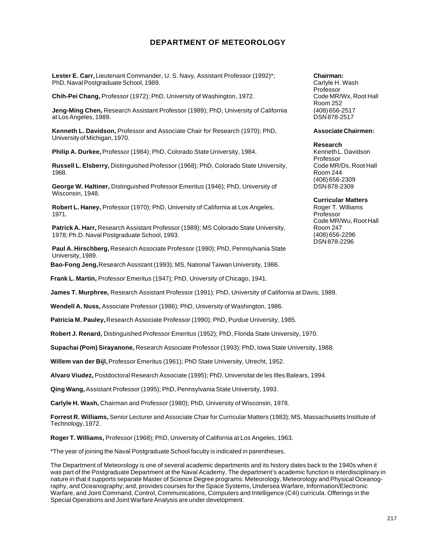# **DEPARTMENT OF METEOROLOGY**

**Lester E. Carr,** Lieutenant Commander, U. S. Navy, Assistant Professor (1992)\*; PhD, Naval Postgraduate School, 1989.

**Chih-Pei Chang,** Professor (1972); PhD, University of Washington, 1972.

**Jeng-Ming Chen,** Research Assistant Professor (1989); PhD, University of California at Los Angeles, 1989.

**Kenneth L. Davidson,** Professor and Associate Chair for Research (1970); PhD, University of Michigan, 1970.

**Philip A. Durkee,** Professor (1984); PhD, Colorado State University, 1984.

**Russell L. Elsberry,** Distinguished Professor (1968); PhD, Colorado State University, 1968.

**George W. Haltiner,** Distinguished Professor Emeritus (1946); PhD, University of Wisconsin, 1948.

**Robert L. Haney,** Professor (1970); PhD, University of California at Los Angeles, 1971.

**Patrick A. Harr,** Research Assistant Professor (1989); MS Colorado State University, 1978; Ph.D. Naval Postgraduate School, 1993.

**Paul A. Hirschberg,** Research Associate Professor (1990); PhD, Pennsylvania State University, 1989.

**Bao-Fong Jeng,** Research Assistant (1993); MS, National Taiwan University, 1986.

**Frank L. Martin,** Professor Emeritus (1947); PhD, University of Chicago, 1941.

**James T. Murphree,** Research Assistant Professor (1991); PhD, University of California at Davis, 1989.

**Wendell A. Nuss,** Associate Professor (1986); PhD, University of Washington, 1986.

**Patricia M. Pauley,** Research Associate Professor (1990); PhD, Purdue University, 1985.

**Robert J. Renard,** Distinguished Professor Emeritus (1952); PhD, Florida State University, 1970.

**Supachai (Pom) Sirayanone,** Research Associate Professor (1993); PhD, Iowa State University, 1988.

**Willem van der Bijl,** Professor Emeritus (1961); PhD State University, Utrecht, 1952.

**Alvaro Viudez,** Postdoctoral Research Associate (1995); PhD, Universitat de les Illes Balears, 1994.

**Qing Wang,** Assistant Professor (1995); PhD, Pennsylvania State University, 1993.

**Carlyle H. Wash,** Chairman and Professor (1980); PhD, University of Wisconsin, 1978.

**Forrest R. Williams,** Senior Lecturer and Associate Chair for Curricular Matters (1983); MS, Massachusetts Institute of Technology, 1972.

**Roger T. Williams,** Professor (1968); PhD, University of California at Los Angeles, 1963.

\*The year of joining the Naval Postgraduate School faculty is indicated in parentheses.

The Department of Meteorology is one of several academic departments and its history dates back to the 1940s when it was part of the Postgraduate Department at the Naval Academy. The department's academic function is interdisciplinary in nature in that it supports separate Master of Science Degree programs: Meteorology, Meteorology and Physical Oceanography, and Oceanography; and, provides courses for the Space Systems, Undersea Warfare, Information/Electronic Warfare, and Joint Command, Control, Communications, Computers and Intelligence (C4I) curricula. Offerings in the Special Operations and Joint Warfare Analysis are under development.

**Chairman:** Carlyle H. Wash Professor Code MR/Wx, Root Hall Room 252 (408) 656-2517 DSN 878-2517

#### **Associate Chairmen:**

**Research**

Kenneth L. Davidson Professor Code MR/Ds, Root Hall Room 244 (408) 656-2309 DSN 878-2309

**Curricular Matters**

Roger T. Williams Professor Code MR/Wu, Root Hall Room 247 (408) 656-2296 DSN 878-2296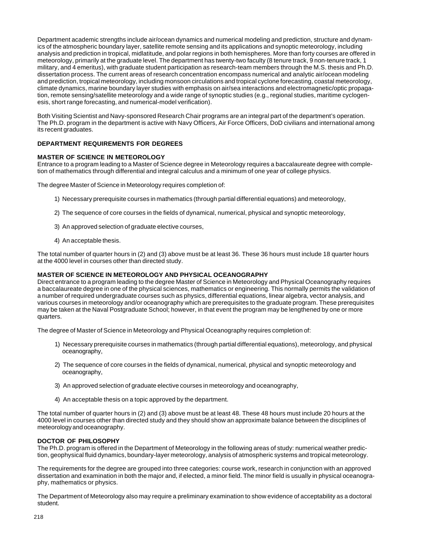Department academic strengths include air/ocean dynamics and numerical modeling and prediction, structure and dynamics of the atmospheric boundary layer, satellite remote sensing and its applications and synoptic meteorology, including analysis and prediction in tropical, midlatitude, and polar regions in both hemispheres. More than forty courses are offered in meteorology, primarily at the graduate level. The department has twenty-two faculty (8 tenure track, 9 non-tenure track, 1 military, and 4 emeritus), with graduate student participation as research-team members through the M.S. thesis and Ph.D. dissertation process. The current areas of research concentration encompass numerical and analytic air/ocean modeling and prediction, tropical meteorology, including monsoon circulations and tropical cyclone forecasting, coastal meteorology, climate dynamics, marine boundary layer studies with emphasis on air/sea interactions and electromagnetic/optic propagation, remote sensing/satellite meteorology and a wide range of synoptic studies (e.g., regional studies, maritime cyclogenesis, short range forecasting, and numerical-model verification).

Both Visiting Scientist and Navy-sponsored Research Chair programs are an integral part of the department's operation. The Ph.D. program in the department is active with Navy Officers, Air Force Officers, DoD civilians and international among its recent graduates.

## **DEPARTMENT REQUIREMENTS FOR DEGREES**

#### **MASTER OF SCIENCE IN METEOROLOGY**

Entrance to a program leading to a Master of Science degree in Meteorology requires a baccalaureate degree with completion of mathematics through differential and integral calculus and a minimum of one year of college physics.

The degree Master of Science in Meteorology requires completion of:

- 1) Necessary prerequisite courses in mathematics (through partial differential equations) and meteorology,
- 2) The sequence of core courses in the fields of dynamical, numerical, physical and synoptic meteorology,
- 3) An approved selection of graduate elective courses,
- 4) An acceptable thesis.

The total number of quarter hours in (2) and (3) above must be at least 36. These 36 hours must include 18 quarter hours at the 4000 level in courses other than directed study.

#### **MASTER OF SCIENCE IN METEOROLOGY AND PHYSICAL OCEANOGRAPHY**

Direct entrance to a program leading to the degree Master of Science in Meteorology and Physical Oceanography requires a baccalaureate degree in one of the physical sciences, mathematics or engineering. This normally permits the validation of a number of required undergraduate courses such as physics, differential equations, linear algebra, vector analysis, and various courses in meteorology and/or oceanography which are prerequisites to the graduate program. These prerequisites may be taken at the Naval Postgraduate School; however, in that event the program may be lengthened by one or more quarters.

The degree of Master of Science in Meteorology and Physical Oceanography requires completion of:

- 1) Necessary prerequisite courses in mathematics (through partial differential equations), meteorology, and physical oceanography,
- 2) The sequence of core courses in the fields of dynamical, numerical, physical and synoptic meteorology and oceanography,
- 3) An approved selection of graduate elective courses in meteorology and oceanography,
- 4) An acceptable thesis on a topic approved by the department.

The total number of quarter hours in (2) and (3) above must be at least 48. These 48 hours must include 20 hours at the 4000 level in courses other than directed study and they should show an approximate balance between the disciplines of meteorology and oceanography.

#### **DOCTOR OF PHILOSOPHY**

The Ph.D. program is offered in the Department of Meteorology in the following areas of study: numerical weather prediction, geophysical fluid dynamics, boundary-layer meteorology, analysis of atmospheric systems and tropical meteorology.

The requirements for the degree are grouped into three categories: course work, research in conjunction with an approved dissertation and examination in both the major and, if elected, a minor field. The minor field is usually in physical oceanography, mathematics or physics.

The Department of Meteorology also may require a preliminary examination to show evidence of acceptability as a doctoral student.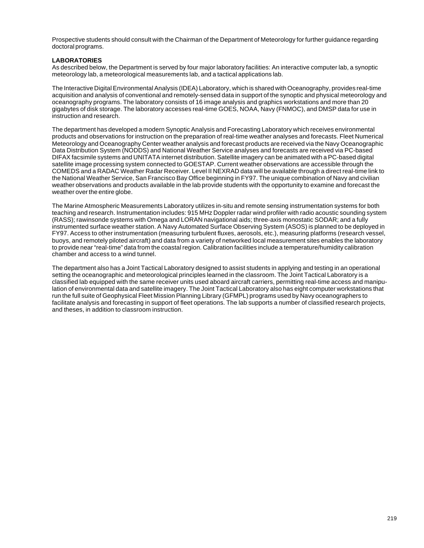Prospective students should consult with the Chairman of the Department of Meteorology for further guidance regarding doctoral programs.

### **LABORATORIES**

As described below, the Department is served by four major laboratory facilities: An interactive computer lab, a synoptic meteorology lab, a meteorological measurements lab, and a tactical applications lab.

The Interactive Digital Environmental Analysis (IDEA) Laboratory, which is shared with Oceanography, provides real-time acquisition and analysis of conventional and remotely-sensed data in support of the synoptic and physical meteorology and oceanography programs. The laboratory consists of 16 image analysis and graphics workstations and more than 20 gigabytes of disk storage. The laboratory accesses real-time GOES, NOAA, Navy (FNMOC), and DMSP data for use in instruction and research.

The department has developed a modern Synoptic Analysis and Forecasting Laboratory which receives environmental products and observations for instruction on the preparation of real-time weather analyses and forecasts. Fleet Numerical Meteorology and Oceanography Center weather analysis and forecast products are received via the Navy Oceanographic Data Distribution System (NODDS) and National Weather Service analyses and forecasts are received via PC-based DIFAX facsimile systems and UNITATA internet distribution. Satellite imagery can be animated with a PC-based digital satellite image processing system connected to GOESTAP. Current weather observations are accessible through the COMEDS and a RADAC Weather Radar Receiver. Level II NEXRAD data will be available through a direct real-time link to the National Weather Service, San Francisco Bay Office beginning in FY97. The unique combination of Navy and civilian weather observations and products available in the lab provide students with the opportunity to examine and forecast the weather over the entire globe.

The Marine Atmospheric Measurements Laboratory utilizes in-situ and remote sensing instrumentation systems for both teaching and research. Instrumentation includes: 915 MHz Doppler radar wind profiler with radio acoustic sounding system (RASS); rawinsonde systems with Omega and LORAN navigational aids; three-axis monostatic SODAR; and a fully instrumented surface weather station. A Navy Automated Surface Observing System (ASOS) is planned to be deployed in FY97. Access to other instrumentation (measuring turbulent fluxes, aerosols, etc.), measuring platforms (research vessel, buoys, and remotely piloted aircraft) and data from a variety of networked local measurement sites enables the laboratory to provide near "real-time" data from the coastal region. Calibration facilities include a temperature/humidity calibration chamber and access to a wind tunnel.

The department also has a Joint Tactical Laboratory designed to assist students in applying and testing in an operational setting the oceanographic and meteorological principles learned in the classroom. The Joint Tactical Laboratory is a classified lab equipped with the same receiver units used aboard aircraft carriers, permitting real-time access and manipulation of environmental data and satellite imagery. The Joint Tactical Laboratory also has eight computer workstations that run the full suite of Geophysical Fleet Mission Planning Library (GFMPL) programs used by Navy oceanographers to facilitate analysis and forecasting in support of fleet operations. The lab supports a number of classified research projects, and theses, in addition to classroom instruction.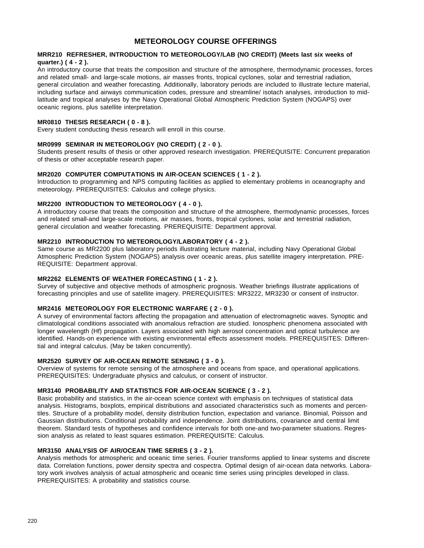# **METEOROLOGY COURSE OFFERINGS**

#### **MRR210 REFRESHER, INTRODUCTION TO METEOROLOGY/LAB (NO CREDIT) (Meets last six weeks of quarter.) ( 4 - 2 ).**

An introductory course that treats the composition and structure of the atmosphere, thermodynamic processes, forces and related small- and large-scale motions, air masses fronts, tropical cyclones, solar and terrestrial radiation, general circulation and weather forecasting. Additionally, laboratory periods are included to illustrate lecture material, including surface and airways communication codes, pressure and streamline/ isotach analyses, introduction to midlatitude and tropical analyses by the Navy Operational Global Atmospheric Prediction System (NOGAPS) over oceanic regions, plus satellite interpretation.

## **MR0810 THESIS RESEARCH ( 0 - 8 ).**

Every student conducting thesis research will enroll in this course.

## **MR0999 SEMINAR IN METEOROLOGY (NO CREDIT) ( 2 - 0 ).**

Students present results of thesis or other approved research investigation. PREREQUISITE: Concurrent preparation of thesis or other acceptable research paper.

### **MR2020 COMPUTER COMPUTATIONS IN AIR-OCEAN SCIENCES ( 1 - 2 ).**

Introduction to programming and NPS computing facilities as applied to elementary problems in oceanography and meteorology. PREREQUISITES: Calculus and college physics.

#### **MR2200 INTRODUCTION TO METEOROLOGY ( 4 - 0 ).**

A introductory course that treats the composition and structure of the atmosphere, thermodynamic processes, forces and related small-and large-scale motions, air masses, fronts, tropical cyclones, solar and terrestrial radiation, general circulation and weather forecasting. PREREQUISITE: Department approval.

## **MR2210 INTRODUCTION TO METEOROLOGY/LABORATORY ( 4 - 2 ).**

Same course as MR2200 plus laboratory periods illustrating lecture material, including Navy Operational Global Atmospheric Prediction System (NOGAPS) analysis over oceanic areas, plus satellite imagery interpretation. PRE-REQUISITE: Department approval.

#### **MR2262 ELEMENTS OF WEATHER FORECASTING ( 1 - 2 ).**

Survey of subjective and objective methods of atmospheric prognosis. Weather briefings illustrate applications of forecasting principles and use of satellite imagery. PREREQUISITES: MR3222, MR3230 or consent of instructor.

## **MR2416 METEOROLOGY FOR ELECTRONIC WARFARE ( 2 - 0 ).**

A survey of environmental factors affecting the propagation and attenuation of electromagnetic waves. Synoptic and climatological conditions associated with anomalous refraction are studied. Ionospheric phenomena associated with longer wavelength (Hf) propagation. Layers associated with high aerosol concentration and optical turbulence are identified. Hands-on experience with existing environmental effects assessment models. PREREQUISITES: Differential and integral calculus. (May be taken concurrently).

#### **MR2520 SURVEY OF AIR-OCEAN REMOTE SENSING ( 3 - 0 ).**

Overview of systems for remote sensing of the atmosphere and oceans from space, and operational applications. PREREQUISITES: Undergraduate physics and calculus, or consent of instructor.

### **MR3140 PROBABILITY AND STATISTICS FOR AIR-OCEAN SCIENCE ( 3 - 2 ).**

Basic probability and statistics, in the air-ocean science context with emphasis on techniques of statistical data analysis. Histograms, boxplots, empirical distributions and associated characteristics such as moments and percentiles. Structure of a probability model, density distribution function, expectation and variance. Binomial, Poisson and Gaussian distributions. Conditional probability and independence. Joint distributions, covariance and central limit theorem. Standard tests of hypotheses and confidence intervals for both one-and two-parameter situations. Regression analysis as related to least squares estimation. PREREQUISITE: Calculus.

#### **MR3150 ANALYSIS OF AIR/OCEAN TIME SERIES ( 3 - 2 ).**

Analysis methods for atmospheric and oceanic time series. Fourier transforms applied to linear systems and discrete data. Correlation functions, power density spectra and cospectra. Optimal design of air-ocean data networks. Laboratory work involves analysis of actual atmospheric and oceanic time series using principles developed in class. PREREQUISITES: A probability and statistics course.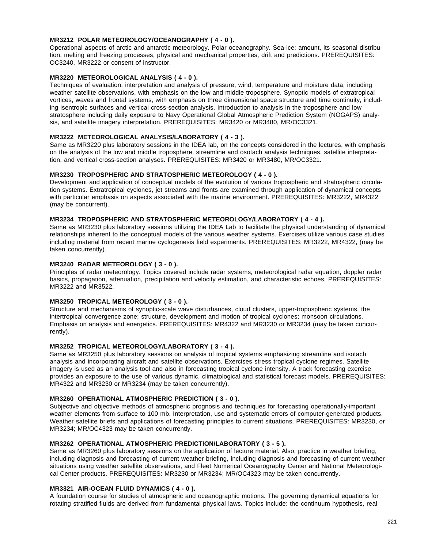## **MR3212 POLAR METEOROLOGY/OCEANOGRAPHY ( 4 - 0 ).**

Operational aspects of arctic and antarctic meteorology. Polar oceanography. Sea-ice; amount, its seasonal distribution, melting and freezing processes, physical and mechanical properties, drift and predictions. PREREQUISITES: OC3240, MR3222 or consent of instructor.

## **MR3220 METEOROLOGICAL ANALYSIS ( 4 - 0 ).**

Techniques of evaluation, interpretation and analysis of pressure, wind, temperature and moisture data, including weather satellite observations, with emphasis on the low and middle troposphere. Synoptic models of extratropical vortices, waves and frontal systems, with emphasis on three dimensional space structure and time continuity, including isentropic surfaces and vertical cross-section analysis. Introduction to analysis in the troposphere and low stratosphere including daily exposure to Navy Operational Global Atmospheric Prediction System (NOGAPS) analysis, and satellite imagery interpretation. PREREQUISITES: MR3420 or MR3480, MR/OC3321.

### **MR3222 METEOROLOGICAL ANALYSIS/LABORATORY ( 4 - 3 ).**

Same as MR3220 plus laboratory sessions in the IDEA lab, on the concepts considered in the lectures, with emphasis on the analysis of the low and middle troposphere, streamline and osotach analysis techniques, satellite interpretation, and vertical cross-section analyses. PREREQUISITES: MR3420 or MR3480, MR/OC3321.

### **MR3230 TROPOSPHERIC AND STRATOSPHERIC METEOROLOGY ( 4 - 0 ).**

Development and application of conceptual models of the evolution of various tropospheric and stratospheric circulation systems. Extratropical cyclones, jet streams and fronts are examined through application of dynamical concepts with particular emphasis on aspects associated with the marine environment. PREREQUISITES: MR3222, MR4322 (may be concurrent).

## **MR3234 TROPOSPHERIC AND STRATOSPHERIC METEOROLOGY/LABORATORY ( 4 - 4 ).**

Same as MR3230 plus laboratory sessions utilizing the IDEA Lab to facilitate the physical understanding of dynamical relationships inherent to the conceptual models of the various weather systems. Exercises utilize various case studies including material from recent marine cyclogenesis field experiments. PREREQUISITES: MR3222, MR4322, (may be taken concurrently).

## **MR3240 RADAR METEOROLOGY ( 3 - 0 ).**

Principles of radar meteorology. Topics covered include radar systems, meteorological radar equation, doppler radar basics, propagation, attenuation, precipitation and velocity estimation, and characteristic echoes. PREREQUISITES: MR3222 and MR3522.

## **MR3250 TROPICAL METEOROLOGY ( 3 - 0 ).**

Structure and mechanisms of synoptic-scale wave disturbances, cloud clusters, upper-tropospheric systems, the intertropical convergence zone; structure, development and motion of tropical cyclones; monsoon circulations. Emphasis on analysis and energetics. PREREQUISITES: MR4322 and MR3230 or MR3234 (may be taken concurrently).

## **MR3252 TROPICAL METEOROLOGY/LABORATORY ( 3 - 4 ).**

Same as MR3250 plus laboratory sessions on analysis of tropical systems emphasizing streamline and isotach analysis and incorporating aircraft and satellite observations. Exercises stress tropical cyclone regimes. Satellite imagery is used as an analysis tool and also in forecasting tropical cyclone intensity. A track forecasting exercise provides an exposure to the use of various dynamic, climatological and statistical forecast models. PREREQUISITES: MR4322 and MR3230 or MR3234 (may be taken concurrently).

#### **MR3260 OPERATIONAL ATMOSPHERIC PREDICTION ( 3 - 0 ).**

Subjective and objective methods of atmospheric prognosis and techniques for forecasting operationally-important weather elements from surface to 100 mb. Interpretation, use and systematic errors of computer-generated products. Weather satellite briefs and applications of forecasting principles to current situations. PREREQUISITES: MR3230, or MR3234; MR/OC4323 may be taken concurrently.

## **MR3262 OPERATIONAL ATMOSPHERIC PREDICTION/LABORATORY ( 3 - 5 ).**

Same as MR3260 plus laboratory sessions on the application of lecture material. Also, practice in weather briefing, including diagnosis and forecasting of current weather briefing, including diagnosis and forecasting of current weather situations using weather satellite observations, and Fleet Numerical Oceanography Center and National Meteorological Center products. PREREQUISITES: MR3230 or MR3234; MR/OC4323 may be taken concurrently.

#### **MR3321 AIR-OCEAN FLUID DYNAMICS ( 4 - 0 ).**

A foundation course for studies of atmospheric and oceanographic motions. The governing dynamical equations for rotating stratified fluids are derived from fundamental physical laws. Topics include: the continuum hypothesis, real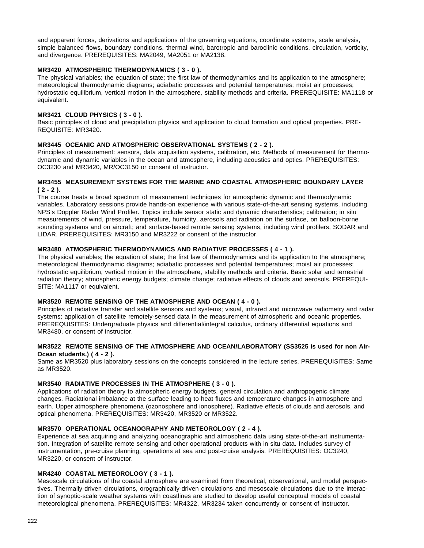and apparent forces, derivations and applications of the governing equations, coordinate systems, scale analysis, simple balanced flows, boundary conditions, thermal wind, barotropic and baroclinic conditions, circulation, vorticity, and divergence. PREREQUISITES: MA2049, MA2051 or MA2138.

## **MR3420 ATMOSPHERIC THERMODYNAMICS ( 3 - 0 ).**

The physical variables; the equation of state; the first law of thermodynamics and its application to the atmosphere; meteorological thermodynamic diagrams; adiabatic processes and potential temperatures; moist air processes; hydrostatic equilibrium, vertical motion in the atmosphere, stability methods and criteria. PREREQUISITE: MA1118 or equivalent.

## **MR3421 CLOUD PHYSICS ( 3 - 0 ).**

Basic principles of cloud and precipitation physics and application to cloud formation and optical properties. PRE-REQUISITE: MR3420.

## **MR3445 OCEANIC AND ATMOSPHERIC OBSERVATIONAL SYSTEMS ( 2 - 2 ).**

Principles of measurement: sensors, data acquisition systems, calibration, etc. Methods of measurement for thermodynamic and dynamic variables in the ocean and atmosphere, including acoustics and optics. PREREQUISITES: OC3230 and MR3420, MR/OC3150 or consent of instructor.

### **MR3455 MEASUREMENT SYSTEMS FOR THE MARINE AND COASTAL ATMOSPHERIC BOUNDARY LAYER ( 2 - 2 ).**

The course treats a broad spectrum of measurement techniques for atmospheric dynamic and thermodynamic variables. Laboratory sessions provide hands-on experience with various state-of-the-art sensing systems, including NPS's Doppler Radar Wind Profiler. Topics include sensor static and dynamic characteristics; calibration; in situ measurements of wind, pressure, temperature, humidity, aerosols and radiation on the surface, on balloon-borne sounding systems and on aircraft; and surface-based remote sensing systems, including wind profilers, SODAR and LIDAR. PREREQUISITES: MR3150 and MR3222 or consent of the instructor.

## **MR3480 ATMOSPHERIC THERMODYNAMICS AND RADIATIVE PROCESSES ( 4 - 1 ).**

The physical variables; the equation of state; the first law of thermodynamics and its application to the atmosphere; meteorological thermodynamic diagrams; adiabatic processes and potential temperatures; moist air processes; hydrostatic equilibrium, vertical motion in the atmosphere, stability methods and criteria. Basic solar and terrestrial radiation theory; atmospheric energy budgets; climate change; radiative effects of clouds and aerosols. PREREQUI-SITE: MA1117 or equivalent.

#### **MR3520 REMOTE SENSING OF THE ATMOSPHERE AND OCEAN ( 4 - 0 ).**

Principles of radiative transfer and satellite sensors and systems; visual, infrared and microwave radiometry and radar systems; application of satellite remotely-sensed data in the measurement of atmospheric and oceanic properties. PREREQUISITES: Undergraduate physics and differential/integral calculus, ordinary differential equations and MR3480, or consent of instructor.

## **MR3522 REMOTE SENSING OF THE ATMOSPHERE AND OCEAN/LABORATORY (SS3525 is used for non Air-Ocean students.) ( 4 - 2 ).**

Same as MR3520 plus laboratory sessions on the concepts considered in the lecture series. PREREQUISITES: Same as MR3520.

### **MR3540 RADIATIVE PROCESSES IN THE ATMOSPHERE ( 3 - 0 ).**

Applications of radiation theory to atmospheric energy budgets, general circulation and anthropogenic climate changes. Radiational imbalance at the surface leading to heat fluxes and temperature changes in atmosphere and earth. Upper atmosphere phenomena (ozonosphere and ionosphere). Radiative effects of clouds and aerosols, and optical phenomena. PREREQUISITES: MR3420, MR3520 or MR3522.

#### **MR3570 OPERATIONAL OCEANOGRAPHY AND METEOROLOGY ( 2 - 4 ).**

Experience at sea acquiring and analyzing oceanographic and atmospheric data using state-of-the-art instrumentation. Integration of satellite remote sensing and other operational products with in situ data. Includes survey of instrumentation, pre-cruise planning, operations at sea and post-cruise analysis. PREREQUISITES: OC3240, MR3220, or consent of instructor.

#### **MR4240 COASTAL METEOROLOGY ( 3 - 1 ).**

Mesoscale circulations of the coastal atmosphere are examined from theoretical, observational, and model perspectives. Thermally-driven circulations, orographically-driven circulations and mesoscale circulations due to the interaction of synoptic-scale weather systems with coastlines are studied to develop useful conceptual models of coastal meteorological phenomena. PREREQUISITES: MR4322, MR3234 taken concurrently or consent of instructor.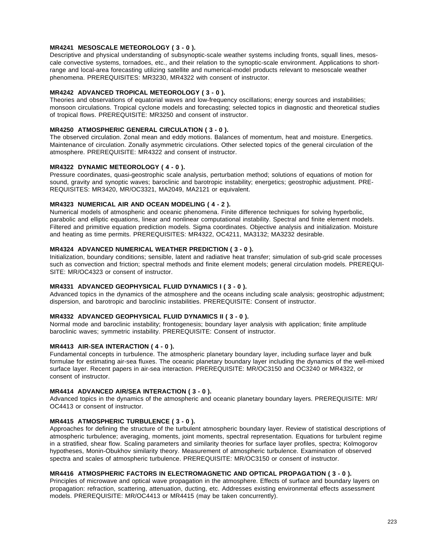## **MR4241 MESOSCALE METEOROLOGY ( 3 - 0 ).**

Descriptive and physical understanding of subsynoptic-scale weather systems including fronts, squall lines, mesoscale convective systems, tornadoes, etc., and their relation to the synoptic-scale environment. Applications to shortrange and local-area forecasting utilizing satellite and numerical-model products relevant to mesoscale weather phenomena. PREREQUISITES: MR3230, MR4322 with consent of instructor.

## **MR4242 ADVANCED TROPICAL METEOROLOGY ( 3 - 0 ).**

Theories and observations of equatorial waves and low-frequency oscillations; energy sources and instabilities; monsoon circulations. Tropical cyclone models and forecasting; selected topics in diagnostic and theoretical studies of tropical flows. PREREQUISITE: MR3250 and consent of instructor.

## **MR4250 ATMOSPHERIC GENERAL CIRCULATION ( 3 - 0 ).**

The observed circulation. Zonal mean and eddy motions. Balances of momentum, heat and moisture. Energetics. Maintenance of circulation. Zonally asymmetric circulations. Other selected topics of the general circulation of the atmosphere. PREREQUISITE: MR4322 and consent of instructor.

## **MR4322 DYNAMIC METEOROLOGY ( 4 - 0 ).**

Pressure coordinates, quasi-geostrophic scale analysis, perturbation method; solutions of equations of motion for sound, gravity and synoptic waves; baroclinic and barotropic instability; energetics; geostrophic adjustment. PRE-REQUISITES: MR3420, MR/OC3321, MA2049, MA2121 or equivalent.

## **MR4323 NUMERICAL AIR AND OCEAN MODELING ( 4 - 2 ).**

Numerical models of atmospheric and oceanic phenomena. Finite difference techniques for solving hyperbolic, parabolic and elliptic equations, linear and nonlinear computational instability. Spectral and finite element models. Filtered and primitive equation prediction models. Sigma coordinates. Objective analysis and initialization. Moisture and heating as time permits. PREREQUISITES: MR4322, OC4211, MA3132; MA3232 desirable.

## **MR4324 ADVANCED NUMERICAL WEATHER PREDICTION ( 3 - 0 ).**

Initialization, boundary conditions; sensible, latent and radiative heat transfer; simulation of sub-grid scale processes such as convection and friction; spectral methods and finite element models; general circulation models. PREREQUI-SITE: MR/OC4323 or consent of instructor.

#### **MR4331 ADVANCED GEOPHYSICAL FLUID DYNAMICS I ( 3 - 0 ).**

Advanced topics in the dynamics of the atmosphere and the oceans including scale analysis; geostrophic adjustment; dispersion, and barotropic and baroclinic instabilities. PREREQUISITE: Consent of instructor.

## **MR4332 ADVANCED GEOPHYSICAL FLUID DYNAMICS II ( 3 - 0 ).**

Normal mode and baroclinic instability; frontogenesis; boundary layer analysis with application; finite amplitude baroclinic waves; symmetric instability. PREREQUISITE: Consent of instructor.

## **MR4413 AIR-SEA INTERACTION ( 4 - 0 ).**

Fundamental concepts in turbulence. The atmospheric planetary boundary layer, including surface layer and bulk formulae for estimating air-sea fluxes. The oceanic planetary boundary layer including the dynamics of the well-mixed surface layer. Recent papers in air-sea interaction. PREREQUISITE: MR/OC3150 and OC3240 or MR4322, or consent of instructor.

#### **MR4414 ADVANCED AIR/SEA INTERACTION ( 3 - 0 ).**

Advanced topics in the dynamics of the atmospheric and oceanic planetary boundary layers. PREREQUISITE: MR/ OC4413 or consent of instructor.

## **MR4415 ATMOSPHERIC TURBULENCE ( 3 - 0 ).**

Approaches for defining the structure of the turbulent atmospheric boundary layer. Review of statistical descriptions of atmospheric turbulence; averaging, moments, joint moments, spectral representation. Equations for turbulent regime in a stratified, shear flow. Scaling parameters and similarity theories for surface layer profiles, spectra; Kolmogorov hypotheses, Monin-Obukhov similarity theory. Measurement of atmospheric turbulence. Examination of observed spectra and scales of atmospheric turbulence. PREREQUISITE: MR/OC3150 or consent of instructor.

## **MR4416 ATMOSPHERIC FACTORS IN ELECTROMAGNETIC AND OPTICAL PROPAGATION ( 3 - 0 ).**

Principles of microwave and optical wave propagation in the atmosphere. Effects of surface and boundary layers on propagation: refraction, scattering, attenuation, ducting, etc. Addresses existing environmental effects assessment models. PREREQUISITE: MR/OC4413 or MR4415 (may be taken concurrently).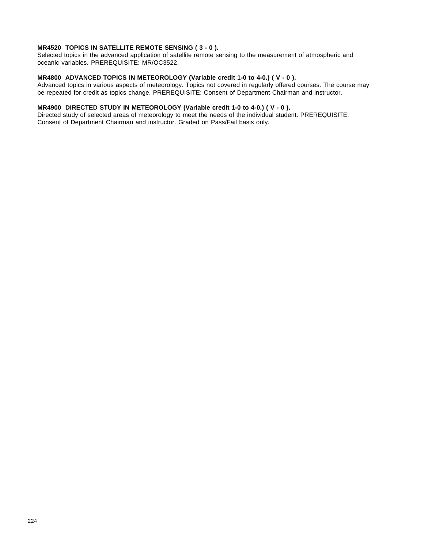### **MR4520 TOPICS IN SATELLITE REMOTE SENSING ( 3 - 0 ).**

Selected topics in the advanced application of satellite remote sensing to the measurement of atmospheric and oceanic variables. PREREQUISITE: MR/OC3522.

# **MR4800 ADVANCED TOPICS IN METEOROLOGY (Variable credit 1-0 to 4-0.) ( V - 0 ).**

Advanced topics in various aspects of meteorology. Topics not covered in regularly offered courses. The course may be repeated for credit as topics change. PREREQUISITE: Consent of Department Chairman and instructor.

## **MR4900 DIRECTED STUDY IN METEOROLOGY (Variable credit 1-0 to 4-0.) ( V - 0 ).**

Directed study of selected areas of meteorology to meet the needs of the individual student. PREREQUISITE: Consent of Department Chairman and instructor. Graded on Pass/Fail basis only.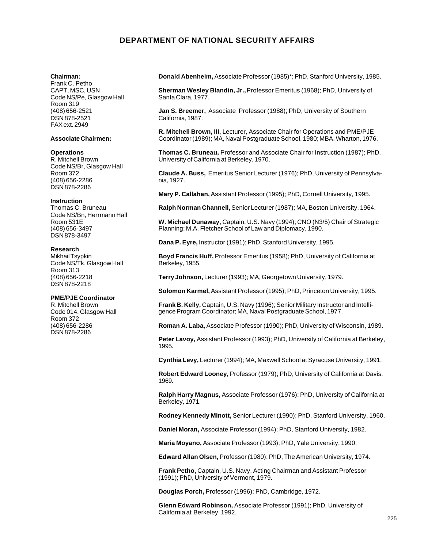# **DEPARTMENT OF NATIONAL SECURITY AFFAIRS**

#### **Chairman:**

Frank C. Petho CAPT, MSC, USN Code NS/Pe, Glasgow Hall Room 319 (408) 656-2521 DSN 878-2521 FAX ext. 2949

#### **Associate Chairmen:**

#### **Operations**

R. Mitchell Brown Code NS/Br, Glasgow Hall Room 372 (408) 656-2286 DSN 878-2286

#### **Instruction**

Thomas C. Bruneau Code NS/Bn, Herrmann Hall Room 531E (408) 656-3497 DSN 878-3497

#### **Research**

Mikhail Tsypkin Code NS/Tk, Glasgow Hall Room 313 (408) 656-2218 DSN 878-2218

#### **PME/PJE Coordinator**

R. Mitchell Brown Code 014, Glasgow Hall Room 372 (408) 656-2286 DSN 878-2286

**Donald Abenheim,** Associate Professor (1985)\*; PhD, Stanford University, 1985.

**Sherman Wesley Blandin, Jr.,** Professor Emeritus (1968); PhD, University of Santa Clara, 1977.

**Jan S. Breemer,** Associate Professor (1988); PhD, University of Southern California, 1987.

**R. Mitchell Brown, III,** Lecturer, Associate Chair for Operations and PME/PJE Coordinator (1989); MA, Naval Postgraduate School, 1980; MBA, Wharton, 1976.

**Thomas C. Bruneau,** Professor and Associate Chair for Instruction (1987); PhD, University of California at Berkeley, 1970.

**Claude A. Buss,** Emeritus Senior Lecturer (1976); PhD, University of Pennsylvania, 1927.

**Mary P. Callahan,** Assistant Professor (1995); PhD, Cornell University, 1995.

**Ralph Norman Channell,** Senior Lecturer (1987); MA, Boston University, 1964.

**W. Michael Dunaway,** Captain, U.S. Navy (1994); CNO (N3/5) Chair of Strategic Planning; M.A. Fletcher School of Law and Diplomacy, 1990.

**Dana P. Eyre,** Instructor (1991); PhD, Stanford University, 1995.

**Boyd Francis Huff,** Professor Emeritus (1958); PhD, University of California at Berkeley, 1955.

**Terry Johnson,** Lecturer (1993); MA, Georgetown University, 1979.

**Solomon Karmel,** Assistant Professor (1995); PhD, Princeton University, 1995.

**Frank B. Kelly,** Captain, U.S. Navy (1996); Senior Military Instructor and Intelligence Program Coordinator; MA, Naval Postgraduate School, 1977.

**Roman A. Laba,** Associate Professor (1990); PhD, University of Wisconsin, 1989.

**Peter Lavoy,** Assistant Professor (1993); PhD, University of California at Berkeley, 1995.

**Cynthia Levy,** Lecturer (1994); MA, Maxwell School at Syracuse University, 1991.

**Robert Edward Looney,** Professor (1979); PhD, University of California at Davis, 1969.

**Ralph Harry Magnus,** Associate Professor (1976); PhD, University of California at Berkeley, 1971.

**Rodney Kennedy Minott,** Senior Lecturer (1990); PhD, Stanford University, 1960.

**Daniel Moran,** Associate Professor (1994); PhD, Stanford University, 1982.

**Maria Moyano,** Associate Professor (1993); PhD, Yale University, 1990.

**Edward Allan Olsen,** Professor (1980); PhD, The American University, 1974.

**Frank Petho,** Captain, U.S. Navy, Acting Chairman and Assistant Professor (1991); PhD, University of Vermont, 1979.

**Douglas Porch,** Professor (1996); PhD, Cambridge, 1972.

**Glenn Edward Robinson,** Associate Professor (1991); PhD, University of California at Berkeley, 1992.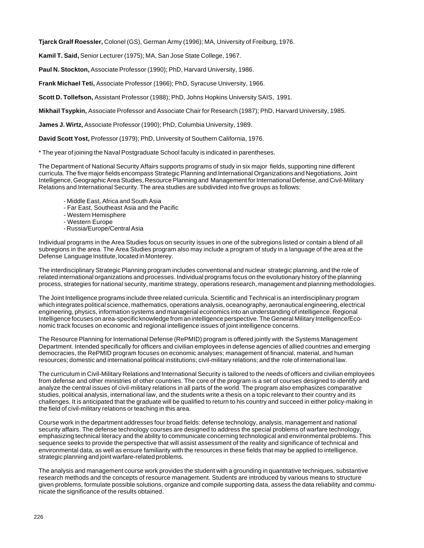**Tjarck Gralf Roessler,** Colonel (GS), German Army (1996); MA, University of Freiburg, 1976.

**Kamil T. Said,** Senior Lecturer (1975); MA, San Jose State College, 1967.

**Paul N. Stockton,** Associate Professor (1990); PhD, Harvard University, 1986.

**Frank Michael Teti,** Associate Professor (1966); PhD, Syracuse University, 1966.

**Scott D. Tollefson,** Assistant Professor (1988); PhD, Johns Hopkins University SAIS, 1991.

**Mikhail Tsypkin,** Associate Professor and Associate Chair for Research (1987); PhD, Harvard University, 1985.

**James J. Wirtz,** Associate Professor (1990); PhD, Columbia University, 1989.

**David Scott Yost,** Professor (1979); PhD, University of Southern California, 1976.

\* The year of joining the Naval Postgraduate School faculty is indicated in parentheses.

The Department of National Security Affairs supports programs of study in six major fields, supporting nine different curricula. The five major fields encompass Strategic Planning and International Organizations and Negotiations, Joint Intelligence, Geographic Area Studies, Resource Planning and Management for International Defense, and Civil-Military Relations and International Security. The area studies are subdivided into five groups as follows:

- Middle East, Africa and South Asia
- Far East, Southeast Asia and the Pacific
- Western Hemisphere
- Western Europe
- Russia/Europe/Central Asia

Individual programs in the Area Studies focus on security issues in one of the subregions listed or contain a blend of all subregions in the area. The Area Studies program also may include a program of study in a language of the area at the Defense Language Institute, located in Monterey.

The interdisciplinary Strategic Planning program includes conventional and nuclear strategic planning, and the role of related international organizations and processes. Individual programs focus on the evolutionary history of the planning process, strategies for national security, maritime strategy, operations research, management and planning methodologies.

The Joint Intelligence programs include three related curricula. Scientific and Technical is an interdisciplinary program which integrates political science, mathematics, operations analysis, oceanography, aeronautical engineering, electrical engineering, physics, information systems and managerial economics into an understanding of intelligence. Regional Intelligence focuses on area-specific knowledge from an intelligence perspective. The General Military Intelligence/Economic track focuses on economic and regional intelligence issues of joint intelligence concerns.

The Resource Planning for International Defense (RePMID) program is offered jointly with the Systems Management Department. Intended specifically for officers and civilian employees in defense agencies of allied countries and emerging democracies, the RePMID program focuses on economic analyses; management of financial, material, and human resources; domestic and international political institutions; civil-military relations; and the role of international law.

The curriculum in Civil-Military Relations and International Security is tailored to the needs of officers and civilian employees from defense and other ministries of other countries. The core of the program is a set of courses designed to identify and analyze the central issues of civil-military relations in all parts of the world. The program also emphasizes comparative studies, political analysis, international law, and the students write a thesis on a topic relevant to their country and its challenges. It is anticipated that the graduate will be qualified to return to his country and succeed in either policy-making in the field of civil-military relations or teaching in this area.

Course work in the department addresses four broad fields: defense technology, analysis, management and national security affairs. The defense technology courses are designed to address the special problems of warfare technology, emphasizing technical literacy and the ability to communicate concerning technological and environmental problems. This sequence seeks to provide the perspective that will assist assessment of the reality and significance of technical and environmental data, as well as ensure familiarity with the resources in these fields that may be applied to intelligence, strategic planning and joint warfare-related problems.

The analysis and management course work provides the student with a grounding in quantitative techniques, substantive research methods and the concepts of resource management. Students are introduced by various means to structure given problems, formulate possible solutions, organize and compile supporting data, assess the data reliability and communicate the significance of the results obtained.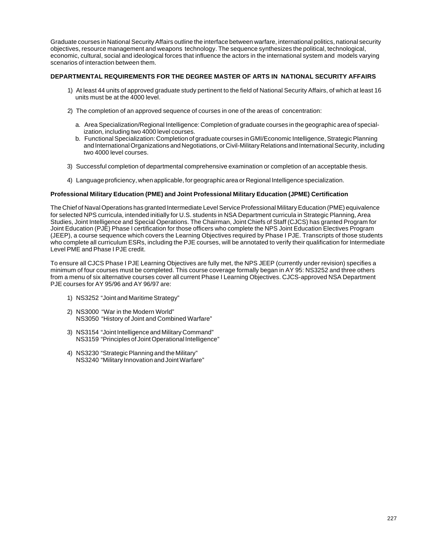Graduate courses in National Security Affairs outline the interface between warfare, international politics, national security objectives, resource management and weapons technology. The sequence synthesizes the political, technological, economic, cultural, social and ideological forces that influence the actors in the international system and models varying scenarios of interaction between them.

## **DEPARTMENTAL REQUIREMENTS FOR THE DEGREE MASTER OF ARTS IN NATIONAL SECURITY AFFAIRS**

- 1) At least 44 units of approved graduate study pertinent to the field of National Security Affairs, of which at least 16 units must be at the 4000 level.
- 2) The completion of an approved sequence of courses in one of the areas of concentration:
	- a. Area Specialization/Regional Intelligence: Completion of graduate courses in the geographic area of specialization, including two 4000 level courses.
	- b. Functional Specialization: Completion of graduate courses in GMI/Economic Intelligence, Strategic Planning and International Organizations and Negotiations, or Civil-Military Relations and International Security, including two 4000 level courses.
- 3) Successful completion of departmental comprehensive examination or completion of an acceptable thesis.
- 4) Language proficiency, when applicable, for geographic area or Regional Intelligence specialization.

#### **Professional Military Education (PME) and Joint Professional Military Education (JPME) Certification**

The Chief of Naval Operations has granted Intermediate Level Service Professional Military Education (PME) equivalence for selected NPS curricula, intended initially for U.S. students in NSA Department curricula in Strategic Planning, Area Studies, Joint Intelligence and Special Operations. The Chairman, Joint Chiefs of Staff (CJCS) has granted Program for Joint Education (PJE) Phase I certification for those officers who complete the NPS Joint Education Electives Program (JEEP), a course sequence which covers the Learning Objectives required by Phase I PJE. Transcripts of those students who complete all curriculum ESRs, including the PJE courses, will be annotated to verify their qualification for Intermediate Level PME and Phase I PJE credit.

To ensure all CJCS Phase I PJE Learning Objectives are fully met, the NPS JEEP (currently under revision) specifies a minimum of four courses must be completed. This course coverage formally began in AY 95: NS3252 and three others from a menu of six alternative courses cover all current Phase I Learning Objectives. CJCS-approved NSA Department PJE courses for AY 95/96 and AY 96/97 are:

- 1) NS3252 "Joint and Maritime Strategy"
- 2) NS3000 "War in the Modern World" NS3050 "History of Joint and Combined Warfare"
- 3) NS3154 "Joint Intelligence and Military Command" NS3159 "Principles of Joint Operational Intelligence"
- 4) NS3230 "Strategic Planning and the Military" NS3240 "Military Innovation and Joint Warfare"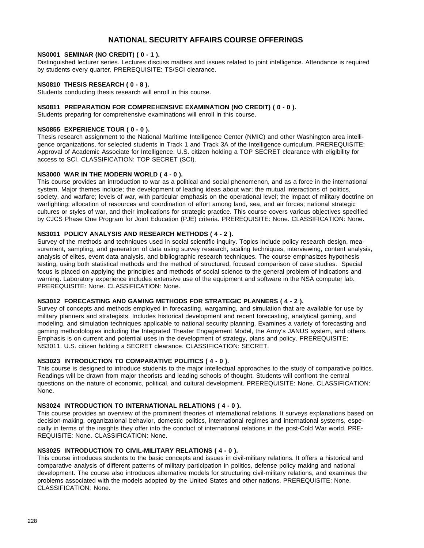# **NATIONAL SECURITY AFFAIRS COURSE OFFERINGS**

## **NS0001 SEMINAR (NO CREDIT) ( 0 - 1 ).**

Distinguished lecturer series. Lectures discuss matters and issues related to joint intelligence. Attendance is required by students every quarter. PREREQUISITE: TS/SCI clearance.

## **NS0810 THESIS RESEARCH ( 0 - 8 ).**

Students conducting thesis research will enroll in this course.

## **NS0811 PREPARATION FOR COMPREHENSIVE EXAMINATION (NO CREDIT) ( 0 - 0 ).**

Students preparing for comprehensive examinations will enroll in this course.

## **NS0855 EXPERIENCE TOUR ( 0 - 0 ).**

Thesis research assignment to the National Maritime Intelligence Center (NMIC) and other Washington area intelligence organizations, for selected students in Track 1 and Track 3A of the Intelligence curriculum. PREREQUISITE: Approval of Academic Associate for Intelligence. U.S. citizen holding a TOP SECRET clearance with eligibility for access to SCI. CLASSIFICATION: TOP SECRET (SCI).

#### **NS3000 WAR IN THE MODERN WORLD ( 4 - 0 ).**

This course provides an introduction to war as a political and social phenomenon, and as a force in the international system. Major themes include; the development of leading ideas about war; the mutual interactions of politics, society, and warfare; levels of war, with particular emphasis on the operational level; the impact of military doctrine on warfighting; allocation of resources and coordination of effort among land, sea, and air forces; national strategic cultures or styles of war, and their implications for strategic practice. This course covers various objectives specified by CJCS Phase One Program for Joint Education (PJE) criteria. PREREQUISITE: None. CLASSIFICATION: None.

## **NS3011 POLICY ANALYSIS AND RESEARCH METHODS ( 4 - 2 ).**

Survey of the methods and techniques used in social scientific inquiry. Topics include policy research design, measurement, sampling, and generation of data using survey research, scaling techniques, interviewing, content analysis, analysis of elites, event data analysis, and bibliographic research techniques. The course emphasizes hypothesis testing, using both statistical methods and the method of structured, focused comparison of case studies. Special focus is placed on applying the principles and methods of social science to the general problem of indications and warning. Laboratory experience includes extensive use of the equipment and software in the NSA computer lab. PREREQUISITE: None. CLASSIFICATION: None.

#### **NS3012 FORECASTING AND GAMING METHODS FOR STRATEGIC PLANNERS ( 4 - 2 ).**

Survey of concepts and methods employed in forecasting, wargaming, and simulation that are available for use by military planners and strategists. Includes historical development and recent forecasting, analytical gaming, and modeling, and simulation techniques applicable to national security planning. Examines a variety of forecasting and gaming methodologies including the Integrated Theater Engagement Model, the Army's JANUS system, and others. Emphasis is on current and potential uses in the development of strategy, plans and policy. PREREQUISITE: NS3011. U.S. citizen holding a SECRET clearance. CLASSIFICATION: SECRET.

## **NS3023 INTRODUCTION TO COMPARATIVE POLITICS ( 4 - 0 ).**

This course is designed to introduce students to the major intellectual approaches to the study of comparative politics. Readings will be drawn from major theorists and leading schools of thought. Students will confront the central questions on the nature of economic, political, and cultural development. PREREQUISITE: None. CLASSIFICATION: None.

#### **NS3024 INTRODUCTION TO INTERNATIONAL RELATIONS ( 4 - 0 ).**

This course provides an overview of the prominent theories of international relations. It surveys explanations based on decision-making, organizational behavior, domestic politics, international regimes and international systems, especially in terms of the insights they offer into the conduct of international relations in the post-Cold War world. PRE-REQUISITE: None. CLASSIFICATION: None.

#### **NS3025 INTRODUCTION TO CIVIL-MILITARY RELATIONS ( 4 - 0 ).**

This course introduces students to the basic concepts and issues in civil-military relations. It offers a historical and comparative analysis of different patterns of military participation in politics, defense policy making and national development. The course also introduces alternative models for structuring civil-military relations, and examines the problems associated with the models adopted by the United States and other nations. PREREQUISITE: None. CLASSIFICATION: None.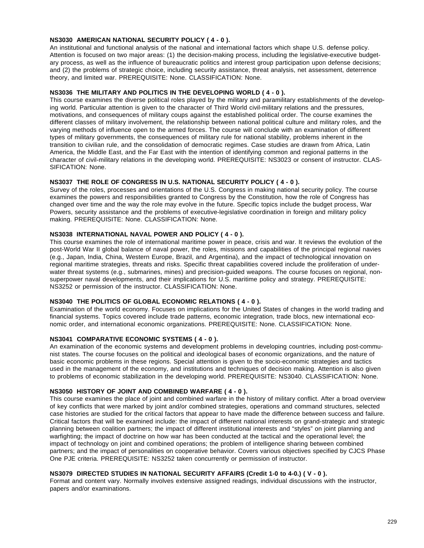## **NS3030 AMERICAN NATIONAL SECURITY POLICY ( 4 - 0 ).**

An institutional and functional analysis of the national and international factors which shape U.S. defense policy. Attention is focused on two major areas: (1) the decision-making process, including the legislative-executive budgetary process, as well as the influence of bureaucratic politics and interest group participation upon defense decisions; and (2) the problems of strategic choice, including security assistance, threat analysis, net assessment, deterrence theory, and limited war. PREREQUISITE: None. CLASSIFICATION: None.

## **NS3036 THE MILITARY AND POLITICS IN THE DEVELOPING WORLD ( 4 - 0 ).**

This course examines the diverse political roles played by the military and paramilitary establishments of the developing world. Particular attention is given to the character of Third World civil-military relations and the pressures, motivations, and consequences of military coups against the established political order. The course examines the different classes of military involvement, the relationship between national political culture and military roles, and the varying methods of influence open to the armed forces. The course will conclude with an examination of different types of military governments, the consequences of military rule for national stability, problems inherent in the transition to civilian rule, and the consolidation of democratic regimes. Case studies are drawn from Africa, Latin America, the Middle East, and the Far East with the intention of identifying common and regional patterns in the character of civil-military relations in the developing world. PREREQUISITE: NS3023 or consent of instructor. CLAS-SIFICATION: None.

## **NS3037 THE ROLE OF CONGRESS IN U.S. NATIONAL SECURITY POLICY ( 4 - 0 ).**

Survey of the roles, processes and orientations of the U.S. Congress in making national security policy. The course examines the powers and responsibilities granted to Congress by the Constitution, how the role of Congress has changed over time and the way the role may evolve in the future. Specific topics include the budget process, War Powers, security assistance and the problems of executive-legislative coordination in foreign and military policy making. PREREQUISITE: None. CLASSIFICATION: None.

## **NS3038 INTERNATIONAL NAVAL POWER AND POLICY ( 4 - 0 ).**

This course examines the role of international maritime power in peace, crisis and war. It reviews the evolution of the post-World War II global balance of naval power, the roles, missions and capabilities of the principal regional navies (e.g., Japan, India, China, Western Europe, Brazil, and Argentina), and the impact of technological innovation on regional maritime strategies, threats and risks. Specific threat capabilities covered include the proliferation of underwater threat systems (e.g., submarines, mines) and precision-guided weapons. The course focuses on regional, nonsuperpower naval developments, and their implications for U.S. maritime policy and strategy. PREREQUISITE: NS3252 or permission of the instructor. CLASSIFICATION: None.

## **NS3040 THE POLITICS OF GLOBAL ECONOMIC RELATIONS ( 4 - 0 ).**

Examination of the world economy. Focuses on implications for the United States of changes in the world trading and financial systems. Topics covered include trade patterns, economic integration, trade blocs, new international economic order, and international economic organizations. PREREQUISITE: None. CLASSIFICATION: None.

#### **NS3041 COMPARATIVE ECONOMIC SYSTEMS ( 4 - 0 ).**

An examination of the economic systems and development problems in developing countries, including post-communist states. The course focuses on the political and ideological bases of economic organizations, and the nature of basic economic problems in these regions. Special attention is given to the socio-economic strategies and tactics used in the management of the economy, and institutions and techniques of decision making. Attention is also given to problems of economic stabilization in the developing world. PREREQUISITE: NS3040. CLASSIFICATION: None.

#### **NS3050 HISTORY OF JOINT AND COMBINED WARFARE ( 4 - 0 ).**

This course examines the place of joint and combined warfare in the history of military conflict. After a broad overview of key conflicts that were marked by joint and/or combined strategies, operations and command structures, selected case histories are studied for the critical factors that appear to have made the difference between success and failure. Critical factors that will be examined include: the impact of different national interests on grand-strategic and strategic planning between coalition partners; the impact of different institutional interests and "styles" on joint planning and warfighting; the impact of doctrine on how war has been conducted at the tactical and the operational level; the impact of technology on joint and combined operations; the problem of intelligence sharing between combined partners; and the impact of personalities on cooperative behavior. Covers various objectives specified by CJCS Phase One PJE criteria. PREREQUISITE: NS3252 taken concurrently or permission of instructor.

## **NS3079 DIRECTED STUDIES IN NATIONAL SECURITY AFFAIRS (Credit 1-0 to 4-0.) ( V - 0 ).**

Format and content vary. Normally involves extensive assigned readings, individual discussions with the instructor, papers and/or examinations.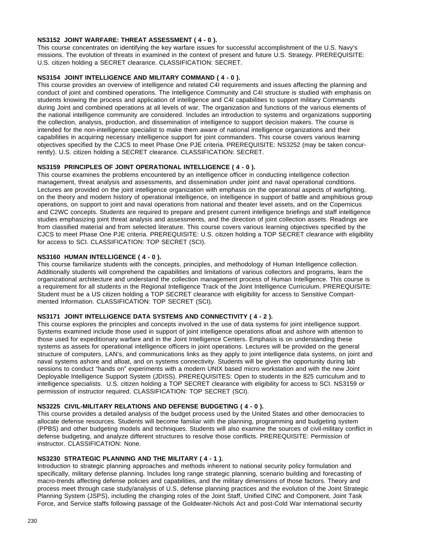## **NS3152 JOINT WARFARE: THREAT ASSESSMENT ( 4 - 0 ).**

This course concentrates on identifying the key warfare issues for successful accomplishment of the U.S. Navy's missions. The evolution of threats in examined in the context of present and future U.S. Strategy. PREREQUISITE: U.S. citizen holding a SECRET clearance. CLASSIFICATION: SECRET.

## **NS3154 JOINT INTELLIGENCE AND MILITARY COMMAND ( 4 - 0 ).**

This course provides an overview of intelligence and related C4I requirements and issues affecting the planning and conduct of joint and combined operations. The Intelligence Community and C4I structure is studied with emphasis on students knowing the process and application of intelligence and C4I capabilities to support military Commands during Joint and combined operations at all levels of war. The organization and functions of the various elements of the national intelligence community are considered. Includes an introduction to systems and organizations supporting the collection, analysis, production, and dissemination of intelligence to support decision makers. The course is intended for the non-intelligence specialist to make them aware of national intelligence organizations and their capabilities in acquiring necessary intelligence support for joint commanders. This course covers various learning objectives specified by the CJCS to meet Phase One PJE criteria. PREREQUISITE: NS3252 (may be taken concurrently). U.S. citizen holding a SECRET clearance. CLASSIFICATION: SECRET.

## **NS3159 PRINCIPLES OF JOINT OPERATIONAL INTELLIGENCE ( 4 - 0 ).**

This course examines the problems encountered by an intelligence officer in conducting intelligence collection management, threat analysis and assessments, and dissemination under joint and naval operational conditions. Lectures are provided on the joint intelligence organization with emphasis on the operational aspects of warfighting, on the theory and modern history of operational intelligence, on intelligence in support of battle and amphibious group operations, on support to joint and naval operations from national and theater level assets, and on the Copernicus and C2WC concepts. Students are required to prepare and present current intelligence briefings and staff intelligence studies emphasizing joint threat analysis and assessments, and the direction of joint collection assets. Readings are from classified material and from selected literature. This course covers various learning objectives specified by the CJCS to meet Phase One PJE criteria. PREREQUISITE: U.S. citizen holding a TOP SECRET clearance with eligibility for access to SCI. CLASSIFICATION: TOP SECRET (SCI).

## **NS3160 HUMAN INTELLIGENCE ( 4 - 0 ).**

This course familiarize students with the concepts, principles, and methodology of Human Intelligence collection. Additionally students will comprehend the capabilities and limitations of various collectors and programs, learn the organizational architecture and understand the collection management process of Human Intelligence. This course is a requirement for all students in the Regional Intelligence Track of the Joint Intelligence Curriculum. PREREQUISITE: Student must be a US citizen holding a TOP SECRET clearance with eligibility for access to Sensitive Compartmented Information. CLASSIFICATION: TOP SECRET (SCI).

## **NS3171 JOINT INTELLIGENCE DATA SYSTEMS AND CONNECTIVITY ( 4 - 2 ).**

This course explores the principles and concepts involved in the use of data systems for joint intelligence support. Systems examined include those used in support of joint intelligence operations afloat and ashore with attention to those used for expeditionary warfare and in the Joint Intelligence Centers. Emphasis is on understanding these systems as assets for operational intelligence officers in joint operations. Lectures will be provided on the general structure of computers, LAN's, and communications links as they apply to joint intelligence data systems, on joint and naval systems ashore and afloat, and on systems connectivity. Students will be given the opportunity during lab sessions to conduct "hands on" experiments with a modern UNIX based micro workstation and with the new Joint Deployable Intelligence Support System (JDISS). PREREQUISITES: Open to students in the 825 curriculum and to intelligence specialists. U.S. citizen holding a TOP SECRET clearance with eligibility for access to SCI. NS3159 or permission of instructor required. CLASSIFICATION: TOP SECRET (SCI).

#### **NS3225 CIVIL-MILITARY RELATIONS AND DEFENSE BUDGETING ( 4 - 0 ).**

This course provides a detailed analysis of the budget process used by the United States and other democracies to allocate defense resources. Students will become familiar with the planning, programming and budgeting system (PPBS) and other budgeting models and techniques. Students will also examine the sources of civil-military conflict in defense budgeting, and analyze different structures to resolve those conflicts. PREREQUISITE: Permission of instructor. CLASSIFICATION: None.

## **NS3230 STRATEGIC PLANNING AND THE MILITARY ( 4 - 1 ).**

Introduction to strategic planning approaches and methods inherent to national security policy formulation and specifically, military defense planning. Includes long range strategic planning, scenario building and forecasting of macro-trends affecting defense policies and capabilities, and the military dimensions of those factors. Theory and process meet through case study/analysis of U.S. defense planning practices and the evolution of the Joint Strategic Planning System (JSPS), including the changing roles of the Joint Staff, Unified CINC and Component, Joint Task Force, and Service staffs following passage of the Goldwater-Nichols Act and post-Cold War international security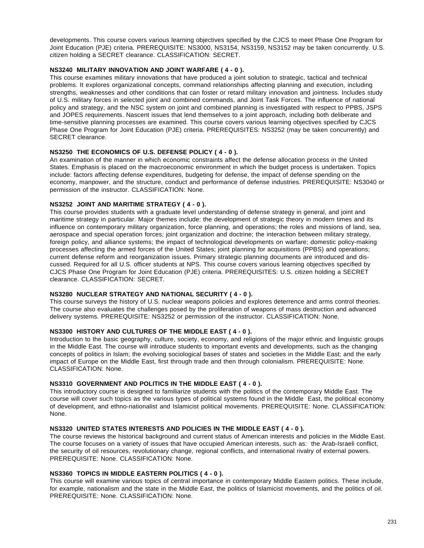developments. This course covers various learning objectives specified by the CJCS to meet Phase One Program for Joint Education (PJE) criteria. PREREQUISITE: NS3000, NS3154, NS3159, NS3152 may be taken concurrently. U.S. citizen holding a SECRET clearance. CLASSIFICATION: SECRET.

## **NS3240 MILITARY INNOVATION AND JOINT WARFARE ( 4 - 0 ).**

This course examines military innovations that have produced a joint solution to strategic, tactical and technical problems. It explores organizational concepts, command relationships affecting planning and execution, including strengths, weaknesses and other conditions that can foster or retard military innovation and jointness. Includes study of U.S. military forces in selected joint and combined commands, and Joint Task Forces. The influence of national policy and strategy, and the NSC system on joint and combined planning is investigated with respect to PPBS, JSPS and JOPES requirements. Nascent issues that lend themselves to a joint approach, including both deliberate and time-sensitive planning processes are examined. This course covers various learning objectives specified by CJCS Phase One Program for Joint Education (PJE) criteria. PREREQUISITES: NS3252 (may be taken concurrently) and SECRET clearance.

## **NS3250 THE ECONOMICS OF U.S. DEFENSE POLICY ( 4 - 0 ).**

An examination of the manner in which economic constraints affect the defense allocation process in the United States. Emphasis is placed on the macroeconomic environment in which the budget process is undertaken. Topics include: factors affecting defense expenditures, budgeting for defense, the impact of defense spending on the economy, manpower, and the structure, conduct and performance of defense industries. PREREQUISITE: NS3040 or permission of the instructor. CLASSIFICATION: None.

#### **NS3252 JOINT AND MARITIME STRATEGY ( 4 - 0 ).**

This course provides students with a graduate level understanding of defense strategy in general, and joint and maritime strategy in particular. Major themes include: the development of strategic theory in modern times and its influence on contemporary military organization, force planning, and operations; the roles and missions of land, sea, aerospace and special operation forces; joint organization and doctrine; the interaction between military strategy, foreign policy, and alliance systems; the impact of technological developments on warfare; domestic policy-making processes affecting the armed forces of the United States; joint planning for acquisitions (PPBS) and operations; current defense reform and reorganization issues. Primary strategic planning documents are introduced and discussed. Required for all U.S. officer students at NPS. This course covers various learning objectives specified by CJCS Phase One Program for Joint Education (PJE) criteria. PREREQUISITES: U.S. citizen holding a SECRET clearance. CLASSIFICATION: SECRET.

#### **NS3280 NUCLEAR STRATEGY AND NATIONAL SECURITY ( 4 - 0 ).**

This course surveys the history of U.S. nuclear weapons policies and explores deterrence and arms control theories. The course also evaluates the challenges posed by the proliferation of weapons of mass destruction and advanced delivery systems. PREREQUISITE: NS3252 or permission of the instructor. CLASSIFICATION: None.

## **NS3300 HISTORY AND CULTURES OF THE MIDDLE EAST ( 4 - 0 ).**

Introduction to the basic geography, culture, society, economy, and religions of the major ethnic and linguistic groups in the Middle East. The course will introduce students to important events and developments, such as the changing concepts of politics in Islam; the evolving sociological bases of states and societies in the Middle East; and the early impact of Europe on the Middle East, first through trade and then through colonialism. PREREQUISITE: None. CLASSIFICATION: None.

### **NS3310 GOVERNMENT AND POLITICS IN THE MIDDLE EAST ( 4 - 0 ).**

This introductory course is designed to familiarize students with the politics of the contemporary Middle East. The course will cover such topics as the various types of political systems found in the Middle East, the political economy of development, and ethno-nationalist and Islamicist political movements. PREREQUISITE: None. CLASSIFICATION: None.

#### **NS3320 UNITED STATES INTERESTS AND POLICIES IN THE MIDDLE EAST ( 4 - 0 ).**

The course reviews the historical background and current status of American interests and policies in the Middle East. The course focuses on a variety of issues that have occupied American interests, such as: the Arab-Israeli conflict, the security of oil resources, revolutionary change, regional conflicts, and international rivalry of external powers. PREREQUISITE: None. CLASSIFICATION: None.

## **NS3360 TOPICS IN MIDDLE EASTERN POLITICS ( 4 - 0 ).**

This course will examine various topics of central importance in contemporary Middle Eastern politics. These include, for example, nationalism and the state in the Middle East, the politics of Islamicist movements, and the politics of oil. PREREQUISITE: None. CLASSIFICATION: None.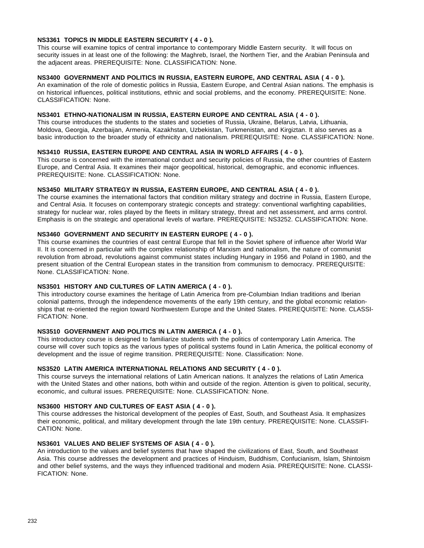## **NS3361 TOPICS IN MIDDLE EASTERN SECURITY ( 4 - 0 ).**

This course will examine topics of central importance to contemporary Middle Eastern security. It will focus on security issues in at least one of the following: the Maghreb, Israel, the Northern Tier, and the Arabian Peninsula and the adjacent areas. PREREQUISITE: None. CLASSIFICATION: None.

## **NS3400 GOVERNMENT AND POLITICS IN RUSSIA, EASTERN EUROPE, AND CENTRAL ASIA ( 4 - 0 ).**

An examination of the role of domestic politics in Russia, Eastern Europe, and Central Asian nations. The emphasis is on historical influences, political institutions, ethnic and social problems, and the economy. PREREQUISITE: None. CLASSIFICATION: None.

## **NS3401 ETHNO-NATIONALISM IN RUSSIA, EASTERN EUROPE AND CENTRAL ASIA ( 4 - 0 ).**

This course introduces the students to the states and societies of Russia, Ukraine, Belarus, Latvia, Lithuania, Moldova, Georgia, Azerbaijan, Armenia, Kazakhstan, Uzbekistan, Turkmenistan, and Kirgiztan. It also serves as a basic introduction to the broader study of ethnicity and nationalism. PREREQUISITE: None. CLASSIFICATION: None.

## **NS3410 RUSSIA, EASTERN EUROPE AND CENTRAL ASIA IN WORLD AFFAIRS ( 4 - 0 ).**

This course is concerned with the international conduct and security policies of Russia, the other countries of Eastern Europe, and Central Asia. It examines their major geopolitical, historical, demographic, and economic influences. PREREQUISITE: None. CLASSIFICATION: None.

### **NS3450 MILITARY STRATEGY IN RUSSIA, EASTERN EUROPE, AND CENTRAL ASIA ( 4 - 0 ).**

The course examines the international factors that condition military strategy and doctrine in Russia, Eastern Europe, and Central Asia. It focuses on contemporary strategic concepts and strategy: conventional warfighting capabilities, strategy for nuclear war, roles played by the fleets in military strategy, threat and net assessment, and arms control. Emphasis is on the strategic and operational levels of warfare. PREREQUISITE: NS3252. CLASSIFICATION: None.

## **NS3460 GOVERNMENT AND SECURITY IN EASTERN EUROPE ( 4 - 0 ).**

This course examines the countries of east central Europe that fell in the Soviet sphere of influence after World War II. It is concerned in particular with the complex relationship of Marxism and nationalism, the nature of communist revolution from abroad, revolutions against communist states including Hungary in 1956 and Poland in 1980, and the present situation of the Central European states in the transition from communism to democracy. PREREQUISITE: None. CLASSIFICATION: None.

#### **NS3501 HISTORY AND CULTURES OF LATIN AMERICA ( 4 - 0 ).**

This introductory course examines the heritage of Latin America from pre-Columbian Indian traditions and Iberian colonial patterns, through the independence movements of the early 19th century, and the global economic relationships that re-oriented the region toward Northwestern Europe and the United States. PREREQUISITE: None. CLASSI-FICATION: None.

## **NS3510 GOVERNMENT AND POLITICS IN LATIN AMERICA ( 4 - 0 ).**

This introductory course is designed to familiarize students with the politics of contemporary Latin America. The course will cover such topics as the various types of political systems found in Latin America, the political economy of development and the issue of regime transition. PREREQUISITE: None. Classification: None.

#### **NS3520 LATIN AMERICA INTERNATIONAL RELATIONS AND SECURITY ( 4 - 0 ).**

This course surveys the international relations of Latin American nations. It analyzes the relations of Latin America with the United States and other nations, both within and outside of the region. Attention is given to political, security, economic, and cultural issues. PREREQUISITE: None. CLASSIFICATION: None.

#### **NS3600 HISTORY AND CULTURES OF EAST ASIA ( 4 - 0 ).**

This course addresses the historical development of the peoples of East, South, and Southeast Asia. It emphasizes their economic, political, and military development through the late 19th century. PREREQUISITE: None. CLASSIFI-CATION: None.

## **NS3601 VALUES AND BELIEF SYSTEMS OF ASIA ( 4 - 0 ).**

An introduction to the values and belief systems that have shaped the civilizations of East, South, and Southeast Asia. This course addresses the development and practices of Hinduism, Buddhism, Confucianism, Islam, Shintoism and other belief systems, and the ways they influenced traditional and modern Asia. PREREQUISITE: None. CLASSI-FICATION: None.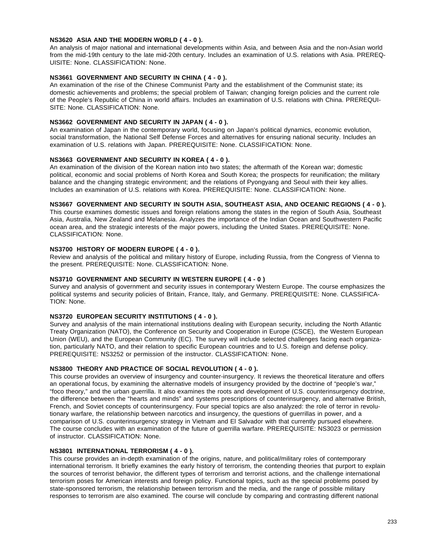## **NS3620 ASIA AND THE MODERN WORLD ( 4 - 0 ).**

An analysis of major national and international developments within Asia, and between Asia and the non-Asian world from the mid-19th century to the late mid-20th century. Includes an examination of U.S. relations with Asia. PREREQ-UISITE: None. CLASSIFICATION: None.

## **NS3661 GOVERNMENT AND SECURITY IN CHINA ( 4 - 0 ).**

An examination of the rise of the Chinese Communist Party and the establishment of the Communist state; its domestic achievements and problems; the special problem of Taiwan; changing foreign policies and the current role of the People's Republic of China in world affairs. Includes an examination of U.S. relations with China. PREREQUI-SITE: None. CLASSIFICATION: None.

## **NS3662 GOVERNMENT AND SECURITY IN JAPAN ( 4 - 0 ).**

An examination of Japan in the contemporary world, focusing on Japan's political dynamics, economic evolution, social transformation, the National Self Defense Forces and alternatives for ensuring national security. Includes an examination of U.S. relations with Japan. PREREQUISITE: None. CLASSIFICATION: None.

## **NS3663 GOVERNMENT AND SECURITY IN KOREA ( 4 - 0 ).**

An examination of the division of the Korean nation into two states; the aftermath of the Korean war; domestic political, economic and social problems of North Korea and South Korea; the prospects for reunification; the military balance and the changing strategic environment; and the relations of Pyongyang and Seoul with their key allies. Includes an examination of U.S. relations with Korea. PREREQUISITE: None. CLASSIFICATION: None.

#### **NS3667 GOVERNMENT AND SECURITY IN SOUTH ASIA, SOUTHEAST ASIA, AND OCEANIC REGIONS ( 4 - 0 ).**

This course examines domestic issues and foreign relations among the states in the region of South Asia, Southeast Asia, Australia, New Zealand and Melanesia. Analyzes the importance of the Indian Ocean and Southwestern Pacific ocean area, and the strategic interests of the major powers, including the United States. PREREQUISITE: None. CLASSIFICATION: None.

## **NS3700 HISTORY OF MODERN EUROPE ( 4 - 0 ).**

Review and analysis of the political and military history of Europe, including Russia, from the Congress of Vienna to the present. PREREQUISITE: None. CLASSIFICATION: None.

## **NS3710 GOVERNMENT AND SECURITY IN WESTERN EUROPE ( 4 - 0 )**

Survey and analysis of government and security issues in contemporary Western Europe. The course emphasizes the political systems and security policies of Britain, France, Italy, and Germany. PREREQUISITE: None. CLASSIFICA-TION: None.

# **NS3720 EUROPEAN SECURITY INSTITUTIONS ( 4 - 0 ).**

Survey and analysis of the main international institutions dealing with European security, including the North Atlantic Treaty Organization (NATO), the Conference on Security and Cooperation in Europe (CSCE), the Western European Union (WEU), and the European Community (EC). The survey will include selected challenges facing each organization, particularly NATO, and their relation to specific European countries and to U.S. foreign and defense policy. PREREQUISITE: NS3252 or permission of the instructor. CLASSIFICATION: None.

## **NS3800 THEORY AND PRACTICE OF SOCIAL REVOLUTION ( 4 - 0 ).**

This course provides an overview of insurgency and counter-insurgency. It reviews the theoretical literature and offers an operational focus, by examining the alternative models of insurgency provided by the doctrine of "people's war," "foco theory," and the urban guerrilla. It also examines the roots and development of U.S. counterinsurgency doctrine, the difference between the "hearts and minds" and systems prescriptions of counterinsurgency, and alternative British, French, and Soviet concepts of counterinsurgency. Four special topics are also analyzed: the role of terror in revolutionary warfare, the relationship between narcotics and insurgency, the questions of guerrillas in power, and a comparison of U.S. counterinsurgency strategy in Vietnam and El Salvador with that currently pursued elsewhere. The course concludes with an examination of the future of guerrilla warfare. PREREQUISITE: NS3023 or permission of instructor. CLASSIFICATION: None.

#### **NS3801 INTERNATIONAL TERRORISM ( 4 - 0 ).**

This course provides an in-depth examination of the origins, nature, and political/military roles of contemporary international terrorism. It briefly examines the early history of terrorism, the contending theories that purport to explain the sources of terrorist behavior, the different types of terrorism and terrorist actions, and the challenge international terrorism poses for American interests and foreign policy. Functional topics, such as the special problems posed by state-sponsored terrorism, the relationship between terrorism and the media, and the range of possible military responses to terrorism are also examined. The course will conclude by comparing and contrasting different national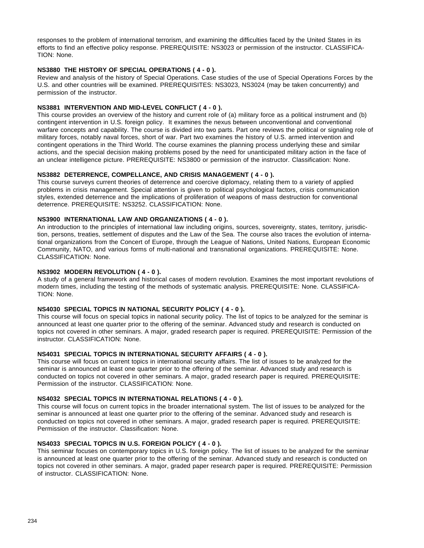responses to the problem of international terrorism, and examining the difficulties faced by the United States in its efforts to find an effective policy response. PREREQUISITE: NS3023 or permission of the instructor. CLASSIFICA-TION: None.

## **NS3880 THE HISTORY OF SPECIAL OPERATIONS ( 4 - 0 ).**

Review and analysis of the history of Special Operations. Case studies of the use of Special Operations Forces by the U.S. and other countries will be examined. PREREQUISITES: NS3023, NS3024 (may be taken concurrently) and permission of the instructor.

## **NS3881 INTERVENTION AND MID-LEVEL CONFLICT ( 4 - 0 ).**

This course provides an overview of the history and current role of (a) military force as a political instrument and (b) contingent intervention in U.S. foreign policy. It examines the nexus between unconventional and conventional warfare concepts and capability. The course is divided into two parts. Part one reviews the political or signaling role of military forces, notably naval forces, short of war. Part two examines the history of U.S. armed intervention and contingent operations in the Third World. The course examines the planning process underlying these and similar actions, and the special decision making problems posed by the need for unanticipated military action in the face of an unclear intelligence picture. PREREQUISITE: NS3800 or permission of the instructor. Classification: None.

## **NS3882 DETERRENCE, COMPELLANCE, AND CRISIS MANAGEMENT ( 4 - 0 ).**

This course surveys current theories of deterrence and coercive diplomacy, relating them to a variety of applied problems in crisis management. Special attention is given to political psychological factors, crisis communication styles, extended deterrence and the implications of proliferation of weapons of mass destruction for conventional deterrence. PREREQUISITE: NS3252. CLASSIFICATION: None.

## **NS3900 INTERNATIONAL LAW AND ORGANIZATIONS ( 4 - 0 ).**

An introduction to the principles of international law including origins, sources, sovereignty, states, territory, jurisdiction, persons, treaties, settlement of disputes and the Law of the Sea. The course also traces the evolution of international organizations from the Concert of Europe, through the League of Nations, United Nations, European Economic Community, NATO, and various forms of multi-national and transnational organizations. PREREQUISITE: None. CLASSIFICATION: None.

## **NS3902 MODERN REVOLUTION ( 4 - 0 ).**

A study of a general framework and historical cases of modern revolution. Examines the most important revolutions of modern times, including the testing of the methods of systematic analysis. PREREQUISITE: None. CLASSIFICA-TION: None.

## **NS4030 SPECIAL TOPICS IN NATIONAL SECURITY POLICY ( 4 - 0 ).**

This course will focus on special topics in national security policy. The list of topics to be analyzed for the seminar is announced at least one quarter prior to the offering of the seminar. Advanced study and research is conducted on topics not covered in other seminars. A major, graded research paper is required. PREREQUISITE: Permission of the instructor. CLASSIFICATION: None.

#### **NS4031 SPECIAL TOPICS IN INTERNATIONAL SECURITY AFFAIRS ( 4 - 0 ).**

This course will focus on current topics in international security affairs. The list of issues to be analyzed for the seminar is announced at least one quarter prior to the offering of the seminar. Advanced study and research is conducted on topics not covered in other seminars. A major, graded research paper is required. PREREQUISITE: Permission of the instructor. CLASSIFICATION: None.

#### **NS4032 SPECIAL TOPICS IN INTERNATIONAL RELATIONS ( 4 - 0 ).**

This course will focus on current topics in the broader international system. The list of issues to be analyzed for the seminar is announced at least one quarter prior to the offering of the seminar. Advanced study and research is conducted on topics not covered in other seminars. A major, graded research paper is required. PREREQUISITE: Permission of the instructor. Classification: None.

## **NS4033 SPECIAL TOPICS IN U.S. FOREIGN POLICY ( 4 - 0 ).**

This seminar focuses on contemporary topics in U.S. foreign policy. The list of issues to be analyzed for the seminar is announced at least one quarter prior to the offering of the seminar. Advanced study and research is conducted on topics not covered in other seminars. A major, graded paper research paper is required. PREREQUISITE: Permission of instructor. CLASSIFICATION: None.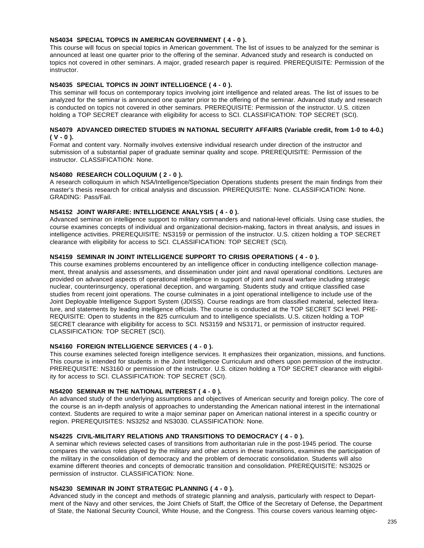## **NS4034 SPECIAL TOPICS IN AMERICAN GOVERNMENT ( 4 - 0 ).**

This course will focus on special topics in American government. The list of issues to be analyzed for the seminar is announced at least one quarter prior to the offering of the seminar. Advanced study and research is conducted on topics not covered in other seminars. A major, graded research paper is required. PREREQUISITE: Permission of the instructor.

## **NS4035 SPECIAL TOPICS IN JOINT INTELLIGENCE ( 4 - 0 ).**

This seminar will focus on contemporary topics involving joint intelligence and related areas. The list of issues to be analyzed for the seminar is announced one quarter prior to the offering of the seminar. Advanced study and research is conducted on topics not covered in other seminars. PREREQUISITE: Permission of the instructor. U.S. citizen holding a TOP SECRET clearance with eligibility for access to SCI. CLASSIFICATION: TOP SECRET (SCI).

## **NS4079 ADVANCED DIRECTED STUDIES IN NATIONAL SECURITY AFFAIRS (Variable credit, from 1-0 to 4-0.) ( V - 0 ).**

Format and content vary. Normally involves extensive individual research under direction of the instructor and submission of a substantial paper of graduate seminar quality and scope. PREREQUISITE: Permission of the instructor. CLASSIFICATION: None.

## **NS4080 RESEARCH COLLOQUIUM ( 2 - 0 ).**

A research colloquium in which NSA/Intelligence/Speciation Operations students present the main findings from their master's thesis research for critical analysis and discussion. PREREQUISITE: None. CLASSIFICATION: None. GRADING: Pass/Fail.

## **NS4152 JOINT WARFARE: INTELLIGENCE ANALYSIS ( 4 - 0 ).**

Advanced seminar on intelligence support to military commanders and national-level officials. Using case studies, the course examines concepts of individual and organizational decision-making, factors in threat analysis, and issues in intelligence activities. PREREQUISITE: NS3159 or permission of the instructor. U.S. citizen holding a TOP SECRET clearance with eligibility for access to SCI. CLASSIFICATION: TOP SECRET (SCI).

## **NS4159 SEMINAR IN JOINT INTELLIGENCE SUPPORT TO CRISIS OPERATIONS ( 4 - 0 ).**

This course examines problems encountered by an intelligence officer in conducting intelligence collection management, threat analysis and assessments, and dissemination under joint and naval operational conditions. Lectures are provided on advanced aspects of operational intelligence in support of joint and naval warfare including strategic nuclear, counterinsurgency, operational deception, and wargaming. Students study and critique classified case studies from recent joint operations. The course culminates in a joint operational intelligence to include use of the Joint Deployable Intelligence Support System (JDISS). Course readings are from classified material, selected literature, and statements by leading intelligence officials. The course is conducted at the TOP SECRET SCI level. PRE-REQUISITE: Open to students in the 825 curriculum and to intelligence specialists. U.S. citizen holding a TOP SECRET clearance with eligibility for access to SCI. NS3159 and NS3171, or permission of instructor required. CLASSIFICATION: TOP SECRET (SCI).

#### **NS4160 FOREIGN INTELLIGENCE SERVICES ( 4 - 0 ).**

This course examines selected foreign intelligence services. It emphasizes their organization, missions, and functions. This course is intended for students in the Joint Intelligence Curriculum and others upon permission of the instructor. PREREQUISITE: NS3160 or permission of the instructor. U.S. citizen holding a TOP SECRET clearance with eligibility for access to SCI. CLASSIFICATION: TOP SECRET (SCI).

## **NS4200 SEMINAR IN THE NATIONAL INTEREST ( 4 - 0 ).**

An advanced study of the underlying assumptions and objectives of American security and foreign policy. The core of the course is an in-depth analysis of approaches to understanding the American national interest in the international context. Students are required to write a major seminar paper on American national interest in a specific country or region. PREREQUISITES: NS3252 and NS3030. CLASSIFICATION: None.

#### **NS4225 CIVIL-MILITARY RELATIONS AND TRANSITIONS TO DEMOCRACY ( 4 - 0 ).**

A seminar which reviews selected cases of transitions from authoritarian rule in the post-1945 period. The course compares the various roles played by the military and other actors in these transitions, examines the participation of the military in the consolidation of democracy and the problem of democratic consolidation. Students will also examine different theories and concepts of democratic transition and consolidation. PREREQUISITE: NS3025 or permission of instructor. CLASSIFICATION: None.

## **NS4230 SEMINAR IN JOINT STRATEGIC PLANNING ( 4 - 0 ).**

Advanced study in the concept and methods of strategic planning and analysis, particularly with respect to Department of the Navy and other services, the Joint Chiefs of Staff, the Office of the Secretary of Defense, the Department of State, the National Security Council, White House, and the Congress. This course covers various learning objec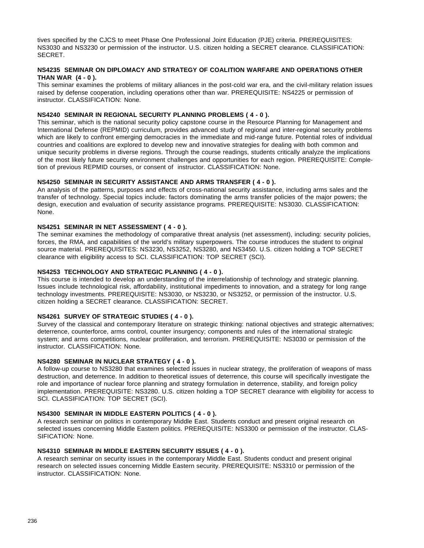tives specified by the CJCS to meet Phase One Professional Joint Education (PJE) criteria. PREREQUISITES: NS3030 and NS3230 or permission of the instructor. U.S. citizen holding a SECRET clearance. CLASSIFICATION: SECRET.

#### **NS4235 SEMINAR ON DIPLOMACY AND STRATEGY OF COALITION WARFARE AND OPERATIONS OTHER THAN WAR (4 - 0 ).**

This seminar examines the problems of military alliances in the post-cold war era, and the civil-military relation issues raised by defense cooperation, including operations other than war. PREREQUISITE: NS4225 or permission of instructor. CLASSIFICATION: None.

## **NS4240 SEMINAR IN REGIONAL SECURITY PLANNING PROBLEMS ( 4 - 0 ).**

This seminar, which is the national security policy capstone course in the Resource Planning for Management and International Defense (REPMID) curriculum, provides advanced study of regional and inter-regional security problems which are likely to confront emerging democracies in the immediate and mid-range future. Potential roles of individual countries and coalitions are explored to develop new and innovative strategies for dealing with both common and unique security problems in diverse regions. Through the course readings, students critically analyze the implications of the most likely future security environment challenges and opportunities for each region. PREREQUISITE: Completion of previous REPMID courses, or consent of instructor. CLASSIFICATION: None.

## **NS4250 SEMINAR IN SECURITY ASSISTANCE AND ARMS TRANSFER ( 4 - 0 ).**

An analysis of the patterns, purposes and effects of cross-national security assistance, including arms sales and the transfer of technology. Special topics include: factors dominating the arms transfer policies of the major powers; the design, execution and evaluation of security assistance programs. PREREQUISITE: NS3030. CLASSIFICATION: None.

## **NS4251 SEMINAR IN NET ASSESSMENT ( 4 - 0 ).**

The seminar examines the methodology of comparative threat analysis (net assessment), including: security policies, forces, the RMA, and capabilities of the world's military superpowers. The course introduces the student to original source material. PREREQUISITES: NS3230, NS3252, NS3280, and NS3450. U.S. citizen holding a TOP SECRET clearance with eligibility access to SCI. CLASSIFICATION: TOP SECRET (SCI).

## **NS4253 TECHNOLOGY AND STRATEGIC PLANNING ( 4 - 0 ).**

This course is intended to develop an understanding of the interrelationship of technology and strategic planning. Issues include technological risk, affordability, institutional impediments to innovation, and a strategy for long range technology investments. PREREQUISITE: NS3030, or NS3230, or NS3252, or permission of the instructor. U.S. citizen holding a SECRET clearance. CLASSIFICATION: SECRET.

#### **NS4261 SURVEY OF STRATEGIC STUDIES ( 4 - 0 ).**

Survey of the classical and contemporary literature on strategic thinking: national objectives and strategic alternatives; deterrence, counterforce, arms control, counter insurgency; components and rules of the international strategic system; and arms competitions, nuclear proliferation, and terrorism. PREREQUISITE: NS3030 or permission of the instructor. CLASSIFICATION: None.

## **NS4280 SEMINAR IN NUCLEAR STRATEGY ( 4 - 0 ).**

A follow-up course to NS3280 that examines selected issues in nuclear strategy, the proliferation of weapons of mass destruction, and deterrence. In addition to theoretical issues of deterrence, this course will specifically investigate the role and importance of nuclear force planning and strategy formulation in deterrence, stability, and foreign policy implementation. PREREQUISITE: NS3280. U.S. citizen holding a TOP SECRET clearance with eligibility for access to SCI. CLASSIFICATION: TOP SECRET (SCI).

#### **NS4300 SEMINAR IN MIDDLE EASTERN POLITICS ( 4 - 0 ).**

A research seminar on politics in contemporary Middle East. Students conduct and present original research on selected issues concerning Middle Eastern politics. PREREQUISITE: NS3300 or permission of the instructor. CLAS-SIFICATION: None.

## **NS4310 SEMINAR IN MIDDLE EASTERN SECURITY ISSUES ( 4 - 0 ).**

A research seminar on security issues in the contemporary Middle East. Students conduct and present original research on selected issues concerning Middle Eastern security. PREREQUISITE: NS3310 or permission of the instructor. CLASSIFICATION: None.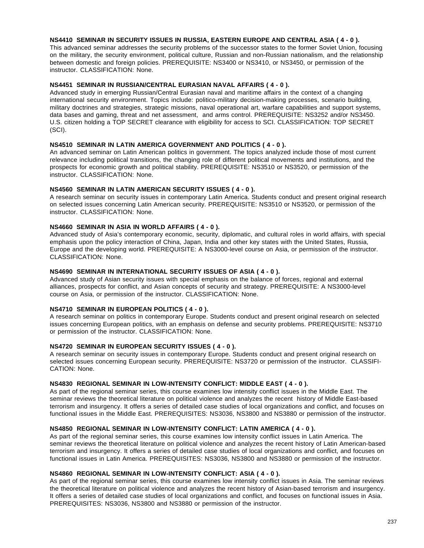## **NS4410 SEMINAR IN SECURITY ISSUES IN RUSSIA, EASTERN EUROPE AND CENTRAL ASIA ( 4 - 0 ).**

This advanced seminar addresses the security problems of the successor states to the former Soviet Union, focusing on the military, the security environment, political culture, Russian and non-Russian nationalism, and the relationship between domestic and foreign policies. PREREQUISITE: NS3400 or NS3410, or NS3450, or permission of the instructor. CLASSIFICATION: None.

## **NS4451 SEMINAR IN RUSSIAN/CENTRAL EURASIAN NAVAL AFFAIRS ( 4 - 0 ).**

Advanced study in emerging Russian/Central Eurasian naval and maritime affairs in the context of a changing international security environment. Topics include: politico-military decision-making processes, scenario building, military doctrines and strategies, strategic missions, naval operational art, warfare capabilities and support systems, data bases and gaming, threat and net assessment, and arms control. PREREQUISITE: NS3252 and/or NS3450. U.S. citizen holding a TOP SECRET clearance with eligibility for access to SCI. CLASSIFICATION: TOP SECRET (SCI).

### **NS4510 SEMINAR IN LATIN AMERICA GOVERNMENT AND POLITICS ( 4 - 0 ).**

An advanced seminar on Latin American politics in government. The topics analyzed include those of most current relevance including political transitions, the changing role of different political movements and institutions, and the prospects for economic growth and political stability. PREREQUISITE: NS3510 or NS3520, or permission of the instructor. CLASSIFICATION: None.

## **NS4560 SEMINAR IN LATIN AMERICAN SECURITY ISSUES ( 4 - 0 ).**

A research seminar on security issues in contemporary Latin America. Students conduct and present original research on selected issues concerning Latin American security. PREREQUISITE: NS3510 or NS3520, or permission of the instructor. CLASSIFICATION: None.

## **NS4660 SEMINAR IN ASIA IN WORLD AFFAIRS ( 4 - 0 ).**

Advanced study of Asia's contemporary economic, security, diplomatic, and cultural roles in world affairs, with special emphasis upon the policy interaction of China, Japan, India and other key states with the United States, Russia, Europe and the developing world. PREREQUISITE: A NS3000-level course on Asia, or permission of the instructor. CLASSIFICATION: None.

## **NS4690 SEMINAR IN INTERNATIONAL SECURITY ISSUES OF ASIA ( 4 - 0 ).**

Advanced study of Asian security issues with special emphasis on the balance of forces, regional and external alliances, prospects for conflict, and Asian concepts of security and strategy. PREREQUISITE: A NS3000-level course on Asia, or permission of the instructor. CLASSIFICATION: None.

## **NS4710 SEMINAR IN EUROPEAN POLITICS ( 4 - 0 ).**

A research seminar on politics in contemporary Europe. Students conduct and present original research on selected issues concerning European politics, with an emphasis on defense and security problems. PREREQUISITE: NS3710 or permission of the instructor. CLASSIFICATION: None.

## **NS4720 SEMINAR IN EUROPEAN SECURITY ISSUES ( 4 - 0 ).**

A research seminar on security issues in contemporary Europe. Students conduct and present original research on selected issues concerning European security. PREREQUISITE: NS3720 or permission of the instructor. CLASSIFI-CATION: None.

### **NS4830 REGIONAL SEMINAR IN LOW-INTENSITY CONFLICT: MIDDLE EAST ( 4 - 0 ).**

As part of the regional seminar series, this course examines low intensity conflict issues in the Middle East. The seminar reviews the theoretical literature on political violence and analyzes the recent history of Middle East-based terrorism and insurgency. It offers a series of detailed case studies of local organizations and conflict, and focuses on functional issues in the Middle East. PREREQUISITES: NS3036, NS3800 and NS3880 or permission of the instructor.

## **NS4850 REGIONAL SEMINAR IN LOW-INTENSITY CONFLICT: LATIN AMERICA ( 4 - 0 ).**

As part of the regional seminar series, this course examines low intensity conflict issues in Latin America. The seminar reviews the theoretical literature on political violence and analyzes the recent history of Latin American-based terrorism and insurgency. It offers a series of detailed case studies of local organizations and conflict, and focuses on functional issues in Latin America. PREREQUISITES: NS3036, NS3800 and NS3880 or permission of the instructor.

## **NS4860 REGIONAL SEMINAR IN LOW-INTENSITY CONFLICT: ASIA ( 4 - 0 ).**

As part of the regional seminar series, this course examines low intensity conflict issues in Asia. The seminar reviews the theoretical literature on political violence and analyzes the recent history of Asian-based terrorism and insurgency. It offers a series of detailed case studies of local organizations and conflict, and focuses on functional issues in Asia. PREREQUISITES: NS3036, NS3800 and NS3880 or permission of the instructor.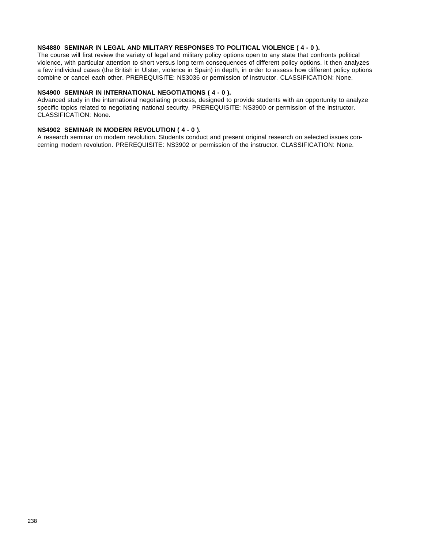## **NS4880 SEMINAR IN LEGAL AND MILITARY RESPONSES TO POLITICAL VIOLENCE ( 4 - 0 ).**

The course will first review the variety of legal and military policy options open to any state that confronts political violence, with particular attention to short versus long term consequences of different policy options. It then analyzes a few individual cases (the British in Ulster, violence in Spain) in depth, in order to assess how different policy options combine or cancel each other. PREREQUISITE: NS3036 or permission of instructor. CLASSIFICATION: None.

## **NS4900 SEMINAR IN INTERNATIONAL NEGOTIATIONS ( 4 - 0 ).**

Advanced study in the international negotiating process, designed to provide students with an opportunity to analyze specific topics related to negotiating national security. PREREQUISITE: NS3900 or permission of the instructor. CLASSIFICATION: None.

## **NS4902 SEMINAR IN MODERN REVOLUTION ( 4 - 0 ).**

A research seminar on modern revolution. Students conduct and present original research on selected issues concerning modern revolution. PREREQUISITE: NS3902 or permission of the instructor. CLASSIFICATION: None.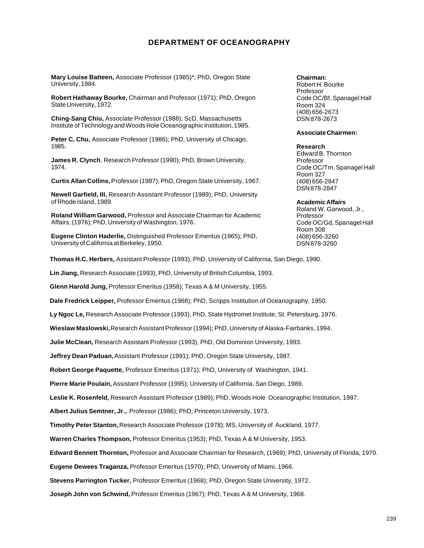# **DEPARTMENT OF OCEANOGRAPHY**

**Mary Louise Batteen,** Associate Professor (1985)\*; PhD, Oregon State University, 1984.

**Robert Hathaway Bourke,** Chairman and Professor (1971); PhD, Oregon State University, 1972.

**Ching-Sang Chiu,** Associate Professor (1988); ScD, Massachusetts Institute of Technology and Woods Hole Oceanographic Institution, 1985.

**Peter C. Chu,** Associate Professor (1986); PhD, University of Chicago, 1985.

**James R. Clynch**, Research Professor (1990); PhD, Brown University, 1974.

**Curtis Allan Collins,** Professor (1987); PhD, Oregon State University, 1967.

**Newell Garfield, III,** Research Assistant Professor (1989); PhD, University of Rhode Island, 1989.

**Roland William Garwood,** Professor and Associate Chairman for Academic Affairs, (1976); PhD, University of Washington, 1976.

**Eugene Clinton Haderlie,** Distinguished Professor Emeritus (1965); PhD, University of California at Berkeley, 1950.

**Thomas H.C. Herbers,** Assistant Professor (1993), PhD, University of California, San Diego, 1990.

**Lin Jiang,** Research Associate (1993), PhD, University of British Columbia, 1993.

**Glenn Harold Jung,** Professor Emeritus (1958); Texas A & M University, 1955.

**Dale Fredrick Leipper,** Professor Emeritus (1968); PhD, Scripps Institution of Oceanography, 1950.

**Ly Ngoc Le,** Research Associate Professor (1993), PhD, State Hydromet Institute, St. Petersburg, 1976.

**Wieslaw Maslowski,** Research Assistant Professor (1994); PhD, University of Alaska-Fairbanks, 1994.

**Julie McClean,** Research Assistant Professor (1993), PhD, Old Dominion University, 1993.

**Jeffrey Dean Paduan,** Assistant Professor (1991); PhD, Oregon State University, 1987.

**Robert George Paquette,** Professor Emeritus (1971); PhD, University of Washington, 1941.

**Pierre Marie Poulain,** Assistant Professor (1995); University of California, San Diego, 1989.

**Leslie K. Rosenfeld,** Research Assistant Professor (1989); PhD, Woods Hole Oceanographic Institution, 1987.

**Albert Julius Semtner, Jr.,** Professor (1986); PhD, Princeton University, 1973.

**Timothy Peter Stanton,** Research Associate Professor (1978); MS, University of Auckland, 1977.

**Warren Charles Thompson,** Professor Emeritus (1953); PhD, Texas A & M University, 1953.

**Edward Bennett Thornton,** Professor and Associate Chairman for Research, (1969); PhD, University of Florida, 1970.

**Eugene Dewees Traganza,** Professor Emeritus (1970); PhD, University of Miami, 1966.

**Stevens Parrington Tucker,** Professor Emeritus (1968); PhD, Oregon State University, 1972.

**Joseph John von Schwind,** Professor Emeritus (1967); PhD, Texas A & M University, 1968.

#### **Chairman:**

Robert H. Bourke Professor Code OC/Bf, Spanagel Hall Room 324 (408) 656-2673 DSN 878-2673

#### **Associate Chairmen:**

**Research** Edward B. Thornton Professor Code OC/Tm, Spanagel Hall Room 327 (408) 656-2847 DSN 878-2847

#### **Academic Affairs**

Roland W. Garwood, Jr., Professor Code OC/Gd, Spanagel Hall Room 308 (408) 656-3260 DSN 878-3260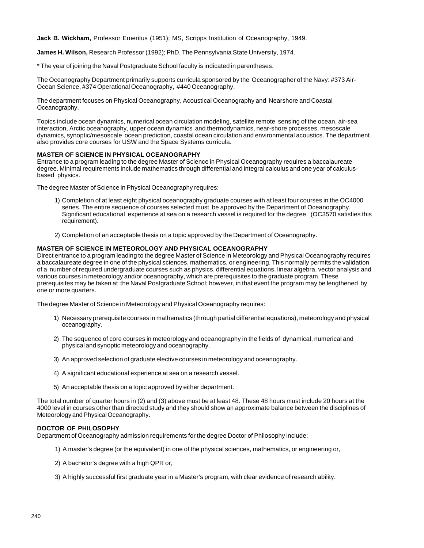**Jack B. Wickham,** Professor Emeritus (1951); MS, Scripps Institution of Oceanography, 1949.

**James H. Wilson,** Research Professor (1992); PhD, The Pennsylvania State University, 1974.

\* The year of joining the Naval Postgraduate School faculty is indicated in parentheses.

The Oceanography Department primarily supports curricula sponsored by the Oceanographer of the Navy: #373 Air-Ocean Science, #374 Operational Oceanography, #440 Oceanography.

The department focuses on Physical Oceanography, Acoustical Oceanography and Nearshore and Coastal Oceanography.

Topics include ocean dynamics, numerical ocean circulation modeling, satellite remote sensing of the ocean, air-sea interaction, Arctic oceanography, upper ocean dynamics and thermodynamics, near-shore processes, mesoscale dynamics, synoptic/mesoscale ocean prediction, coastal ocean circulation and environmental acoustics. The department also provides core courses for USW and the Space Systems curricula.

#### **MASTER OF SCIENCE IN PHYSICAL OCEANOGRAPHY**

Entrance to a program leading to the degree Master of Science in Physical Oceanography requires a baccalaureate degree. Minimal requirements include mathematics through differential and integral calculus and one year of calculusbased physics.

The degree Master of Science in Physical Oceanography requires:

- 1) Completion of at least eight physical oceanography graduate courses with at least four courses in the OC4000 series. The entire sequence of courses selected must be approved by the Department of Oceanography. Significant educational experience at sea on a research vessel is required for the degree. (OC3570 satisfies this requirement).
- 2) Completion of an acceptable thesis on a topic approved by the Department of Oceanography.

#### **MASTER OF SCIENCE IN METEOROLOGY AND PHYSICAL OCEANOGRAPHY**

Direct entrance to a program leading to the degree Master of Science in Meteorology and Physical Oceanography requires a baccalaureate degree in one of the physical sciences, mathematics, or engineering. This normally permits the validation of a number of required undergraduate courses such as physics, differential equations, linear algebra, vector analysis and various courses in meteorology and/or oceanography, which are prerequisites to the graduate program. These prerequisites may be taken at the Naval Postgraduate School; however, in that event the program may be lengthened by one or more quarters.

The degree Master of Science in Meteorology and Physical Oceanography requires:

- 1) Necessary prerequisite courses in mathematics (through partial differential equations), meteorology and physical oceanography.
- 2) The sequence of core courses in meteorology and oceanography in the fields of dynamical, numerical and physical and synoptic meteorology and oceanography.
- 3) An approved selection of graduate elective courses in meteorology and oceanography.
- 4) A significant educational experience at sea on a research vessel.
- 5) An acceptable thesis on a topic approved by either department.

The total number of quarter hours in (2) and (3) above must be at least 48. These 48 hours must include 20 hours at the 4000 level in courses other than directed study and they should show an approximate balance between the disciplines of Meteorology and Physical Oceanography.

#### **DOCTOR OF PHILOSOPHY**

Department of Oceanography admission requirements for the degree Doctor of Philosophy include:

- 1) A master's degree (or the equivalent) in one of the physical sciences, mathematics, or engineering or,
- 2) A bachelor's degree with a high QPR or,
- 3) A highly successful first graduate year in a Master's program, with clear evidence of research ability.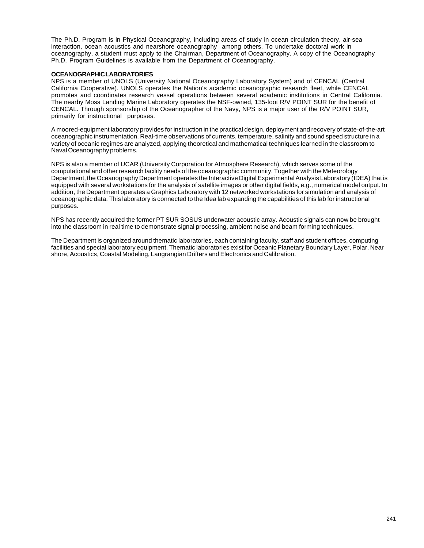The Ph.D. Program is in Physical Oceanography, including areas of study in ocean circulation theory, air-sea interaction, ocean acoustics and nearshore oceanography among others. To undertake doctoral work in oceanography, a student must apply to the Chairman, Department of Oceanography. A copy of the Oceanography Ph.D. Program Guidelines is available from the Department of Oceanography.

#### **OCEANOGRAPHIC LABORATORIES**

NPS is a member of UNOLS (University National Oceanography Laboratory System) and of CENCAL (Central California Cooperative). UNOLS operates the Nation's academic oceanographic research fleet, while CENCAL promotes and coordinates research vessel operations between several academic institutions in Central California. The nearby Moss Landing Marine Laboratory operates the NSF-owned, 135-foot R/V POINT SUR for the benefit of CENCAL. Through sponsorship of the Oceanographer of the Navy, NPS is a major user of the R/V POINT SUR, primarily for instructional purposes.

A moored-equipment laboratory provides for instruction in the practical design, deployment and recovery of state-of-the-art oceanographic instrumentation. Real-time observations of currents, temperature, salinity and sound speed structure in a variety of oceanic regimes are analyzed, applying theoretical and mathematical techniques learned in the classroom to Naval Oceanography problems.

NPS is also a member of UCAR (University Corporation for Atmosphere Research), which serves some of the computational and other research facility needs of the oceanographic community. Together with the Meteorology Department, the Oceanography Department operates the Interactive Digital Experimental Analysis Laboratory (IDEA) that is equipped with several workstations for the analysis of satellite images or other digital fields, e.g., numerical model output. In addition, the Department operates a Graphics Laboratory with 12 networked workstations for simulation and analysis of oceanographic data. This laboratory is connected to the Idea lab expanding the capabilities of this lab for instructional purposes.

NPS has recently acquired the former PT SUR SOSUS underwater acoustic array. Acoustic signals can now be brought into the classroom in real time to demonstrate signal processing, ambient noise and beam forming techniques.

The Department is organized around thematic laboratories, each containing faculty, staff and student offices, computing facilities and special laboratory equipment. Thematic laboratories exist for Oceanic Planetary Boundary Layer, Polar, Near shore, Acoustics, Coastal Modeling, Langrangian Drifters and Electronics and Calibration.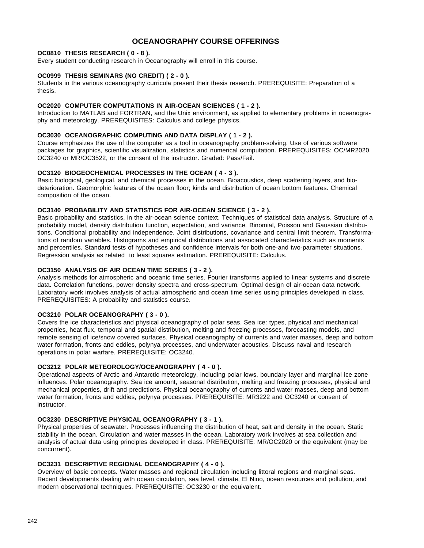# **OCEANOGRAPHY COURSE OFFERINGS**

## **OC0810 THESIS RESEARCH ( 0 - 8 ).**

Every student conducting research in Oceanography will enroll in this course.

## **OC0999 THESIS SEMINARS (NO CREDIT) ( 2 - 0 ).**

Students in the various oceanography curricula present their thesis research. PREREQUISITE: Preparation of a thesis.

#### **OC2020 COMPUTER COMPUTATIONS IN AIR-OCEAN SCIENCES ( 1 - 2 ).**

Introduction to MATLAB and FORTRAN, and the Unix environment, as applied to elementary problems in oceanography and meteorology. PREREQUISITES: Calculus and college physics.

## **OC3030 OCEANOGRAPHIC COMPUTING AND DATA DISPLAY ( 1 - 2 ).**

Course emphasizes the use of the computer as a tool in oceanography problem-solving. Use of various software packages for graphics, scientific visualization, statistics and numerical computation. PREREQUISITES: OC/MR2020, OC3240 or MR/OC3522, or the consent of the instructor. Graded: Pass/Fail.

#### **OC3120 BIOGEOCHEMICAL PROCESSES IN THE OCEAN ( 4 - 3 ).**

Basic biological, geological, and chemical processes in the ocean. Bioacoustics, deep scattering layers, and biodeterioration. Geomorphic features of the ocean floor; kinds and distribution of ocean bottom features. Chemical composition of the ocean.

#### **OC3140 PROBABILITY AND STATISTICS FOR AIR-OCEAN SCIENCE ( 3 - 2 ).**

Basic probability and statistics, in the air-ocean science context. Techniques of statistical data analysis. Structure of a probability model, density distribution function, expectation, and variance. Binomial, Poisson and Gaussian distributions. Conditional probability and independence. Joint distributions, covariance and central limit theorem. Transformations of random variables. Histograms and empirical distributions and associated characteristics such as moments and percentiles. Standard tests of hypotheses and confidence intervals for both one-and two-parameter situations. Regression analysis as related to least squares estimation. PREREQUISITE: Calculus.

## **OC3150 ANALYSIS OF AIR OCEAN TIME SERIES ( 3 - 2 ).**

Analysis methods for atmospheric and oceanic time series. Fourier transforms applied to linear systems and discrete data. Correlation functions, power density spectra and cross-spectrum. Optimal design of air-ocean data network. Laboratory work involves analysis of actual atmospheric and ocean time series using principles developed in class. PREREQUISITES: A probability and statistics course.

#### **OC3210 POLAR OCEANOGRAPHY ( 3 - 0 ).**

Covers the ice characteristics and physical oceanography of polar seas. Sea ice: types, physical and mechanical properties, heat flux, temporal and spatial distribution, melting and freezing processes, forecasting models, and remote sensing of ice/snow covered surfaces. Physical oceanography of currents and water masses, deep and bottom water formation, fronts and eddies, polynya processes, and underwater acoustics. Discuss naval and research operations in polar warfare. PREREQUISITE: OC3240.

#### **OC3212 POLAR METEOROLOGY/OCEANOGRAPHY ( 4 - 0 ).**

Operational aspects of Arctic and Antarctic meteorology, including polar lows, boundary layer and marginal ice zone influences. Polar oceanography. Sea ice amount, seasonal distribution, melting and freezing processes, physical and mechanical properties, drift and predictions. Physical oceanography of currents and water masses, deep and bottom water formation, fronts and eddies, polynya processes. PREREQUISITE: MR3222 and OC3240 or consent of instructor.

## **OC3230 DESCRIPTIVE PHYSICAL OCEANOGRAPHY ( 3 - 1 ).**

Physical properties of seawater. Processes influencing the distribution of heat, salt and density in the ocean. Static stability in the ocean. Circulation and water masses in the ocean. Laboratory work involves at sea collection and analysis of actual data using principles developed in class. PREREQUISITE: MR/OC2020 or the equivalent (may be concurrent).

## **OC3231 DESCRIPTIVE REGIONAL OCEANOGRAPHY ( 4 - 0 ).**

Overview of basic concepts. Water masses and regional circulation including littoral regions and marginal seas. Recent developments dealing with ocean circulation, sea level, climate, El Nino, ocean resources and pollution, and modern observational techniques. PREREQUISITE: OC3230 or the equivalent.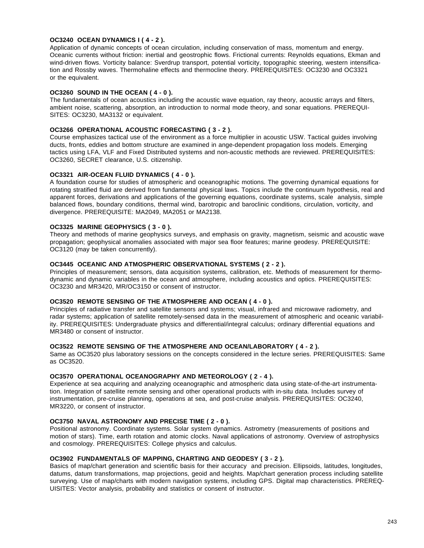#### **OC3240 OCEAN DYNAMICS I ( 4 - 2 ).**

Application of dynamic concepts of ocean circulation, including conservation of mass, momentum and energy. Oceanic currents without friction: inertial and geostrophic flows. Frictional currents: Reynolds equations, Ekman and wind-driven flows. Vorticity balance: Sverdrup transport, potential vorticity, topographic steering, western intensification and Rossby waves. Thermohaline effects and thermocline theory. PREREQUISITES: OC3230 and OC3321 or the equivalent.

## **OC3260 SOUND IN THE OCEAN ( 4 - 0 ).**

The fundamentals of ocean acoustics including the acoustic wave equation, ray theory, acoustic arrays and filters, ambient noise, scattering, absorption, an introduction to normal mode theory, and sonar equations. PREREQUI-SITES: OC3230, MA3132 or equivalent.

#### **OC3266 OPERATIONAL ACOUSTIC FORECASTING ( 3 - 2 ).**

Course emphasizes tactical use of the environment as a force multiplier in acoustic USW. Tactical guides involving ducts, fronts, eddies and bottom structure are examined in ange-dependent propagation loss models. Emerging tactics using LFA, VLF and Fixed Distributed systems and non-acoustic methods are reviewed. PREREQUISITES: OC3260, SECRET clearance, U.S. citizenship.

### **OC3321 AIR-OCEAN FLUID DYNAMICS ( 4 - 0 ).**

A foundation course for studies of atmospheric and oceanographic motions. The governing dynamical equations for rotating stratified fluid are derived from fundamental physical laws. Topics include the continuum hypothesis, real and apparent forces, derivations and applications of the governing equations, coordinate systems, scale analysis, simple balanced flows, boundary conditions, thermal wind, barotropic and baroclinic conditions, circulation, vorticity, and divergence. PREREQUISITE: MA2049, MA2051 or MA2138.

#### **OC3325 MARINE GEOPHYSICS ( 3 - 0 ).**

Theory and methods of marine geophysics surveys, and emphasis on gravity, magnetism, seismic and acoustic wave propagation; geophysical anomalies associated with major sea floor features; marine geodesy. PREREQUISITE: OC3120 (may be taken concurrently).

#### **OC3445 OCEANIC AND ATMOSPHERIC OBSERVATIONAL SYSTEMS ( 2 - 2 ).**

Principles of measurement; sensors, data acquisition systems, calibration, etc. Methods of measurement for thermodynamic and dynamic variables in the ocean and atmosphere, including acoustics and optics. PREREQUISITES: OC3230 and MR3420, MR/OC3150 or consent of instructor.

## **OC3520 REMOTE SENSING OF THE ATMOSPHERE AND OCEAN ( 4 - 0 ).**

Principles of radiative transfer and satellite sensors and systems; visual, infrared and microwave radiometry, and radar systems; application of satellite remotely-sensed data in the measurement of atmospheric and oceanic variability. PREREQUISITES: Undergraduate physics and differential/integral calculus; ordinary differential equations and MR3480 or consent of instructor.

#### **OC3522 REMOTE SENSING OF THE ATMOSPHERE AND OCEAN/LABORATORY ( 4 - 2 ).**

Same as OC3520 plus laboratory sessions on the concepts considered in the lecture series. PREREQUISITES: Same as OC3520.

#### **OC3570 OPERATIONAL OCEANOGRAPHY AND METEOROLOGY ( 2 - 4 ).**

Experience at sea acquiring and analyzing oceanographic and atmospheric data using state-of-the-art instrumentation. Integration of satellite remote sensing and other operational products with in-situ data. Includes survey of instrumentation, pre-cruise planning, operations at sea, and post-cruise analysis. PREREQUISITES: OC3240, MR3220, or consent of instructor.

#### **OC3750 NAVAL ASTRONOMY AND PRECISE TIME ( 2 - 0 ).**

Positional astronomy. Coordinate systems. Solar system dynamics. Astrometry (measurements of positions and motion of stars). Time, earth rotation and atomic clocks. Naval applications of astronomy. Overview of astrophysics and cosmology. PREREQUISITES: College physics and calculus.

#### **OC3902 FUNDAMENTALS OF MAPPING, CHARTING AND GEODESY ( 3 - 2 ).**

Basics of map/chart generation and scientific basis for their accuracy and precision. Ellipsoids, latitudes, longitudes, datums, datum transformations, map projections, geoid and heights. Map/chart generation process including satellite surveying. Use of map/charts with modern navigation systems, including GPS. Digital map characteristics. PREREQ-UISITES: Vector analysis, probability and statistics or consent of instructor.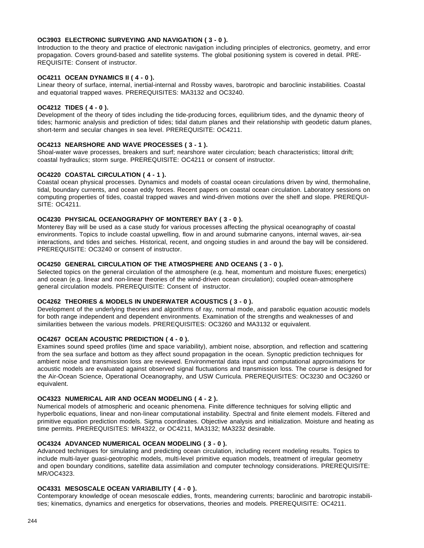#### **OC3903 ELECTRONIC SURVEYING AND NAVIGATION ( 3 - 0 ).**

Introduction to the theory and practice of electronic navigation including principles of electronics, geometry, and error propagation. Covers ground-based and satellite systems. The global positioning system is covered in detail. PRE-REQUISITE: Consent of instructor.

## **OC4211 OCEAN DYNAMICS II ( 4 - 0 ).**

Linear theory of surface, internal, inertial-internal and Rossby waves, barotropic and baroclinic instabilities. Coastal and equatorial trapped waves. PREREQUISITES: MA3132 and OC3240.

## **OC4212 TIDES ( 4 - 0 ).**

Development of the theory of tides including the tide-producing forces, equilibrium tides, and the dynamic theory of tides; harmonic analysis and prediction of tides; tidal datum planes and their relationship with geodetic datum planes, short-term and secular changes in sea level. PREREQUISITE: OC4211.

## **OC4213 NEARSHORE AND WAVE PROCESSES ( 3 - 1 ).**

Shoal-water wave processes, breakers and surf; nearshore water circulation; beach characteristics; littoral drift; coastal hydraulics; storm surge. PREREQUISITE: OC4211 or consent of instructor.

#### **OC4220 COASTAL CIRCULATION ( 4 - 1 ).**

Coastal ocean physical processes. Dynamics and models of coastal ocean circulations driven by wind, thermohaline, tidal, boundary currents, and ocean eddy forces. Recent papers on coastal ocean circulation. Laboratory sessions on computing properties of tides, coastal trapped waves and wind-driven motions over the shelf and slope. PREREQUI-SITE: OC4211.

## **OC4230 PHYSICAL OCEANOGRAPHY OF MONTEREY BAY ( 3 - 0 ).**

Monterey Bay will be used as a case study for various processes affecting the physical oceanography of coastal environments. Topics to include coastal upwelling, flow in and around submarine canyons, internal waves, air-sea interactions, and tides and seiches. Historical, recent, and ongoing studies in and around the bay will be considered. PREREQUISITE: OC3240 or consent of instructor.

#### **OC4250 GENERAL CIRCULATION OF THE ATMOSPHERE AND OCEANS ( 3 - 0 ).**

Selected topics on the general circulation of the atmosphere (e.g. heat, momentum and moisture fluxes; energetics) and ocean (e.g. linear and non-linear theories of the wind-driven ocean circulation); coupled ocean-atmosphere general circulation models. PREREQUISITE: Consent of instructor.

## **OC4262 THEORIES & MODELS IN UNDERWATER ACOUSTICS ( 3 - 0 ).**

Development of the underlying theories and algorithms of ray, normal mode, and parabolic equation acoustic models for both range independent and dependent environments. Examination of the strengths and weaknesses of and similarities between the various models. PREREQUISITES: OC3260 and MA3132 or equivalent.

#### **OC4267 OCEAN ACOUSTIC PREDICTION ( 4 - 0 ).**

Examines sound speed profiles (time and space variability), ambient noise, absorption, and reflection and scattering from the sea surface and bottom as they affect sound propagation in the ocean. Synoptic prediction techniques for ambient noise and transmission loss are reviewed. Environmental data input and computational approximations for acoustic models are evaluated against observed signal fluctuations and transmission loss. The course is designed for the Air-Ocean Science, Operational Oceanography, and USW Curricula. PREREQUISITES: OC3230 and OC3260 or equivalent.

## **OC4323 NUMERICAL AIR AND OCEAN MODELING ( 4 - 2 ).**

Numerical models of atmospheric and oceanic phenomena. Finite difference techniques for solving elliptic and hyperbolic equations, linear and non-linear computational instability. Spectral and finite element models. Filtered and primitive equation prediction models. Sigma coordinates. Objective analysis and initialization. Moisture and heating as time permits. PREREQUISITES: MR4322, or OC4211, MA3132; MA3232 desirable.

## **OC4324 ADVANCED NUMERICAL OCEAN MODELING ( 3 - 0 ).**

Advanced techniques for simulating and predicting ocean circulation, including recent modeling results. Topics to include multi-layer guasi-geotrophic models, multi-level primitive equation models, treatment of irregular geometry and open boundary conditions, satellite data assimilation and computer technology considerations. PREREQUISITE: MR/OC4323.

#### **OC4331 MESOSCALE OCEAN VARIABILITY ( 4 - 0 ).**

Contemporary knowledge of ocean mesoscale eddies, fronts, meandering currents; baroclinic and barotropic instabilities; kinematics, dynamics and energetics for observations, theories and models. PREREQUISITE: OC4211.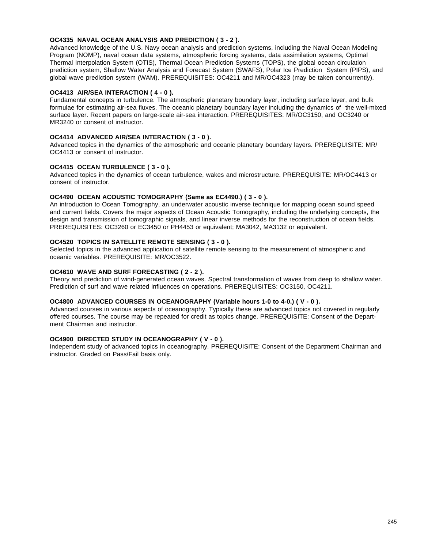## **OC4335 NAVAL OCEAN ANALYSIS AND PREDICTION ( 3 - 2 ).**

Advanced knowledge of the U.S. Navy ocean analysis and prediction systems, including the Naval Ocean Modeling Program (NOMP), naval ocean data systems, atmospheric forcing systems, data assimilation systems, Optimal Thermal Interpolation System (OTIS), Thermal Ocean Prediction Systems (TOPS), the global ocean circulation prediction system, Shallow Water Analysis and Forecast System (SWAFS), Polar Ice Prediction System (PIPS), and global wave prediction system (WAM). PREREQUISITES: OC4211 and MR/OC4323 (may be taken concurrently).

## **OC4413 AIR/SEA INTERACTION ( 4 - 0 ).**

Fundamental concepts in turbulence. The atmospheric planetary boundary layer, including surface layer, and bulk formulae for estimating air-sea fluxes. The oceanic planetary boundary layer including the dynamics of the well-mixed surface layer. Recent papers on large-scale air-sea interaction. PREREQUISITES: MR/OC3150, and OC3240 or MR3240 or consent of instructor.

## **OC4414 ADVANCED AIR/SEA INTERACTION ( 3 - 0 ).**

Advanced topics in the dynamics of the atmospheric and oceanic planetary boundary layers. PREREQUISITE: MR/ OC4413 or consent of instructor.

## **OC4415 OCEAN TURBULENCE ( 3 - 0 ).**

Advanced topics in the dynamics of ocean turbulence, wakes and microstructure. PREREQUISITE: MR/OC4413 or consent of instructor.

## **OC4490 OCEAN ACOUSTIC TOMOGRAPHY (Same as EC4490.) ( 3 - 0 ).**

An introduction to Ocean Tomography, an underwater acoustic inverse technique for mapping ocean sound speed and current fields. Covers the major aspects of Ocean Acoustic Tomography, including the underlying concepts, the design and transmission of tomographic signals, and linear inverse methods for the reconstruction of ocean fields. PREREQUISITES: OC3260 or EC3450 or PH4453 or equivalent; MA3042, MA3132 or equivalent.

## **OC4520 TOPICS IN SATELLITE REMOTE SENSING ( 3 - 0 ).**

Selected topics in the advanced application of satellite remote sensing to the measurement of atmospheric and oceanic variables. PREREQUISITE: MR/OC3522.

## **OC4610 WAVE AND SURF FORECASTING ( 2 - 2 ).**

Theory and prediction of wind-generated ocean waves. Spectral transformation of waves from deep to shallow water. Prediction of surf and wave related influences on operations. PREREQUISITES: OC3150, OC4211.

## **OC4800 ADVANCED COURSES IN OCEANOGRAPHY (Variable hours 1-0 to 4-0.) ( V - 0 ).**

Advanced courses in various aspects of oceanography. Typically these are advanced topics not covered in regularly offered courses. The course may be repeated for credit as topics change. PREREQUISITE: Consent of the Department Chairman and instructor.

#### **OC4900 DIRECTED STUDY IN OCEANOGRAPHY ( V - 0 ).**

Independent study of advanced topics in oceanography. PREREQUISITE: Consent of the Department Chairman and instructor. Graded on Pass/Fail basis only.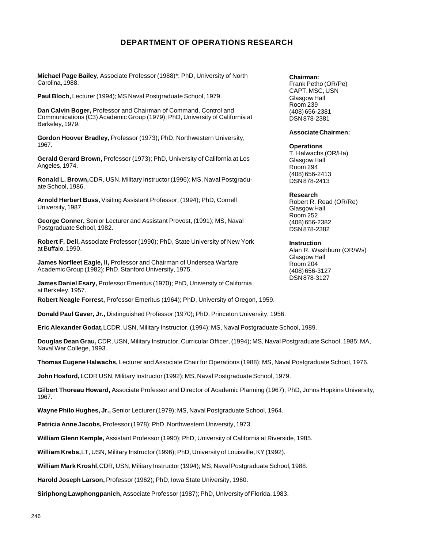# **DEPARTMENT OF OPERATIONS RESEARCH**

**Michael Page Bailey,** Associate Professor (1988)\*; PhD, University of North Carolina, 1988.

**Paul Bloch,** Lecturer (1994); MS Naval Postgraduate School, 1979.

**Dan Calvin Boger,** Professor and Chairman of Command, Control and Communications (C3) Academic Group (1979); PhD, University of California at Berkeley, 1979.

**Gordon Hoover Bradley,** Professor (1973); PhD, Northwestern University, 1967.

**Gerald Gerard Brown,** Professor (1973); PhD, University of California at Los Angeles, 1974.

**Ronald L. Brown,** CDR, USN, Military Instructor (1996); MS, Naval Postgraduate School, 1986.

**Arnold Herbert Buss,** Visiting Assistant Professor, (1994); PhD, Cornell University, 1987.

**George Conner,** Senior Lecturer and Assistant Provost, (1991); MS, Naval Postgraduate School, 1982.

**Robert F. Dell,** Associate Professor (1990); PhD, State University of New York at Buffalo, 1990.

**James Norfleet Eagle, II,** Professor and Chairman of Undersea Warfare Academic Group (1982); PhD, Stanford University, 1975.

**James Daniel Esary,** Professor Emeritus (1970); PhD, University of California at Berkeley, 1957.

**Robert Neagle Forrest,** Professor Emeritus (1964); PhD, University of Oregon, 1959.

**Donald Paul Gaver, Jr.,** Distinguished Professor (1970); PhD, Princeton University, 1956.

**Eric Alexander Godat,** LCDR, USN, Military Instructor, (1994); MS, Naval Postgraduate School, 1989.

**Douglas Dean Grau,** CDR, USN, Military Instructor, Curricular Officer, (1994); MS, Naval Postgraduate School, 1985; MA, Naval War College, 1993.

**Thomas Eugene Halwachs,** Lecturer and Associate Chair for Operations (1988); MS, Naval Postgraduate School, 1976.

**John Hosford,** LCDR USN, Military Instructor (1992); MS, Naval Postgraduate School, 1979.

**Gilbert Thoreau Howard,** Associate Professor and Director of Academic Planning (1967); PhD, Johns Hopkins University, 1967.

**Wayne Philo Hughes, Jr.,** Senior Lecturer (1979); MS, Naval Postgraduate School, 1964.

**Patricia Anne Jacobs,** Professor (1978); PhD, Northwestern University, 1973.

**William Glenn Kemple,** Assistant Professor (1990); PhD, University of California at Riverside, 1985.

**William Krebs,** LT, USN, Military Instructor (1996); PhD, University of Louisville, KY (1992).

**William Mark Kroshl,** CDR, USN, Military Instructor (1994); MS, Naval Postgraduate School, 1988.

**Harold Joseph Larson,** Professor (1962); PhD, Iowa State University, 1960.

**Siriphong Lawphongpanich,** Associate Professor (1987); PhD, University of Florida, 1983.

#### **Chairman:**

Frank Petho (OR/Pe) CAPT, MSC, USN Glasgow Hall Room 239 (408) 656-2381 DSN 878-2381

#### **Associate Chairmen:**

#### **Operations**

T. Halwachs (OR/Ha) Glasgow Hall Room 294 (408) 656-2413 DSN 878-2413

#### **Research**

Robert R. Read (OR/Re) Glasgow Hall Room 252 (408) 656-2382 DSN 878-2382

#### **Instruction**

Alan R. Washburn (OR/Ws) Glasgow Hall Room 204 (408) 656-3127 DSN 878-3127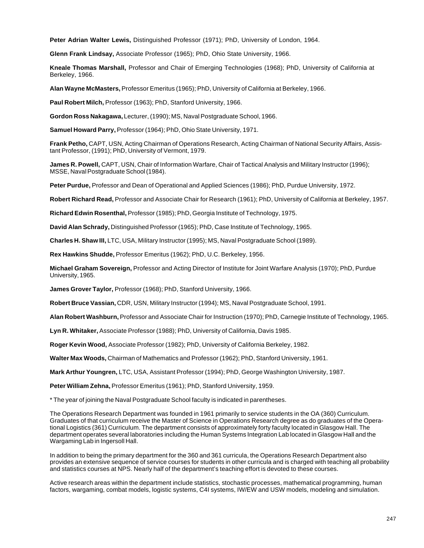**Peter Adrian Walter Lewis,** Distinguished Professor (1971); PhD, University of London, 1964.

**Glenn Frank Lindsay,** Associate Professor (1965); PhD, Ohio State University, 1966.

**Kneale Thomas Marshall,** Professor and Chair of Emerging Technologies (1968); PhD, University of California at Berkeley, 1966.

**Alan Wayne McMasters,** Professor Emeritus (1965); PhD, University of California at Berkeley, 1966.

**Paul Robert Milch,** Professor (1963); PhD, Stanford University, 1966.

**Gordon Ross Nakagawa,** Lecturer, (1990); MS, Naval Postgraduate School, 1966.

**Samuel Howard Parry,** Professor (1964); PhD, Ohio State University, 1971.

**Frank Petho,** CAPT, USN, Acting Chairman of Operations Research, Acting Chairman of National Security Affairs, Assistant Professor, (1991); PhD, University of Vermont, 1979.

**James R. Powell,** CAPT, USN, Chair of Information Warfare, Chair of Tactical Analysis and Military Instructor (1996); MSSE, Naval Postgraduate School (1984).

**Peter Purdue,** Professor and Dean of Operational and Applied Sciences (1986); PhD, Purdue University, 1972.

**Robert Richard Read,** Professor and Associate Chair for Research (1961); PhD, University of California at Berkeley, 1957.

**Richard Edwin Rosenthal,** Professor (1985); PhD, Georgia Institute of Technology, 1975.

**David Alan Schrady,** Distinguished Professor (1965); PhD, Case Institute of Technology, 1965.

**Charles H. Shaw III,** LTC, USA, Military Instructor (1995); MS, Naval Postgraduate School (1989).

**Rex Hawkins Shudde,** Professor Emeritus (1962); PhD, U.C. Berkeley, 1956.

**Michael Graham Sovereign,** Professor and Acting Director of Institute for Joint Warfare Analysis (1970); PhD, Purdue University, 1965.

**James Grover Taylor,** Professor (1968); PhD, Stanford University, 1966.

**Robert Bruce Vassian,** CDR, USN, Military Instructor (1994); MS, Naval Postgraduate School, 1991.

**Alan Robert Washburn,** Professor and Associate Chair for Instruction (1970); PhD, Carnegie Institute of Technology, 1965.

**Lyn R. Whitaker,** Associate Professor (1988); PhD, University of California, Davis 1985.

**Roger Kevin Wood,** Associate Professor (1982); PhD, University of California Berkeley, 1982.

**Walter Max Woods,** Chairman of Mathematics and Professor (1962); PhD, Stanford University, 1961.

**Mark Arthur Youngren,** LTC, USA, Assistant Professor (1994); PhD, George Washington University, 1987.

**Peter William Zehna,** Professor Emeritus (1961); PhD, Stanford University, 1959.

\* The year of joining the Naval Postgraduate School faculty is indicated in parentheses.

The Operations Research Department was founded in 1961 primarily to service students in the OA (360) Curriculum. Graduates of that curriculum receive the Master of Science in Operations Research degree as do graduates of the Operational Logistics (361) Curriculum. The department consists of approximately forty faculty located in Glasgow Hall. The department operates several laboratories including the Human Systems Integration Lab located in Glasgow Hall and the Wargaming Lab in Ingersoll Hall.

In addition to being the primary department for the 360 and 361 curricula, the Operations Research Department also provides an extensive sequence of service courses for students in other curricula and is charged with teaching all probability and statistics courses at NPS. Nearly half of the department's teaching effort is devoted to these courses.

Active research areas within the department include statistics, stochastic processes, mathematical programming, human factors, wargaming, combat models, logistic systems, C4I systems, IW/EW and USW models, modeling and simulation.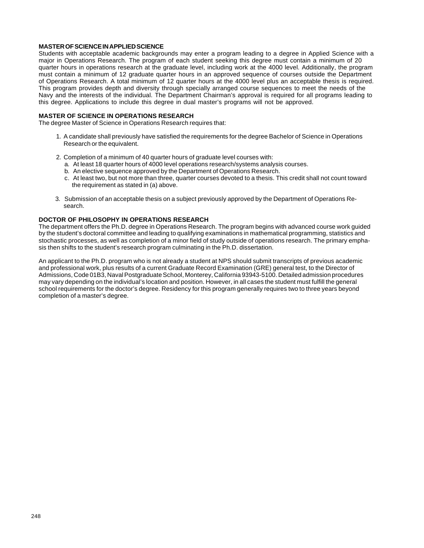#### **MASTER OF SCIENCE IN APPLIED SCIENCE**

Students with acceptable academic backgrounds may enter a program leading to a degree in Applied Science with a major in Operations Research. The program of each student seeking this degree must contain a minimum of 20 quarter hours in operations research at the graduate level, including work at the 4000 level. Additionally, the program must contain a minimum of 12 graduate quarter hours in an approved sequence of courses outside the Department of Operations Research. A total minimum of 12 quarter hours at the 4000 level plus an acceptable thesis is required. This program provides depth and diversity through specially arranged course sequences to meet the needs of the Navy and the interests of the individual. The Department Chairman's approval is required for all programs leading to this degree. Applications to include this degree in dual master's programs will not be approved.

#### **MASTER OF SCIENCE IN OPERATIONS RESEARCH**

The degree Master of Science in Operations Research requires that:

- 1. A candidate shall previously have satisfied the requirements for the degree Bachelor of Science in Operations Research or the equivalent.
- 2. Completion of a minimum of 40 quarter hours of graduate level courses with:
	- a. At least 18 quarter hours of 4000 level operations research/systems analysis courses.
	- b. An elective sequence approved by the Department of Operations Research.
	- c. At least two, but not more than three, quarter courses devoted to a thesis. This credit shall not count toward the requirement as stated in (a) above.
- 3. Submission of an acceptable thesis on a subject previously approved by the Department of Operations Research.

#### **DOCTOR OF PHILOSOPHY IN OPERATIONS RESEARCH**

The department offers the Ph.D. degree in Operations Research. The program begins with advanced course work guided by the student's doctoral committee and leading to qualifying examinations in mathematical programming, statistics and stochastic processes, as well as completion of a minor field of study outside of operations research. The primary emphasis then shifts to the student's research program culminating in the Ph.D. dissertation.

An applicant to the Ph.D. program who is not already a student at NPS should submit transcripts of previous academic and professional work, plus results of a current Graduate Record Examination (GRE) general test, to the Director of Admissions, Code 01B3, Naval Postgraduate School, Monterey, California 93943-5100. Detailed admission procedures may vary depending on the individual's location and position. However, in all cases the student must fulfill the general school requirements for the doctor's degree. Residency for this program generally requires two to three years beyond completion of a master's degree.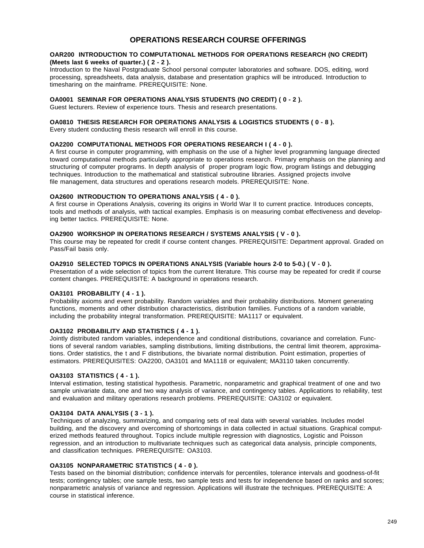# **OPERATIONS RESEARCH COURSE OFFERINGS**

#### **OAR200 INTRODUCTION TO COMPUTATIONAL METHODS FOR OPERATIONS RESEARCH (NO CREDIT) (Meets last 6 weeks of quarter.) ( 2 - 2 ).**

Introduction to the Naval Postgraduate School personal computer laboratories and software. DOS, editing, word processing, spreadsheets, data analysis, database and presentation graphics will be introduced. Introduction to timesharing on the mainframe. PREREQUISITE: None.

### **OA0001 SEMINAR FOR OPERATIONS ANALYSIS STUDENTS (NO CREDIT) ( 0 - 2 ).**

Guest lecturers. Review of experience tours. Thesis and research presentations.

#### **OA0810 THESIS RESEARCH FOR OPERATIONS ANALYSIS & LOGISTICS STUDENTS ( 0 - 8 ).**

Every student conducting thesis research will enroll in this course.

### **OA2200 COMPUTATIONAL METHODS FOR OPERATIONS RESEARCH I ( 4 - 0 ).**

A first course in computer programming, with emphasis on the use of a higher level programming language directed toward computational methods particularly appropriate to operations research. Primary emphasis on the planning and structuring of computer programs. In depth analysis of proper program logic flow, program listings and debugging techniques. Introduction to the mathematical and statistical subroutine libraries. Assigned projects involve file management, data structures and operations research models. PREREQUISITE: None.

#### **OA2600 INTRODUCTION TO OPERATIONS ANALYSIS ( 4 - 0 ).**

A first course in Operations Analysis, covering its origins in World War II to current practice. Introduces concepts, tools and methods of analysis, with tactical examples. Emphasis is on measuring combat effectiveness and developing better tactics. PREREQUISITE: None.

#### **OA2900 WORKSHOP IN OPERATIONS RESEARCH / SYSTEMS ANALYSIS ( V - 0 ).**

This course may be repeated for credit if course content changes. PREREQUISITE: Department approval. Graded on Pass/Fail basis only.

#### **OA2910 SELECTED TOPICS IN OPERATIONS ANALYSIS (Variable hours 2-0 to 5-0.) ( V - 0 ).**

Presentation of a wide selection of topics from the current literature. This course may be repeated for credit if course content changes. PREREQUISITE: A background in operations research.

## **OA3101 PROBABILITY ( 4 - 1 ).**

Probability axioms and event probability. Random variables and their probability distributions. Moment generating functions, moments and other distribution characteristics, distribution families. Functions of a random variable, including the probability integral transformation. PREREQUISITE: MA1117 or equivalent.

## **OA3102 PROBABILITY AND STATISTICS ( 4 - 1 ).**

Jointly distributed random variables, independence and conditional distributions, covariance and correlation. Functions of several random variables, sampling distributions, limiting distributions, the central limit theorem, approximations. Order statistics, the t and F distributions, the bivariate normal distribution. Point estimation, properties of estimators. PREREQUISITES: OA2200, OA3101 and MA1118 or equivalent; MA3110 taken concurrently.

#### **OA3103 STATISTICS ( 4 - 1 ).**

Interval estimation, testing statistical hypothesis. Parametric, nonparametric and graphical treatment of one and two sample univariate data, one and two way analysis of variance, and contingency tables. Applications to reliability, test and evaluation and military operations research problems. PREREQUISITE: OA3102 or equivalent.

#### **OA3104 DATA ANALYSIS ( 3 - 1 ).**

Techniques of analyzing, summarizing, and comparing sets of real data with several variables. Includes model building, and the discovery and overcoming of shortcomings in data collected in actual situations. Graphical computerized methods featured throughout. Topics include multiple regression with diagnostics, Logistic and Poisson regression, and an introduction to multivariate techniques such as categorical data analysis, principle components, and classification techniques. PREREQUISITE: OA3103.

#### **OA3105 NONPARAMETRIC STATISTICS ( 4 - 0 ).**

Tests based on the binomial distribution; confidence intervals for percentiles, tolerance intervals and goodness-of-fit tests; contingency tables; one sample tests, two sample tests and tests for independence based on ranks and scores; nonparametric analysis of variance and regression. Applications will illustrate the techniques. PREREQUISITE: A course in statistical inference.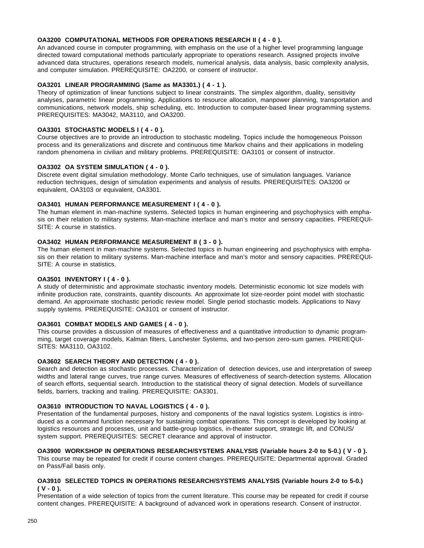### **OA3200 COMPUTATIONAL METHODS FOR OPERATIONS RESEARCH II ( 4 - 0 ).**

An advanced course in computer programming, with emphasis on the use of a higher level programming language directed toward computational methods particularly appropriate to operations research. Assigned projects involve advanced data structures, operations research models, numerical analysis, data analysis, basic complexity analysis, and computer simulation. PREREQUISITE: OA2200, or consent of instructor.

## **OA3201 LINEAR PROGRAMMING (Same as MA3301.) ( 4 - 1 ).**

Theory of optimization of linear functions subject to linear constraints. The simplex algorithm, duality, sensitivity analyses, parametric linear programming. Applications to resource allocation, manpower planning, transportation and communications, network models, ship scheduling, etc. Introduction to computer-based linear programming systems. PREREQUISITES: MA3042, MA3110, and OA3200.

## **OA3301 STOCHASTIC MODELS I ( 4 - 0 ).**

Course objectives are to provide an introduction to stochastic modeling. Topics include the homogeneous Poisson process and its generalizations and discrete and continuous time Markov chains and their applications in modeling random phenomena in civilian and military problems. PREREQUISITE: OA3101 or consent of instructor.

## **OA3302 OA SYSTEM SIMULATION ( 4 - 0 ).**

Discrete event digital simulation methodology. Monte Carlo techniques, use of simulation languages. Variance reduction techniques, design of simulation experiments and analysis of results. PREREQUISITES: OA3200 or equivalent, OA3103 or equivalent, OA3301.

## **OA3401 HUMAN PERFORMANCE MEASUREMENT I ( 4 - 0 ).**

The human element in man-machine systems. Selected topics in human engineering and psychophysics with emphasis on their relation to military systems. Man-machine interface and man's motor and sensory capacities. PREREQUI-SITE: A course in statistics.

## **OA3402 HUMAN PERFORMANCE MEASUREMENT II ( 3 - 0 ).**

The human element in man-machine systems. Selected topics in human engineering and psychophysics with emphasis on their relation to military systems. Man-machine interface and man's motor and sensory capacities. PREREQUI-SITE: A course in statistics.

#### **OA3501 INVENTORY I ( 4 - 0 ).**

A study of deterministic and approximate stochastic inventory models. Deterministic economic lot size models with infinite production rate, constraints, quantity discounts. An approximate lot size-reorder point model with stochastic demand. An approximate stochastic periodic review model. Single period stochastic models. Applications to Navy supply systems. PREREQUISITE: OA3101 or consent of instructor.

## **OA3601 COMBAT MODELS AND GAMES ( 4 - 0 ).**

This course provides a discussion of measures of effectiveness and a quantitative introduction to dynamic programming, target coverage models, Kalman filters, Lanchester Systems, and two-person zero-sum games. PREREQUI-SITES: MA3110, OA3102.

## **OA3602 SEARCH THEORY AND DETECTION ( 4 - 0 ).**

Search and detection as stochastic processes. Characterization of detection devices, use and interpretation of sweep widths and lateral range curves, true range curves. Measures of effectiveness of search-detection systems. Allocation of search efforts, sequential search. Introduction to the statistical theory of signal detection. Models of surveillance fields, barriers, tracking and trailing. PREREQUISITE: OA3301.

#### **OA3610 INTRODUCTION TO NAVAL LOGISTICS ( 4 - 0 ).**

Presentation of the fundamental purposes, history and components of the naval logistics system. Logistics is introduced as a command function necessary for sustaining combat operations. This concept is developed by looking at logistics resources and processes, unit and battle-group logistics, in-theater support, strategic lift, and CONUS/ system support. PREREQUISITES: SECRET clearance and approval of instructor.

#### **OA3900 WORKSHOP IN OPERATIONS RESEARCH/SYSTEMS ANALYSIS (Variable hours 2-0 to 5-0.) ( V - 0 ).** This course may be repeated for credit if course content changes. PREREQUISITE: Departmental approval. Graded on Pass/Fail basis only.

## **OA3910 SELECTED TOPICS IN OPERATIONS RESEARCH/SYSTEMS ANALYSIS (Variable hours 2-0 to 5-0.) ( V - 0 ).**

Presentation of a wide selection of topics from the current literature. This course may be repeated for credit if course content changes. PREREQUISITE: A background of advanced work in operations research. Consent of instructor.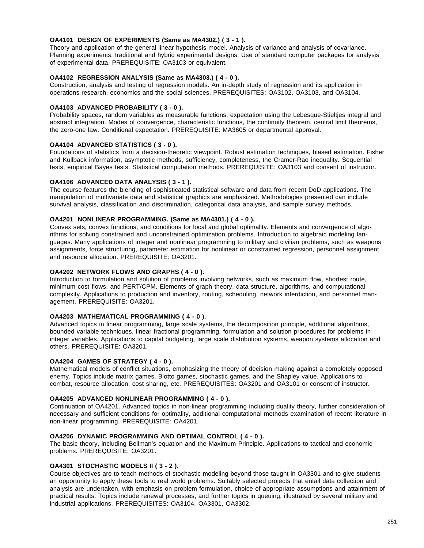## **OA4101 DESIGN OF EXPERIMENTS (Same as MA4302.) ( 3 - 1 ).**

Theory and application of the general linear hypothesis model. Analysis of variance and analysis of covariance. Planning experiments, traditional and hybrid experimental designs. Use of standard computer packages for analysis of experimental data. PREREQUISITE: OA3103 or equivalent.

## **OA4102 REGRESSION ANALYSIS (Same as MA4303.) ( 4 - 0 ).**

Construction, analysis and testing of regression models. An in-depth study of regression and its application in operations research, economics and the social sciences. PREREQUISITES: OA3102, OA3103, and OA3104.

## **OA4103 ADVANCED PROBABILITY ( 3 - 0 ).**

Probability spaces, random variables as measurable functions, expectation using the Lebesque-Stieltjes integral and abstract integration. Modes of convergence, characteristic functions, the continuity theorem, central limit theorems, the zero-one law. Conditional expectation. PREREQUISITE: MA3605 or departmental approval.

## **OA4104 ADVANCED STATISTICS ( 3 - 0 ).**

Foundations of statistics from a decision-theoretic viewpoint. Robust estimation techniques, biased estimation. Fisher and Kullback information, asymptotic methods, sufficiency, completeness, the Cramer-Rao inequality. Sequential tests, empirical Bayes tests. Statistical computation methods. PREREQUISITE: OA3103 and consent of instructor.

## **OA4106 ADVANCED DATA ANALYSIS ( 3 - 1 ).**

The course features the blending of sophisticated statistical software and data from recent DoD applications. The manipulation of multivariate data and statistical graphics are emphasized. Methodologies presented can include survival analysis, classification and discrimination, categorical data analysis, and sample survey methods.

#### **OA4201 NONLINEAR PROGRAMMING. (Same as MA4301.) ( 4 - 0 ).**

Convex sets, convex functions, and conditions for local and global optimality. Elements and convergence of algorithms for solving constrained and unconstrained optimization problems. Introduction to algebraic modeling languages. Many applications of integer and nonlinear programming to military and civilian problems, such as weapons assignments, force structuring, parameter estimation for nonlinear or constrained regression, personnel assignment and resource allocation. PREREQUISITE: OA3201.

## **OA4202 NETWORK FLOWS AND GRAPHS ( 4 - 0 ).**

Introduction to formulation and solution of problems involving networks, such as maximum flow, shortest route, minimum cost flows, and PERT/CPM. Elements of graph theory, data structure, algorithms, and computational complexity. Applications to production and inventory, routing, scheduling, network interdiction, and personnel management. PREREQUISITE: OA3201.

#### **OA4203 MATHEMATICAL PROGRAMMING ( 4 - 0 ).**

Advanced topics in linear programming, large scale systems, the decomposition principle, additional algorithms, bounded variable techniques, linear fractional programming, formulation and solution procedures for problems in integer variables. Applications to capital budgeting, large scale distribution systems, weapon systems allocation and others. PREREQUISITE: OA3201.

## **OA4204 GAMES OF STRATEGY ( 4 - 0 ).**

Mathematical models of conflict situations, emphasizing the theory of decision making against a completely opposed enemy. Topics include matrix games, Blotto games, stochastic games, and the Shapley value. Applications to combat, resource allocation, cost sharing, etc. PREREQUISITES: OA3201 and OA3101 or consent of instructor.

#### **OA4205 ADVANCED NONLINEAR PROGRAMMING ( 4 - 0 ).**

Continuation of OA4201. Advanced topics in non-linear programming including duality theory, further consideration of necessary and sufficient conditions for optimality, additional computational methods examination of recent literature in non-linear programming. PREREQUISITE: OA4201.

#### **OA4206 DYNAMIC PROGRAMMING AND OPTIMAL CONTROL ( 4 - 0 ).**

The basic theory, including Bellman's equation and the Maximum Principle. Applications to tactical and economic problems. PREREQUISITE: OA3201.

#### **OA4301 STOCHASTIC MODELS II ( 3 - 2 ).**

Course objectives are to teach methods of stochastic modeling beyond those taught in OA3301 and to give students an opportunity to apply these tools to real world problems. Suitably selected projects that entail data collection and analysis are undertaken, with emphasis on problem formulation, choice of appropriate assumptions and attainment of practical results. Topics include renewal processes, and further topics in queuing, illustrated by several military and industrial applications. PREREQUISITES: OA3104, OA3301, OA3302.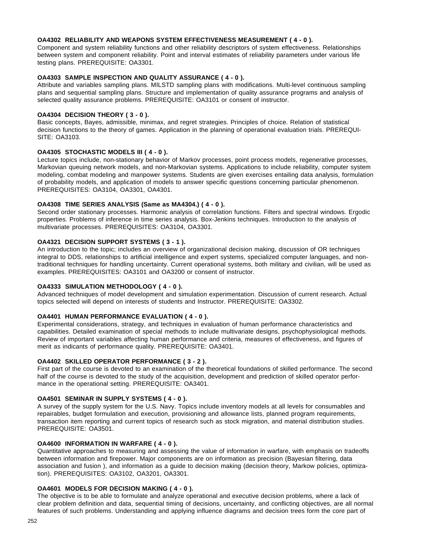## **OA4302 RELIABILITY AND WEAPONS SYSTEM EFFECTIVENESS MEASUREMENT ( 4 - 0 ).**

Component and system reliability functions and other reliability descriptors of system effectiveness. Relationships between system and component reliability. Point and interval estimates of reliability parameters under various life testing plans. PREREQUISITE: OA3301.

## **OA4303 SAMPLE INSPECTION AND QUALITY ASSURANCE ( 4 - 0 ).**

Attribute and variables sampling plans. MILSTD sampling plans with modifications. Multi-level continuous sampling plans and sequential sampling plans. Structure and implementation of quality assurance programs and analysis of selected quality assurance problems. PREREQUISITE: OA3101 or consent of instructor.

## **OA4304 DECISION THEORY ( 3 - 0 ).**

Basic concepts, Bayes, admissible, minimax, and regret strategies. Principles of choice. Relation of statistical decision functions to the theory of games. Application in the planning of operational evaluation trials. PREREQUI-SITE: OA3103.

## **OA4305 STOCHASTIC MODELS III ( 4 - 0 ).**

Lecture topics include, non-stationary behavior of Markov processes, point process models, regenerative processes, Markovian queuing network models, and non-Markovian systems. Applications to include reliability, computer system modeling, combat modeling and manpower systems. Students are given exercises entailing data analysis, formulation of probability models, and application of models to answer specific questions concerning particular phenomenon. PREREQUISITES: OA3104, OA3301, OA4301.

## **OA4308 TIME SERIES ANALYSIS (Same as MA4304.) ( 4 - 0 ).**

Second order stationary processes. Harmonic analysis of correlation functions. Filters and spectral windows. Ergodic properties. Problems of inference in time series analysis. Box-Jenkins techniques. Introduction to the analysis of multivariate processes. PREREQUISITES: OA3104, OA3301.

## **OA4321 DECISION SUPPORT SYSTEMS ( 3 - 1 ).**

An introduction to the topic; includes an overview of organizational decision making, discussion of OR techniques integral to DDS, relationships to artificial intelligence and expert systems, specialized computer languages, and nontraditional techniques for handling uncertainty. Current operational systems, both military and civilian, will be used as examples. PREREQUISITES: OA3101 and OA3200 or consent of instructor.

#### **OA4333 SIMULATION METHODOLOGY ( 4 - 0 ).**

Advanced techniques of model development and simulation experimentation. Discussion of current research. Actual topics selected will depend on interests of students and Instructor. PREREQUISITE: OA3302.

## **OA4401 HUMAN PERFORMANCE EVALUATION ( 4 - 0 ).**

Experimental considerations, strategy, and techniques in evaluation of human performance characteristics and capabilities. Detailed examination of special methods to include multivariate designs, psychophysiological methods. Review of important variables affecting human performance and criteria, measures of effectiveness, and figures of merit as indicants of performance quality. PREREQUISITE: OA3401.

## **OA4402 SKILLED OPERATOR PERFORMANCE ( 3 - 2 ).**

First part of the course is devoted to an examination of the theoretical foundations of skilled performance. The second half of the course is devoted to the study of the acquisition, development and prediction of skilled operator performance in the operational setting. PREREQUISITE: OA3401.

#### **OA4501 SEMINAR IN SUPPLY SYSTEMS ( 4 - 0 ).**

A survey of the supply system for the U.S. Navy. Topics include inventory models at all levels for consumables and repairables, budget formulation and execution, provisioning and allowance lists, planned program requirements, transaction item reporting and current topics of research such as stock migration, and material distribution studies. PREREQUISITE: OA3501.

#### **OA4600 INFORMATION IN WARFARE ( 4 - 0 ).**

Quantitative approaches to measuring and assessing the value of information in warfare, with emphasis on tradeoffs between information and firepower. Major components are on information as precision (Bayesian filtering, data association and fusion ), and information as a guide to decision making (decision theory, Markow policies, optimization). PREREQUISITES: OA3102, OA3201, OA3301.

## **OA4601 MODELS FOR DECISION MAKING ( 4 - 0 ).**

The objective is to be able to formulate and analyze operational and executive decision problems, where a lack of clear problem definition and data, sequential timing of decisions, uncertainty, and conflicting objectives, are all normal features of such problems. Understanding and applying influence diagrams and decision trees form the core part of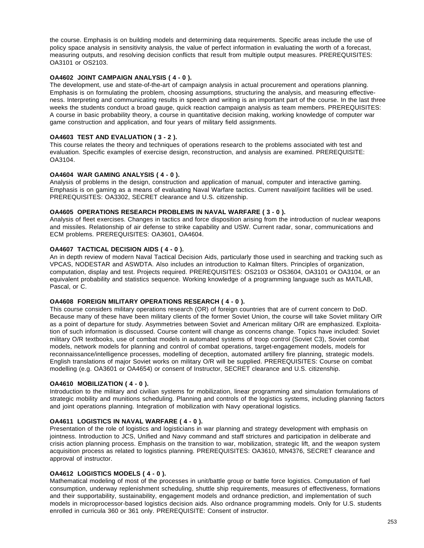the course. Emphasis is on building models and determining data requirements. Specific areas include the use of policy space analysis in sensitivity analysis, the value of perfect information in evaluating the worth of a forecast, measuring outputs, and resolving decision conflicts that result from multiple output measures. PREREQUISITES: OA3101 or OS2103.

# **OA4602 JOINT CAMPAIGN ANALYSIS ( 4 - 0 ).**

The development, use and state-of-the-art of campaign analysis in actual procurement and operations planning. Emphasis is on formulating the problem, choosing assumptions, structuring the analysis, and measuring effectiveness. Interpreting and communicating results in speech and writing is an important part of the course. In the last three weeks the students conduct a broad gauge, quick reaction campaign analysis as team members. PREREQUISITES: A course in basic probability theory, a course in quantitative decision making, working knowledge of computer war game construction and application, and four years of military field assignments.

# **OA4603 TEST AND EVALUATION ( 3 - 2 ).**

This course relates the theory and techniques of operations research to the problems associated with test and evaluation. Specific examples of exercise design, reconstruction, and analysis are examined. PREREQUISITE: OA3104.

### **OA4604 WAR GAMING ANALYSIS ( 4 - 0 ).**

Analysis of problems in the design, construction and application of manual, computer and interactive gaming. Emphasis is on gaming as a means of evaluating Naval Warfare tactics. Current naval/joint facilities will be used. PREREQUISITES: OA3302, SECRET clearance and U.S. citizenship.

### **OA4605 OPERATIONS RESEARCH PROBLEMS IN NAVAL WARFARE ( 3 - 0 ).**

Analysis of fleet exercises. Changes in tactics and force disposition arising from the introduction of nuclear weapons and missiles. Relationship of air defense to strike capability and USW. Current radar, sonar, communications and ECM problems. PREREQUISITES: OA3601, OA4604.

# **OA4607 TACTICAL DECISION AIDS ( 4 - 0 ).**

An in depth review of modern Naval Tactical Decision Aids, particularly those used in searching and tracking such as VPCAS, NODESTAR and ASWDTA. Also includes an introduction to Kalman filters. Principles of organization, computation, display and test. Projects required. PREREQUISITES: OS2103 or OS3604, OA3101 or OA3104, or an equivalent probability and statistics sequence. Working knowledge of a programming language such as MATLAB, Pascal, or C.

# **OA4608 FOREIGN MILITARY OPERATIONS RESEARCH ( 4 - 0 ).**

This course considers military operations research (OR) of foreign countries that are of current concern to DoD. Because many of these have been military clients of the former Soviet Union, the course will take Soviet military O/R as a point of departure for study. Asymmetries between Soviet and American military O/R are emphasized. Exploitation of such information is discussed. Course content will change as concerns change. Topics have included: Soviet military O/R textbooks, use of combat models in automated systems of troop control (Soviet C3), Soviet combat models, network models for planning and control of combat operations, target-engagement models, models for reconnaissance/intelligence processes, modelling of deception, automated artillery fire planning, strategic models. English translations of major Soviet works on military O/R will be supplied. PREREQUISITES: Course on combat modelling (e.g. OA3601 or OA4654) or consent of Instructor, SECRET clearance and U.S. citizenship.

### **OA4610 MOBILIZATION ( 4 - 0 ).**

Introduction to the military and civilian systems for mobilization, linear programming and simulation formulations of strategic mobility and munitions scheduling. Planning and controls of the logistics systems, including planning factors and joint operations planning. Integration of mobilization with Navy operational logistics.

# **OA4611 LOGISTICS IN NAVAL WARFARE ( 4 - 0 ).**

Presentation of the role of logistics and logisticians in war planning and strategy development with emphasis on jointness. Introduction to JCS, Unified and Navy command and staff strictures and participation in deliberate and crisis action planning process. Emphasis on the transition to war, mobilization, strategic lift, and the weapon system acquisition process as related to logistics planning. PREREQUISITES: OA3610, MN4376, SECRET clearance and approval of instructor.

# **OA4612 LOGISTICS MODELS ( 4 - 0 ).**

Mathematical modeling of most of the processes in unit/battle group or battle force logistics. Computation of fuel consumption, underway replenishment scheduling, shuttle ship requirements, measures of effectiveness, formations and their supportability, sustainability, engagement models and ordnance prediction, and implementation of such models in microprocessor-based logistics decision aids. Also ordnance programming models. Only for U.S. students enrolled in curricula 360 or 361 only. PREREQUISITE: Consent of instructor.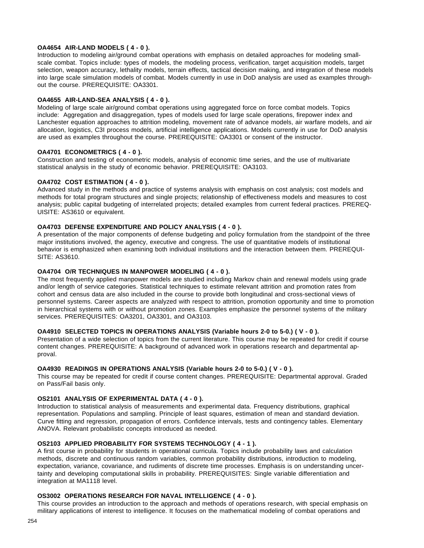# **OA4654 AIR-LAND MODELS ( 4 - 0 ).**

Introduction to modeling air/ground combat operations with emphasis on detailed approaches for modeling smallscale combat. Topics include: types of models, the modeling process, verification, target acquisition models, target selection, weapon accuracy, lethality models, terrain effects, tactical decision making, and integration of these models into large scale simulation models of combat. Models currently in use in DoD analysis are used as examples throughout the course. PREREQUISITE: OA3301.

# **OA4655 AIR-LAND-SEA ANALYSIS ( 4 - 0 ).**

Modeling of large scale air/ground combat operations using aggregated force on force combat models. Topics include: Aggregation and disaggregation, types of models used for large scale operations, firepower index and Lanchester equation approaches to attrition modeling, movement rate of advance models, air warfare models, and air allocation, logistics, C3I process models, artificial intelligence applications. Models currently in use for DoD analysis are used as examples throughout the course. PREREQUISITE: OA3301 or consent of the instructor.

# **OA4701 ECONOMETRICS ( 4 - 0 ).**

Construction and testing of econometric models, analysis of economic time series, and the use of multivariate statistical analysis in the study of economic behavior. PREREQUISITE: OA3103.

# **OA4702 COST ESTIMATION ( 4 - 0 ).**

Advanced study in the methods and practice of systems analysis with emphasis on cost analysis; cost models and methods for total program structures and single projects; relationship of effectiveness models and measures to cost analysis; public capital budgeting of interrelated projects; detailed examples from current federal practices. PREREQ-UISITE: AS3610 or equivalent.

### **OA4703 DEFENSE EXPENDITURE AND POLICY ANALYSIS ( 4 - 0 ).**

A presentation of the major components of defense budgeting and policy formulation from the standpoint of the three major institutions involved, the agency, executive and congress. The use of quantitative models of institutional behavior is emphasized when examining both individual institutions and the interaction between them. PREREQUI-SITE: AS3610.

### **OA4704 O/R TECHNIQUES IN MANPOWER MODELING ( 4 - 0 ).**

The most frequently applied manpower models are studied including Markov chain and renewal models using grade and/or length of service categories. Statistical techniques to estimate relevant attrition and promotion rates from cohort and census data are also included in the course to provide both longitudinal and cross-sectional views of personnel systems. Career aspects are analyzed with respect to attrition, promotion opportunity and time to promotion in hierarchical systems with or without promotion zones. Examples emphasize the personnel systems of the military services. PREREQUISITES: OA3201, OA3301, and OA3103.

### **OA4910 SELECTED TOPICS IN OPERATIONS ANALYSIS (Variable hours 2-0 to 5-0.) ( V - 0 ).**

Presentation of a wide selection of topics from the current literature. This course may be repeated for credit if course content changes. PREREQUISITE: A background of advanced work in operations research and departmental approval.

### **OA4930 READINGS IN OPERATIONS ANALYSIS (Variable hours 2-0 to 5-0.) ( V - 0 ).**

This course may be repeated for credit if course content changes. PREREQUISITE: Departmental approval. Graded on Pass/Fail basis only.

# **OS2101 ANALYSIS OF EXPERIMENTAL DATA ( 4 - 0 ).**

Introduction to statistical analysis of measurements and experimental data. Frequency distributions, graphical representation. Populations and sampling. Principle of least squares, estimation of mean and standard deviation. Curve fitting and regression, propagation of errors. Confidence intervals, tests and contingency tables. Elementary ANOVA. Relevant probabilistic concepts introduced as needed.

### **OS2103 APPLIED PROBABILITY FOR SYSTEMS TECHNOLOGY ( 4 - 1 ).**

A first course in probability for students in operational curricula. Topics include probability laws and calculation methods, discrete and continuous random variables, common probability distributions, introduction to modeling, expectation, variance, covariance, and rudiments of discrete time processes. Emphasis is on understanding uncertainty and developing computational skills in probability. PREREQUISITES: Single variable differentiation and integration at MA1118 level.

# **OS3002 OPERATIONS RESEARCH FOR NAVAL INTELLIGENCE ( 4 - 0 ).**

This course provides an introduction to the approach and methods of operations research, with special emphasis on military applications of interest to intelligence. It focuses on the mathematical modeling of combat operations and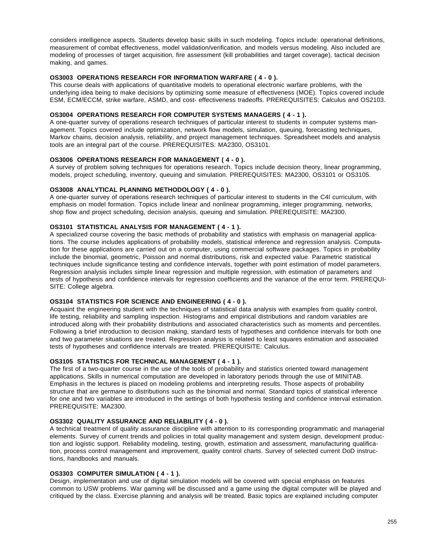considers intelligence aspects. Students develop basic skills in such modeling. Topics include: operational definitions, measurement of combat effectiveness, model validation/verification, and models versus modeling. Also included are modeling of processes of target acquisition, fire assessment (kill probabilities and target coverage), tactical decision making, and games.

# **OS3003 OPERATIONS RESEARCH FOR INFORMATION WARFARE ( 4 - 0 ).**

This course deals with applications of quantitative models to operational electronic warfare problems, with the underlying idea being to make decisions by optimizing some measure of effectiveness (MOE). Topics covered include ESM, ECM/ECCM, strike warfare, ASMD, and cost- effectiveness tradeoffs. PREREQUISITES: Calculus and OS2103.

# **OS3004 OPERATIONS RESEARCH FOR COMPUTER SYSTEMS MANAGERS ( 4 - 1 ).**

A one-quarter survey of operations research techniques of particular interest to students in computer systems management. Topics covered include optimization, network flow models, simulation, queuing, forecasting techniques, Markov chains, decision analysis, reliability, and project management techniques. Spreadsheet models and analysis tools are an integral part of the course. PREREQUISITES: MA2300, OS3101.

### **OS3006 OPERATIONS RESEARCH FOR MANAGEMENT ( 4 - 0 ).**

A survey of problem solving techniques for operations research. Topics include decision theory, linear programming, models, project scheduling, inventory, queuing and simulation. PREREQUISITES: MA2300, OS3101 or OS3105.

# **OS3008 ANALYTICAL PLANNING METHODOLOGY ( 4 - 0 ).**

A one-quarter survey of operations research techniques of particular interest to students in the C4I curriculum, with emphasis on model formation. Topics include linear and nonlinear programming, integer programming, networks, shop flow and project scheduling, decision analysis, queuing and simulation. PREREQUISITE: MA2300.

# **OS3101 STATISTICAL ANALYSIS FOR MANAGEMENT ( 4 - 1 ).**

A specialized course covering the basic methods of probability and statistics with emphasis on managerial applications. The course includes applications of probability models, statistical inference and regression analysis. Computation for these applications are carried out on a computer, using commercial software packages. Topics in probability include the binomial, geometric, Poisson and normal distributions, risk and expected value. Parametric statistical techniques include significance testing and confidence intervals, together with point estimation of model parameters. Regression analysis includes simple linear regression and multiple regression, with estimation of parameters and tests of hypothesis and confidence intervals for regression coefficients and the variance of the error term. PREREQUI-SITE: College algebra.

# **OS3104 STATISTICS FOR SCIENCE AND ENGINEERING ( 4 - 0 ).**

Acquaint the engineering student with the techniques of statistical data analysis with examples from quality control, life testing, reliability and sampling inspection. Histograms and empirical distributions and random variables are introduced along with their probability distributions and associated characteristics such as moments and percentiles. Following a brief introduction to decision making, standard tests of hypotheses and confidence intervals for both one and two parameter situations are treated. Regression analysis is related to least squares estimation and associated tests of hypotheses and confidence intervals are treated. PREREQUISITE: Calculus.

# **OS3105 STATISTICS FOR TECHNICAL MANAGEMENT ( 4 - 1 ).**

The first of a two-quarter course in the use of the tools of probability and statistics oriented toward management applications. Skills in numerical computation are developed in laboratory periods through the use of MINITAB. Emphasis in the lectures is placed on modeling problems and interpreting results. Those aspects of probability structure that are germane to distributions such as the binomial and normal. Standard topics of statistical inference for one and two variables are introduced in the settings of both hypothesis testing and confidence interval estimation. PREREQUISITE: MA2300.

### **OS3302 QUALITY ASSURANCE AND RELIABILITY ( 4 - 0 ).**

A technical treatment of quality assurance discipline with attention to its corresponding programmatic and managerial elements. Survey of current trends and policies in total quality management and system design, development production and logistic support. Reliability modeling, testing, growth, estimation and assessment, manufacturing qualification, process control management and improvement, quality control charts. Survey of selected current DoD instructions, handbooks and manuals.

# **OS3303 COMPUTER SIMULATION ( 4 - 1 ).**

Design, implementation and use of digital simulation models will be covered with special emphasis on features common to USW problems. War gaming will be discussed and a game using the digital computer will be played and critiqued by the class. Exercise planning and analysis will be treated. Basic topics are explained including computer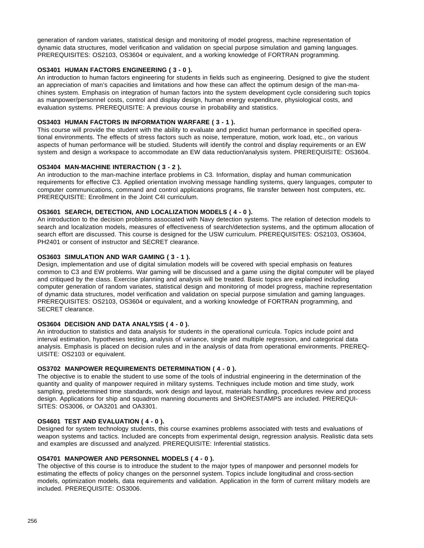generation of random variates, statistical design and monitoring of model progress, machine representation of dynamic data structures, model verification and validation on special purpose simulation and gaming languages. PREREQUISITES: OS2103, OS3604 or equivalent, and a working knowledge of FORTRAN programming.

# **OS3401 HUMAN FACTORS ENGINEERING ( 3 - 0 ).**

An introduction to human factors engineering for students in fields such as engineering. Designed to give the student an appreciation of man's capacities and limitations and how these can affect the optimum design of the man-machines system. Emphasis on integration of human factors into the system development cycle considering such topics as manpower/personnel costs, control and display design, human energy expenditure, physiological costs, and evaluation systems. PREREQUISITE: A previous course in probability and statistics.

# **OS3403 HUMAN FACTORS IN INFORMATION WARFARE ( 3 - 1 ).**

This course will provide the student with the ability to evaluate and predict human performance in specified operational environments. The effects of stress factors such as noise, temperature, motion, work load, etc., on various aspects of human performance will be studied. Students will identify the control and display requirements or an EW system and design a workspace to accommodate an EW data reduction/analysis system. PREREQUISITE: OS3604.

# **OS3404 MAN-MACHINE INTERACTION ( 3 - 2 ).**

An introduction to the man-machine interface problems in C3. Information, display and human communication requirements for effective C3. Applied orientation involving message handling systems, query languages, computer to computer communications, command and control applications programs, file transfer between host computers, etc. PREREQUISITE: Enrollment in the Joint C4I curriculum.

# **OS3601 SEARCH, DETECTION, AND LOCALIZATION MODELS ( 4 - 0 ).**

An introduction to the decision problems associated with Navy detection systems. The relation of detection models to search and localization models, measures of effectiveness of search/detection systems, and the optimum allocation of search effort are discussed. This course is designed for the USW curriculum. PREREQUISITES: OS2103, OS3604, PH2401 or consent of instructor and SECRET clearance.

# **OS3603 SIMULATION AND WAR GAMING ( 3 - 1 ).**

Design, implementation and use of digital simulation models will be covered with special emphasis on features common to C3 and EW problems. War gaming will be discussed and a game using the digital computer will be played and critiqued by the class. Exercise planning and analysis will be treated. Basic topics are explained including computer generation of random variates, statistical design and monitoring of model progress, machine representation of dynamic data structures, model verification and validation on special purpose simulation and gaming languages. PREREQUISITES: OS2103, OS3604 or equivalent, and a working knowledge of FORTRAN programming, and SECRET clearance.

# **OS3604 DECISION AND DATA ANALYSIS ( 4 - 0 ).**

An introduction to statistics and data analysis for students in the operational curricula. Topics include point and interval estimation, hypotheses testing, analysis of variance, single and multiple regression, and categorical data analysis. Emphasis is placed on decision rules and in the analysis of data from operational environments. PREREQ-UISITE: OS2103 or equivalent.

# **OS3702 MANPOWER REQUIREMENTS DETERMINATION ( 4 - 0 ).**

The objective is to enable the student to use some of the tools of industrial engineering in the determination of the quantity and quality of manpower required in military systems. Techniques include motion and time study, work sampling, predetermined time standards, work design and layout, materials handling, procedures review and process design. Applications for ship and squadron manning documents and SHORESTAMPS are included. PREREQUI-SITES: OS3006, or OA3201 and OA3301.

### **OS4601 TEST AND EVALUATION ( 4 - 0 ).**

Designed for system technology students, this course examines problems associated with tests and evaluations of weapon systems and tactics. Included are concepts from experimental design, regression analysis. Realistic data sets and examples are discussed and analyzed. PREREQUISITE: Inferential statistics.

### **OS4701 MANPOWER AND PERSONNEL MODELS ( 4 - 0 ).**

The objective of this course is to introduce the student to the major types of manpower and personnel models for estimating the effects of policy changes on the personnel system. Topics include longitudinal and cross-section models, optimization models, data requirements and validation. Application in the form of current military models are included. PREREQUISITE: OS3006.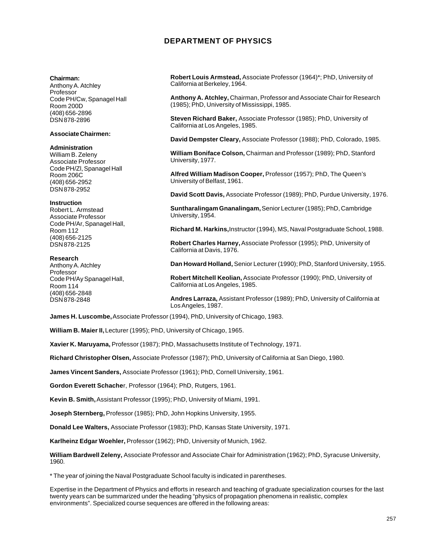# **DEPARTMENT OF PHYSICS**

#### **Chairman:**

Anthony A. Atchley Professor Code PH/Cw, Spanagel Hall Room 200D (408) 656-2896 DSN 878-2896

### **Associate Chairmen:**

### **Administration**

William B. Zeleny Associate Professor Code PH/Zl, Spanagel Hall Room 206C (408) 656-2952 DSN 878-2952

### **Instruction**

Robert L. Armstead Associate Professor Code PH/Ar, Spanagel Hall, Room 112 (408) 656-2125 DSN 878-2125

#### **Research**

Anthony A. Atchley Professor Code PH/Ay Spanagel Hall, Room 114 (408) 656-2848 DSN 878-2848

**Robert Louis Armstead,** Associate Professor (1964)\*; PhD, University of California at Berkeley, 1964.

**Anthony A. Atchley,** Chairman, Professor and Associate Chair for Research (1985); PhD, University of Mississippi, 1985.

**Steven Richard Baker,** Associate Professor (1985); PhD, University of California at Los Angeles, 1985.

**David Dempster Cleary,** Associate Professor (1988); PhD, Colorado, 1985.

**William Boniface Colson,** Chairman and Professor (1989); PhD, Stanford University, 1977.

**Alfred William Madison Cooper,** Professor (1957); PhD, The Queen's University of Belfast, 1961.

**David Scott Davis,** Associate Professor (1989); PhD, Purdue University, 1976.

**Suntharalingam Gnanalingam,** Senior Lecturer (1985); PhD, Cambridge University, 1954.

**Richard M. Harkins,** Instructor (1994), MS, Naval Postgraduate School, 1988.

**Robert Charles Harney,** Associate Professor (1995); PhD, University of California at Davis, 1976.

**Dan Howard Holland,** Senior Lecturer (1990); PhD, Stanford University, 1955.

**Robert Mitchell Keolian,** Associate Professor (1990); PhD, University of California at Los Angeles, 1985.

**Andres Larraza,** Assistant Professor (1989); PhD, University of California at Los Angeles, 1987.

**James H. Luscombe,** Associate Professor (1994), PhD, University of Chicago, 1983.

**William B. Maier II,** Lecturer (1995); PhD, University of Chicago, 1965.

**Xavier K. Maruyama,** Professor (1987); PhD, Massachusetts Institute of Technology, 1971.

**Richard Christopher Olsen,** Associate Professor (1987); PhD, University of California at San Diego, 1980.

**James Vincent Sanders,** Associate Professor (1961); PhD, Cornell University, 1961.

**Gordon Everett Schache**r, Professor (1964); PhD, Rutgers, 1961.

**Kevin B. Smith,** Assistant Professor (1995); PhD, University of Miami, 1991.

**Joseph Sternberg,** Professor (1985); PhD, John Hopkins University, 1955.

**Donald Lee Walters,** Associate Professor (1983); PhD, Kansas State University, 1971.

**Karlheinz Edgar Woehler,** Professor (1962); PhD, University of Munich, 1962.

**William Bardwell Zeleny,** Associate Professor and Associate Chair for Administration (1962); PhD, Syracuse University, 1960.

\* The year of joining the Naval Postgraduate School faculty is indicated in parentheses.

Expertise in the Department of Physics and efforts in research and teaching of graduate specialization courses for the last twenty years can be summarized under the heading "physics of propagation phenomena in realistic, complex environments". Specialized course sequences are offered in the following areas: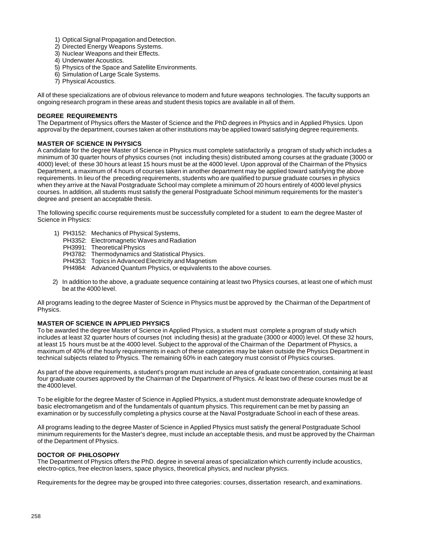- 1) Optical Signal Propagation and Detection.
- 2) Directed Energy Weapons Systems.
- 3) Nuclear Weapons and their Effects.
- 4) Underwater Acoustics.
- 5) Physics of the Space and Satellite Environments.
- 6) Simulation of Large Scale Systems.
- 7) Physical Acoustics.

All of these specializations are of obvious relevance to modern and future weapons technologies. The faculty supports an ongoing research program in these areas and student thesis topics are available in all of them.

### **DEGREE REQUIREMENTS**

The Department of Physics offers the Master of Science and the PhD degrees in Physics and in Applied Physics. Upon approval by the department, courses taken at other institutions may be applied toward satisfying degree requirements.

### **MASTER OF SCIENCE IN PHYSICS**

A candidate for the degree Master of Science in Physics must complete satisfactorily a program of study which includes a minimum of 30 quarter hours of physics courses (not including thesis) distributed among courses at the graduate (3000 or 4000) level; of these 30 hours at least 15 hours must be at the 4000 level. Upon approval of the Chairman of the Physics Department, a maximum of 4 hours of courses taken in another department may be applied toward satisfying the above requirements. In lieu of the preceding requirements, students who are qualified to pursue graduate courses in physics when they arrive at the Naval Postgraduate School may complete a minimum of 20 hours entirely of 4000 level physics courses. In addition, all students must satisfy the general Postgraduate School minimum requirements for the master's degree and present an acceptable thesis.

The following specific course requirements must be successfully completed for a student to earn the degree Master of Science in Physics:

- 1) PH3152: Mechanics of Physical Systems,
	- PH3352: Electromagnetic Waves and Radiation
	- PH3991: Theoretical Physics
	- PH3782: Thermodynamics and Statistical Physics.
	- PH4353: Topics in Advanced Electricity and Magnetism
	- PH4984: Advanced Quantum Physics, or equivalents to the above courses.
- 2) In addition to the above, a graduate sequence containing at least two Physics courses, at least one of which must be at the 4000 level.

All programs leading to the degree Master of Science in Physics must be approved by the Chairman of the Department of Physics.

### **MASTER OF SCIENCE IN APPLIED PHYSICS**

To be awarded the degree Master of Science in Applied Physics, a student must complete a program of study which includes at least 32 quarter hours of courses (not including thesis) at the graduate (3000 or 4000) level. Of these 32 hours, at least 15 hours must be at the 4000 level. Subject to the approval of the Chairman of the Department of Physics, a maximum of 40% of the hourly requirements in each of these categories may be taken outside the Physics Department in technical subjects related to Physics. The remaining 60% in each category must consist of Physics courses.

As part of the above requirements, a student's program must include an area of graduate concentration, containing at least four graduate courses approved by the Chairman of the Department of Physics. At least two of these courses must be at the 4000 level.

To be eligible for the degree Master of Science in Applied Physics, a student must demonstrate adequate knowledge of basic electromangetism and of the fundamentals of quantum physics. This requirement can be met by passing an examination or by successfully completing a physics course at the Naval Postgraduate School in each of these areas.

All programs leading to the degree Master of Science in Applied Physics must satisfy the general Postgraduate School minimum requirements for the Master's degree, must include an acceptable thesis, and must be approved by the Chairman of the Department of Physics.

### **DOCTOR OF PHILOSOPHY**

The Department of Physics offers the PhD. degree in several areas of specialization which currently include acoustics, electro-optics, free electron lasers, space physics, theoretical physics, and nuclear physics.

Requirements for the degree may be grouped into three categories: courses, dissertation research, and examinations.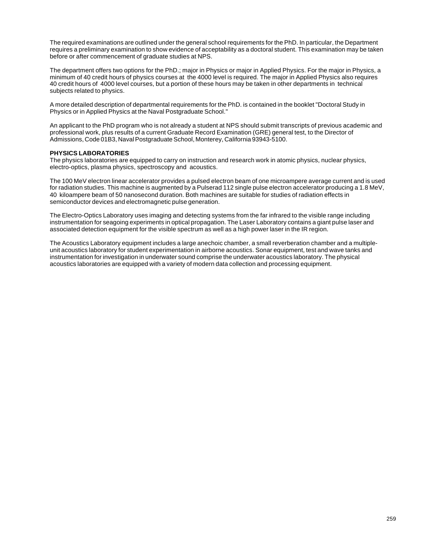The required examinations are outlined under the general school requirements for the PhD. In particular, the Department requires a preliminary examination to show evidence of acceptability as a doctoral student. This examination may be taken before or after commencement of graduate studies at NPS.

The department offers two options for the PhD.; major in Physics or major in Applied Physics. For the major in Physics, a minimum of 40 credit hours of physics courses at the 4000 level is required. The major in Applied Physics also requires 40 credit hours of 4000 level courses, but a portion of these hours may be taken in other departments in technical subjects related to physics.

A more detailed description of departmental requirements for the PhD. is contained in the booklet "Doctoral Study in Physics or in Applied Physics at the Naval Postgraduate School."

An applicant to the PhD program who is not already a student at NPS should submit transcripts of previous academic and professional work, plus results of a current Graduate Record Examination (GRE) general test, to the Director of Admissions, Code 01B3, Naval Postgraduate School, Monterey, California 93943-5100.

### **PHYSICS LABORATORIES**

The physics laboratories are equipped to carry on instruction and research work in atomic physics, nuclear physics, electro-optics, plasma physics, spectroscopy and acoustics.

The 100 MeV electron linear accelerator provides a pulsed electron beam of one microampere average current and is used for radiation studies. This machine is augmented by a Pulserad 112 single pulse electron accelerator producing a 1.8 MeV, 40 kiloampere beam of 50 nanosecond duration. Both machines are suitable for studies of radiation effects in semiconductor devices and electromagnetic pulse generation.

The Electro-Optics Laboratory uses imaging and detecting systems from the far infrared to the visible range including instrumentation for seagoing experiments in optical propagation. The Laser Laboratory contains a giant pulse laser and associated detection equipment for the visible spectrum as well as a high power laser in the IR region.

The Acoustics Laboratory equipment includes a large anechoic chamber, a small reverberation chamber and a multipleunit acoustics laboratory for student experimentation in airborne acoustics. Sonar equipment, test and wave tanks and instrumentation for investigation in underwater sound comprise the underwater acoustics laboratory. The physical acoustics laboratories are equipped with a variety of modern data collection and processing equipment.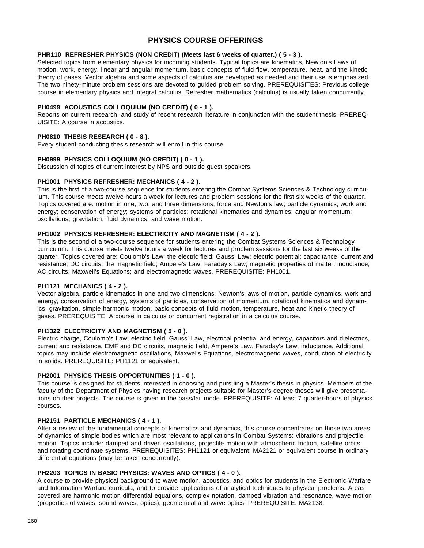# **PHYSICS COURSE OFFERINGS**

### **PHR110 REFRESHER PHYSICS (NON CREDIT) (Meets last 6 weeks of quarter.) ( 5 - 3 ).**

Selected topics from elementary physics for incoming students. Typical topics are kinematics, Newton's Laws of motion, work, energy, linear and angular momentum, basic concepts of fluid flow, temperature, heat, and the kinetic theory of gases. Vector algebra and some aspects of calculus are developed as needed and their use is emphasized. The two ninety-minute problem sessions are devoted to guided problem solving. PREREQUISITES: Previous college course in elementary physics and integral calculus. Refresher mathematics (calculus) is usually taken concurrently.

### **PH0499 ACOUSTICS COLLOQUIUM (NO CREDIT) ( 0 - 1 ).**

Reports on current research, and study of recent research literature in conjunction with the student thesis. PREREQ-UISITE: A course in acoustics.

### **PH0810 THESIS RESEARCH ( 0 - 8 ).**

Every student conducting thesis research will enroll in this course.

### **PH0999 PHYSICS COLLOQUIUM (NO CREDIT) ( 0 - 1 ).**

Discussion of topics of current interest by NPS and outside guest speakers.

# **PH1001 PHYSICS REFRESHER: MECHANICS ( 4 - 2 ).**

This is the first of a two-course sequence for students entering the Combat Systems Sciences & Technology curriculum. This course meets twelve hours a week for lectures and problem sessions for the first six weeks of the quarter. Topics covered are: motion in one, two, and three dimensions; force and Newton's law; particle dynamics; work and energy; conservation of energy; systems of particles; rotational kinematics and dynamics; angular momentum; oscillations; gravitation; fluid dynamics; and wave motion.

### **PH1002 PHYSICS REFRESHER: ELECTRICITY AND MAGNETISM ( 4 - 2 ).**

This is the second of a two-course sequence for students entering the Combat Systems Sciences & Technology curriculum. This course meets twelve hours a week for lectures and problem sessions for the last six weeks of the quarter. Topics covered are: Coulomb's Law; the electric field; Gauss' Law; electric potential; capacitance; current and resistance; DC circuits; the magnetic field; Ampere's Law; Faraday's Law; magnetic properties of matter; inductance; AC circuits; Maxwell's Equations; and electromagnetic waves. PREREQUISITE: PH1001.

### **PH1121 MECHANICS ( 4 - 2 ).**

Vector algebra, particle kinematics in one and two dimensions, Newton's laws of motion, particle dynamics, work and energy, conservation of energy, systems of particles, conservation of momentum, rotational kinematics and dynamics, gravitation, simple harmonic motion, basic concepts of fluid motion, temperature, heat and kinetic theory of gases. PREREQUISITE: A course in calculus or concurrent registration in a calculus course.

### **PH1322 ELECTRICITY AND MAGNETISM ( 5 - 0 ).**

Electric charge, Coulomb's Law, electric field, Gauss' Law, electrical potential and energy, capacitors and dielectrics, current and resistance, EMF and DC circuits, magnetic field, Ampere's Law, Faraday's Law, inductance. Additional topics may include electromagnetic oscillations, Maxwells Equations, electromagnetic waves, conduction of electricity in solids. PREREQUISITE: PH1121 or equivalent.

### **PH2001 PHYSICS THESIS OPPORTUNITIES ( 1 - 0 ).**

This course is designed for students interested in choosing and pursuing a Master's thesis in physics. Members of the faculty of the Department of Physics having research projects suitable for Master's degree theses will give presentations on their projects. The course is given in the pass/fail mode. PREREQUISITE: At least 7 quarter-hours of physics courses.

### **PH2151 PARTICLE MECHANICS ( 4 - 1 ).**

After a review of the fundamental concepts of kinematics and dynamics, this course concentrates on those two areas of dynamics of simple bodies which are most relevant to applications in Combat Systems: vibrations and projectile motion. Topics include: damped and driven oscillations, projectile motion with atmospheric friction, satellite orbits, and rotating coordinate systems. PREREQUISITES: PH1121 or equivalent; MA2121 or equivalent course in ordinary differential equations (may be taken concurrently).

#### **PH2203 TOPICS IN BASIC PHYSICS: WAVES AND OPTICS ( 4 - 0 ).**

A course to provide physical background to wave motion, acoustics, and optics for students in the Electronic Warfare and Information Warfare curricula, and to provide applications of analytical techniques to physical problems. Areas covered are harmonic motion differential equations, complex notation, damped vibration and resonance, wave motion (properties of waves, sound waves, optics), geometrical and wave optics. PREREQUISITE: MA2138.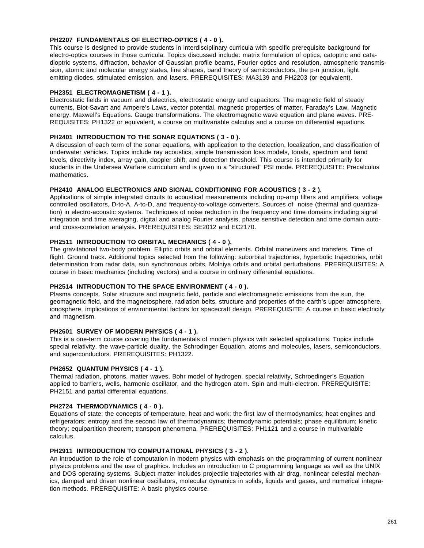# **PH2207 FUNDAMENTALS OF ELECTRO-OPTICS ( 4 - 0 ).**

This course is designed to provide students in interdisciplinary curricula with specific prerequisite background for electro-optics courses in those curricula. Topics discussed include: matrix formulation of optics, catoptric and catadioptric systems, diffraction, behavior of Gaussian profile beams, Fourier optics and resolution, atmospheric transmission, atomic and molecular energy states, line shapes, band theory of semiconductors, the p-n junction, light emitting diodes, stimulated emission, and lasers. PREREQUISITES: MA3139 and PH2203 (or equivalent).

### **PH2351 ELECTROMAGNETISM ( 4 - 1 ).**

Electrostatic fields in vacuum and dielectrics, electrostatic energy and capacitors. The magnetic field of steady currents, Biot-Savart and Ampere's Laws, vector potential, magnetic properties of matter. Faraday's Law. Magnetic energy. Maxwell's Equations. Gauge transformations. The electromagnetic wave equation and plane waves. PRE-REQUISITES: PH1322 or equivalent, a course on multivariable calculus and a course on differential equations.

# **PH2401 INTRODUCTION TO THE SONAR EQUATIONS ( 3 - 0 ).**

A discussion of each term of the sonar equations, with application to the detection, localization, and classification of underwater vehicles. Topics include ray acoustics, simple transmission loss models, tonals, spectrum and band levels, directivity index, array gain, doppler shift, and detection threshold. This course is intended primarily for students in the Undersea Warfare curriculum and is given in a "structured" PSI mode. PREREQUISITE: Precalculus mathematics.

### **PH2410 ANALOG ELECTRONICS AND SIGNAL CONDITIONING FOR ACOUSTICS ( 3 - 2 ).**

Applications of simple integrated circuits to acoustical measurements including op-amp filters and amplifiers, voltage controlled oscillators, D-to-A, A-to-D, and frequency-to-voltage converters. Sources of noise (thermal and quantization) in electro-acoustic systems. Techniques of noise reduction in the frequency and time domains including signal integration and time averaging, digital and analog Fourier analysis, phase sensitive detection and time domain autoand cross-correlation analysis. PREREQUISITES: SE2012 and EC2170.

# **PH2511 INTRODUCTION TO ORBITAL MECHANICS ( 4 - 0 ).**

The gravitational two-body problem. Elliptic orbits and orbital elements. Orbital maneuvers and transfers. Time of flight. Ground track. Additional topics selected from the following: suborbital trajectories, hyperbolic trajectories, orbit determination from radar data, sun synchronous orbits, Molniya orbits and orbital perturbations. PREREQUISITES: A course in basic mechanics (including vectors) and a course in ordinary differential equations.

### **PH2514 INTRODUCTION TO THE SPACE ENVIRONMENT ( 4 - 0 ).**

Plasma concepts. Solar structure and magnetic field, particle and electromagnetic emissions from the sun, the geomagnetic field, and the magnetosphere, radiation belts, structure and properties of the earth's upper atmosphere, ionosphere, implications of environmental factors for spacecraft design. PREREQUISITE: A course in basic electricity and magnetism.

# **PH2601 SURVEY OF MODERN PHYSICS ( 4 - 1 ).**

This is a one-term course covering the fundamentals of modern physics with selected applications. Topics include special relativity, the wave-particle duality, the Schrodinger Equation, atoms and molecules, lasers, semiconductors, and superconductors. PREREQUISITES: PH1322.

### **PH2652 QUANTUM PHYSICS ( 4 - 1 ).**

Thermal radiation, photons, matter waves, Bohr model of hydrogen, special relativity, Schroedinger's Equation applied to barriers, wells, harmonic oscillator, and the hydrogen atom. Spin and multi-electron. PREREQUISITE: PH2151 and partial differential equations.

### **PH2724 THERMODYNAMICS ( 4 - 0 ).**

Equations of state; the concepts of temperature, heat and work; the first law of thermodynamics; heat engines and refrigerators; entropy and the second law of thermodynamics; thermodynamic potentials; phase equilibrium; kinetic theory; equipartition theorem; transport phenomena. PREREQUISITES: PH1121 and a course in multivariable calculus.

### **PH2911 INTRODUCTION TO COMPUTATIONAL PHYSICS ( 3 - 2 ).**

An introduction to the role of computation in modern physics with emphasis on the programming of current nonlinear physics problems and the use of graphics. Includes an introduction to C programming language as well as the UNIX and DOS operating systems. Subject matter includes projectile trajectories with air drag, nonlinear celestial mechanics, damped and driven nonlinear oscillators, molecular dynamics in solids, liquids and gases, and numerical integration methods. PREREQUISITE: A basic physics course.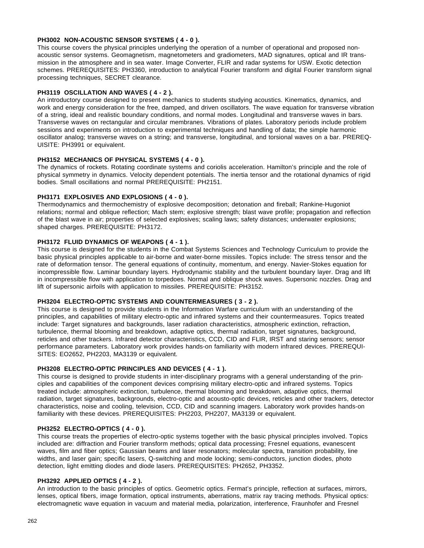# **PH3002 NON-ACOUSTIC SENSOR SYSTEMS ( 4 - 0 ).**

This course covers the physical principles underlying the operation of a number of operational and proposed nonacoustic sensor systems. Geomagnetism, magnetometers and gradiometers, MAD signatures, optical and IR transmission in the atmosphere and in sea water. Image Converter, FLIR and radar systems for USW. Exotic detection schemes. PREREQUISITES: PH3360, introduction to analytical Fourier transform and digital Fourier transform signal processing techniques, SECRET clearance.

# **PH3119 OSCILLATION AND WAVES ( 4 - 2 ).**

An introductory course designed to present mechanics to students studying acoustics. Kinematics, dynamics, and work and energy consideration for the free, damped, and driven oscillators. The wave equation for transverse vibration of a string, ideal and realistic boundary conditions, and normal modes. Longitudinal and transverse waves in bars. Transverse waves on rectangular and circular membranes. Vibrations of plates. Laboratory periods include problem sessions and experiments on introduction to experimental techniques and handling of data; the simple harmonic oscillator analog; transverse waves on a string; and transverse, longitudinal, and torsional waves on a bar. PREREQ-UISITE: PH3991 or equivalent.

# **PH3152 MECHANICS OF PHYSICAL SYSTEMS ( 4 - 0 ).**

The dynamics of rockets. Rotating coordinate systems and coriolis acceleration. Hamilton's principle and the role of physical symmetry in dynamics. Velocity dependent potentials. The inertia tensor and the rotational dynamics of rigid bodies. Small oscillations and normal PREREQUISITE: PH2151.

# **PH3171 EXPLOSIVES AND EXPLOSIONS ( 4 - 0 ).**

Thermodynamics and thermochemistry of explosive decomposition; detonation and fireball; Rankine-Hugoniot relations; normal and oblique reflection; Mach stem; explosive strength; blast wave profile; propagation and reflection of the blast wave in air; properties of selected explosives; scaling laws; safety distances; underwater explosions; shaped charges. PREREQUISITE: PH3172.

# **PH3172 FLUID DYNAMICS OF WEAPONS ( 4 - 1 ).**

This course is designed for the students in the Combat Systems Sciences and Technology Curriculum to provide the basic physical principles applicable to air-borne and water-borne missiles. Topics include: The stress tensor and the rate of deformation tensor. The general equations of continuity, momentum, and energy. Navier-Stokes equation for incompressible flow. Laminar boundary layers. Hydrodynamic stability and the turbulent boundary layer. Drag and lift in incompressible flow with application to torpedoes. Normal and oblique shock waves. Supersonic nozzles. Drag and lift of supersonic airfoils with application to missiles. PREREQUISITE: PH3152.

# **PH3204 ELECTRO-OPTIC SYSTEMS AND COUNTERMEASURES ( 3 - 2 ).**

This course is designed to provide students in the Information Warfare curriculum with an understanding of the principles, and capabilities of military electro-optic and infrared systems and their countermeasures. Topics treated include: Target signatures and backgrounds, laser radiation characteristics, atmospheric extinction, refraction, turbulence, thermal blooming and breakdown, adaptive optics, thermal radiation, target signatures, background, reticles and other trackers. Infrared detector characteristics, CCD, CID and FLIR, IRST and staring sensors; sensor performance parameters. Laboratory work provides hands-on familiarity with modern infrared devices. PREREQUI-SITES: EO2652, PH2203, MA3139 or equivalent.

# **PH3208 ELECTRO-OPTIC PRINCIPLES AND DEVICES ( 4 - 1 ).**

This course is designed to provide students in inter-disciplinary programs with a general understanding of the principles and capabilities of the component devices comprising military electro-optic and infrared systems. Topics treated include: atmospheric extinction, turbulence, thermal blooming and breakdown, adaptive optics, thermal radiation, target signatures, backgrounds, electro-optic and acousto-optic devices, reticles and other trackers, detector characteristics, noise and cooling, television, CCD, CID and scanning imagers. Laboratory work provides hands-on familiarity with these devices. PREREQUISITES: PH2203, PH2207, MA3139 or equivalent.

# **PH3252 ELECTRO-OPTICS ( 4 - 0 ).**

This course treats the properties of electro-optic systems together with the basic physical principles involved. Topics included are: diffraction and Fourier transform methods; optical data processing; Fresnel equations, evanescent waves, film and fiber optics; Gaussian beams and laser resonators; molecular spectra, transition probability, line widths, and laser gain; specific lasers, Q-switching and mode locking; semi-conductors, junction diodes, photo detection, light emitting diodes and diode lasers. PREREQUISITES: PH2652, PH3352.

### **PH3292 APPLIED OPTICS ( 4 - 2 ).**

An introduction to the basic principles of optics. Geometric optics. Fermat's principle, reflection at surfaces, mirrors, lenses, optical fibers, image formation, optical instruments, aberrations, matrix ray tracing methods. Physical optics: electromagnetic wave equation in vacuum and material media, polarization, interference, Fraunhofer and Fresnel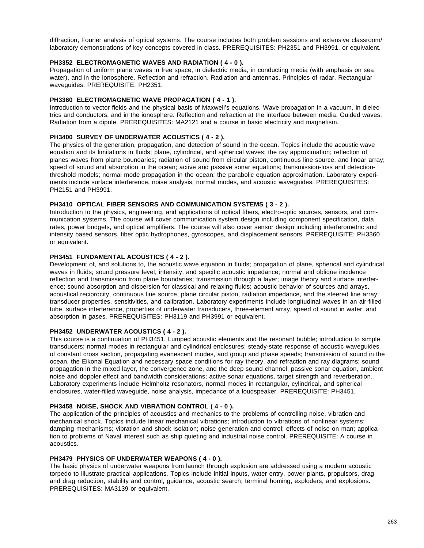diffraction, Fourier analysis of optical systems. The course includes both problem sessions and extensive classroom/ laboratory demonstrations of key concepts covered in class. PREREQUISITES: PH2351 and PH3991, or equivalent.

### **PH3352 ELECTROMAGNETIC WAVES AND RADIATION ( 4 - 0 ).**

Propagation of uniform plane waves in free space, in dielectric media, in conducting media (with emphasis on sea water), and in the ionosphere. Reflection and refraction. Radiation and antennas. Principles of radar. Rectangular waveguides. PREREQUISITE: PH2351.

# **PH3360 ELECTROMAGNETIC WAVE PROPAGATION ( 4 - 1 ).**

Introduction to vector fields and the physical basis of Maxwell's equations. Wave propagation in a vacuum, in dielectrics and conductors, and in the ionosphere. Reflection and refraction at the interface between media. Guided waves. Radiation from a dipole. PREREQUISITES: MA2121 and a course in basic electricity and magnetism.

# **PH3400 SURVEY OF UNDERWATER ACOUSTICS ( 4 - 2 ).**

The physics of the generation, propagation, and detection of sound in the ocean. Topics include the acoustic wave equation and its limitations in fluids; plane, cylindrical, and spherical waves; the ray approximation; reflection of planes waves from plane boundaries; radiation of sound from circular piston, continuous line source, and linear array; speed of sound and absorption in the ocean; active and passive sonar equations; transmission-loss and detectionthreshold models; normal mode propagation in the ocean; the parabolic equation approximation. Laboratory experiments include surface interference, noise analysis, normal modes, and acoustic waveguides. PREREQUISITES: PH2151 and PH3991.

# **PH3410 OPTICAL FIBER SENSORS AND COMMUNICATION SYSTEMS ( 3 - 2 ).**

Introduction to the physics, engineering, and applications of optical fibers, electro-optic sources, sensors, and communication systems. The course will cover communication system design including component specification, data rates, power budgets, and optical amplifiers. The course will also cover sensor design including interferometric and intensity based sensors, fiber optic hydrophones, gyroscopes, and displacement sensors. PREREQUISITE: PH3360 or equivalent.

# **PH3451 FUNDAMENTAL ACOUSTICS ( 4 - 2 ).**

Development of, and solutions to, the acoustic wave equation in fluids; propagation of plane, spherical and cylindrical waves in fluids; sound pressure level, intensity, and specific acoustic impedance; normal and oblique incidence reflection and transmission from plane boundaries; transmission through a layer; image theory and surface interference; sound absorption and dispersion for classical and relaxing fluids; acoustic behavior of sources and arrays, acoustical reciprocity, continuous line source, plane circular piston, radiation impedance, and the steered line array; transducer properties, sensitivities, and calibration. Laboratory experiments include longitudinal waves in an air-filled tube, surface interference, properties of underwater transducers, three-element array, speed of sound in water, and absorption in gases. PREREQUISITES: PH3119 and PH3991 or equivalent.

# **PH3452 UNDERWATER ACOUSTICS ( 4 - 2 ).**

This course is a continuation of PH3451. Lumped acoustic elements and the resonant bubble; introduction to simple transducers; normal modes in rectangular and cylindrical enclosures; steady-state response of acoustic waveguides of constant cross section, propagating evanescent modes, and group and phase speeds; transmission of sound in the ocean, the Eikonal Equation and necessary space conditions for ray theory, and refraction and ray diagrams; sound propagation in the mixed layer, the convergence zone, and the deep sound channel; passive sonar equation, ambient noise and doppler effect and bandwidth considerations; active sonar equations, target strength and reverberation. Laboratory experiments include Helmholtz resonators, normal modes in rectangular, cylindrical, and spherical enclosures, water-filled waveguide, noise analysis, impedance of a loudspeaker. PREREQUISITE: PH3451.

### **PH3458 NOISE, SHOCK AND VIBRATION CONTROL ( 4 - 0 ).**

The application of the principles of acoustics and mechanics to the problems of controlling noise, vibration and mechanical shock. Topics include linear mechanical vibrations; introduction to vibrations of nonlinear systems; damping mechanisms; vibration and shock isolation; noise generation and control; effects of noise on man; application to problems of Naval interest such as ship quieting and industrial noise control. PREREQUISITE: A course in acoustics.

### **PH3479 PHYSICS OF UNDERWATER WEAPONS ( 4 - 0 ).**

The basic physics of underwater weapons from launch through explosion are addressed using a modern acoustic torpedo to illustrate practical applications. Topics include initial inputs, water entry, power plants, propulsors, drag and drag reduction, stability and control, guidance, acoustic search, terminal homing, exploders, and explosions. PREREQUISITES: MA3139 or equivalent.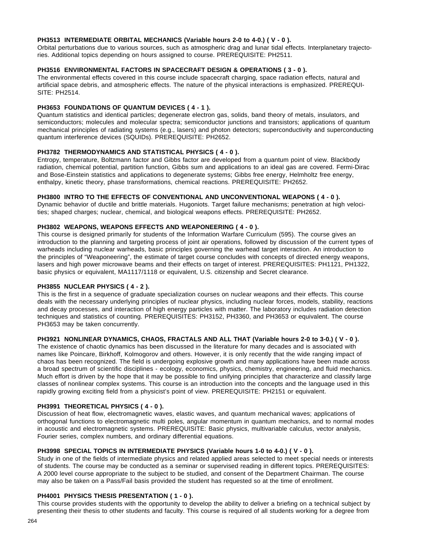### **PH3513 INTERMEDIATE ORBITAL MECHANICS (Variable hours 2-0 to 4-0.) ( V - 0 ).**

Orbital perturbations due to various sources, such as atmospheric drag and lunar tidal effects. Interplanetary trajectories. Additional topics depending on hours assigned to course. PREREQUISITE: PH2511.

### **PH3516 ENVIRONMENTAL FACTORS IN SPACECRAFT DESIGN & OPERATIONS ( 3 - 0 ).**

The environmental effects covered in this course include spacecraft charging, space radiation effects, natural and artificial space debris, and atmospheric effects. The nature of the physical interactions is emphasized. PREREQUI-SITE: PH2514.

# **PH3653 FOUNDATIONS OF QUANTUM DEVICES ( 4 - 1 ).**

Quantum statistics and identical particles; degenerate electron gas, solids, band theory of metals, insulators, and semiconductors; molecules and molecular spectra; semiconductor junctions and transistors; applications of quantum mechanical principles of radiating systems (e.g., lasers) and photon detectors; superconductivity and superconducting quantum interference devices (SQUIDs). PREREQUISITE: PH2652.

# **PH3782 THERMODYNAMICS AND STATISTICAL PHYSICS ( 4 - 0 ).**

Entropy, temperature, Boltzmann factor and Gibbs factor are developed from a quantum point of view. Blackbody radiation, chemical potential, partition function, Gibbs sum and applications to an ideal gas are covered. Fermi-Dirac and Bose-Einstein statistics and applications to degenerate systems; Gibbs free energy, Helmholtz free energy, enthalpy, kinetic theory, phase transformations, chemical reactions. PREREQUISITE: PH2652.

### **PH3800 INTRO TO THE EFFECTS OF CONVENTIONAL AND UNCONVENTIONAL WEAPONS ( 4 - 0 ).**

Dynamic behavior of ductile and brittle materials. Hugoniots. Target failure mechanisms; penetration at high velocities; shaped charges; nuclear, chemical, and biological weapons effects. PREREQUISITE: PH2652.

### **PH3802 WEAPONS, WEAPONS EFFECTS AND WEAPONEERING ( 4 - 0 ).**

This course is designed primarily for students of the Information Warfare Curriculum (595). The course gives an introduction to the planning and targeting process of joint air operations, followed by discussion of the current types of warheads including nuclear warheads, basic principles governing the warhead target interaction. An introduction to the principles of "Weaponeering", the estimate of target course concludes with concepts of directed energy weapons, lasers and high power microwave beams and their effects on target of interest. PREREQUISITES: PH1121, PH1322, basic physics or equivalent, MA1117/1118 or equivalent, U.S. citizenship and Secret clearance.

### **PH3855 NUCLEAR PHYSICS ( 4 - 2 ).**

This is the first in a sequence of graduate specialization courses on nuclear weapons and their effects. This course deals with the necessary underlying principles of nuclear physics, including nuclear forces, models, stability, reactions and decay processes, and interaction of high energy particles with matter. The laboratory includes radiation detection techniques and statistics of counting. PREREQUISITES: PH3152, PH3360, and PH3653 or equivalent. The course PH3653 may be taken concurrently.

# **PH3921 NONLINEAR DYNAMICS, CHAOS, FRACTALS AND ALL THAT (Variable hours 2-0 to 3-0.) ( V - 0 ).**

The existence of chaotic dynamics has been discussed in the literature for many decades and is associated with names like Poincare, Birkhoff, Kolmogorov and others. However, it is only recently that the wide ranging impact of chaos has been recognized. The field is undergoing explosive growth and many applications have been made across a broad spectrum of scientific disciplines - ecology, economics, physics, chemistry, engineering, and fluid mechanics. Much effort is driven by the hope that it may be possible to find unifying principles that characterize and classify large classes of nonlinear complex systems. This course is an introduction into the concepts and the language used in this rapidly growing exciting field from a physicist's point of view. PREREQUISITE: PH2151 or equivalent.

#### **PH3991 THEORETICAL PHYSICS ( 4 - 0 ).**

Discussion of heat flow, electromagnetic waves, elastic waves, and quantum mechanical waves; applications of orthogonal functions to electromagnetic multi poles, angular momentum in quantum mechanics, and to normal modes in acoustic and electromagnetic systems. PREREQUISITE: Basic physics, multivariable calculus, vector analysis, Fourier series, complex numbers, and ordinary differential equations.

#### **PH3998 SPECIAL TOPICS IN INTERMEDIATE PHYSICS (Variable hours 1-0 to 4-0.) ( V - 0 ).**

Study in one of the fields of intermediate physics and related applied areas selected to meet special needs or interests of students. The course may be conducted as a seminar or supervised reading in different topics. PREREQUISITES: A 2000 level course appropriate to the subject to be studied, and consent of the Department Chairman. The course may also be taken on a Pass/Fail basis provided the student has requested so at the time of enrollment.

### **PH4001 PHYSICS THESIS PRESENTATION ( 1 - 0 ).**

This course provides students with the opportunity to develop the ability to deliver a briefing on a technical subject by presenting their thesis to other students and faculty. This course is required of all students working for a degree from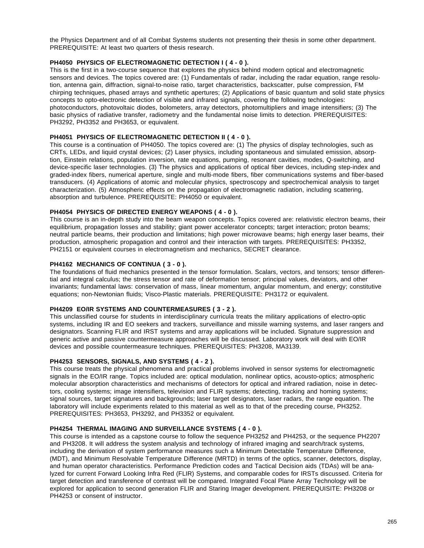the Physics Department and of all Combat Systems students not presenting their thesis in some other department. PREREQUISITE: At least two quarters of thesis research.

# **PH4050 PHYSICS OF ELECTROMAGNETIC DETECTION I ( 4 - 0 ).**

This is the first in a two-course sequence that explores the physics behind modern optical and electromagnetic sensors and devices. The topics covered are: (1) Fundamentals of radar, including the radar equation, range resolution, antenna gain, diffraction, signal-to-noise ratio, target characteristics, backscatter, pulse compression, FM chirping techniques, phased arrays and synthetic apertures; (2) Applications of basic quantum and solid state physics concepts to opto-electronic detection of visible and infrared signals, covering the following technologies: photoconductors, photovoltaic diodes, bolometers, array detectors, photomultipliers and image intensifiers; (3) The basic physics of radiative transfer, radiometry and the fundamental noise limits to detection. PREREQUISITES: PH3292, PH3352 and PH3653, or equivalent.

# **PH4051 PHYSICS OF ELECTROMAGNETIC DETECTION II ( 4 - 0 ).**

This course is a continuation of PH4050. The topics covered are: (1) The physics of display technologies, such as CRTs, LEDs, and liquid crystal devices; (2) Laser physics, including spontaneous and simulated emission, absorption, Einstein relations, population inversion, rate equations, pumping, resonant cavities, modes, Q-switching, and device-specific laser technologies. (3) The physics and applications of optical fiber devices, including step-index and graded-index fibers, numerical aperture, single and multi-mode fibers, fiber communications systems and fiber-based transducers. (4) Applications of atomic and molecular physics, spectroscopy and spectrochemical analysis to target characterization. (5) Atmospheric effects on the propagation of electromagnetic radiation, including scattering, absorption and turbulence. PREREQUISITE: PH4050 or equivalent.

# **PH4054 PHYSICS OF DIRECTED ENERGY WEAPONS ( 4 - 0 ).**

This course is an in-depth study into the beam weapon concepts. Topics covered are: relativistic electron beams, their equilibrium, propagation losses and stability; giant power accelerator concepts; target interaction; proton beams; neutral particle beams, their production and limitations; high power microwave beams; high energy laser beams, their production, atmospheric propagation and control and their interaction with targets. PREREQUISITES: PH3352, PH2151 or equivalent courses in electromagnetism and mechanics, SECRET clearance.

# **PH4162 MECHANICS OF CONTINUA ( 3 - 0 ).**

The foundations of fluid mechanics presented in the tensor formulation. Scalars, vectors, and tensors; tensor differential and integral calculus; the stress tensor and rate of deformation tensor; principal values, deviators, and other invariants; fundamental laws: conservation of mass, linear momentum, angular momentum, and energy; constitutive equations; non-Newtonian fluids; Visco-Plastic materials. PREREQUISITE: PH3172 or equivalent.

### **PH4209 EO/IR SYSTEMS AND COUNTERMEASURES ( 3 - 2 ).**

This unclassified course for students in interdisciplinary curricula treats the military applications of electro-optic systems, including IR and EO seekers and trackers, surveillance and missile warning systems, and laser rangers and designators. Scanning FLIR and IRST systems and array applications will be included. Signature suppression and generic active and passive countermeasure approaches will be discussed. Laboratory work will deal with EO/IR devices and possible countermeasure techniques. PREREQUISITES: PH3208, MA3139.

# **PH4253 SENSORS, SIGNALS, AND SYSTEMS ( 4 - 2 ).**

This course treats the physical phenomena and practical problems involved in sensor systems for electromagnetic signals in the EO/IR range. Topics included are: optical modulation, nonlinear optics, acousto-optics; atmospheric molecular absorption characteristics and mechanisms of detectors for optical and infrared radiation, noise in detectors, cooling systems; image intensifiers, television and FLIR systems; detecting, tracking and homing systems; signal sources, target signatures and backgrounds; laser target designators, laser radars, the range equation. The laboratory will include experiments related to this material as well as to that of the preceding course, PH3252. PREREQUISITES: PH3653, PH3292, and PH3352 or equivalent.

### **PH4254 THERMAL IMAGING AND SURVEILLANCE SYSTEMS ( 4 - 0 ).**

This course is intended as a capstone course to follow the sequence PH3252 and PH4253, or the sequence PH2207 and PH3208. It will address the system analysis and technology of infrared imaging and search/track systems, including the derivation of system performance measures such a Minimum Detectable Temperature Difference, (MDT), and Minimum Resolvable Temperature Difference (MRTD) in terms of the optics, scanner, detectors, display, and human operator characteristics. Performance Prediction codes and Tactical Decision aids (TDAs) will be analyzed for current Forward Looking Infra Red (FLIR) Systems, and comparable codes for IRSTs discussed. Criteria for target detection and transference of contrast will be compared. Integrated Focal Plane Array Technology will be explored for application to second generation FLIR and Staring Imager development. PREREQUISITE: PH3208 or PH4253 or consent of instructor.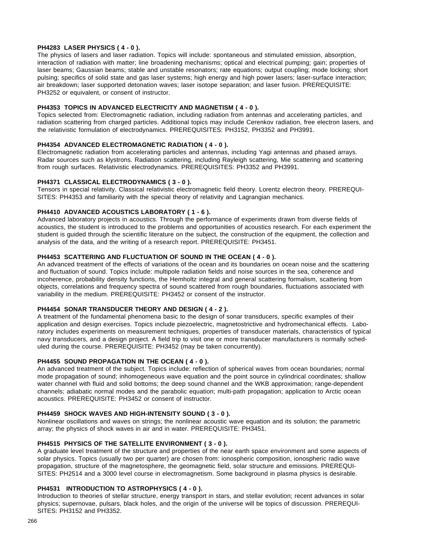# **PH4283 LASER PHYSICS ( 4 - 0 ).**

The physics of lasers and laser radiation. Topics will include: spontaneous and stimulated emission, absorption, interaction of radiation with matter; line broadening mechanisms; optical and electrical pumping; gain; properties of laser beams; Gaussian beams; stable and unstable resonators; rate equations; output coupling; mode locking; short pulsing; specifics of solid state and gas laser systems; high energy and high power lasers; laser-surface interaction; air breakdown; laser supported detonation waves; laser isotope separation; and laser fusion. PREREQUISITE: PH3252 or equivalent, or consent of instructor.

### **PH4353 TOPICS IN ADVANCED ELECTRICITY AND MAGNETISM ( 4 - 0 ).**

Topics selected from: Electromagnetic radiation, including radiation from antennas and accelerating particles, and radiation scattering from charged particles. Additional topics may include Cerenkov radiation, free electron lasers, and the relativistic formulation of electrodynamics. PREREQUISITES: PH3152, PH3352 and PH3991.

# **PH4354 ADVANCED ELECTROMAGNETIC RADIATION ( 4 - 0 ).**

Electromagnetic radiation from accelerating particles and antennas, including Yagi antennas and phased arrays. Radar sources such as klystrons. Radiation scattering, including Rayleigh scattering, Mie scattering and scattering from rough surfaces. Relativistic electrodynamics. PREREQUISITES: PH3352 and PH3991.

# **PH4371 CLASSICAL ELECTRODYNAMICS ( 3 - 0 ).**

Tensors in special relativity. Classical relativistic electromagnetic field theory. Lorentz electron theory. PREREQUI-SITES: PH4353 and familiarity with the special theory of relativity and Lagrangian mechanics.

### **PH4410 ADVANCED ACOUSTICS LABORATORY ( 1 - 6 ).**

Advanced laboratory projects in acoustics. Through the performance of experiments drawn from diverse fields of acoustics, the student is introduced to the problems and opportunities of acoustics research. For each experiment the student is guided through the scientific literature on the subject, the construction of the equipment, the collection and analysis of the data, and the writing of a research report. PREREQUISITE: PH3451.

### **PH4453 SCATTERING AND FLUCTUATION OF SOUND IN THE OCEAN ( 4 - 0 ).**

An advanced treatment of the effects of variations of the ocean and its boundaries on ocean noise and the scattering and fluctuation of sound. Topics include: multipole radiation fields and noise sources in the sea, coherence and incoherence, probability density functions, the Hemholtz integral and general scattering formalism, scattering from objects, correlations and frequency spectra of sound scattered from rough boundaries, fluctuations associated with variability in the medium. PREREQUISITE: PH3452 or consent of the instructor.

# **PH4454 SONAR TRANSDUCER THEORY AND DESIGN ( 4 - 2 ).**

A treatment of the fundamental phenomena basic to the design of sonar transducers, specific examples of their application and design exercises. Topics include piezoelectric, magnetostrictive and hydromechanical effects. Laboratory includes experiments on measurement techniques, properties of transducer materials, characteristics of typical navy transducers, and a design project. A field trip to visit one or more transducer manufacturers is normally scheduled during the course. PREREQUISITE: PH3452 (may be taken concurrently).

# **PH4455 SOUND PROPAGATION IN THE OCEAN ( 4 - 0 ).**

An advanced treatment of the subject. Topics include: reflection of spherical waves from ocean boundaries; normal mode propagation of sound; inhomogeneous wave equation and the point source in cylindrical coordinates; shallow water channel with fluid and solid bottoms; the deep sound channel and the WKB approximation; range-dependent channels; adiabatic normal modes and the parabolic equation; multi-path propagation; application to Arctic ocean acoustics. PREREQUISITE: PH3452 or consent of instructor.

#### **PH4459 SHOCK WAVES AND HIGH-INTENSITY SOUND ( 3 - 0 ).**

Nonlinear oscillations and waves on strings; the nonlinear acoustic wave equation and its solution; the parametric array; the physics of shock waves in air and in water. PREREQUISITE: PH3451.

### **PH4515 PHYSICS OF THE SATELLITE ENVIRONMENT ( 3 - 0 ).**

A graduate level treatment of the structure and properties of the near earth space environment and some aspects of solar physics. Topics (usually two per quarter) are chosen from: ionospheric composition, ionospheric radio wave propagation, structure of the magnetosphere, the geomagnetic field, solar structure and emissions. PREREQUI-SITES: PH2514 and a 3000 level course in electromagnetism. Some background in plasma physics is desirable.

### **PH4531 INTRODUCTION TO ASTROPHYSICS ( 4 - 0 ).**

Introduction to theories of stellar structure, energy transport in stars, and stellar evolution; recent advances in solar physics; supernovae, pulsars, black holes, and the origin of the universe will be topics of discussion. PREREQUI-SITES: PH3152 and PH3352.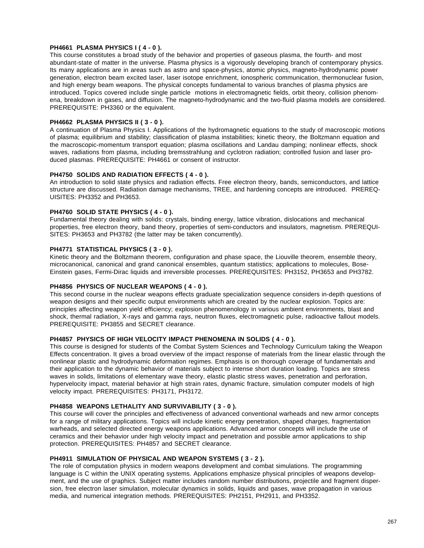# **PH4661 PLASMA PHYSICS I ( 4 - 0 ).**

This course constitutes a broad study of the behavior and properties of gaseous plasma, the fourth- and most abundant-state of matter in the universe. Plasma physics is a vigorously developing branch of contemporary physics. Its many applications are in areas such as astro and space-physics, atomic physics, magneto-hydrodynamic power generation, electron beam excited laser, laser isotope enrichment, ionospheric communication, thermonuclear fusion, and high energy beam weapons. The physical concepts fundamental to various branches of plasma physics are introduced. Topics covered include single particle motions in electromagnetic fields, orbit theory, collision phenomena, breakdown in gases, and diffusion. The magneto-hydrodynamic and the two-fluid plasma models are considered. PREREQUISITE: PH3360 or the equivalent.

# **PH4662 PLASMA PHYSICS II ( 3 - 0 ).**

A continuation of Plasma Physics I. Applications of the hydromagnetic equations to the study of macroscopic motions of plasma; equilibrium and stability; classification of plasma instabilities; kinetic theory, the Boltzmann equation and the macroscopic-momentum transport equation; plasma oscillations and Landau damping; nonlinear effects, shock waves, radiations from plasma, including bremsstrahlung and cyclotron radiation; controlled fusion and laser produced plasmas. PREREQUISITE: PH4661 or consent of instructor.

### **PH4750 SOLIDS AND RADIATION EFFECTS ( 4 - 0 ).**

An introduction to solid state physics and radiation effects. Free electron theory, bands, semiconductors, and lattice structure are discussed. Radiation damage mechanisms, TREE, and hardening concepts are introduced. PREREQ-UISITES: PH3352 and PH3653.

### **PH4760 SOLID STATE PHYSICS ( 4 - 0 ).**

Fundamental theory dealing with solids: crystals, binding energy, lattice vibration, dislocations and mechanical properties, free electron theory, band theory, properties of semi-conductors and insulators, magnetism. PREREQUI-SITES: PH3653 and PH3782 (the latter may be taken concurrently).

# **PH4771 STATISTICAL PHYSICS ( 3 - 0 ).**

Kinetic theory and the Boltzmann theorem, configuration and phase space, the Liouville theorem, ensemble theory, microcanonical, canonical and grand canonical ensembles, quantum statistics; applications to molecules, Bose-Einstein gases, Fermi-Dirac liquids and irreversible processes. PREREQUISITES: PH3152, PH3653 and PH3782.

### **PH4856 PHYSICS OF NUCLEAR WEAPONS ( 4 - 0 ).**

This second course in the nuclear weapons effects graduate specialization sequence considers in-depth questions of weapon designs and their specific output environments which are created by the nuclear explosion. Topics are: principles affecting weapon yield efficiency; explosion phenomenology in various ambient environments, blast and shock, thermal radiation, X-rays and gamma rays, neutron fluxes, electromagnetic pulse, radioactive fallout models. PREREQUISITE: PH3855 and SECRET clearance.

# **PH4857 PHYSICS OF HIGH VELOCITY IMPACT PHENOMENA IN SOLIDS ( 4 - 0 ).**

This course is designed for students of the Combat System Sciences and Technology Curriculum taking the Weapon Effects concentration. It gives a broad overview of the impact response of materials from the linear elastic through the nonlinear plastic and hydrodynamic deformation regimes. Emphasis is on thorough coverage of fundamentals and their application to the dynamic behavior of materials subject to intense short duration loading. Topics are stress waves in solids, limitations of elementary wave theory, elastic plastic stress waves, penetration and perforation, hypervelocity impact, material behavior at high strain rates, dynamic fracture, simulation computer models of high velocity impact. PREREQUISITES: PH3171, PH3172.

### **PH4858 WEAPONS LETHALITY AND SURVIVABILITY ( 3 - 0 ).**

This course will cover the principles and effectiveness of advanced conventional warheads and new armor concepts for a range of military applications. Topics will include kinetic energy penetration, shaped charges, fragmentation warheads, and selected directed energy weapons applications. Advanced armor concepts will include the use of ceramics and their behavior under high velocity impact and penetration and possible armor applications to ship protection. PREREQUISITES: PH4857 and SECRET clearance.

### **PH4911 SIMULATION OF PHYSICAL AND WEAPON SYSTEMS ( 3 - 2 ).**

The role of computation physics in modern weapons development and combat simulations. The programming language is C within the UNIX operating systems. Applications emphasize physical principles of weapons development, and the use of graphics. Subject matter includes random number distributions, projectile and fragment dispersion, free electron laser simulation, molecular dynamics in solids, liquids and gases, wave propagation in various media, and numerical integration methods. PREREQUISITES: PH2151, PH2911, and PH3352.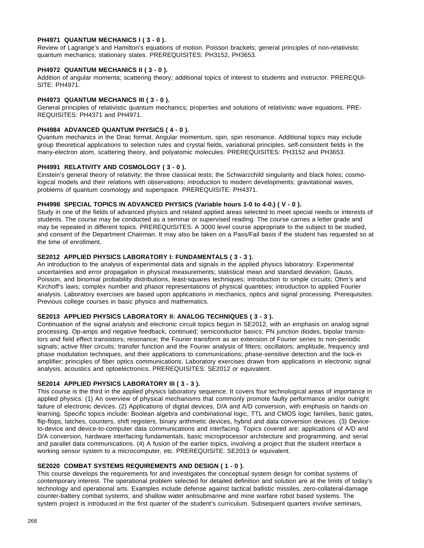### **PH4971 QUANTUM MECHANICS I ( 3 - 0 ).**

Review of Lagrange's and Hamilton's equations of motion. Poisson brackets; general principles of non-relativistic quantum mechanics; stationary states. PREREQUISITES: PH3152, PH3653.

### **PH4972 QUANTUM MECHANICS II ( 3 - 0 ).**

Addition of angular momenta; scattering theory; additional topics of interest to students and instructor. PREREQUI-SITE: PH4971.

# **PH4973 QUANTUM MECHANICS III ( 3 - 0 ).**

General principles of relativistic quantum mechanics; properties and solutions of relativistic wave equations. PRE-REQUISITES: PH4371 and PH4971.

# **PH4984 ADVANCED QUANTUM PHYSICS ( 4 - 0 ).**

Quantum mechanics in the Dirac format. Angular momentum, spin, spin resonance. Additional topics may include group theoretical applications to selection rules and crystal fields, variational principles, self-consistent fields in the many-electron atom, scattering theory, and polyatomic molecules. PREREQUISITES: PH3152 and PH3653.

### **PH4991 RELATIVITY AND COSMOLOGY ( 3 - 0 ).**

Einstein's general theory of relativity; the three classical tests; the Schwarzchild singularity and black holes; cosmological models and their relations with observations; introduction to modern developments; gravitational waves, problems of quantum cosmology and superspace. PREREQUISITE: PH4371.

### **PH4998 SPECIAL TOPICS IN ADVANCED PHYSICS (Variable hours 1-0 to 4-0.) ( V - 0 ).**

Study in one of the fields of advanced physics and related applied areas selected to meet special needs or interests of students. The course may be conducted as a seminar or supervised reading. The course carries a letter grade and may be repeated in different topics. PREREQUISITES: A 3000 level course appropriate to the subject to be studied, and consent of the Department Chairman. It may also be taken on a Pass/Fail basis if the student has requested so at the time of enrollment.

### **SE2012 APPLIED PHYSICS LABORATORY I: FUNDAMENTALS ( 3 - 3 ).**

An introduction to the analysis of experimental data and signals in the applied physics laboratory. Experimental uncertainties and error propagation in physical measurements; statistical mean and standard deviation; Gauss, Poisson, and binomial probability distributions, least-squares techniques; introduction to simple circuits; Ohm's and Kirchoff's laws; complex number and phasor representations of physical quantities; introduction to applied Fourier analysis. Laboratory exercises are based upon applications in mechanics, optics and signal processing. Prerequisites: Previous college courses in basic physics and mathematics.

# **SE2013 APPLIED PHYSICS LABORATORY II: ANALOG TECHNIQUES ( 3 - 3 ).**

Continuation of the signal analysis and electronic circuit topics begun in SE2012, with an emphasis on analog signal processing. Op-amps and negative feedback, continued; semiconductor basics; PN junction diodes, bipolar transistors and field effect transistors; resonance; the Fourier transform as an extension of Fourier series to non-periodic signals; active filter circuits; transfer function and the Fourier analysis of filters; oscillators; amplitude, frequency and phase modulation techniques, and their applications to communications; phase-sensitive detection and the lock-in amplifier; principles of fiber optics communications. Laboratory exercises drawn from applications in electronic signal analysis, acoustics and optoelectronics. PREREQUISITES: SE2012 or equivalent.

### **SE2014 APPLIED PHYSICS LABORATORY III ( 3 - 3 ).**

This course is the third in the applied physics laboratory sequence. It covers four technological areas of importance in applied physics: (1) An overview of physical mechanisms that commonly promote faulty performance and/or outright failure of electronic devices. (2) Applications of digital devices, D/A and A/D conversion, with emphasis on hands-on learning. Specific topics include: Boolean algebra and combinational logic, TTL and CMOS logic families, basic gates, flip-flops, latches, counters, shift registers, binary arithmetic devices, hybrid and data conversion devices. (3) Deviceto-device and device-to-computer data communications and interfacing. Topics covered are: applications of A/D and D/A conversion, hardware interfacing fundamentals, basic microprocessor architecture and programming, and serial and parallel data communications. (4) A fusion of the earlier topics, involving a project that the student interface a working sensor system to a microcomputer, etc. PREREQUISITE: SE2013 or equivalent.

### **SE2020 COMBAT SYSTEMS REQUIREMENTS AND DESIGN ( 1 - 0 ).**

This course develops the requirements for and investigates the conceptual system design for combat systems of contemporary interest. The operational problem selected for detailed definition and solution are at the limits of today's technology and operational arts. Examples include defense against tactical ballistic missiles, zero-collateral-damage counter-battery combat systems, and shallow water antisubmarine and mine warfare robot based systems. The system project is introduced in the first quarter of the student's curriculum. Subsequent quarters involve seminars,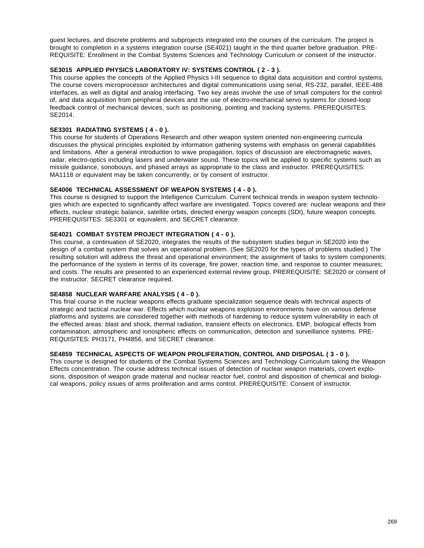guest lectures, and discrete problems and subprojects integrated into the courses of the curriculum. The project is brought to completion in a systems integration course (SE4021) taught in the third quarter before graduation. PRE-REQUISITE: Enrollment in the Combat Systems Sciences and Technology Curriculum or consent of the instructor.

# **SE3015 APPLIED PHYSICS LABORATORY IV: SYSTEMS CONTROL ( 2 - 3 ).**

This course applies the concepts of the Applied Physics I-III sequence to digital data acquisition and control systems. The course covers microprocessor architectures and digital communications using serial, RS-232, parallel, IEEE-488 interfaces, as well as digital and analog interfacing. Two key areas involve the use of small computers for the control of, and data acquisition from peripheral devices and the use of electro-mechanical servo systems for closed-loop feedback control of mechanical devices, such as positioning, pointing and tracking systems. PREREQUISITES: SE2014.

# **SE3301 RADIATING SYSTEMS ( 4 - 0 ).**

This course for students of Operations Research and other weapon system oriented non-engineering curricula discusses the physical principles exploited by information gathering systems with emphasis on general capabilities and limitations. After a general introduction to wave propagation, topics of discussion are electromagnetic waves, radar, electro-optics including lasers and underwater sound. These topics will be applied to specific systems such as missile guidance, sonobouys, and phased arrays as appropriate to the class and instructor. PREREQUISITES: MA1118 or equivalent may be taken concurrently, or by consent of instructor.

### **SE4006 TECHNICAL ASSESSMENT OF WEAPON SYSTEMS ( 4 - 0 ).**

This course is designed to support the Intelligence Curriculum. Current technical trends in weapon system technologies which are expected to significantly affect warfare are investigated. Topics covered are: nuclear weapons and their effects, nuclear strategic balance, satellite orbits, directed energy weapon concepts (SDI), future weapon concepts. PREREQUISITES: SE3301 or equivalent, and SECRET clearance.

# **SE4021 COMBAT SYSTEM PROJECT INTEGRATION ( 4 - 0 ).**

This course, a continuation of SE2020, integrates the results of the subsystem studies begun in SE2020 into the design of a combat system that solves an operational problem. (See SE2020 for the types of problems studied.) The resulting solution will address the threat and operational environment; the assignment of tasks to system components; the performance of the system in terms of its coverage, fire power, reaction time, and response to counter measures; and costs. The results are presented to an experienced external review group. PREREQUISITE: SE2020 or consent of the instructor. SECRET clearance required.

### **SE4858 NUCLEAR WARFARE ANALYSIS ( 4 - 0 ).**

This final course in the nuclear weapons effects graduate specialization sequence deals with technical aspects of strategic and tactical nuclear war. Effects which nuclear weapons explosion environments have on various defense platforms and systems are considered together with methods of hardening to reduce system vulnerability in each of the effected areas: blast and shock, thermal radiation, transient effects on electronics. EMP, biological effects from contamination, atmospheric and ionospheric effects on communication, detection and surveillance systems. PRE-REQUISITES: PH3171, PH4856, and SECRET clearance.

# **SE4859 TECHNICAL ASPECTS OF WEAPON PROLIFERATION, CONTROL AND DISPOSAL ( 3 - 0 ).**

This course is designed for students of the Combat Systems Sciences and Technology Curriculum taking the Weapon Effects concentration. The course address technical issues of detection of nuclear weapon materials, covert explosions, disposition of weapon grade material and nuclear reactor fuel, control and disposition of chemical and biological weapons, policy issues of arms proliferation and arms control. PREREQUISITE: Consent of instructor.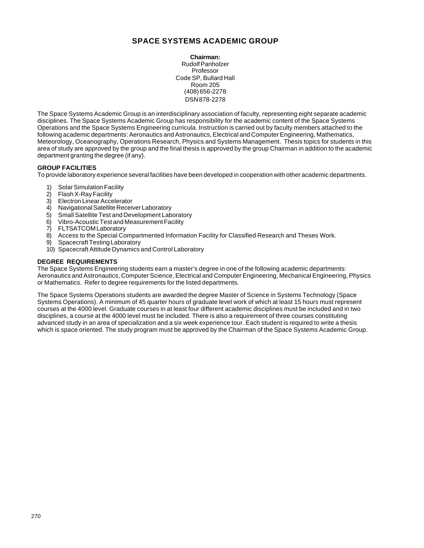# **SPACE SYSTEMS ACADEMIC GROUP**

**Chairman:** Rudolf Panholzer Professor Code SP, Bullard Hall Room 205 (408) 656-2278 DSN 878-2278

The Space Systems Academic Group is an interdisciplinary association of faculty, representing eight separate academic disciplines. The Space Systems Academic Group has responsibility for the academic content of the Space Systems Operations and the Space Systems Engineering curricula. Instruction is carried out by faculty members attached to the following academic departments: Aeronautics and Astronautics, Electrical and Computer Engineering, Mathematics, Meteorology, Oceanography, Operations Research, Physics and Systems Management. Thesis topics for students in this area of study are approved by the group and the final thesis is approved by the group Chairman in addition to the academic department granting the degree (if any).

# **GROUP FACILITIES**

To provide laboratory experience several facilities have been developed in cooperation with other academic departments.

- 1) Solar Simulation Facility<br>2) Flash X-Ray Facility
- Flash X-Ray Facility
- 3) Electron Linear Accelerator
- 4) Navigational Satellite Receiver Laboratory
- 5) Small Satellite Test and Development Laboratory
- 6) Vibro-Acoustic Test and Measurement Facility
- 7) FLTSATCOM Laboratory
- 8) Access to the Special Compartmented Information Facility for Classified Research and Theses Work.
- 9) Spacecraft Testing Laboratory
- 10) Spacecraft Attitude Dynamics and Control Laboratory

### **DEGREE REQUIREMENTS**

The Space Systems Engineering students earn a master's degree in one of the following academic departments: Aeronautics and Astronautics, Computer Science, Electrical and Computer Engineering, Mechanical Engineering, Physics or Mathematics. Refer to degree requirements for the listed departments.

The Space Systems Operations students are awarded the degree Master of Science in Systems Technology (Space Systems Operations). A minimum of 45 quarter hours of graduate level work of which at least 15 hours must represent courses at the 4000 level. Graduate courses in at least four different academic disciplines must be included and in two disciplines, a course at the 4000 level must be included. There is also a requirement of three courses constituting advanced study in an area of specialization and a six week experience tour. Each student is required to write a thesis which is space oriented. The study program must be approved by the Chairman of the Space Systems Academic Group.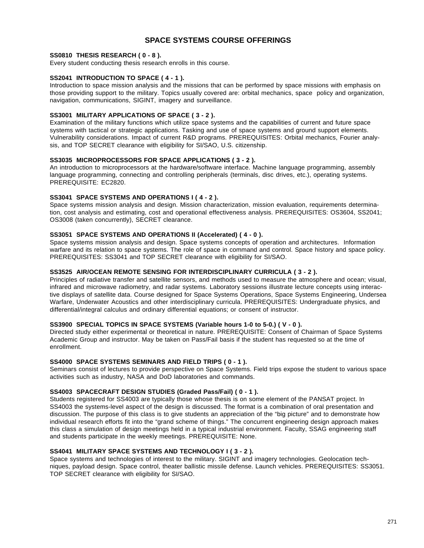# **SPACE SYSTEMS COURSE OFFERINGS**

### **SS0810 THESIS RESEARCH ( 0 - 8 ).**

Every student conducting thesis research enrolls in this course.

# **SS2041 INTRODUCTION TO SPACE ( 4 - 1 ).**

Introduction to space mission analysis and the missions that can be performed by space missions with emphasis on those providing support to the military. Topics usually covered are: orbital mechanics, space policy and organization, navigation, communications, SIGINT, imagery and surveillance.

### **SS3001 MILITARY APPLICATIONS OF SPACE ( 3 - 2 ).**

Examination of the military functions which utilize space systems and the capabilities of current and future space systems with tactical or strategic applications. Tasking and use of space systems and ground support elements. Vulnerability considerations. Impact of current R&D programs. PREREQUISITES: Orbital mechanics, Fourier analysis, and TOP SECRET clearance with eligibility for SI/SAO, U.S. citizenship.

### **SS3035 MICROPROCESSORS FOR SPACE APPLICATIONS ( 3 - 2 ).**

An introduction to microprocessors at the hardware/software interface. Machine language programming, assembly language programming, connecting and controlling peripherals (terminals, disc drives, etc.), operating systems. PREREQUISITE: EC2820.

# **SS3041 SPACE SYSTEMS AND OPERATIONS I ( 4 - 2 ).**

Space systems mission analysis and design. Mission characterization, mission evaluation, requirements determination, cost analysis and estimating, cost and operational effectiveness analysis. PREREQUISITES: OS3604, SS2041; OS3008 (taken concurrently), SECRET clearance.

# **SS3051 SPACE SYSTEMS AND OPERATIONS II (Accelerated) ( 4 - 0 ).**

Space systems mission analysis and design. Space systems concepts of operation and architectures. Information warfare and its relation to space systems. The role of space in command and control. Space history and space policy. PREREQUISITES: SS3041 and TOP SECRET clearance with eligibility for SI/SAO.

### **SS3525 AIR/OCEAN REMOTE SENSING FOR INTERDISCIPLINARY CURRICULA ( 3 - 2 ).**

Principles of radiative transfer and satellite sensors, and methods used to measure the atmosphere and ocean; visual, infrared and microwave radiometry, and radar systems. Laboratory sessions illustrate lecture concepts using interactive displays of satellite data. Course designed for Space Systems Operations, Space Systems Engineering, Undersea Warfare, Underwater Acoustics and other interdisciplinary curricula. PREREQUISITES: Undergraduate physics, and differential/integral calculus and ordinary differential equations; or consent of instructor.

# **SS3900 SPECIAL TOPICS IN SPACE SYSTEMS (Variable hours 1-0 to 5-0.) ( V - 0 ).**

Directed study either experimental or theoretical in nature. PREREQUISITE: Consent of Chairman of Space Systems Academic Group and instructor. May be taken on Pass/Fail basis if the student has requested so at the time of enrollment.

### **SS4000 SPACE SYSTEMS SEMINARS AND FIELD TRIPS ( 0 - 1 ).**

Seminars consist of lectures to provide perspective on Space Systems. Field trips expose the student to various space activities such as industry, NASA and DoD laboratories and commands.

# **SS4003 SPACECRAFT DESIGN STUDIES (Graded Pass/Fail) ( 0 - 1 ).**

Students registered for SS4003 are typically those whose thesis is on some element of the PANSAT project. In SS4003 the systems-level aspect of the design is discussed. The format is a combination of oral presentation and discussion. The purpose of this class is to give students an appreciation of the "big picture" and to demonstrate how individual research efforts fit into the "grand scheme of things." The concurrent engineering design approach makes this class a simulation of design meetings held in a typical industrial environment. Faculty, SSAG engineering staff and students participate in the weekly meetings. PREREQUISITE: None.

### **SS4041 MILITARY SPACE SYSTEMS AND TECHNOLOGY I ( 3 - 2 ).**

Space systems and technologies of interest to the military. SIGINT and imagery technologies. Geolocation techniques, payload design. Space control, theater ballistic missile defense. Launch vehicles. PREREQUISITES: SS3051. TOP SECRET clearance with eligibility for SI/SAO.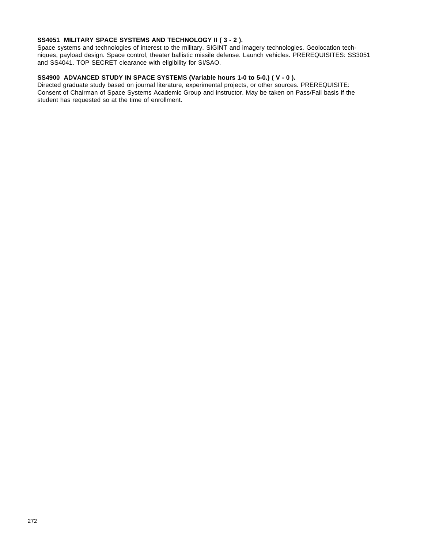# **SS4051 MILITARY SPACE SYSTEMS AND TECHNOLOGY II ( 3 - 2 ).**

Space systems and technologies of interest to the military. SIGINT and imagery technologies. Geolocation techniques, payload design. Space control, theater ballistic missile defense. Launch vehicles. PREREQUISITES: SS3051 and SS4041. TOP SECRET clearance with eligibility for SI/SAO.

# **SS4900 ADVANCED STUDY IN SPACE SYSTEMS (Variable hours 1-0 to 5-0.) ( V - 0 ).**

Directed graduate study based on journal literature, experimental projects, or other sources. PREREQUISITE: Consent of Chairman of Space Systems Academic Group and instructor. May be taken on Pass/Fail basis if the student has requested so at the time of enrollment.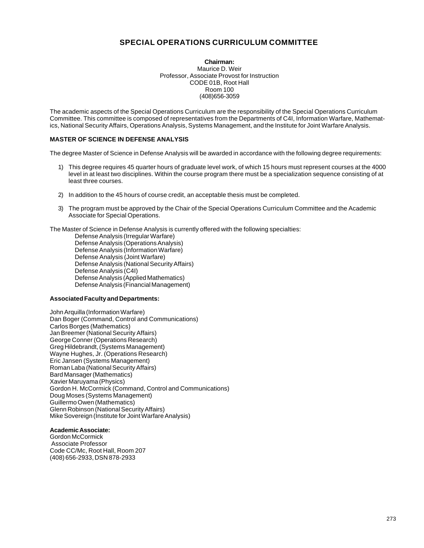# **SPECIAL OPERATIONS CURRICULUM COMMITTEE**

**Chairman:** Maurice D. Weir Professor, Associate Provost for Instruction CODE 01B, Root Hall Room 100 (408)656-3059

The academic aspects of the Special Operations Curriculum are the responsibility of the Special Operations Curriculum Committee. This committee is composed of representatives from the Departments of C4I, Information Warfare, Mathematics, National Security Affairs, Operations Analysis, Systems Management, and the Institute for Joint Warfare Analysis.

### **MASTER OF SCIENCE IN DEFENSE ANALYSIS**

The degree Master of Science in Defense Analysis will be awarded in accordance with the following degree requirements:

- 1) This degree requires 45 quarter hours of graduate level work, of which 15 hours must represent courses at the 4000 level in at least two disciplines. Within the course program there must be a specialization sequence consisting of at least three courses.
- 2) In addition to the 45 hours of course credit, an acceptable thesis must be completed.
- 3) The program must be approved by the Chair of the Special Operations Curriculum Committee and the Academic Associate for Special Operations.

The Master of Science in Defense Analysis is currently offered with the following specialties:

Defense Analysis (Irregular Warfare) Defense Analysis (Operations Analysis) Defense Analysis (Information Warfare) Defense Analysis (Joint Warfare) Defense Analysis (National Security Affairs) Defense Analysis (C4I) Defense Analysis (Applied Mathematics) Defense Analysis (Financial Management)

#### **Associated Faculty and Departments:**

John Arquilla (Information Warfare) Dan Boger (Command, Control and Communications) Carlos Borges (Mathematics) Jan Breemer (National Security Affairs) George Conner (Operations Research) Greg Hildebrandt, (Systems Management) Wayne Hughes, Jr. (Operations Research) Eric Jansen (Systems Management) Roman Laba (National Security Affairs) Bard Mansager (Mathematics) Xavier Maruyama (Physics) Gordon H. McCormick (Command, Control and Communications) Doug Moses (Systems Management) Guillermo Owen (Mathematics) Glenn Robinson (National Security Affairs) Mike Sovereign (Institute for Joint Warfare Analysis)

# **Academic Associate:**

Gordon McCormick Associate Professor Code CC/Mc, Root Hall, Room 207 (408) 656-2933, DSN 878-2933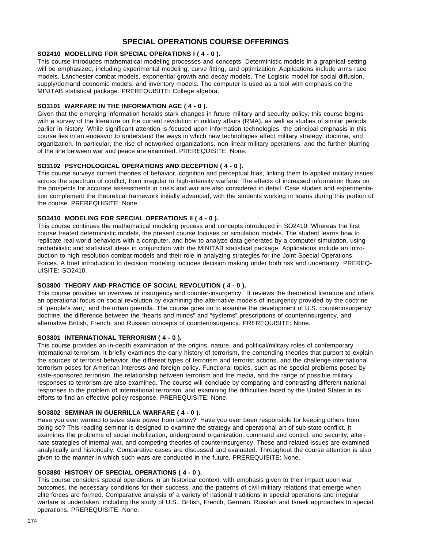# **SPECIAL OPERATIONS COURSE OFFERINGS**

# **SO2410 MODELLING FOR SPECIAL OPERATIONS I ( 4 - 0 ).**

This course introduces mathematical modeling processes and concepts. Deterministic models in a graphical setting will be emphasized, including experimental modeling, curve fitting, and optimization. Applications include arms race models, Lanchester combat models, exponential growth and decay models, The Logistic model for social diffusion, supply/demand economic models, and inventory models. The computer is used as a tool with emphasis on the MINITAB statistical package. PREREQUISITE: College algebra.

# **SO3101 WARFARE IN THE INFORMATION AGE ( 4 - 0 ).**

Given that the emerging information heralds stark changes in future military and security policy, this course begins with a survey of the literature on the current revolution in military affairs (RMA), as well as studies of similar periods earlier in history. While significant attention is focused upon information technologies, the principal emphasis in this course lies in an endeavor to understand the ways in which new technologies affect military strategy, doctrine, and organization. In particular, the rise of networked organizations, non-linear military operations, and the further blurring of the line between war and peace are examined. PREREQUISITE: None.

# **SO3102 PSYCHOLOGICAL OPERATIONS AND DECEPTION ( 4 - 0 ).**

This course surveys current theories of behavior, cognition and perceptual bias, linking them to applied military issues across the spectrum of conflict, from irregular to high-intensity warfare. The effects of increased information flows on the prospects for accurate assessments in crisis and war are also considered in detail. Case studies and experimentation complement the theoretical framework initially advanced, with the students working in teams during this portion of the course. PREREQUISITE: None.

# **SO3410 MODELING FOR SPECIAL OPERATIONS II ( 4 - 0 ).**

This course continues the mathematical modeling process and concepts introduced in SO2410. Whereas the first course treated deterministic models, the present course focuses on simulation models. The student learns how to replicate real world behaviors with a computer, and how to analyze data generated by a computer simulation, using probabilistic and statistical ideas in conjunction with the MINITAB statistical package. Applications include an introduction to high resolution combat models and their role in analyzing strategies for the Joint Special Operations Forces. A brief introduction to decision modeling includes decision making under both risk and uncertainty. PREREQ-UISITE: SO2410.

# **SO3800 THEORY AND PRACTICE OF SOCIAL REVOLUTION ( 4 - 0 ).**

This course provides an overview of insurgency and counter-insurgency. It reviews the theoretical literature and offers an operational focus on social revolution by examining the alternative models of insurgency provided by the doctrine of "people's war," and the urban guerrilla. The course goes on to examine the development of U.S. counterinsurgency doctrine, the difference between the "hearts and minds" and "systems" prescriptions of counterinsurgency, and alternative British, French, and Russian concepts of counterinsurgency. PREREQUISITE: None.

### **SO3801 INTERNATIONAL TERRORISM ( 4 - 0 ).**

This course provides an in-depth examination of the origins, nature, and political/military roles of contemporary international terrorism. It briefly examines the early history of terrorism, the contending theories that purport to explain the sources of terrorist behavior, the different types of terrorism and terrorist actions, and the challenge international terrorism poses for American interests and foreign policy. Functional topics, such as the special problems posed by state-sponsored terrorism, the relationship between terrorism and the media, and the range of possible military responses to terrorism are also examined. The course will conclude by comparing and contrasting different national responses to the problem of international terrorism, and examining the difficulties faced by the United States in its efforts to find an effective policy response. PREREQUISITE: None.

# **SO3802 SEMINAR IN GUERRILLA WARFARE ( 4 - 0 ).**

Have you ever wanted to seize state power from below? Have you ever been responsible for keeping others from doing so? This reading seminar is designed to examine the strategy and operational art of sub-state conflict. It examines the problems of social mobilization, underground organization, command and control, and security; alternate strategies of internal war, and competing theories of counterinsurgency. These and related issues are examined analytically and historically. Comparative cases are discussed and evaluated. Throughout the course attention is also given to the manner in which such wars are conducted in the future. PREREQUISITE: None.

### **SO3880 HISTORY OF SPECIAL OPERATIONS ( 4 - 0 ).**

This course considers special operations in an historical context, with emphasis given to their impact upon war outcomes, the necessary conditions for their success, and the patterns of civil-military relations that emerge when elite forces are formed. Comparative analysis of a variety of national traditions in special operations and irregular warfare is undertaken, including the study of U.S., British, French, German, Russian and Israeli approaches to special operations. PREREQUISITE: None.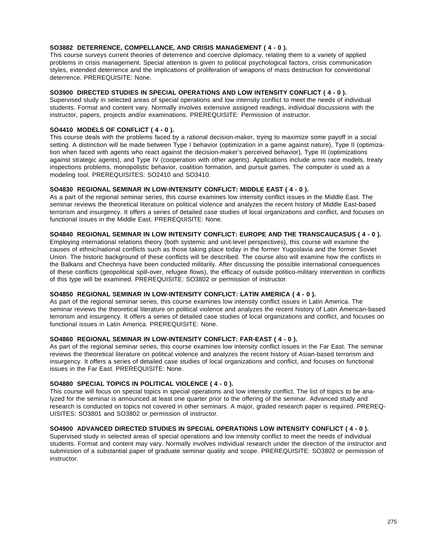# **SO3882 DETERRENCE, COMPELLANCE, AND CRISIS MANAGEMENT ( 4 - 0 ).**

This course surveys current theories of deterrence and coercive diplomacy, relating them to a variety of applied problems in crisis management. Special attention is given to political psychological factors, crisis communication styles, extended deterrence and the implications of proliferation of weapons of mass destruction for conventional deterrence. PREREQUISITE: None.

### **SO3900 DIRECTED STUDIES IN SPECIAL OPERATIONS AND LOW INTENSITY CONFLICT ( 4 - 0 ).**

Supervised study in selected areas of special operations and low intensity conflict to meet the needs of individual students. Format and content vary. Normally involves extensive assigned readings, individual discussions with the instructor, papers, projects and/or examinations. PREREQUISITE: Permission of instructor.

# **SO4410 MODELS OF CONFLICT ( 4 - 0 ).**

This course deals with the problems faced by a rational decision-maker, trying to maximize some payoff in a social setting. A distinction will be made between Type I behavior (optimization in a game against nature), Type II (optimization when faced with agents who react against the decision-maker's perceived behavior), Type III (optimizations against strategic agents), and Type IV (cooperation with other agents). Applications include arms race models, treaty inspections problems, monopolistic behavior, coalition formation, and pursuit games. The computer is used as a modeling tool. PREREQUISITES: SO2410 and SO3410.

### **SO4830 REGIONAL SEMINAR IN LOW-INTENSITY CONFLICT: MIDDLE EAST ( 4 - 0 ).**

As a part of the regional seminar series, this course examines low intensity conflict issues in the Middle East. The seminar reviews the theoretical literature on political violence and analyzes the recent history of Middle East-based terrorism and insurgency. It offers a series of detailed case studies of local organizations and conflict, and focuses on functional issues in the Middle East. PREREQUISITE: None.

### **SO4840 REGIONAL SEMINAR IN LOW INTENSITY CONFLICT: EUROPE AND THE TRANSCAUCASUS ( 4 - 0 ).**

Employing international relations theory (both systemic and unit-level perspectives), this course will examine the causes of ethnic/national conflicts such as those taking place today in the former Yugoslavia and the former Soviet Union. The historic background of these conflicts will be described. The course also will examine how the conflicts in the Balkans and Chechnya have been conducted militarily. After discussing the possible international consequences of these conflicts (geopolitical spill-over, refugee flows), the efficacy of outside politico-military intervention in conflicts of this type will be examined. PREREQUISITE: SO3802 or permission of instructor.

### **SO4850 REGIONAL SEMINAR IN LOW-INTENSITY CONFLICT: LATIN AMERICA ( 4 - 0 ).**

As part of the regional seminar series, this course examines low intensity conflict issues in Latin America. The seminar reviews the theoretical literature on political violence and analyzes the recent history of Latin American-based terrorism and insurgency. It offers a series of detailed case studies of local organizations and conflict, and focuses on functional issues in Latin America. PREREQUISITE: None.

# **SO4860 REGIONAL SEMINAR IN LOW-INTENSITY CONFLICT: FAR-EAST ( 4 - 0 ).**

As part of the regional seminar series, this course examines low intensity conflict issues in the Far East. The seminar reviews the theoretical literature on political violence and analyzes the recent history of Asian-based terrorism and insurgency. It offers a series of detailed case studies of local organizations and conflict, and focuses on functional issues in the Far East. PREREQUISITE: None.

### **SO4880 SPECIAL TOPICS IN POLITICAL VIOLENCE ( 4 - 0 ).**

This course will focus on special topics in special operations and low intensity conflict. The list of topics to be analyzed for the seminar is announced at least one quarter prior to the offering of the seminar. Advanced study and research is conducted on topics not covered in other seminars. A major, graded research paper is required. PREREQ-UISITES: SO3801 and SO3802 or permission of instructor.

### **SO4900 ADVANCED DIRECTED STUDIES IN SPECIAL OPERATIONS LOW INTENSITY CONFLICT ( 4 - 0 ).**

Supervised study in selected areas of special operations and low intensity conflict to meet the needs of individual students. Format and content may vary. Normally involves individual research under the direction of the instructor and submission of a substantial paper of graduate seminar quality and scope. PREREQUISITE: SO3802 or permission of instructor.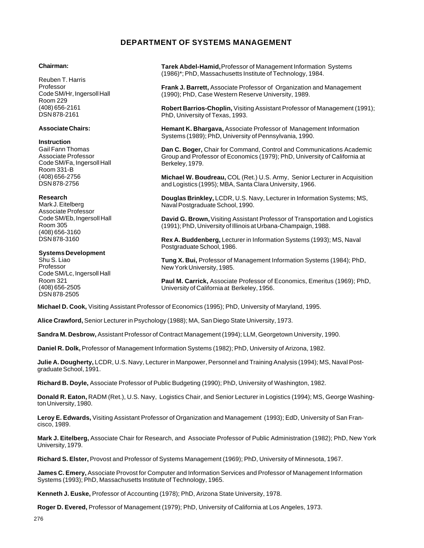# **DEPARTMENT OF SYSTEMS MANAGEMENT**

### **Chairman:**

Reuben T. Harris Professor Code SM/Hr, Ingersoll Hall Room 229 (408) 656-2161 DSN 878-2161

### **Associate Chairs:**

### **Instruction**

Gail Fann Thomas Associate Professor Code SM/Fa, Ingersoll Hall Room 331-B (408) 656-2756 DSN 878-2756

### **Research**

Mark J. Eitelberg Associate Professor Code SM/Eb, Ingersoll Hall Room 305 (408) 656-3160 DSN 878-3160

### **Systems Development**

Shu S. Liao Professor Code SM/Lc, Ingersoll Hall Room 321 (408) 656-2505 DSN 878-2505

**Tarek Abdel-Hamid,** Professor of Management Information Systems (1986)\*; PhD, Massachusetts Institute of Technology, 1984.

**Frank J. Barrett,** Associate Professor of Organization and Management (1990); PhD, Case Western Reserve University, 1989.

**Robert Barrios-Choplin,** Visiting Assistant Professor of Management (1991); PhD, University of Texas, 1993.

**Hemant K. Bhargava,** Associate Professor of Management Information Systems (1989); PhD, University of Pennsylvania, 1990.

**Dan C. Boger,** Chair for Command, Control and Communications Academic Group and Professor of Economics (1979); PhD, University of California at Berkeley, 1979.

**Michael W. Boudreau,** COL (Ret.) U.S. Army, Senior Lecturer in Acquisition and Logistics (1995); MBA, Santa Clara University, 1966.

**Douglas Brinkley,** LCDR, U.S. Navy, Lecturer in Information Systems; MS, Naval Postgraduate School, 1990.

**David G. Brown,** Visiting Assistant Professor of Transportation and Logistics (1991); PhD, University of Illinois at Urbana-Champaign, 1988.

**Rex A. Buddenberg,** Lecturer in Information Systems (1993); MS, Naval Postgraduate School, 1986.

**Tung X. Bui,** Professor of Management Information Systems (1984); PhD, New York University, 1985.

**Paul M. Carrick,** Associate Professor of Economics, Emeritus (1969); PhD, University of California at Berkeley, 1956.

**Michael D. Cook,** Visiting Assistant Professor of Economics (1995); PhD, University of Maryland, 1995.

**Alice Crawford,** Senior Lecturer in Psychology (1988); MA, San Diego State University, 1973.

**Sandra M. Desbrow,** Assistant Professor of Contract Management (1994); LLM, Georgetown University, 1990.

**Daniel R. Dolk,** Professor of Management Information Systems (1982); PhD, University of Arizona, 1982.

**Julie A. Dougherty,** LCDR, U.S. Navy, Lecturer in Manpower, Personnel and Training Analysis (1994); MS, Naval Postgraduate School, 1991.

**Richard B. Doyle,** Associate Professor of Public Budgeting (1990); PhD, University of Washington, 1982.

**Donald R. Eaton,** RADM (Ret.), U.S. Navy, Logistics Chair, and Senior Lecturer in Logistics (1994); MS, George Washington University, 1980.

**Leroy E. Edwards,** Visiting Assistant Professor of Organization and Management (1993); EdD, University of San Francisco, 1989.

**Mark J. Eitelberg,** Associate Chair for Research, and Associate Professor of Public Administration (1982); PhD, New York University, 1979.

**Richard S. Elster,** Provost and Professor of Systems Management (1969); PhD, University of Minnesota, 1967.

**James C. Emery,** Associate Provost for Computer and Information Services and Professor of Management Information Systems (1993); PhD, Massachusetts Institute of Technology, 1965.

**Kenneth J. Euske,** Professor of Accounting (1978); PhD, Arizona State University, 1978.

**Roger D. Evered,** Professor of Management (1979); PhD, University of California at Los Angeles, 1973.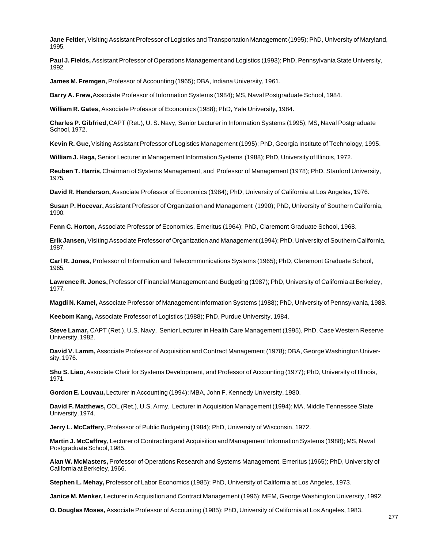**Jane Feitler,** Visiting Assistant Professor of Logistics and Transportation Management (1995); PhD, University of Maryland, 1995.

**Paul J. Fields,** Assistant Professor of Operations Management and Logistics (1993); PhD, Pennsylvania State University, 1992.

**James M. Fremgen,** Professor of Accounting (1965); DBA, Indiana University, 1961.

**Barry A. Frew,** Associate Professor of Information Systems (1984); MS, Naval Postgraduate School, 1984.

**William R. Gates,** Associate Professor of Economics (1988); PhD, Yale University, 1984.

**Charles P. Gibfried,** CAPT (Ret.), U. S. Navy, Senior Lecturer in Information Systems (1995); MS, Naval Postgraduate School, 1972.

**Kevin R. Gue,** Visiting Assistant Professor of Logistics Management (1995); PhD, Georgia Institute of Technology, 1995.

**William J. Haga,** Senior Lecturer in Management Information Systems (1988); PhD, University of Illinois, 1972.

**Reuben T. Harris,** Chairman of Systems Management, and Professor of Management (1978); PhD, Stanford University, 1975.

**David R. Henderson,** Associate Professor of Economics (1984); PhD, University of California at Los Angeles, 1976.

**Susan P. Hocevar,** Assistant Professor of Organization and Management (1990); PhD, University of Southern California, 1990.

**Fenn C. Horton,** Associate Professor of Economics, Emeritus (1964); PhD, Claremont Graduate School, 1968.

**Erik Jansen,** Visiting Associate Professor of Organization and Management (1994); PhD, University of Southern California, 1987.

**Carl R. Jones,** Professor of Information and Telecommunications Systems (1965); PhD, Claremont Graduate School, 1965.

**Lawrence R. Jones,** Professor of Financial Management and Budgeting (1987); PhD, University of California at Berkeley, 1977.

**Magdi N. Kamel,** Associate Professor of Management Information Systems (1988); PhD, University of Pennsylvania, 1988.

**Keebom Kang,** Associate Professor of Logistics (1988); PhD, Purdue University, 1984.

**Steve Lamar,** CAPT (Ret.), U.S. Navy, Senior Lecturer in Health Care Management (1995), PhD, Case Western Reserve University, 1982.

**David V. Lamm,** Associate Professor of Acquisition and Contract Management (1978); DBA, George Washington University, 1976.

**Shu S. Liao,** Associate Chair for Systems Development, and Professor of Accounting (1977); PhD, University of Illinois, 1971.

**Gordon E. Louvau,** Lecturer in Accounting (1994); MBA, John F. Kennedy University, 1980.

**David F. Matthews,** COL (Ret.), U.S. Army, Lecturer in Acquisition Management (1994); MA, Middle Tennessee State University, 1974.

**Jerry L. McCaffery,** Professor of Public Budgeting (1984); PhD, University of Wisconsin, 1972.

**Martin J. McCaffrey,** Lecturer of Contracting and Acquisition and Management Information Systems (1988); MS, Naval Postgraduate School, 1985.

**Alan W. McMasters,** Professor of Operations Research and Systems Management, Emeritus (1965); PhD, University of California at Berkeley, 1966.

**Stephen L. Mehay,** Professor of Labor Economics (1985); PhD, University of California at Los Angeles, 1973.

**Janice M. Menker,** Lecturer in Acquisition and Contract Management (1996); MEM, George Washington University, 1992.

**O. Douglas Moses,** Associate Professor of Accounting (1985); PhD, University of California at Los Angeles, 1983.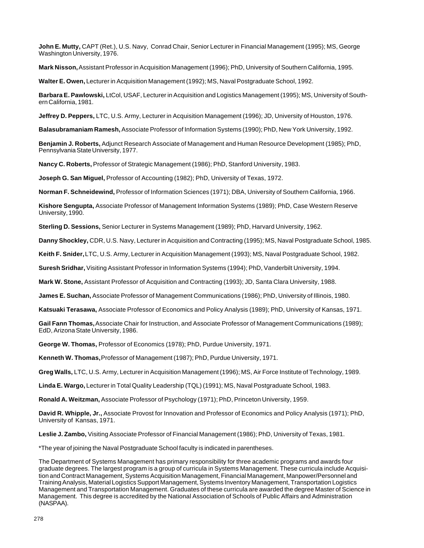**John E. Mutty,** CAPT (Ret.), U.S. Navy, Conrad Chair, Senior Lecturer in Financial Management (1995); MS, George Washington University, 1976.

**Mark Nisson,** Assistant Professor in Acquisition Management (1996); PhD, University of Southern California, 1995.

**Walter E. Owen,** Lecturer in Acquisition Management (1992); MS, Naval Postgraduate School, 1992.

**Barbara E. Pawlowski,** LtCol, USAF, Lecturer in Acquisition and Logistics Management (1995); MS, University of Southern California, 1981.

**Jeffrey D. Peppers,** LTC, U.S. Army, Lecturer in Acquisition Management (1996); JD, University of Houston, 1976.

**Balasubramaniam Ramesh,** Associate Professor of Information Systems (1990); PhD, New York University, 1992.

**Benjamin J. Roberts,** Adjunct Research Associate of Management and Human Resource Development (1985); PhD, Pennsylvania State University, 1977.

**Nancy C. Roberts,** Professor of Strategic Management (1986); PhD, Stanford University, 1983.

**Joseph G. San Miguel,** Professor of Accounting (1982); PhD, University of Texas, 1972.

**Norman F. Schneidewind,** Professor of Information Sciences (1971); DBA, University of Southern California, 1966.

**Kishore Sengupta,** Associate Professor of Management Information Systems (1989); PhD, Case Western Reserve University, 1990.

**Sterling D. Sessions,** Senior Lecturer in Systems Management (1989); PhD, Harvard University, 1962.

**Danny Shockley,** CDR, U.S. Navy, Lecturer in Acquisition and Contracting (1995); MS, Naval Postgraduate School, 1985.

**Keith F. Snider,** LTC, U.S. Army, Lecturer in Acquisition Management (1993); MS, Naval Postgraduate School, 1982.

**Suresh Sridhar,** Visiting Assistant Professor in Information Systems (1994); PhD, Vanderbilt University, 1994.

**Mark W. Stone,** Assistant Professor of Acquisition and Contracting (1993); JD, Santa Clara University, 1988.

**James E. Suchan,** Associate Professor of Management Communications (1986); PhD, University of Illinois, 1980.

**Katsuaki Terasawa,** Associate Professor of Economics and Policy Analysis (1989); PhD, University of Kansas, 1971.

**Gail Fann Thomas,** Associate Chair for Instruction, and Associate Professor of Management Communications (1989); EdD, Arizona State University, 1986.

**George W. Thomas,** Professor of Economics (1978); PhD, Purdue University, 1971.

**Kenneth W. Thomas,** Professor of Management (1987); PhD, Purdue University, 1971.

**Greg Walls,** LTC, U.S. Army, Lecturer in Acquisition Management (1996); MS, Air Force Institute of Technology, 1989.

**Linda E. Wargo,** Lecturer in Total Quality Leadership (TQL) (1991); MS, Naval Postgraduate School, 1983.

**Ronald A. Weitzman,** Associate Professor of Psychology (1971); PhD, Princeton University, 1959.

**David R. Whipple, Jr.,** Associate Provost for Innovation and Professor of Economics and Policy Analysis (1971); PhD, University of Kansas, 1971.

**Leslie J. Zambo,** Visiting Associate Professor of Financial Management (1986); PhD, University of Texas, 1981.

\*The year of joining the Naval Postgraduate School faculty is indicated in parentheses.

The Department of Systems Management has primary responsibility for three academic programs and awards four graduate degrees. The largest program is a group of curricula in Systems Management. These curricula include Acquisition and Contract Management, Systems Acquisition Management, Financial Management, Manpower/Personnel and Training Analysis, Material Logistics Support Management, Systems Inventory Management, Transportation Logistics Management and Transportation Management. Graduates of these curricula are awarded the degree Master of Science in Management. This degree is accredited by the National Association of Schools of Public Affairs and Administration (NASPAA).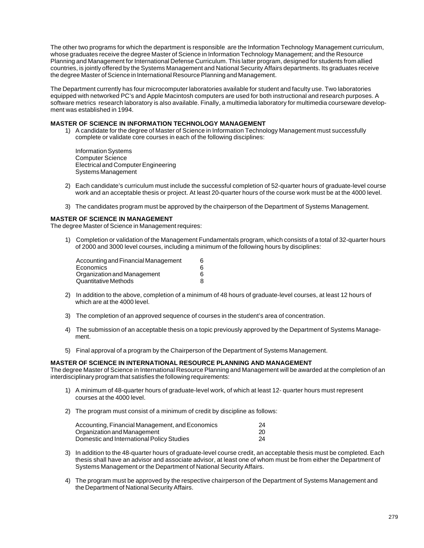The other two programs for which the department is responsible are the Information Technology Management curriculum, whose graduates receive the degree Master of Science in Information Technology Management; and the Resource Planning and Management for International Defense Curriculum. This latter program, designed for students from allied countries, is jointly offered by the Systems Management and National Security Affairs departments. Its graduates receive the degree Master of Science in International Resource Planning and Management.

The Department currently has four microcomputer laboratories available for student and faculty use. Two laboratories equipped with networked PC's and Apple Macintosh computers are used for both instructional and research purposes. A software metrics research laboratory is also available. Finally, a multimedia laboratory for multimedia courseware development was established in 1994.

# **MASTER OF SCIENCE IN INFORMATION TECHNOLOGY MANAGEMENT**

1) A candidate for the degree of Master of Science in Information Technology Management must successfully complete or validate core courses in each of the following disciplines:

Information Systems Computer Science Electrical and Computer Engineering Systems Management

- 2) Each candidate's curriculum must include the successful completion of 52-quarter hours of graduate-level course work and an acceptable thesis or project. At least 20-quarter hours of the course work must be at the 4000 level.
- 3) The candidates program must be approved by the chairperson of the Department of Systems Management.

### **MASTER OF SCIENCE IN MANAGEMENT**

The degree Master of Science in Management requires:

1) Completion or validation of the Management Fundamentals program, which consists of a total of 32-quarter hours of 2000 and 3000 level courses, including a minimum of the following hours by disciplines:

| Accounting and Financial Management<br>Economics<br>Organization and Management | 6      |
|---------------------------------------------------------------------------------|--------|
|                                                                                 | 6<br>6 |
|                                                                                 |        |

- 2) In addition to the above, completion of a minimum of 48 hours of graduate-level courses, at least 12 hours of which are at the 4000 level.
- 3) The completion of an approved sequence of courses in the student's area of concentration.
- 4) The submission of an acceptable thesis on a topic previously approved by the Department of Systems Management.
- 5) Final approval of a program by the Chairperson of the Department of Systems Management.

# **MASTER OF SCIENCE IN INTERNATIONAL RESOURCE PLANNING AND MANAGEMENT**

The degree Master of Science in International Resource Planning and Management will be awarded at the completion of an interdisciplinary program that satisfies the following requirements:

- 1) A minimum of 48-quarter hours of graduate-level work, of which at least 12- quarter hours must represent courses at the 4000 level.
- 2) The program must consist of a minimum of credit by discipline as follows:

| Accounting, Financial Management, and Economics<br>Organization and Management<br>Domestic and International Policy Studies | 24<br>20<br>24 |
|-----------------------------------------------------------------------------------------------------------------------------|----------------|
|-----------------------------------------------------------------------------------------------------------------------------|----------------|

- 3) In addition to the 48-quarter hours of graduate-level course credit, an acceptable thesis must be completed. Each thesis shall have an advisor and associate advisor, at least one of whom must be from either the Department of Systems Management or the Department of National Security Affairs.
- 4) The program must be approved by the respective chairperson of the Department of Systems Management and the Department of National Security Affairs.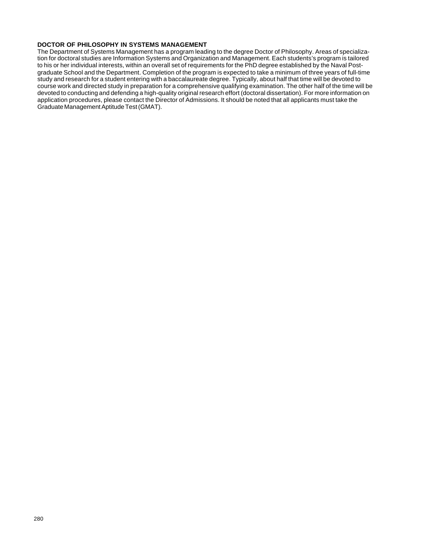### **DOCTOR OF PHILOSOPHY IN SYSTEMS MANAGEMENT**

The Department of Systems Management has a program leading to the degree Doctor of Philosophy. Areas of specialization for doctoral studies are Information Systems and Organization and Management. Each students's program is tailored to his or her individual interests, within an overall set of requirements for the PhD degree established by the Naval Postgraduate School and the Department. Completion of the program is expected to take a minimum of three years of full-time study and research for a student entering with a baccalaureate degree. Typically, about half that time will be devoted to course work and directed study in preparation for a comprehensive qualifying examination. The other half of the time will be devoted to conducting and defending a high-quality original research effort (doctoral dissertation). For more information on application procedures, please contact the Director of Admissions. It should be noted that all applicants must take the Graduate Management Aptitude Test (GMAT).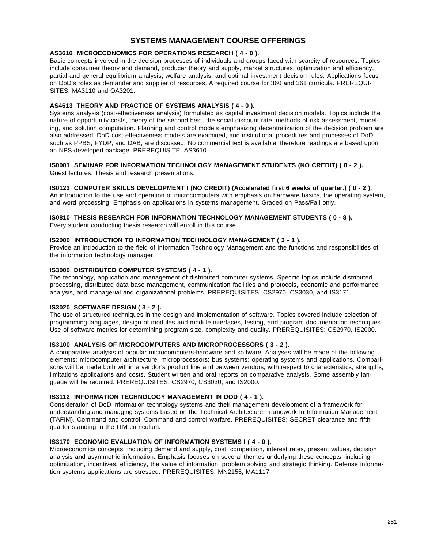# **SYSTEMS MANAGEMENT COURSE OFFERINGS**

# **AS3610 MICROECONOMICS FOR OPERATIONS RESEARCH ( 4 - 0 ).**

Basic concepts involved in the decision processes of individuals and groups faced with scarcity of resources. Topics include consumer theory and demand, producer theory and supply, market structures, optimization and efficiency, partial and general equilibrium analysis, welfare analysis, and optimal investment decision rules. Applications focus on DoD's roles as demander and supplier of resources. A required course for 360 and 361 curricula. PREREQUI-SITES: MA3110 and OA3201.

# **AS4613 THEORY AND PRACTICE OF SYSTEMS ANALYSIS ( 4 - 0 ).**

Systems analysis (cost-effectiveness analysis) formulated as capital investment decision models. Topics include the nature of opportunity costs, theory of the second best, the social discount rate, methods of risk assessment, modeling, and solution computation. Planning and control models emphasizing decentralization of the decision problem are also addressed. DoD cost effectiveness models are examined, and institutional procedures and processes of DoD, such as PPBS, FYDP, and DAB, are discussed. No commercial text is available, therefore readings are based upon an NPS-developed package. PREREQUISITE: AS3610.

# **IS0001 SEMINAR FOR INFORMATION TECHNOLOGY MANAGEMENT STUDENTS (NO CREDIT) ( 0 - 2 ).**

Guest lectures. Thesis and research presentations.

# **IS0123 COMPUTER SKILLS DEVELOPMENT I (NO CREDIT) (Accelerated first 6 weeks of quarter.) ( 0 - 2 ).**

An introduction to the use and operation of microcomputers with emphasis on hardware basics, the operating system, and word processing. Emphasis on applications in systems management. Graded on Pass/Fail only.

# **IS0810 THESIS RESEARCH FOR INFORMATION TECHNOLOGY MANAGEMENT STUDENTS ( 0 - 8 ).**

Every student conducting thesis research will enroll in this course.

# **IS2000 INTRODUCTION TO INFORMATION TECHNOLOGY MANAGEMENT ( 3 - 1 ).**

Provide an introduction to the field of Information Technology Management and the functions and responsibilities of the information technology manager.

# **IS3000 DISTRIBUTED COMPUTER SYSTEMS ( 4 - 1 ).**

The technology, application and management of distributed computer systems. Specific topics include distributed processing, distributed data base management, communication facilities and protocols, economic and performance analysis, and managerial and organizational problems. PREREQUISITES: CS2970, CS3030, and IS3171.

# **IS3020 SOFTWARE DESIGN ( 3 - 2 ).**

The use of structured techniques in the design and implementation of software. Topics covered include selection of programming languages, design of modules and module interfaces, testing, and program documentation techniques. Use of software metrics for determining program size, complexity and quality. PREREQUISITES: CS2970, IS2000.

# **IS3100 ANALYSIS OF MICROCOMPUTERS AND MICROPROCESSORS ( 3 - 2 ).**

A comparative analysis of popular microcomputers-hardware and software. Analyses will be made of the following elements: microcomputer architecture; microprocessors; bus systems; operating systems and applications. Comparisons will be made both within a vendor's product line and between vendors, with respect to characteristics, strengths, limitations applications and costs. Student written and oral reports on comparative analysis. Some assembly language will be required. PREREQUISITES: CS2970, CS3030, and IS2000.

# **IS3112 INFORMATION TECHNOLOGY MANAGEMENT IN DOD ( 4 - 1 ).**

Consideration of DoD information technology systems and their management development of a framework for understanding and managing systems based on the Technical Architecture Framework In Information Management (TAFIM). Command and control. Command and control warfare. PREREQUISITES: SECRET clearance and fifth quarter standing in the ITM curriculum.

# **IS3170 ECONOMIC EVALUATION OF INFORMATION SYSTEMS I ( 4 - 0 ).**

Microeconomics concepts, including demand and supply, cost, competition, interest rates, present values, decision analysis and asymmetric information. Emphasis focuses on several themes underlying these concepts, including optimization, incentives, efficiency, the value of information, problem solving and strategic thinking. Defense information systems applications are stressed. PREREQUISITES: MN2155, MA1117.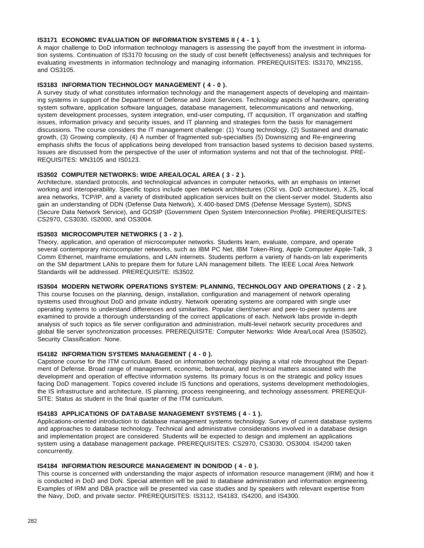# **IS3171 ECONOMIC EVALUATION OF INFORMATION SYSTEMS II ( 4 - 1 ).**

A major challenge to DoD information technology managers is assessing the payoff from the investment in information systems. Continuation of IS3170 focusing on the study of cost benefit (effectiveness) analysis and techniques for evaluating investments in information technology and managing information. PREREQUISITES: IS3170, MN2155, and OS3105.

# **IS3183 INFORMATION TECHNOLOGY MANAGEMENT ( 4 - 0 ).**

A survey study of what constitutes information technology and the management aspects of developing and maintaining systems in support of the Department of Defense and Joint Services. Technology aspects of hardware, operating system software, application software languages, database management, telecommunications and networking, system development processes, system integration, end-user computing, IT acquisition, IT organization and staffing issues, information privacy and security issues, and IT planning and strategies form the basis for management discussions. The course considers the IT management challenge: (1) Young technology, (2) Sustained and dramatic growth, (3) Growing complexity, (4) A number of fragmented sub-specialties (5) Downsizing and Re-engineering emphasis shifts the focus of applications being developed from transaction based systems to decision based systems. Issues are discussed from the perspective of the user of information systems and not that of the technologist. PRE-REQUISITES: MN3105 and IS0123.

# **IS3502 COMPUTER NETWORKS: WIDE AREA/LOCAL AREA ( 3 - 2 ).**

Architecture, standard protocols, and technological advances in computer networks, with an emphasis on internet working and interoperability. Specific topics include open network architectures (OSI vs. DoD architecture), X.25, local area networks, TCP/IP, and a variety of distributed application services built on the client-server model. Students also gain an understanding of DDN (Defense Data Network), X.400-based DMS (Defense Message System), SDNS (Secure Data Network Service), and GOSIP (Government Open System Interconnection Profile). PREREQUISITES: CS2970, CS3030, IS2000, and OS3004.

# **IS3503 MICROCOMPUTER NETWORKS ( 3 - 2 ).**

Theory, application, and operation of microcomputer networks. Students learn, evaluate, compare, and operate several contemporary microcomputer networks, such as IBM PC Net, IBM Token-Ring, Apple Computer Apple-Talk, 3 Comm Ethernet, mainframe emulations, and LAN internets. Students perform a variety of hands-on lab experiments on the SM department LANs to prepare them for future LAN management billets. The IEEE Local Area Network Standards will be addressed. PREREQUISITE: IS3502.

# **IS3504 MODERN NETWORK OPERATIONS SYSTEM: PLANNING, TECHNOLOGY AND OPERATIONS ( 2 - 2 ).**

This course focuses on the planning, design, installation, configuration and management of network operating systems used throughout DoD and private industry. Network operating systems are compared with single user operating systems to understand differences and similarities. Popular client/server and peer-to-peer systems are examined to provide a thorough understanding of the correct applications of each. Network labs provide in-depth analysis of such topics as file server configuration and administration, multi-level network security procedures and global file server synchronization processes. PREREQUISITE: Computer Networks: Wide Area/Local Area (IS3502). Security Classification: None.

# **IS4182 INFORMATION SYSTEMS MANAGEMENT ( 4 - 0 ).**

Capstone course for the ITM curriculum. Based on information technology playing a vital role throughout the Department of Defense. Broad range of management, economic, behavioral, and technical matters associated with the development and operation of effective information systems. Its primary focus is on the strategic and policy issues facing DoD management. Topics covered include IS functions and operations, systems development methodologies, the IS infrastructure and architecture, IS planning, process reengineering, and technology assessment. PREREQUI-SITE: Status as student in the final quarter of the ITM curriculum.

### **IS4183 APPLICATIONS OF DATABASE MANAGEMENT SYSTEMS ( 4 - 1 ).**

Applications-oriented introduction to database management systems technology. Survey of current database systems and approaches to database technology. Technical and administrative considerations involved in a database design and implementation project are considered. Students will be expected to design and implement an applications system using a database management package. PREREQUISITES: CS2970, CS3030, OS3004. IS4200 taken concurrently.

# **IS4184 INFORMATION RESOURCE MANAGEMENT IN DON/DOD ( 4 - 0 ).**

This course is concerned with understanding the major aspects of information resource management (IRM) and how it is conducted in DoD and DoN. Special attention will be paid to database administration and information engineering. Examples of IRM and DBA practice will be presented via case studies and by speakers with relevant expertise from the Navy, DoD, and private sector. PREREQUISITES: IS3112, IS4183, IS4200, and IS4300.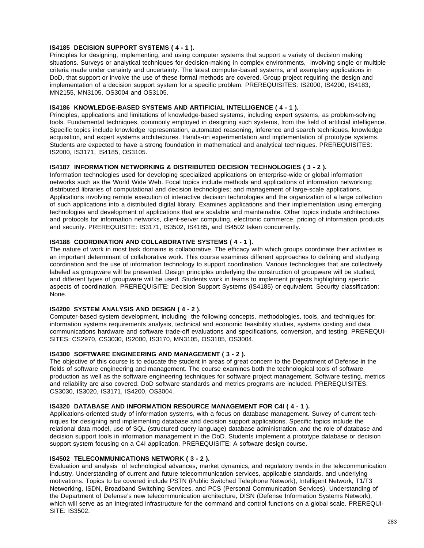# **IS4185 DECISION SUPPORT SYSTEMS ( 4 - 1 ).**

Principles for designing, implementing, and using computer systems that support a variety of decision making situations. Surveys or analytical techniques for decision-making in complex environments, involving single or multiple criteria made under certainty and uncertainty. The latest computer-based systems, and exemplary applications in DoD, that support or involve the use of these formal methods are covered. Group project requiring the design and implementation of a decision support system for a specific problem. PREREQUISITES: IS2000, IS4200, IS4183, MN2155, MN3105, OS3004 and OS3105.

# **IS4186 KNOWLEDGE-BASED SYSTEMS AND ARTIFICIAL INTELLIGENCE ( 4 - 1 ).**

Principles, applications and limitations of knowledge-based systems, including expert systems, as problem-solving tools. Fundamental techniques, commonly employed in designing such systems, from the field of artificial intelligence. Specific topics include knowledge representation, automated reasoning, inference and search techniques, knowledge acquisition, and expert systems architectures. Hands-on experimentation and implementation of prototype systems. Students are expected to have a strong foundation in mathematical and analytical techniques. PREREQUISITES: IS2000, IS3171, IS4185, OS3105.

### **IS4187 INFORMATION NETWORKING & DISTRIBUTED DECISION TECHNOLOGIES ( 3 - 2 ).**

Information technologies used for developing specialized applications on enterprise-wide or global information networks such as the World Wide Web. Focal topics include methods and applications of information networking; distributed libraries of computational and decision technologies; and management of large-scale applications. Applications involving remote execution of interactive decision technologies and the organization of a large collection of such applications into a distributed digital library. Examines applications and their implementation using emerging technologies and development of applications that are scalable and maintainable. Other topics include architectures and protocols for information networks, client-server computing, electronic commerce, pricing of information products and security. PREREQUISITE: IS3171, IS3502, IS4185, and IS4502 taken concurrently.

# **IS4188 COORDINATION AND COLLABORATIVE SYSTEMS ( 4 - 1 ).**

The nature of work in most task domains is collaborative. The efficacy with which groups coordinate their activities is an important determinant of collaborative work. This course examines different approaches to defining and studying coordination and the use of information technology to support coordination. Various technologies that are collectively labeled as groupware will be presented. Design principles underlying the construction of groupware will be studied, and different types of groupware will be used. Students work in teams to implement projects highlighting specific aspects of coordination. PREREQUISITE: Decision Support Systems (IS4185) or equivalent. Security classification: None.

# **IS4200 SYSTEM ANALYSIS AND DESIGN ( 4 - 2 ).**

Computer-based system development, including the following concepts, methodologies, tools, and techniques for: information systems requirements analysis, technical and economic feasibility studies, systems costing and data communications hardware and software trade-off evaluations and specifications, conversion, and testing. PREREQUI-SITES: CS2970, CS3030, IS2000, IS3170, MN3105, OS3105, OS3004.

# **IS4300 SOFTWARE ENGINEERING AND MANAGEMENT ( 3 - 2 ).**

The objective of this course is to educate the student in areas of great concern to the Department of Defense in the fields of software engineering and management. The course examines both the technological tools of software production as well as the software engineering techniques for software project management. Software testing, metrics and reliability are also covered. DoD software standards and metrics programs are included. PREREQUISITES: CS3030, IS3020, IS3171, IS4200, OS3004.

### **IS4320 DATABASE AND INFORMATION RESOURCE MANAGEMENT FOR C4I ( 4 - 1 ).**

Applications-oriented study of information systems, with a focus on database management. Survey of current techniques for designing and implementing database and decision support applications. Specific topics include the relational data model, use of SQL (structured query language) database administration, and the role of database and decision support tools in information management in the DoD. Students implement a prototype database or decision support system focusing on a C4I application. PREREQUISITE: A software design course.

# **IS4502 TELECOMMUNICATIONS NETWORK ( 3 - 2 ).**

Evaluation and analysis of technological advances, market dynamics, and regulatory trends in the telecommunication industry. Understanding of current and future telecommunication services, applicable standards, and underlying motivations. Topics to be covered include PSTN (Public Switched Telephone Network), Intelligent Network, T1/T3 Networking, ISDN, Broadband Switching Services, and PCS (Personal Communication Services). Understanding of the Department of Defense's new telecommunication architecture, DISN (Defense Information Systems Network), which will serve as an integrated infrastructure for the command and control functions on a global scale. PREREQUI-SITE: IS3502.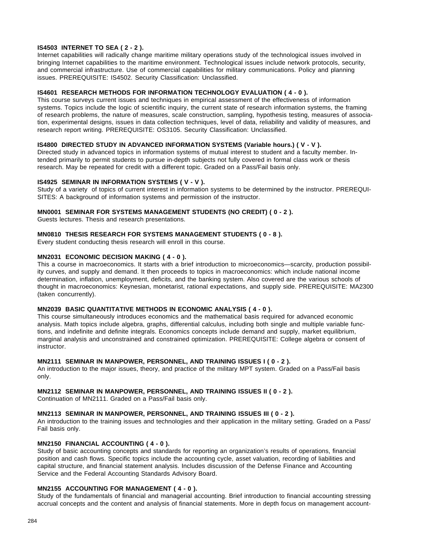# **IS4503 INTERNET TO SEA ( 2 - 2 ).**

Internet capabilities will radically change maritime military operations study of the technological issues involved in bringing Internet capabilities to the maritime environment. Technological issues include network protocols, security, and commercial infrastructure. Use of commercial capabilities for military communications. Policy and planning issues. PREREQUISITE: IS4502. Security Classification: Unclassified.

### **IS4601 RESEARCH METHODS FOR INFORMATION TECHNOLOGY EVALUATION ( 4 - 0 ).**

This course surveys current issues and techniques in empirical assessment of the effectiveness of information systems. Topics include the logic of scientific inquiry, the current state of research information systems, the framing of research problems, the nature of measures, scale construction, sampling, hypothesis testing, measures of association, experimental designs, issues in data collection techniques, level of data, reliability and validity of measures, and research report writing. PREREQUISITE: OS3105. Security Classification: Unclassified.

### **IS4800 DIRECTED STUDY IN ADVANCED INFORMATION SYSTEMS (Variable hours.) ( V - V ).**

Directed study in advanced topics in information systems of mutual interest to student and a faculty member. Intended primarily to permit students to pursue in-depth subjects not fully covered in formal class work or thesis research. May be repeated for credit with a different topic. Graded on a Pass/Fail basis only.

### **IS4925 SEMINAR IN INFORMATION SYSTEMS ( V - V ).**

Study of a variety of topics of current interest in information systems to be determined by the instructor. PREREQUI-SITES: A background of information systems and permission of the instructor.

### **MN0001 SEMINAR FOR SYSTEMS MANAGEMENT STUDENTS (NO CREDIT) ( 0 - 2 ).**

Guests lectures. Thesis and research presentations.

### **MN0810 THESIS RESEARCH FOR SYSTEMS MANAGEMENT STUDENTS ( 0 - 8 ).**

Every student conducting thesis research will enroll in this course.

### **MN2031 ECONOMIC DECISION MAKING ( 4 - 0 ).**

This a course in macroeconomics. It starts with a brief introduction to microeconomics—scarcity, production possibility curves, and supply and demand. It then proceeds to topics in macroeconomics: which include national income determination, inflation, unemployment, deficits, and the banking system. Also covered are the various schools of thought in macroeconomics: Keynesian, monetarist, rational expectations, and supply side. PREREQUISITE: MA2300 (taken concurrently).

### **MN2039 BASIC QUANTITATIVE METHODS IN ECONOMIC ANALYSIS ( 4 - 0 ).**

This course simultaneously introduces economics and the mathematical basis required for advanced economic analysis. Math topics include algebra, graphs, differential calculus, including both single and multiple variable functions, and indefinite and definite integrals. Economics concepts include demand and supply, market equilibrium, marginal analysis and unconstrained and constrained optimization. PREREQUISITE: College algebra or consent of instructor.

### **MN2111 SEMINAR IN MANPOWER, PERSONNEL, AND TRAINING ISSUES I ( 0 - 2 ).**

An introduction to the major issues, theory, and practice of the military MPT system. Graded on a Pass/Fail basis only.

#### **MN2112 SEMINAR IN MANPOWER, PERSONNEL, AND TRAINING ISSUES II ( 0 - 2 ).**

Continuation of MN2111. Graded on a Pass/Fail basis only.

#### **MN2113 SEMINAR IN MANPOWER, PERSONNEL, AND TRAINING ISSUES III ( 0 - 2 ).**

An introduction to the training issues and technologies and their application in the military setting. Graded on a Pass/ Fail basis only.

#### **MN2150 FINANCIAL ACCOUNTING ( 4 - 0 ).**

Study of basic accounting concepts and standards for reporting an organization's results of operations, financial position and cash flows. Specific topics include the accounting cycle, asset valuation, recording of liabilities and capital structure, and financial statement analysis. Includes discussion of the Defense Finance and Accounting Service and the Federal Accounting Standards Advisory Board.

#### **MN2155 ACCOUNTING FOR MANAGEMENT ( 4 - 0 ).**

Study of the fundamentals of financial and managerial accounting. Brief introduction to financial accounting stressing accrual concepts and the content and analysis of financial statements. More in depth focus on management account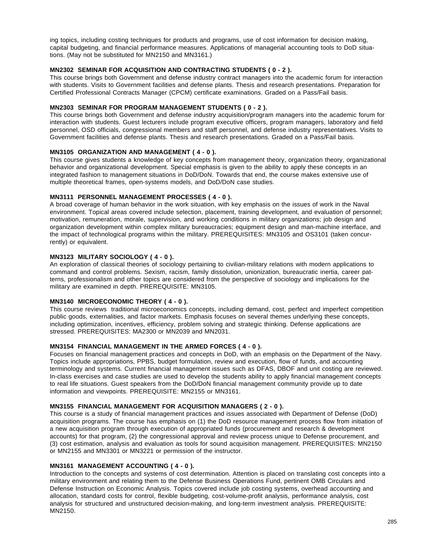ing topics, including costing techniques for products and programs, use of cost information for decision making, capital budgeting, and financial performance measures. Applications of managerial accounting tools to DoD situations. (May not be substituted for MN2150 and MN3161.)

# **MN2302 SEMINAR FOR ACQUISITION AND CONTRACTING STUDENTS ( 0 - 2 ).**

This course brings both Government and defense industry contract managers into the academic forum for interaction with students. Visits to Government facilities and defense plants. Thesis and research presentations. Preparation for Certified Professional Contracts Manager (CPCM) certificate examinations. Graded on a Pass/Fail basis.

# **MN2303 SEMINAR FOR PROGRAM MANAGEMENT STUDENTS ( 0 - 2 ).**

This course brings both Government and defense industry acquisition/program managers into the academic forum for interaction with students. Guest lecturers include program executive officers, program managers, laboratory and field personnel, OSD officials, congressional members and staff personnel, and defense industry representatives. Visits to Government facilities and defense plants. Thesis and research presentations. Graded on a Pass/Fail basis.

# **MN3105 ORGANIZATION AND MANAGEMENT ( 4 - 0 ).**

This course gives students a knowledge of key concepts from management theory, organization theory, organizational behavior and organizational development. Special emphasis is given to the ability to apply these concepts in an integrated fashion to management situations in DoD/DoN. Towards that end, the course makes extensive use of multiple theoretical frames, open-systems models, and DoD/DoN case studies.

### **MN3111 PERSONNEL MANAGEMENT PROCESSES ( 4 - 0 ).**

A broad coverage of human behavior in the work situation, with key emphasis on the issues of work in the Naval environment. Topical areas covered include selection, placement, training development, and evaluation of personnel; motivation, remuneration, morale, supervision, and working conditions in military organizations; job design and organization development within complex military bureaucracies; equipment design and man-machine interface, and the impact of technological programs within the military. PREREQUISITES: MN3105 and OS3101 (taken concurrently) or equivalent.

# **MN3123 MILITARY SOCIOLOGY ( 4 - 0 ).**

An exploration of classical theories of sociology pertaining to civilian-military relations with modern applications to command and control problems. Sexism, racism, family dissolution, unionization, bureaucratic inertia, career patterns, professionalism and other topics are considered from the perspective of sociology and implications for the military are examined in depth. PREREQUISITE: MN3105.

# **MN3140 MICROECONOMIC THEORY ( 4 - 0 ).**

This course reviews traditional microeconomics concepts, including demand, cost, perfect and imperfect competition public goods, externalities, and factor markets. Emphasis focuses on several themes underlying these concepts, including optimization, incentives, efficiency, problem solving and strategic thinking. Defense applications are stressed. PREREQUISITES: MA2300 or MN2039 and MN2031.

# **MN3154 FINANCIAL MANAGEMENT IN THE ARMED FORCES ( 4 - 0 ).**

Focuses on financial management practices and concepts in DoD, with an emphasis on the Department of the Navy. Topics include appropriations, PPBS, budget formulation, review and execution, flow of funds, and accounting terminology and systems. Current financial management issues such as DFAS, DBOF and unit costing are reviewed. In-class exercises and case studies are used to develop the students ability to apply financial management concepts to real life situations. Guest speakers from the DoD/DoN financial management community provide up to date information and viewpoints. PREREQUISITE: MN2155 or MN3161.

### **MN3155 FINANCIAL MANAGEMENT FOR ACQUISITION MANAGERS ( 2 - 0 ).**

This course is a study of financial management practices and issues associated with Department of Defense (DoD) acquisition programs. The course has emphasis on (1) the DoD resource management process flow from initiation of a new acquisition program through execution of appropriated funds (procurement and research & development accounts) for that program, (2) the congressional approval and review process unique to Defense procurement, and (3) cost estimation, analysis and evaluation as tools for sound acquisition management. PREREQUISITES: MN2150 or MN2155 and MN3301 or MN3221 or permission of the instructor.

# **MN3161 MANAGEMENT ACCOUNTING ( 4 - 0 ).**

Introduction to the concepts and systems of cost determination. Attention is placed on translating cost concepts into a military environment and relating them to the Defense Business Operations Fund, pertinent OMB Circulars and Defense Instruction on Economic Analysis. Topics covered include job costing systems, overhead accounting and allocation, standard costs for control, flexible budgeting, cost-volume-profit analysis, performance analysis, cost analysis for structured and unstructured decision-making, and long-term investment analysis. PREREQUISITE: MN2150.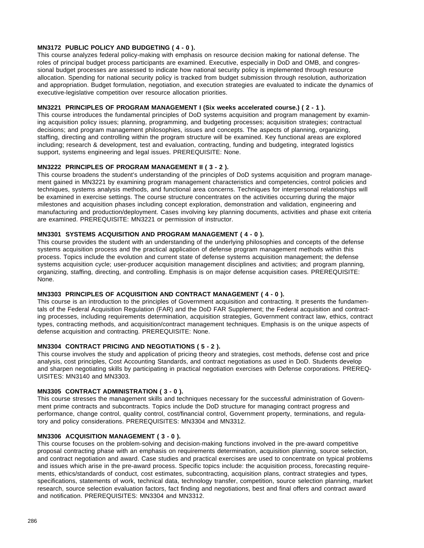# **MN3172 PUBLIC POLICY AND BUDGETING ( 4 - 0 ).**

This course analyzes federal policy-making with emphasis on resource decision making for national defense. The roles of principal budget process participants are examined. Executive, especially in DoD and OMB, and congressional budget processes are assessed to indicate how national security policy is implemented through resource allocation. Spending for national security policy is tracked from budget submission through resolution, authorization and appropriation. Budget formulation, negotiation, and execution strategies are evaluated to indicate the dynamics of executive-legislative competition over resource allocation priorities.

# **MN3221 PRINCIPLES OF PROGRAM MANAGEMENT I (Six weeks accelerated course.) ( 2 - 1 ).**

This course introduces the fundamental principles of DoD systems acquisition and program management by examining acquisition policy issues; planning, programming, and budgeting processes; acquisition strategies; contractual decisions; and program management philosophies, issues and concepts. The aspects of planning, organizing, staffing, directing and controlling within the program structure will be examined. Key functional areas are explored including; research & development, test and evaluation, contracting, funding and budgeting, integrated logistics support, systems engineering and legal issues. PREREQUISITE: None.

### **MN3222 PRINCIPLES OF PROGRAM MANAGEMENT II ( 3 - 2 ).**

This course broadens the student's understanding of the principles of DoD systems acquisition and program management gained in MN3221 by examining program management characteristics and competencies, control policies and techniques, systems analysis methods, and functional area concerns. Techniques for interpersonal relationships will be examined in exercise settings. The course structure concentrates on the activities occurring during the major milestones and acquisition phases including concept exploration, demonstration and validation, engineering and manufacturing and production/deployment. Cases involving key planning documents, activities and phase exit criteria are examined. PREREQUISITE: MN3221 or permission of instructor.

# **MN3301 SYSTEMS ACQUISITION AND PROGRAM MANAGEMENT ( 4 - 0 ).**

This course provides the student with an understanding of the underlying philosophies and concepts of the defense systems acquisition process and the practical application of defense program management methods within this process. Topics include the evolution and current state of defense systems acquisition management; the defense systems acquisition cycle; user-producer acquisition management disciplines and activities; and program planning, organizing, staffing, directing, and controlling. Emphasis is on major defense acquisition cases. PREREQUISITE: None.

# **MN3303 PRINCIPLES OF ACQUISITION AND CONTRACT MANAGEMENT ( 4 - 0 ).**

This course is an introduction to the principles of Government acquisition and contracting. It presents the fundamentals of the Federal Acquisition Regulation (FAR) and the DoD FAR Supplement; the Federal acquisition and contracting processes, including requirements determination, acquisition strategies, Government contract law, ethics, contract types, contracting methods, and acquisition/contract management techniques. Emphasis is on the unique aspects of defense acquisition and contracting. PREREQUISITE: None.

# **MN3304 CONTRACT PRICING AND NEGOTIATIONS ( 5 - 2 ).**

This course involves the study and application of pricing theory and strategies, cost methods, defense cost and price analysis, cost principles, Cost Accounting Standards, and contract negotiations as used in DoD. Students develop and sharpen negotiating skills by participating in practical negotiation exercises with Defense corporations. PREREQ-UISITES: MN3140 and MN3303.

### **MN3305 CONTRACT ADMINISTRATION ( 3 - 0 ).**

This course stresses the management skills and techniques necessary for the successful administration of Government prime contracts and subcontracts. Topics include the DoD structure for managing contract progress and performance, change control, quality control, cost/financial control, Government property, terminations, and regulatory and policy considerations. PREREQUISITES: MN3304 and MN3312.

#### **MN3306 ACQUISITION MANAGEMENT ( 3 - 0 ).**

This course focuses on the problem-solving and decision-making functions involved in the pre-award competitive proposal contracting phase with an emphasis on requirements determination, acquisition planning, source selection, and contract negotiation and award. Case studies and practical exercises are used to concentrate on typical problems and issues which arise in the pre-award process. Specific topics include: the acquisition process, forecasting requirements, ethics/standards of conduct, cost estimates, subcontracting, acquisition plans, contract strategies and types, specifications, statements of work, technical data, technology transfer, competition, source selection planning, market research, source selection evaluation factors, fact finding and negotiations, best and final offers and contract award and notification. PREREQUISITES: MN3304 and MN3312.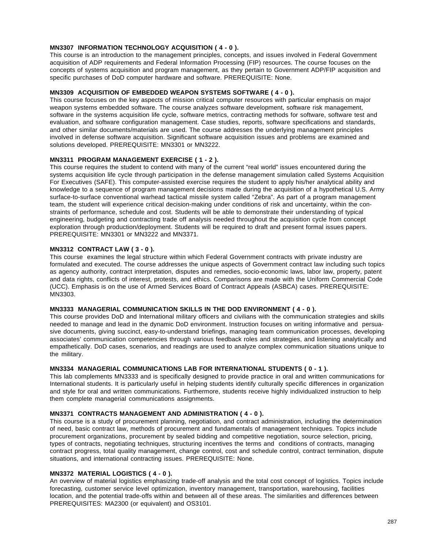# **MN3307 INFORMATION TECHNOLOGY ACQUISITION ( 4 - 0 ).**

This course is an introduction to the management principles, concepts, and issues involved in Federal Government acquisition of ADP requirements and Federal Information Processing (FIP) resources. The course focuses on the concepts of systems acquisition and program management, as they pertain to Government ADP/FIP acquisition and specific purchases of DoD computer hardware and software. PREREQUISITE: None.

# **MN3309 ACQUISITION OF EMBEDDED WEAPON SYSTEMS SOFTWARE ( 4 - 0 ).**

This course focuses on the key aspects of mission critical computer resources with particular emphasis on major weapon systems embedded software. The course analyzes software development, software risk management, software in the systems acquisition life cycle, software metrics, contracting methods for software, software test and evaluation, and software configuration management. Case studies, reports, software specifications and standards, and other similar documents/materials are used. The course addresses the underlying management principles involved in defense software acquisition. Significant software acquisition issues and problems are examined and solutions developed. PREREQUISITE: MN3301 or MN3222.

### **MN3311 PROGRAM MANAGEMENT EXERCISE ( 1 - 2 ).**

This course requires the student to contend with many of the current "real world" issues encountered during the systems acquisition life cycle through participation in the defense management simulation called Systems Acquisition For Executives (SAFE). This computer-assisted exercise requires the student to apply his/her analytical ability and knowledge to a sequence of program management decisions made during the acquisition of a hypothetical U.S. Army surface-to-surface conventional warhead tactical missile system called "Zebra". As part of a program management team, the student will experience critical decision-making under conditions of risk and uncertainty, within the constraints of performance, schedule and cost. Students will be able to demonstrate their understanding of typical engineering, budgeting and contracting trade off analysis needed throughout the acquisition cycle from concept exploration through production/deployment. Students will be required to draft and present formal issues papers. PREREQUISITE: MN3301 or MN3222 and MN3371.

### **MN3312 CONTRACT LAW ( 3 - 0 ).**

This course examines the legal structure within which Federal Government contracts with private industry are formulated and executed. The course addresses the unique aspects of Government contract law including such topics as agency authority, contract interpretation, disputes and remedies, socio-economic laws, labor law, property, patent and data rights, conflicts of interest, protests, and ethics. Comparisons are made with the Uniform Commercial Code (UCC). Emphasis is on the use of Armed Services Board of Contract Appeals (ASBCA) cases. PREREQUISITE: MN3303.

# **MN3333 MANAGERIAL COMMUNICATION SKILLS IN THE DOD ENVIRONMENT ( 4 - 0 ).**

This course provides DoD and International military officers and civilians with the communication strategies and skills needed to manage and lead in the dynamic DoD environment. Instruction focuses on writing informative and persuasive documents, giving succinct, easy-to-understand briefings, managing team communication processes, developing associates' communication competencies through various feedback roles and strategies, and listening analytically and empathetically. DoD cases, scenarios, and readings are used to analyze complex communication situations unique to the military.

# **MN3334 MANAGERIAL COMMUNICATIONS LAB FOR INTERNATIONAL STUDENTS ( 0 - 1 ).**

This lab complements MN3333 and is specifically designed to provide practice in oral and written communications for International students. It is particularly useful in helping students identify culturally specific differences in organization and style for oral and written communications. Furthermore, students receive highly individualized instruction to help them complete managerial communications assignments.

### **MN3371 CONTRACTS MANAGEMENT AND ADMINISTRATION ( 4 - 0 ).**

This course is a study of procurement planning, negotiation, and contract administration, including the determination of need, basic contract law, methods of procurement and fundamentals of management techniques. Topics include procurement organizations, procurement by sealed bidding and competitive negotiation, source selection, pricing, types of contracts, negotiating techniques, structuring incentives the terms and conditions of contracts, managing contract progress, total quality management, change control, cost and schedule control, contract termination, dispute situations, and international contracting issues. PREREQUISITE: None.

### **MN3372 MATERIAL LOGISTICS ( 4 - 0 ).**

An overview of material logistics emphasizing trade-off analysis and the total cost concept of logistics. Topics include forecasting, customer service level optimization, inventory management, transportation, warehousing, facilities location, and the potential trade-offs within and between all of these areas. The similarities and differences between PREREQUISITES: MA2300 (or equivalent) and OS3101.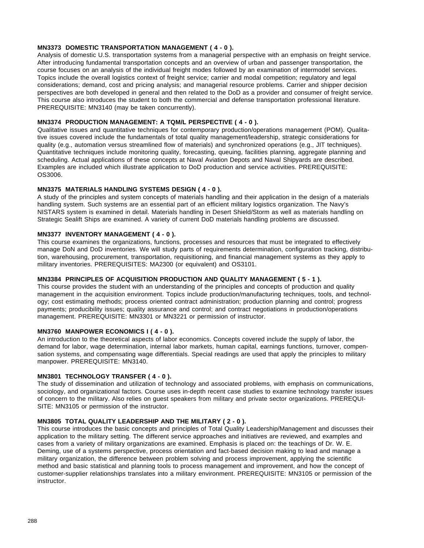# **MN3373 DOMESTIC TRANSPORTATION MANAGEMENT ( 4 - 0 ).**

Analysis of domestic U.S. transportation systems from a managerial perspective with an emphasis on freight service. After introducing fundamental transportation concepts and an overview of urban and passenger transportation, the course focuses on an analysis of the individual freight modes followed by an examination of intermodel services. Topics include the overall logistics context of freight service; carrier and modal competition; regulatory and legal considerations; demand, cost and pricing analysis; and managerial resource problems. Carrier and shipper decision perspectives are both developed in general and then related to the DoD as a provider and consumer of freight service. This course also introduces the student to both the commercial and defense transportation professional literature. PREREQUISITE: MN3140 (may be taken concurrently).

# **MN3374 PRODUCTION MANAGEMENT: A TQM/L PERSPECTIVE ( 4 - 0 ).**

Qualitative issues and quantitative techniques for contemporary production/operations management (POM). Qualitative issues covered include the fundamentals of total quality management/leadership, strategic considerations for quality (e.g., automation versus streamlined flow of materials) and synchronized operations (e.g., JIT techniques). Quantitative techniques include monitoring quality, forecasting, queuing, facilities planning, aggregate planning and scheduling. Actual applications of these concepts at Naval Aviation Depots and Naval Shipyards are described. Examples are included which illustrate application to DoD production and service activities. PREREQUISITE: OS3006.

### **MN3375 MATERIALS HANDLING SYSTEMS DESIGN ( 4 - 0 ).**

A study of the principles and system concepts of materials handling and their application in the design of a materials handling system. Such systems are an essential part of an efficient military logistics organization. The Navy's NISTARS system is examined in detail. Materials handling in Desert Shield/Storm as well as materials handling on Strategic Sealift Ships are examined. A variety of current DoD materials handling problems are discussed.

# **MN3377 INVENTORY MANAGEMENT ( 4 - 0 ).**

This course examines the organizations, functions, processes and resources that must be integrated to effectively manage DoN and DoD inventories. We will study parts of requirements determination, configuration tracking, distribution, warehousing, procurement, transportation, requisitioning, and financial management systems as they apply to military inventories. PREREQUISITES: MA2300 (or equivalent) and OS3101.

### **MN3384 PRINCIPLES OF ACQUISITION PRODUCTION AND QUALITY MANAGEMENT ( 5 - 1 ).**

This course provides the student with an understanding of the principles and concepts of production and quality management in the acquisition environment. Topics include production/manufacturing techniques, tools, and technology; cost estimating methods; process oriented contract administration; production planning and control; progress payments; producibility issues; quality assurance and control; and contract negotiations in production/operations management. PREREQUISITE: MN3301 or MN3221 or permission of instructor.

# **MN3760 MANPOWER ECONOMICS I ( 4 - 0 ).**

An introduction to the theoretical aspects of labor economics. Concepts covered include the supply of labor, the demand for labor, wage determination, internal labor markets, human capital, earnings functions, turnover, compensation systems, and compensating wage differentials. Special readings are used that apply the principles to military manpower. PREREQUISITE: MN3140.

### **MN3801 TECHNOLOGY TRANSFER ( 4 - 0 ).**

The study of dissemination and utilization of technology and associated problems, with emphasis on communications, sociology, and organizational factors. Course uses in-depth recent case studies to examine technology transfer issues of concern to the military. Also relies on guest speakers from military and private sector organizations. PREREQUI-SITE: MN3105 or permission of the instructor.

### **MN3805 TOTAL QUALITY LEADERSHIP AND THE MILITARY ( 2 - 0 ).**

This course introduces the basic concepts and principles of Total Quality Leadership/Management and discusses their application to the military setting. The different service approaches and initiatives are reviewed, and examples and cases from a variety of military organizations are examined. Emphasis is placed on: the teachings of Dr. W. E. Deming, use of a systems perspective, process orientation and fact-based decision making to lead and manage a military organization, the difference between problem solving and process improvement, applying the scientific method and basic statistical and planning tools to process management and improvement, and how the concept of customer-supplier relationships translates into a military environment. PREREQUISITE: MN3105 or permission of the instructor.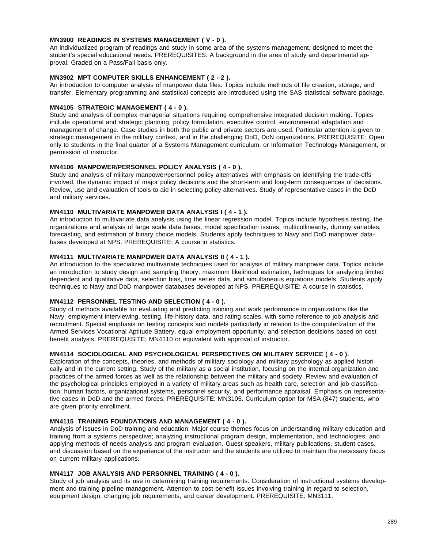#### **MN3900 READINGS IN SYSTEMS MANAGEMENT ( V - 0 ).**

An individualized program of readings and study in some area of the systems management, designed to meet the student's special educational needs. PREREQUISITES: A background in the area of study and departmental approval. Graded on a Pass/Fail basis only.

#### **MN3902 MPT COMPUTER SKILLS ENHANCEMENT ( 2 - 2 ).**

An introduction to computer analysis of manpower data files. Topics include methods of file creation, storage, and transfer. Elementary programming and statistical concepts are introduced using the SAS statistical software package.

#### **MN4105 STRATEGIC MANAGEMENT ( 4 - 0 ).**

Study and analysis of complex managerial situations requiring comprehensive integrated decision making. Topics include operational and strategic planning, policy formulation, executive control, environmental adaptation and management of change. Case studies in both the public and private sectors are used. Particular attention is given to strategic management in the military context, and in the challenging DoD, DoN organizations. PREREQUISITE: Open only to students in the final quarter of a Systems Management curriculum, or Information Technology Management, or permission of instructor.

#### **MN4106 MANPOWER/PERSONNEL POLICY ANALYSIS ( 4 - 0 ).**

Study and analysis of military manpower/personnel policy alternatives with emphasis on identifying the trade-offs involved, the dynamic impact of major policy decisions and the short-term and long-term consequences of decisions. Review, use and evaluation of tools to aid in selecting policy alternatives. Study of representative cases in the DoD and military services.

#### **MN4110 MULTIVARIATE MANPOWER DATA ANALYSIS I ( 4 - 1 ).**

An introduction to multivariate data analysis using the linear regression model. Topics include hypothesis testing, the organizations and analysis of large scale data bases, model specification issues, multicollinearity, dummy variables, forecasting, and estimation of binary choice models. Students apply techniques to Navy and DoD manpower databases developed at NPS. PREREQUISITE: A course in statistics.

#### **MN4111 MULTIVARIATE MANPOWER DATA ANALYSIS II ( 4 - 1 ).**

An introduction to the specialized multivariate techniques used for analysis of military manpower data. Topics include an introduction to study design and sampling theory, maximum likelihood estimation, techniques for analyzing limited dependent and qualitative data, selection bias, time series data, and simultaneous equations models. Students apply techniques to Navy and DoD manpower databases developed at NPS. PREREQUISITE: A course in statistics.

#### **MN4112 PERSONNEL TESTING AND SELECTION ( 4 - 0 ).**

Study of methods available for evaluating and predicting training and work performance in organizations like the Navy: employment interviewing, testing, life-history data, and rating scales, with some reference to job analysis and recruitment. Special emphasis on testing concepts and models particularly in relation to the computerization of the Armed Services Vocational Aptitude Battery, equal employment opportunity, and selection decisions based on cost benefit analysis. PREREQUISITE: MN4110 or equivalent with approval of instructor.

#### **MN4114 SOCIOLOGICAL AND PSYCHOLOGICAL PERSPECTIVES ON MILITARY SERVICE ( 4 - 0 ).**

Exploration of the concepts, theories, and methods of military sociology and military psychology as applied historically and in the current setting. Study of the military as a social institution, focusing on the internal organization and practices of the armed forces as well as the relationship between the military and society. Review and evaluation of the psychological principles employed in a variety of military areas such as health care, selection and job classification, human factors, organizational systems, personnel security, and performance appraisal. Emphasis on representative cases in DoD and the armed forces. PREREQUISITE: MN3105. Curriculum option for MSA (847) students, who are given priority enrollment.

#### **MN4115 TRAINING FOUNDATIONS AND MANAGEMENT ( 4 - 0 ).**

Analysis of issues in DoD training and education. Major course themes focus on understanding military education and training from a systems perspective; analyzing instructional program design, implementation, and technologies; and applying methods of needs analysis and program evaluation. Guest speakers, military publications, student cases, and discussion based on the experience of the instructor and the students are utilized to maintain the necessary focus on current military applications.

#### **MN4117 JOB ANALYSIS AND PERSONNEL TRAINING ( 4 - 0 ).**

Study of job analysis and its use in determining training requirements. Consideration of instructional systems development and training pipeline management. Attention to cost-benefit issues involving training in regard to selection, equipment design, changing job requirements, and career development. PREREQUISITE: MN3111.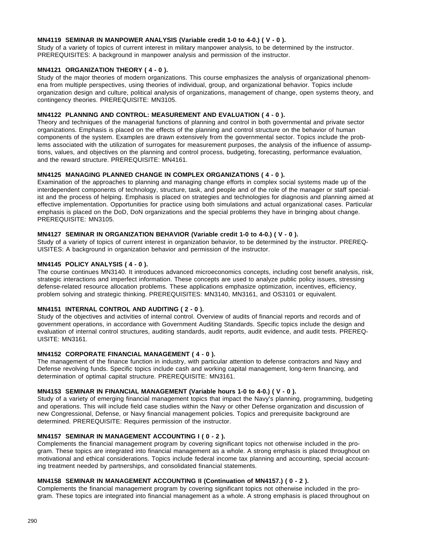#### **MN4119 SEMINAR IN MANPOWER ANALYSIS (Variable credit 1-0 to 4-0.) ( V - 0 ).**

Study of a variety of topics of current interest in military manpower analysis, to be determined by the instructor. PREREQUISITES: A background in manpower analysis and permission of the instructor.

#### **MN4121 ORGANIZATION THEORY ( 4 - 0 ).**

Study of the major theories of modern organizations. This course emphasizes the analysis of organizational phenomena from multiple perspectives, using theories of individual, group, and organizational behavior. Topics include organization design and culture, political analysis of organizations, management of change, open systems theory, and contingency theories. PREREQUISITE: MN3105.

#### **MN4122 PLANNING AND CONTROL: MEASUREMENT AND EVALUATION ( 4 - 0 ).**

Theory and techniques of the managerial functions of planning and control in both governmental and private sector organizations. Emphasis is placed on the effects of the planning and control structure on the behavior of human components of the system. Examples are drawn extensively from the governmental sector. Topics include the problems associated with the utilization of surrogates for measurement purposes, the analysis of the influence of assumptions, values, and objectives on the planning and control process, budgeting, forecasting, performance evaluation, and the reward structure. PREREQUISITE: MN4161.

#### **MN4125 MANAGING PLANNED CHANGE IN COMPLEX ORGANIZATIONS ( 4 - 0 ).**

Examination of the approaches to planning and managing change efforts in complex social systems made up of the interdependent components of technology, structure, task, and people and of the role of the manager or staff specialist and the process of helping. Emphasis is placed on strategies and technologies for diagnosis and planning aimed at effective implementation. Opportunities for practice using both simulations and actual organizational cases. Particular emphasis is placed on the DoD, DoN organizations and the special problems they have in bringing about change. PREREQUISITE: MN3105.

#### **MN4127 SEMINAR IN ORGANIZATION BEHAVIOR (Variable credit 1-0 to 4-0.) ( V - 0 ).**

Study of a variety of topics of current interest in organization behavior, to be determined by the instructor. PREREQ-UISITES: A background in organization behavior and permission of the instructor.

#### **MN4145 POLICY ANALYSIS ( 4 - 0 ).**

The course continues MN3140. It introduces advanced microeconomics concepts, including cost benefit analysis, risk, strategic interactions and imperfect information. These concepts are used to analyze public policy issues, stressing defense-related resource allocation problems. These applications emphasize optimization, incentives, efficiency, problem solving and strategic thinking. PREREQUISITES: MN3140, MN3161, and OS3101 or equivalent.

#### **MN4151 INTERNAL CONTROL AND AUDITING ( 2 - 0 ).**

Study of the objectives and activities of internal control. Overview of audits of financial reports and records and of government operations, in accordance with Government Auditing Standards. Specific topics include the design and evaluation of internal control structures, auditing standards, audit reports, audit evidence, and audit tests. PREREQ-UISITE: MN3161.

#### **MN4152 CORPORATE FINANCIAL MANAGEMENT ( 4 - 0 ).**

The management of the finance function in industry, with particular attention to defense contractors and Navy and Defense revolving funds. Specific topics include cash and working capital management, long-term financing, and determination of optimal capital structure. PREREQUISITE: MN3161.

#### **MN4153 SEMINAR IN FINANCIAL MANAGEMENT (Variable hours 1-0 to 4-0.) ( V - 0 ).**

Study of a variety of emerging financial management topics that impact the Navy's planning, programming, budgeting and operations. This will include field case studies within the Navy or other Defense organization and discussion of new Congressional, Defense, or Navy financial management policies. Topics and prerequisite background are determined. PREREQUISITE: Requires permission of the instructor.

#### **MN4157 SEMINAR IN MANAGEMENT ACCOUNTING I ( 0 - 2 ).**

Complements the financial management program by covering significant topics not otherwise included in the program. These topics are integrated into financial management as a whole. A strong emphasis is placed throughout on motivational and ethical considerations. Topics include federal income tax planning and accounting, special accounting treatment needed by partnerships, and consolidated financial statements.

#### **MN4158 SEMINAR IN MANAGEMENT ACCOUNTING II (Continuation of MN4157.) ( 0 - 2 ).**

Complements the financial management program by covering significant topics not otherwise included in the program. These topics are integrated into financial management as a whole. A strong emphasis is placed throughout on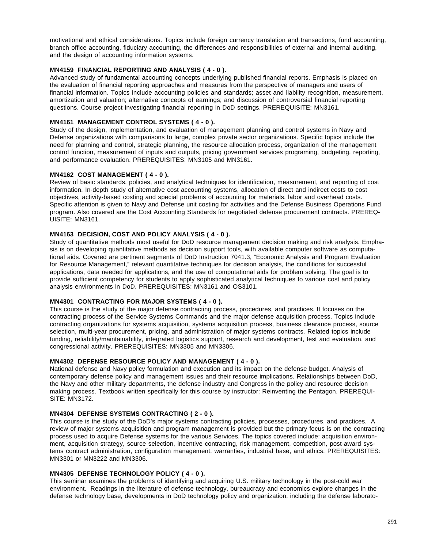motivational and ethical considerations. Topics include foreign currency translation and transactions, fund accounting, branch office accounting, fiduciary accounting, the differences and responsibilities of external and internal auditing, and the design of accounting information systems.

#### **MN4159 FINANCIAL REPORTING AND ANALYSIS ( 4 - 0 ).**

Advanced study of fundamental accounting concepts underlying published financial reports. Emphasis is placed on the evaluation of financial reporting approaches and measures from the perspective of managers and users of financial information. Topics include accounting policies and standards; asset and liability recognition, measurement, amortization and valuation; alternative concepts of earnings; and discussion of controversial financial reporting questions. Course project investigating financial reporting in DoD settings. PREREQUISITE: MN3161.

#### **MN4161 MANAGEMENT CONTROL SYSTEMS ( 4 - 0 ).**

Study of the design, implementation, and evaluation of management planning and control systems in Navy and Defense organizations with comparisons to large, complex private sector organizations. Specific topics include the need for planning and control, strategic planning, the resource allocation process, organization of the management control function, measurement of inputs and outputs, pricing government services programing, budgeting, reporting, and performance evaluation. PREREQUISITES: MN3105 and MN3161.

#### **MN4162 COST MANAGEMENT ( 4 - 0 ).**

Review of basic standards, policies, and analytical techniques for identification, measurement, and reporting of cost information. In-depth study of alternative cost accounting systems, allocation of direct and indirect costs to cost objectives, activity-based costing and special problems of accounting for materials, labor and overhead costs. Specific attention is given to Navy and Defense unit costing for activities and the Defense Business Operations Fund program. Also covered are the Cost Accounting Standards for negotiated defense procurement contracts. PREREQ-UISITE: MN3161.

#### **MN4163 DECISION, COST AND POLICY ANALYSIS ( 4 - 0 ).**

Study of quantitative methods most useful for DoD resource management decision making and risk analysis. Emphasis is on developing quantitative methods as decision support tools, with available computer software as computational aids. Covered are pertinent segments of DoD Instruction 7041.3, "Economic Analysis and Program Evaluation for Resource Management," relevant quantitative techniques for decision analysis, the conditions for successful applications, data needed for applications, and the use of computational aids for problem solving. The goal is to provide sufficient competency for students to apply sophisticated analytical techniques to various cost and policy analysis environments in DoD. PREREQUISITES: MN3161 and OS3101.

#### **MN4301 CONTRACTING FOR MAJOR SYSTEMS ( 4 - 0 ).**

This course is the study of the major defense contracting process, procedures, and practices. It focuses on the contracting process of the Service Systems Commands and the major defense acquisition process. Topics include contracting organizations for systems acquisition, systems acquisition process, business clearance process, source selection, multi-year procurement, pricing, and administration of major systems contracts. Related topics include funding, reliability/maintainability, integrated logistics support, research and development, test and evaluation, and congressional activity. PREREQUISITES: MN3305 and MN3306.

#### **MN4302 DEFENSE RESOURCE POLICY AND MANAGEMENT ( 4 - 0 ).**

National defense and Navy policy formulation and execution and its impact on the defense budget. Analysis of contemporary defense policy and management issues and their resource implications. Relationships between DoD, the Navy and other military departments, the defense industry and Congress in the policy and resource decision making process. Textbook written specifically for this course by instructor: Reinventing the Pentagon. PREREQUI-SITE: MN3172.

#### **MN4304 DEFENSE SYSTEMS CONTRACTING ( 2 - 0 ).**

This course is the study of the DoD's major systems contracting policies, processes, procedures, and practices. A review of major systems acquisition and program management is provided but the primary focus is on the contracting process used to acquire Defense systems for the various Services. The topics covered include: acquisition environment, acquisition strategy, source selection, incentive contracting, risk management, competition, post-award systems contract administration, configuration management, warranties, industrial base, and ethics. PREREQUISITES: MN3301 or MN3222 and MN3306.

#### **MN4305 DEFENSE TECHNOLOGY POLICY ( 4 - 0 ).**

This seminar examines the problems of identifying and acquiring U.S. military technology in the post-cold war environment. Readings in the literature of defense technology, bureaucracy and economics explore changes in the defense technology base, developments in DoD technology policy and organization, including the defense laborato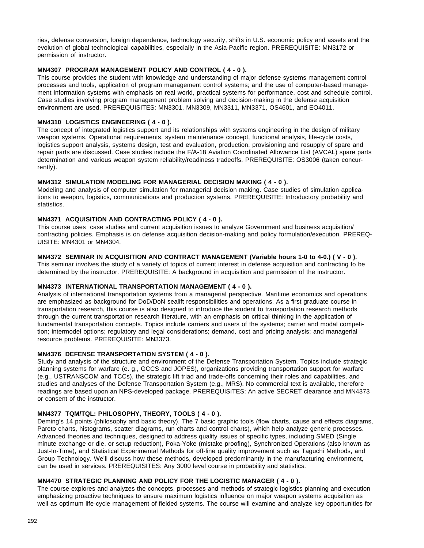ries, defense conversion, foreign dependence, technology security, shifts in U.S. economic policy and assets and the evolution of global technological capabilities, especially in the Asia-Pacific region. PREREQUISITE: MN3172 or permission of instructor.

#### **MN4307 PROGRAM MANAGEMENT POLICY AND CONTROL ( 4 - 0 ).**

This course provides the student with knowledge and understanding of major defense systems management control processes and tools, application of program management control systems; and the use of computer-based management information systems with emphasis on real world, practical systems for performance, cost and schedule control. Case studies involving program management problem solving and decision-making in the defense acquisition environment are used. PREREQUISITES: MN3301, MN3309, MN3311, MN3371, OS4601, and EO4011.

#### **MN4310 LOGISTICS ENGINEERING ( 4 - 0 ).**

The concept of integrated logistics support and its relationships with systems engineering in the design of military weapon systems. Operational requirements, system maintenance concept, functional analysis, life-cycle costs, logistics support analysis, systems design, test and evaluation, production, provisioning and resupply of spare and repair parts are discussed. Case studies include the F/A-18 Aviation Coordinated Allowance List (AVCAL) spare parts determination and various weapon system reliability/readiness tradeoffs. PREREQUISITE: OS3006 (taken concurrently).

#### **MN4312 SIMULATION MODELING FOR MANAGERIAL DECISION MAKING ( 4 - 0 ).**

Modeling and analysis of computer simulation for managerial decision making. Case studies of simulation applications to weapon, logistics, communications and production systems. PREREQUISITE: Introductory probability and statistics.

#### **MN4371 ACQUISITION AND CONTRACTING POLICY ( 4 - 0 ).**

This course uses case studies and current acquisition issues to analyze Government and business acquisition/ contracting policies. Emphasis is on defense acquisition decision-making and policy formulation/execution. PREREQ-UISITE: MN4301 or MN4304.

#### **MN4372 SEMINAR IN ACQUISITION AND CONTRACT MANAGEMENT (Variable hours 1-0 to 4-0.) ( V - 0 ).**

This seminar involves the study of a variety of topics of current interest in defense acquisition and contracting to be determined by the instructor. PREREQUISITE: A background in acquisition and permission of the instructor.

#### **MN4373 INTERNATIONAL TRANSPORTATION MANAGEMENT ( 4 - 0 ).**

Analysis of international transportation systems from a managerial perspective. Maritime economics and operations are emphasized as background for DoD/DoN sealift responsibilities and operations. As a first graduate course in transportation research, this course is also designed to introduce the student to transportation research methods through the current transportation research literature, with an emphasis on critical thinking in the application of fundamental transportation concepts. Topics include carriers and users of the systems; carrier and modal competition; intermodel options; regulatory and legal considerations; demand, cost and pricing analysis; and managerial resource problems. PREREQUISITE: MN3373.

#### **MN4376 DEFENSE TRANSPORTATION SYSTEM ( 4 - 0 ).**

Study and analysis of the structure and environment of the Defense Transportation System. Topics include strategic planning systems for warfare (e. g., GCCS and JOPES), organizations providing transportation support for warfare (e.g., USTRANSCOM and TCCs), the strategic lift triad and trade-offs concerning their roles and capabilities, and studies and analyses of the Defense Transportation System (e.g., MRS). No commercial text is available, therefore readings are based upon an NPS-developed package. PREREQUISITES: An active SECRET clearance and MN4373 or consent of the instructor.

#### **MN4377 TQM/TQL: PHILOSOPHY, THEORY, TOOLS ( 4 - 0 ).**

Deming's 14 points (philosophy and basic theory). The 7 basic graphic tools (flow charts, cause and effects diagrams, Pareto charts, histograms, scatter diagrams, run charts and control charts), which help analyze generic processes. Advanced theories and techniques, designed to address quality issues of specific types, including SMED (Single minute exchange or die, or setup reduction), Poka-Yoke (mistake proofing), Synchronized Operations (also known as Just-In-Time), and Statistical Experimental Methods for off-line quality improvement such as Taguchi Methods, and Group Technology. We'll discuss how these methods, developed predominantly in the manufacturing environment, can be used in services. PREREQUISITES: Any 3000 level course in probability and statistics.

#### **MN4470 STRATEGIC PLANNING AND POLICY FOR THE LOGISTIC MANAGER ( 4 - 0 ).**

The course explores and analyzes the concepts, processes and methods of strategic logistics planning and execution emphasizing proactive techniques to ensure maximum logistics influence on major weapon systems acquisition as well as optimum life-cycle management of fielded systems. The course will examine and analyze key opportunities for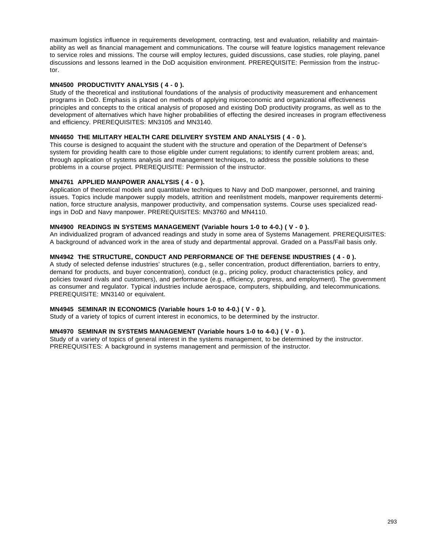maximum logistics influence in requirements development, contracting, test and evaluation, reliability and maintainability as well as financial management and communications. The course will feature logistics management relevance to service roles and missions. The course will employ lectures, guided discussions, case studies, role playing, panel discussions and lessons learned in the DoD acquisition environment. PREREQUISITE: Permission from the instructor.

#### **MN4500 PRODUCTIVITY ANALYSIS ( 4 - 0 ).**

Study of the theoretical and institutional foundations of the analysis of productivity measurement and enhancement programs in DoD. Emphasis is placed on methods of applying microeconomic and organizational effectiveness principles and concepts to the critical analysis of proposed and existing DoD productivity programs, as well as to the development of alternatives which have higher probabilities of effecting the desired increases in program effectiveness and efficiency. PREREQUISITES: MN3105 and MN3140.

#### **MN4650 THE MILITARY HEALTH CARE DELIVERY SYSTEM AND ANALYSIS ( 4 - 0 ).**

This course is designed to acquaint the student with the structure and operation of the Department of Defense's system for providing health care to those eligible under current regulations; to identify current problem areas; and, through application of systems analysis and management techniques, to address the possible solutions to these problems in a course project. PREREQUISITE: Permission of the instructor.

#### **MN4761 APPLIED MANPOWER ANALYSIS ( 4 - 0 ).**

Application of theoretical models and quantitative techniques to Navy and DoD manpower, personnel, and training issues. Topics include manpower supply models, attrition and reenlistment models, manpower requirements determination, force structure analysis, manpower productivity, and compensation systems. Course uses specialized readings in DoD and Navy manpower. PREREQUISITES: MN3760 and MN4110.

#### **MN4900 READINGS IN SYSTEMS MANAGEMENT (Variable hours 1-0 to 4-0.) ( V - 0 ).**

An individualized program of advanced readings and study in some area of Systems Management. PREREQUISITES: A background of advanced work in the area of study and departmental approval. Graded on a Pass/Fail basis only.

#### **MN4942 THE STRUCTURE, CONDUCT AND PERFORMANCE OF THE DEFENSE INDUSTRIES ( 4 - 0 ).**

A study of selected defense industries' structures (e.g., seller concentration, product differentiation, barriers to entry, demand for products, and buyer concentration), conduct (e.g., pricing policy, product characteristics policy, and policies toward rivals and customers), and performance (e.g., efficiency, progress, and employment). The government as consumer and regulator. Typical industries include aerospace, computers, shipbuilding, and telecommunications. PREREQUISITE: MN3140 or equivalent.

#### **MN4945 SEMINAR IN ECONOMICS (Variable hours 1-0 to 4-0.) ( V - 0 ).**

Study of a variety of topics of current interest in economics, to be determined by the instructor.

#### **MN4970 SEMINAR IN SYSTEMS MANAGEMENT (Variable hours 1-0 to 4-0.) ( V - 0 ).**

Study of a variety of topics of general interest in the systems management, to be determined by the instructor. PREREQUISITES: A background in systems management and permission of the instructor.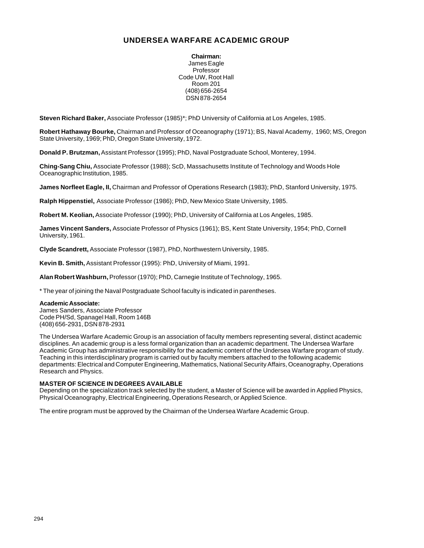#### **UNDERSEA WARFARE ACADEMIC GROUP**

**Chairman:** James Eagle Professor Code UW, Root Hall Room 201 (408) 656-2654 DSN 878-2654

**Steven Richard Baker,** Associate Professor (1985)\*; PhD University of California at Los Angeles, 1985.

**Robert Hathaway Bourke,** Chairman and Professor of Oceanography (1971); BS, Naval Academy, 1960; MS, Oregon State University, 1969; PhD, Oregon State University, 1972.

**Donald P. Brutzman,** Assistant Professor (1995); PhD, Naval Postgraduate School, Monterey, 1994.

**Ching-Sang Chiu,** Associate Professor (1988); ScD, Massachusetts Institute of Technology and Woods Hole Oceanographic Institution, 1985.

**James Norfleet Eagle, II,** Chairman and Professor of Operations Research (1983); PhD, Stanford University, 1975.

**Ralph Hippenstiel,** Associate Professor (1986); PhD, New Mexico State University, 1985.

**Robert M. Keolian,** Associate Professor (1990); PhD, University of California at Los Angeles, 1985.

**James Vincent Sanders,** Associate Professor of Physics (1961); BS, Kent State University, 1954; PhD, Cornell University, 1961.

**Clyde Scandrett,** Associate Professor (1987), PhD, Northwestern University, 1985.

**Kevin B. Smith,** Assistant Professor (1995): PhD, University of Miami, 1991.

**Alan Robert Washburn,** Professor (1970); PhD, Carnegie Institute of Technology, 1965.

\* The year of joining the Naval Postgraduate School faculty is indicated in parentheses.

#### **Academic Associate:**

James Sanders, Associate Professor Code PH/Sd, Spanagel Hall, Room 146B (408) 656-2931, DSN 878-2931

The Undersea Warfare Academic Group is an association of faculty members representing several, distinct academic disciplines. An academic group is a less formal organization than an academic department. The Undersea Warfare Academic Group has administrative responsibility for the academic content of the Undersea Warfare program of study. Teaching in this interdisciplinary program is carried out by faculty members attached to the following academic departments: Electrical and Computer Engineering, Mathematics, National Security Affairs, Oceanography, Operations Research and Physics.

#### **MASTER OF SCIENCE IN DEGREES AVAILABLE**

Depending on the specialization track selected by the student, a Master of Science will be awarded in Applied Physics, Physical Oceanography, Electrical Engineering, Operations Research, or Applied Science.

The entire program must be approved by the Chairman of the Undersea Warfare Academic Group.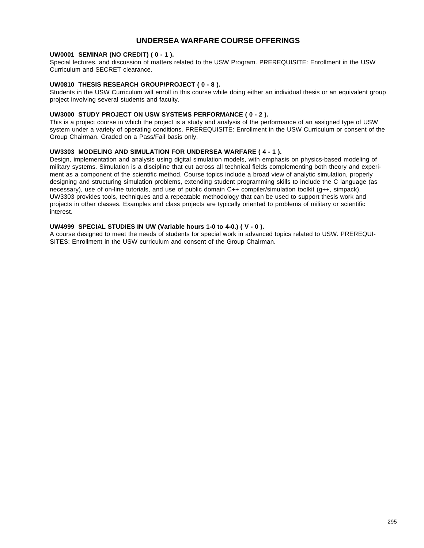#### **UNDERSEA WARFARE COURSE OFFERINGS**

#### **UW0001 SEMINAR (NO CREDIT) ( 0 - 1 ).**

Special lectures, and discussion of matters related to the USW Program. PREREQUISITE: Enrollment in the USW Curriculum and SECRET clearance.

#### **UW0810 THESIS RESEARCH GROUP/PROJECT ( 0 - 8 ).**

Students in the USW Curriculum will enroll in this course while doing either an individual thesis or an equivalent group project involving several students and faculty.

#### **UW3000 STUDY PROJECT ON USW SYSTEMS PERFORMANCE ( 0 - 2 ).**

This is a project course in which the project is a study and analysis of the performance of an assigned type of USW system under a variety of operating conditions. PREREQUISITE: Enrollment in the USW Curriculum or consent of the Group Chairman. Graded on a Pass/Fail basis only.

#### **UW3303 MODELING AND SIMULATION FOR UNDERSEA WARFARE ( 4 - 1 ).**

Design, implementation and analysis using digital simulation models, with emphasis on physics-based modeling of military systems. Simulation is a discipline that cut across all technical fields complementing both theory and experiment as a component of the scientific method. Course topics include a broad view of analytic simulation, properly designing and structuring simulation problems, extending student programming skills to include the C language (as necessary), use of on-line tutorials, and use of public domain C++ compiler/simulation toolkit (g++, simpack). UW3303 provides tools, techniques and a repeatable methodology that can be used to support thesis work and projects in other classes. Examples and class projects are typically oriented to problems of military or scientific interest.

#### **UW4999 SPECIAL STUDIES IN UW (Variable hours 1-0 to 4-0.) ( V - 0 ).**

A course designed to meet the needs of students for special work in advanced topics related to USW. PREREQUI-SITES: Enrollment in the USW curriculum and consent of the Group Chairman.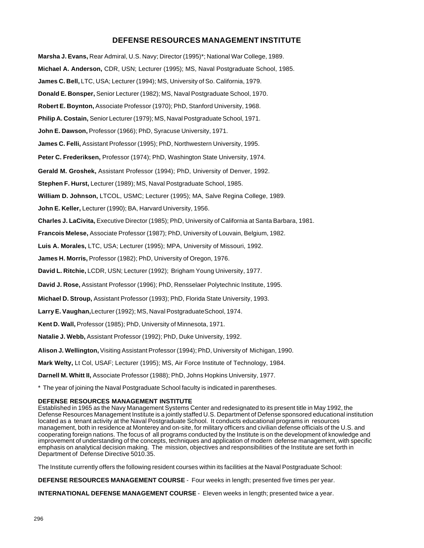#### **DEFENSE RESOURCES MANAGEMENT INSTITUTE**

**Marsha J. Evans,** Rear Admiral, U.S. Navy; Director (1995)\*; National War College, 1989. **Michael A. Anderson,** CDR, USN; Lecturer (1995); MS, Naval Postgraduate School, 1985. **James C. Bell,** LTC, USA; Lecturer (1994); MS, University of So. California, 1979. **Donald E. Bonsper,** Senior Lecturer (1982); MS, Naval Postgraduate School, 1970. **Robert E. Boynton,** Associate Professor (1970); PhD, Stanford University, 1968. **Philip A. Costain,** Senior Lecturer (1979); MS, Naval Postgraduate School, 1971. **John E. Dawson,** Professor (1966); PhD, Syracuse University, 1971. **James C. Felli,** Assistant Professor (1995); PhD, Northwestern University, 1995. **Peter C. Frederiksen,** Professor (1974); PhD, Washington State University, 1974. **Gerald M. Groshek,** Assistant Professor (1994); PhD, University of Denver, 1992. **Stephen F. Hurst,** Lecturer (1989); MS, Naval Postgraduate School, 1985. **William D. Johnson,** LTCOL, USMC; Lecturer (1995); MA, Salve Regina College, 1989. **John E. Keller,** Lecturer (1990); BA, Harvard University, 1956. **Charles J. LaCivita,** Executive Director (1985); PhD, University of California at Santa Barbara, 1981. **Francois Melese,** Associate Professor (1987); PhD, University of Louvain, Belgium, 1982. **Luis A. Morales,** LTC, USA; Lecturer (1995); MPA, University of Missouri, 1992. **James H. Morris,** Professor (1982); PhD, University of Oregon, 1976. **David L. Ritchie,** LCDR, USN; Lecturer (1992); Brigham Young University, 1977. **David J. Rose,** Assistant Professor (1996); PhD, Rensselaer Polytechnic Institute, 1995. **Michael D. Stroup,** Assistant Professor (1993); PhD, Florida State University, 1993. **Larry E. Vaughan,** Lecturer (1992); MS, Naval Postgraduate School, 1974. **Kent D. Wall,** Professor (1985); PhD, University of Minnesota, 1971. **Natalie J. Webb,** Assistant Professor (1992); PhD, Duke University, 1992. **Alison J. Wellington,** Visiting Assistant Professor (1994); PhD, University of Michigan, 1990. **Mark Welty,** Lt Col, USAF; Lecturer (1995); MS, Air Force Institute of Technology, 1984. **Darnell M. Whitt II,** Associate Professor (1988); PhD, Johns Hopkins University, 1977. \* The year of joining the Naval Postgraduate School faculty is indicated in parentheses. **DEFENSE RESOURCES MANAGEMENT INSTITUTE** Established in 1965 as the Navy Management Systems Center and redesignated to its present title in May 1992, the Defense Resources Management Institute is a jointly staffed U.S. Department of Defense sponsored educational institution located as a tenant activity at the Naval Postgraduate School. It conducts educational programs in resources

management, both in residence at Monterey and on-site, for military officers and civilian defense officials of the U.S. and cooperating foreign nations. The focus of all programs conducted by the Institute is on the development of knowledge and improvement of understanding of the concepts, techniques and application of modern defense management, with specific emphasis on analytical decision making. The mission, objectives and responsibilities of the Institute are set forth in Department of Defense Directive 5010.35.

The Institute currently offers the following resident courses within its facilities at the Naval Postgraduate School:

**DEFENSE RESOURCES MANAGEMENT COURSE** - Four weeks in length; presented five times per year.

**INTERNATIONAL DEFENSE MANAGEMENT COURSE** - Eleven weeks in length; presented twice a year.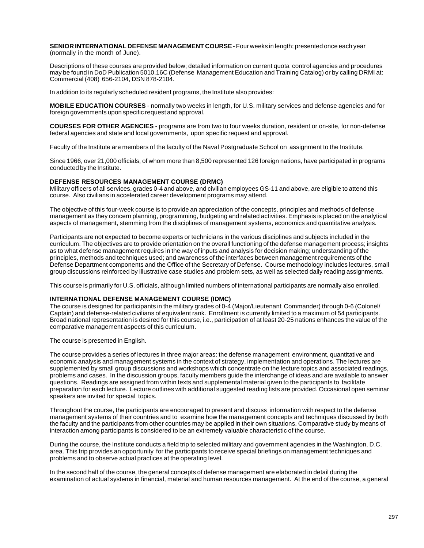**SENIOR INTERNATIONAL DEFENSE MANAGEMENT COURSE** - Four weeks in length; presented once each year (normally in the month of June).

Descriptions of these courses are provided below; detailed information on current quota control agencies and procedures may be found in DoD Publication 5010.16C (Defense Management Education and Training Catalog) or by calling DRMI at: Commercial (408) 656-2104, DSN 878-2104.

In addition to its regularly scheduled resident programs, the Institute also provides:

**MOBILE EDUCATION COURSES** - normally two weeks in length, for U.S. military services and defense agencies and for foreign governments upon specific request and approval.

**COURSES FOR OTHER AGENCIES** - programs are from two to four weeks duration, resident or on-site, for non-defense federal agencies and state and local governments, upon specific request and approval.

Faculty of the Institute are members of the faculty of the Naval Postgraduate School on assignment to the Institute.

Since 1966, over 21,000 officials, of whom more than 8,500 represented 126 foreign nations, have participated in programs conducted by the Institute.

#### **DEFENSE RESOURCES MANAGEMENT COURSE (DRMC)**

Military officers of all services, grades 0-4 and above, and civilian employees GS-11 and above, are eligible to attend this course. Also civilians in accelerated career development programs may attend.

The objective of this four-week course is to provide an appreciation of the concepts, principles and methods of defense management as they concern planning, programming, budgeting and related activities. Emphasis is placed on the analytical aspects of management, stemming from the disciplines of management systems, economics and quantitative analysis.

Participants are not expected to become experts or technicians in the various disciplines and subjects included in the curriculum. The objectives are to provide orientation on the overall functioning of the defense management process; insights as to what defense management requires in the way of inputs and analysis for decision making; understanding of the principles, methods and techniques used; and awareness of the interfaces between management requirements of the Defense Department components and the Office of the Secretary of Defense. Course methodology includes lectures, small group discussions reinforced by illustrative case studies and problem sets, as well as selected daily reading assignments.

This course is primarily for U.S. officials, although limited numbers of international participants are normally also enrolled.

#### **INTERNATIONAL DEFENSE MANAGEMENT COURSE (IDMC)**

The course is designed for participants in the military grades of 0-4 (Major/Lieutenant Commander) through 0-6 (Colonel/ Captain) and defense-related civilians of equivalent rank. Enrollment is currently limited to a maximum of 54 participants. Broad national representation is desired for this course, i.e., participation of at least 20-25 nations enhances the value of the comparative management aspects of this curriculum.

The course is presented in English.

The course provides a series of lectures in three major areas: the defense management environment, quantitative and economic analysis and management systems in the context of strategy, implementation and operations. The lectures are supplemented by small group discussions and workshops which concentrate on the lecture topics and associated readings, problems and cases. In the discussion groups, faculty members guide the interchange of ideas and are available to answer questions. Readings are assigned from within texts and supplemental material given to the participants to facilitate preparation for each lecture. Lecture outlines with additional suggested reading lists are provided. Occasional open seminar speakers are invited for special topics.

Throughout the course, the participants are encouraged to present and discuss information with respect to the defense management systems of their countries and to examine how the management concepts and techniques discussed by both the faculty and the participants from other countries may be applied in their own situations. Comparative study by means of interaction among participants is considered to be an extremely valuable characteristic of the course.

During the course, the Institute conducts a field trip to selected military and government agencies in the Washington, D.C. area. This trip provides an opportunity for the participants to receive special briefings on management techniques and problems and to observe actual practices at the operating level.

In the second half of the course, the general concepts of defense management are elaborated in detail during the examination of actual systems in financial, material and human resources management. At the end of the course, a general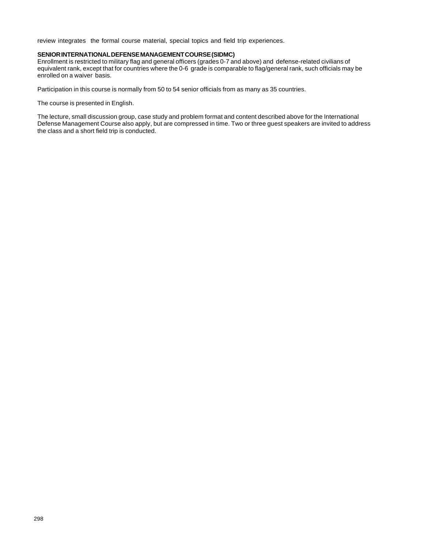review integrates the formal course material, special topics and field trip experiences.

#### **SENIOR INTERNATIONAL DEFENSE MANAGEMENT COURSE (SIDMC)**

Enrollment is restricted to military flag and general officers (grades 0-7 and above) and defense-related civilians of equivalent rank, except that for countries where the 0-6 grade is comparable to flag/general rank, such officials may be enrolled on a waiver basis.

Participation in this course is normally from 50 to 54 senior officials from as many as 35 countries.

The course is presented in English.

The lecture, small discussion group, case study and problem format and content described above for the International Defense Management Course also apply, but are compressed in time. Two or three guest speakers are invited to address the class and a short field trip is conducted.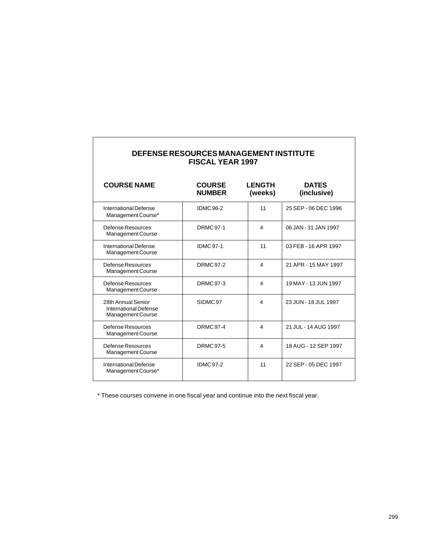| DEFENSE RESOURCES MANAGEMENT INSTITUTE<br><b>FISCAL YEAR 1997</b> |                                |                          |                             |  |
|-------------------------------------------------------------------|--------------------------------|--------------------------|-----------------------------|--|
| <b>COURSE NAME</b>                                                | <b>COURSE</b><br><b>NUMBER</b> | <b>LENGTH</b><br>(weeks) | <b>DATES</b><br>(inclusive) |  |
| International Defense<br>Management Course*                       | <b>IDMC96-2</b>                | 11                       | 25 SEP - 06 DEC 1996        |  |
| Defense Resources<br>Management Course                            | <b>DRMC 97-1</b>               | 4                        | 06 JAN - 31 JAN 1997        |  |
| International Defense<br>Management Course                        | <b>IDMC97-1</b>                | 11                       | 03 FEB - 16 APR 1997        |  |
| Defense Resources<br>Management Course                            | <b>DRMC 97-2</b>               | 4                        | 21 APR - 15 MAY 1997        |  |
| Defense Resources<br><b>Management Course</b>                     | <b>DRMC 97-3</b>               | 4                        | 19 MAY - 13 JUN 1997        |  |
| 28th Annual Senior<br>International Defense<br>Management Course  | SIDMC97                        | 4                        | 23 JUN - 18 JUL 1997        |  |
| Defense Resources<br>Management Course                            | <b>DRMC 97-4</b>               | 4                        | 21 JUL - 14 AUG 1997        |  |
| Defense Resources<br>Management Course                            | <b>DRMC 97-5</b>               | 4                        | 18 AUG - 12 SEP 1997        |  |
| International Defense<br>Management Course*                       | <b>IDMC97-2</b>                | 11                       | 22 SEP - 05 DEC 1997        |  |

\* These courses convene in one fiscal year and continue into the next fiscal year.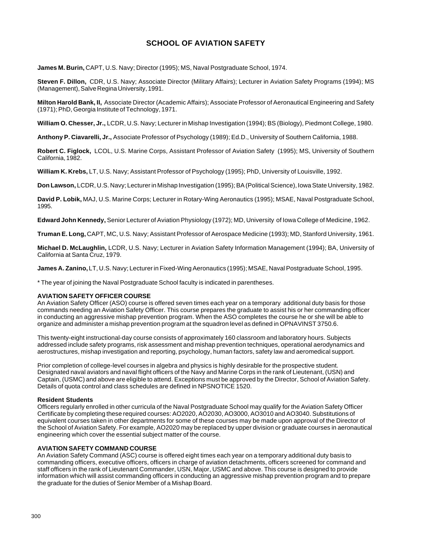#### **SCHOOL OF AVIATION SAFETY**

**James M. Burin,** CAPT, U.S. Navy; Director (1995); MS, Naval Postgraduate School, 1974.

**Steven F. Dillon,** CDR, U.S. Navy; Associate Director (Military Affairs); Lecturer in Aviation Safety Programs (1994); MS (Management), Salve Regina University, 1991.

**Milton Harold Bank, II,** Associate Director (Academic Affairs); Associate Professor of Aeronautical Engineering and Safety (1971); PhD, Georgia Institute of Technology, 1971.

**William O. Chesser, Jr.,** LCDR, U.S. Navy; Lecturer in Mishap Investigation (1994); BS (Biology), Piedmont College, 1980.

**Anthony P. Ciavarelli, Jr.,** Associate Professor of Psychology (1989); Ed.D., University of Southern California, 1988.

**Robert C. Figlock,** LCOL, U.S. Marine Corps, Assistant Professor of Aviation Safety (1995); MS, University of Southern California, 1982.

**William K. Krebs,** LT, U.S. Navy; Assistant Professor of Psychology (1995); PhD, University of Louisville, 1992.

**Don Lawson,** LCDR, U.S. Navy; Lecturer in Mishap Investigation (1995); BA (Political Science), Iowa State University, 1982.

**David P. Lobik,** MAJ, U.S. Marine Corps; Lecturer in Rotary-Wing Aeronautics (1995); MSAE, Naval Postgraduate School, 1995.

**Edward John Kennedy,** Senior Lecturer of Aviation Physiology (1972); MD, University of Iowa College of Medicine, 1962.

**Truman E. Long,** CAPT, MC, U.S. Navy; Assistant Professor of Aerospace Medicine (1993); MD, Stanford University, 1961.

**Michael D. McLaughlin,** LCDR, U.S. Navy; Lecturer in Aviation Safety Information Management (1994); BA, University of California at Santa Cruz, 1979.

**James A. Zanino,** LT, U.S. Navy; Lecturer in Fixed-Wing Aeronautics (1995); MSAE, Naval Postgraduate School, 1995.

\* The year of joining the Naval Postgraduate School faculty is indicated in parentheses.

#### **AVIATION SAFETY OFFICER COURSE**

An Aviation Safety Officer (ASO) course is offered seven times each year on a temporary additional duty basis for those commands needing an Aviation Safety Officer. This course prepares the graduate to assist his or her commanding officer in conducting an aggressive mishap prevention program. When the ASO completes the course he or she will be able to organize and administer a mishap prevention program at the squadron level as defined in OPNAVINST 3750.6.

This twenty-eight instructional-day course consists of approximately 160 classroom and laboratory hours. Subjects addressed include safety programs, risk assessment and mishap prevention techniques, operational aerodynamics and aerostructures, mishap investigation and reporting, psychology, human factors, safety law and aeromedical support.

Prior completion of college-level courses in algebra and physics is highly desirable for the prospective student. Designated naval aviators and naval flight officers of the Navy and Marine Corps in the rank of Lieutenant, (USN) and Captain, (USMC) and above are eligible to attend. Exceptions must be approved by the Director, School of Aviation Safety. Details of quota control and class schedules are defined in NPSNOTICE 1520.

#### **Resident Students**

Officers regularly enrolled in other curricula of the Naval Postgraduate School may qualify for the Aviation Safety Officer Certificate by completing these required courses: AO2020, AO2030, AO3000, AO3010 and AO3040. Substitutions of equivalent courses taken in other departments for some of these courses may be made upon approval of the Director of the School of Aviation Safety. For example, AO2020 may be replaced by upper division or graduate courses in aeronautical engineering which cover the essential subject matter of the course.

#### **AVIATION SAFETY COMMAND COURSE**

An Aviation Safety Command (ASC) course is offered eight times each year on a temporary additional duty basis to commanding officers, executive officers, officers in charge of aviation detachments, officers screened for command and staff officers in the rank of Lieutenant Commander, USN, Major, USMC and above. This course is designed to provide information which will assist commanding officers in conducting an aggressive mishap prevention program and to prepare the graduate for the duties of Senior Member of a Mishap Board.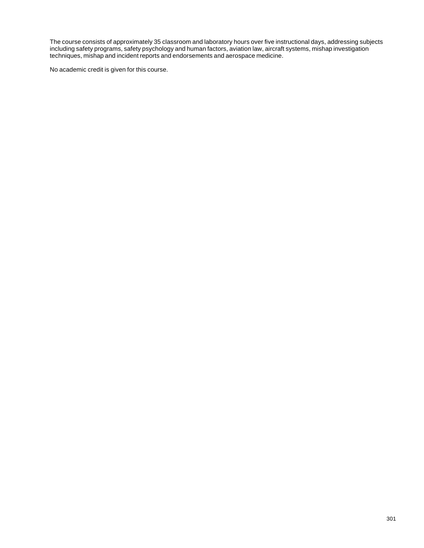The course consists of approximately 35 classroom and laboratory hours over five instructional days, addressing subjects including safety programs, safety psychology and human factors, aviation law, aircraft systems, mishap investigation techniques, mishap and incident reports and endorsements and aerospace medicine.

No academic credit is given for this course.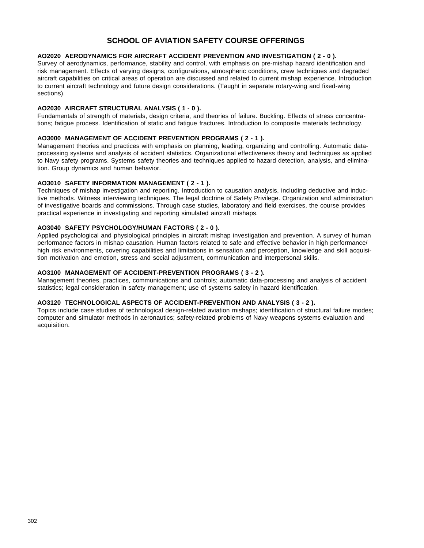#### **SCHOOL OF AVIATION SAFETY COURSE OFFERINGS**

#### **AO2020 AERODYNAMICS FOR AIRCRAFT ACCIDENT PREVENTION AND INVESTIGATION ( 2 - 0 ).**

Survey of aerodynamics, performance, stability and control, with emphasis on pre-mishap hazard identification and risk management. Effects of varying designs, configurations, atmospheric conditions, crew techniques and degraded aircraft capabilities on critical areas of operation are discussed and related to current mishap experience. Introduction to current aircraft technology and future design considerations. (Taught in separate rotary-wing and fixed-wing sections).

#### **AO2030 AIRCRAFT STRUCTURAL ANALYSIS ( 1 - 0 ).**

Fundamentals of strength of materials, design criteria, and theories of failure. Buckling. Effects of stress concentrations; fatigue process. Identification of static and fatigue fractures. Introduction to composite materials technology.

#### **AO3000 MANAGEMENT OF ACCIDENT PREVENTION PROGRAMS ( 2 - 1 ).**

Management theories and practices with emphasis on planning, leading, organizing and controlling. Automatic dataprocessing systems and analysis of accident statistics. Organizational effectiveness theory and techniques as applied to Navy safety programs. Systems safety theories and techniques applied to hazard detection, analysis, and elimination. Group dynamics and human behavior.

#### **AO3010 SAFETY INFORMATION MANAGEMENT ( 2 - 1 ).**

Techniques of mishap investigation and reporting. Introduction to causation analysis, including deductive and inductive methods. Witness interviewing techniques. The legal doctrine of Safety Privilege. Organization and administration of investigative boards and commissions. Through case studies, laboratory and field exercises, the course provides practical experience in investigating and reporting simulated aircraft mishaps.

#### **AO3040 SAFETY PSYCHOLOGY/HUMAN FACTORS ( 2 - 0 ).**

Applied psychological and physiological principles in aircraft mishap investigation and prevention. A survey of human performance factors in mishap causation. Human factors related to safe and effective behavior in high performance/ high risk environments, covering capabilities and limitations in sensation and perception, knowledge and skill acquisition motivation and emotion, stress and social adjustment, communication and interpersonal skills.

#### **AO3100 MANAGEMENT OF ACCIDENT-PREVENTION PROGRAMS ( 3 - 2 ).**

Management theories, practices, communications and controls; automatic data-processing and analysis of accident statistics; legal consideration in safety management; use of systems safety in hazard identification.

#### **AO3120 TECHNOLOGICAL ASPECTS OF ACCIDENT-PREVENTION AND ANALYSIS ( 3 - 2 ).**

Topics include case studies of technological design-related aviation mishaps; identification of structural failure modes; computer and simulator methods in aeronautics; safety-related problems of Navy weapons systems evaluation and acquisition.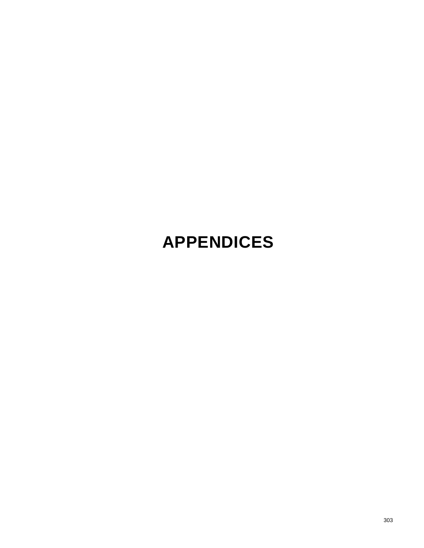# **APPENDICES**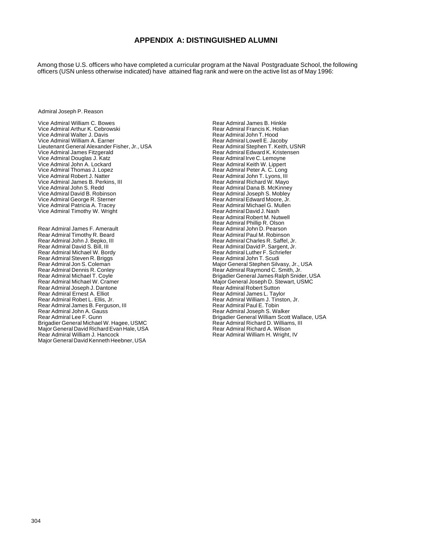#### **APPENDIX A: DISTINGUISHED ALUMNI**

Among those U.S. officers who have completed a curricular program at the Naval Postgraduate School, the following officers (USN unless otherwise indicated) have attained flag rank and were on the active list as of May 1996:

Admiral Joseph P. Reason

Vice Admiral William C. Bowes Vice Admiral Arthur K. Cebrowski Vice Admiral Walter J. Davis Vice Admiral William A. Earner Lieutenant General Alexander Fisher, Jr., USA Vice Admiral James Fitzgerald Vice Admiral Douglas J. Katz Vice Admiral John A. Lockard Vice Admiral Thomas J. Lopez Vice Admiral Robert J. Natter Vice Admiral James B. Perkins, III Vice Admiral John S. Redd Vice Admiral David B. Robinson Vice Admiral George R. Sterner Vice Admiral Patricia A. Tracey Vice Admiral Timothy W. Wright

Rear Admiral James F. Amerault Rear Admiral Timothy R. Beard Rear Admiral John J. Bepko, III Rear Admiral David S. Bill, III Rear Admiral Michael W. Bordy Rear Admiral Steven R. Briggs Rear Admiral Jon S. Coleman Rear Admiral Dennis R. Conley Rear Admiral Michael T. Coyle Rear Admiral Michael W. Cramer Rear Admiral Joseph J. Dantone Rear Admiral Ernest A. Elliot Rear Admiral Robet L. Ellis, Jr. Rear Admiral James B. Ferguson, III Rear Admiral John A. Gauss Rear Admiral Lee F. Gunn Brigadier General Michael W. Hagee, USMC Major General David Richard Evan Hale, USA Rear Admiral William J. Hancock Major General David Kenneth Heebner, USA

Rear Admiral James B. Hinkle Rear Admiral Francis K. Holian Rear Admiral John T. Hood Rear Admiral Lowell E. Jacoby Rear Admiral Stephen T. Keith, USNR Rear Admiral Edward K. Kristensen Rear Admiral Irve C. Lemoyne Rear Admiral Keith W. Lippert Rear Admiral Peter A. C. Long Rear Admiral John T. Lyons, III Rear Admiral Richard W. Mayo Rear Admiral Dana B. McKinney Rear Admiral Joseph S. Mobley Rear Admiral Edward Moore, Jr. Rear Admiral Michael G. Mullen Rear Admiral David J. Nash Rear Admiral Robert M. Nutwell Rear Admiral Phillip R. Olson Rear Admiral John D. Pearson Rear Admiral Paul M. Robinson Rear Admiral Charles R. Saffel, Jr. Rear Admiral David P. Sargent, Jr. Rear Admiral Luther F. Schriefer Rear Admiral John T. Scudi Major General Stephen Silvasy, Jr., USA Rear Admiral Raymond C. Smith, Jr. Brigadier General James Ralph Snider, USA Major General Joseph D. Stewart, USMC Rear Admiral Robert Sutton Rear Admiral James L. Taylor Rear Admiral William J. Tinston, Jr. Rear Admiral Paul E. Tobin Rear Admiral Joseph S. Walker Brigadier General William Scott Wallace, USA Rear Admiral Richard D. Williams, III Rear Admiral Richard A. Wilson Rear Admiral William H. Wright, IV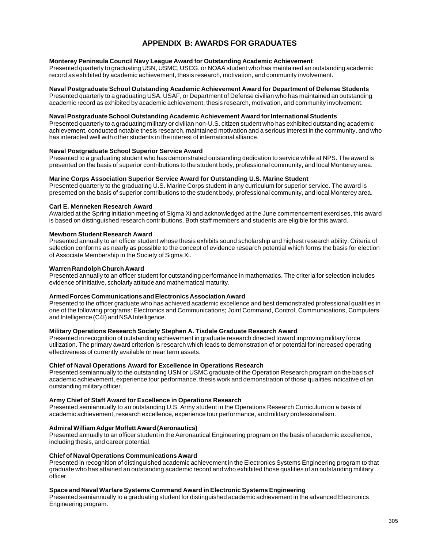### **APPENDIX B: AWARDS FOR GRADUATES**

#### **Monterey Peninsula Council Navy League Award for Outstanding Academic Achievement**

Presented quarterly to graduating USN, USMC, USCG, or NOAA student who has maintained an outstanding academic record as exhibited by academic achievement, thesis research, motivation, and community involvement.

#### **Naval Postgraduate School Outstanding Academic Achievement Award for Department of Defense Students**

Presented quarterly to a graduating USA, USAF, or Department of Defense civilian who has maintained an outstanding academic record as exhibited by academic achievement, thesis research, motivation, and community involvement.

#### **Naval Postgraduate School Outstanding Academic Achievement Award for International Students**

Presented quarterly to a graduating military or civilian non-U.S. citizen student who has exhibited outstanding academic achievement, conducted notable thesis research, maintained motivation and a serious interest in the community, and who has interacted well with other students in the interest of international alliance.

#### **Naval Postgraduate School Superior Service Award**

Presented to a graduating student who has demonstrated outstanding dedication to service while at NPS. The award is presented on the basis of superior contributions to the student body, professional community, and local Monterey area.

#### **Marine Corps Association Superior Service Award for Outstanding U.S. Marine Student**

Presented quarterly to the graduating U.S. Marine Corps student in any curriculum for superior service. The award is presented on the basis of superior contributions to the student body, professional community, and local Monterey area.

#### **Carl E. Menneken Research Award**

Awarded at the Spring initiation meeting of Sigma Xi and acknowledged at the June commencement exercises, this award is based on distinguished research contributions. Both staff members and students are eligible for this award.

#### **Mewborn Student Research Award**

Presented annually to an officer student whose thesis exhibits sound scholarship and highest research ability. Criteria of selection conforms as nearly as possible to the concept of evidence research potential which forms the basis for election of Associate Membership in the Society of Sigma Xi.

#### **Warren Randolph Church Award**

Presented annually to an officer student for outstanding performance in mathematics. The criteria for selection includes evidence of initiative, scholarly attitude and mathematical maturity.

#### **Armed Forces Communications and Electronics Association Award**

Presented to the officer graduate who has achieved academic excellence and best demonstrated professional qualities in one of the following programs: Electronics and Communications; Joint Command, Control, Communications, Computers and Intelligence (C4I) and NSA Intelligence.

#### **Military Operations Research Society Stephen A. Tisdale Graduate Research Award**

Presented in recognition of outstanding achievement in graduate research directed toward improving military force utilization. The primary award criterion is research which leads to demonstration of or potential for increased operating effectiveness of currently available or near term assets.

#### **Chief of Naval Operations Award for Excellence in Operations Research**

Presented semiannually to the outstanding USN or USMC graduate of the Operation Research program on the basis of academic achievement, experience tour performance, thesis work and demonstration of those qualities indicative of an outstanding military officer.

#### **Army Chief of Staff Award for Excellence in Operations Research**

Presented semiannually to an outstanding U.S. Army student in the Operations Research Curriculum on a basis of academic achievement, research excellence, experience tour performance, and military professionalism.

#### **Admiral William Adger Moffett Award (Aeronautics)**

Presented annually to an officer student in the Aeronautical Engineering program on the basis of academic excellence, including thesis, and career potential.

#### **Chief of Naval Operations Communications Award**

Presented in recognition of distinguished academic achievement in the Electronics Systems Engineering program to that graduate who has attained an outstanding academic record and who exhibited those qualities of an outstanding military officer.

#### **Space and Naval Warfare Systems Command Award in Electronic Systems Engineering**

Presented semiannually to a graduating student for distinguished academic achievement in the advanced Electronics Engineering program.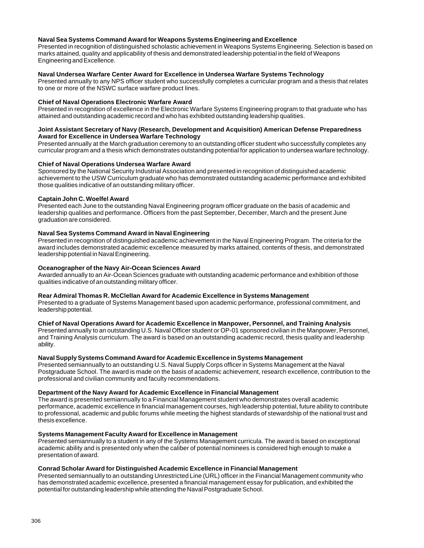#### **Naval Sea Systems Command Award for Weapons Systems Engineering and Excellence**

Presented in recognition of distinguished scholastic achievement in Weapons Systems Engineering. Selection is based on marks attained, quality and applicability of thesis and demonstrated leadership potential in the field of Weapons Engineering and Excellence.

#### **Naval Undersea Warfare Center Award for Excellence in Undersea Warfare Systems Technology**

Presented annually to any NPS officer student who successfully completes a curricular program and a thesis that relates to one or more of the NSWC surface warfare product lines.

#### **Chief of Naval Operations Electronic Warfare Award**

Presented in recognition of excellence in the Electronic Warfare Systems Engineering program to that graduate who has attained and outstanding academic record and who has exhibited outstanding leadership qualities.

#### **Joint Assistant Secretary of Navy (Research, Development and Acquisition) American Defense Preparedness Award for Excellence in Undersea Warfare Technology**

Presented annually at the March graduation ceremony to an outstanding officer student who successfully completes any curricular program and a thesis which demonstrates outstanding potential for application to undersea warfare technology.

#### **Chief of Naval Operations Undersea Warfare Award**

Sponsored by the National Security Industrial Association and presented in recognition of distinguished academic achievement to the USW Curriculum graduate who has demonstrated outstanding academic performance and exhibited those qualities indicative of an outstanding military officer.

#### **Captain John C. Woelfel Award**

Presented each June to the outstanding Naval Engineering program officer graduate on the basis of academic and leadership qualities and performance. Officers from the past September, December, March and the present June graduation are considered.

#### **Naval Sea Systems Command Award in Naval Engineering**

Presented in recognition of distinguished academic achievement in the Naval Engineering Program. The criteria for the award includes demonstrated academic excellence measured by marks attained, contents of thesis, and demonstrated leadership potential in Naval Engineering.

#### **Oceanographer of the Navy Air-Ocean Sciences Award**

Awarded annually to an Air-Ocean Sciences graduate with outstanding academic performance and exhibition of those qualities indicative of an outstanding military officer.

#### **Rear Admiral Thomas R. McClellan Award for Academic Excellence in Systems Management**

Presented to a graduate of Systems Management based upon academic performance, professional commitment, and leadership potential.

#### **Chief of Naval Operations Award for Academic Excellence in Manpower, Personnel, and Training Analysis**

Presented annually to an outstanding U.S. Naval Officer student or OP-01 sponsored civilian in the Manpower, Personnel, and Training Analysis curriculum. The award is based on an outstanding academic record, thesis quality and leadership ability.

#### **Naval Supply Systems Command Award for Academic Excellence in Systems Management**

Presented semiannually to an outstanding U.S. Naval Supply Corps officer in Systems Management at the Naval Postgraduate School. The award is made on the basis of academic achievement, research excellence, contribution to the professional and civilian community and faculty recommendations.

#### **Department of the Navy Award for Academic Excellence in Financial Management**

The award is presented semiannually to a Financial Management student who demonstrates overall academic performance, academic excellence in financial management courses, high leadership potential, future ability to contribute to professional, academic and public forums while meeting the highest standards of stewardship of the national trust and thesis excellence.

#### **Systems Management Faculty Award for Excellence in Management**

Presented semiannually to a student in any of the Systems Management curricula. The award is based on exceptional academic ability and is presented only when the caliber of potential nominees is considered high enough to make a presentation of award.

#### **Conrad Scholar Award for Distinguished Academic Excellence in Financial Management**

Presented semiannually to an outstanding Unrestricted Line (URL) officer in the Financial Management community who has demonstrated academic excellence, presented a financial management essay for publication, and exhibited the potential for outstanding leadership while attending the Naval Postgraduate School.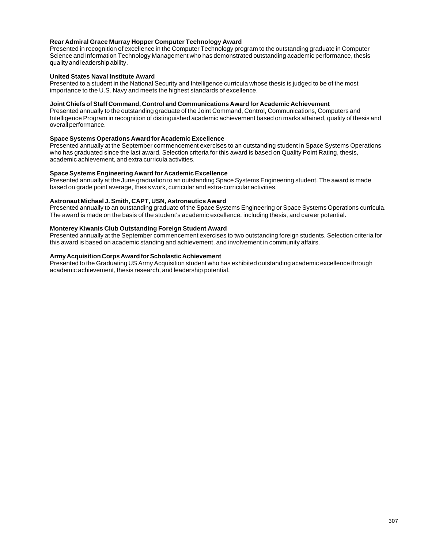#### **Rear Admiral Grace Murray Hopper Computer Technology Award**

Presented in recognition of excellence in the Computer Technology program to the outstanding graduate in Computer Science and Information Technology Management who has demonstrated outstanding academic performance, thesis quality and leadership ability.

#### **United States Naval Institute Award**

Presented to a student in the National Security and Intelligence curricula whose thesis is judged to be of the most importance to the U.S. Navy and meets the highest standards of excellence.

#### **Joint Chiefs of Staff Command, Control and Communications Award for Academic Achievement**

Presented annually to the outstanding graduate of the Joint Command, Control, Communications, Computers and Intelligence Program in recognition of distinguished academic achievement based on marks attained, quality of thesis and overall performance.

#### **Space Systems Operations Award for Academic Excellence**

Presented annually at the September commencement exercises to an outstanding student in Space Systems Operations who has graduated since the last award. Selection criteria for this award is based on Quality Point Rating, thesis, academic achievement, and extra curricula activities.

#### **Space Systems Engineering Award for Academic Excellence**

Presented annually at the June graduation to an outstanding Space Systems Engineering student. The award is made based on grade point average, thesis work, curricular and extra-curricular activities.

#### **Astronaut Michael J. Smith, CAPT, USN, Astronautics Award**

Presented annually to an outstanding graduate of the Space Systems Engineering or Space Systems Operations curricula. The award is made on the basis of the student's academic excellence, including thesis, and career potential.

#### **Monterey Kiwanis Club Outstanding Foreign Student Award**

Presented annually at the September commencement exercises to two outstanding foreign students. Selection criteria for this award is based on academic standing and achievement, and involvement in community affairs.

#### **Army Acquisition Corps Award for Scholastic Achievement**

Presented to the Graduating US Army Acquisition student who has exhibited outstanding academic excellence through academic achievement, thesis research, and leadership potential.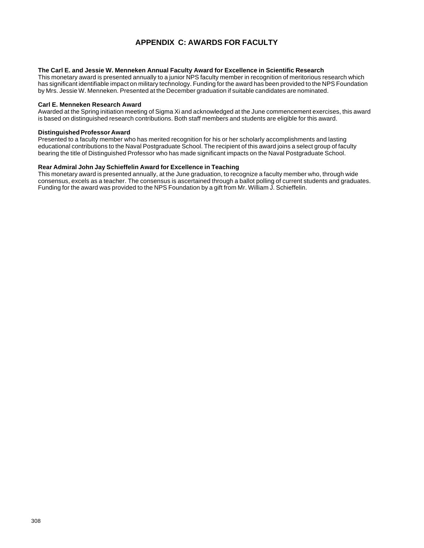## **APPENDIX C: AWARDS FOR FACULTY**

#### **The Carl E. and Jessie W. Menneken Annual Faculty Award for Excellence in Scientific Research**

This monetary award is presented annually to a junior NPS faculty member in recognition of meritorious research which has significant identifiable impact on military technology. Funding for the award has been provided to the NPS Foundation by Mrs. Jessie W. Menneken. Presented at the December graduation if suitable candidates are nominated.

#### **Carl E. Menneken Research Award**

Awarded at the Spring initiation meeting of Sigma Xi and acknowledged at the June commencement exercises, this award is based on distinguished research contributions. Both staff members and students are eligible for this award.

#### **Distinguished Professor Award**

Presented to a faculty member who has merited recognition for his or her scholarly accomplishments and lasting educational contributions to the Naval Postgraduate School. The recipient of this award joins a select group of faculty bearing the title of Distinguished Professor who has made significant impacts on the Naval Postgraduate School.

#### **Rear Admiral John Jay Schieffelin Award for Excellence in Teaching**

This monetary award is presented annually, at the June graduation, to recognize a faculty member who, through wide consensus, excels as a teacher. The consensus is ascertained through a ballot polling of current students and graduates. Funding for the award was provided to the NPS Foundation by a gift from Mr. William J. Schieffelin.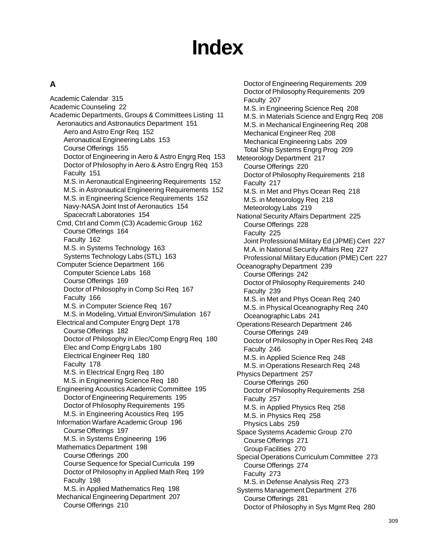# **Index**

## **A**

Academic Calendar 315 Academic Counseling 22 Academic Departments, Groups & Committees Listing 11 Aeronautics and Astronautics Department 151 Aero and Astro Engr Req 152 Aeronautical Engineering Labs 153 Course Offerings 155 Doctor of Engineering in Aero & Astro Engrg Req 153 Doctor of Philosophy in Aero & Astro Engrg Req 153 Faculty 151 M.S. in Aeronautical Engineering Requirements 152 M.S. in Astronautical Engineering Requirements 152 M.S. in Engineering Science Requirements 152 Navy-NASA Joint Inst of Aeronautics 154 Spacecraft Laboratories 154 Cmd, Ctrl and Comm (C3) Academic Group 162 Course Offerings 164 Faculty 162 M.S. in Systems Technology 163 Systems Technology Labs (STL) 163 Computer Science Department 166 Computer Science Labs 168 Course Offerings 169 Doctor of Philosophy in Comp Sci Req 167 Faculty 166 M.S. in Computer Science Req 167 M.S. in Modeling, Virtual Environ/Simulation 167 Electrical and Computer Engrg Dept 178 Course Offerings 182 Doctor of Philosophy in Elec/Comp Engrg Req 180 Elec and Comp Engrg Labs 180 Electrical Engineer Req 180 Faculty 178 M.S. in Electrical Engrg Req 180 M.S. in Engineering Science Req 180 Engineering Acoustics Academic Committee 195 Doctor of Engineering Requirements 195 Doctor of Philosophy Requirements 195 M.S. in Engineering Acoustics Req 195 Information Warfare Academic Group 196 Course Offerings 197 M.S. in Systems Engineering 196 Mathematics Department 198 Course Offerings 200 Course Sequence for Special Curricula 199 Doctor of Philosophy in Applied Math Req 199 Faculty 198 M.S. in Applied Mathematics Req 198 Mechanical Engineering Department 207 Course Offerings 210

Doctor of Engineering Requirements 209 Doctor of Philosophy Requirements 209 Faculty 207 M.S. in Engineering Science Req 208 M.S. in Materials Science and Engrg Req 208 M.S. in Mechanical Engineering Req 208 Mechanical Engineer Req 208 Mechanical Engineering Labs 209 Total Ship Systems Engrg Prog 209 Meteorology Department 217 Course Offerings 220 Doctor of Philosophy Requirements 218 Faculty 217 M.S. in Met and Phys Ocean Req 218 M.S. in Meteorology Req 218 Meteorology Labs 219 National Security Affairs Department 225 Course Offerings 228 Faculty 225 Joint Professional Military Ed (JPME) Cert 227 M.A. in National Security Affairs Req 227 Professional Military Education (PME) Cert 227 Oceanography Department 239 Course Offerings 242 Doctor of Philosophy Requirements 240 Faculty 239 M.S. in Met and Phys Ocean Req 240 M.S. in Physical Oceanography Req 240 Oceanographic Labs 241 Operations Research Department 246 Course Offerings 249 Doctor of Philosophy in Oper Res Req 248 Faculty 246 M.S. in Applied Science Req 248 M.S. in Operations Research Req 248 Physics Department 257 Course Offerings 260 Doctor of Philosophy Requirements 258 Faculty 257 M.S. in Applied Physics Req 258 M.S. in Physics Req 258 Physics Labs 259 Space Systems Academic Group 270 Course Offerings 271 Group Facilities 270 Special Operations Curriculum Committee 273 Course Offerings 274 Faculty 273 M.S. in Defense Analysis Req 273 Systems Management Department 276 Course Offerings 281 Doctor of Philosophy in Sys Mgmt Req 280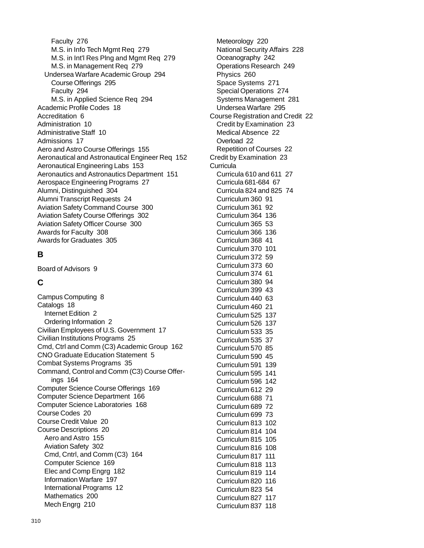Faculty 276 M.S. in Info Tech Mgmt Req 279 M.S. in Int'l Res Plng and Mgmt Req 279 M.S. in Management Req 279 Undersea Warfare Academic Group 294 Course Offerings 295 Faculty 294 M.S. in Applied Science Req 294 Academic Profile Codes 18 Accreditation 6 Administration 10 Administrative Staff 10 Admissions 17 Aero and Astro Course Offerings 155 Aeronautical and Astronautical Engineer Req 152 Aeronautical Engineering Labs 153 Aeronautics and Astronautics Department 151 Aerospace Engineering Programs 27 Alumni, Distinguished 304 Alumni Transcript Requests 24 Aviation Safety Command Course 300 Aviation Safety Course Offerings 302 Aviation Safety Officer Course 300 Awards for Faculty 308 Awards for Graduates 305

## **B**

Board of Advisors 9

## **C**

Campus Computing 8 Catalogs 18 Internet Edition 2 Ordering Information 2 Civilian Employees of U.S. Government 17 Civilian Institutions Programs 25 Cmd, Ctrl and Comm (C3) Academic Group 162 CNO Graduate Education Statement 5 Combat Systems Programs 35 Command, Control and Comm (C3) Course Offerings 164 Computer Science Course Offerings 169 Computer Science Department 166 Computer Science Laboratories 168 Course Codes 20 Course Credit Value 20 Course Descriptions 20 Aero and Astro 155 Aviation Safety 302 Cmd, Cntrl, and Comm (C3) 164 Computer Science 169 Elec and Comp Engrg 182 Information Warfare 197 International Programs 12 Mathematics 200 Mech Engrg 210

Meteorology 220 National Security Affairs 228 Oceanography 242 Operations Research 249 Physics 260 Space Systems 271 Special Operations 274 Systems Management 281 Undersea Warfare 295 Course Registration and Credit 22 Credit by Examination 23 Medical Absence 22 Overload 22 Repetition of Courses 22 Credit by Examination 23 **Curricula** Curricula 610 and 611 27 Curricula 681-684 67 Curricula 824 and 825 74 Curriculum 360 91 Curriculum 361 92 Curriculum 364 136 Curriculum 365 53 Curriculum 366 136 Curriculum 368 41 Curriculum 370 101 Curriculum 372 59 Curriculum 373 60 Curriculum 374 61 Curriculum 380 94 Curriculum 399 43 Curriculum 440 63 Curriculum 460 21 Curriculum 525 137 Curriculum 526 137 Curriculum 533 35 Curriculum 535 37 Curriculum 570 85 Curriculum 590 45 Curriculum 591 139 Curriculum 595 141 Curriculum 596 142 Curriculum 612 29 Curriculum 688 71 Curriculum 689 72 Curriculum 699 73 Curriculum 813 102 Curriculum 814 104 Curriculum 815 105 Curriculum 816 108 Curriculum 817 111 Curriculum 818 113 Curriculum 819 114 Curriculum 820 116 Curriculum 823 54 Curriculum 827 117 Curriculum 837 118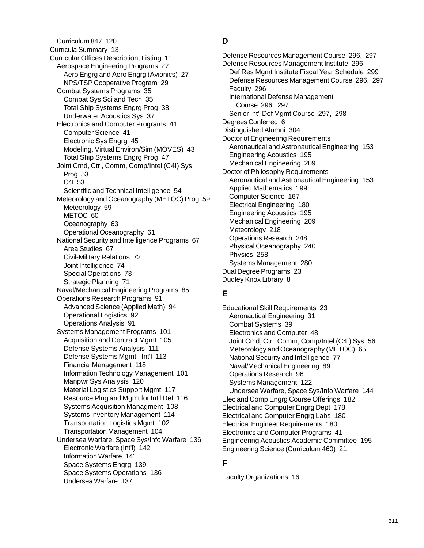Curriculum 847 120 Curricula Summary 13 Curricular Offices Description, Listing 11 Aerospace Engineering Programs 27 Aero Engrg and Aero Engrg (Avionics) 27 NPS/TSP Cooperative Program 29 Combat Systems Programs 35 Combat Sys Sci and Tech 35 Total Ship Systems Engrg Prog 38 Underwater Acoustics Sys 37 Electronics and Computer Programs 41 Computer Science 41 Electronic Sys Engrg 45 Modeling, Virtual Environ/Sim (MOVES) 43 Total Ship Systems Engrg Prog 47 Joint Cmd, Ctrl, Comm, Comp/Intel (C4I) Sys Prog 53 C4I 53 Scientific and Technical Intelligence 54 Meteorology and Oceanography (METOC) Prog 59 Meteorology 59 METOC 60 Oceanography 63 Operational Oceanography 61 National Security and Intelligence Programs 67 Area Studies 67 Civil-Military Relations 72 Joint Intelligence 74 Special Operations 73 Strategic Planning 71 Naval/Mechanical Engineering Programs 85 Operations Research Programs 91 Advanced Science (Applied Math) 94 Operational Logistics 92 Operations Analysis 91 Systems Management Programs 101 Acquisition and Contract Mgmt 105 Defense Systems Analysis 111 Defense Systems Mgmt - Int'l 113 Financial Management 118 Information Technology Management 101 Manpwr Sys Analysis 120 Material Logistics Support Mgmt 117 Resource Plng and Mgmt for Int'l Def 116 Systems Acquisition Managment 108 Systems Inventory Management 114 Transportation Logistics Mgmt 102 Transportation Management 104 Undersea Warfare, Space Sys/Info Warfare 136 Electronic Warfare (Int'l) 142 Information Warfare 141 Space Systems Engrg 139 Space Systems Operations 136 Undersea Warfare 137

## **D**

Defense Resources Management Course 296, 297 Defense Resources Management Institute 296 Def Res Mgmt Institute Fiscal Year Schedule 299 Defense Resources Management Course 296, 297 Faculty 296 International Defense Management Course 296, 297 Senior Int'l Def Mgmt Course 297, 298 Degrees Conferred 6 Distinguished Alumni 304 Doctor of Engineering Requirements Aeronautical and Astronautical Engineering 153 Engineering Acoustics 195 Mechanical Engineering 209 Doctor of Philosophy Requirements Aeronautical and Astronautical Engineering 153 Applied Mathematics 199 Computer Science 167 Electrical Engineering 180 Engineering Acoustics 195 Mechanical Engineering 209 Meteorology 218 Operations Research 248 Physical Oceanography 240 Physics 258 Systems Management 280 Dual Degree Programs 23 Dudley Knox Library 8

## **E**

Educational Skill Requirements 23 Aeronautical Engineering 31 Combat Systems 39 Electronics and Computer 48 Joint Cmd, Ctrl, Comm, Comp/Intel (C4I) Sys 56 Meteorology and Oceanography (METOC) 65 National Security and Intelligence 77 Naval/Mechanical Engineering 89 Operations Research 96 Systems Management 122 Undersea Warfare, Space Sys/Info Warfare 144 Elec and Comp Engrg Course Offerings 182 Electrical and Computer Engrg Dept 178 Electrical and Computer Engrg Labs 180 Electrical Engineer Requirements 180 Electronics and Computer Programs 41 Engineering Acoustics Academic Committee 195 Engineering Science (Curriculum 460) 21

## **F**

Faculty Organizations 16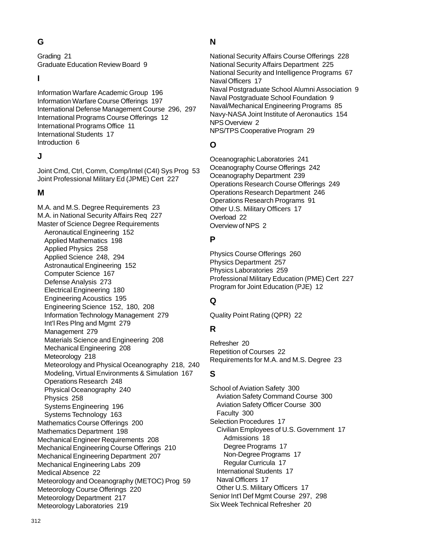**G**

Grading 21 Graduate Education Review Board 9

**I**

Information Warfare Academic Group 196 Information Warfare Course Offerings 197 International Defense Management Course 296, 297 International Programs Course Offerings 12 International Programs Office 11 International Students 17 Introduction 6

## **J**

Joint Cmd, Ctrl, Comm, Comp/Intel (C4I) Sys Prog 53 Joint Professional Military Ed (JPME) Cert 227

## **M**

M.A. and M.S. Degree Requirements 23 M.A. in National Security Affairs Req 227 Master of Science Degree Requirements Aeronautical Engineering 152 Applied Mathematics 198 Applied Physics 258 Applied Science 248, 294 Astronautical Engineering 152 Computer Science 167 Defense Analysis 273 Electrical Engineering 180 Engineering Acoustics 195 Engineering Science 152, 180, 208 Information Technology Management 279 Int'l Res Plng and Mgmt 279 Management 279 Materials Science and Engineering 208 Mechanical Engineering 208 Meteorology 218 Meteorology and Physical Oceanography 218, 240 Modeling, Virtual Environments & Simulation 167 Operations Research 248 Physical Oceanography 240 Physics 258 Systems Engineering 196 Systems Technology 163 Mathematics Course Offerings 200 Mathematics Department 198 Mechanical Engineer Requirements 208 Mechanical Engineering Course Offerings 210 Mechanical Engineering Department 207 Mechanical Engineering Labs 209 Medical Absence 22 Meteorology and Oceanography (METOC) Prog 59 Meteorology Course Offerings 220 Meteorology Department 217 Meteorology Laboratories 219

## **N**

National Security Affairs Course Offerings 228 National Security Affairs Department 225 National Security and Intelligence Programs 67 Naval Officers 17 Naval Postgraduate School Alumni Association 9 Naval Postgraduate School Foundation 9 Naval/Mechanical Engineering Programs 85 Navy-NASA Joint Institute of Aeronautics 154 NPS Overview 2 NPS/TPS Cooperative Program 29

## **O**

Oceanographic Laboratories 241 Oceanography Course Offerings 242 Oceanography Department 239 Operations Research Course Offerings 249 Operations Research Department 246 Operations Research Programs 91 Other U.S. Military Officers 17 Overload 22 Overview of NPS 2

## **P**

Physics Course Offerings 260 Physics Department 257 Physics Laboratories 259 Professional Military Education (PME) Cert 227 Program for Joint Education (PJE) 12

## **Q**

Quality Point Rating (QPR) 22

## **R**

Refresher 20 Repetition of Courses 22 Requirements for M.A. and M.S. Degree 23

## **S**

School of Aviation Safety 300 Aviation Safety Command Course 300 Aviation Safety Officer Course 300 Faculty 300 Selection Procedures 17 Civilian Employees of U.S. Government 17 Admissions 18 Degree Programs 17 Non-Degree Programs 17 Regular Curricula 17 International Students 17 Naval Officers 17 Other U.S. Military Officers 17 Senior Int'l Def Mgmt Course 297, 298 Six Week Technical Refresher 20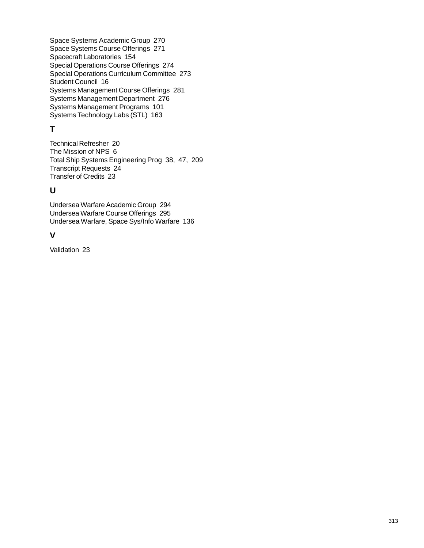Space Systems Academic Group 270 Space Systems Course Offerings 271 Spacecraft Laboratories 154 Special Operations Course Offerings 274 Special Operations Curriculum Committee 273 Student Council 16 Systems Management Course Offerings 281 Systems Management Department 276 Systems Management Programs 101 Systems Technology Labs (STL) 163

## **T**

Technical Refresher 20 The Mission of NPS 6 Total Ship Systems Engineering Prog 38, 47, 209 Transcript Requests 24 Transfer of Credits 23

## **U**

Undersea Warfare Academic Group 294 Undersea Warfare Course Offerings 295 Undersea Warfare, Space Sys/Info Warfare 136

## **V**

Validation 23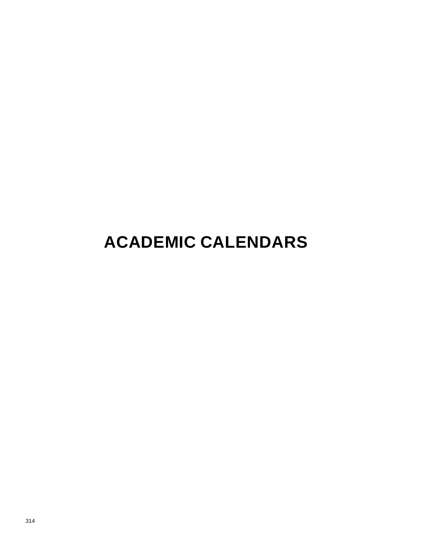## **ACADEMIC CALENDARS**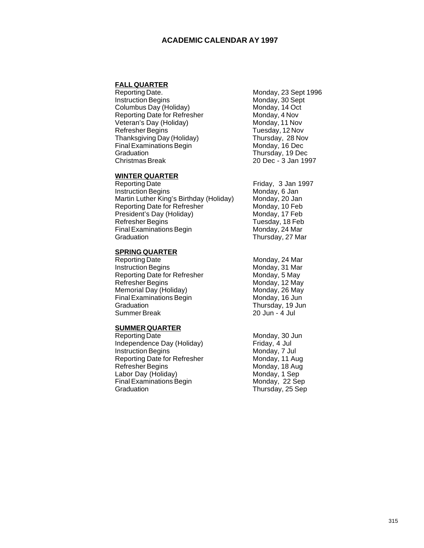#### **ACADEMIC CALENDAR AY 1997**

## **FALL QUARTER**<br>Reporting Date.

**Instruction Begins Monday, 30 Sept.** Columbus Day (Holiday) Monday, 14 Oct<br>
Reporting Date for Refresher Monday, 4 Nov Reporting Date for Refresher Monday, 4 Nov<br>
Veteran's Day (Holiday) Monday, 11 Nov Veteran's Day (Holiday) Monday, 11 Nov<br>
Refresher Begins Monday, 12 Nov Refresher Begins Tuesday, 12 Nov<br>
Thanksgiving Day (Holiday) Thursday, 28 Nov Thanksgiving Day (Holiday) Final Examinations Begin Monday, 16 Dec Graduation Thursday, 19 Dec Christmas Break 20 Dec - 3 Jan 1997

# Monday, 23 Sept 1996

#### **WINTER QUARTER**

| Reporting Date                          |  |
|-----------------------------------------|--|
| <b>Instruction Begins</b>               |  |
| Martin Luther King's Birthday (Holiday) |  |
| <b>Reporting Date for Refresher</b>     |  |
| President's Day (Holiday)               |  |
| Refresher Begins                        |  |
| <b>Final Examinations Begin</b>         |  |
| Graduation                              |  |

## **SPRING QUARTER**<br>Reporting Date

Instruction Begins Monday, 31 Mar<br>
Reporting Date for Refresher Monday, 5 May Reporting Date for Refresher Refresher Begins Monday, 12 May Memorial Day (Holiday) Monday, 26 May Final Examinations Begin Monday, 16 Jun<br>Graduation Monday, 19 Jun Summer Break

#### **SUMMER QUARTER**

Reporting Date<br>
Independence Day (Holiday) Friday, 4 Jul Independence Day (Holiday) Friday, 4 Jul<br>Instruction Begins Friday, 7 Jul Instruction Begins Monday, 7 Jul<br>Reporting Date for Refresher Monday, 11 Aug Reporting Date for Refresher<br>Refresher Begins Labor Day (Holiday) Final Examinations Begin Monday, 22 Sep Graduation Thursday, 25 Sep

Friday, 3 Jan 1997 Monday, 6 Jan Monday, 20 Jan Monday, 10 Feb Monday, 17 Feb Tuesday, 18 Feb Monday, 24 Mar Thursday, 27 Mar

Monday, 24 Mar<br>Monday, 31 Mar Thursday, 19 Jun<br>20 Jun - 4 Jul

Monday, 18 Aug<br>Monday, 1 Sep